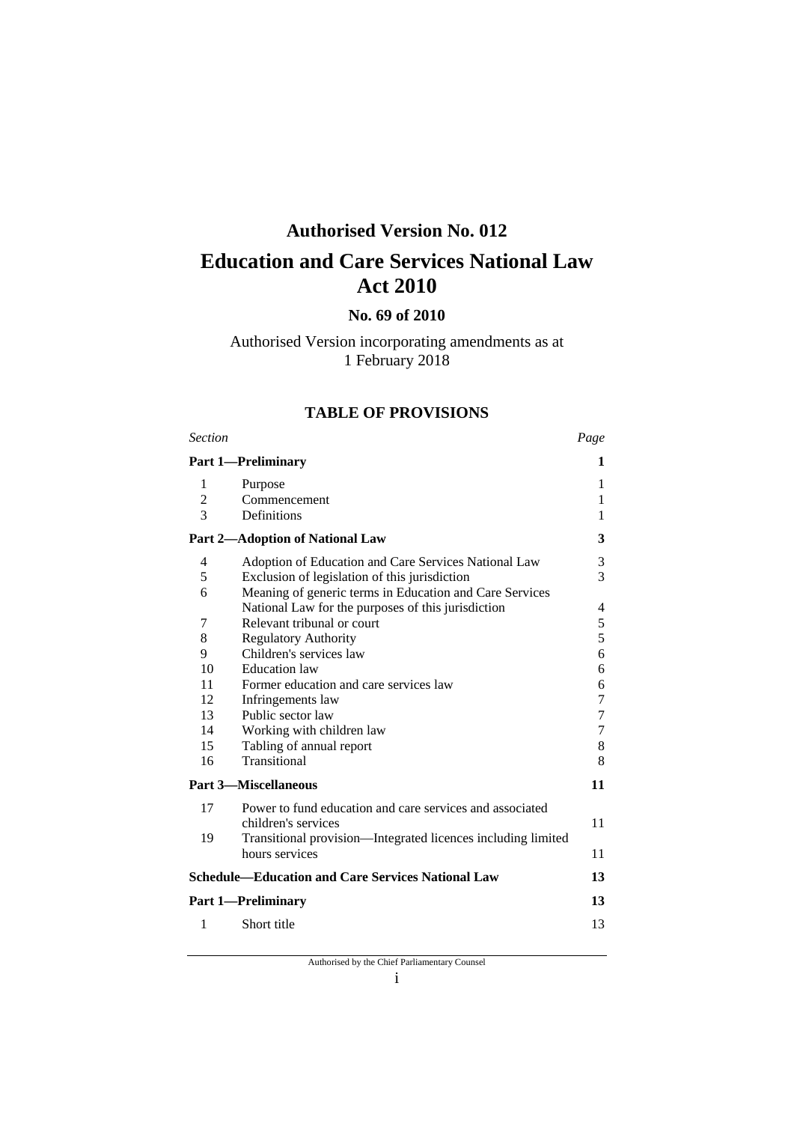## **Authorised Version No. 012**

# **Education and Care Services National Law Act 2010**

## **No. 69 of 2010**

## Authorised Version incorporating amendments as at 1 February 2018

### **TABLE OF PROVISIONS**

| <b>Section</b> |                                                                                | Page           |
|----------------|--------------------------------------------------------------------------------|----------------|
|                | <b>Part 1-Preliminary</b>                                                      | 1              |
| 1              | Purpose                                                                        | 1              |
| $\overline{2}$ | Commencement                                                                   | 1              |
| 3              | Definitions                                                                    | 1              |
|                | <b>Part 2-Adoption of National Law</b>                                         | 3              |
| 4              | Adoption of Education and Care Services National Law                           | 3              |
| 5              | Exclusion of legislation of this jurisdiction                                  | 3              |
| 6              | Meaning of generic terms in Education and Care Services                        |                |
|                | National Law for the purposes of this jurisdiction                             | 4              |
| 7              | Relevant tribunal or court                                                     | 5              |
| 8              | <b>Regulatory Authority</b>                                                    | 5              |
| 9              | Children's services law                                                        | 6              |
| 10             | <b>Education</b> law                                                           | 6              |
| 11             | Former education and care services law                                         | 6              |
| 12             | Infringements law                                                              | 7              |
| 13             | Public sector law                                                              | $\overline{7}$ |
| 14             | Working with children law                                                      | $\tau$         |
| 15             | Tabling of annual report                                                       | 8              |
| 16             | Transitional                                                                   | 8              |
|                | <b>Part 3-Miscellaneous</b>                                                    | 11             |
| 17             | Power to fund education and care services and associated                       |                |
|                | children's services                                                            | 11             |
| 19             | Transitional provision—Integrated licences including limited<br>hours services | 11             |
|                | <b>Schedule-Education and Care Services National Law</b>                       | 13             |
|                | <b>Part 1—Preliminary</b>                                                      | 13             |
|                |                                                                                |                |
| 1              | Short title                                                                    | 13             |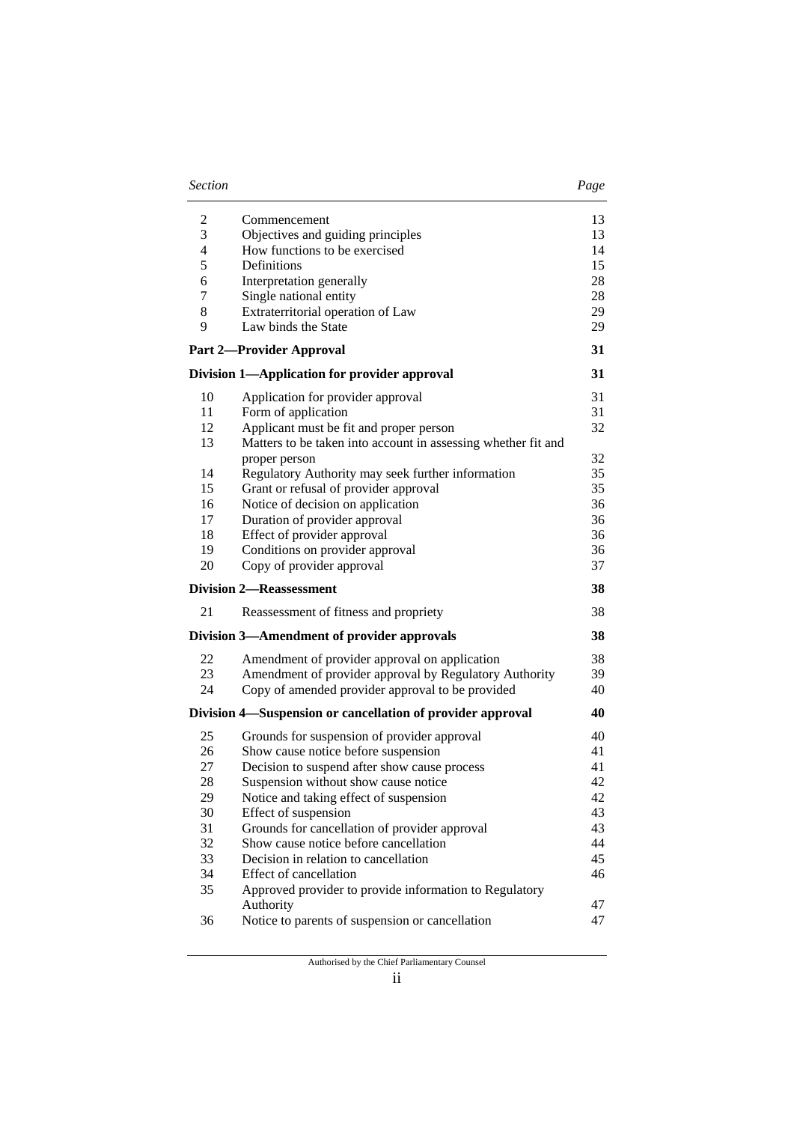| Section | Page |
|---------|------|
|---------|------|

| I<br>۰,<br>×<br>I |
|-------------------|
|-------------------|

| $\overline{c}$           | Commencement                                                  | 13       |
|--------------------------|---------------------------------------------------------------|----------|
| 3                        | Objectives and guiding principles                             | 13       |
| $\overline{\mathcal{L}}$ | How functions to be exercised                                 | 14       |
| 5                        | Definitions                                                   | 15       |
| 6                        | Interpretation generally                                      | 28       |
| 7                        | Single national entity                                        | 28       |
| 8                        | Extraterritorial operation of Law                             | 29       |
| 9                        | Law binds the State                                           | 29       |
|                          | <b>Part 2-Provider Approval</b>                               | 31       |
|                          | Division 1-Application for provider approval                  | 31       |
| 10                       | Application for provider approval                             | 31       |
| 11                       | Form of application                                           | 31       |
| 12                       | Applicant must be fit and proper person                       | 32       |
| 13                       | Matters to be taken into account in assessing whether fit and |          |
|                          | proper person                                                 | 32       |
| 14                       | Regulatory Authority may seek further information             | 35       |
| 15                       | Grant or refusal of provider approval                         | 35       |
| 16                       | Notice of decision on application                             | 36       |
| 17                       | Duration of provider approval                                 | 36       |
| 18                       | Effect of provider approval                                   | 36       |
| 19                       | Conditions on provider approval                               | 36       |
| 20                       | Copy of provider approval                                     | 37       |
|                          | <b>Division 2—Reassessment</b>                                | 38       |
| 21                       | Reassessment of fitness and propriety                         | 38       |
|                          | Division 3—Amendment of provider approvals                    | 38       |
| 22                       | Amendment of provider approval on application                 | 38       |
| 23                       | Amendment of provider approval by Regulatory Authority        | 39       |
| 24                       | Copy of amended provider approval to be provided              |          |
|                          |                                                               | 40       |
|                          | Division 4—Suspension or cancellation of provider approval    | 40       |
| 25                       | Grounds for suspension of provider approval                   | 40       |
| 26                       | Show cause notice before suspension                           | 41       |
| 27                       | Decision to suspend after show cause process                  | 41       |
| 28                       | Suspension without show cause notice                          | 42       |
| 29                       | Notice and taking effect of suspension                        | 42       |
| 30                       | Effect of suspension                                          | 43       |
| 31                       | Grounds for cancellation of provider approval                 | 43       |
| 32                       | Show cause notice before cancellation                         | 44       |
| 33                       | Decision in relation to cancellation                          | 45       |
| 34                       | Effect of cancellation                                        | 46       |
| 35                       | Approved provider to provide information to Regulatory        |          |
| 36                       | Authority<br>Notice to parents of suspension or cancellation  | 47<br>47 |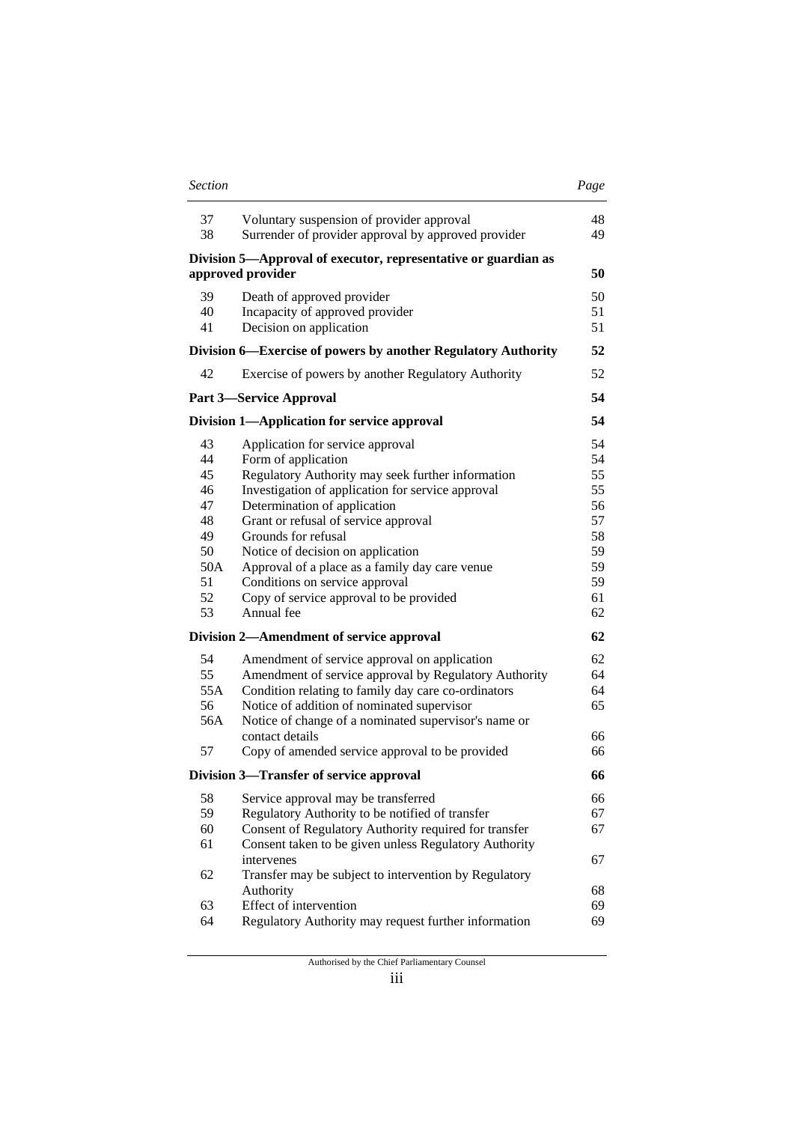| Section | Page |
|---------|------|
|---------|------|

| 37<br>38                                                                                       | Voluntary suspension of provider approval<br>Surrender of provider approval by approved provider                                                                                                                                                                                                                                                                                                                                                                                                                                                                                                                                                                                                             | 48<br>49                                                                                           |
|------------------------------------------------------------------------------------------------|--------------------------------------------------------------------------------------------------------------------------------------------------------------------------------------------------------------------------------------------------------------------------------------------------------------------------------------------------------------------------------------------------------------------------------------------------------------------------------------------------------------------------------------------------------------------------------------------------------------------------------------------------------------------------------------------------------------|----------------------------------------------------------------------------------------------------|
|                                                                                                | Division 5—Approval of executor, representative or guardian as<br>approved provider                                                                                                                                                                                                                                                                                                                                                                                                                                                                                                                                                                                                                          | 50                                                                                                 |
| 39<br>40<br>41                                                                                 | Death of approved provider<br>Incapacity of approved provider<br>Decision on application                                                                                                                                                                                                                                                                                                                                                                                                                                                                                                                                                                                                                     | 50<br>51<br>51                                                                                     |
|                                                                                                | Division 6—Exercise of powers by another Regulatory Authority                                                                                                                                                                                                                                                                                                                                                                                                                                                                                                                                                                                                                                                | 52                                                                                                 |
| 42                                                                                             | Exercise of powers by another Regulatory Authority                                                                                                                                                                                                                                                                                                                                                                                                                                                                                                                                                                                                                                                           | 52                                                                                                 |
|                                                                                                | <b>Part 3—Service Approval</b>                                                                                                                                                                                                                                                                                                                                                                                                                                                                                                                                                                                                                                                                               | 54                                                                                                 |
|                                                                                                | Division 1—Application for service approval                                                                                                                                                                                                                                                                                                                                                                                                                                                                                                                                                                                                                                                                  | 54                                                                                                 |
| 43<br>44<br>45<br>46<br>47<br>48<br>49<br>50<br>50A<br>51<br>52<br>53<br>54<br>55<br>55A<br>56 | Application for service approval<br>Form of application<br>Regulatory Authority may seek further information<br>Investigation of application for service approval<br>Determination of application<br>Grant or refusal of service approval<br>Grounds for refusal<br>Notice of decision on application<br>Approval of a place as a family day care venue<br>Conditions on service approval<br>Copy of service approval to be provided<br>Annual fee<br>Division 2—Amendment of service approval<br>Amendment of service approval on application<br>Amendment of service approval by Regulatory Authority<br>Condition relating to family day care co-ordinators<br>Notice of addition of nominated supervisor | 54<br>54<br>55<br>55<br>56<br>57<br>58<br>59<br>59<br>59<br>61<br>62<br>62<br>62<br>64<br>64<br>65 |
| 56A<br>57                                                                                      | Notice of change of a nominated supervisor's name or<br>contact details<br>Copy of amended service approval to be provided                                                                                                                                                                                                                                                                                                                                                                                                                                                                                                                                                                                   | 66<br>66                                                                                           |
|                                                                                                | Division 3—Transfer of service approval                                                                                                                                                                                                                                                                                                                                                                                                                                                                                                                                                                                                                                                                      | 66                                                                                                 |
| 58<br>59<br>60<br>61                                                                           | Service approval may be transferred<br>Regulatory Authority to be notified of transfer<br>Consent of Regulatory Authority required for transfer<br>Consent taken to be given unless Regulatory Authority                                                                                                                                                                                                                                                                                                                                                                                                                                                                                                     | 66<br>67<br>67                                                                                     |
| 62                                                                                             | intervenes<br>Transfer may be subject to intervention by Regulatory                                                                                                                                                                                                                                                                                                                                                                                                                                                                                                                                                                                                                                          | 67                                                                                                 |
| 63                                                                                             | Authority<br>Effect of intervention                                                                                                                                                                                                                                                                                                                                                                                                                                                                                                                                                                                                                                                                          | 68<br>69                                                                                           |
| 64                                                                                             | Regulatory Authority may request further information                                                                                                                                                                                                                                                                                                                                                                                                                                                                                                                                                                                                                                                         | 69                                                                                                 |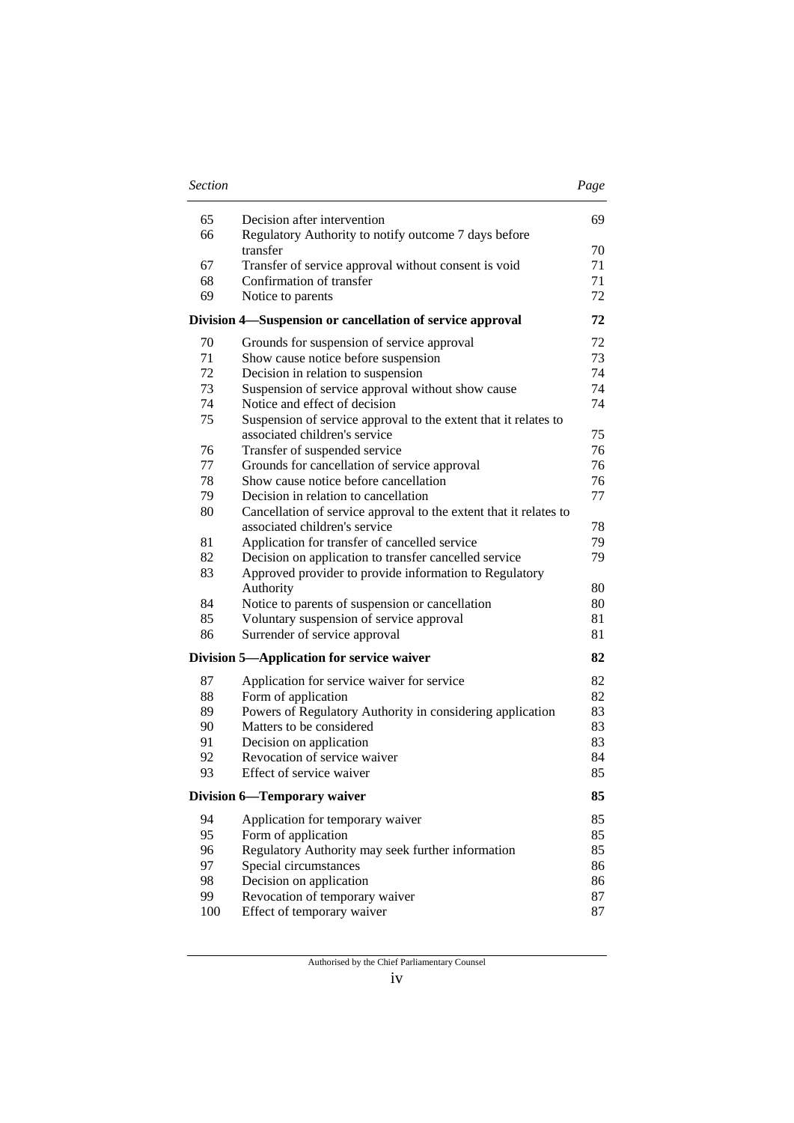| <b>Section</b> |                                                                                       | Page     |
|----------------|---------------------------------------------------------------------------------------|----------|
| 65             | Decision after intervention                                                           | 69       |
| 66             | Regulatory Authority to notify outcome 7 days before<br>transfer                      | 70       |
| 67             | Transfer of service approval without consent is void                                  | 71       |
| 68             | Confirmation of transfer                                                              | 71       |
| 69             | Notice to parents                                                                     | 72       |
|                | Division 4—Suspension or cancellation of service approval                             | 72       |
| 70             | Grounds for suspension of service approval                                            | 72       |
| 71             | Show cause notice before suspension                                                   | 73       |
| 72             | Decision in relation to suspension                                                    | 74       |
| 73             | Suspension of service approval without show cause                                     | 74       |
| 74             | Notice and effect of decision                                                         | 74       |
| 75             | Suspension of service approval to the extent that it relates to                       |          |
|                | associated children's service                                                         | 75       |
| 76             | Transfer of suspended service                                                         | 76       |
| 77<br>78       | Grounds for cancellation of service approval<br>Show cause notice before cancellation | 76       |
| 79             | Decision in relation to cancellation                                                  | 76<br>77 |
| 80             | Cancellation of service approval to the extent that it relates to                     |          |
|                | associated children's service                                                         | 78       |
| 81             | Application for transfer of cancelled service                                         | 79       |
| 82             | Decision on application to transfer cancelled service                                 | 79       |
| 83             | Approved provider to provide information to Regulatory                                |          |
|                | Authority                                                                             | 80       |
| 84             | Notice to parents of suspension or cancellation                                       | 80       |
| 85             | Voluntary suspension of service approval                                              | 81       |
| 86             | Surrender of service approval                                                         | 81       |
|                | Division 5—Application for service waiver                                             | 82       |
| 87             | Application for service waiver for service                                            | 82       |
| 88             | Form of application                                                                   | 82       |
| 89             | Powers of Regulatory Authority in considering application                             | 83       |
| 90             | Matters to be considered                                                              | 83       |
| 91             | Decision on application                                                               | 83       |
| 92             | Revocation of service waiver                                                          | 84       |
| 93             | Effect of service waiver                                                              | 85       |
|                | <b>Division 6-Temporary waiver</b>                                                    | 85       |
| 94             | Application for temporary waiver                                                      | 85       |
| 95             | Form of application                                                                   | 85       |
| 96             | Regulatory Authority may seek further information                                     | 85       |
| 97             | Special circumstances                                                                 | 86       |
| 98             | Decision on application                                                               | 86       |
| 99             | Revocation of temporary waiver                                                        | 87       |
| 100            | Effect of temporary waiver                                                            | 87       |

iv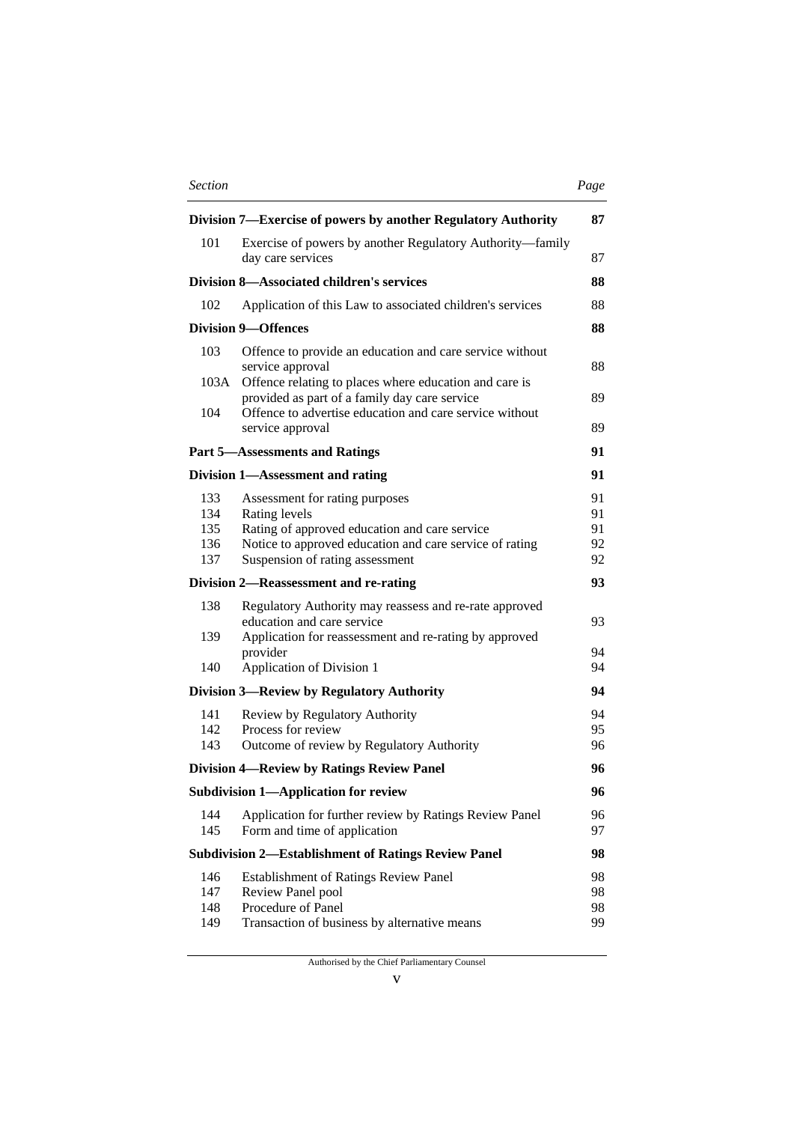| <b>Section</b> | Page |
|----------------|------|
|----------------|------|

| ٠<br>۰, |
|---------|
|---------|

|            | Division 7—Exercise of powers by another Regulatory Authority                                           | 87       |
|------------|---------------------------------------------------------------------------------------------------------|----------|
| 101        | Exercise of powers by another Regulatory Authority—family<br>day care services                          | 87       |
|            | Division 8—Associated children's services                                                               | 88       |
| 102        | Application of this Law to associated children's services                                               | 88       |
|            | <b>Division 9-Offences</b>                                                                              | 88       |
| 103        | Offence to provide an education and care service without<br>service approval                            | 88       |
| 103A       | Offence relating to places where education and care is<br>provided as part of a family day care service | 89       |
| 104        | Offence to advertise education and care service without<br>service approval                             | 89       |
|            | <b>Part 5-Assessments and Ratings</b>                                                                   | 91       |
|            | Division 1—Assessment and rating                                                                        | 91       |
| 133        | Assessment for rating purposes                                                                          | 91       |
| 134        | Rating levels                                                                                           | 91       |
| 135        | Rating of approved education and care service                                                           | 91       |
| 136        | Notice to approved education and care service of rating                                                 | 92       |
| 137        | Suspension of rating assessment                                                                         | 92       |
|            | Division 2-Reassessment and re-rating                                                                   | 93       |
| 138        | Regulatory Authority may reassess and re-rate approved<br>education and care service                    | 93       |
| 139        | Application for reassessment and re-rating by approved                                                  |          |
| 140        | provider<br><b>Application of Division 1</b>                                                            | 94<br>94 |
|            | <b>Division 3—Review by Regulatory Authority</b>                                                        | 94       |
| 141        | Review by Regulatory Authority                                                                          | 94       |
| 142        | Process for review                                                                                      | 95       |
| 143        | Outcome of review by Regulatory Authority                                                               | 96       |
|            | <b>Division 4—Review by Ratings Review Panel</b>                                                        | 96       |
|            | <b>Subdivision 1-Application for review</b>                                                             | 96       |
| 144<br>145 | Application for further review by Ratings Review Panel<br>Form and time of application                  | 96<br>97 |
|            | <b>Subdivision 2-Establishment of Ratings Review Panel</b>                                              | 98       |
| 146        | <b>Establishment of Ratings Review Panel</b>                                                            | 98       |
| 147        | Review Panel pool                                                                                       | 98       |
| 148        | Procedure of Panel                                                                                      | 98       |
| 149        | Transaction of business by alternative means                                                            | 99       |

Authorised by the Chief Parliamentary Counsel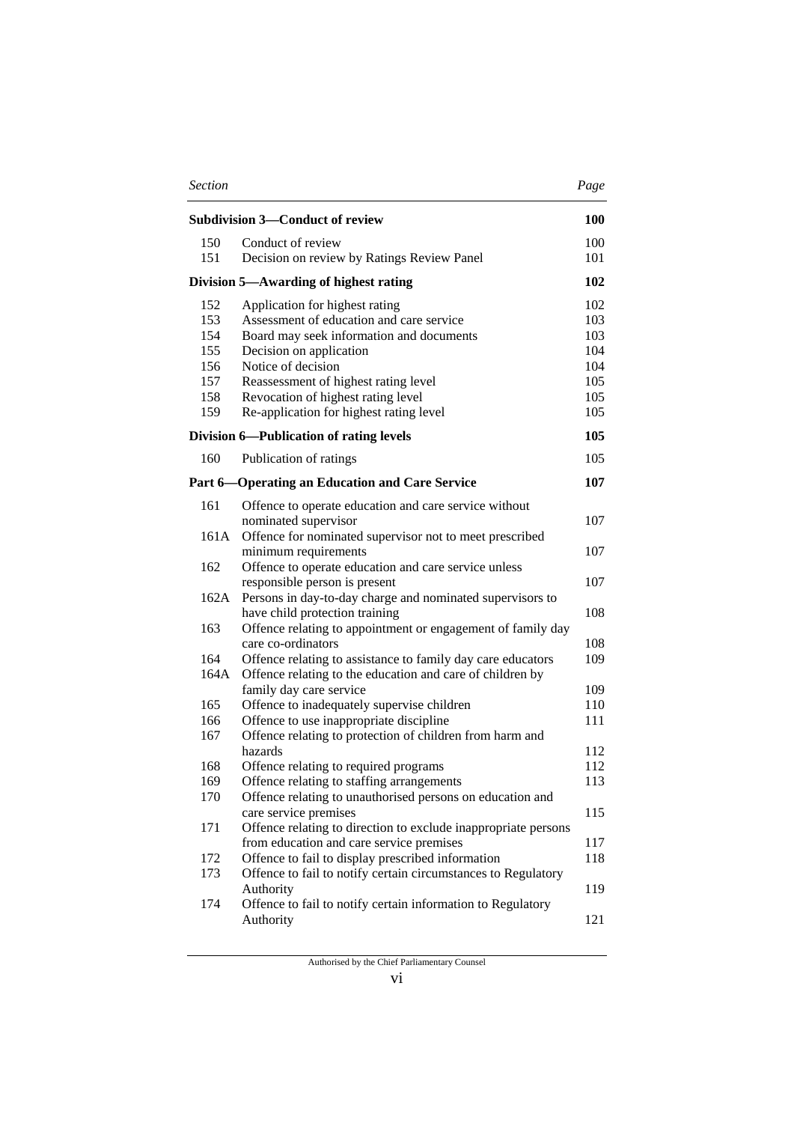| <b>Section</b> |                                                                                   | Page       |
|----------------|-----------------------------------------------------------------------------------|------------|
|                | <b>Subdivision 3-Conduct of review</b>                                            | <b>100</b> |
| 150            | Conduct of review                                                                 | 100        |
| 151            | Decision on review by Ratings Review Panel                                        | 101        |
|                | Division 5—Awarding of highest rating                                             | 102        |
| 152            | Application for highest rating                                                    | 102        |
| 153            | Assessment of education and care service                                          | 103        |
| 154            | Board may seek information and documents                                          | 103        |
| 155            | Decision on application                                                           | 104        |
| 156            | Notice of decision                                                                | 104        |
| 157            | Reassessment of highest rating level                                              | 105        |
| 158            | Revocation of highest rating level                                                | 105        |
| 159            | Re-application for highest rating level                                           | 105        |
|                | Division 6-Publication of rating levels                                           | 105        |
| 160            | Publication of ratings                                                            | 105        |
|                | <b>Part 6—Operating an Education and Care Service</b>                             | 107        |
| 161            | Offence to operate education and care service without                             |            |
|                | nominated supervisor                                                              | 107        |
| 161A           | Offence for nominated supervisor not to meet prescribed                           |            |
|                | minimum requirements                                                              | 107        |
| 162            | Offence to operate education and care service unless                              |            |
|                | responsible person is present                                                     | 107        |
| 162A           | Persons in day-to-day charge and nominated supervisors to                         | 108        |
| 163            | have child protection training                                                    |            |
|                | Offence relating to appointment or engagement of family day<br>care co-ordinators | 108        |
| 164            | Offence relating to assistance to family day care educators                       | 109        |
| 164A           | Offence relating to the education and care of children by                         |            |
|                | family day care service                                                           | 109        |
| 165            | Offence to inadequately supervise children                                        | 110        |
| 166            | Offence to use inappropriate discipline                                           | 111        |
| 167            | Offence relating to protection of children from harm and                          |            |
|                | hazards                                                                           | 112        |
| 168            | Offence relating to required programs                                             | 112        |
| 169            | Offence relating to staffing arrangements                                         | 113        |
| 170            | Offence relating to unauthorised persons on education and                         |            |
|                | care service premises                                                             | 115        |
| 171            | Offence relating to direction to exclude inappropriate persons                    |            |
|                | from education and care service premises                                          | 117        |
| 172            | Offence to fail to display prescribed information                                 | 118        |
| 173            | Offence to fail to notify certain circumstances to Regulatory                     |            |
|                | Authority                                                                         | 119        |
| 174            | Offence to fail to notify certain information to Regulatory                       |            |
|                | Authority                                                                         | 121        |
|                |                                                                                   |            |

vi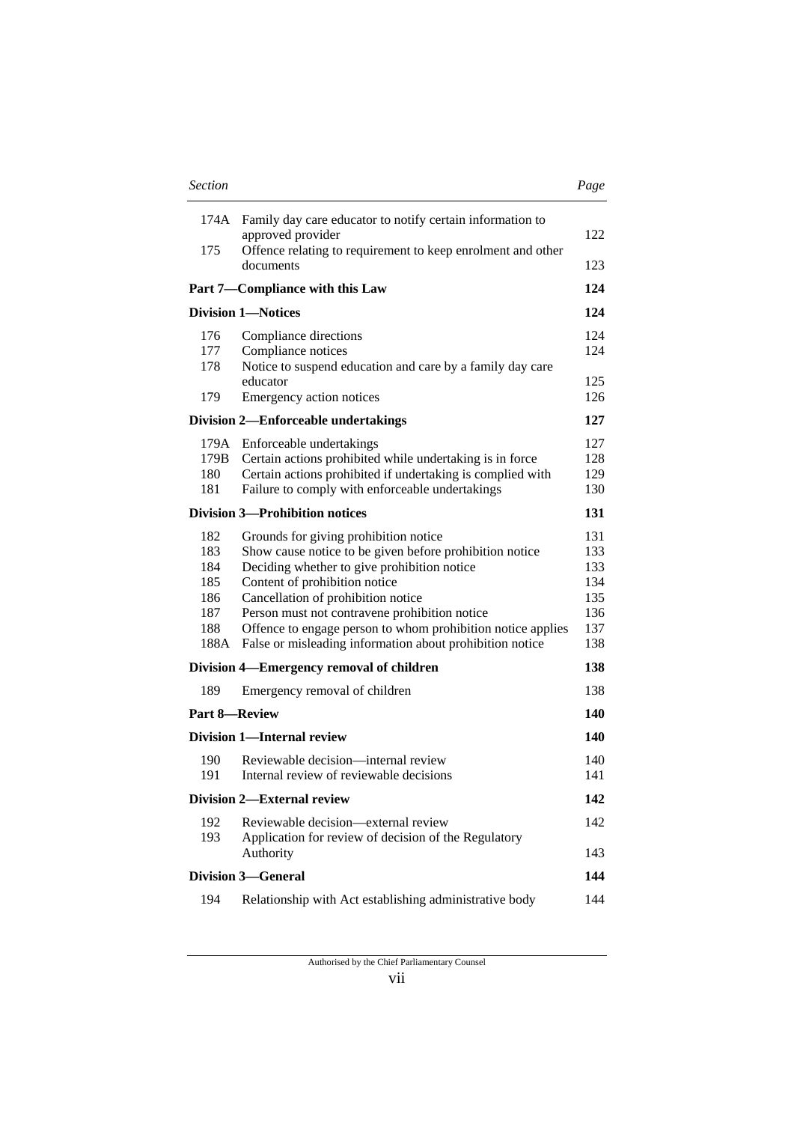| <b>Section</b>                                        |                                                                                                                                                                                                                                                                                                                                                                                                    | Page                                                 |
|-------------------------------------------------------|----------------------------------------------------------------------------------------------------------------------------------------------------------------------------------------------------------------------------------------------------------------------------------------------------------------------------------------------------------------------------------------------------|------------------------------------------------------|
| 174A                                                  | Family day care educator to notify certain information to<br>approved provider                                                                                                                                                                                                                                                                                                                     | 122                                                  |
| 175                                                   | Offence relating to requirement to keep enrolment and other<br>documents                                                                                                                                                                                                                                                                                                                           | 123                                                  |
|                                                       | Part 7—Compliance with this Law                                                                                                                                                                                                                                                                                                                                                                    | 124                                                  |
|                                                       | <b>Division 1-Notices</b>                                                                                                                                                                                                                                                                                                                                                                          | 124                                                  |
| 176<br>177<br>178                                     | Compliance directions<br>Compliance notices<br>Notice to suspend education and care by a family day care                                                                                                                                                                                                                                                                                           | 124<br>124                                           |
| 179                                                   | educator<br>Emergency action notices                                                                                                                                                                                                                                                                                                                                                               | 125<br>126                                           |
|                                                       | <b>Division 2-Enforceable undertakings</b>                                                                                                                                                                                                                                                                                                                                                         | 127                                                  |
| 179A<br>179B<br>180<br>181                            | Enforceable undertakings<br>Certain actions prohibited while undertaking is in force<br>Certain actions prohibited if undertaking is complied with<br>Failure to comply with enforceable undertakings                                                                                                                                                                                              | 127<br>128<br>129<br>130                             |
|                                                       | <b>Division 3—Prohibition notices</b>                                                                                                                                                                                                                                                                                                                                                              | 131                                                  |
| 182<br>183<br>184<br>185<br>186<br>187<br>188<br>188A | Grounds for giving prohibition notice<br>Show cause notice to be given before prohibition notice<br>Deciding whether to give prohibition notice<br>Content of prohibition notice<br>Cancellation of prohibition notice<br>Person must not contravene prohibition notice<br>Offence to engage person to whom prohibition notice applies<br>False or misleading information about prohibition notice | 131<br>133<br>133<br>134<br>135<br>136<br>137<br>138 |
|                                                       | Division 4-Emergency removal of children                                                                                                                                                                                                                                                                                                                                                           | 138                                                  |
| 189                                                   | Emergency removal of children                                                                                                                                                                                                                                                                                                                                                                      | 138                                                  |
| <b>Part 8-Review</b>                                  |                                                                                                                                                                                                                                                                                                                                                                                                    | 140                                                  |
|                                                       | <b>Division 1-Internal review</b>                                                                                                                                                                                                                                                                                                                                                                  | 140                                                  |
| 190<br>191                                            | Reviewable decision—internal review<br>Internal review of reviewable decisions                                                                                                                                                                                                                                                                                                                     | 140<br>141                                           |
|                                                       | <b>Division 2-External review</b>                                                                                                                                                                                                                                                                                                                                                                  | 142                                                  |
| 192<br>193                                            | Reviewable decision—external review<br>Application for review of decision of the Regulatory<br>Authority                                                                                                                                                                                                                                                                                           | 142<br>143                                           |
|                                                       | <b>Division 3-General</b>                                                                                                                                                                                                                                                                                                                                                                          | 144                                                  |
| 194                                                   | Relationship with Act establishing administrative body                                                                                                                                                                                                                                                                                                                                             | 144                                                  |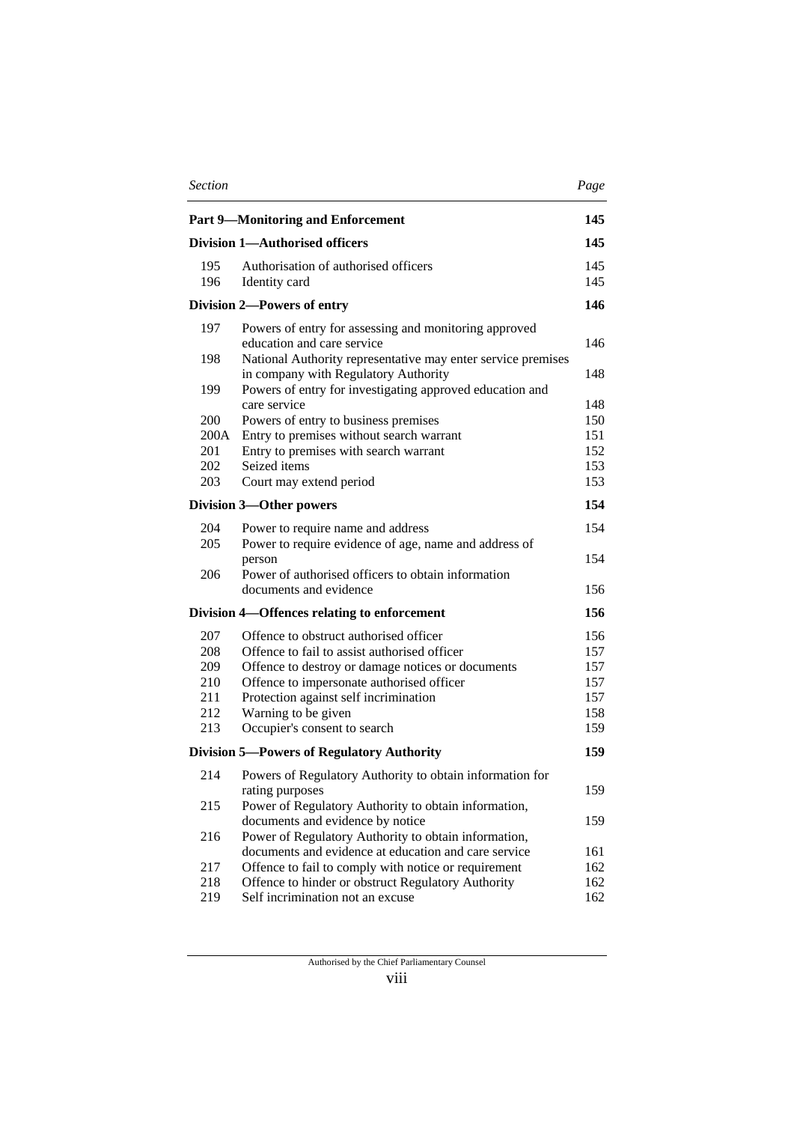| <b>Section</b> |                                                                                                              | Page       |
|----------------|--------------------------------------------------------------------------------------------------------------|------------|
|                | <b>Part 9-Monitoring and Enforcement</b>                                                                     | 145        |
|                | <b>Division 1-Authorised officers</b>                                                                        | 145        |
| 195            | Authorisation of authorised officers                                                                         | 145        |
| 196            | Identity card                                                                                                | 145        |
|                | Division 2-Powers of entry                                                                                   | 146        |
| 197            | Powers of entry for assessing and monitoring approved                                                        |            |
|                | education and care service                                                                                   | 146        |
| 198            | National Authority representative may enter service premises                                                 |            |
|                | in company with Regulatory Authority                                                                         | 148        |
| 199            | Powers of entry for investigating approved education and<br>care service                                     | 148        |
| 200            | Powers of entry to business premises                                                                         | 150        |
| 200A           | Entry to premises without search warrant                                                                     | 151        |
| 201            | Entry to premises with search warrant                                                                        | 152        |
| 202            | Seized items                                                                                                 | 153        |
| 203            | Court may extend period                                                                                      | 153        |
|                | <b>Division 3-Other powers</b>                                                                               | 154        |
| 204            | Power to require name and address                                                                            | 154        |
| 205            | Power to require evidence of age, name and address of                                                        |            |
|                | person                                                                                                       | 154        |
| 206            | Power of authorised officers to obtain information                                                           |            |
|                | documents and evidence                                                                                       | 156        |
|                | Division 4—Offences relating to enforcement                                                                  | 156        |
| 207            | Offence to obstruct authorised officer                                                                       | 156        |
| 208            | Offence to fail to assist authorised officer                                                                 | 157        |
| 209            | Offence to destroy or damage notices or documents                                                            | 157        |
| 210            | Offence to impersonate authorised officer                                                                    | 157        |
| 211            | Protection against self incrimination                                                                        | 157        |
| 212<br>213     | Warning to be given                                                                                          | 158<br>159 |
|                | Occupier's consent to search                                                                                 |            |
|                | <b>Division 5—Powers of Regulatory Authority</b>                                                             | 159        |
| 214            | Powers of Regulatory Authority to obtain information for                                                     |            |
|                | rating purposes                                                                                              | 159        |
| 215            | Power of Regulatory Authority to obtain information,                                                         |            |
|                | documents and evidence by notice                                                                             | 159        |
| 216            | Power of Regulatory Authority to obtain information,<br>documents and evidence at education and care service | 161        |
| 217            | Offence to fail to comply with notice or requirement                                                         | 162        |
| 218            | Offence to hinder or obstruct Regulatory Authority                                                           | 162        |
| 219            | Self incrimination not an excuse                                                                             | 162        |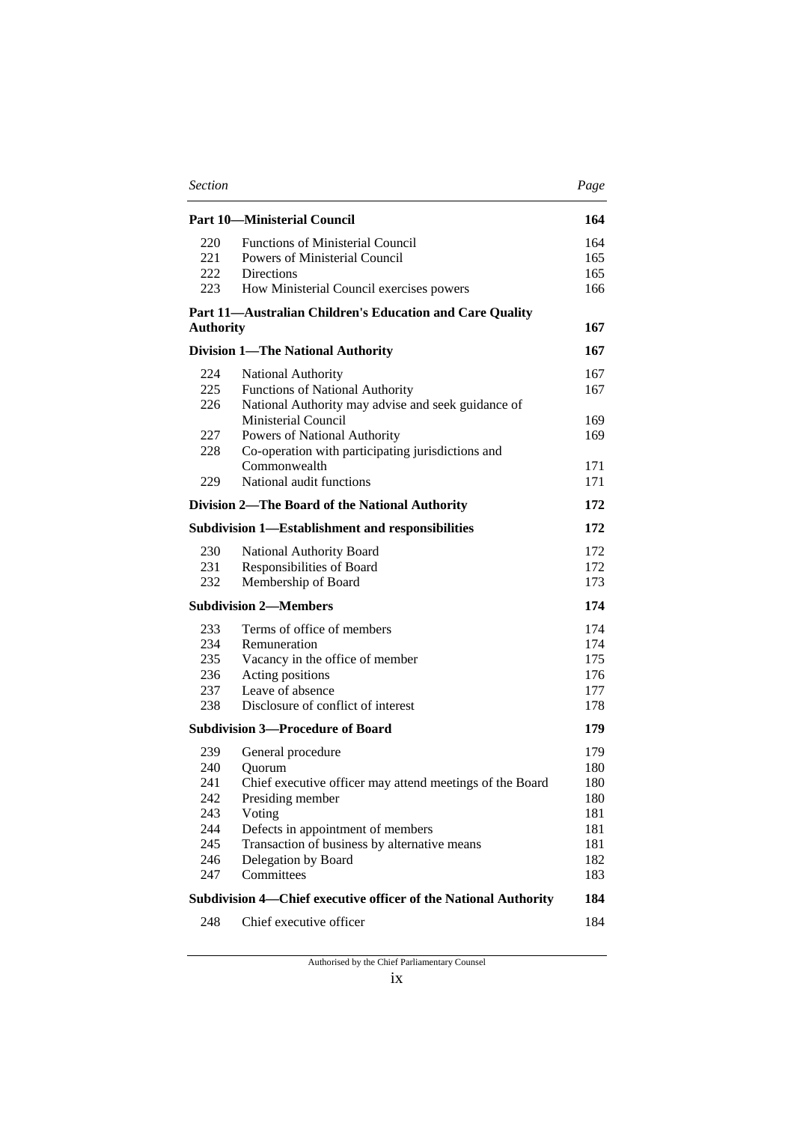| <b>Section</b>   |                                                                 | Page |
|------------------|-----------------------------------------------------------------|------|
|                  | <b>Part 10—Ministerial Council</b>                              | 164  |
| 220              | <b>Functions of Ministerial Council</b>                         | 164  |
| 221              | Powers of Ministerial Council                                   | 165  |
| 222              | <b>Directions</b>                                               | 165  |
| 223              | How Ministerial Council exercises powers                        | 166  |
| <b>Authority</b> | Part 11-Australian Children's Education and Care Quality        | 167  |
|                  | <b>Division 1—The National Authority</b>                        | 167  |
| 224              | National Authority                                              | 167  |
| 225              | <b>Functions of National Authority</b>                          | 167  |
| 226              | National Authority may advise and seek guidance of              |      |
|                  | Ministerial Council                                             | 169  |
| 227              | Powers of National Authority                                    | 169  |
| 228              | Co-operation with participating jurisdictions and               |      |
|                  | Commonwealth                                                    | 171  |
| 229              | National audit functions                                        | 171  |
|                  | Division 2-The Board of the National Authority                  | 172  |
|                  | Subdivision 1—Establishment and responsibilities                | 172  |
| 230              | National Authority Board                                        | 172  |
| 231              | Responsibilities of Board                                       | 172  |
| 232              | Membership of Board                                             | 173  |
|                  | <b>Subdivision 2-Members</b>                                    | 174  |
| 233              | Terms of office of members                                      | 174  |
| 234              | Remuneration                                                    | 174  |
| 235              | Vacancy in the office of member                                 | 175  |
| 236              | Acting positions                                                | 176  |
| 237              | Leave of absence                                                | 177  |
| 238              | Disclosure of conflict of interest                              | 178  |
|                  | <b>Subdivision 3-Procedure of Board</b>                         | 179  |
| 239              | General procedure                                               | 179  |
| 240              | Quorum                                                          | 180  |
| 241              | Chief executive officer may attend meetings of the Board        | 180  |
| 242              | Presiding member                                                | 180  |
| 243              | Voting                                                          | 181  |
| 244              | Defects in appointment of members                               | 181  |
| 245              | Transaction of business by alternative means                    | 181  |
| 246              | Delegation by Board                                             | 182  |
| 247              | Committees                                                      | 183  |
|                  | Subdivision 4—Chief executive officer of the National Authority | 184  |
| 248              | Chief executive officer                                         | 184  |

Authorised by the Chief Parliamentary Counsel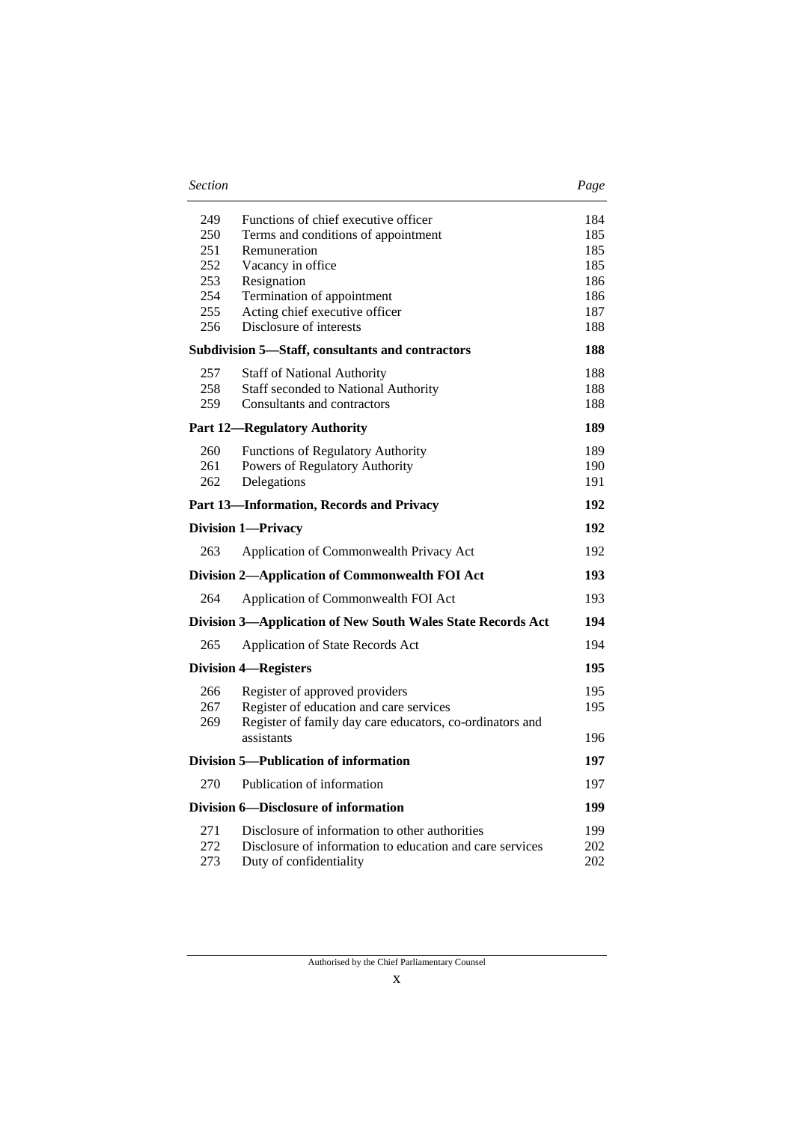| <b>Section</b> | Page |
|----------------|------|
|----------------|------|

|--|

| 249<br>250<br>251<br>252<br>253<br>254<br>255<br>256 | Functions of chief executive officer<br>Terms and conditions of appointment<br>Remuneration<br>Vacancy in office<br>Resignation<br>Termination of appointment<br>Acting chief executive officer<br>Disclosure of interests | 184<br>185<br>185<br>185<br>186<br>186<br>187<br>188 |
|------------------------------------------------------|----------------------------------------------------------------------------------------------------------------------------------------------------------------------------------------------------------------------------|------------------------------------------------------|
|                                                      | Subdivision 5-Staff, consultants and contractors                                                                                                                                                                           | 188                                                  |
| 257<br>258<br>259                                    | <b>Staff of National Authority</b><br><b>Staff seconded to National Authority</b><br>Consultants and contractors                                                                                                           | 188<br>188<br>188                                    |
|                                                      | <b>Part 12-Regulatory Authority</b>                                                                                                                                                                                        | 189                                                  |
| 260<br>261<br>262                                    | <b>Functions of Regulatory Authority</b><br>Powers of Regulatory Authority<br>Delegations                                                                                                                                  | 189<br>190<br>191                                    |
|                                                      | Part 13-Information, Records and Privacy                                                                                                                                                                                   | 192                                                  |
|                                                      | <b>Division 1-Privacy</b>                                                                                                                                                                                                  | 192                                                  |
| 263                                                  | Application of Commonwealth Privacy Act                                                                                                                                                                                    | 192                                                  |
|                                                      | Division 2-Application of Commonwealth FOI Act                                                                                                                                                                             | 193                                                  |
| 264                                                  | Application of Commonwealth FOI Act                                                                                                                                                                                        | 193                                                  |
|                                                      | Division 3-Application of New South Wales State Records Act                                                                                                                                                                | 194                                                  |
| 265                                                  | Application of State Records Act                                                                                                                                                                                           | 194                                                  |
|                                                      | <b>Division 4-Registers</b>                                                                                                                                                                                                | 195                                                  |
| 266<br>267<br>269                                    | Register of approved providers<br>Register of education and care services<br>Register of family day care educators, co-ordinators and                                                                                      | 195<br>195                                           |
|                                                      | assistants                                                                                                                                                                                                                 | 196                                                  |
|                                                      | Division 5—Publication of information                                                                                                                                                                                      | 197                                                  |
| 270                                                  | Publication of information                                                                                                                                                                                                 | 197                                                  |
|                                                      | Division 6-Disclosure of information                                                                                                                                                                                       | 199                                                  |
| 271<br>272<br>273                                    | Disclosure of information to other authorities<br>Disclosure of information to education and care services<br>Duty of confidentiality                                                                                      | 199<br>202<br>202                                    |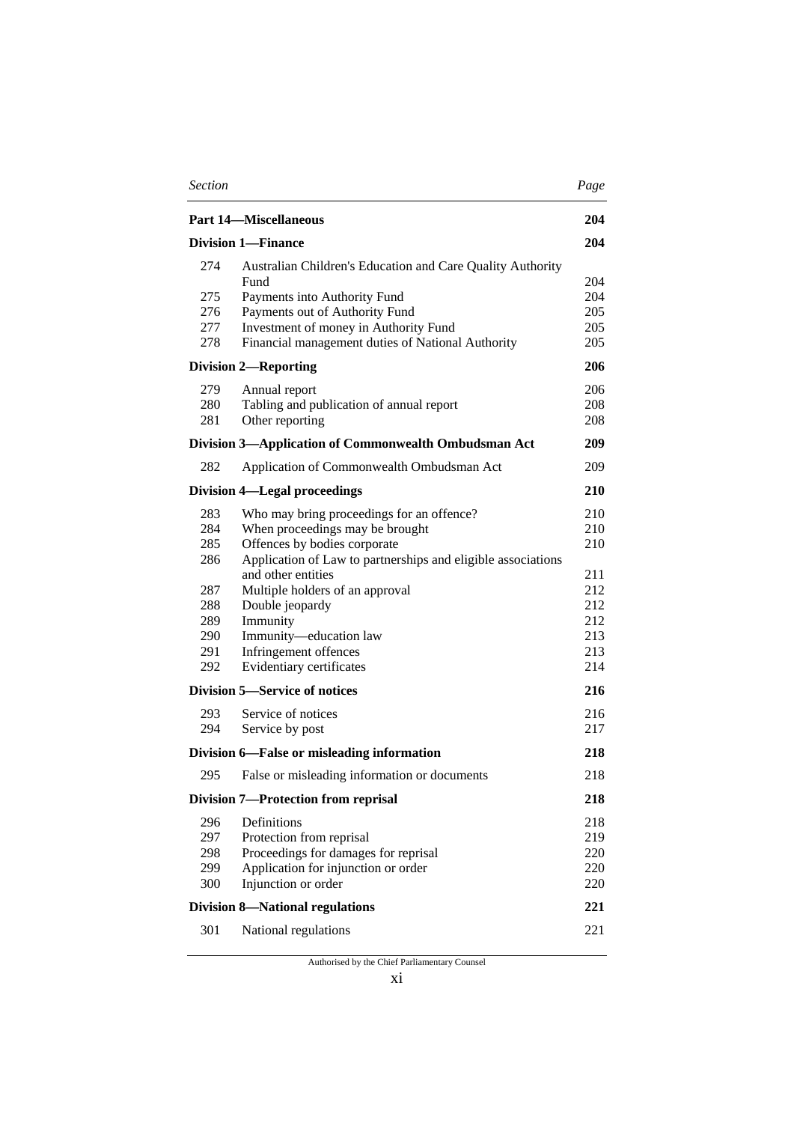| <b>Section</b> |                                                                                            | Page       |
|----------------|--------------------------------------------------------------------------------------------|------------|
|                | <b>Part 14-Miscellaneous</b>                                                               | 204        |
|                | <b>Division 1-Finance</b>                                                                  | 204        |
| 274            | Australian Children's Education and Care Quality Authority                                 |            |
|                | Fund                                                                                       | 204        |
| 275<br>276     | Payments into Authority Fund                                                               | 204<br>205 |
|                | Payments out of Authority Fund                                                             | 205        |
| 277<br>278     | Investment of money in Authority Fund<br>Financial management duties of National Authority | 205        |
|                | <b>Division 2-Reporting</b>                                                                | 206        |
| 279            | Annual report                                                                              | 206        |
| 280            | Tabling and publication of annual report                                                   | 208        |
| 281            | Other reporting                                                                            | 208        |
|                | Division 3-Application of Commonwealth Ombudsman Act                                       | 209        |
| 282            | Application of Commonwealth Ombudsman Act                                                  | 209        |
|                | <b>Division 4—Legal proceedings</b>                                                        | 210        |
| 283            | Who may bring proceedings for an offence?                                                  | 210        |
| 284            | When proceedings may be brought                                                            | 210        |
| 285            | Offences by bodies corporate                                                               | 210        |
| 286            | Application of Law to partnerships and eligible associations                               |            |
|                | and other entities                                                                         | 211        |
| 287            | Multiple holders of an approval                                                            | 212        |
| 288            | Double jeopardy                                                                            | 212        |
| 289            | Immunity                                                                                   | 212        |
| 290            | Immunity-education law                                                                     | 213        |
| 291            | Infringement offences                                                                      | 213        |
| 292            | Evidentiary certificates                                                                   | 214        |
|                | Division 5—Service of notices                                                              | 216        |
| 293            | Service of notices                                                                         | 216        |
| 294            | Service by post                                                                            | 217        |
|                | Division 6—False or misleading information                                                 | 218        |
| 295            | False or misleading information or documents                                               | 218        |
|                | <b>Division 7-Protection from reprisal</b>                                                 | 218        |
| 296            | Definitions                                                                                | 218        |
| 297            | Protection from reprisal                                                                   | 219        |
| 298            | Proceedings for damages for reprisal                                                       | 220        |
| 299            | Application for injunction or order                                                        | 220        |
| 300            | Injunction or order                                                                        | 220        |
|                | <b>Division 8-National regulations</b>                                                     | 221        |
| 301            | National regulations                                                                       | 221        |
|                |                                                                                            |            |

Authorised by the Chief Parliamentary Counsel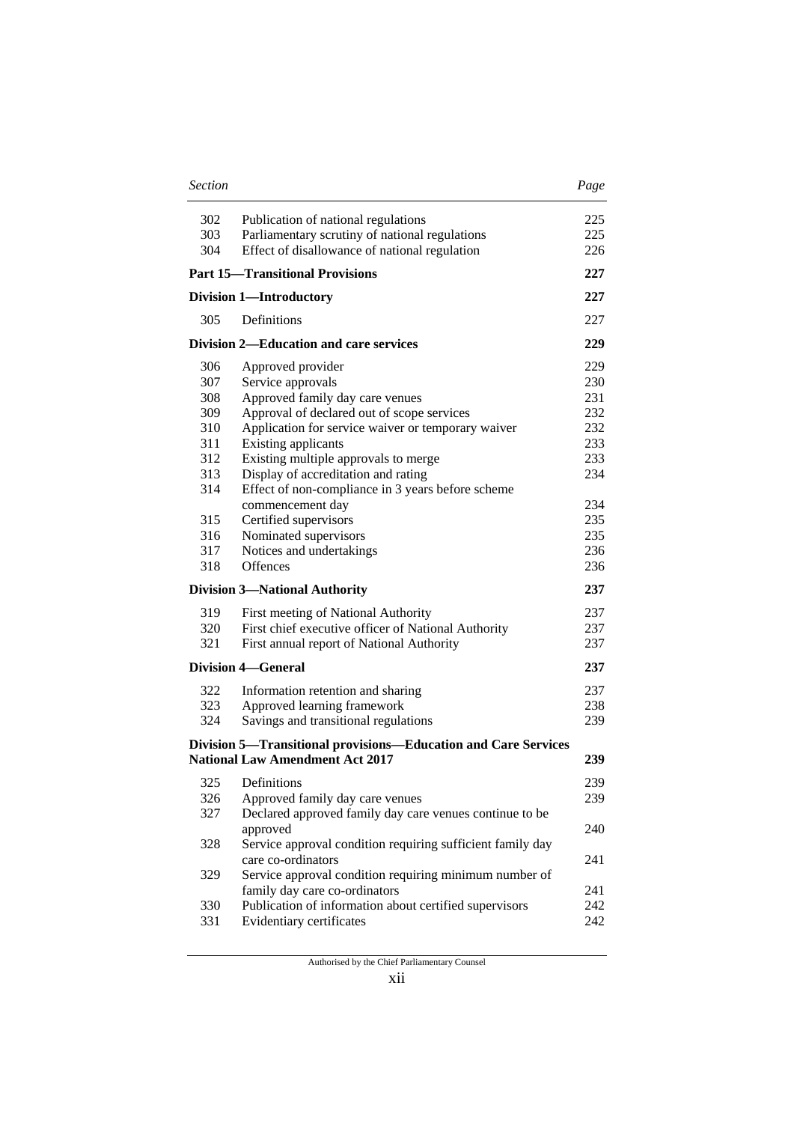| 302 | Publication of national regulations                            | 225 |
|-----|----------------------------------------------------------------|-----|
| 303 | Parliamentary scrutiny of national regulations                 | 225 |
| 304 | Effect of disallowance of national regulation                  | 226 |
|     | <b>Part 15-Transitional Provisions</b>                         | 227 |
|     | <b>Division 1-Introductory</b>                                 | 227 |
| 305 | Definitions                                                    | 227 |
|     | Division 2—Education and care services                         | 229 |
| 306 | Approved provider                                              | 229 |
| 307 | Service approvals                                              | 230 |
| 308 | Approved family day care venues                                | 231 |
| 309 | Approval of declared out of scope services                     | 232 |
| 310 | Application for service waiver or temporary waiver             | 232 |
| 311 | <b>Existing applicants</b>                                     | 233 |
| 312 | Existing multiple approvals to merge                           | 233 |
| 313 | Display of accreditation and rating                            | 234 |
| 314 | Effect of non-compliance in 3 years before scheme              |     |
|     | commencement day                                               | 234 |
| 315 | Certified supervisors                                          | 235 |
| 316 | Nominated supervisors                                          | 235 |
| 317 | Notices and undertakings                                       | 236 |
| 318 | Offences                                                       | 236 |
|     | <b>Division 3-National Authority</b>                           | 237 |
| 319 | First meeting of National Authority                            | 237 |
| 320 | First chief executive officer of National Authority            | 237 |
| 321 | First annual report of National Authority                      | 237 |
|     | <b>Division 4-General</b>                                      | 237 |
| 322 | Information retention and sharing                              | 237 |
| 323 | Approved learning framework                                    | 238 |
| 324 | Savings and transitional regulations                           | 239 |
|     | Division 5—Transitional provisions—Education and Care Services |     |
|     | <b>National Law Amendment Act 2017</b>                         | 239 |
| 325 | Definitions                                                    | 239 |
| 326 | Approved family day care venues                                | 239 |
| 327 | Declared approved family day care venues continue to be        |     |
|     | approved                                                       | 240 |
| 328 | Service approval condition requiring sufficient family day     |     |
|     | care co-ordinators                                             | 241 |
| 329 | Service approval condition requiring minimum number of         |     |
|     | family day care co-ordinators                                  | 241 |
| 330 | Publication of information about certified supervisors         | 242 |
| 331 | Evidentiary certificates                                       | 242 |
|     |                                                                |     |

*Section Page*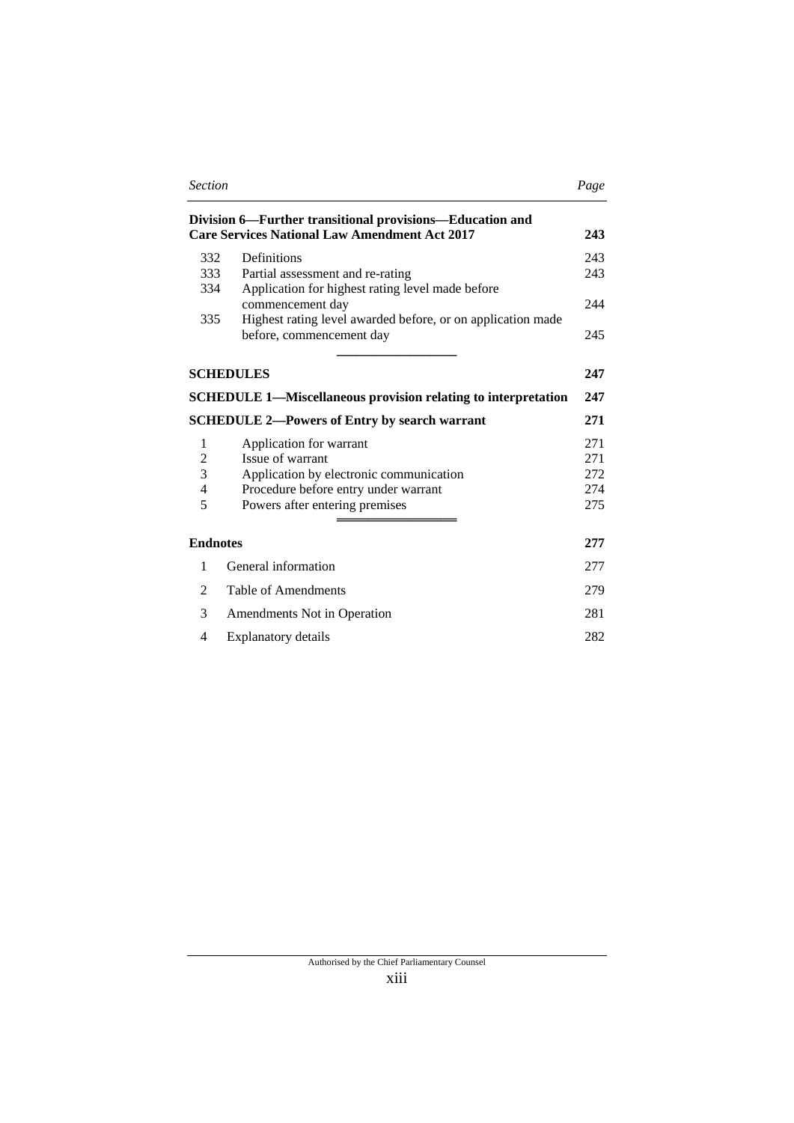| <b>Section</b>                                                                                                          |                                                                                         | Page |  |
|-------------------------------------------------------------------------------------------------------------------------|-----------------------------------------------------------------------------------------|------|--|
| Division 6—Further transitional provisions—Education and<br><b>Care Services National Law Amendment Act 2017</b><br>243 |                                                                                         |      |  |
| 332                                                                                                                     | Definitions                                                                             | 243  |  |
| 333                                                                                                                     | Partial assessment and re-rating                                                        | 243  |  |
| 334                                                                                                                     | Application for highest rating level made before<br>commencement day                    | 244  |  |
| 335                                                                                                                     | Highest rating level awarded before, or on application made<br>before, commencement day | 245  |  |
|                                                                                                                         | <b>SCHEDULES</b>                                                                        | 247  |  |
|                                                                                                                         | <b>SCHEDULE 1-Miscellaneous provision relating to interpretation</b>                    | 247  |  |
|                                                                                                                         | <b>SCHEDULE 2—Powers of Entry by search warrant</b>                                     | 271  |  |
| 1                                                                                                                       | Application for warrant                                                                 | 271  |  |
| $\overline{c}$                                                                                                          | Issue of warrant                                                                        | 271  |  |
| 3                                                                                                                       | Application by electronic communication                                                 | 272  |  |
| $\overline{4}$                                                                                                          | Procedure before entry under warrant                                                    | 274  |  |
| 5                                                                                                                       | Powers after entering premises                                                          | 275  |  |
| <b>Endnotes</b>                                                                                                         |                                                                                         | 277  |  |
| 1                                                                                                                       | General information                                                                     | 277  |  |
| 2                                                                                                                       | Table of Amendments                                                                     | 279  |  |
| 3                                                                                                                       | Amendments Not in Operation                                                             | 281  |  |
| 4                                                                                                                       | Explanatory details                                                                     | 282  |  |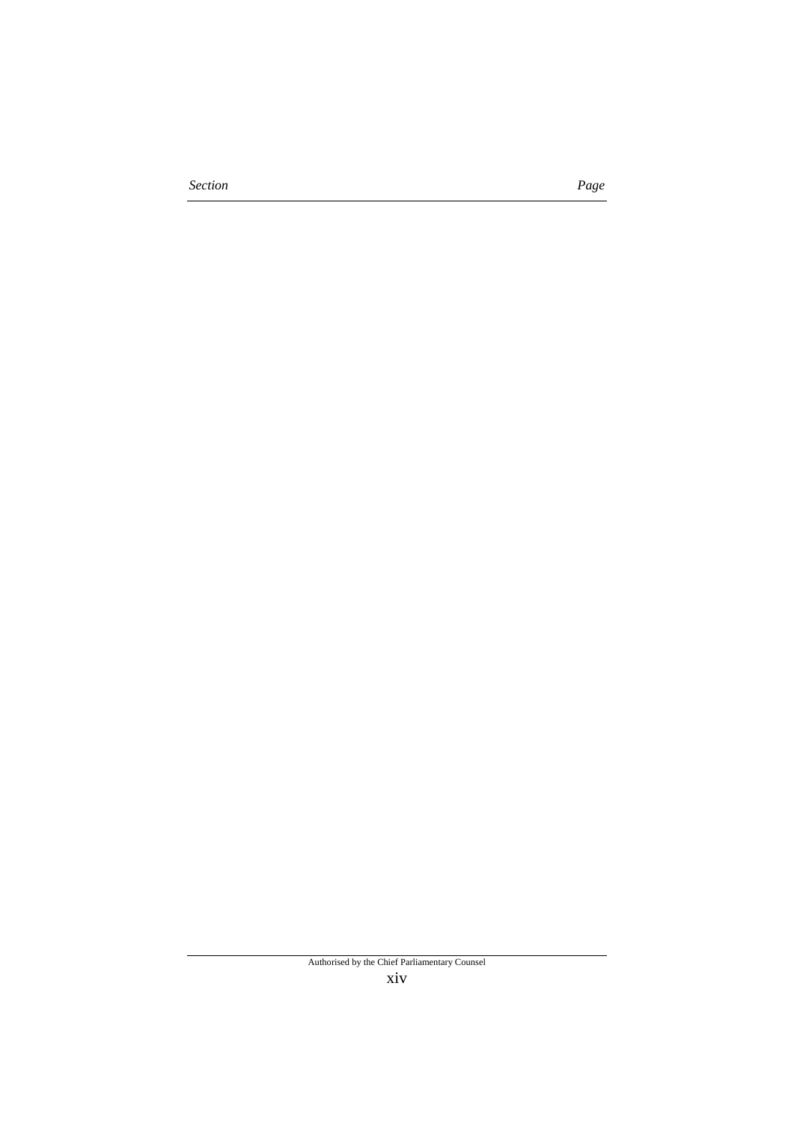*Section Page*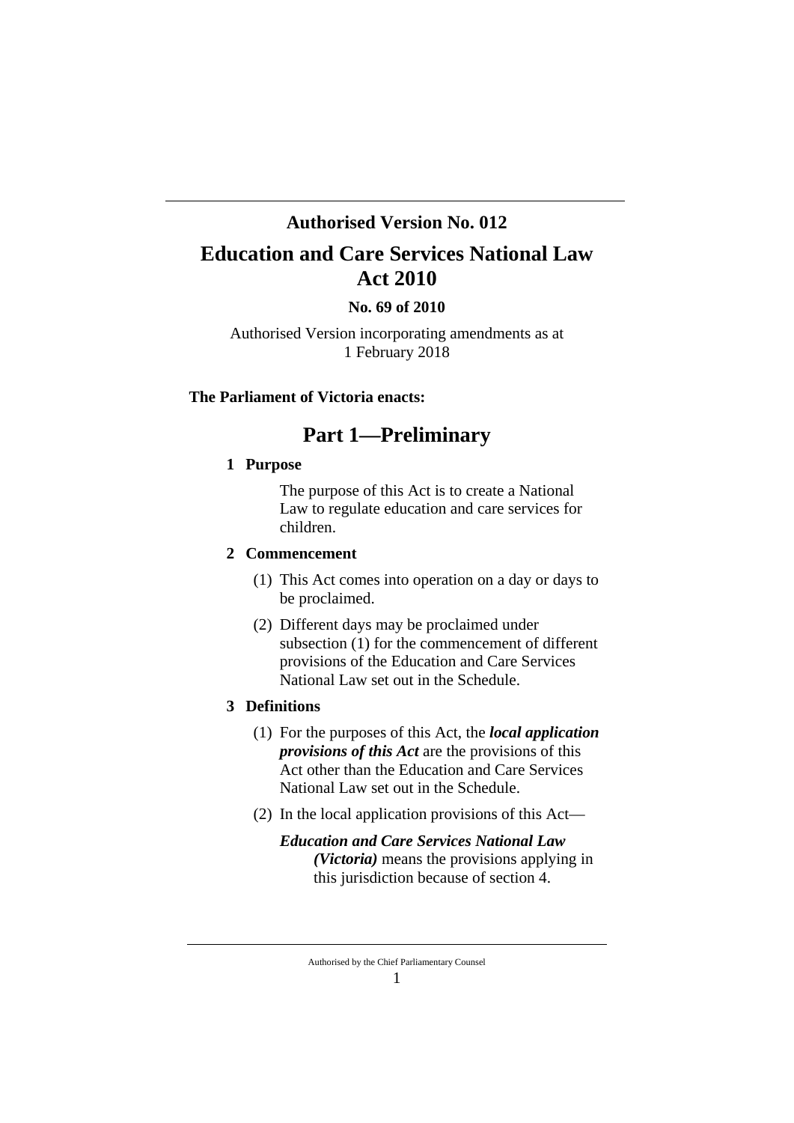## **Authorised Version No. 012**

# **Education and Care Services National Law Act 2010**

## **No. 69 of 2010**

Authorised Version incorporating amendments as at 1 February 2018

### **The Parliament of Victoria enacts:**

## **Part 1—Preliminary**

## **1 Purpose**

The purpose of this Act is to create a National Law to regulate education and care services for children.

### **2 Commencement**

- (1) This Act comes into operation on a day or days to be proclaimed.
- (2) Different days may be proclaimed under subsection (1) for the commencement of different provisions of the Education and Care Services National Law set out in the Schedule.

## **3 Definitions**

- (1) For the purposes of this Act, the *local application provisions of this Act* are the provisions of this Act other than the Education and Care Services National Law set out in the Schedule.
- (2) In the local application provisions of this Act—
	- *Education and Care Services National Law (Victoria)* means the provisions applying in this jurisdiction because of section 4.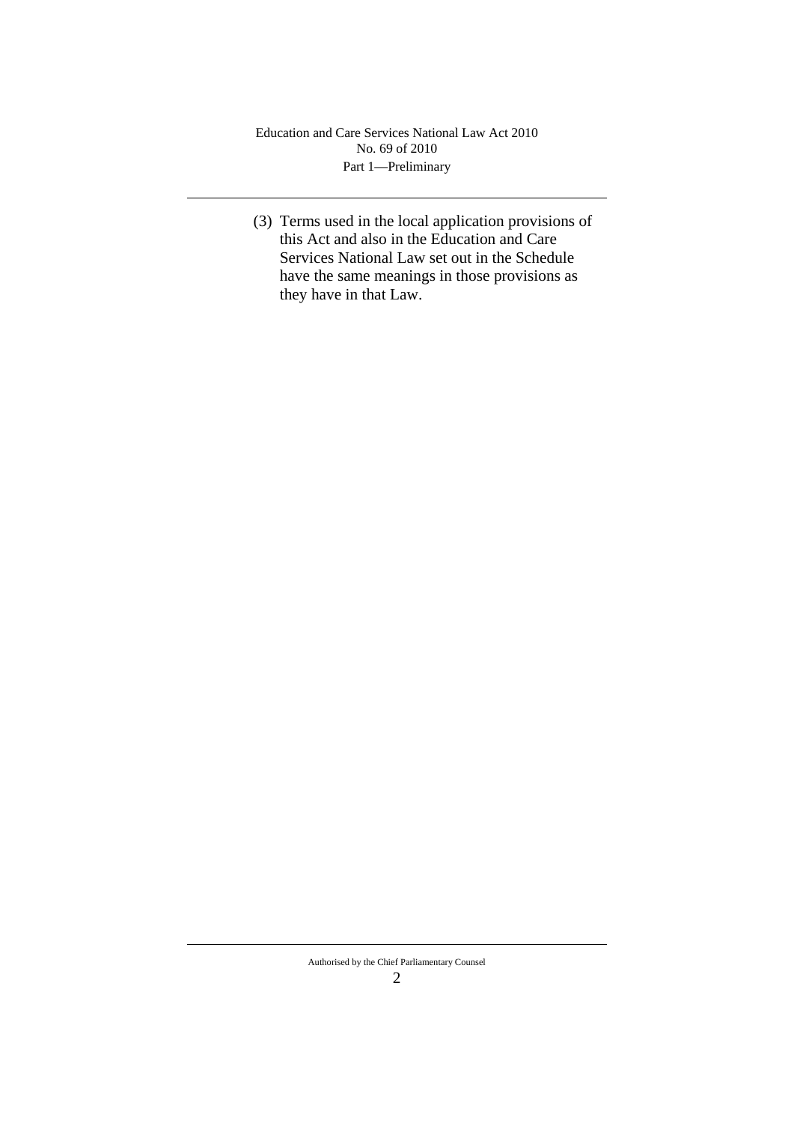(3) Terms used in the local application provisions of this Act and also in the Education and Care Services National Law set out in the Schedule have the same meanings in those provisions as they have in that Law.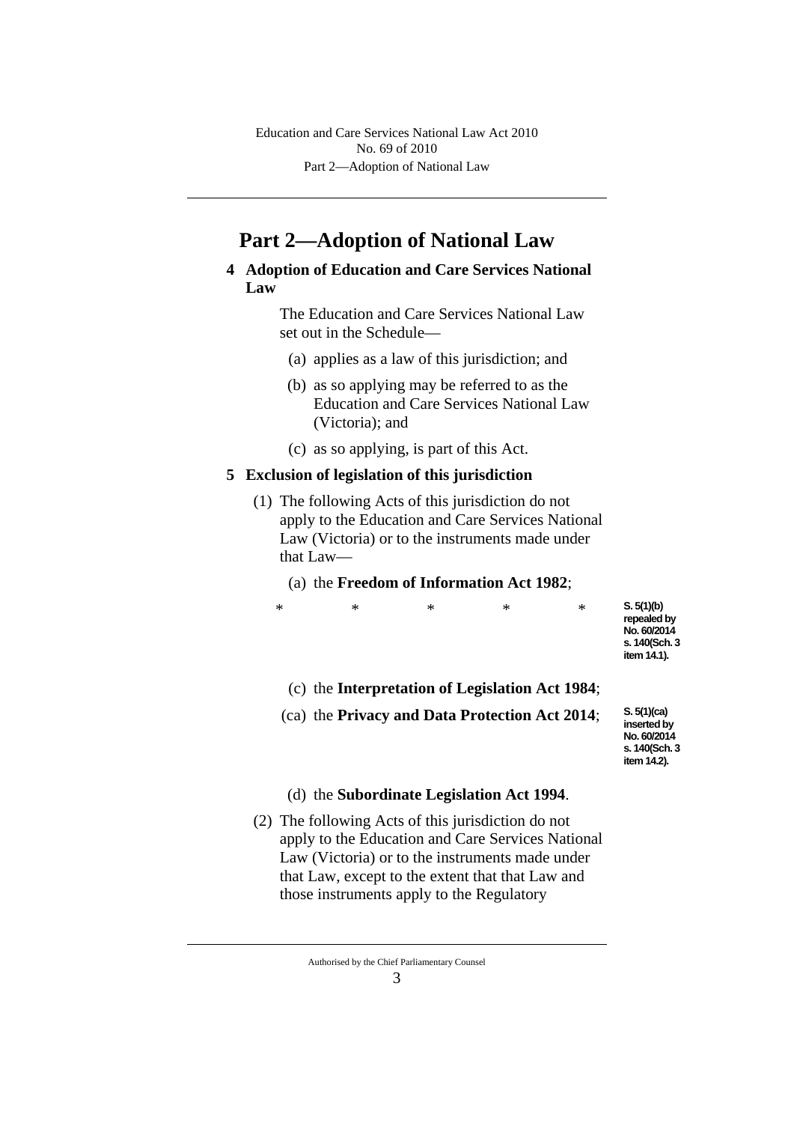Part 2—Adoption of National Law Education and Care Services National Law Act 2010 No. 69 of 2010

# **Part 2—Adoption of National Law**

**4 Adoption of Education and Care Services National Law**

> The Education and Care Services National Law set out in the Schedule—

- (a) applies as a law of this jurisdiction; and
- (b) as so applying may be referred to as the Education and Care Services National Law (Victoria); and
- (c) as so applying, is part of this Act.

#### **5 Exclusion of legislation of this jurisdiction**

- (1) The following Acts of this jurisdiction do not apply to the Education and Care Services National Law (Victoria) or to the instruments made under that Law—
	- (a) the **Freedom of Information Act 1982**;

| item 14.1). | * | ∗ | ∗ | ∗ | ∗ | S. 5(1)(b)<br>repealed by<br>No. 60/2014<br>s. 140(Sch. 3 |
|-------------|---|---|---|---|---|-----------------------------------------------------------|
|-------------|---|---|---|---|---|-----------------------------------------------------------|

(c) the **Interpretation of Legislation Act 1984**;

(ca) the **Privacy and Data Protection Act 2014**;

**S. 5(1)(ca) inserted by No. 60/2014 s. 140(Sch. 3 item 14.2).**

#### (d) the **Subordinate Legislation Act 1994**.

(2) The following Acts of this jurisdiction do not apply to the Education and Care Services National Law (Victoria) or to the instruments made under that Law, except to the extent that that Law and those instruments apply to the Regulatory

Authorised by the Chief Parliamentary Counsel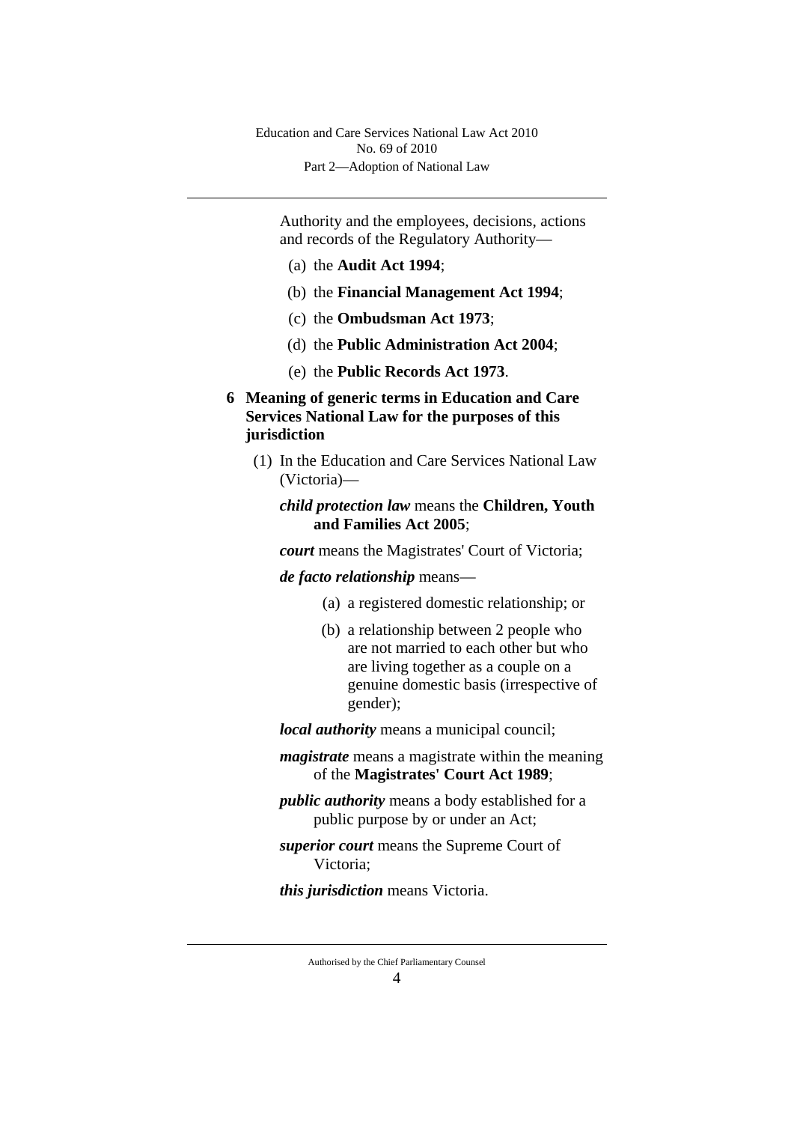Authority and the employees, decisions, actions and records of the Regulatory Authority—

- (a) the **Audit Act 1994**;
- (b) the **Financial Management Act 1994**;
- (c) the **Ombudsman Act 1973**;
- (d) the **Public Administration Act 2004**;
- (e) the **Public Records Act 1973**.
- **6 Meaning of generic terms in Education and Care Services National Law for the purposes of this jurisdiction**
	- (1) In the Education and Care Services National Law (Victoria)—

## *child protection law* means the **Children, Youth and Families Act 2005**;

*court* means the Magistrates' Court of Victoria;

### *de facto relationship* means—

- (a) a registered domestic relationship; or
- (b) a relationship between 2 people who are not married to each other but who are living together as a couple on a genuine domestic basis (irrespective of gender);

*local authority* means a municipal council;

- *magistrate* means a magistrate within the meaning of the **Magistrates' Court Act 1989**;
- *public authority* means a body established for a public purpose by or under an Act;
- *superior court* means the Supreme Court of Victoria;

*this jurisdiction* means Victoria.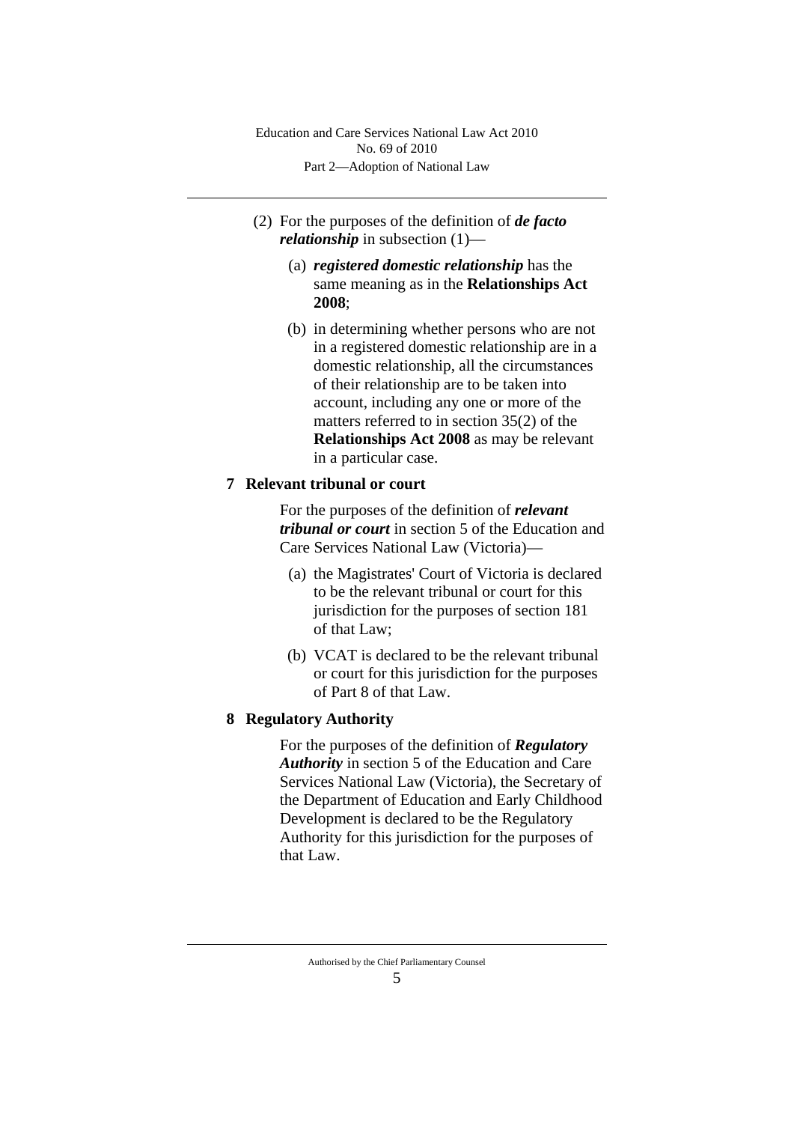Part 2—Adoption of National Law Education and Care Services National Law Act 2010 No. 69 of 2010

- (2) For the purposes of the definition of *de facto relationship* in subsection (1)—
	- (a) *registered domestic relationship* has the same meaning as in the **Relationships Act 2008**;
	- (b) in determining whether persons who are not in a registered domestic relationship are in a domestic relationship, all the circumstances of their relationship are to be taken into account, including any one or more of the matters referred to in section 35(2) of the **Relationships Act 2008** as may be relevant in a particular case.

### **7 Relevant tribunal or court**

For the purposes of the definition of *relevant tribunal or court* in section 5 of the Education and Care Services National Law (Victoria)—

- (a) the Magistrates' Court of Victoria is declared to be the relevant tribunal or court for this jurisdiction for the purposes of section 181 of that Law;
- (b) VCAT is declared to be the relevant tribunal or court for this jurisdiction for the purposes of Part 8 of that Law.

#### **8 Regulatory Authority**

For the purposes of the definition of *Regulatory Authority* in section 5 of the Education and Care Services National Law (Victoria), the Secretary of the Department of Education and Early Childhood Development is declared to be the Regulatory Authority for this jurisdiction for the purposes of that Law.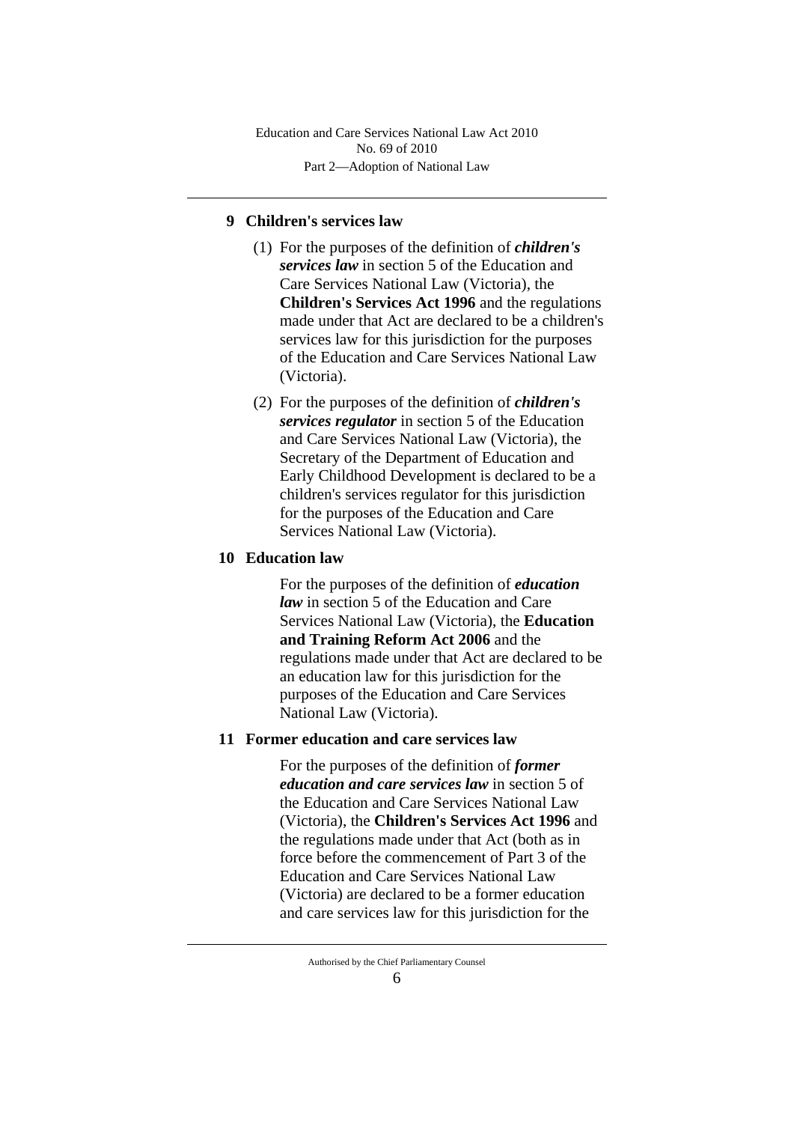Part 2—Adoption of National Law Education and Care Services National Law Act 2010 No. 69 of 2010

## **9 Children's services law**

- (1) For the purposes of the definition of *children's services law* in section 5 of the Education and Care Services National Law (Victoria), the **Children's Services Act 1996** and the regulations made under that Act are declared to be a children's services law for this jurisdiction for the purposes of the Education and Care Services National Law (Victoria).
- (2) For the purposes of the definition of *children's services regulator* in section 5 of the Education and Care Services National Law (Victoria), the Secretary of the Department of Education and Early Childhood Development is declared to be a children's services regulator for this jurisdiction for the purposes of the Education and Care Services National Law (Victoria).

## **10 Education law**

For the purposes of the definition of *education law* in section 5 of the Education and Care Services National Law (Victoria), the **Education and Training Reform Act 2006** and the regulations made under that Act are declared to be an education law for this jurisdiction for the purposes of the Education and Care Services National Law (Victoria).

## **11 Former education and care services law**

For the purposes of the definition of *former education and care services law* in section 5 of the Education and Care Services National Law (Victoria), the **Children's Services Act 1996** and the regulations made under that Act (both as in force before the commencement of Part 3 of the Education and Care Services National Law (Victoria) are declared to be a former education and care services law for this jurisdiction for the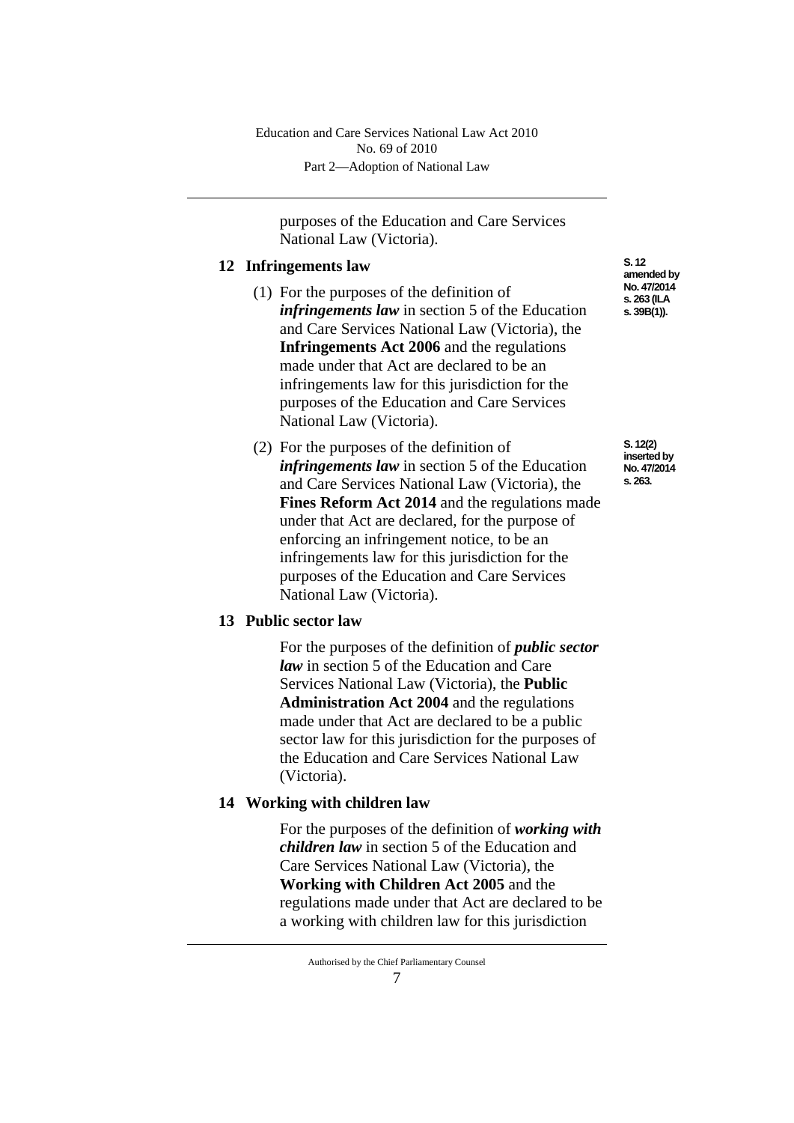purposes of the Education and Care Services National Law (Victoria).

### **12 Infringements law**

- (1) For the purposes of the definition of *infringements law* in section 5 of the Education and Care Services National Law (Victoria), the **Infringements Act 2006** and the regulations made under that Act are declared to be an infringements law for this jurisdiction for the purposes of the Education and Care Services National Law (Victoria).
- (2) For the purposes of the definition of *infringements law* in section 5 of the Education and Care Services National Law (Victoria), the **Fines Reform Act 2014** and the regulations made under that Act are declared, for the purpose of enforcing an infringement notice, to be an infringements law for this jurisdiction for the purposes of the Education and Care Services National Law (Victoria).

## **13 Public sector law**

For the purposes of the definition of *public sector law* in section 5 of the Education and Care Services National Law (Victoria), the **Public Administration Act 2004** and the regulations made under that Act are declared to be a public sector law for this jurisdiction for the purposes of the Education and Care Services National Law (Victoria).

## **14 Working with children law**

For the purposes of the definition of *working with children law* in section 5 of the Education and Care Services National Law (Victoria), the **Working with Children Act 2005** and the regulations made under that Act are declared to be a working with children law for this jurisdiction

**S. 12 amended by No. 47/2014 s. 263 (ILA s. 39B(1)).**

**S. 12(2) inserted by No. 47/2014 s. 263.**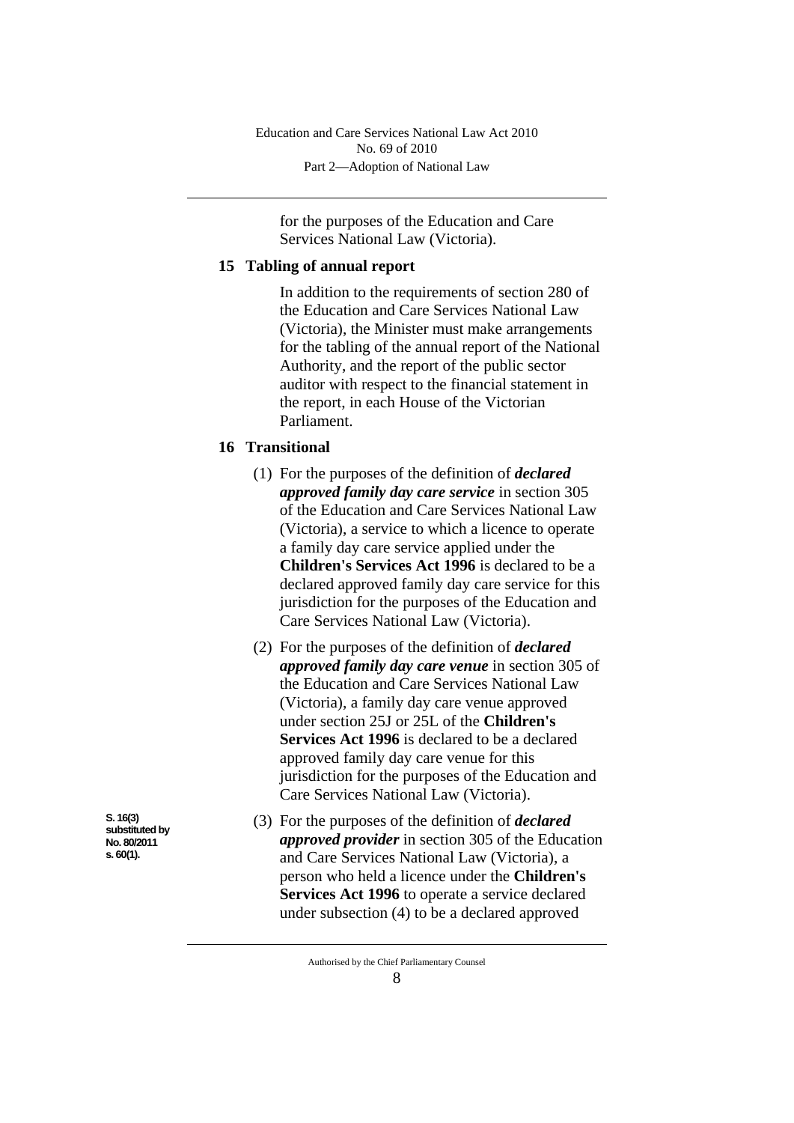Part 2—Adoption of National Law Education and Care Services National Law Act 2010 No. 69 of 2010

for the purposes of the Education and Care Services National Law (Victoria).

#### **15 Tabling of annual report**

In addition to the requirements of section 280 of the Education and Care Services National Law (Victoria), the Minister must make arrangements for the tabling of the annual report of the National Authority, and the report of the public sector auditor with respect to the financial statement in the report, in each House of the Victorian Parliament.

## **16 Transitional**

- (1) For the purposes of the definition of *declared approved family day care service* in section 305 of the Education and Care Services National Law (Victoria), a service to which a licence to operate a family day care service applied under the **Children's Services Act 1996** is declared to be a declared approved family day care service for this jurisdiction for the purposes of the Education and Care Services National Law (Victoria).
- (2) For the purposes of the definition of *declared approved family day care venue* in section 305 of the Education and Care Services National Law (Victoria), a family day care venue approved under section 25J or 25L of the **Children's Services Act 1996** is declared to be a declared approved family day care venue for this jurisdiction for the purposes of the Education and Care Services National Law (Victoria).
- (3) For the purposes of the definition of *declared approved provider* in section 305 of the Education and Care Services National Law (Victoria), a person who held a licence under the **Children's Services Act 1996** to operate a service declared under subsection (4) to be a declared approved

**S. 16(3) substituted by No. 80/2011 s. 60(1).**

Authorised by the Chief Parliamentary Counsel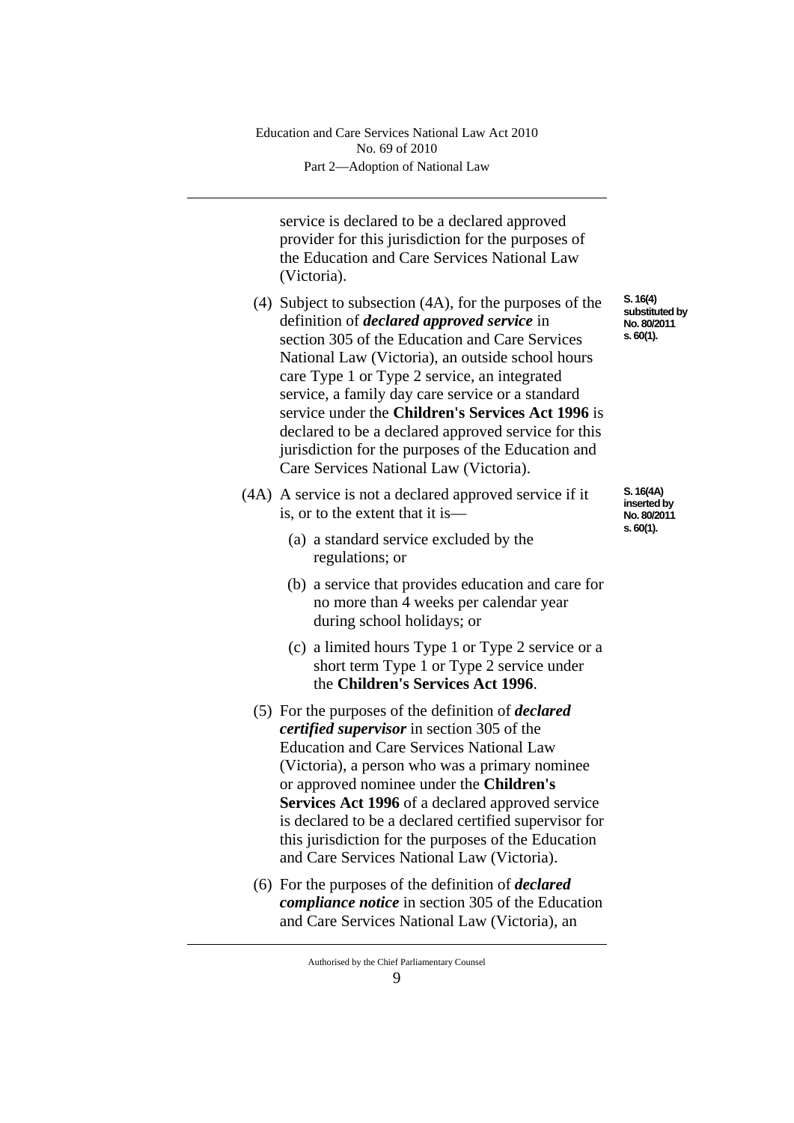Part 2—Adoption of National Law Education and Care Services National Law Act 2010 No. 69 of 2010

service is declared to be a declared approved provider for this jurisdiction for the purposes of the Education and Care Services National Law (Victoria).

- (4) Subject to subsection (4A), for the purposes of the definition of *declared approved service* in section 305 of the Education and Care Services National Law (Victoria), an outside school hours care Type 1 or Type 2 service, an integrated service, a family day care service or a standard service under the **Children's Services Act 1996** is declared to be a declared approved service for this jurisdiction for the purposes of the Education and Care Services National Law (Victoria).
- (4A) A service is not a declared approved service if it is, or to the extent that it is—
	- (a) a standard service excluded by the regulations; or
	- (b) a service that provides education and care for no more than 4 weeks per calendar year during school holidays; or
	- (c) a limited hours Type 1 or Type 2 service or a short term Type 1 or Type 2 service under the **Children's Services Act 1996**.
	- (5) For the purposes of the definition of *declared certified supervisor* in section 305 of the Education and Care Services National Law (Victoria), a person who was a primary nominee or approved nominee under the **Children's Services Act 1996** of a declared approved service is declared to be a declared certified supervisor for this jurisdiction for the purposes of the Education and Care Services National Law (Victoria).
	- (6) For the purposes of the definition of *declared compliance notice* in section 305 of the Education and Care Services National Law (Victoria), an

**S. 16(4) substituted by No. 80/2011 s. 60(1).**

**S. 16(4A) inserted by No. 80/2011 s. 60(1).**

 $\mathbf Q$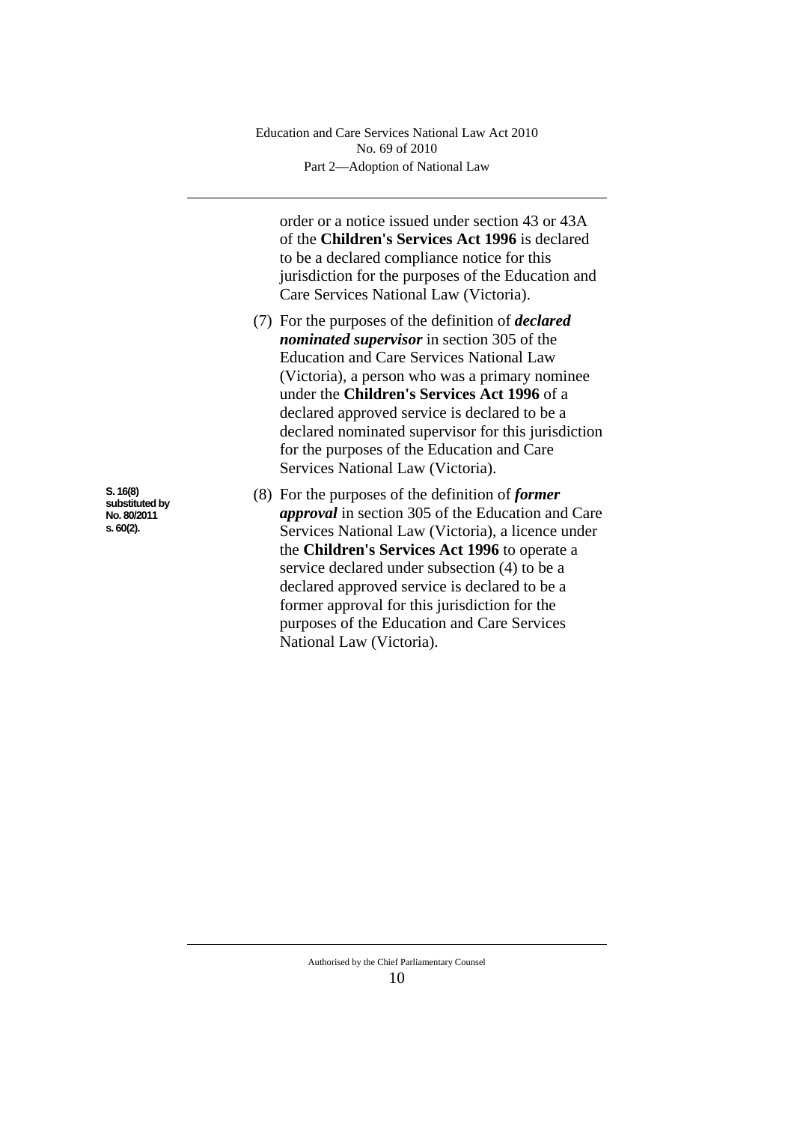order or a notice issued under section 43 or 43A of the **Children's Services Act 1996** is declared to be a declared compliance notice for this jurisdiction for the purposes of the Education and Care Services National Law (Victoria).

- (7) For the purposes of the definition of *declared nominated supervisor* in section 305 of the Education and Care Services National Law (Victoria), a person who was a primary nominee under the **Children's Services Act 1996** of a declared approved service is declared to be a declared nominated supervisor for this jurisdiction for the purposes of the Education and Care Services National Law (Victoria).
- (8) For the purposes of the definition of *former approval* in section 305 of the Education and Care Services National Law (Victoria), a licence under the **Children's Services Act 1996** to operate a service declared under subsection (4) to be a declared approved service is declared to be a former approval for this jurisdiction for the purposes of the Education and Care Services National Law (Victoria).

**S. 16(8) substituted by No. 80/2011 s. 60(2).**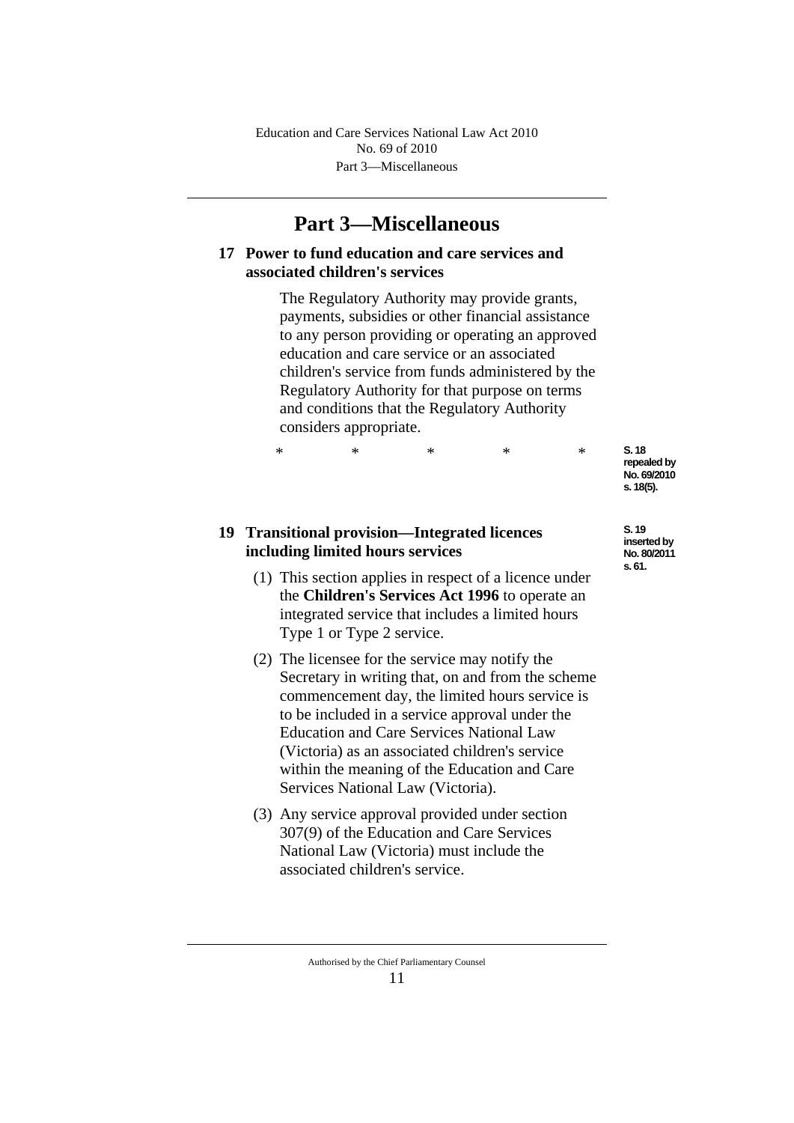Part 3—Miscellaneous Education and Care Services National Law Act 2010 No. 69 of 2010

## **Part 3—Miscellaneous**

## **17 Power to fund education and care services and associated children's services**

The Regulatory Authority may provide grants, payments, subsidies or other financial assistance to any person providing or operating an approved education and care service or an associated children's service from funds administered by the Regulatory Authority for that purpose on terms and conditions that the Regulatory Authority considers appropriate.

\* \* \* \* \*

## **19 Transitional provision—Integrated licences including limited hours services**

- (1) This section applies in respect of a licence under the **Children's Services Act 1996** to operate an integrated service that includes a limited hours Type 1 or Type 2 service.
- (2) The licensee for the service may notify the Secretary in writing that, on and from the scheme commencement day, the limited hours service is to be included in a service approval under the Education and Care Services National Law (Victoria) as an associated children's service within the meaning of the Education and Care Services National Law (Victoria).
- (3) Any service approval provided under section 307(9) of the Education and Care Services National Law (Victoria) must include the associated children's service.
	- Authorised by the Chief Parliamentary Counsel 11

**S. 18**  repealed by **No. 69/2010 s. 18(5).**

**S. 19 inserted by No. 80/2011 s. 61.**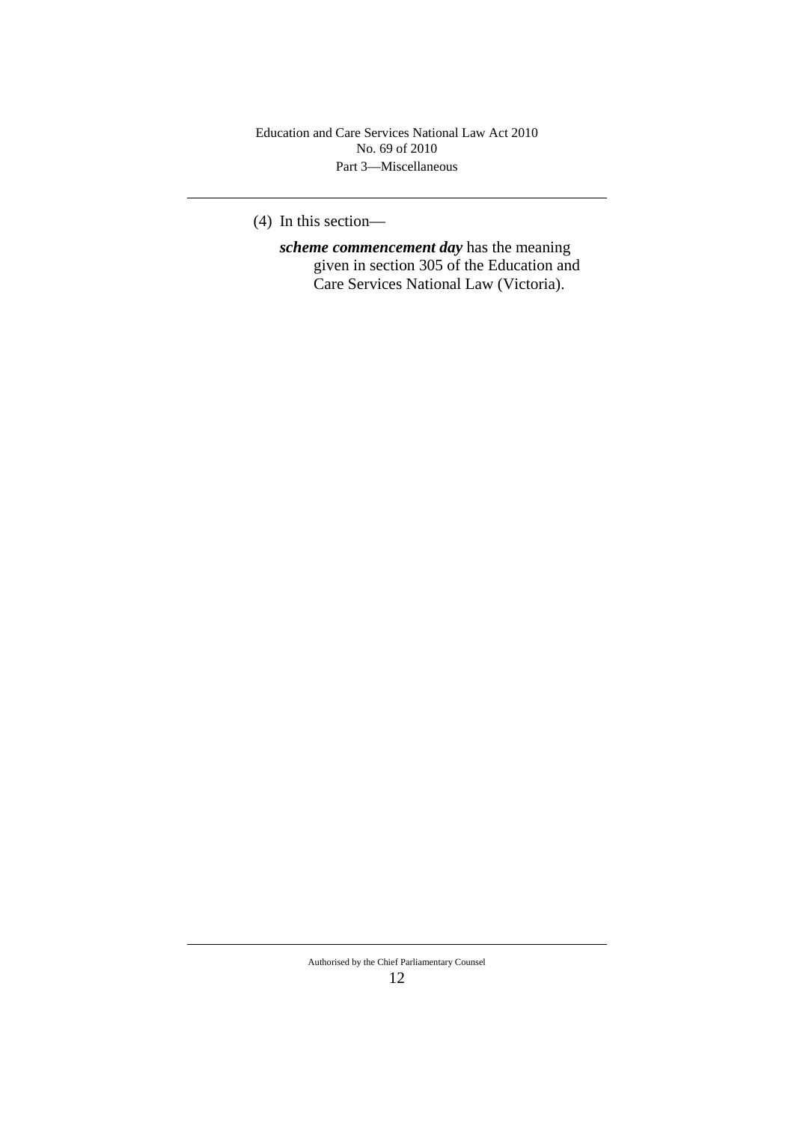Part 3—Miscellaneous Education and Care Services National Law Act 2010 No. 69 of 2010

(4) In this section—

*scheme commencement day* has the meaning given in section 305 of the Education and Care Services National Law (Victoria).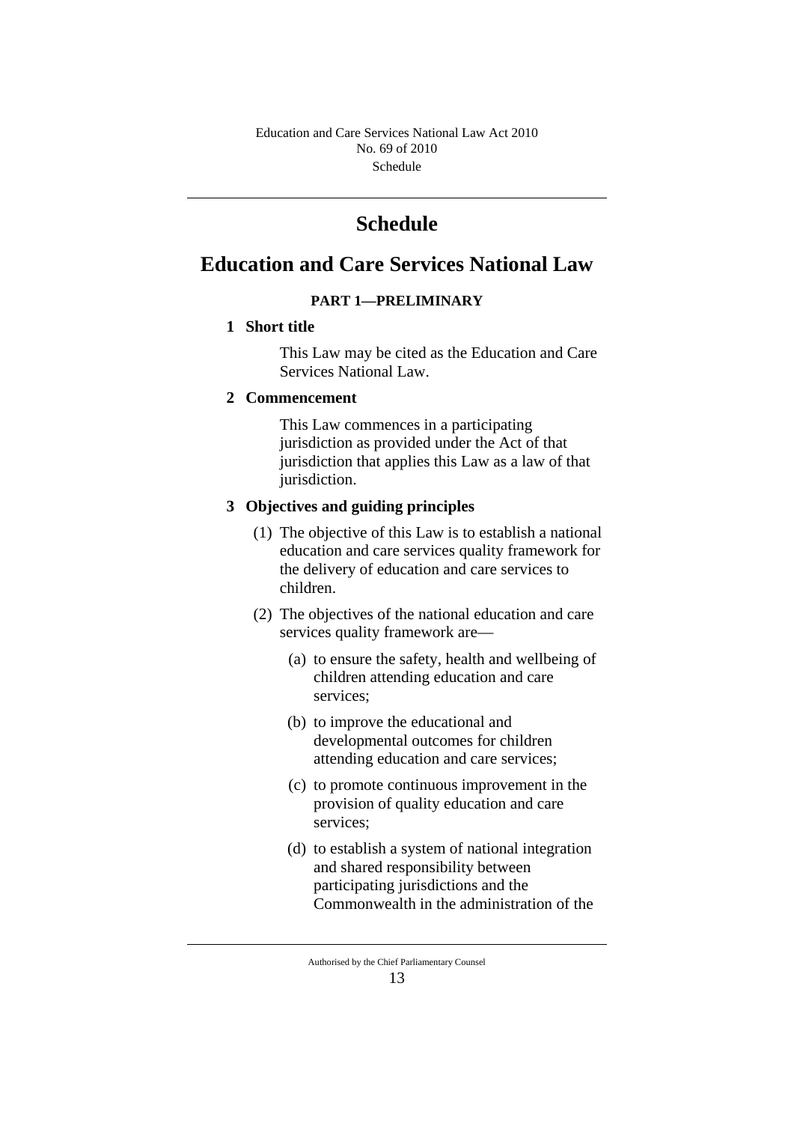Schedule Education and Care Services National Law Act 2010 No. 69 of 2010

# **Schedule**

## **Education and Care Services National Law**

## **PART 1—PRELIMINARY**

## **1 Short title**

This Law may be cited as the Education and Care Services National Law.

## **2 Commencement**

This Law commences in a participating jurisdiction as provided under the Act of that jurisdiction that applies this Law as a law of that jurisdiction.

## **3 Objectives and guiding principles**

- (1) The objective of this Law is to establish a national education and care services quality framework for the delivery of education and care services to children.
- (2) The objectives of the national education and care services quality framework are—
	- (a) to ensure the safety, health and wellbeing of children attending education and care services;
	- (b) to improve the educational and developmental outcomes for children attending education and care services;
	- (c) to promote continuous improvement in the provision of quality education and care services;
	- (d) to establish a system of national integration and shared responsibility between participating jurisdictions and the Commonwealth in the administration of the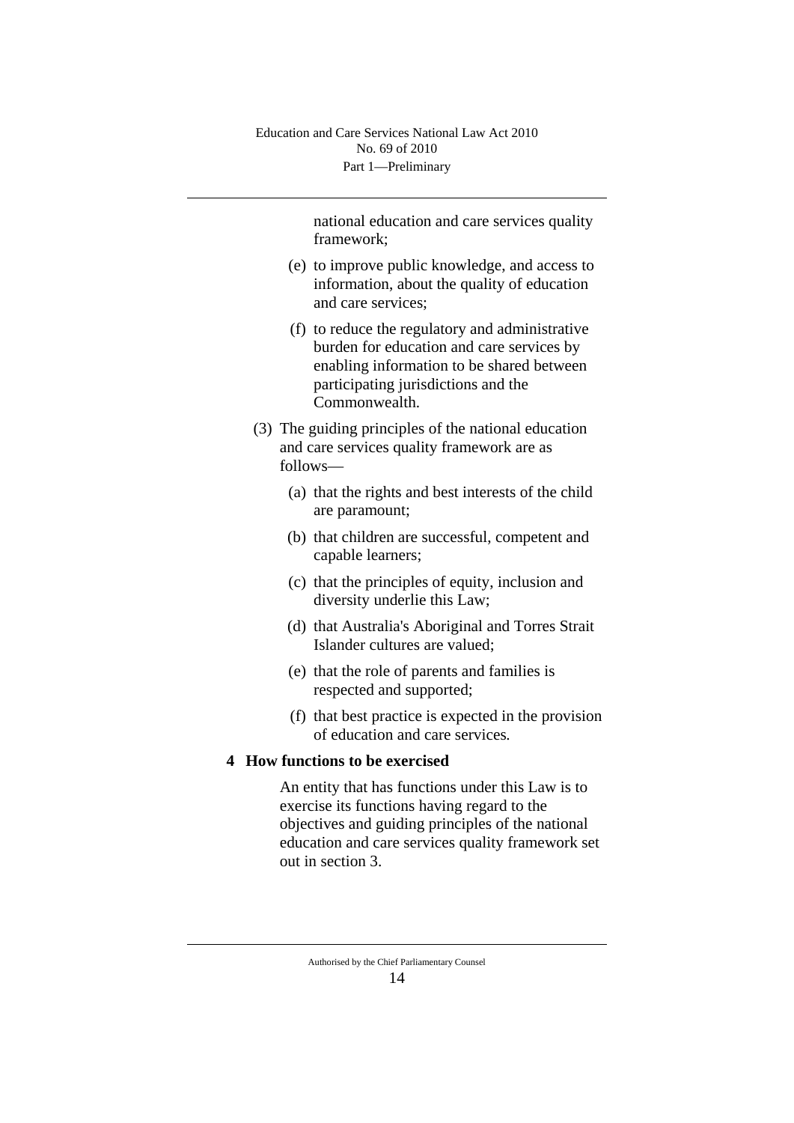national education and care services quality framework;

- (e) to improve public knowledge, and access to information, about the quality of education and care services;
- (f) to reduce the regulatory and administrative burden for education and care services by enabling information to be shared between participating jurisdictions and the Commonwealth.
- (3) The guiding principles of the national education and care services quality framework are as follows—
	- (a) that the rights and best interests of the child are paramount;
	- (b) that children are successful, competent and capable learners;
	- (c) that the principles of equity, inclusion and diversity underlie this Law;
	- (d) that Australia's Aboriginal and Torres Strait Islander cultures are valued;
	- (e) that the role of parents and families is respected and supported;
	- (f) that best practice is expected in the provision of education and care services*.*

## **4 How functions to be exercised**

An entity that has functions under this Law is to exercise its functions having regard to the objectives and guiding principles of the national education and care services quality framework set out in section 3.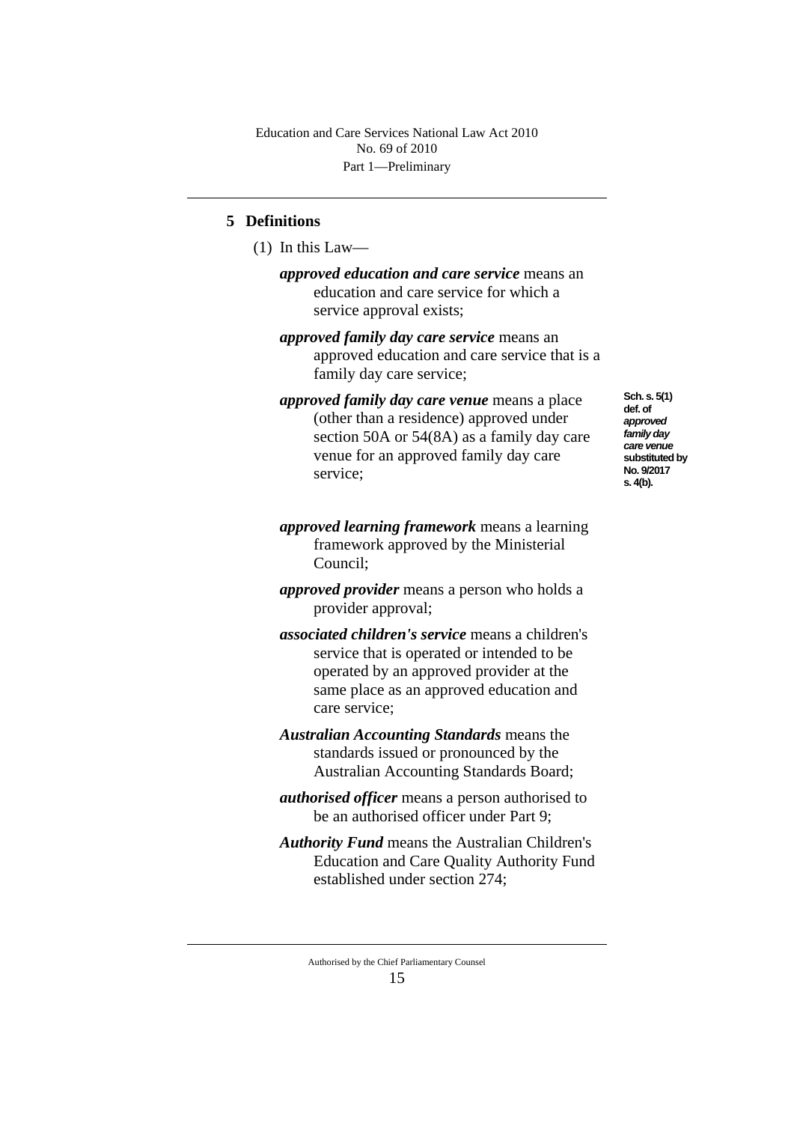## **5 Definitions**

(1) In this Law—

*approved education and care service* means an education and care service for which a service approval exists;

- *approved family day care service* means an approved education and care service that is a family day care service;
- *approved family day care venue* means a place (other than a residence) approved under section 50A or 54(8A) as a family day care venue for an approved family day care service;

## *approved learning framework* means a learning framework approved by the Ministerial Council;

- *approved provider* means a person who holds a provider approval;
- *associated children's service* means a children's service that is operated or intended to be operated by an approved provider at the same place as an approved education and care service;
- *Australian Accounting Standards* means the standards issued or pronounced by the Australian Accounting Standards Board;
- *authorised officer* means a person authorised to be an authorised officer under Part 9;
- *Authority Fund* means the Australian Children's Education and Care Quality Authority Fund established under section 274;
	- Authorised by the Chief Parliamentary Counsel 15

**Sch. s. 5(1) def. of**  *approved family day care venue* **substituted by No. 9/2017 s. 4(b).**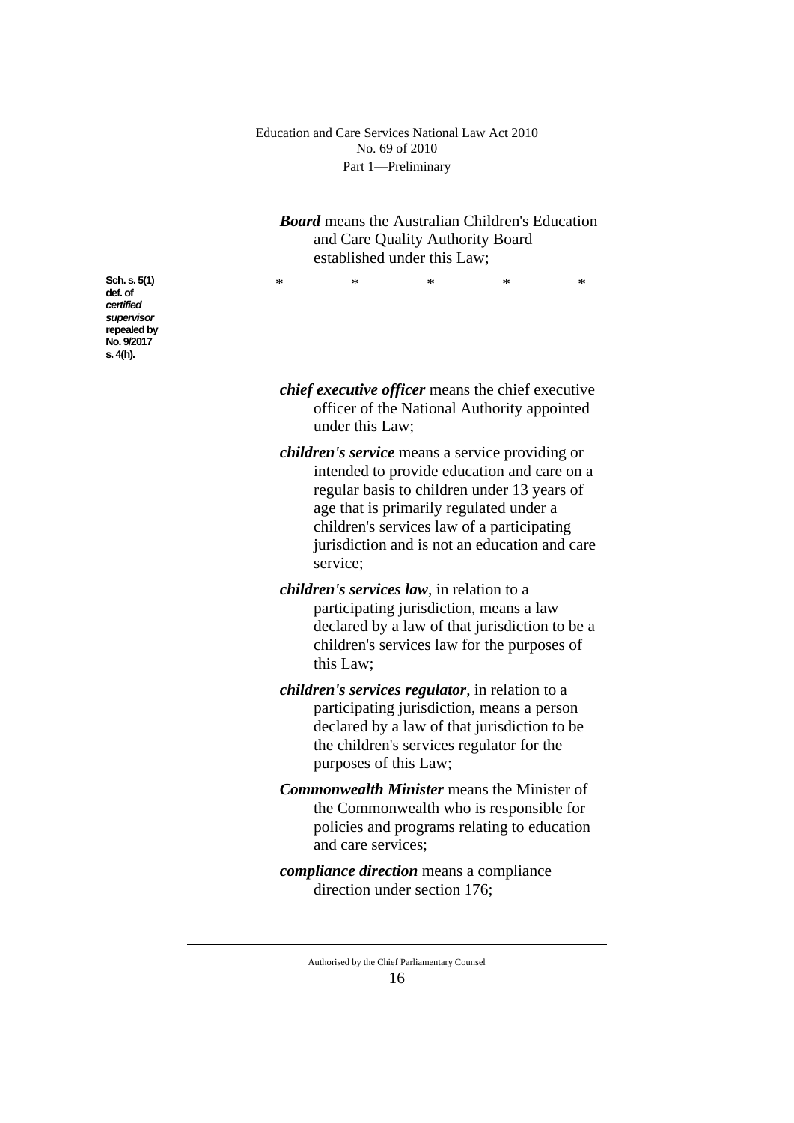*Board* means the Australian Children's Education and Care Quality Authority Board established under this Law;

\* \* \* \* \*

*certified supervisor* **repealed** by **No. 9/2017 s. 4(h).**

**Sch. s. 5(1) def. of** 

- *chief executive officer* means the chief executive officer of the National Authority appointed under this Law;
- *children's service* means a service providing or intended to provide education and care on a regular basis to children under 13 years of age that is primarily regulated under a children's services law of a participating jurisdiction and is not an education and care service;
- *children's services law*, in relation to a participating jurisdiction, means a law declared by a law of that jurisdiction to be a children's services law for the purposes of this Law;
- *children's services regulator*, in relation to a participating jurisdiction, means a person declared by a law of that jurisdiction to be the children's services regulator for the purposes of this Law;
- *Commonwealth Minister* means the Minister of the Commonwealth who is responsible for policies and programs relating to education and care services;
- *compliance direction* means a compliance direction under section 176;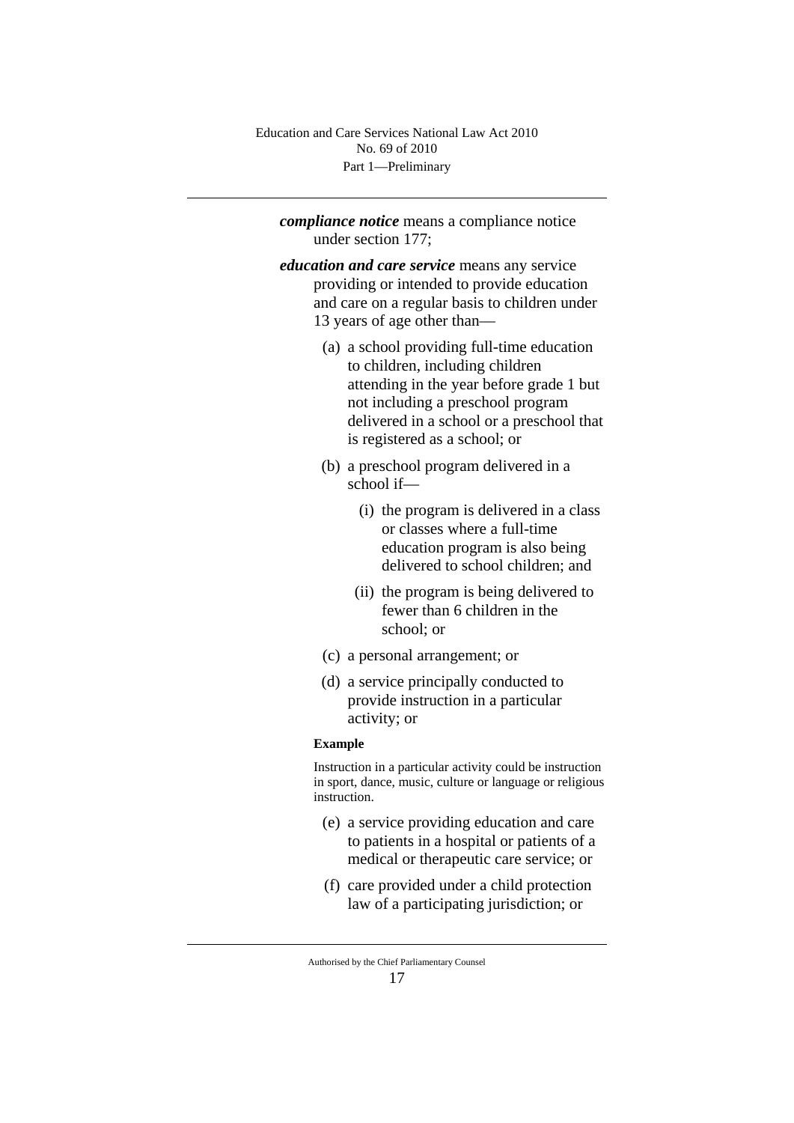*compliance notice* means a compliance notice under section 177;

*education and care service* means any service providing or intended to provide education and care on a regular basis to children under 13 years of age other than—

- (a) a school providing full-time education to children, including children attending in the year before grade 1 but not including a preschool program delivered in a school or a preschool that is registered as a school; or
- (b) a preschool program delivered in a school if—
	- (i) the program is delivered in a class or classes where a full-time education program is also being delivered to school children; and
	- (ii) the program is being delivered to fewer than 6 children in the school; or
- (c) a personal arrangement; or
- (d) a service principally conducted to provide instruction in a particular activity; or

#### **Example**

Instruction in a particular activity could be instruction in sport, dance, music, culture or language or religious instruction.

- (e) a service providing education and care to patients in a hospital or patients of a medical or therapeutic care service; or
- (f) care provided under a child protection law of a participating jurisdiction; or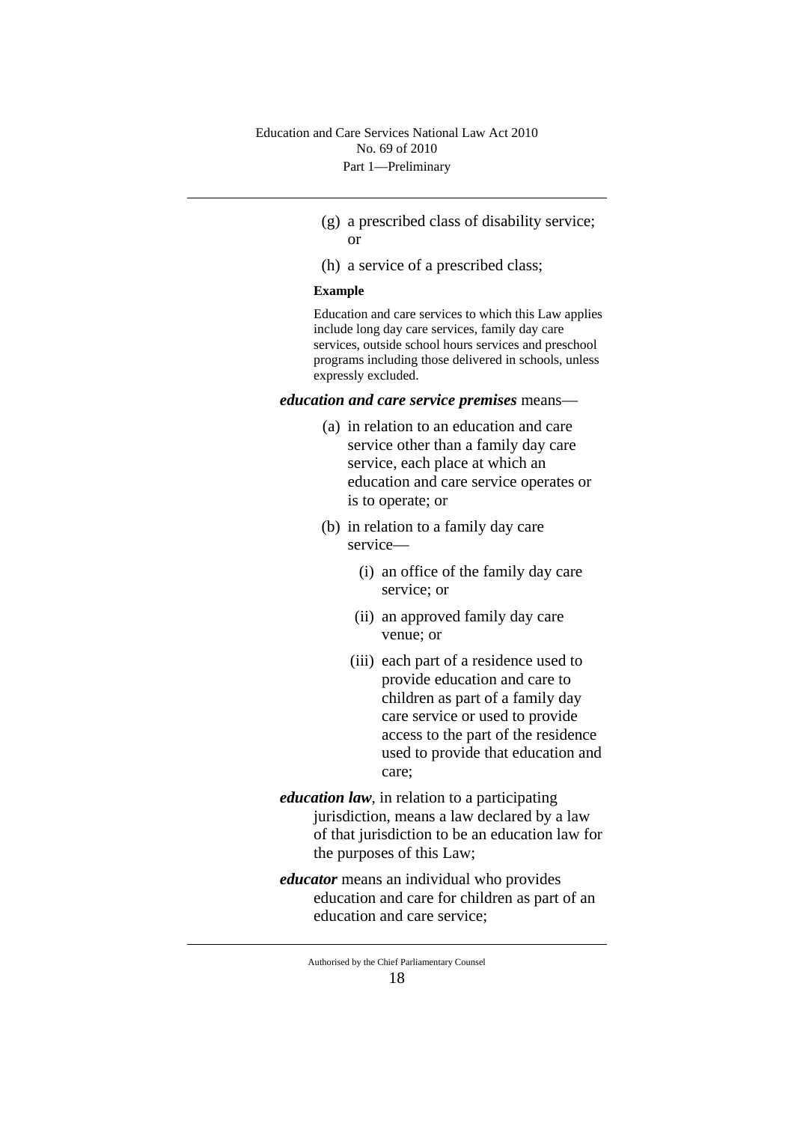- (g) a prescribed class of disability service; or
- (h) a service of a prescribed class;

#### **Example**

Education and care services to which this Law applies include long day care services, family day care services, outside school hours services and preschool programs including those delivered in schools, unless expressly excluded.

#### *education and care service premises* means—

- (a) in relation to an education and care service other than a family day care service, each place at which an education and care service operates or is to operate; or
- (b) in relation to a family day care service—
	- (i) an office of the family day care service; or
	- (ii) an approved family day care venue; or
	- (iii) each part of a residence used to provide education and care to children as part of a family day care service or used to provide access to the part of the residence used to provide that education and care;
- *education law*, in relation to a participating jurisdiction, means a law declared by a law of that jurisdiction to be an education law for the purposes of this Law;
- *educator* means an individual who provides education and care for children as part of an education and care service;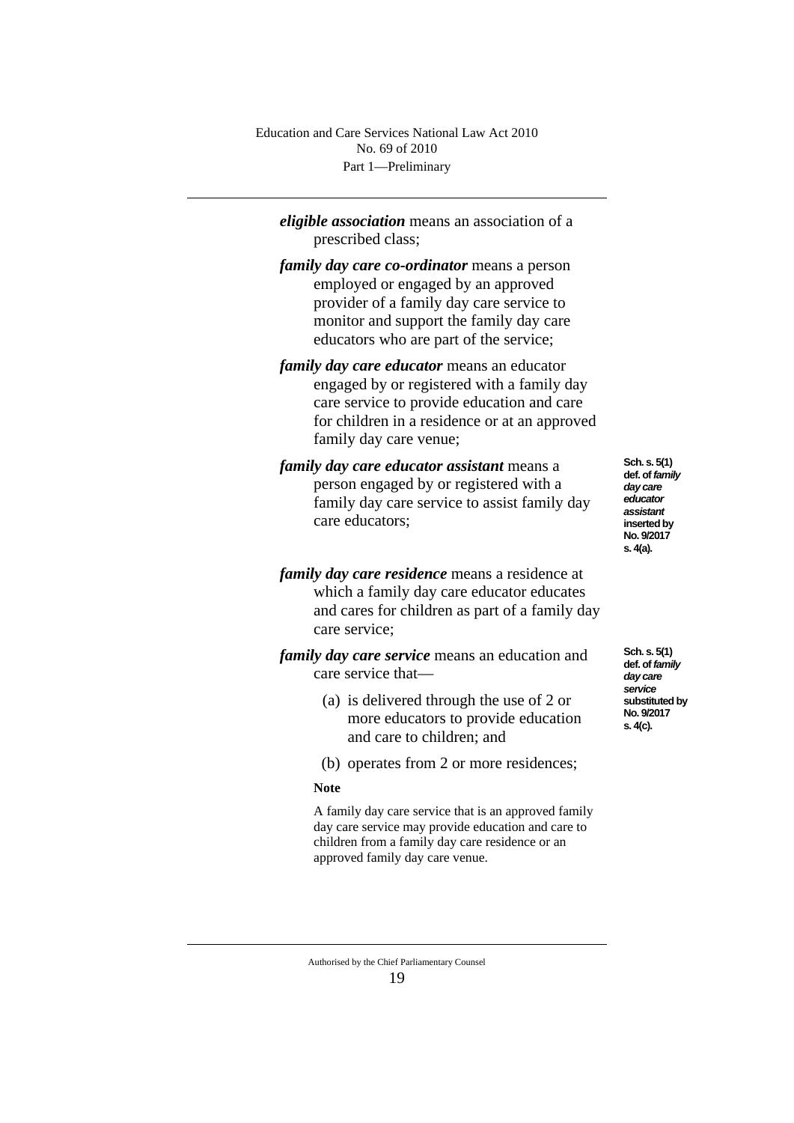*eligible association* means an association of a prescribed class;

- *family day care co-ordinator* means a person employed or engaged by an approved provider of a family day care service to monitor and support the family day care educators who are part of the service;
- *family day care educator* means an educator engaged by or registered with a family day care service to provide education and care for children in a residence or at an approved family day care venue;
- *family day care educator assistant* means a person engaged by or registered with a family day care service to assist family day care educators;
- *family day care residence* means a residence at which a family day care educator educates and cares for children as part of a family day care service;

*family day care service* means an education and care service that—

- (a) is delivered through the use of 2 or more educators to provide education and care to children; and
- (b) operates from 2 or more residences;

#### **Note**

A family day care service that is an approved family day care service may provide education and care to children from a family day care residence or an approved family day care venue.

**Sch. s. 5(1) def. of** *family day care educator assistant* **inserted by No. 9/2017 s. 4(a).**

**Sch. s. 5(1) def. of** *family day care service* **substituted by No. 9/2017 s. 4(c).**

Authorised by the Chief Parliamentary Counsel 19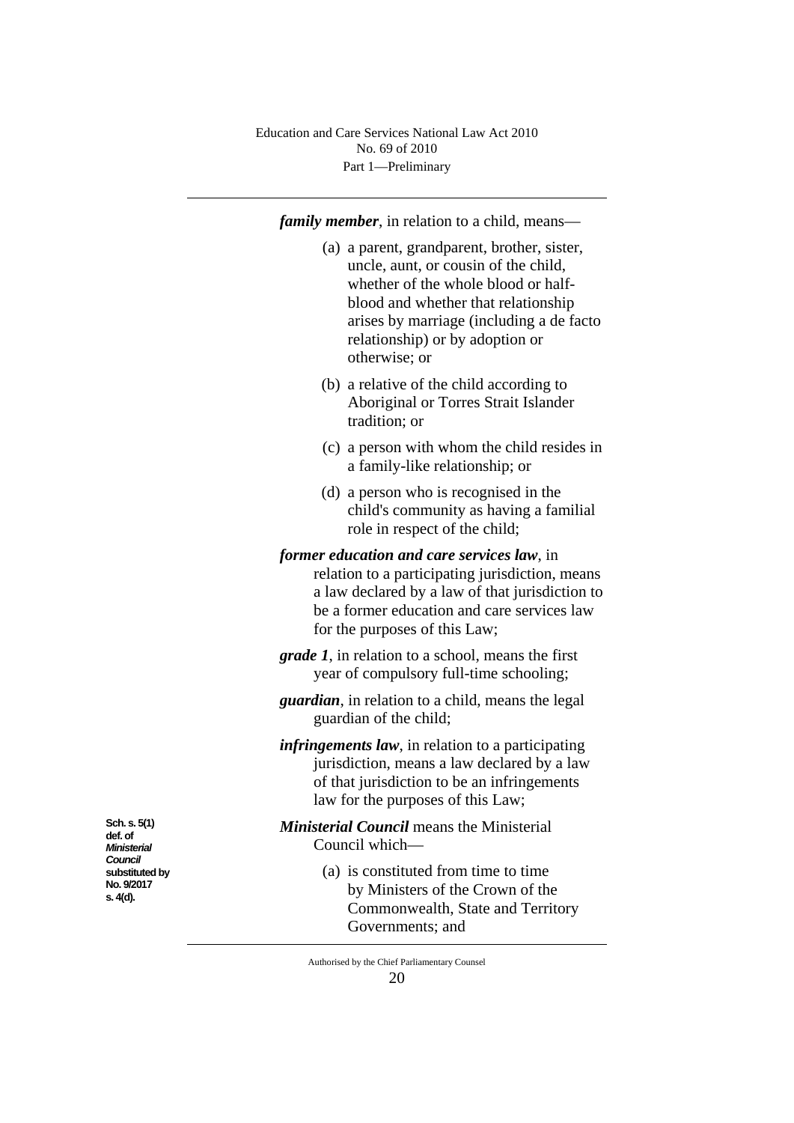*family member*, in relation to a child, means—

- (a) a parent, grandparent, brother, sister, uncle, aunt, or cousin of the child, whether of the whole blood or halfblood and whether that relationship arises by marriage (including a de facto relationship) or by adoption or otherwise; or
- (b) a relative of the child according to Aboriginal or Torres Strait Islander tradition; or
- (c) a person with whom the child resides in a family-like relationship; or
- (d) a person who is recognised in the child's community as having a familial role in respect of the child;

*former education and care services law*, in relation to a participating jurisdiction, means a law declared by a law of that jurisdiction to be a former education and care services law for the purposes of this Law;

*grade 1*, in relation to a school, means the first year of compulsory full-time schooling;

*guardian*, in relation to a child, means the legal guardian of the child;

*infringements law*, in relation to a participating jurisdiction, means a law declared by a law of that jurisdiction to be an infringements law for the purposes of this Law;

*Ministerial Council* means the Ministerial Council which—

> (a) is constituted from time to time by Ministers of the Crown of the Commonwealth, State and Territory Governments; and

**def. of**  *Ministerial Council* **substituted by No. 9/2017 s. 4(d).**

**Sch. s. 5(1)**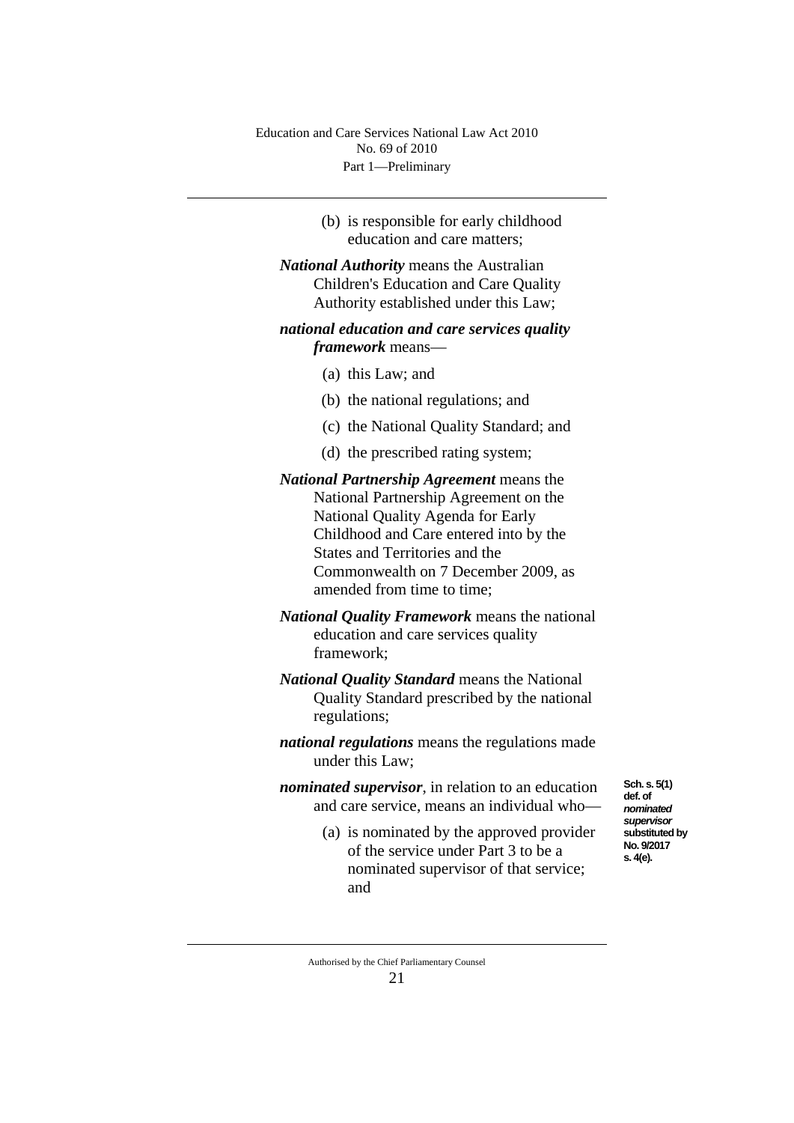> (b) is responsible for early childhood education and care matters;

*National Authority* means the Australian Children's Education and Care Quality Authority established under this Law;

## *national education and care services quality framework* means—

- (a) this Law; and
- (b) the national regulations; and
- (c) the National Quality Standard; and
- (d) the prescribed rating system;

*National Partnership Agreement* means the National Partnership Agreement on the National Quality Agenda for Early Childhood and Care entered into by the States and Territories and the Commonwealth on 7 December 2009, as amended from time to time;

- *National Quality Framework* means the national education and care services quality framework;
- *National Quality Standard* means the National Quality Standard prescribed by the national regulations;

*national regulations* means the regulations made under this Law;

*nominated supervisor*, in relation to an education and care service, means an individual who—

> (a) is nominated by the approved provider of the service under Part 3 to be a nominated supervisor of that service; and

**Sch. s. 5(1) def. of**  *nominated supervisor* **substituted by No. 9/2017 s. 4(e).**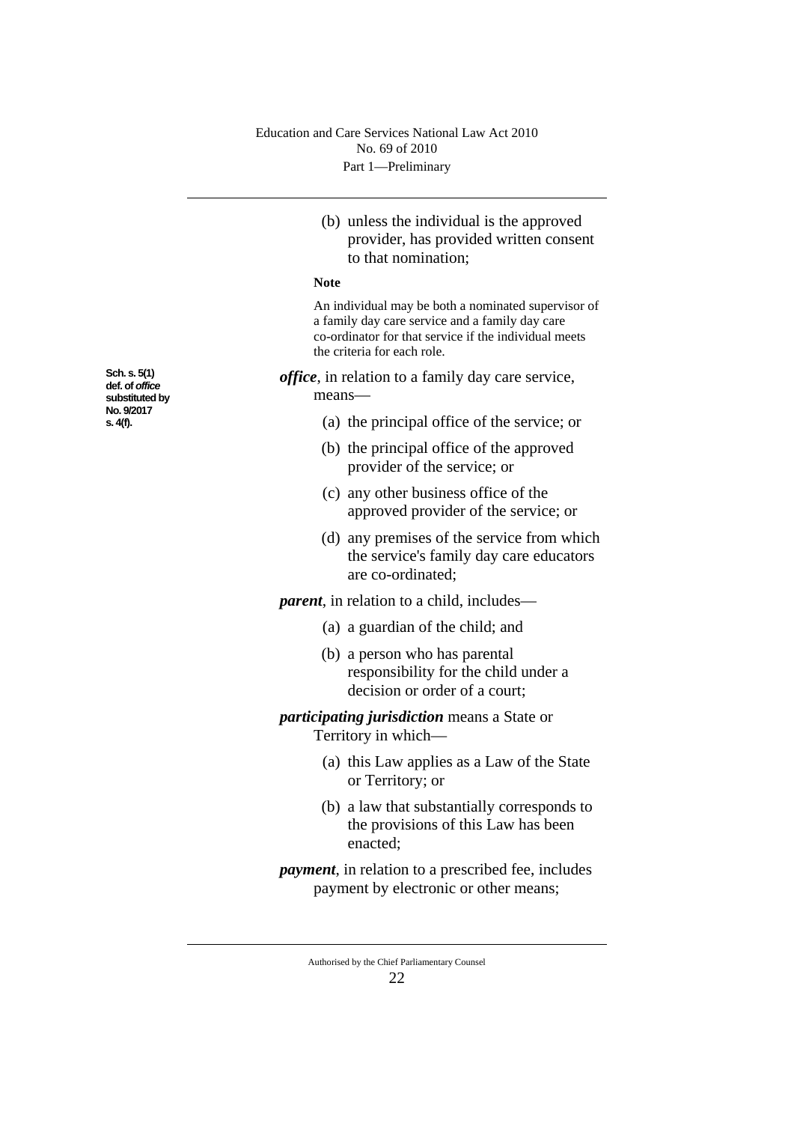(b) unless the individual is the approved provider, has provided written consent to that nomination;

#### **Note**

An individual may be both a nominated supervisor of a family day care service and a family day care co-ordinator for that service if the individual meets the criteria for each role.

*office*, in relation to a family day care service, means—

- (a) the principal office of the service; or
- (b) the principal office of the approved provider of the service; or
- (c) any other business office of the approved provider of the service; or
- (d) any premises of the service from which the service's family day care educators are co-ordinated;

*parent*, in relation to a child, includes—

- (a) a guardian of the child; and
- (b) a person who has parental responsibility for the child under a decision or order of a court;

## *participating jurisdiction* means a State or Territory in which—

- (a) this Law applies as a Law of the State or Territory; or
- (b) a law that substantially corresponds to the provisions of this Law has been enacted;
- *payment*, in relation to a prescribed fee, includes payment by electronic or other means;

**Sch. s. 5(1) def. of** *office* **substituted by No. 9/2017 s. 4(f).**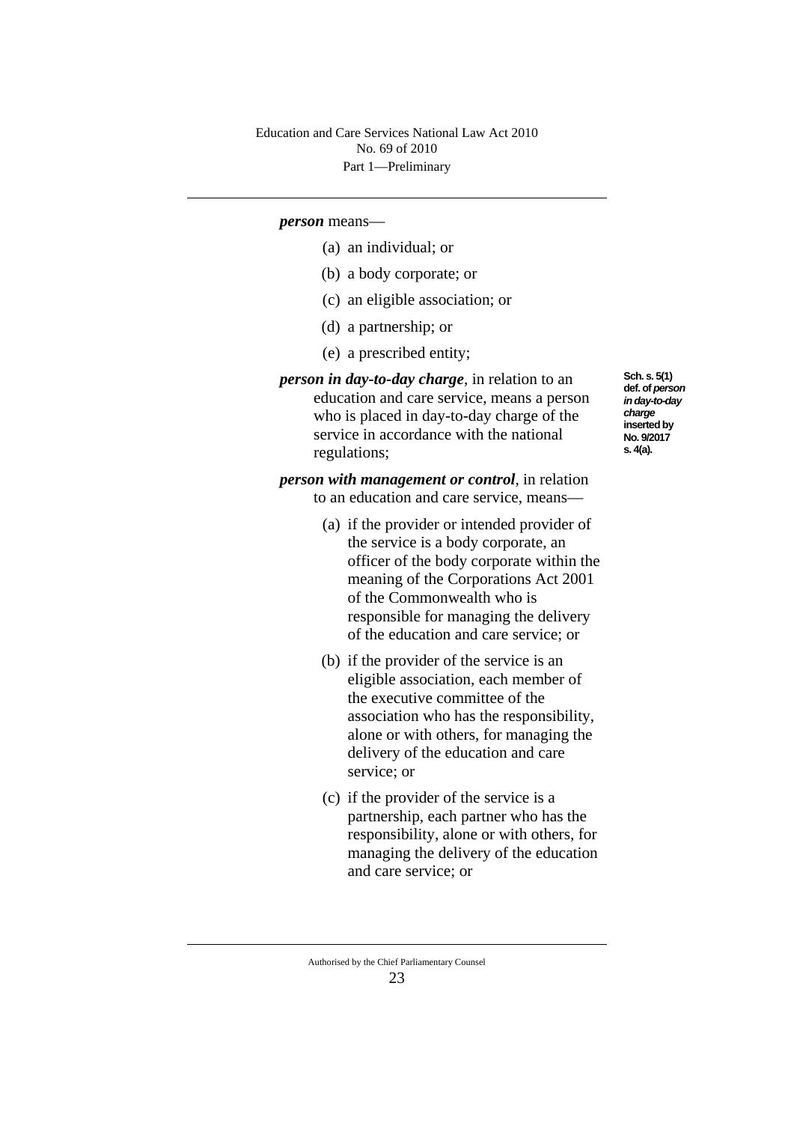#### *person* means—

- (a) an individual; or
- (b) a body corporate; or
- (c) an eligible association; or
- (d) a partnership; or
- (e) a prescribed entity;
- *person in day-to-day charge*, in relation to an education and care service, means a person who is placed in day-to-day charge of the service in accordance with the national regulations;

**Sch. s. 5(1) def. of** *person in day-to-day charge* **inserted by No. 9/2017 s. 4(a).**

*person with management or control*, in relation to an education and care service, means—

- (a) if the provider or intended provider of the service is a body corporate, an officer of the body corporate within the meaning of the Corporations Act 2001 of the Commonwealth who is responsible for managing the delivery of the education and care service; or
- (b) if the provider of the service is an eligible association, each member of the executive committee of the association who has the responsibility, alone or with others, for managing the delivery of the education and care service; or
- (c) if the provider of the service is a partnership, each partner who has the responsibility, alone or with others, for managing the delivery of the education and care service; or

Authorised by the Chief Parliamentary Counsel 23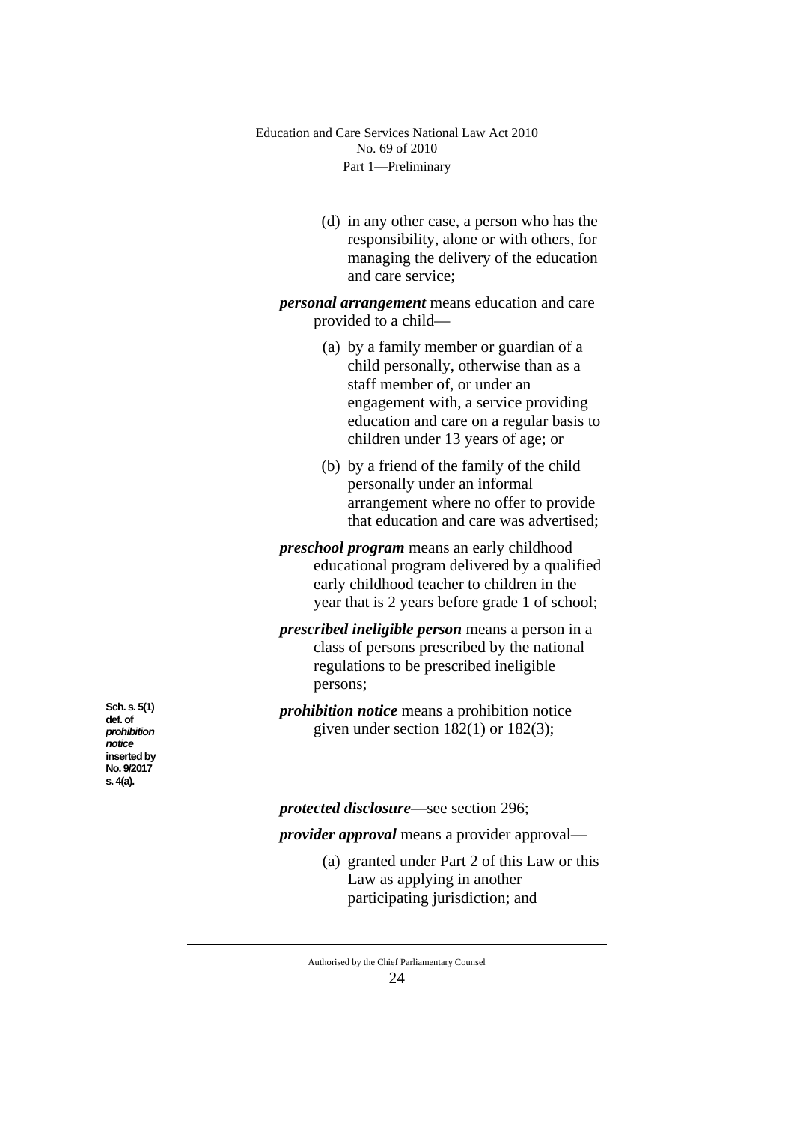(d) in any other case, a person who has the responsibility, alone or with others, for managing the delivery of the education and care service;

*personal arrangement* means education and care provided to a child—

- (a) by a family member or guardian of a child personally, otherwise than as a staff member of, or under an engagement with, a service providing education and care on a regular basis to children under 13 years of age; or
- (b) by a friend of the family of the child personally under an informal arrangement where no offer to provide that education and care was advertised;
- *preschool program* means an early childhood educational program delivered by a qualified early childhood teacher to children in the year that is 2 years before grade 1 of school;

*prescribed ineligible person* means a person in a class of persons prescribed by the national regulations to be prescribed ineligible persons;

*prohibition notice* means a prohibition notice given under section 182(1) or 182(3);

*protected disclosure*—see section 296;

*provider approval* means a provider approval—

(a) granted under Part 2 of this Law or this Law as applying in another participating jurisdiction; and

**Sch. s. 5(1) def. of**  *prohibition notice* **inserted by No. 9/2017 s. 4(a).**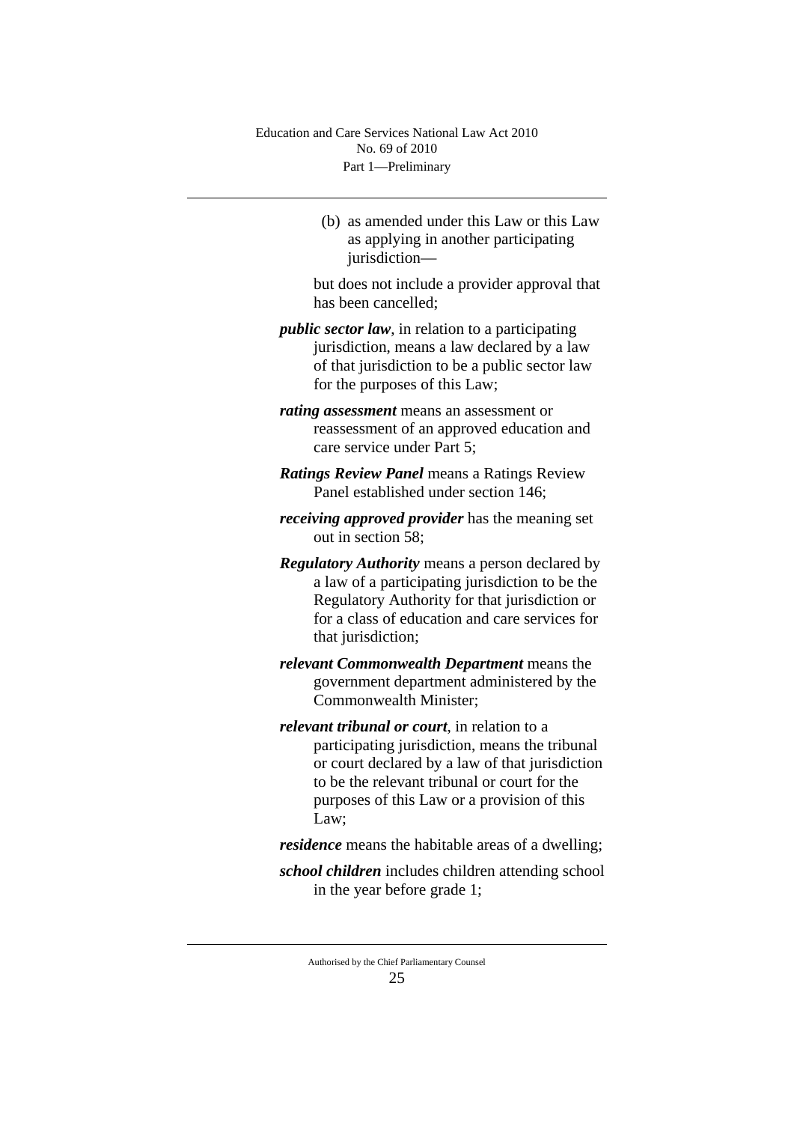(b) as amended under this Law or this Law as applying in another participating jurisdiction—

but does not include a provider approval that has been cancelled;

- *public sector law*, in relation to a participating jurisdiction, means a law declared by a law of that jurisdiction to be a public sector law for the purposes of this Law;
- *rating assessment* means an assessment or reassessment of an approved education and care service under Part 5;
- *Ratings Review Panel* means a Ratings Review Panel established under section 146;
- *receiving approved provider* has the meaning set out in section 58;
- *Regulatory Authority* means a person declared by a law of a participating jurisdiction to be the Regulatory Authority for that jurisdiction or for a class of education and care services for that jurisdiction:
- *relevant Commonwealth Department* means the government department administered by the Commonwealth Minister;
- *relevant tribunal or court*, in relation to a participating jurisdiction, means the tribunal or court declared by a law of that jurisdiction to be the relevant tribunal or court for the purposes of this Law or a provision of this Law;
- *residence* means the habitable areas of a dwelling;
- *school children* includes children attending school in the year before grade 1;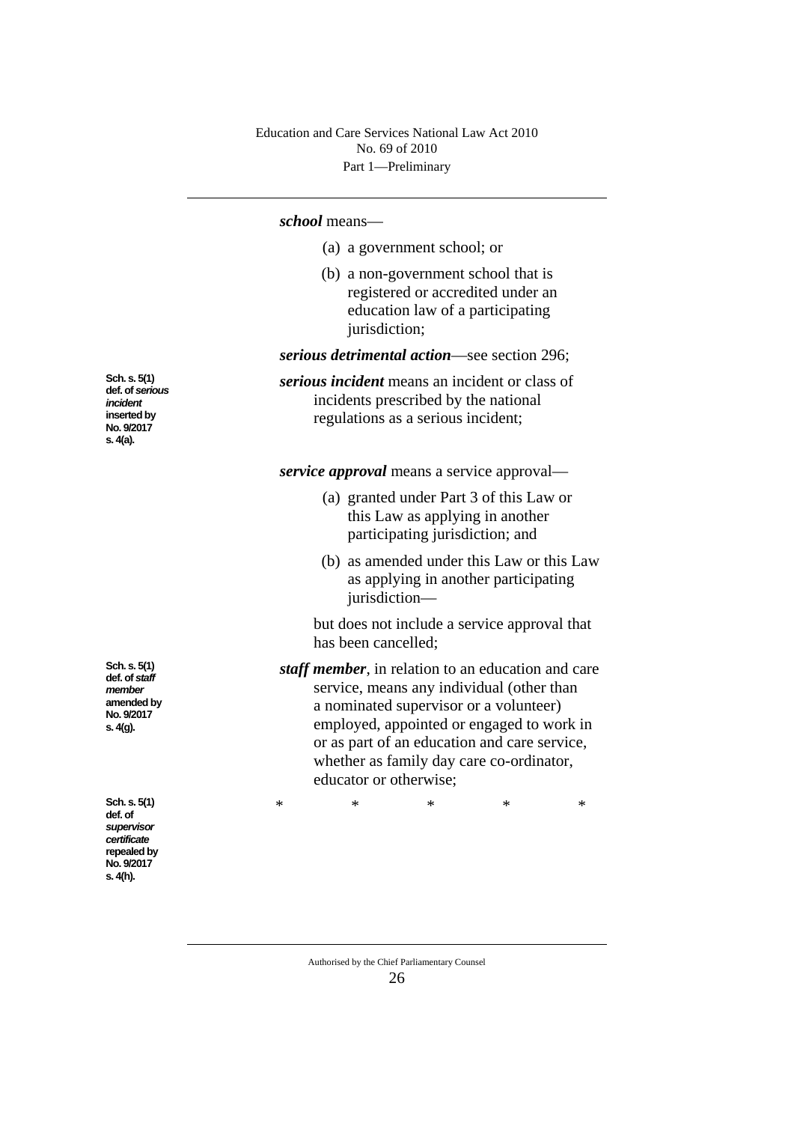#### *school* means—

|                                             | (a) a government school; or                                                                                                   |
|---------------------------------------------|-------------------------------------------------------------------------------------------------------------------------------|
|                                             | (b) a non-government school that is<br>registered or accredited under an<br>education law of a participating<br>jurisdiction; |
| serious detrimental action—see section 296; |                                                                                                                               |
|                                             | <i>serious incident</i> means an incident or class of                                                                         |

*serious incident* means an incident or class of incidents prescribed by the national regulations as a serious incident;

*service approval* means a service approval—

- (a) granted under Part 3 of this Law or this Law as applying in another participating jurisdiction; and
- (b) as amended under this Law or this Law as applying in another participating jurisdiction—

but does not include a service approval that has been cancelled;

*staff member*, in relation to an education and care service, means any individual (other than a nominated supervisor or a volunteer) employed, appointed or engaged to work in or as part of an education and care service, whether as family day care co-ordinator, educator or otherwise;

\* \* \* \* \*

Authorised by the Chief Parliamentary Counsel 26

**Sch. s. 5(1) def. of** *staff member* **amended by No. 9/2017 s. 4(g).**

**Sch. s. 5(1) def. of** *serious incident* **inserted by No. 9/2017 s. 4(a).**

**Sch. s. 5(1) def. of**  *supervisor certificate* repealed by **No. 9/2017 s. 4(h).**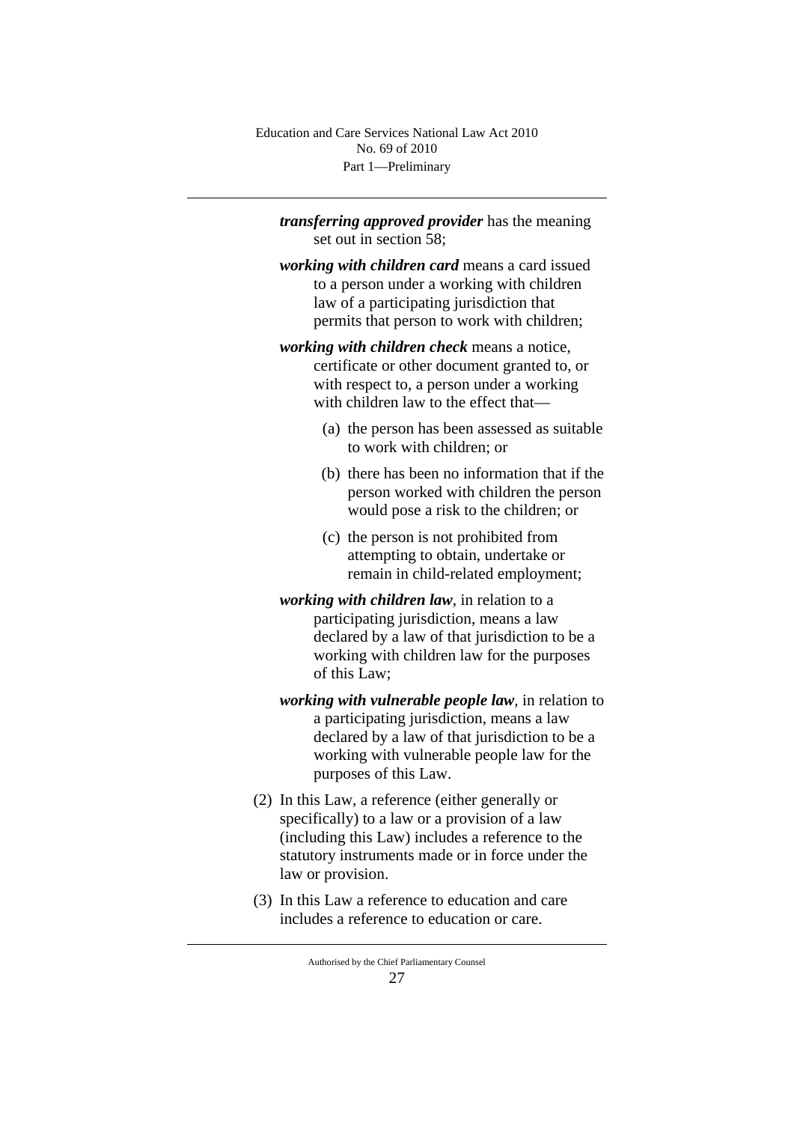Part 1—Preliminary Education and Care Services National Law Act 2010 No. 69 of 2010

*transferring approved provider* has the meaning set out in section 58;

*working with children card* means a card issued to a person under a working with children law of a participating jurisdiction that permits that person to work with children;

*working with children check* means a notice, certificate or other document granted to, or with respect to, a person under a working with children law to the effect that—

- (a) the person has been assessed as suitable to work with children; or
- (b) there has been no information that if the person worked with children the person would pose a risk to the children; or
- (c) the person is not prohibited from attempting to obtain, undertake or remain in child-related employment;
- *working with children law*, in relation to a participating jurisdiction, means a law declared by a law of that jurisdiction to be a working with children law for the purposes of this Law;
- *working with vulnerable people law*, in relation to a participating jurisdiction, means a law declared by a law of that jurisdiction to be a working with vulnerable people law for the purposes of this Law.
- (2) In this Law, a reference (either generally or specifically) to a law or a provision of a law (including this Law) includes a reference to the statutory instruments made or in force under the law or provision.
- (3) In this Law a reference to education and care includes a reference to education or care.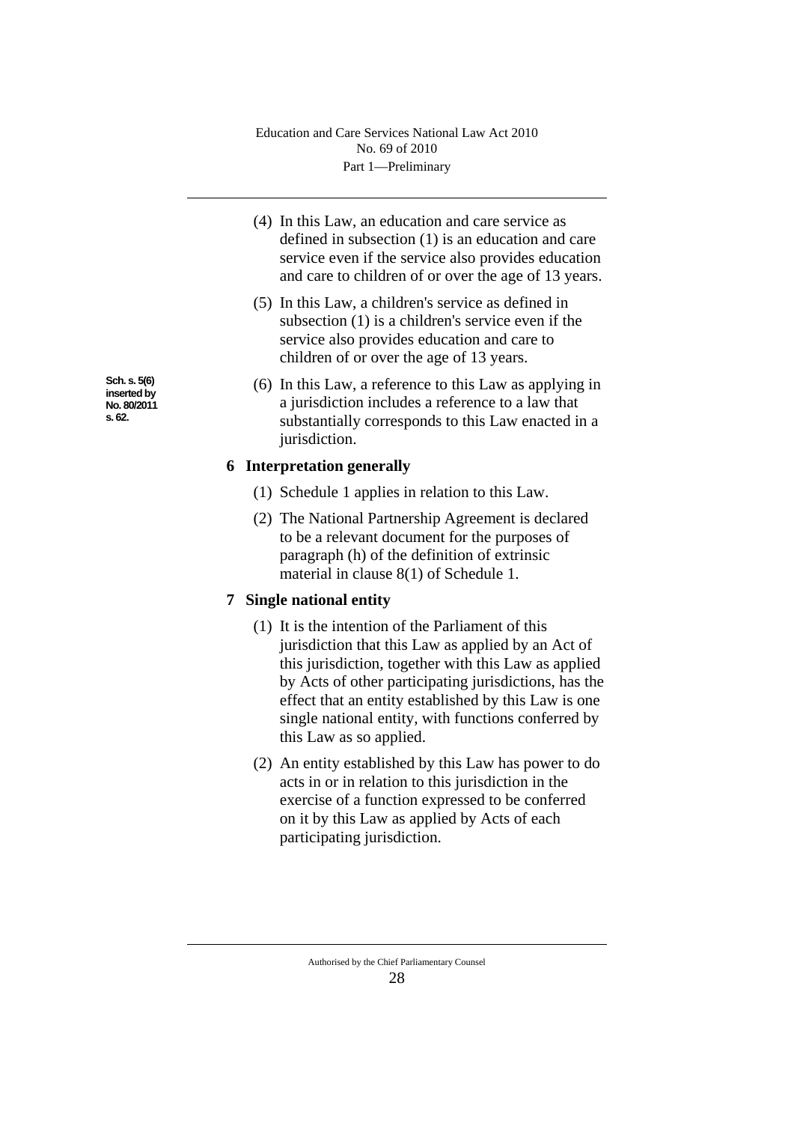- (4) In this Law, an education and care service as defined in subsection (1) is an education and care service even if the service also provides education and care to children of or over the age of 13 years.
- (5) In this Law, a children's service as defined in subsection (1) is a children's service even if the service also provides education and care to children of or over the age of 13 years.
- (6) In this Law, a reference to this Law as applying in a jurisdiction includes a reference to a law that substantially corresponds to this Law enacted in a jurisdiction.

# **6 Interpretation generally**

- (1) Schedule 1 applies in relation to this Law.
- (2) The National Partnership Agreement is declared to be a relevant document for the purposes of paragraph (h) of the definition of extrinsic material in clause 8(1) of Schedule 1.

# **7 Single national entity**

- (1) It is the intention of the Parliament of this jurisdiction that this Law as applied by an Act of this jurisdiction, together with this Law as applied by Acts of other participating jurisdictions, has the effect that an entity established by this Law is one single national entity, with functions conferred by this Law as so applied.
- (2) An entity established by this Law has power to do acts in or in relation to this jurisdiction in the exercise of a function expressed to be conferred on it by this Law as applied by Acts of each participating jurisdiction.

Authorised by the Chief Parliamentary Counsel 28

**Sch. s. 5(6) inserted by No. 80/2011 s. 62.**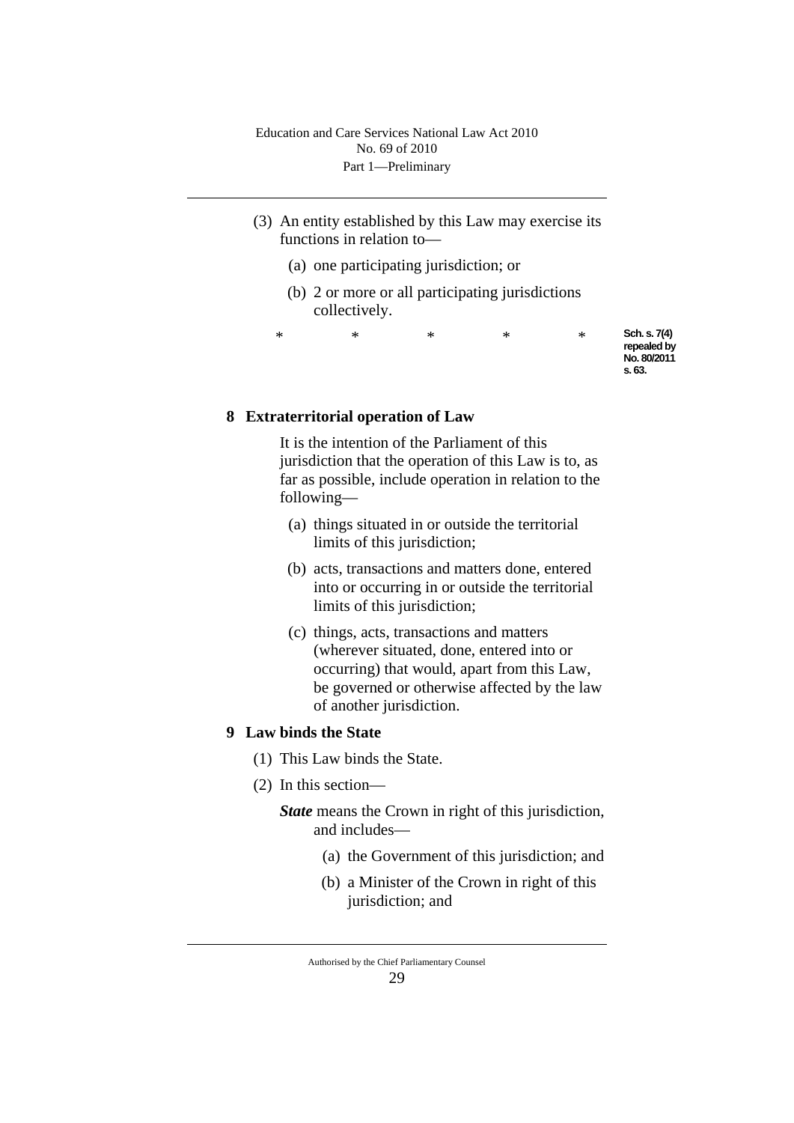- (3) An entity established by this Law may exercise its functions in relation to—
	- (a) one participating jurisdiction; or
	- (b) 2 or more or all participating jurisdictions collectively.

\* \* \* \* \* **Sch. s. 7(4)**  repealed by **No. 80/2011 s. 63.**

# **8 Extraterritorial operation of Law**

It is the intention of the Parliament of this jurisdiction that the operation of this Law is to, as far as possible, include operation in relation to the following—

- (a) things situated in or outside the territorial limits of this jurisdiction;
- (b) acts, transactions and matters done, entered into or occurring in or outside the territorial limits of this jurisdiction;
- (c) things, acts, transactions and matters (wherever situated, done, entered into or occurring) that would, apart from this Law, be governed or otherwise affected by the law of another jurisdiction.

#### **9 Law binds the State**

- (1) This Law binds the State.
- (2) In this section—

## *State* means the Crown in right of this jurisdiction, and includes—

- (a) the Government of this jurisdiction; and
- (b) a Minister of the Crown in right of this jurisdiction; and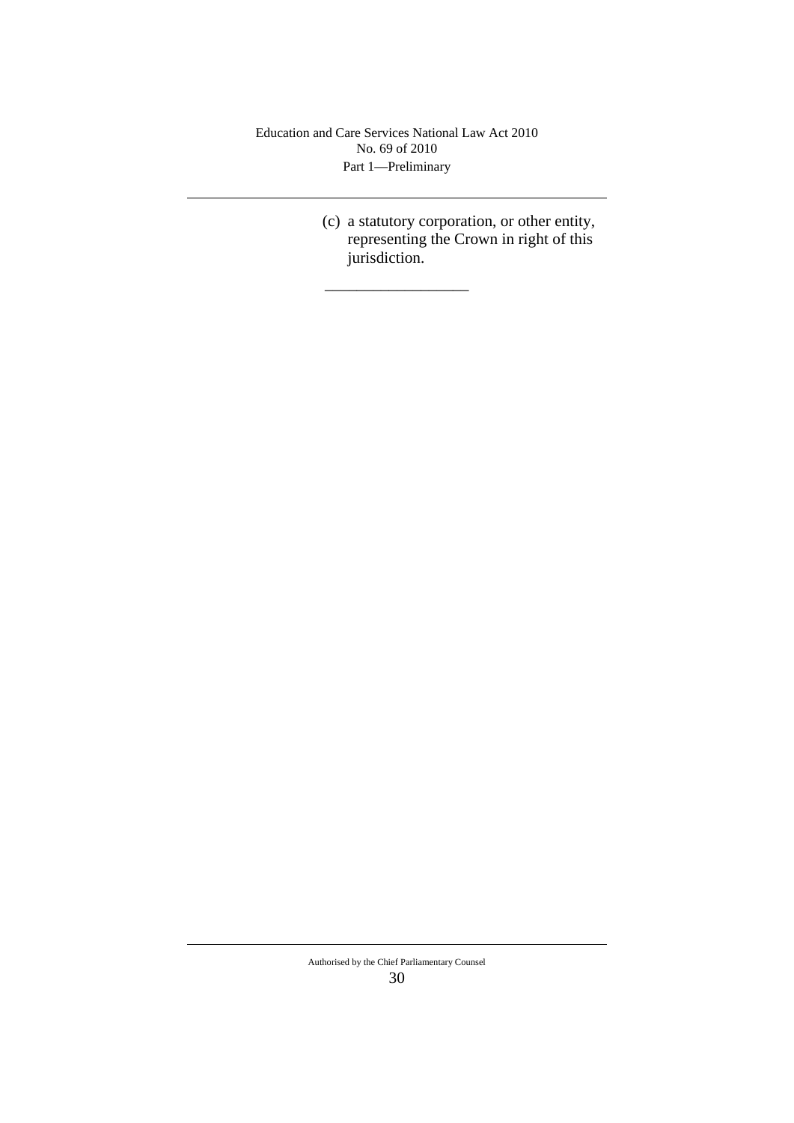Part 1—Preliminary Education and Care Services National Law Act 2010 No. 69 of 2010

\_\_\_\_\_\_\_\_\_\_\_\_\_\_\_\_\_\_

(c) a statutory corporation, or other entity, representing the Crown in right of this jurisdiction.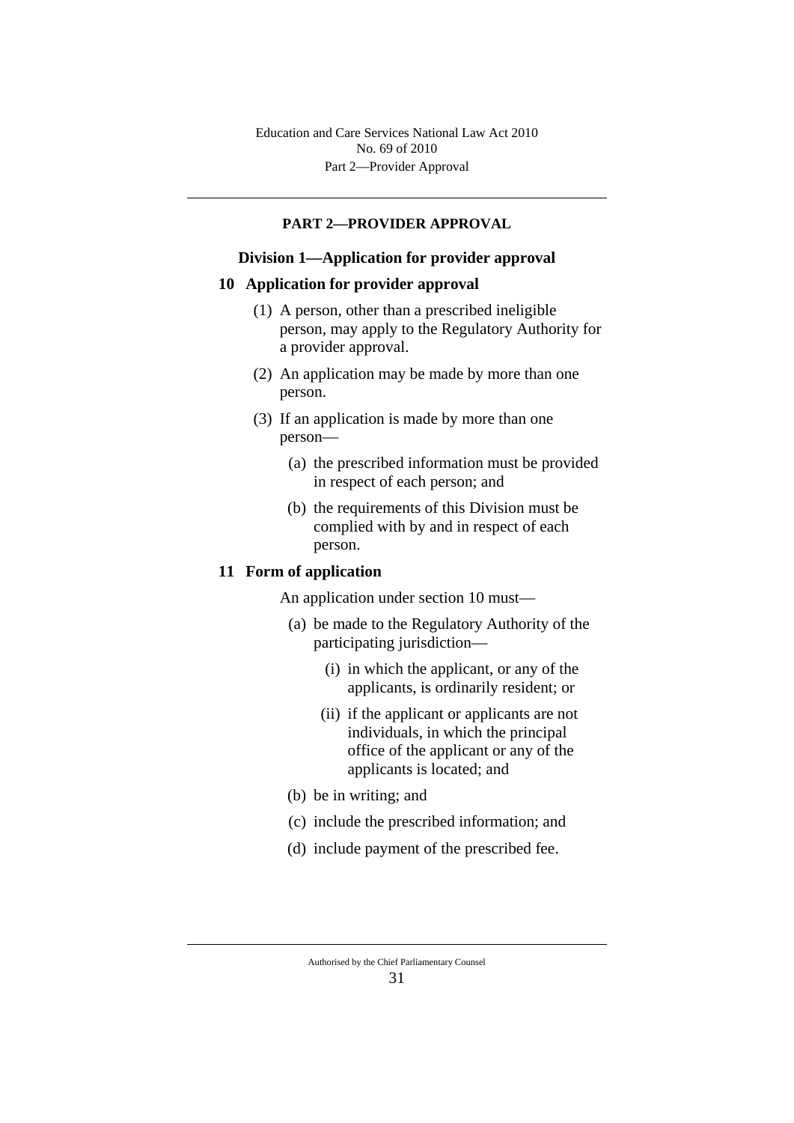#### **PART 2—PROVIDER APPROVAL**

### **Division 1—Application for provider approval**

#### **10 Application for provider approval**

- (1) A person, other than a prescribed ineligible person, may apply to the Regulatory Authority for a provider approval.
- (2) An application may be made by more than one person.
- (3) If an application is made by more than one person—
	- (a) the prescribed information must be provided in respect of each person; and
	- (b) the requirements of this Division must be complied with by and in respect of each person.

### **11 Form of application**

An application under section 10 must—

- (a) be made to the Regulatory Authority of the participating jurisdiction—
	- (i) in which the applicant, or any of the applicants, is ordinarily resident; or
	- (ii) if the applicant or applicants are not individuals, in which the principal office of the applicant or any of the applicants is located; and
- (b) be in writing; and
- (c) include the prescribed information; and
- (d) include payment of the prescribed fee.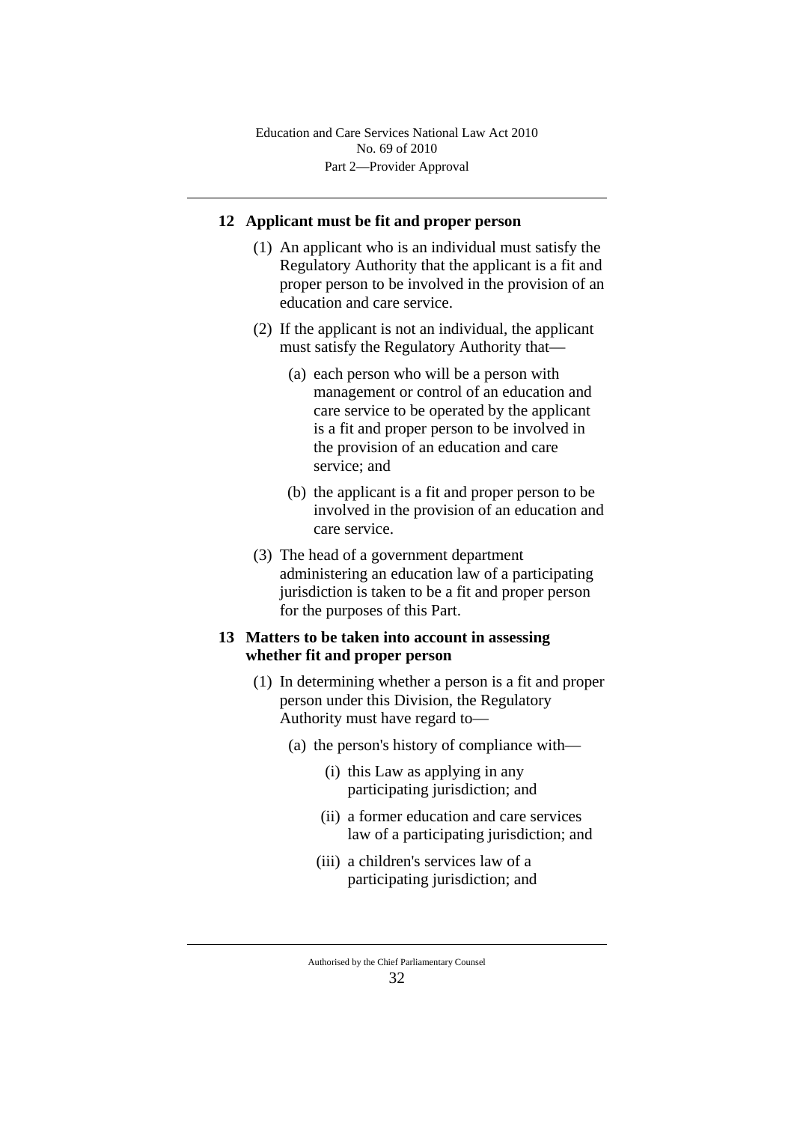### **12 Applicant must be fit and proper person**

- (1) An applicant who is an individual must satisfy the Regulatory Authority that the applicant is a fit and proper person to be involved in the provision of an education and care service.
- (2) If the applicant is not an individual, the applicant must satisfy the Regulatory Authority that—
	- (a) each person who will be a person with management or control of an education and care service to be operated by the applicant is a fit and proper person to be involved in the provision of an education and care service; and
	- (b) the applicant is a fit and proper person to be involved in the provision of an education and care service.
- (3) The head of a government department administering an education law of a participating jurisdiction is taken to be a fit and proper person for the purposes of this Part.

## **13 Matters to be taken into account in assessing whether fit and proper person**

- (1) In determining whether a person is a fit and proper person under this Division, the Regulatory Authority must have regard to—
	- (a) the person's history of compliance with—
		- (i) this Law as applying in any participating jurisdiction; and
		- (ii) a former education and care services law of a participating jurisdiction; and
		- (iii) a children's services law of a participating jurisdiction; and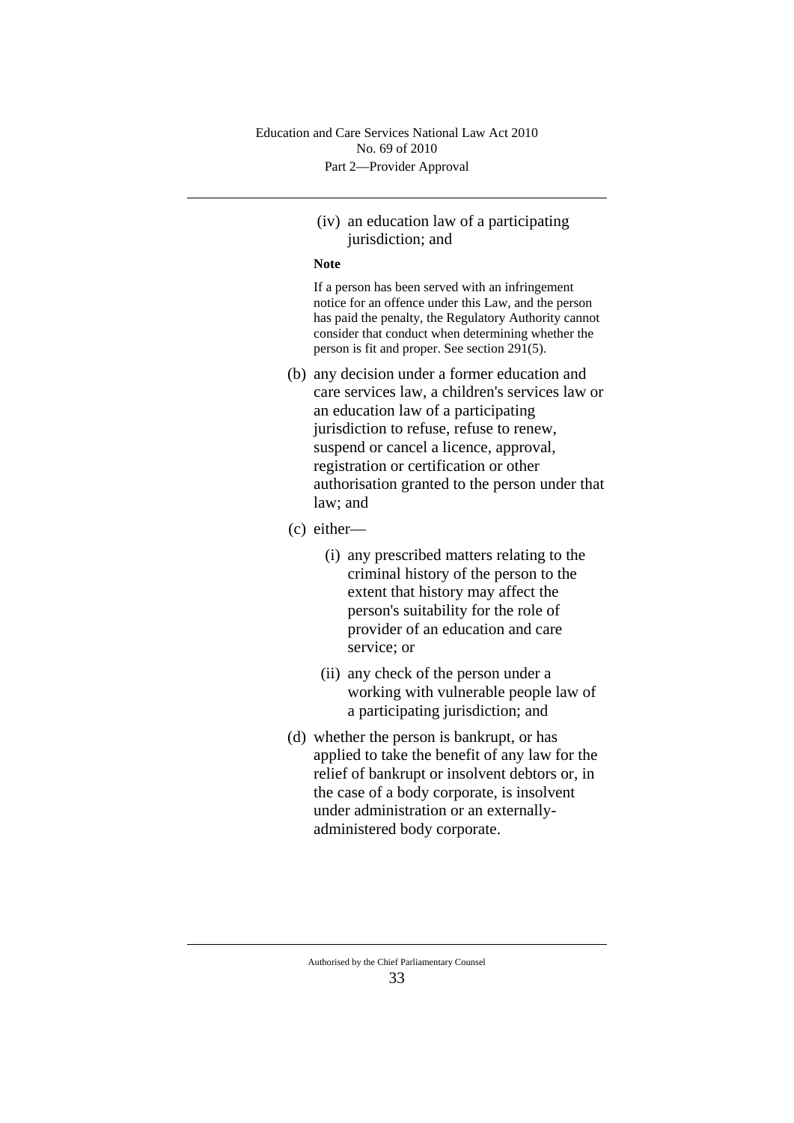### (iv) an education law of a participating jurisdiction; and

#### **Note**

If a person has been served with an infringement notice for an offence under this Law, and the person has paid the penalty, the Regulatory Authority cannot consider that conduct when determining whether the person is fit and proper. See section 291(5).

- (b) any decision under a former education and care services law, a children's services law or an education law of a participating jurisdiction to refuse, refuse to renew, suspend or cancel a licence, approval, registration or certification or other authorisation granted to the person under that law; and
- (c) either—
	- (i) any prescribed matters relating to the criminal history of the person to the extent that history may affect the person's suitability for the role of provider of an education and care service; or
	- (ii) any check of the person under a working with vulnerable people law of a participating jurisdiction; and
- (d) whether the person is bankrupt, or has applied to take the benefit of any law for the relief of bankrupt or insolvent debtors or, in the case of a body corporate, is insolvent under administration or an externallyadministered body corporate.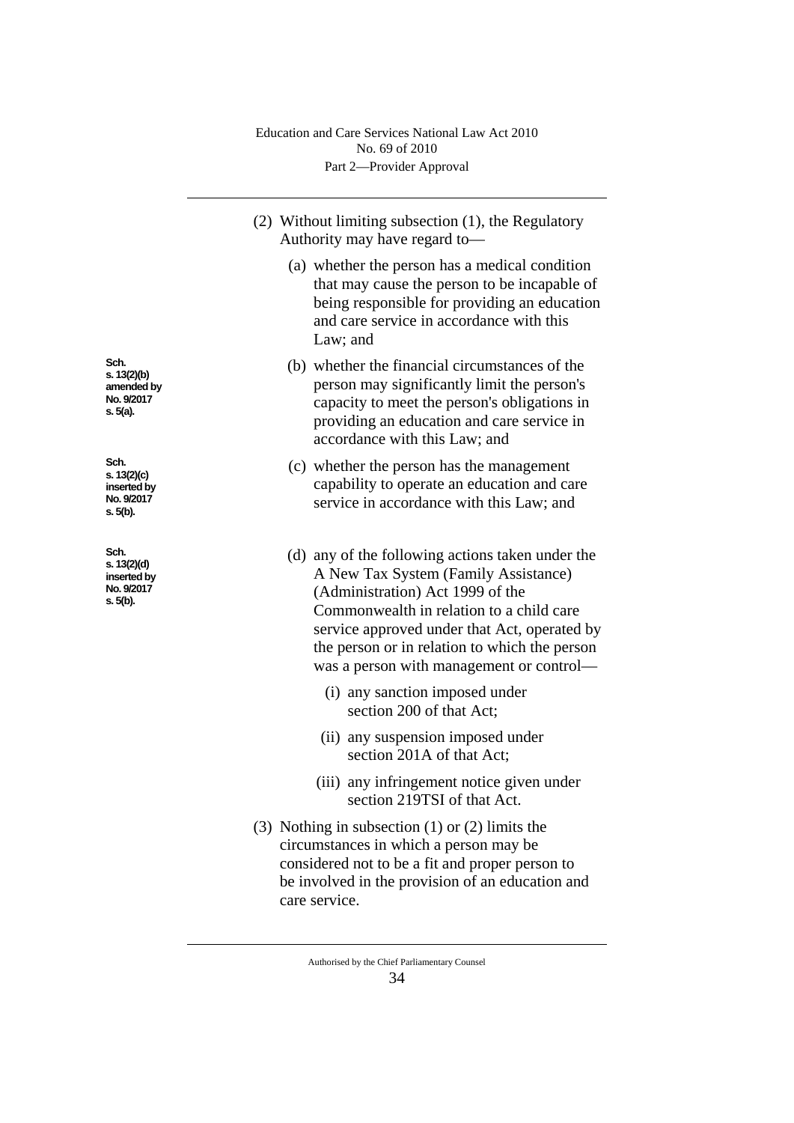- (2) Without limiting subsection (1), the Regulatory Authority may have regard to—
	- (a) whether the person has a medical condition that may cause the person to be incapable of being responsible for providing an education and care service in accordance with this Law; and
	- (b) whether the financial circumstances of the person may significantly limit the person's capacity to meet the person's obligations in providing an education and care service in accordance with this Law; and
	- (c) whether the person has the management capability to operate an education and care service in accordance with this Law; and
	- (d) any of the following actions taken under the A New Tax System (Family Assistance) (Administration) Act 1999 of the Commonwealth in relation to a child care service approved under that Act, operated by the person or in relation to which the person was a person with management or control—
		- (i) any sanction imposed under section 200 of that Act;
		- (ii) any suspension imposed under section 201A of that Act;
		- (iii) any infringement notice given under section 219TSI of that Act.
- (3) Nothing in subsection (1) or (2) limits the circumstances in which a person may be considered not to be a fit and proper person to be involved in the provision of an education and care service.

**Sch. s. 13(2)(b) amended by No. 9/2017 s. 5(a).**

**Sch. s. 13(2)(c) inserted by No. 9/2017 s. 5(b).**

**Sch. s. 13(2)(d) inserted by No. 9/2017 s. 5(b).**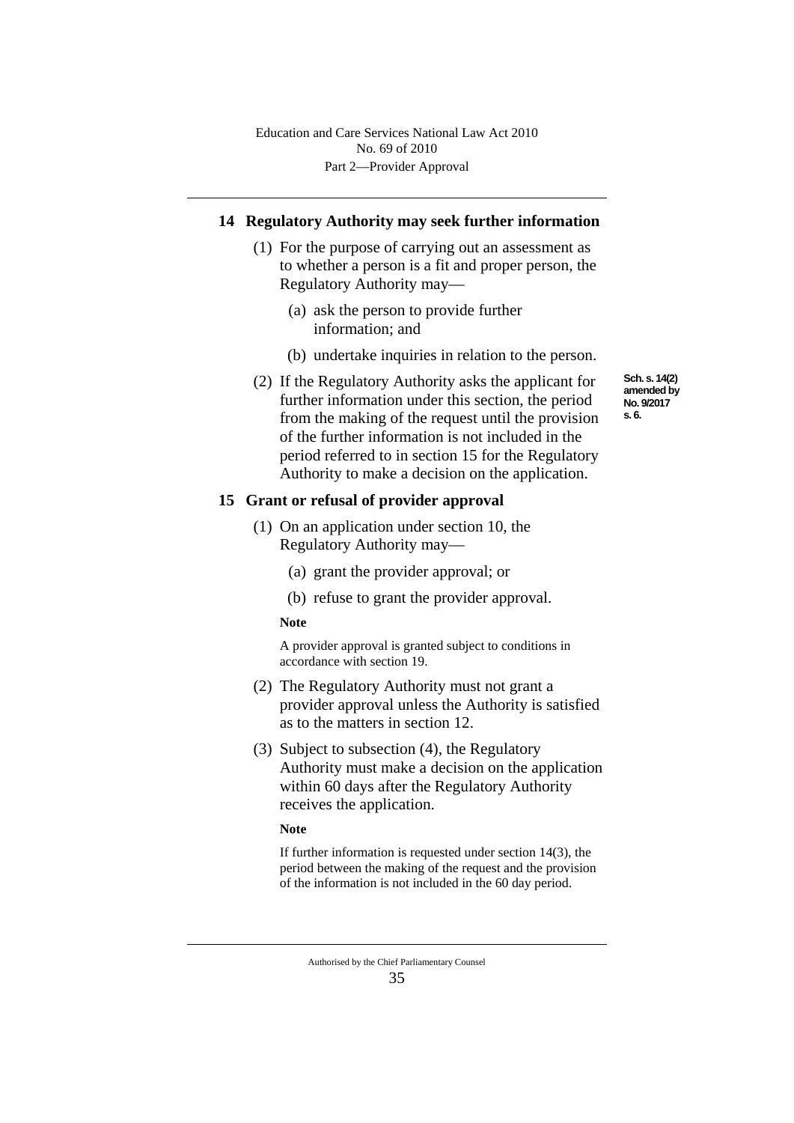## **14 Regulatory Authority may seek further information**

- (1) For the purpose of carrying out an assessment as to whether a person is a fit and proper person, the Regulatory Authority may—
	- (a) ask the person to provide further information; and
	- (b) undertake inquiries in relation to the person.
- (2) If the Regulatory Authority asks the applicant for further information under this section, the period from the making of the request until the provision of the further information is not included in the period referred to in section 15 for the Regulatory Authority to make a decision on the application.

#### **15 Grant or refusal of provider approval**

- (1) On an application under section 10, the Regulatory Authority may—
	- (a) grant the provider approval; or
	- (b) refuse to grant the provider approval.

#### **Note**

A provider approval is granted subject to conditions in accordance with section 19.

- (2) The Regulatory Authority must not grant a provider approval unless the Authority is satisfied as to the matters in section 12.
- (3) Subject to subsection (4), the Regulatory Authority must make a decision on the application within 60 days after the Regulatory Authority receives the application.

#### **Note**

If further information is requested under section 14(3), the period between the making of the request and the provision of the information is not included in the 60 day period.

**Sch. s. 14(2) amended by No. 9/2017 s. 6.**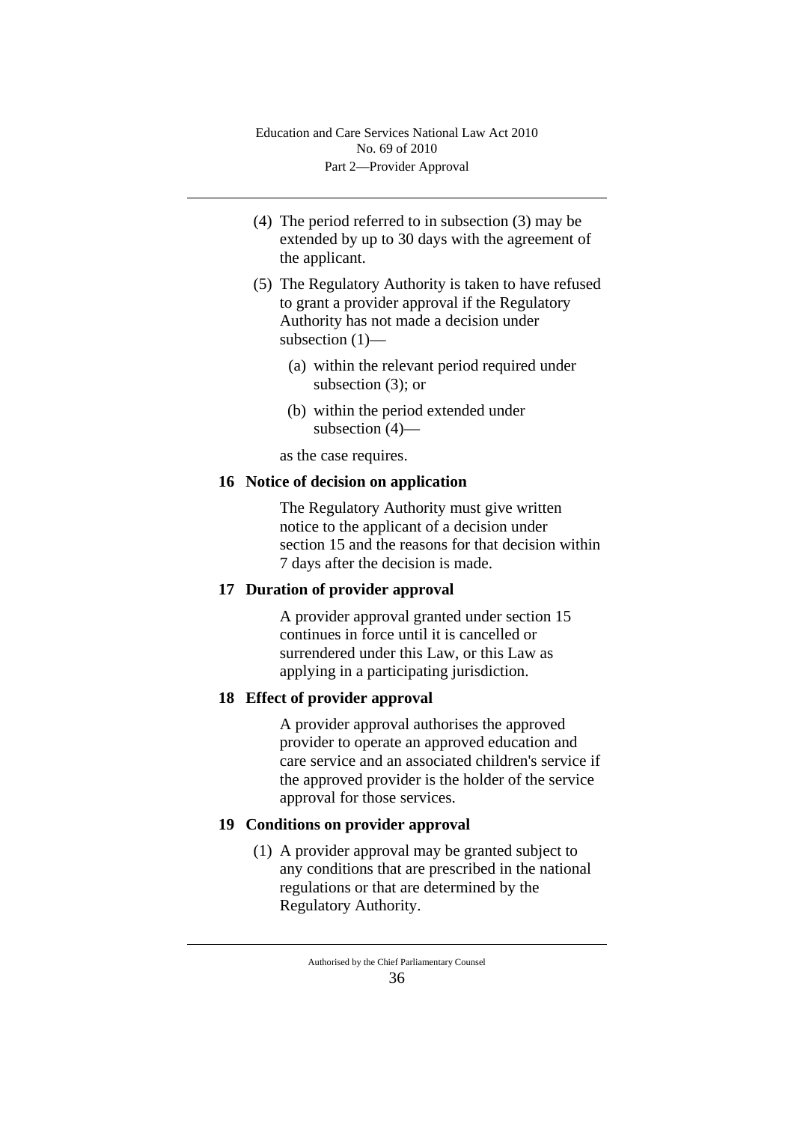- (4) The period referred to in subsection (3) may be extended by up to 30 days with the agreement of the applicant.
- (5) The Regulatory Authority is taken to have refused to grant a provider approval if the Regulatory Authority has not made a decision under subsection (1)—
	- (a) within the relevant period required under subsection (3); or
	- (b) within the period extended under subsection (4)—

as the case requires.

# **16 Notice of decision on application**

The Regulatory Authority must give written notice to the applicant of a decision under section 15 and the reasons for that decision within 7 days after the decision is made.

# **17 Duration of provider approval**

A provider approval granted under section 15 continues in force until it is cancelled or surrendered under this Law, or this Law as applying in a participating jurisdiction.

# **18 Effect of provider approval**

A provider approval authorises the approved provider to operate an approved education and care service and an associated children's service if the approved provider is the holder of the service approval for those services.

# **19 Conditions on provider approval**

(1) A provider approval may be granted subject to any conditions that are prescribed in the national regulations or that are determined by the Regulatory Authority.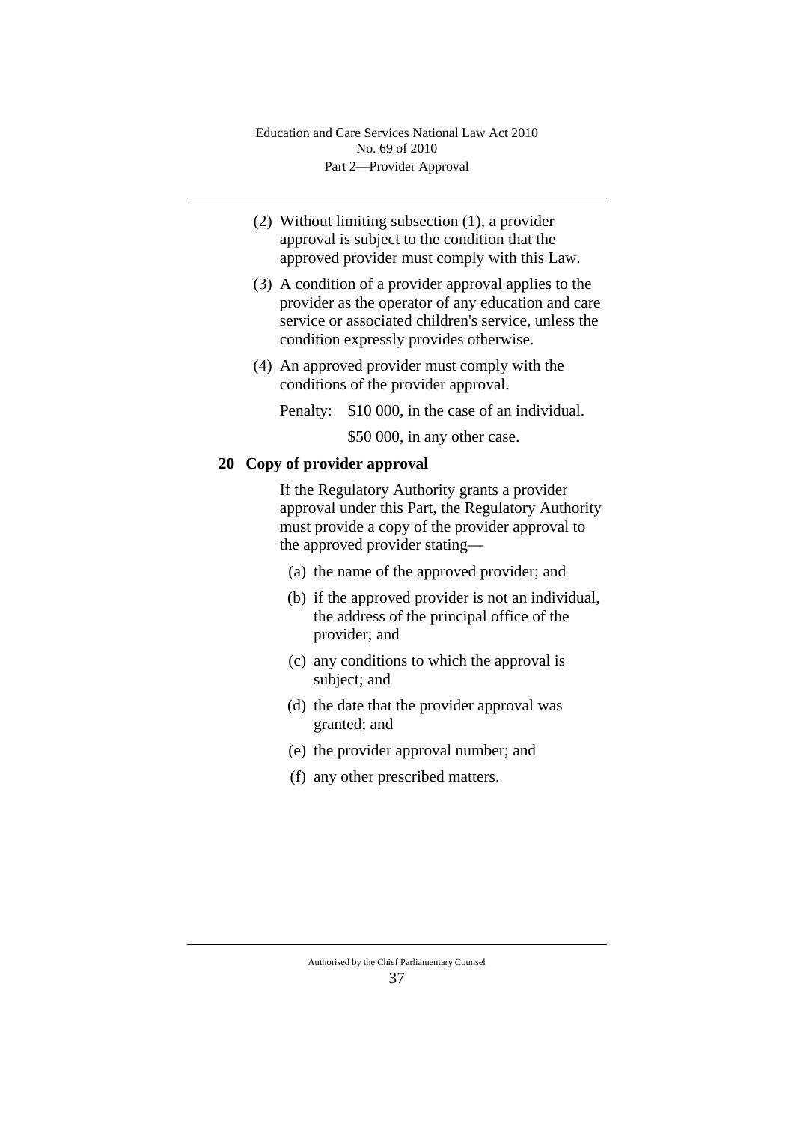- (2) Without limiting subsection (1), a provider approval is subject to the condition that the approved provider must comply with this Law.
- (3) A condition of a provider approval applies to the provider as the operator of any education and care service or associated children's service, unless the condition expressly provides otherwise.
- (4) An approved provider must comply with the conditions of the provider approval.

Penalty: \$10 000, in the case of an individual.

\$50 000, in any other case.

# **20 Copy of provider approval**

If the Regulatory Authority grants a provider approval under this Part, the Regulatory Authority must provide a copy of the provider approval to the approved provider stating—

- (a) the name of the approved provider; and
- (b) if the approved provider is not an individual, the address of the principal office of the provider; and
- (c) any conditions to which the approval is subject; and
- (d) the date that the provider approval was granted; and
- (e) the provider approval number; and
- (f) any other prescribed matters.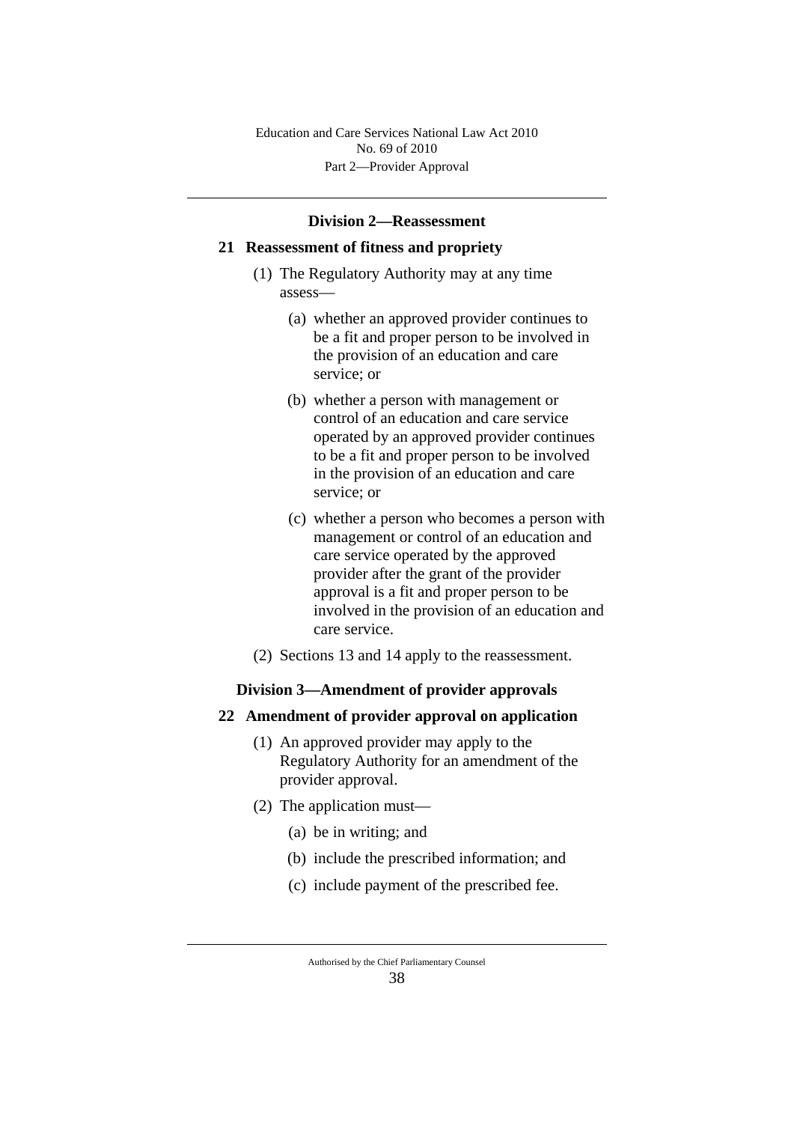#### **Division 2—Reassessment**

#### **21 Reassessment of fitness and propriety**

- (1) The Regulatory Authority may at any time assess—
	- (a) whether an approved provider continues to be a fit and proper person to be involved in the provision of an education and care service; or
	- (b) whether a person with management or control of an education and care service operated by an approved provider continues to be a fit and proper person to be involved in the provision of an education and care service; or
	- (c) whether a person who becomes a person with management or control of an education and care service operated by the approved provider after the grant of the provider approval is a fit and proper person to be involved in the provision of an education and care service.
- (2) Sections 13 and 14 apply to the reassessment.

#### **Division 3—Amendment of provider approvals**

#### **22 Amendment of provider approval on application**

- (1) An approved provider may apply to the Regulatory Authority for an amendment of the provider approval.
- (2) The application must—
	- (a) be in writing; and
	- (b) include the prescribed information; and
	- (c) include payment of the prescribed fee.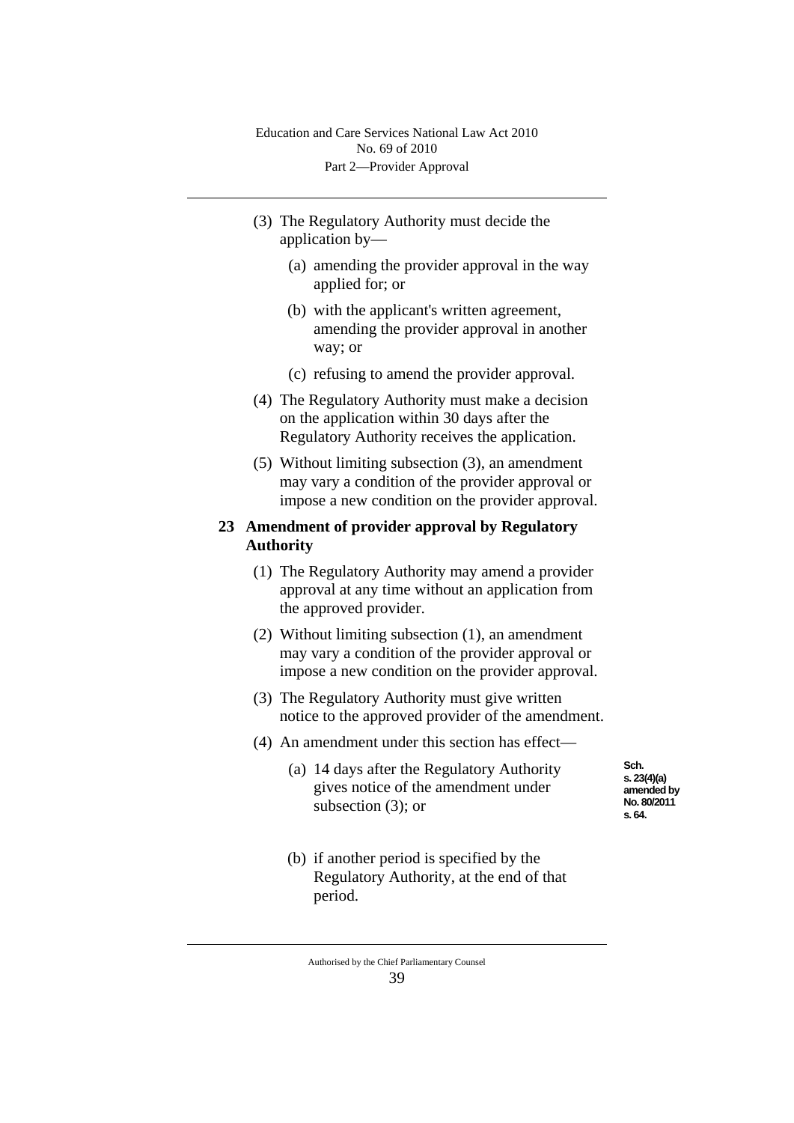- (3) The Regulatory Authority must decide the application by—
	- (a) amending the provider approval in the way applied for; or
	- (b) with the applicant's written agreement, amending the provider approval in another way; or
	- (c) refusing to amend the provider approval.
- (4) The Regulatory Authority must make a decision on the application within 30 days after the Regulatory Authority receives the application.
- (5) Without limiting subsection (3), an amendment may vary a condition of the provider approval or impose a new condition on the provider approval.

#### **23 Amendment of provider approval by Regulatory Authority**

- (1) The Regulatory Authority may amend a provider approval at any time without an application from the approved provider.
- (2) Without limiting subsection (1), an amendment may vary a condition of the provider approval or impose a new condition on the provider approval.
- (3) The Regulatory Authority must give written notice to the approved provider of the amendment.
- (4) An amendment under this section has effect—
	- (a) 14 days after the Regulatory Authority gives notice of the amendment under subsection (3); or

**Sch. s. 23(4)(a) amended by No. 80/2011 s. 64.**

(b) if another period is specified by the Regulatory Authority, at the end of that period.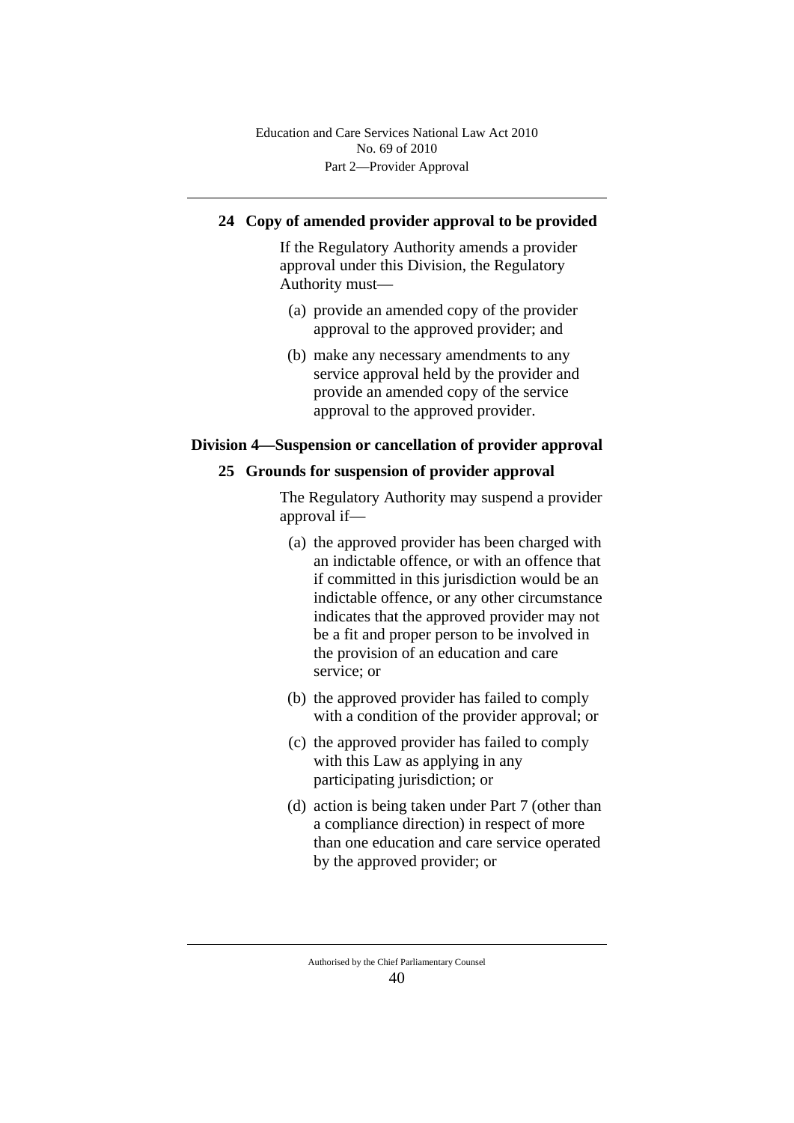# **24 Copy of amended provider approval to be provided**

If the Regulatory Authority amends a provider approval under this Division, the Regulatory Authority must—

- (a) provide an amended copy of the provider approval to the approved provider; and
- (b) make any necessary amendments to any service approval held by the provider and provide an amended copy of the service approval to the approved provider.

## **Division 4—Suspension or cancellation of provider approval**

## **25 Grounds for suspension of provider approval**

The Regulatory Authority may suspend a provider approval if—

- (a) the approved provider has been charged with an indictable offence, or with an offence that if committed in this jurisdiction would be an indictable offence, or any other circumstance indicates that the approved provider may not be a fit and proper person to be involved in the provision of an education and care service; or
- (b) the approved provider has failed to comply with a condition of the provider approval; or
- (c) the approved provider has failed to comply with this Law as applying in any participating jurisdiction; or
- (d) action is being taken under Part 7 (other than a compliance direction) in respect of more than one education and care service operated by the approved provider; or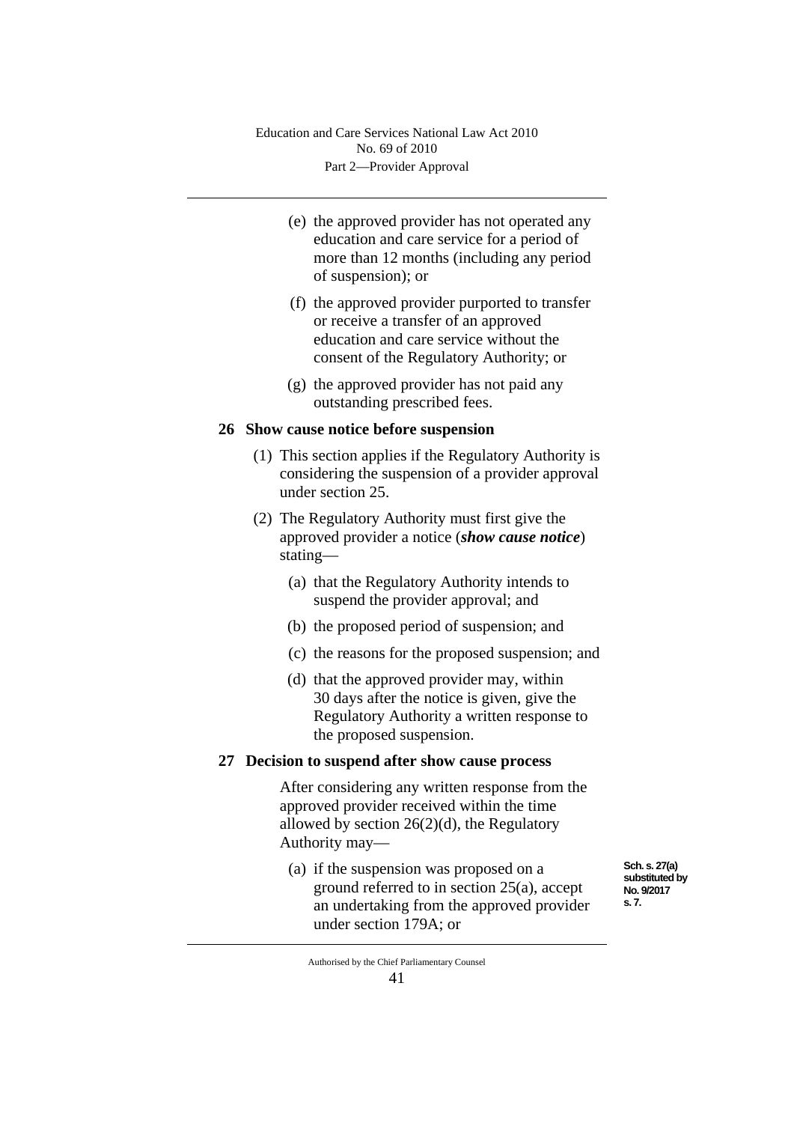- (e) the approved provider has not operated any education and care service for a period of more than 12 months (including any period of suspension); or
- (f) the approved provider purported to transfer or receive a transfer of an approved education and care service without the consent of the Regulatory Authority; or
- (g) the approved provider has not paid any outstanding prescribed fees.

## **26 Show cause notice before suspension**

- (1) This section applies if the Regulatory Authority is considering the suspension of a provider approval under section 25.
- (2) The Regulatory Authority must first give the approved provider a notice (*show cause notice*) stating—
	- (a) that the Regulatory Authority intends to suspend the provider approval; and
	- (b) the proposed period of suspension; and
	- (c) the reasons for the proposed suspension; and
	- (d) that the approved provider may, within 30 days after the notice is given, give the Regulatory Authority a written response to the proposed suspension.

## **27 Decision to suspend after show cause process**

After considering any written response from the approved provider received within the time allowed by section  $26(2)(d)$ , the Regulatory Authority may—

(a) if the suspension was proposed on a ground referred to in section 25(a), accept an undertaking from the approved provider under section 179A; or

**Sch. s. 27(a) substituted by No. 9/2017 s. 7.**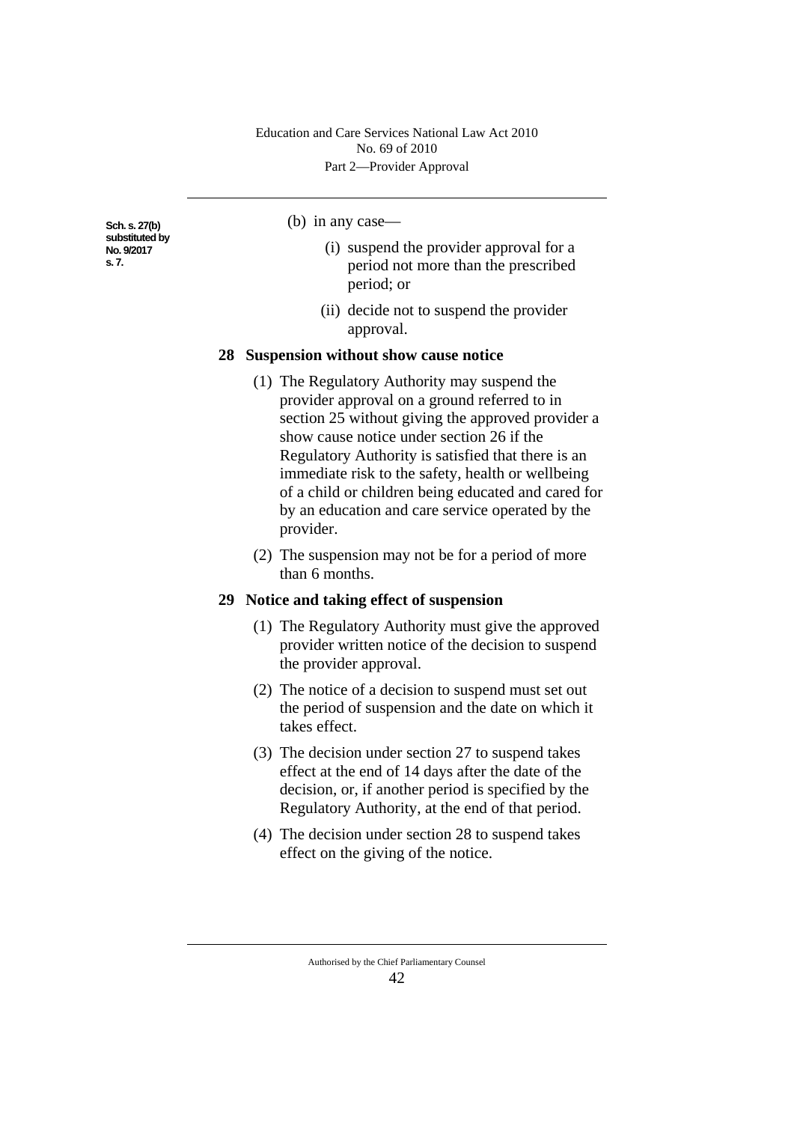**Sch. s. 27(b) substituted by No. 9/2017 s. 7.**

#### (b) in any case—

- (i) suspend the provider approval for a period not more than the prescribed period; or
- (ii) decide not to suspend the provider approval.

#### **28 Suspension without show cause notice**

- (1) The Regulatory Authority may suspend the provider approval on a ground referred to in section 25 without giving the approved provider a show cause notice under section 26 if the Regulatory Authority is satisfied that there is an immediate risk to the safety, health or wellbeing of a child or children being educated and cared for by an education and care service operated by the provider.
- (2) The suspension may not be for a period of more than 6 months.

## **29 Notice and taking effect of suspension**

- (1) The Regulatory Authority must give the approved provider written notice of the decision to suspend the provider approval.
- (2) The notice of a decision to suspend must set out the period of suspension and the date on which it takes effect.
- (3) The decision under section 27 to suspend takes effect at the end of 14 days after the date of the decision, or, if another period is specified by the Regulatory Authority, at the end of that period.
- (4) The decision under section 28 to suspend takes effect on the giving of the notice.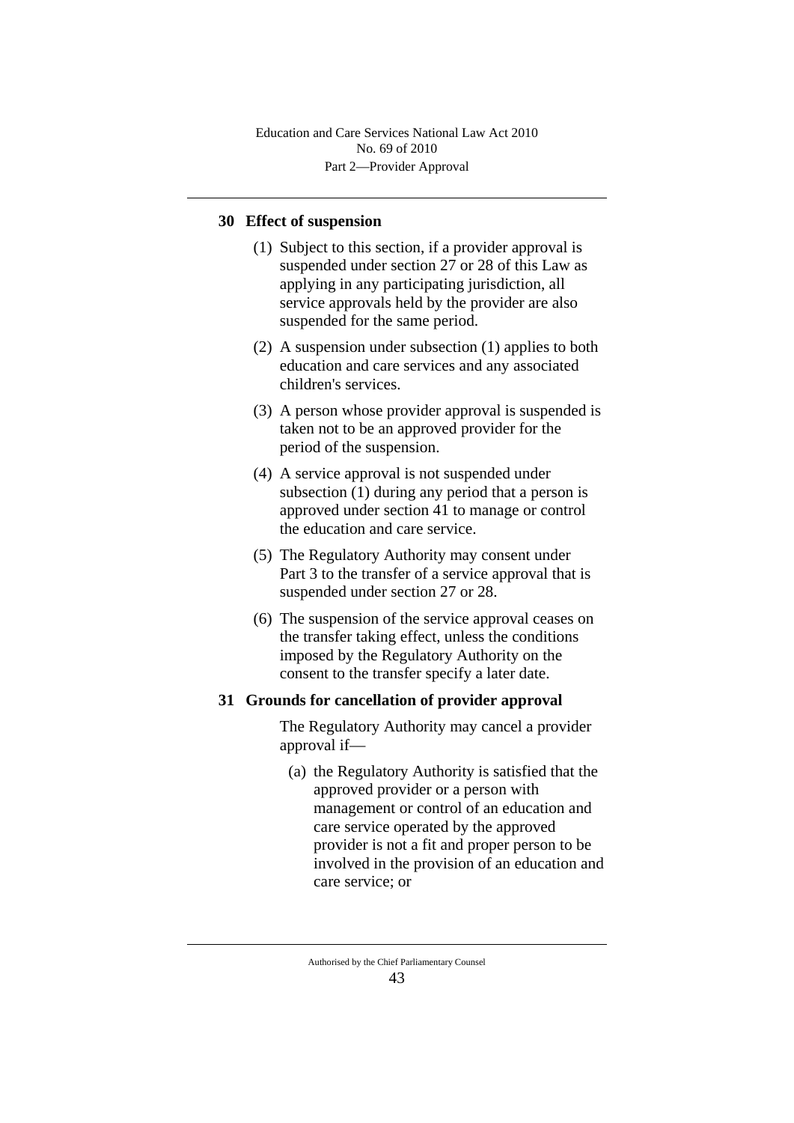# **30 Effect of suspension**

- (1) Subject to this section, if a provider approval is suspended under section 27 or 28 of this Law as applying in any participating jurisdiction, all service approvals held by the provider are also suspended for the same period.
- (2) A suspension under subsection (1) applies to both education and care services and any associated children's services.
- (3) A person whose provider approval is suspended is taken not to be an approved provider for the period of the suspension.
- (4) A service approval is not suspended under subsection (1) during any period that a person is approved under section 41 to manage or control the education and care service.
- (5) The Regulatory Authority may consent under Part 3 to the transfer of a service approval that is suspended under section 27 or 28.
- (6) The suspension of the service approval ceases on the transfer taking effect, unless the conditions imposed by the Regulatory Authority on the consent to the transfer specify a later date.

## **31 Grounds for cancellation of provider approval**

The Regulatory Authority may cancel a provider approval if—

(a) the Regulatory Authority is satisfied that the approved provider or a person with management or control of an education and care service operated by the approved provider is not a fit and proper person to be involved in the provision of an education and care service; or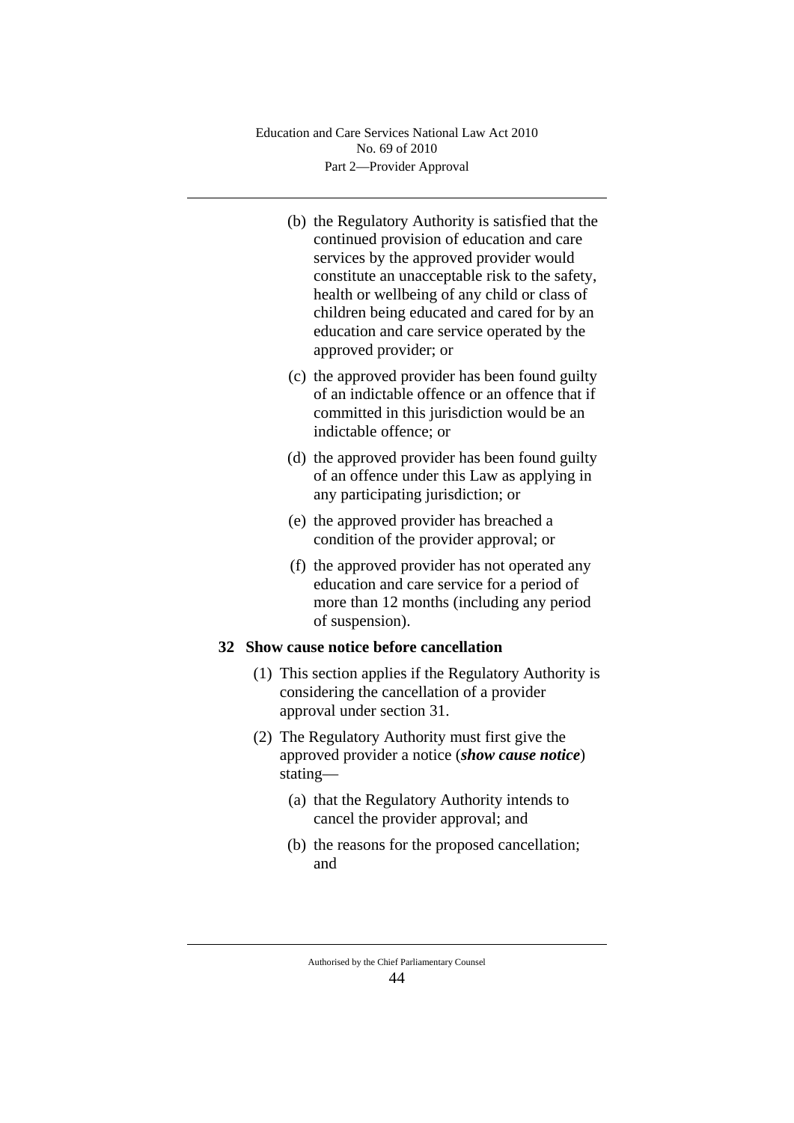- (b) the Regulatory Authority is satisfied that the continued provision of education and care services by the approved provider would constitute an unacceptable risk to the safety, health or wellbeing of any child or class of children being educated and cared for by an education and care service operated by the approved provider; or
- (c) the approved provider has been found guilty of an indictable offence or an offence that if committed in this jurisdiction would be an indictable offence; or
- (d) the approved provider has been found guilty of an offence under this Law as applying in any participating jurisdiction; or
- (e) the approved provider has breached a condition of the provider approval; or
- (f) the approved provider has not operated any education and care service for a period of more than 12 months (including any period of suspension).

# **32 Show cause notice before cancellation**

- (1) This section applies if the Regulatory Authority is considering the cancellation of a provider approval under section 31.
- (2) The Regulatory Authority must first give the approved provider a notice (*show cause notice*) stating—
	- (a) that the Regulatory Authority intends to cancel the provider approval; and
	- (b) the reasons for the proposed cancellation; and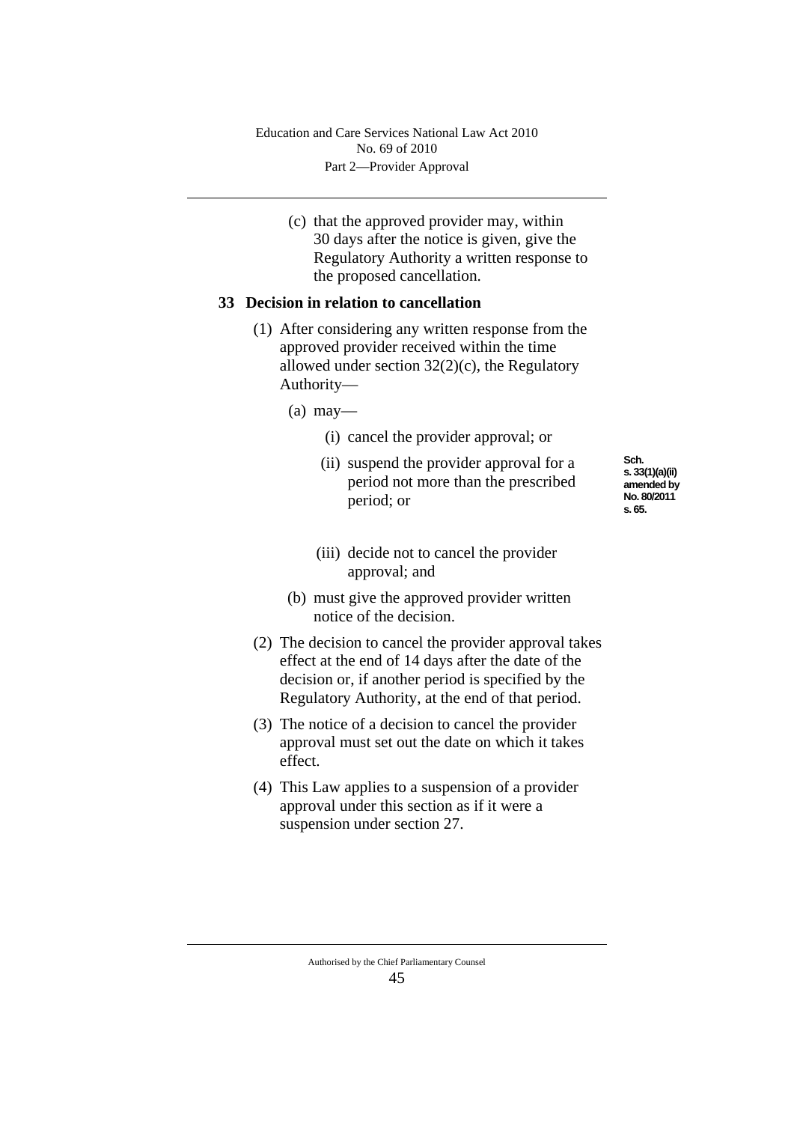(c) that the approved provider may, within 30 days after the notice is given, give the Regulatory Authority a written response to the proposed cancellation.

## **33 Decision in relation to cancellation**

- (1) After considering any written response from the approved provider received within the time allowed under section 32(2)(c), the Regulatory Authority—
	- $(a)$  may—
		- (i) cancel the provider approval; or
		- (ii) suspend the provider approval for a period not more than the prescribed period; or
- **Sch. s. 33(1)(a)(ii) amended by No. 80/2011 s. 65.**
- (iii) decide not to cancel the provider approval; and
- (b) must give the approved provider written notice of the decision.
- (2) The decision to cancel the provider approval takes effect at the end of 14 days after the date of the decision or, if another period is specified by the Regulatory Authority, at the end of that period.
- (3) The notice of a decision to cancel the provider approval must set out the date on which it takes effect.
- (4) This Law applies to a suspension of a provider approval under this section as if it were a suspension under section 27.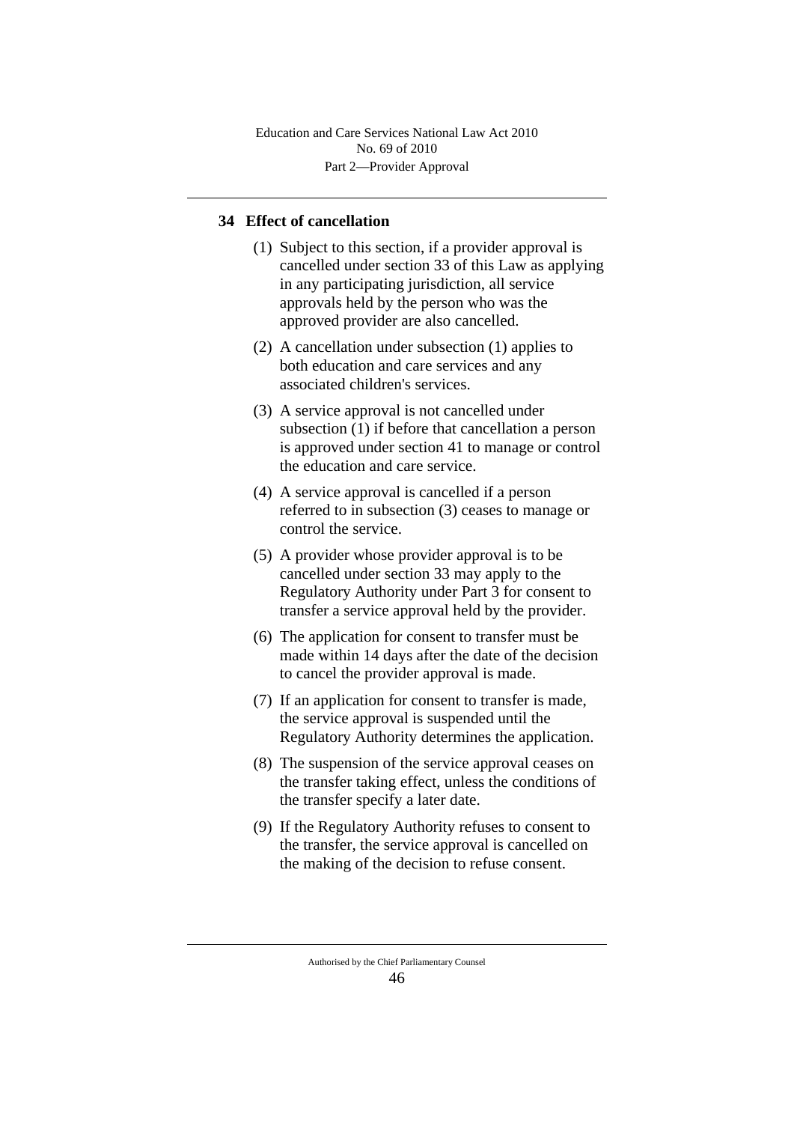# **34 Effect of cancellation**

- (1) Subject to this section, if a provider approval is cancelled under section 33 of this Law as applying in any participating jurisdiction, all service approvals held by the person who was the approved provider are also cancelled.
- (2) A cancellation under subsection (1) applies to both education and care services and any associated children's services.
- (3) A service approval is not cancelled under subsection (1) if before that cancellation a person is approved under section 41 to manage or control the education and care service.
- (4) A service approval is cancelled if a person referred to in subsection (3) ceases to manage or control the service.
- (5) A provider whose provider approval is to be cancelled under section 33 may apply to the Regulatory Authority under Part 3 for consent to transfer a service approval held by the provider.
- (6) The application for consent to transfer must be made within 14 days after the date of the decision to cancel the provider approval is made.
- (7) If an application for consent to transfer is made, the service approval is suspended until the Regulatory Authority determines the application.
- (8) The suspension of the service approval ceases on the transfer taking effect, unless the conditions of the transfer specify a later date.
- (9) If the Regulatory Authority refuses to consent to the transfer, the service approval is cancelled on the making of the decision to refuse consent.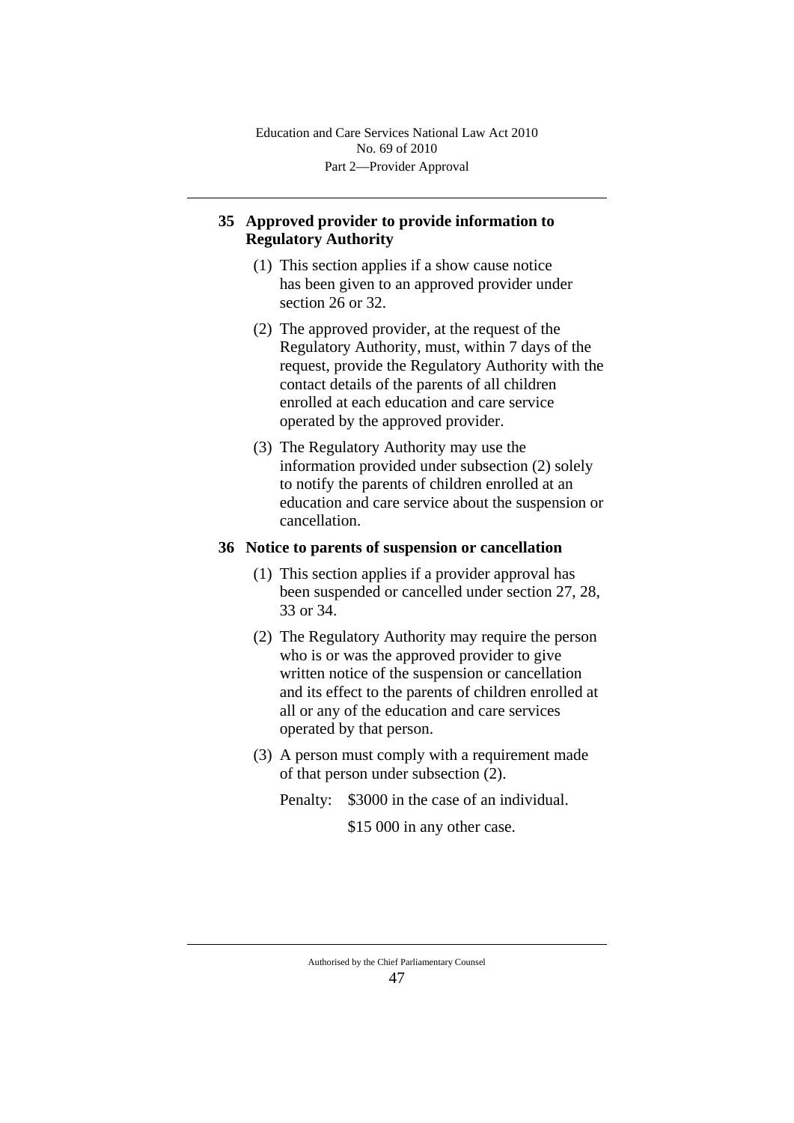# **35 Approved provider to provide information to Regulatory Authority**

- (1) This section applies if a show cause notice has been given to an approved provider under section 26 or 32.
- (2) The approved provider, at the request of the Regulatory Authority, must, within 7 days of the request, provide the Regulatory Authority with the contact details of the parents of all children enrolled at each education and care service operated by the approved provider.
- (3) The Regulatory Authority may use the information provided under subsection (2) solely to notify the parents of children enrolled at an education and care service about the suspension or cancellation.

### **36 Notice to parents of suspension or cancellation**

- (1) This section applies if a provider approval has been suspended or cancelled under section 27, 28, 33 or 34.
- (2) The Regulatory Authority may require the person who is or was the approved provider to give written notice of the suspension or cancellation and its effect to the parents of children enrolled at all or any of the education and care services operated by that person.
- (3) A person must comply with a requirement made of that person under subsection (2).
	- Penalty: \$3000 in the case of an individual.

\$15 000 in any other case.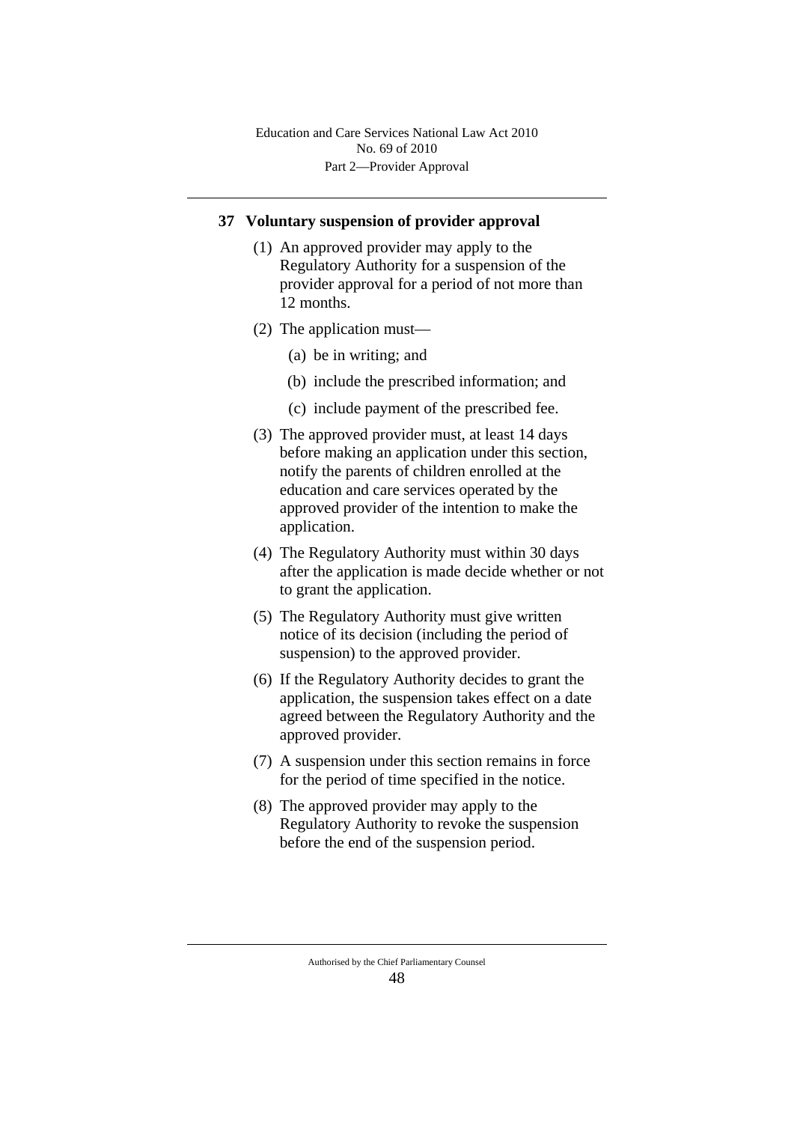#### **37 Voluntary suspension of provider approval**

- (1) An approved provider may apply to the Regulatory Authority for a suspension of the provider approval for a period of not more than 12 months.
- (2) The application must—
	- (a) be in writing; and
	- (b) include the prescribed information; and
	- (c) include payment of the prescribed fee.
- (3) The approved provider must, at least 14 days before making an application under this section, notify the parents of children enrolled at the education and care services operated by the approved provider of the intention to make the application.
- (4) The Regulatory Authority must within 30 days after the application is made decide whether or not to grant the application.
- (5) The Regulatory Authority must give written notice of its decision (including the period of suspension) to the approved provider.
- (6) If the Regulatory Authority decides to grant the application, the suspension takes effect on a date agreed between the Regulatory Authority and the approved provider.
- (7) A suspension under this section remains in force for the period of time specified in the notice.
- (8) The approved provider may apply to the Regulatory Authority to revoke the suspension before the end of the suspension period.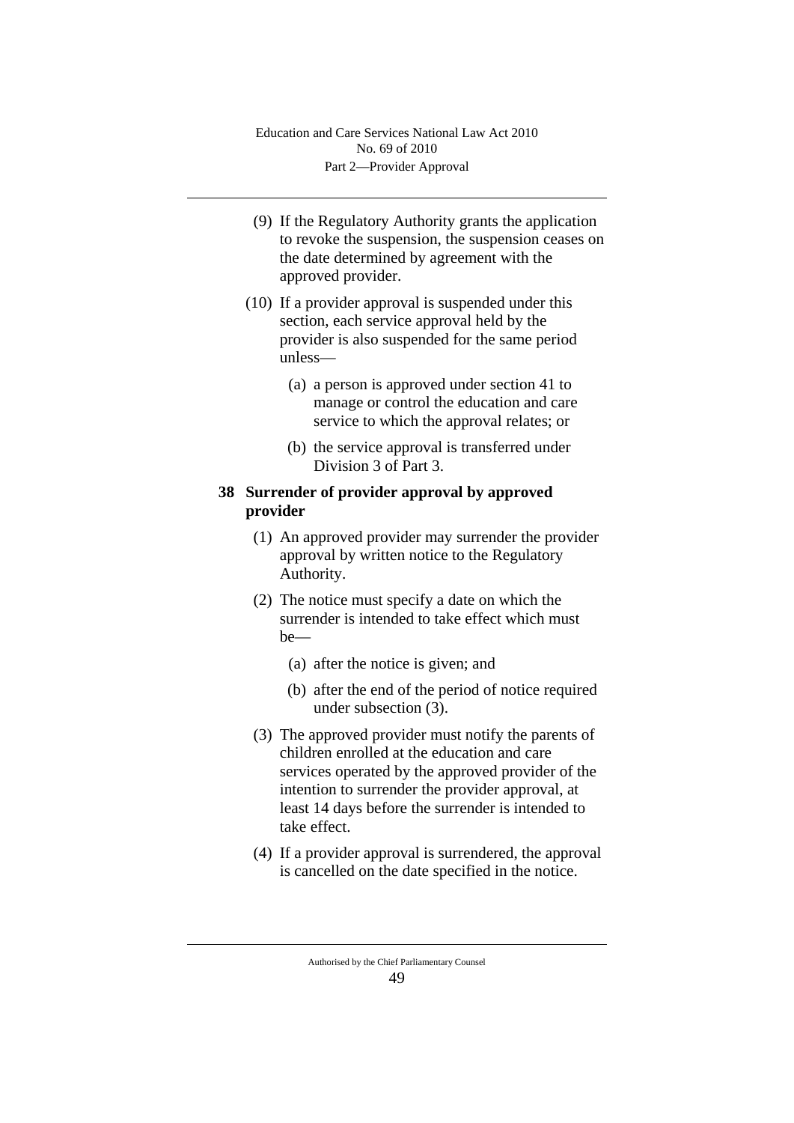- (9) If the Regulatory Authority grants the application to revoke the suspension, the suspension ceases on the date determined by agreement with the approved provider.
- (10) If a provider approval is suspended under this section, each service approval held by the provider is also suspended for the same period unless—
	- (a) a person is approved under section 41 to manage or control the education and care service to which the approval relates; or
	- (b) the service approval is transferred under Division 3 of Part 3.

# **38 Surrender of provider approval by approved provider**

- (1) An approved provider may surrender the provider approval by written notice to the Regulatory Authority.
- (2) The notice must specify a date on which the surrender is intended to take effect which must be—
	- (a) after the notice is given; and
	- (b) after the end of the period of notice required under subsection (3).
- (3) The approved provider must notify the parents of children enrolled at the education and care services operated by the approved provider of the intention to surrender the provider approval, at least 14 days before the surrender is intended to take effect.
- (4) If a provider approval is surrendered, the approval is cancelled on the date specified in the notice.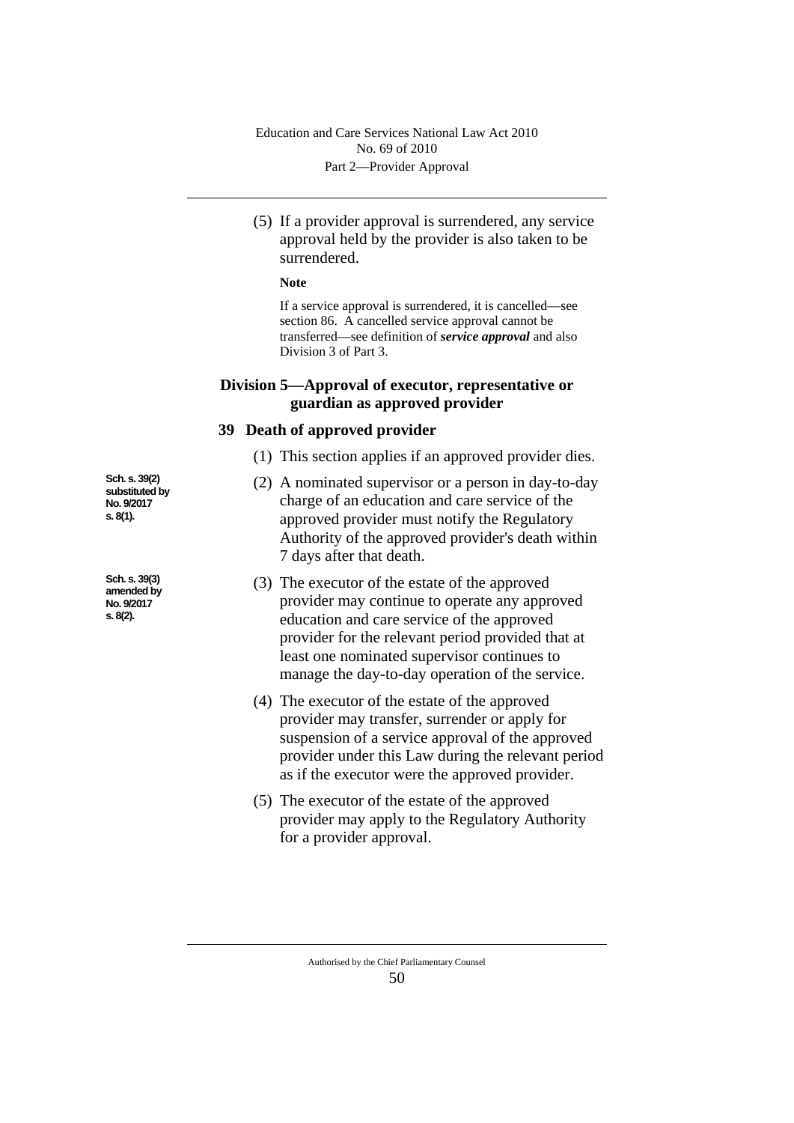(5) If a provider approval is surrendered, any service approval held by the provider is also taken to be surrendered.

#### **Note**

If a service approval is surrendered, it is cancelled—see section 86. A cancelled service approval cannot be transferred—see definition of *service approval* and also Division 3 of Part 3.

# **Division 5—Approval of executor, representative or guardian as approved provider**

#### **39 Death of approved provider**

- (1) This section applies if an approved provider dies.
- (2) A nominated supervisor or a person in day-to-day charge of an education and care service of the approved provider must notify the Regulatory Authority of the approved provider's death within 7 days after that death.
- (3) The executor of the estate of the approved provider may continue to operate any approved education and care service of the approved provider for the relevant period provided that at least one nominated supervisor continues to manage the day-to-day operation of the service.
- (4) The executor of the estate of the approved provider may transfer, surrender or apply for suspension of a service approval of the approved provider under this Law during the relevant period as if the executor were the approved provider.
- (5) The executor of the estate of the approved provider may apply to the Regulatory Authority for a provider approval.

**Sch. s. 39(2) substituted by No. 9/2017 s. 8(1).**

**Sch. s. 39(3) amended by No. 9/2017 s. 8(2).**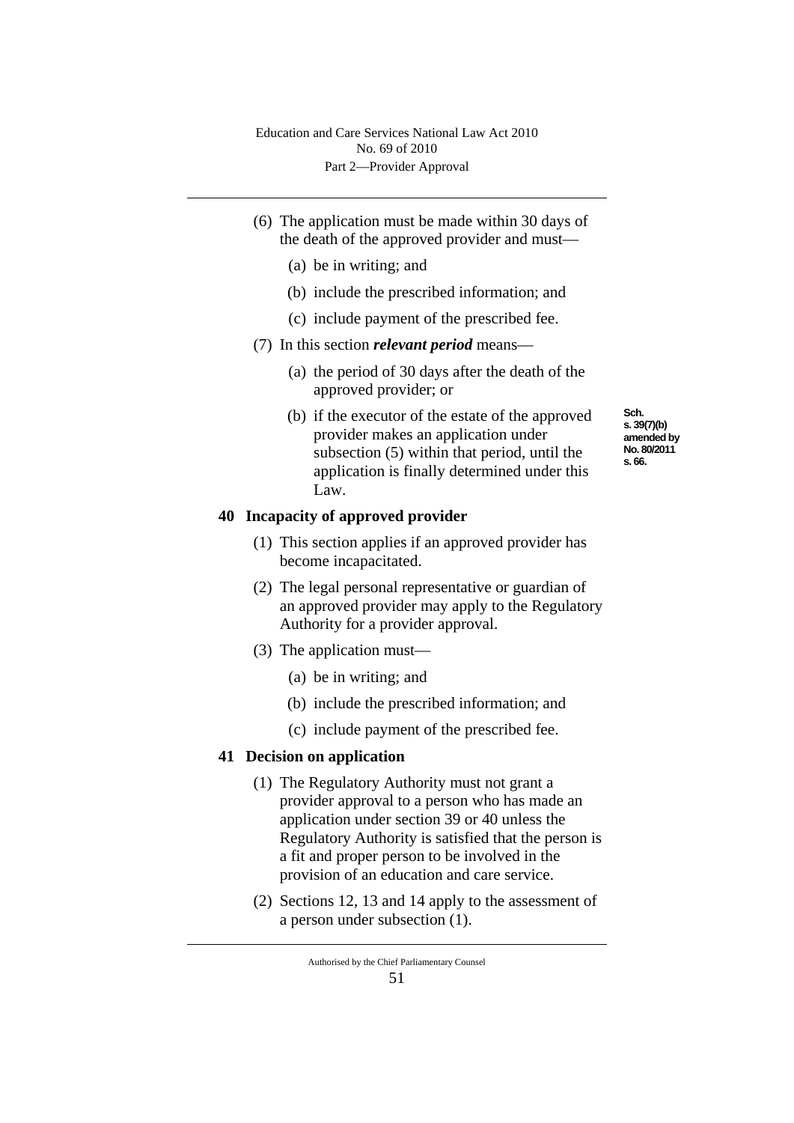- (6) The application must be made within 30 days of the death of the approved provider and must—
	- (a) be in writing; and
	- (b) include the prescribed information; and
	- (c) include payment of the prescribed fee.
- (7) In this section *relevant period* means—
	- (a) the period of 30 days after the death of the approved provider; or
	- (b) if the executor of the estate of the approved provider makes an application under subsection (5) within that period, until the application is finally determined under this Law.

#### **40 Incapacity of approved provider**

- (1) This section applies if an approved provider has become incapacitated.
- (2) The legal personal representative or guardian of an approved provider may apply to the Regulatory Authority for a provider approval.
- (3) The application must—
	- (a) be in writing; and
	- (b) include the prescribed information; and
	- (c) include payment of the prescribed fee.

#### **41 Decision on application**

- (1) The Regulatory Authority must not grant a provider approval to a person who has made an application under section 39 or 40 unless the Regulatory Authority is satisfied that the person is a fit and proper person to be involved in the provision of an education and care service.
- (2) Sections 12, 13 and 14 apply to the assessment of a person under subsection (1).

**Sch. s. 39(7)(b) amended by No. 80/2011 s. 66.**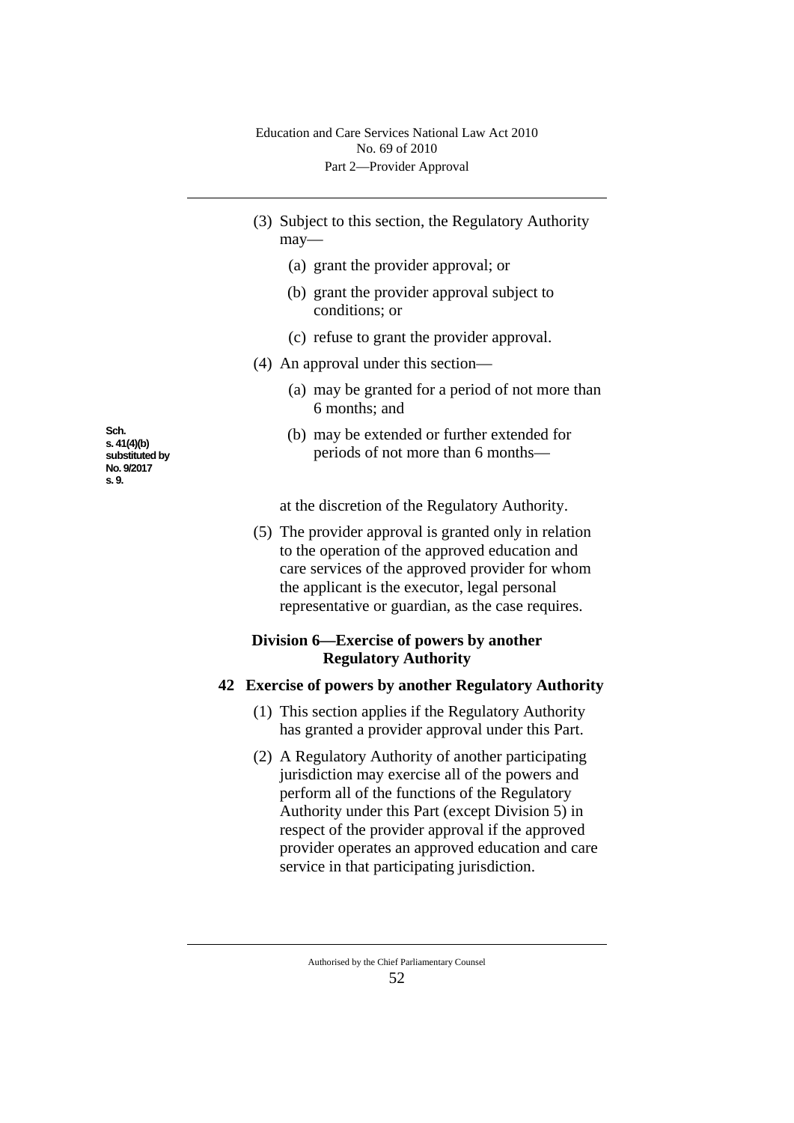- (3) Subject to this section, the Regulatory Authority may—
	- (a) grant the provider approval; or
	- (b) grant the provider approval subject to conditions; or
	- (c) refuse to grant the provider approval.
- (4) An approval under this section—
	- (a) may be granted for a period of not more than 6 months; and
	- (b) may be extended or further extended for periods of not more than 6 months—

at the discretion of the Regulatory Authority.

(5) The provider approval is granted only in relation to the operation of the approved education and care services of the approved provider for whom the applicant is the executor, legal personal representative or guardian, as the case requires.

# **Division 6—Exercise of powers by another Regulatory Authority**

## **42 Exercise of powers by another Regulatory Authority**

- (1) This section applies if the Regulatory Authority has granted a provider approval under this Part.
- (2) A Regulatory Authority of another participating jurisdiction may exercise all of the powers and perform all of the functions of the Regulatory Authority under this Part (except Division 5) in respect of the provider approval if the approved provider operates an approved education and care service in that participating jurisdiction.

**Sch. s. 41(4)(b) substituted by No. 9/2017 s. 9.**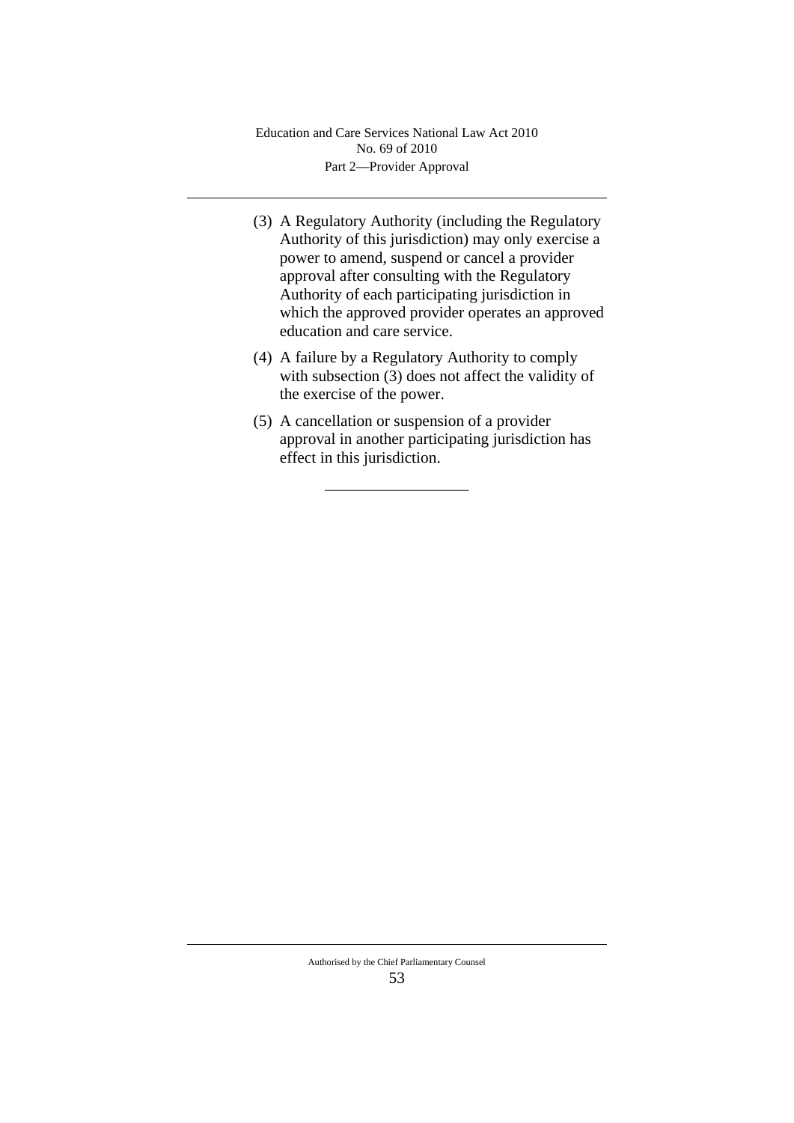- (3) A Regulatory Authority (including the Regulatory Authority of this jurisdiction) may only exercise a power to amend, suspend or cancel a provider approval after consulting with the Regulatory Authority of each participating jurisdiction in which the approved provider operates an approved education and care service.
- (4) A failure by a Regulatory Authority to comply with subsection (3) does not affect the validity of the exercise of the power.
- (5) A cancellation or suspension of a provider approval in another participating jurisdiction has effect in this jurisdiction.

\_\_\_\_\_\_\_\_\_\_\_\_\_\_\_\_\_\_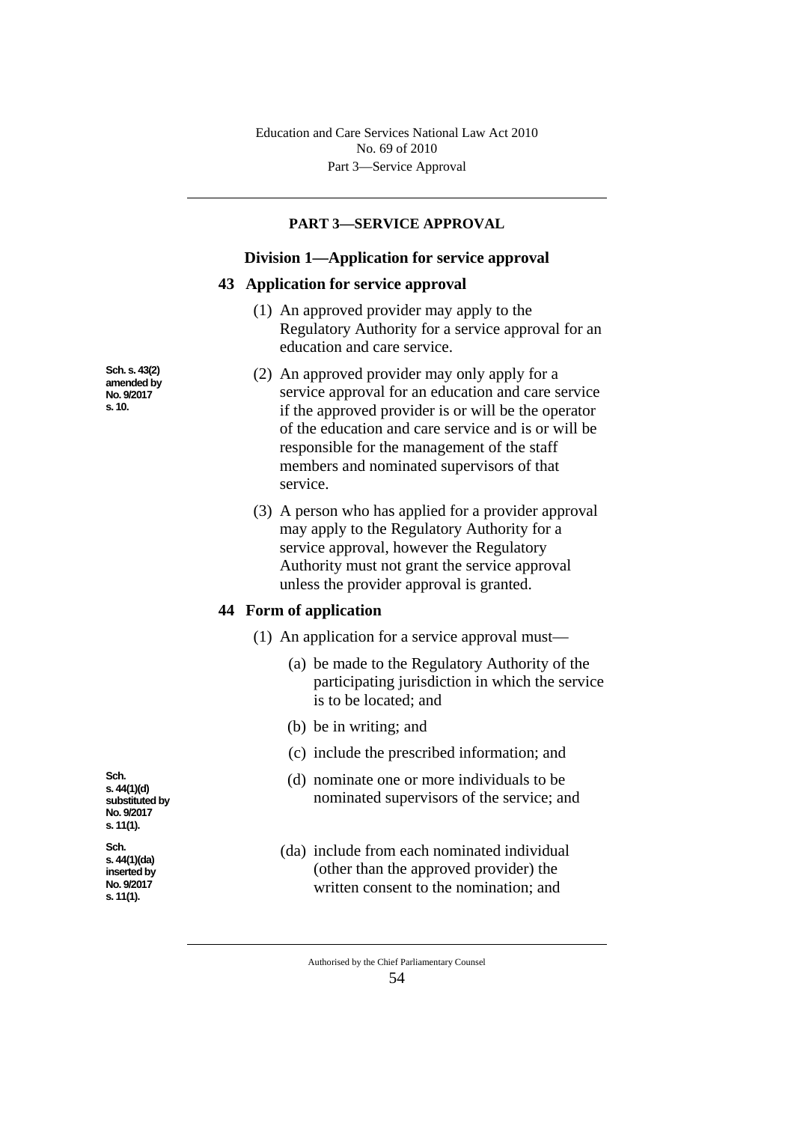### **PART 3—SERVICE APPROVAL**

#### **Division 1—Application for service approval**

#### **43 Application for service approval**

- (1) An approved provider may apply to the Regulatory Authority for a service approval for an education and care service.
- (2) An approved provider may only apply for a service approval for an education and care service if the approved provider is or will be the operator of the education and care service and is or will be responsible for the management of the staff members and nominated supervisors of that service.
- (3) A person who has applied for a provider approval may apply to the Regulatory Authority for a service approval, however the Regulatory Authority must not grant the service approval unless the provider approval is granted.

#### **44 Form of application**

- (1) An application for a service approval must—
	- (a) be made to the Regulatory Authority of the participating jurisdiction in which the service is to be located; and
	- (b) be in writing; and
	- (c) include the prescribed information; and
	- (d) nominate one or more individuals to be nominated supervisors of the service; and
	- (da) include from each nominated individual (other than the approved provider) the written consent to the nomination; and

54

**Sch. s. 44(1)(d) substituted by No. 9/2017 s. 11(1).**

**Sch. s. 43(2) amended by No. 9/2017 s. 10.**

**Sch. s. 44(1)(da) inserted by No. 9/2017 s. 11(1).**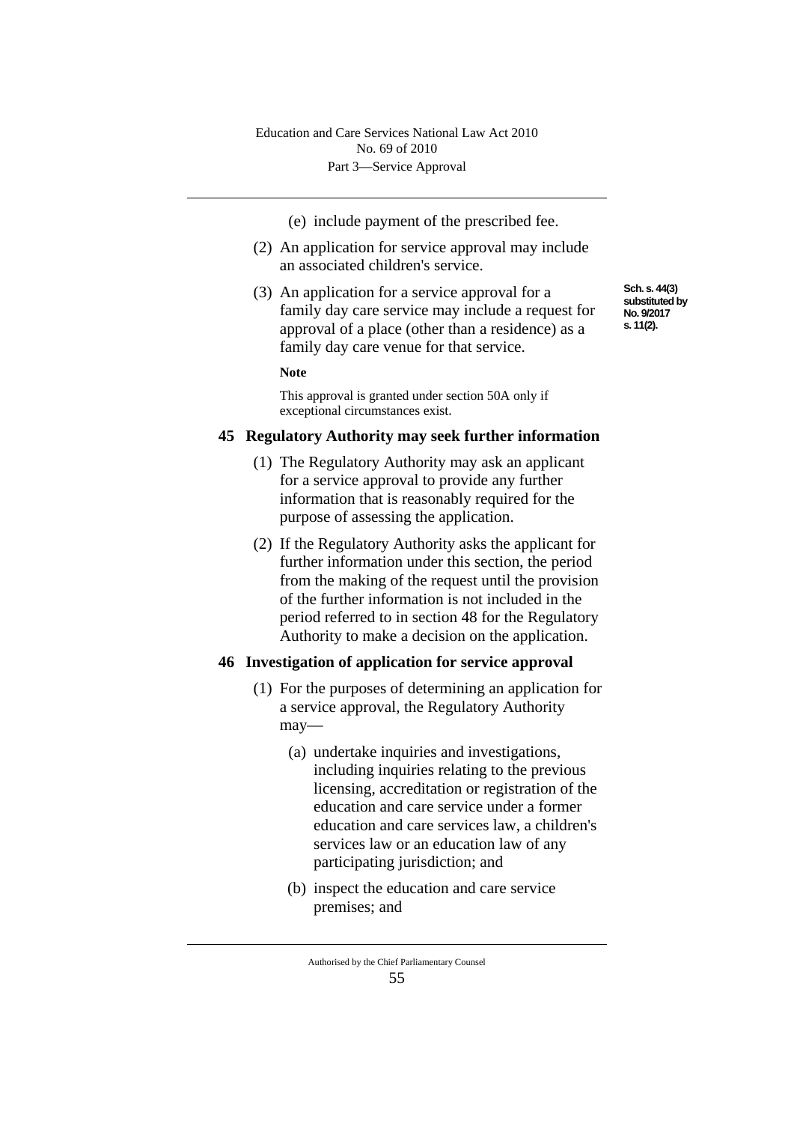- (e) include payment of the prescribed fee.
- (2) An application for service approval may include an associated children's service.
- (3) An application for a service approval for a family day care service may include a request for approval of a place (other than a residence) as a family day care venue for that service.

**Note**

This approval is granted under section 50A only if exceptional circumstances exist.

## **45 Regulatory Authority may seek further information**

- (1) The Regulatory Authority may ask an applicant for a service approval to provide any further information that is reasonably required for the purpose of assessing the application.
- (2) If the Regulatory Authority asks the applicant for further information under this section, the period from the making of the request until the provision of the further information is not included in the period referred to in section 48 for the Regulatory Authority to make a decision on the application.

## **46 Investigation of application for service approval**

- (1) For the purposes of determining an application for a service approval, the Regulatory Authority may—
	- (a) undertake inquiries and investigations, including inquiries relating to the previous licensing, accreditation or registration of the education and care service under a former education and care services law, a children's services law or an education law of any participating jurisdiction; and
	- (b) inspect the education and care service premises; and

Authorised by the Chief Parliamentary Counsel 55

**Sch. s. 44(3) substituted by No. 9/2017 s. 11(2).**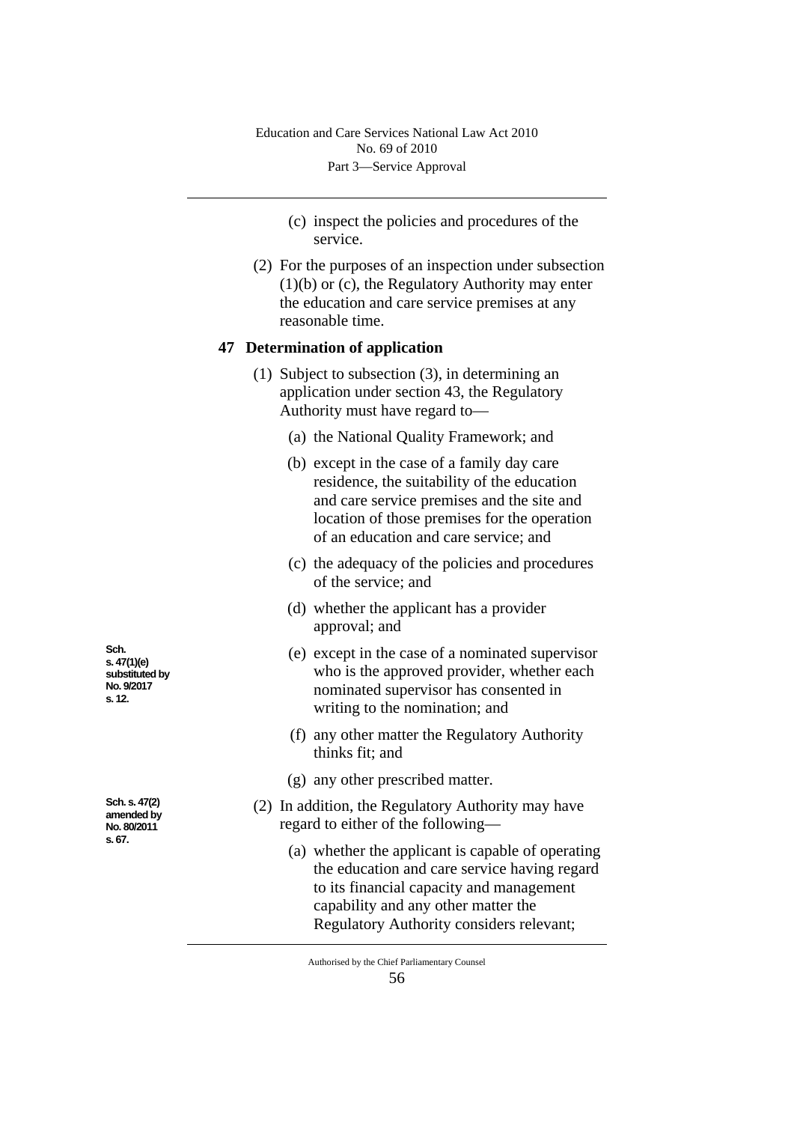- (c) inspect the policies and procedures of the service.
- (2) For the purposes of an inspection under subsection (1)(b) or (c), the Regulatory Authority may enter the education and care service premises at any reasonable time.

#### **47 Determination of application**

- (1) Subject to subsection (3), in determining an application under section 43, the Regulatory Authority must have regard to—
	- (a) the National Quality Framework; and
	- (b) except in the case of a family day care residence, the suitability of the education and care service premises and the site and location of those premises for the operation of an education and care service; and
	- (c) the adequacy of the policies and procedures of the service; and
	- (d) whether the applicant has a provider approval; and
	- (e) except in the case of a nominated supervisor who is the approved provider, whether each nominated supervisor has consented in writing to the nomination; and
	- (f) any other matter the Regulatory Authority thinks fit; and
	- (g) any other prescribed matter.
- (2) In addition, the Regulatory Authority may have regard to either of the following—
	- (a) whether the applicant is capable of operating the education and care service having regard to its financial capacity and management capability and any other matter the Regulatory Authority considers relevant;

Authorised by the Chief Parliamentary Counsel

**Sch. s. 47(1)(e) substituted by No. 9/2017 s. 12.**

**Sch. s. 47(2) amended by No. 80/2011 s. 67.**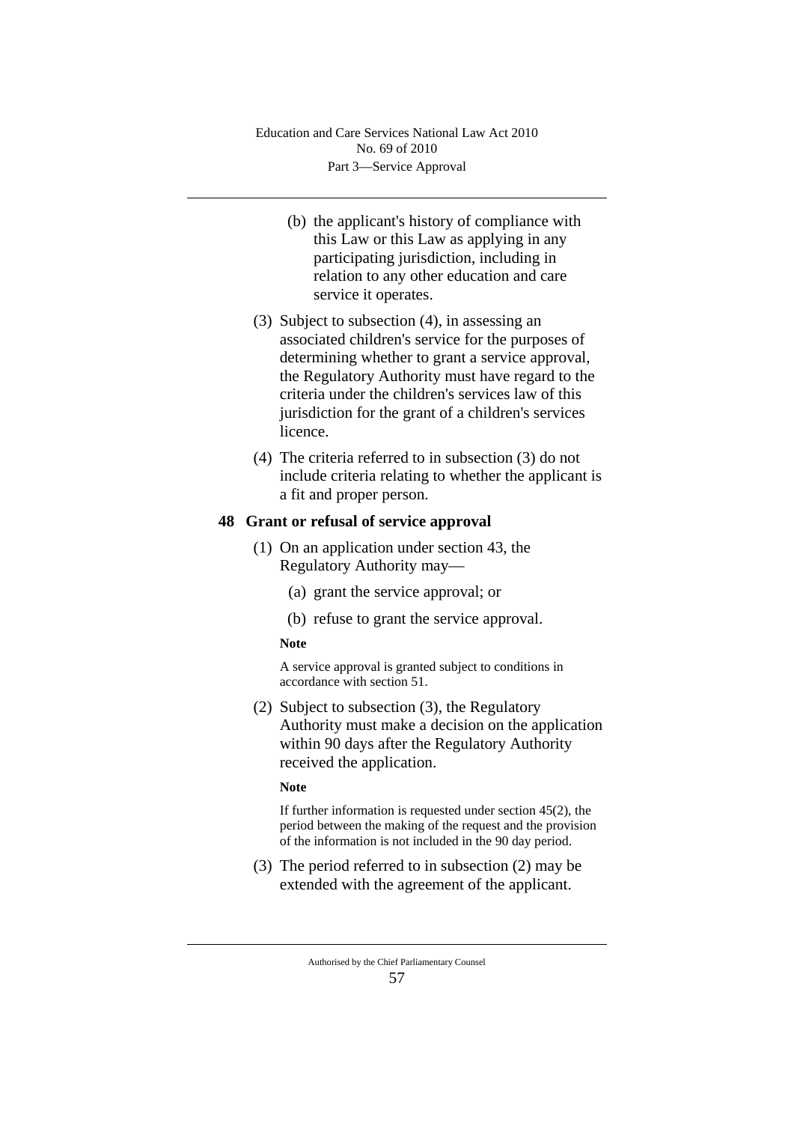- (b) the applicant's history of compliance with this Law or this Law as applying in any participating jurisdiction, including in relation to any other education and care service it operates.
- (3) Subject to subsection (4), in assessing an associated children's service for the purposes of determining whether to grant a service approval, the Regulatory Authority must have regard to the criteria under the children's services law of this jurisdiction for the grant of a children's services licence.
- (4) The criteria referred to in subsection (3) do not include criteria relating to whether the applicant is a fit and proper person.

## **48 Grant or refusal of service approval**

- (1) On an application under section 43, the Regulatory Authority may—
	- (a) grant the service approval; or
	- (b) refuse to grant the service approval.

#### **Note**

A service approval is granted subject to conditions in accordance with section 51.

(2) Subject to subsection (3), the Regulatory Authority must make a decision on the application within 90 days after the Regulatory Authority received the application.

#### **Note**

If further information is requested under section 45(2), the period between the making of the request and the provision of the information is not included in the 90 day period.

(3) The period referred to in subsection (2) may be extended with the agreement of the applicant.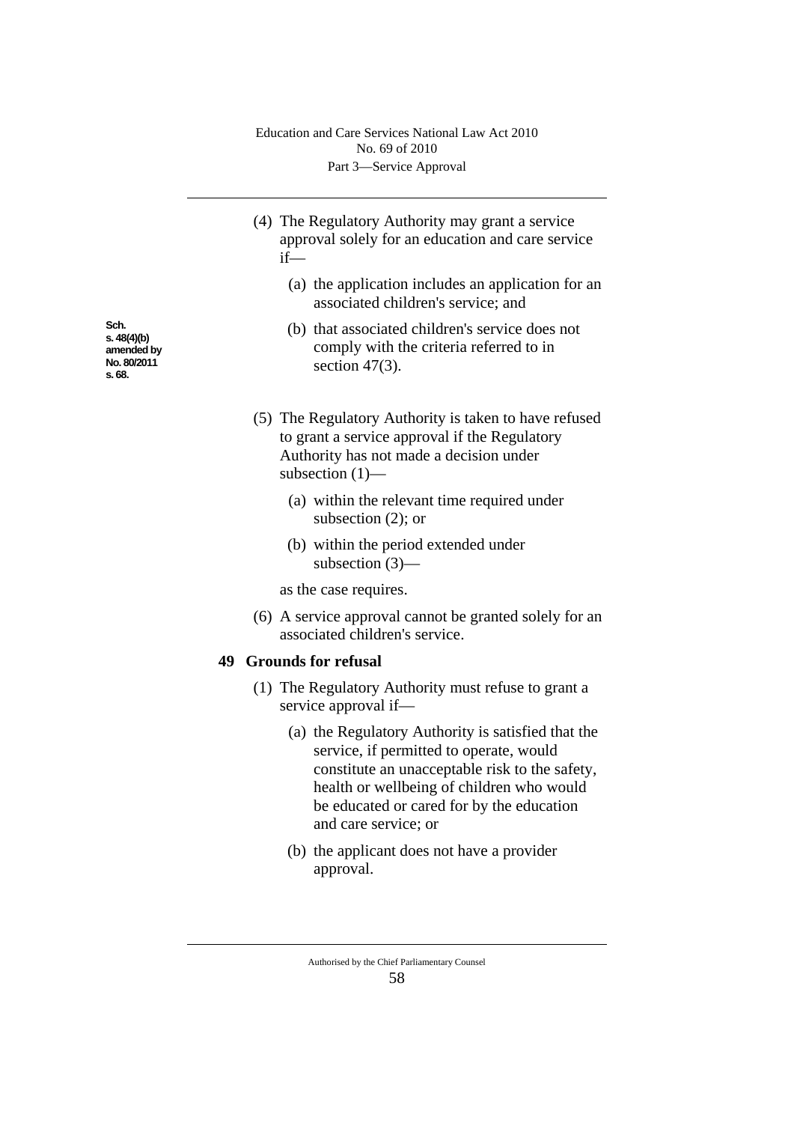- (4) The Regulatory Authority may grant a service approval solely for an education and care service if—
	- (a) the application includes an application for an associated children's service; and
	- (b) that associated children's service does not comply with the criteria referred to in section 47(3).
- (5) The Regulatory Authority is taken to have refused to grant a service approval if the Regulatory Authority has not made a decision under subsection (1)—
	- (a) within the relevant time required under subsection (2); or
	- (b) within the period extended under subsection (3)—

as the case requires.

(6) A service approval cannot be granted solely for an associated children's service.

### **49 Grounds for refusal**

- (1) The Regulatory Authority must refuse to grant a service approval if—
	- (a) the Regulatory Authority is satisfied that the service, if permitted to operate, would constitute an unacceptable risk to the safety, health or wellbeing of children who would be educated or cared for by the education and care service; or
	- (b) the applicant does not have a provider approval.

**Sch. s. 48(4)(b) amended by No. 80/2011 s. 68.**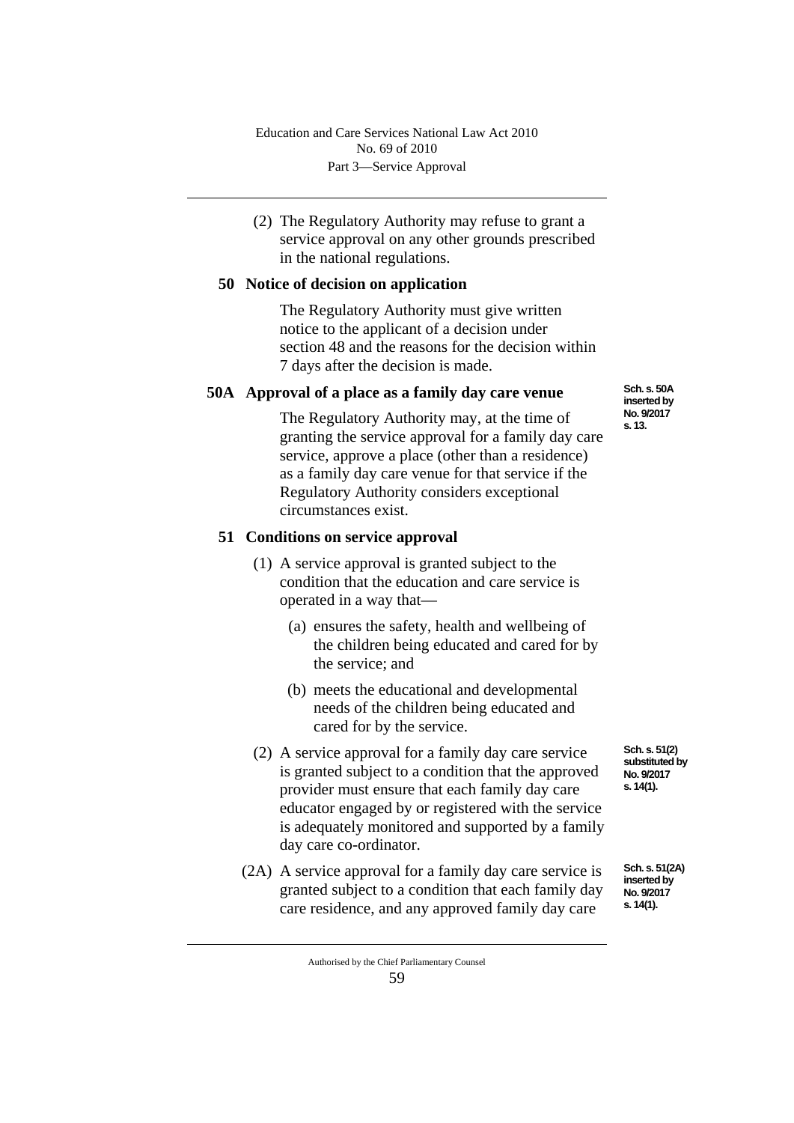(2) The Regulatory Authority may refuse to grant a service approval on any other grounds prescribed in the national regulations.

## **50 Notice of decision on application**

The Regulatory Authority must give written notice to the applicant of a decision under section 48 and the reasons for the decision within 7 days after the decision is made.

# **50A Approval of a place as a family day care venue**

The Regulatory Authority may, at the time of granting the service approval for a family day care service, approve a place (other than a residence) as a family day care venue for that service if the Regulatory Authority considers exceptional circumstances exist.

# **51 Conditions on service approval**

- (1) A service approval is granted subject to the condition that the education and care service is operated in a way that—
	- (a) ensures the safety, health and wellbeing of the children being educated and cared for by the service; and
	- (b) meets the educational and developmental needs of the children being educated and cared for by the service.
- (2) A service approval for a family day care service is granted subject to a condition that the approved provider must ensure that each family day care educator engaged by or registered with the service is adequately monitored and supported by a family day care co-ordinator.
- (2A) A service approval for a family day care service is granted subject to a condition that each family day care residence, and any approved family day care

**Sch. s. 50A inserted by No. 9/2017 s. 13.**

**Sch. s. 51(2) substituted by No. 9/2017 s. 14(1).**

**Sch. s. 51(2A) inserted by No. 9/2017 s. 14(1).**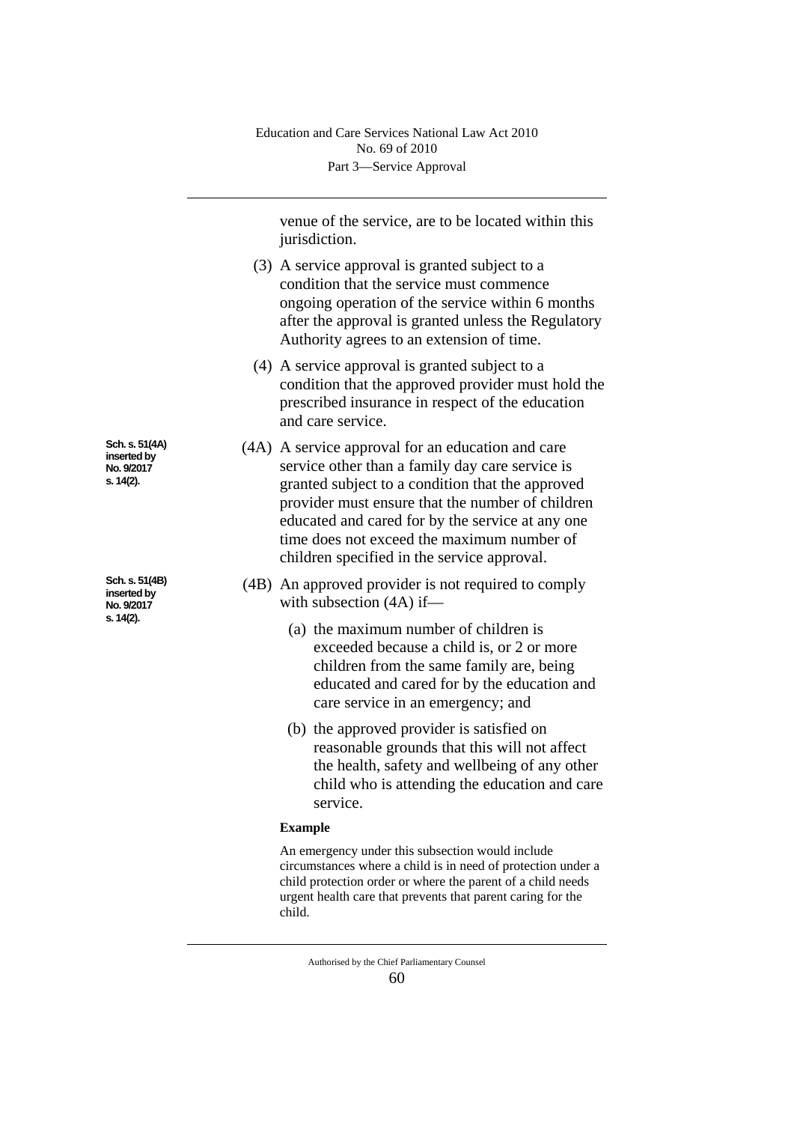venue of the service, are to be located within this jurisdiction.

- (3) A service approval is granted subject to a condition that the service must commence ongoing operation of the service within 6 months after the approval is granted unless the Regulatory Authority agrees to an extension of time.
- (4) A service approval is granted subject to a condition that the approved provider must hold the prescribed insurance in respect of the education and care service.
- (4A) A service approval for an education and care service other than a family day care service is granted subject to a condition that the approved provider must ensure that the number of children educated and cared for by the service at any one time does not exceed the maximum number of children specified in the service approval.
- (4B) An approved provider is not required to comply with subsection (4A) if—
	- (a) the maximum number of children is exceeded because a child is, or 2 or more children from the same family are, being educated and cared for by the education and care service in an emergency; and
	- (b) the approved provider is satisfied on reasonable grounds that this will not affect the health, safety and wellbeing of any other child who is attending the education and care service.

#### **Example**

An emergency under this subsection would include circumstances where a child is in need of protection under a child protection order or where the parent of a child needs urgent health care that prevents that parent caring for the child.

**Sch. s. 51(4A) inserted by No. 9/2017 s. 14(2).**

**Sch. s. 51(4B) inserted by No. 9/2017 s. 14(2).**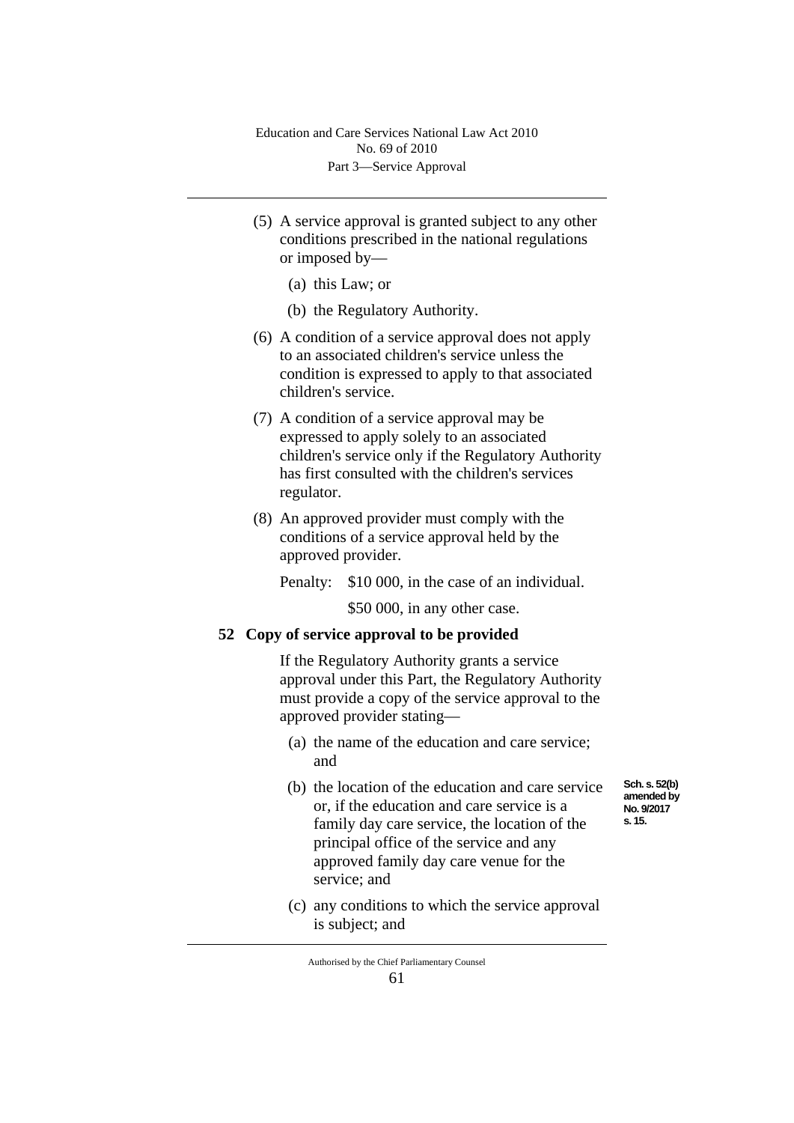- (5) A service approval is granted subject to any other conditions prescribed in the national regulations or imposed by—
	- (a) this Law; or
	- (b) the Regulatory Authority.
- (6) A condition of a service approval does not apply to an associated children's service unless the condition is expressed to apply to that associated children's service.
- (7) A condition of a service approval may be expressed to apply solely to an associated children's service only if the Regulatory Authority has first consulted with the children's services regulator.
- (8) An approved provider must comply with the conditions of a service approval held by the approved provider.

Penalty: \$10 000, in the case of an individual.

\$50,000, in any other case.

## **52 Copy of service approval to be provided**

If the Regulatory Authority grants a service approval under this Part, the Regulatory Authority must provide a copy of the service approval to the approved provider stating—

- (a) the name of the education and care service; and
- (b) the location of the education and care service or, if the education and care service is a family day care service, the location of the principal office of the service and any approved family day care venue for the service; and
- (c) any conditions to which the service approval is subject; and

**Sch. s. 52(b) amended by No. 9/2017 s. 15.**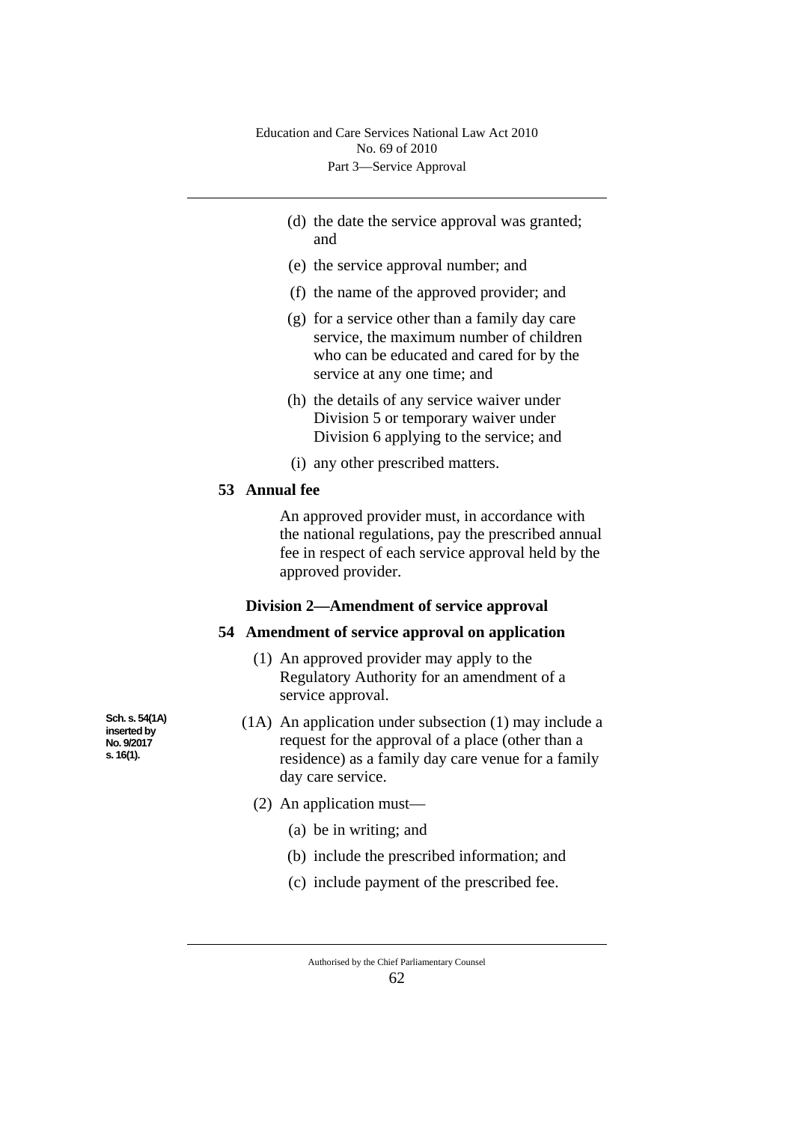- (d) the date the service approval was granted; and
- (e) the service approval number; and
- (f) the name of the approved provider; and
- (g) for a service other than a family day care service, the maximum number of children who can be educated and cared for by the service at any one time; and
- (h) the details of any service waiver under Division 5 or temporary waiver under Division 6 applying to the service; and
- (i) any other prescribed matters.

# **53 Annual fee**

An approved provider must, in accordance with the national regulations, pay the prescribed annual fee in respect of each service approval held by the approved provider.

#### **Division 2—Amendment of service approval**

#### **54 Amendment of service approval on application**

- (1) An approved provider may apply to the Regulatory Authority for an amendment of a service approval.
- (1A) An application under subsection (1) may include a request for the approval of a place (other than a residence) as a family day care venue for a family day care service.
	- (2) An application must—
		- (a) be in writing; and
		- (b) include the prescribed information; and
		- (c) include payment of the prescribed fee.

62

**Sch. s. 54(1A) inserted by No. 9/2017 s. 16(1).**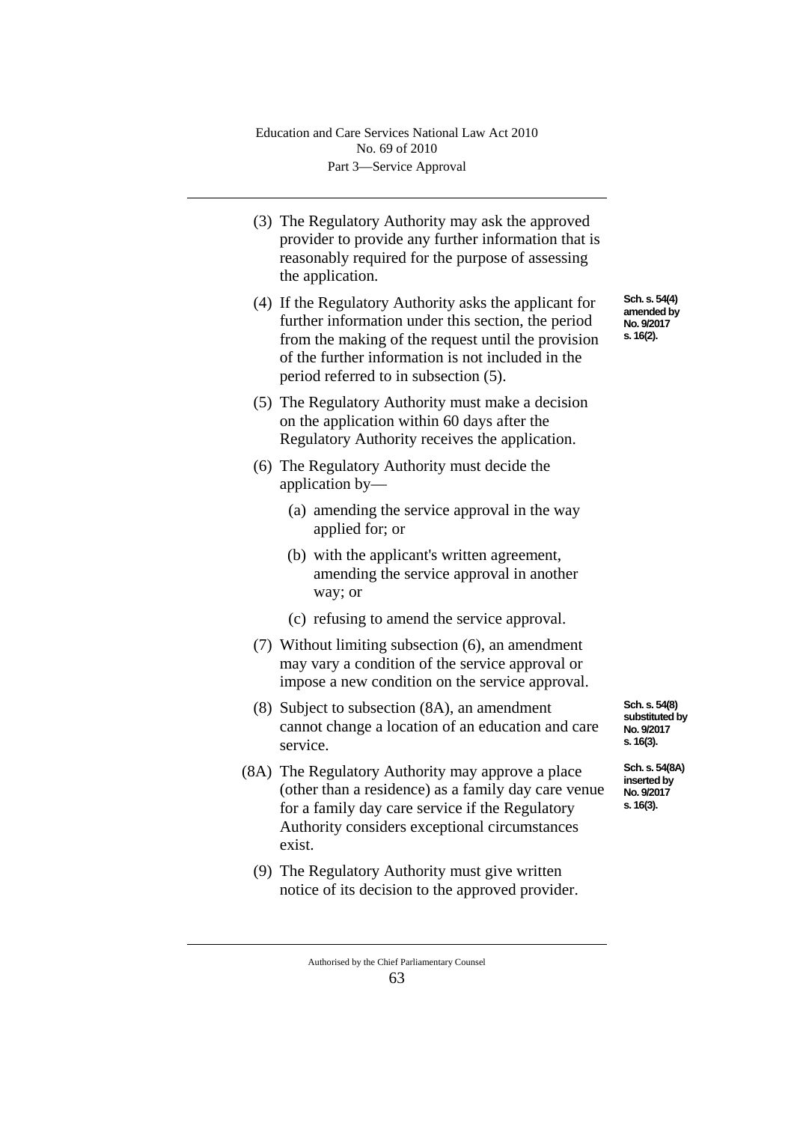- (3) The Regulatory Authority may ask the approved provider to provide any further information that is reasonably required for the purpose of assessing the application.
- (4) If the Regulatory Authority asks the applicant for further information under this section, the period from the making of the request until the provision of the further information is not included in the period referred to in subsection (5).
- (5) The Regulatory Authority must make a decision on the application within 60 days after the Regulatory Authority receives the application.
- (6) The Regulatory Authority must decide the application by—
	- (a) amending the service approval in the way applied for; or
	- (b) with the applicant's written agreement, amending the service approval in another way; or
	- (c) refusing to amend the service approval.
- (7) Without limiting subsection (6), an amendment may vary a condition of the service approval or impose a new condition on the service approval.
- (8) Subject to subsection (8A), an amendment cannot change a location of an education and care service.
- (8A) The Regulatory Authority may approve a place (other than a residence) as a family day care venue for a family day care service if the Regulatory Authority considers exceptional circumstances exist.
	- (9) The Regulatory Authority must give written notice of its decision to the approved provider.

**Sch. s. 54(8) substituted by** 

**No. 9/2017 s. 16(3).**

**Sch. s. 54(8A) inserted by No. 9/2017 s. 16(3).**

Authorised by the Chief Parliamentary Counsel 63

**Sch. s. 54(4) amended by No. 9/2017 s. 16(2).**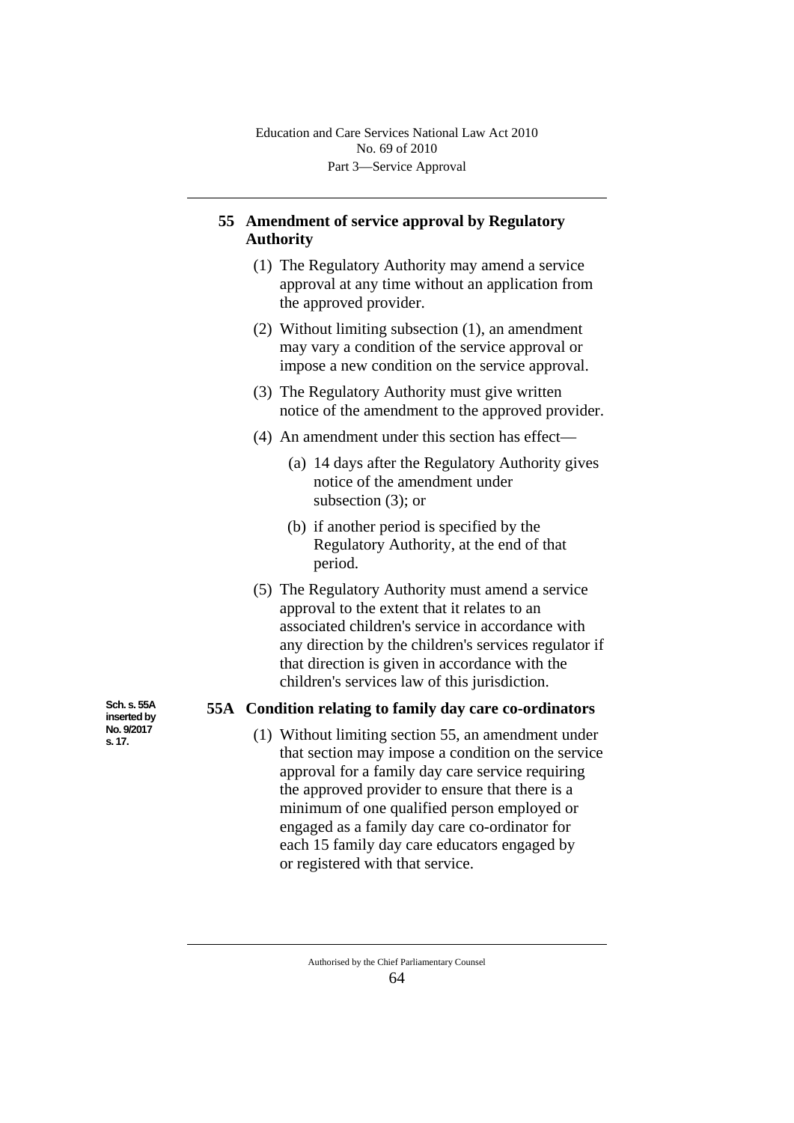# **55 Amendment of service approval by Regulatory Authority**

- (1) The Regulatory Authority may amend a service approval at any time without an application from the approved provider.
- (2) Without limiting subsection (1), an amendment may vary a condition of the service approval or impose a new condition on the service approval.
- (3) The Regulatory Authority must give written notice of the amendment to the approved provider.
- (4) An amendment under this section has effect—
	- (a) 14 days after the Regulatory Authority gives notice of the amendment under subsection (3); or
	- (b) if another period is specified by the Regulatory Authority, at the end of that period.
- (5) The Regulatory Authority must amend a service approval to the extent that it relates to an associated children's service in accordance with any direction by the children's services regulator if that direction is given in accordance with the children's services law of this jurisdiction.

## **55A Condition relating to family day care co-ordinators**

(1) Without limiting section 55, an amendment under that section may impose a condition on the service approval for a family day care service requiring the approved provider to ensure that there is a minimum of one qualified person employed or engaged as a family day care co-ordinator for each 15 family day care educators engaged by or registered with that service.

> Authorised by the Chief Parliamentary Counsel 64

**Sch. s. 55A inserted by No. 9/2017 s. 17.**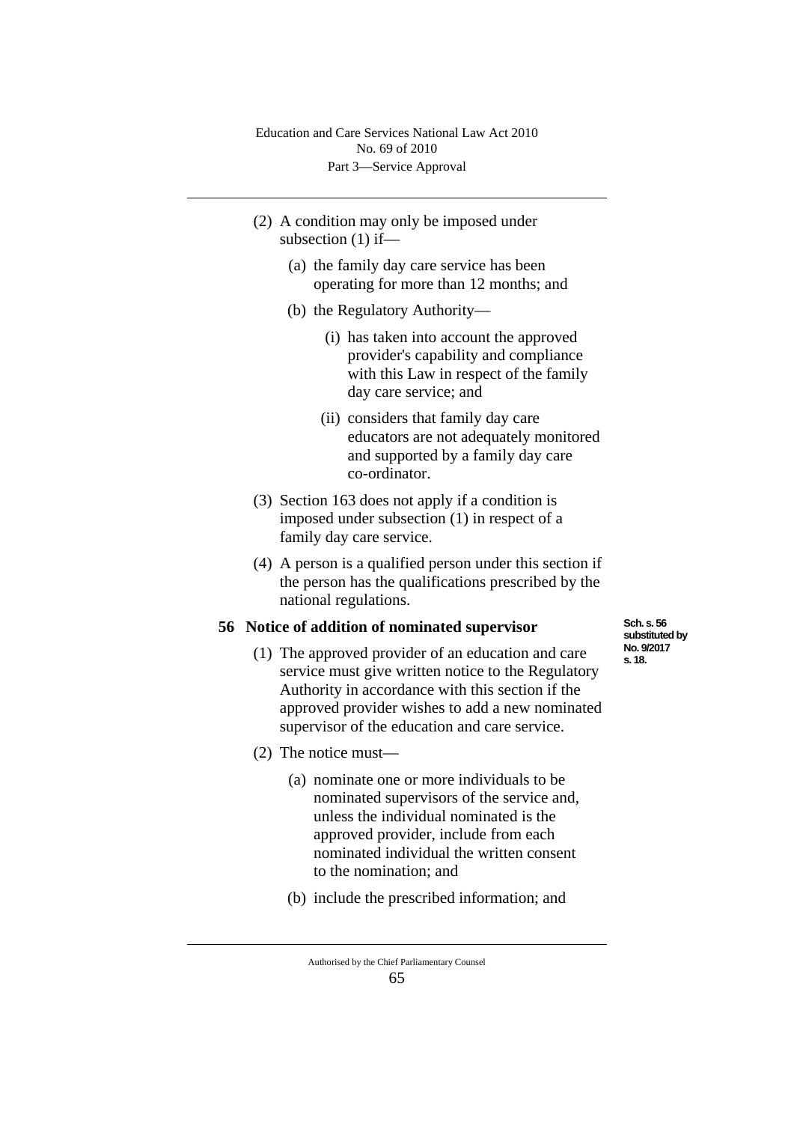- (2) A condition may only be imposed under subsection (1) if—
	- (a) the family day care service has been operating for more than 12 months; and
	- (b) the Regulatory Authority—
		- (i) has taken into account the approved provider's capability and compliance with this Law in respect of the family day care service; and
		- (ii) considers that family day care educators are not adequately monitored and supported by a family day care co-ordinator.
- (3) Section 163 does not apply if a condition is imposed under subsection (1) in respect of a family day care service.
- (4) A person is a qualified person under this section if the person has the qualifications prescribed by the national regulations.

#### **56 Notice of addition of nominated supervisor**

- (1) The approved provider of an education and care service must give written notice to the Regulatory Authority in accordance with this section if the approved provider wishes to add a new nominated supervisor of the education and care service.
- (2) The notice must—
	- (a) nominate one or more individuals to be nominated supervisors of the service and, unless the individual nominated is the approved provider, include from each nominated individual the written consent to the nomination; and
	- (b) include the prescribed information; and

**Sch. s. 56 substituted by No. 9/2017 s. 18.**

Authorised by the Chief Parliamentary Counsel 65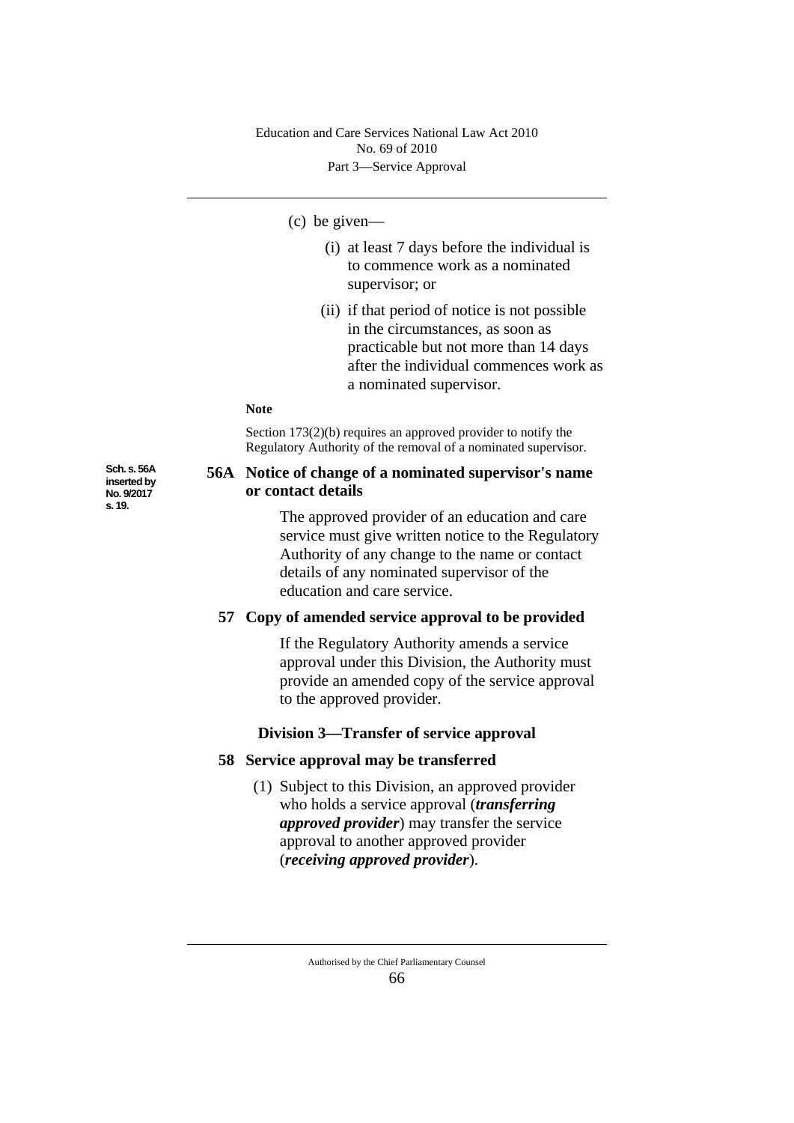#### (c) be given—

- (i) at least 7 days before the individual is to commence work as a nominated supervisor; or
- (ii) if that period of notice is not possible in the circumstances, as soon as practicable but not more than 14 days after the individual commences work as a nominated supervisor.

#### **Note**

Section 173(2)(b) requires an approved provider to notify the Regulatory Authority of the removal of a nominated supervisor.

### **56A Notice of change of a nominated supervisor's name or contact details**

The approved provider of an education and care service must give written notice to the Regulatory Authority of any change to the name or contact details of any nominated supervisor of the education and care service.

## **57 Copy of amended service approval to be provided**

If the Regulatory Authority amends a service approval under this Division, the Authority must provide an amended copy of the service approval to the approved provider.

## **Division 3—Transfer of service approval**

#### **58 Service approval may be transferred**

(1) Subject to this Division, an approved provider who holds a service approval (*transferring approved provider*) may transfer the service approval to another approved provider (*receiving approved provider*).

**Sch. s. 56A inserted by No. 9/2017 s. 19.**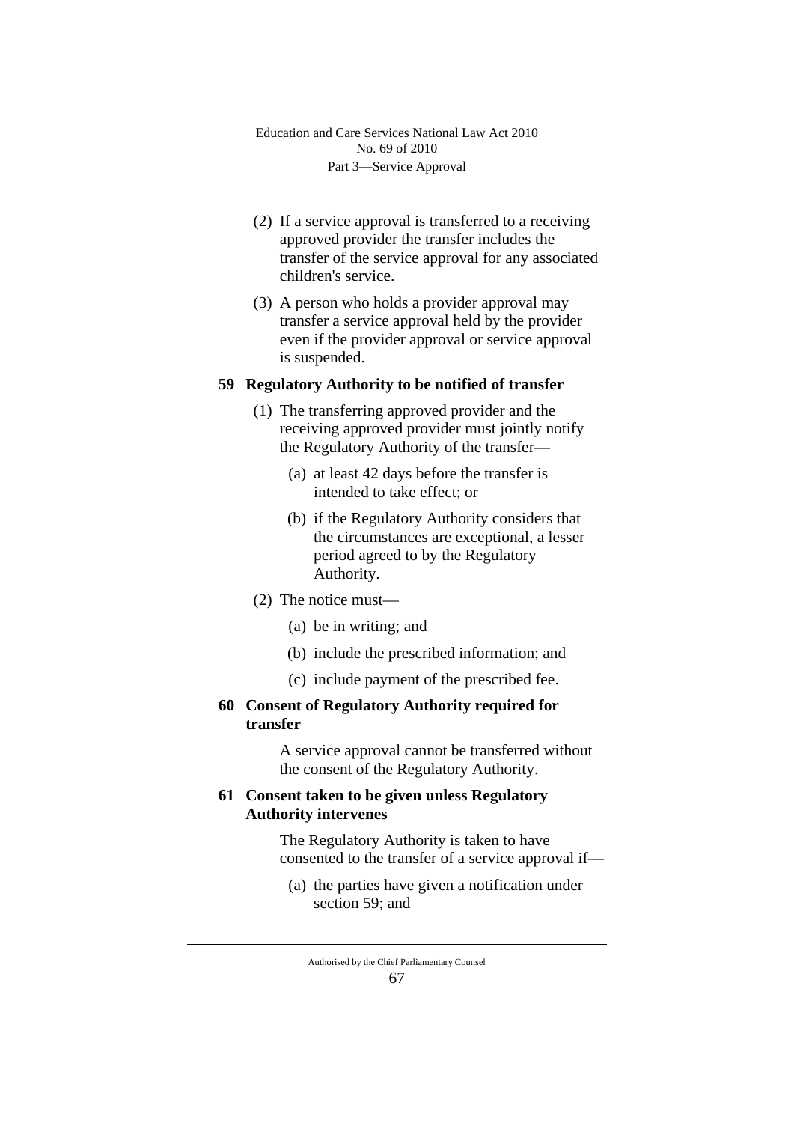- (2) If a service approval is transferred to a receiving approved provider the transfer includes the transfer of the service approval for any associated children's service.
- (3) A person who holds a provider approval may transfer a service approval held by the provider even if the provider approval or service approval is suspended.

## **59 Regulatory Authority to be notified of transfer**

- (1) The transferring approved provider and the receiving approved provider must jointly notify the Regulatory Authority of the transfer—
	- (a) at least 42 days before the transfer is intended to take effect; or
	- (b) if the Regulatory Authority considers that the circumstances are exceptional, a lesser period agreed to by the Regulatory Authority.
- (2) The notice must—
	- (a) be in writing; and
	- (b) include the prescribed information; and
	- (c) include payment of the prescribed fee.
- **60 Consent of Regulatory Authority required for transfer**

A service approval cannot be transferred without the consent of the Regulatory Authority.

# **61 Consent taken to be given unless Regulatory Authority intervenes**

The Regulatory Authority is taken to have consented to the transfer of a service approval if—

(a) the parties have given a notification under section 59; and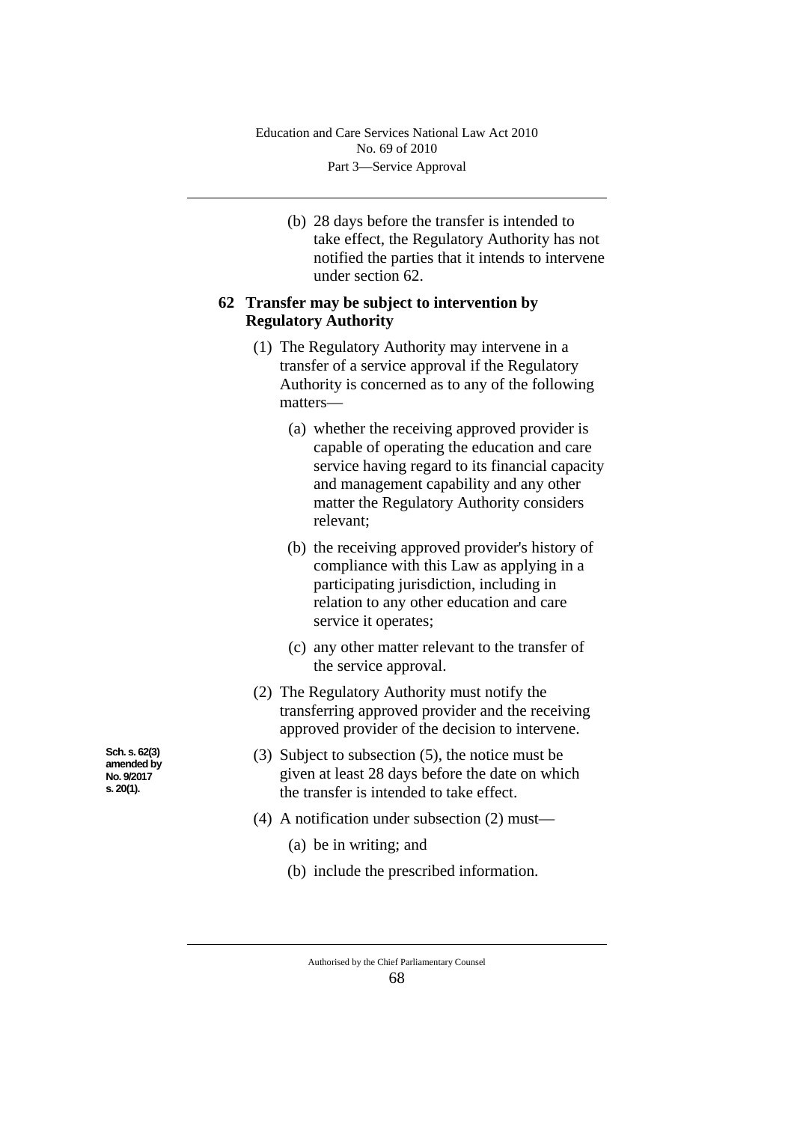(b) 28 days before the transfer is intended to take effect, the Regulatory Authority has not notified the parties that it intends to intervene under section 62.

## **62 Transfer may be subject to intervention by Regulatory Authority**

- (1) The Regulatory Authority may intervene in a transfer of a service approval if the Regulatory Authority is concerned as to any of the following matters—
	- (a) whether the receiving approved provider is capable of operating the education and care service having regard to its financial capacity and management capability and any other matter the Regulatory Authority considers relevant;
	- (b) the receiving approved provider's history of compliance with this Law as applying in a participating jurisdiction, including in relation to any other education and care service it operates;
	- (c) any other matter relevant to the transfer of the service approval.
- (2) The Regulatory Authority must notify the transferring approved provider and the receiving approved provider of the decision to intervene.
- (3) Subject to subsection (5), the notice must be given at least 28 days before the date on which the transfer is intended to take effect.
- (4) A notification under subsection (2) must—
	- (a) be in writing; and
	- (b) include the prescribed information.

**Sch. s. 62(3) amended by No. 9/2017 s. 20(1).**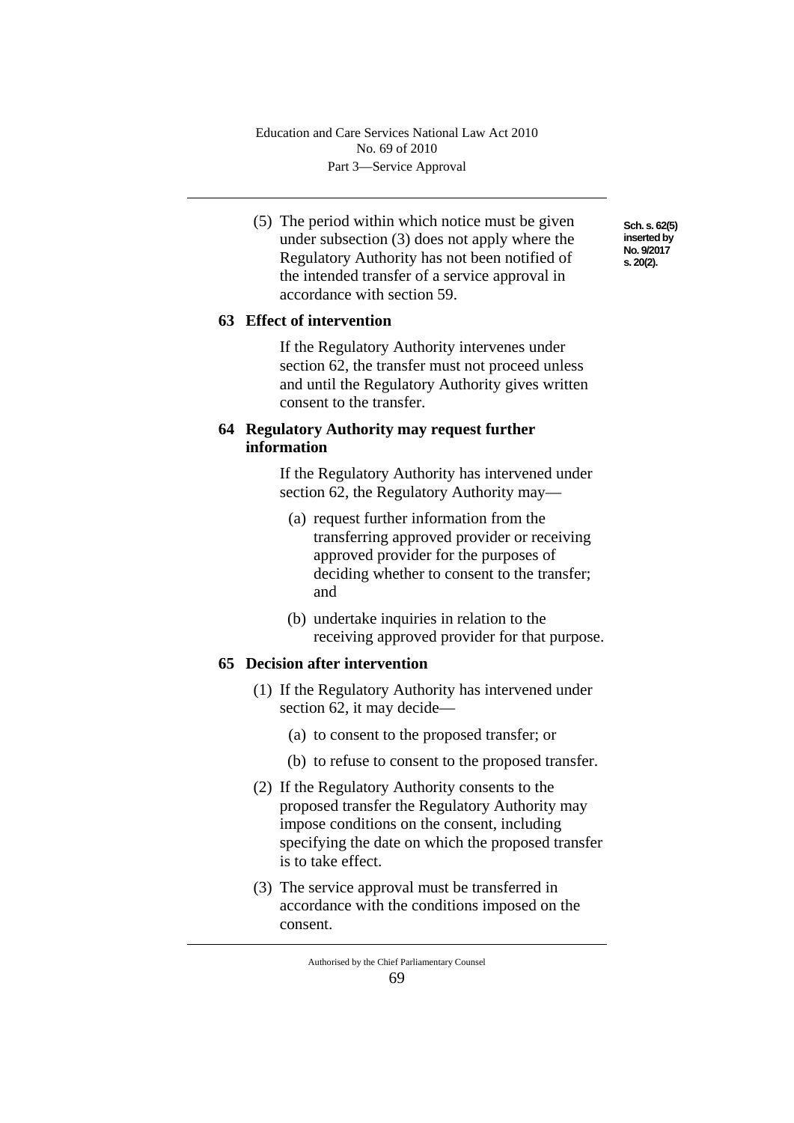(5) The period within which notice must be given under subsection (3) does not apply where the Regulatory Authority has not been notified of the intended transfer of a service approval in accordance with section 59.

# **63 Effect of intervention**

If the Regulatory Authority intervenes under section 62, the transfer must not proceed unless and until the Regulatory Authority gives written consent to the transfer.

# **64 Regulatory Authority may request further information**

If the Regulatory Authority has intervened under section 62, the Regulatory Authority may—

- (a) request further information from the transferring approved provider or receiving approved provider for the purposes of deciding whether to consent to the transfer; and
- (b) undertake inquiries in relation to the receiving approved provider for that purpose.

# **65 Decision after intervention**

- (1) If the Regulatory Authority has intervened under section 62, it may decide—
	- (a) to consent to the proposed transfer; or
	- (b) to refuse to consent to the proposed transfer.
- (2) If the Regulatory Authority consents to the proposed transfer the Regulatory Authority may impose conditions on the consent, including specifying the date on which the proposed transfer is to take effect.
- (3) The service approval must be transferred in accordance with the conditions imposed on the consent.

**Sch. s. 62(5) inserted by No. 9/2017 s. 20(2).**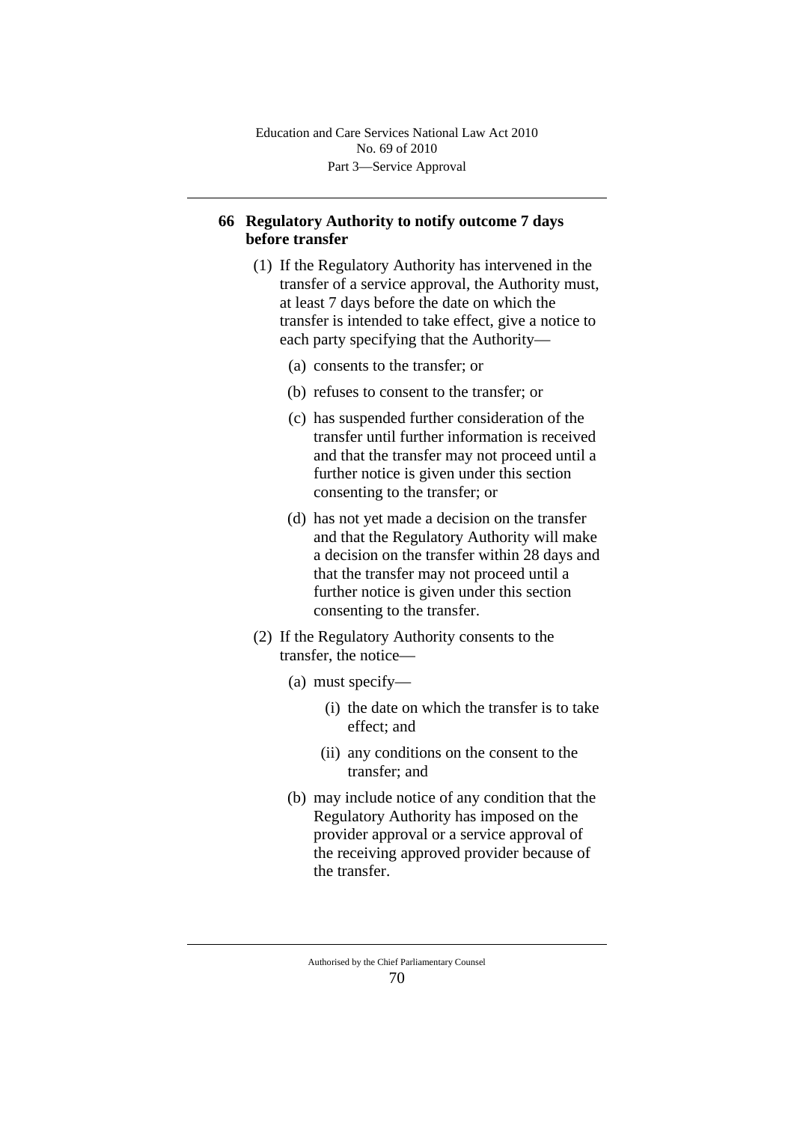# **66 Regulatory Authority to notify outcome 7 days before transfer**

- (1) If the Regulatory Authority has intervened in the transfer of a service approval, the Authority must, at least 7 days before the date on which the transfer is intended to take effect, give a notice to each party specifying that the Authority—
	- (a) consents to the transfer; or
	- (b) refuses to consent to the transfer; or
	- (c) has suspended further consideration of the transfer until further information is received and that the transfer may not proceed until a further notice is given under this section consenting to the transfer; or
	- (d) has not yet made a decision on the transfer and that the Regulatory Authority will make a decision on the transfer within 28 days and that the transfer may not proceed until a further notice is given under this section consenting to the transfer.
- (2) If the Regulatory Authority consents to the transfer, the notice—
	- (a) must specify—
		- (i) the date on which the transfer is to take effect; and
		- (ii) any conditions on the consent to the transfer; and
	- (b) may include notice of any condition that the Regulatory Authority has imposed on the provider approval or a service approval of the receiving approved provider because of the transfer.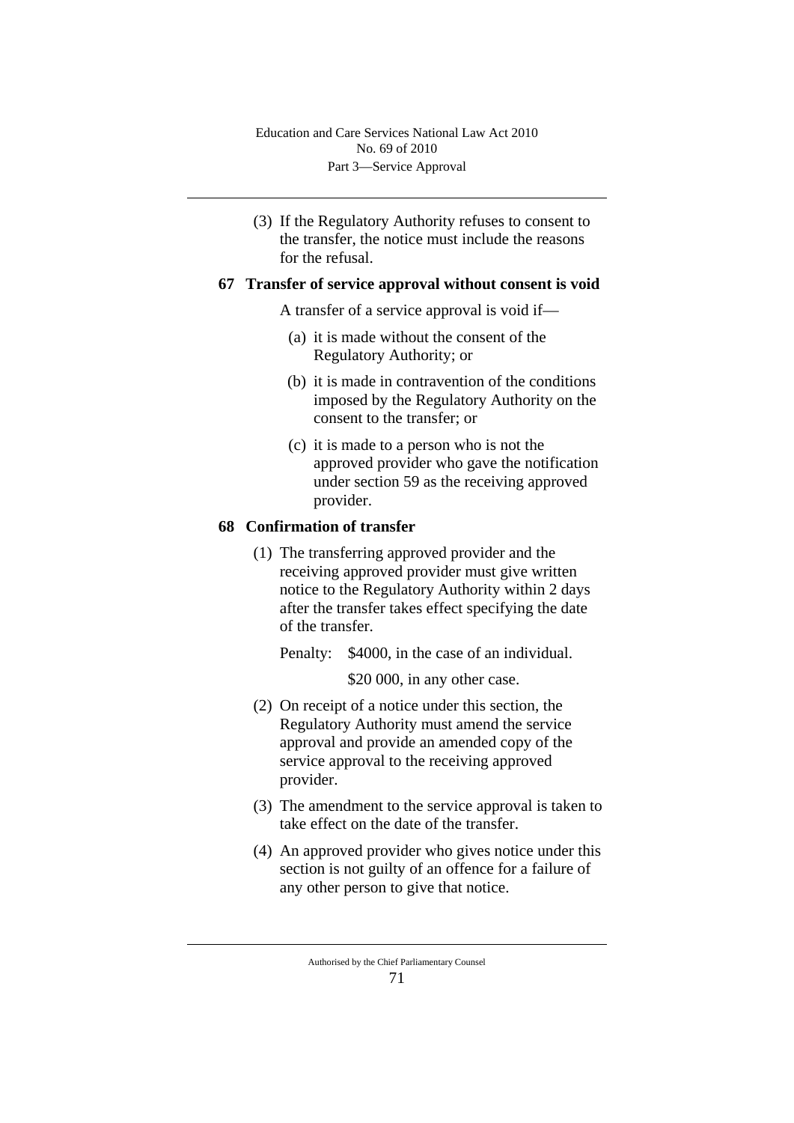(3) If the Regulatory Authority refuses to consent to the transfer, the notice must include the reasons for the refusal.

### **67 Transfer of service approval without consent is void**

A transfer of a service approval is void if—

- (a) it is made without the consent of the Regulatory Authority; or
- (b) it is made in contravention of the conditions imposed by the Regulatory Authority on the consent to the transfer; or
- (c) it is made to a person who is not the approved provider who gave the notification under section 59 as the receiving approved provider.

### **68 Confirmation of transfer**

(1) The transferring approved provider and the receiving approved provider must give written notice to the Regulatory Authority within 2 days after the transfer takes effect specifying the date of the transfer.

Penalty: \$4000, in the case of an individual.

\$20,000, in any other case.

- (2) On receipt of a notice under this section, the Regulatory Authority must amend the service approval and provide an amended copy of the service approval to the receiving approved provider.
- (3) The amendment to the service approval is taken to take effect on the date of the transfer.
- (4) An approved provider who gives notice under this section is not guilty of an offence for a failure of any other person to give that notice.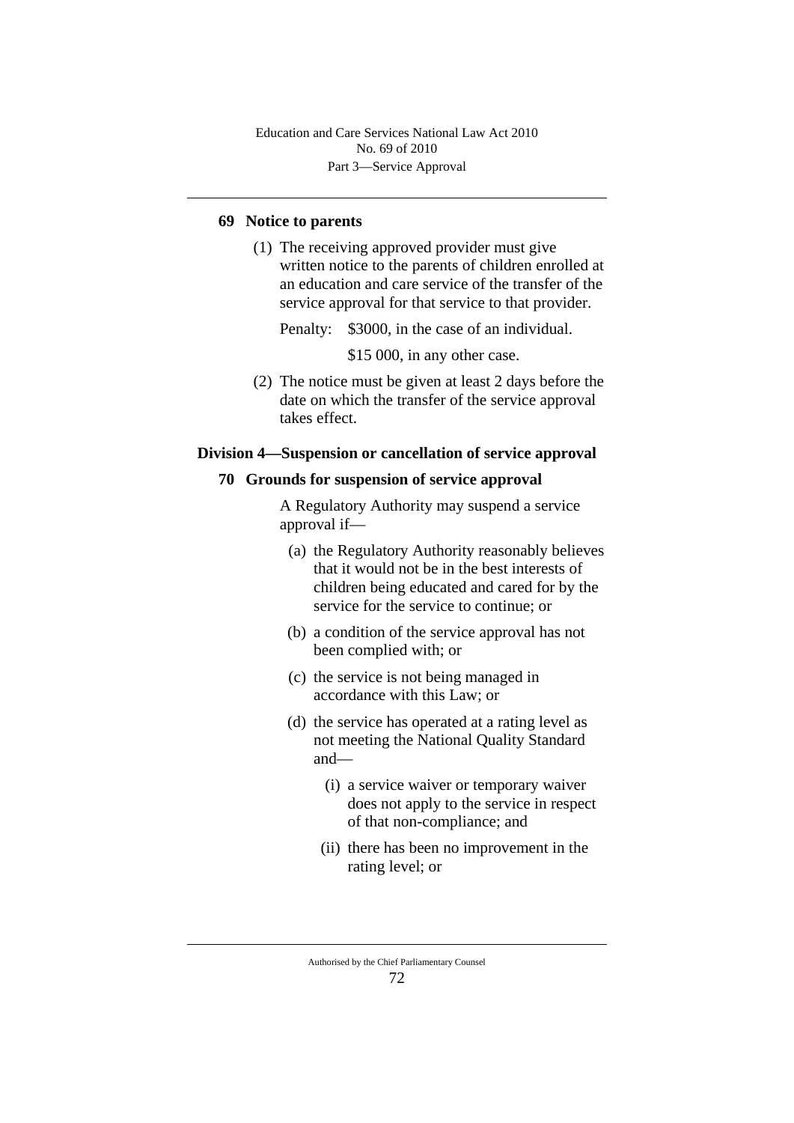## **69 Notice to parents**

(1) The receiving approved provider must give written notice to the parents of children enrolled at an education and care service of the transfer of the service approval for that service to that provider.

Penalty: \$3000, in the case of an individual.

\$15 000, in any other case.

(2) The notice must be given at least 2 days before the date on which the transfer of the service approval takes effect.

#### **Division 4—Suspension or cancellation of service approval**

#### **70 Grounds for suspension of service approval**

A Regulatory Authority may suspend a service approval if—

- (a) the Regulatory Authority reasonably believes that it would not be in the best interests of children being educated and cared for by the service for the service to continue; or
- (b) a condition of the service approval has not been complied with; or
- (c) the service is not being managed in accordance with this Law; or
- (d) the service has operated at a rating level as not meeting the National Quality Standard and—
	- (i) a service waiver or temporary waiver does not apply to the service in respect of that non-compliance; and
	- (ii) there has been no improvement in the rating level; or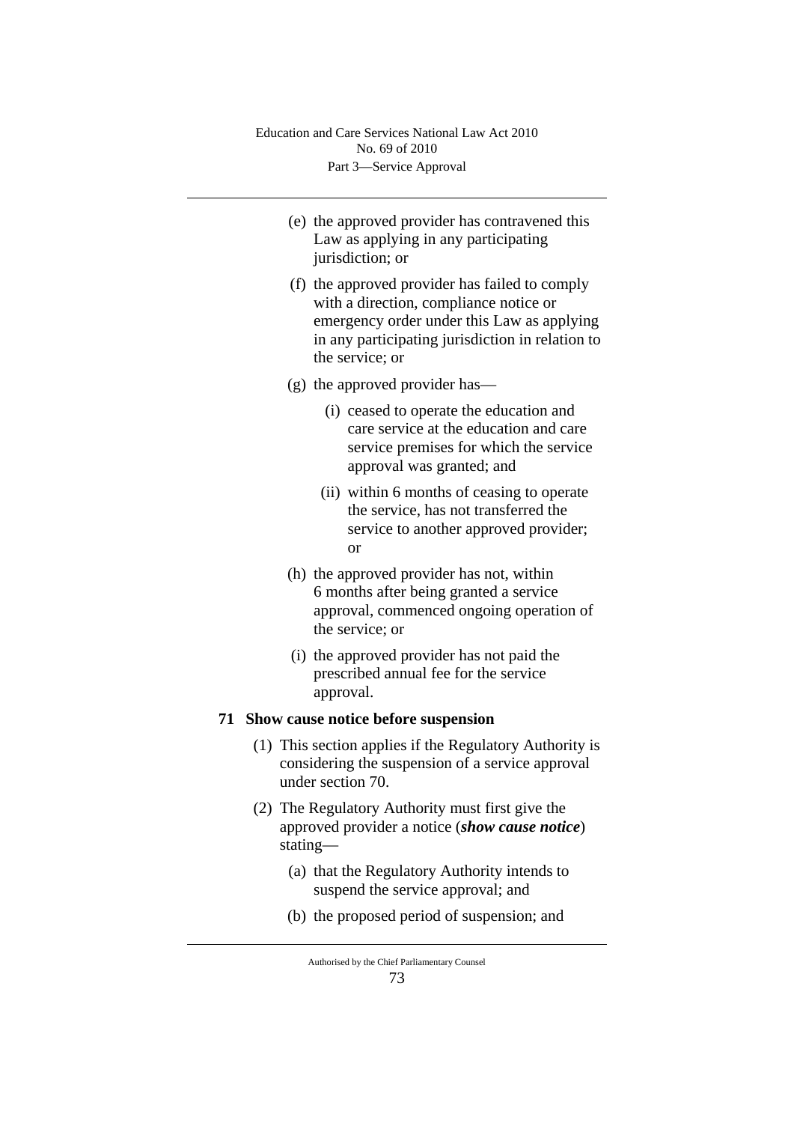- (e) the approved provider has contravened this Law as applying in any participating jurisdiction; or
- (f) the approved provider has failed to comply with a direction, compliance notice or emergency order under this Law as applying in any participating jurisdiction in relation to the service; or
- (g) the approved provider has—
	- (i) ceased to operate the education and care service at the education and care service premises for which the service approval was granted; and
	- (ii) within 6 months of ceasing to operate the service, has not transferred the service to another approved provider; or
- (h) the approved provider has not, within 6 months after being granted a service approval, commenced ongoing operation of the service; or
- (i) the approved provider has not paid the prescribed annual fee for the service approval.

## **71 Show cause notice before suspension**

- (1) This section applies if the Regulatory Authority is considering the suspension of a service approval under section 70.
- (2) The Regulatory Authority must first give the approved provider a notice (*show cause notice*) stating—
	- (a) that the Regulatory Authority intends to suspend the service approval; and
	- (b) the proposed period of suspension; and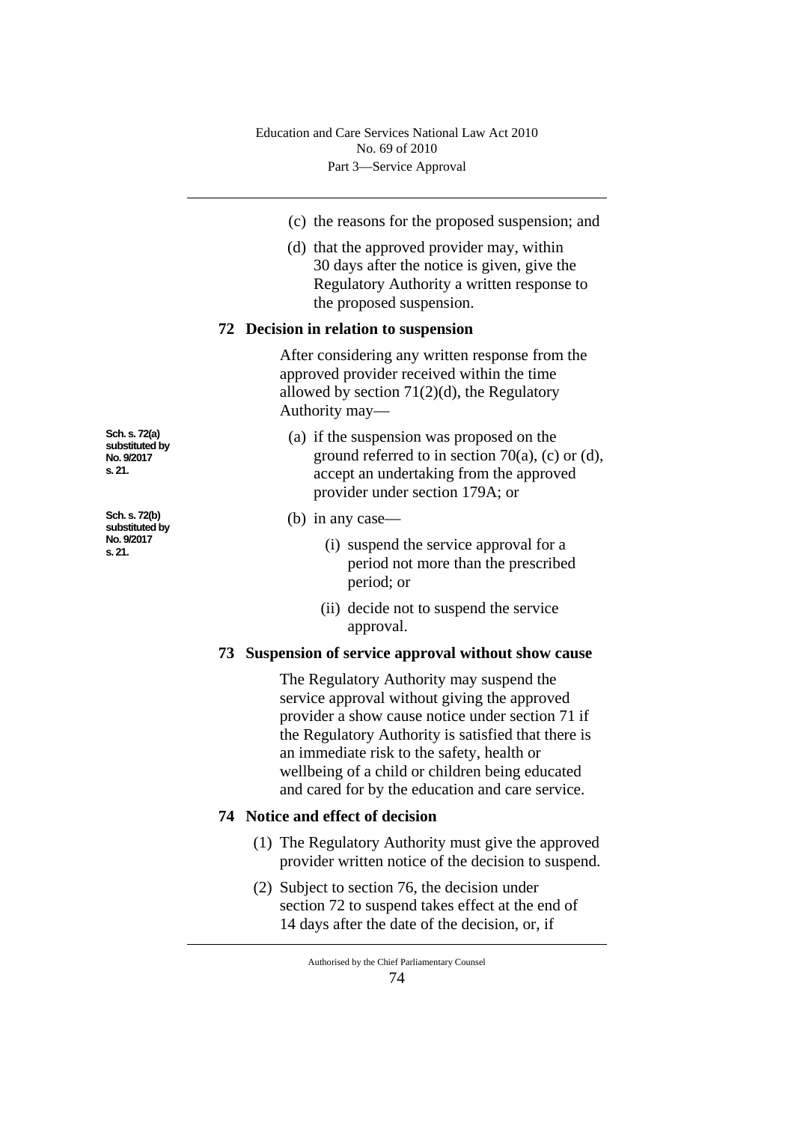- (c) the reasons for the proposed suspension; and
- (d) that the approved provider may, within 30 days after the notice is given, give the Regulatory Authority a written response to the proposed suspension.

#### **72 Decision in relation to suspension**

After considering any written response from the approved provider received within the time allowed by section  $71(2)(d)$ , the Regulatory Authority may—

- (a) if the suspension was proposed on the ground referred to in section 70(a), (c) or (d), accept an undertaking from the approved provider under section 179A; or
- (b) in any case—
	- (i) suspend the service approval for a period not more than the prescribed period; or
	- (ii) decide not to suspend the service approval.

## **73 Suspension of service approval without show cause**

The Regulatory Authority may suspend the service approval without giving the approved provider a show cause notice under section 71 if the Regulatory Authority is satisfied that there is an immediate risk to the safety, health or wellbeing of a child or children being educated and cared for by the education and care service.

#### **74 Notice and effect of decision**

- (1) The Regulatory Authority must give the approved provider written notice of the decision to suspend.
- (2) Subject to section 76, the decision under section 72 to suspend takes effect at the end of 14 days after the date of the decision, or, if

**Sch. s. 72(a) substituted by No. 9/2017 s. 21.**

**Sch. s. 72(b) substituted by No. 9/2017 s. 21.**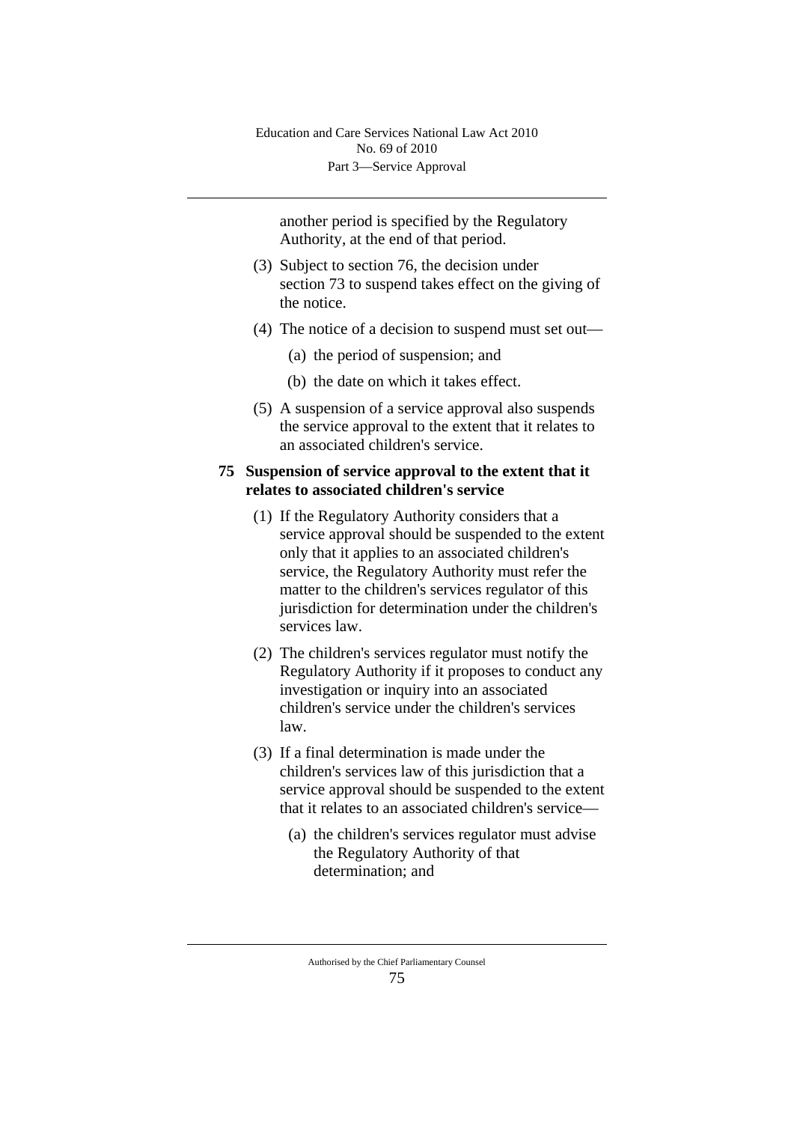another period is specified by the Regulatory Authority, at the end of that period.

- (3) Subject to section 76, the decision under section 73 to suspend takes effect on the giving of the notice.
- (4) The notice of a decision to suspend must set out—
	- (a) the period of suspension; and
	- (b) the date on which it takes effect.
- (5) A suspension of a service approval also suspends the service approval to the extent that it relates to an associated children's service.

### **75 Suspension of service approval to the extent that it relates to associated children's service**

- (1) If the Regulatory Authority considers that a service approval should be suspended to the extent only that it applies to an associated children's service, the Regulatory Authority must refer the matter to the children's services regulator of this jurisdiction for determination under the children's services law.
- (2) The children's services regulator must notify the Regulatory Authority if it proposes to conduct any investigation or inquiry into an associated children's service under the children's services law.
- (3) If a final determination is made under the children's services law of this jurisdiction that a service approval should be suspended to the extent that it relates to an associated children's service—
	- (a) the children's services regulator must advise the Regulatory Authority of that determination; and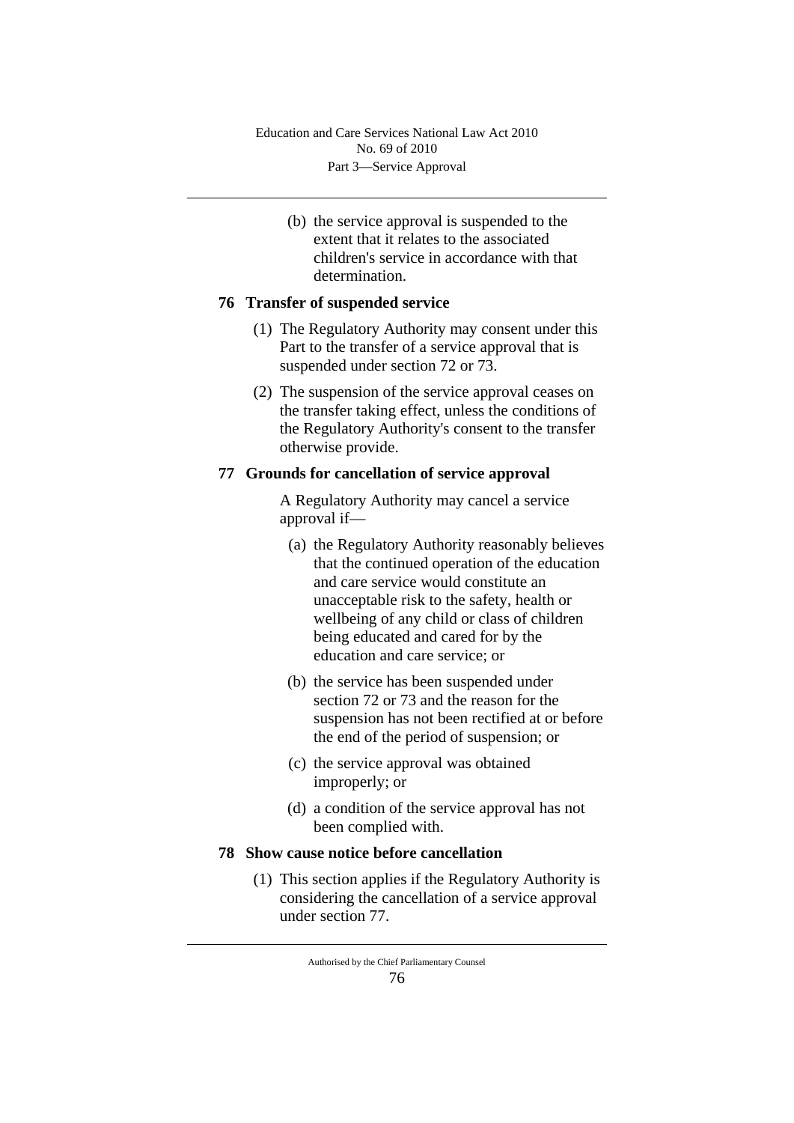(b) the service approval is suspended to the extent that it relates to the associated children's service in accordance with that determination.

# **76 Transfer of suspended service**

- (1) The Regulatory Authority may consent under this Part to the transfer of a service approval that is suspended under section 72 or 73.
- (2) The suspension of the service approval ceases on the transfer taking effect, unless the conditions of the Regulatory Authority's consent to the transfer otherwise provide.

# **77 Grounds for cancellation of service approval**

A Regulatory Authority may cancel a service approval if—

- (a) the Regulatory Authority reasonably believes that the continued operation of the education and care service would constitute an unacceptable risk to the safety, health or wellbeing of any child or class of children being educated and cared for by the education and care service; or
- (b) the service has been suspended under section 72 or 73 and the reason for the suspension has not been rectified at or before the end of the period of suspension; or
- (c) the service approval was obtained improperly; or
- (d) a condition of the service approval has not been complied with.

## **78 Show cause notice before cancellation**

(1) This section applies if the Regulatory Authority is considering the cancellation of a service approval under section 77.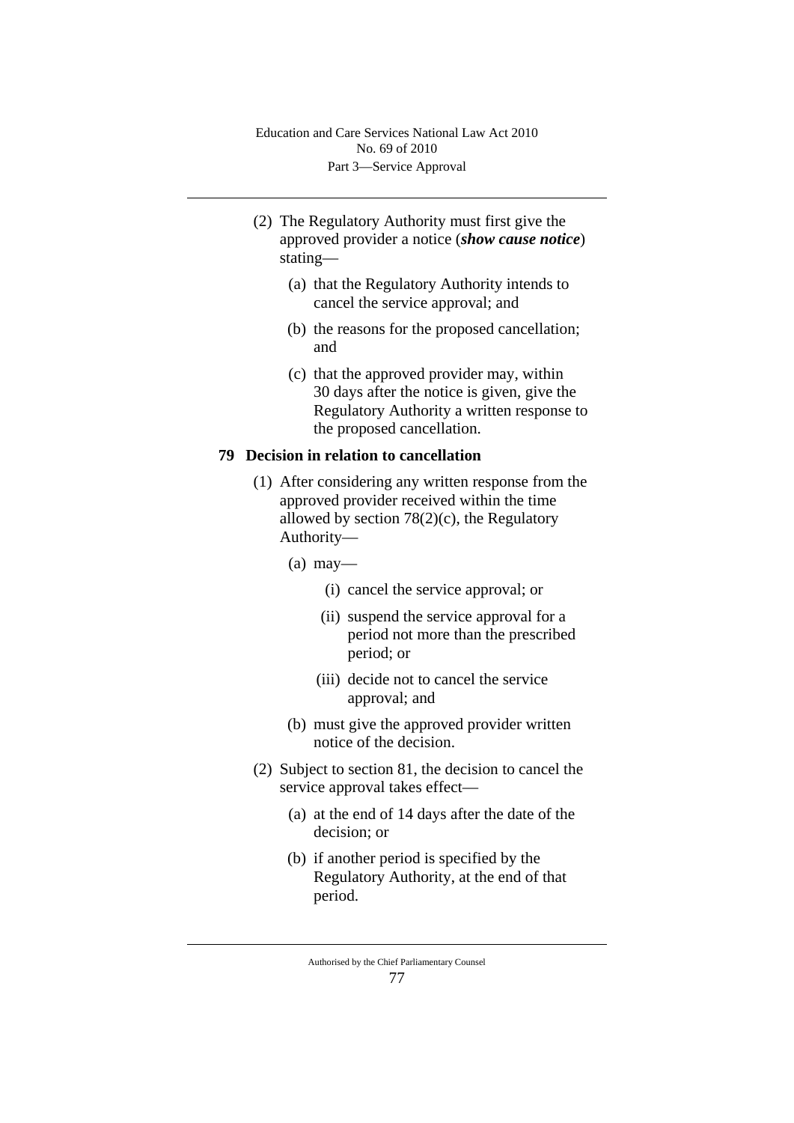- (2) The Regulatory Authority must first give the approved provider a notice (*show cause notice*) stating—
	- (a) that the Regulatory Authority intends to cancel the service approval; and
	- (b) the reasons for the proposed cancellation; and
	- (c) that the approved provider may, within 30 days after the notice is given, give the Regulatory Authority a written response to the proposed cancellation.

#### **79 Decision in relation to cancellation**

- (1) After considering any written response from the approved provider received within the time allowed by section 78(2)(c), the Regulatory Authority—
	- $(a)$  may—
		- (i) cancel the service approval; or
		- (ii) suspend the service approval for a period not more than the prescribed period; or
		- (iii) decide not to cancel the service approval; and
	- (b) must give the approved provider written notice of the decision.
- (2) Subject to section 81, the decision to cancel the service approval takes effect—
	- (a) at the end of 14 days after the date of the decision; or
	- (b) if another period is specified by the Regulatory Authority, at the end of that period.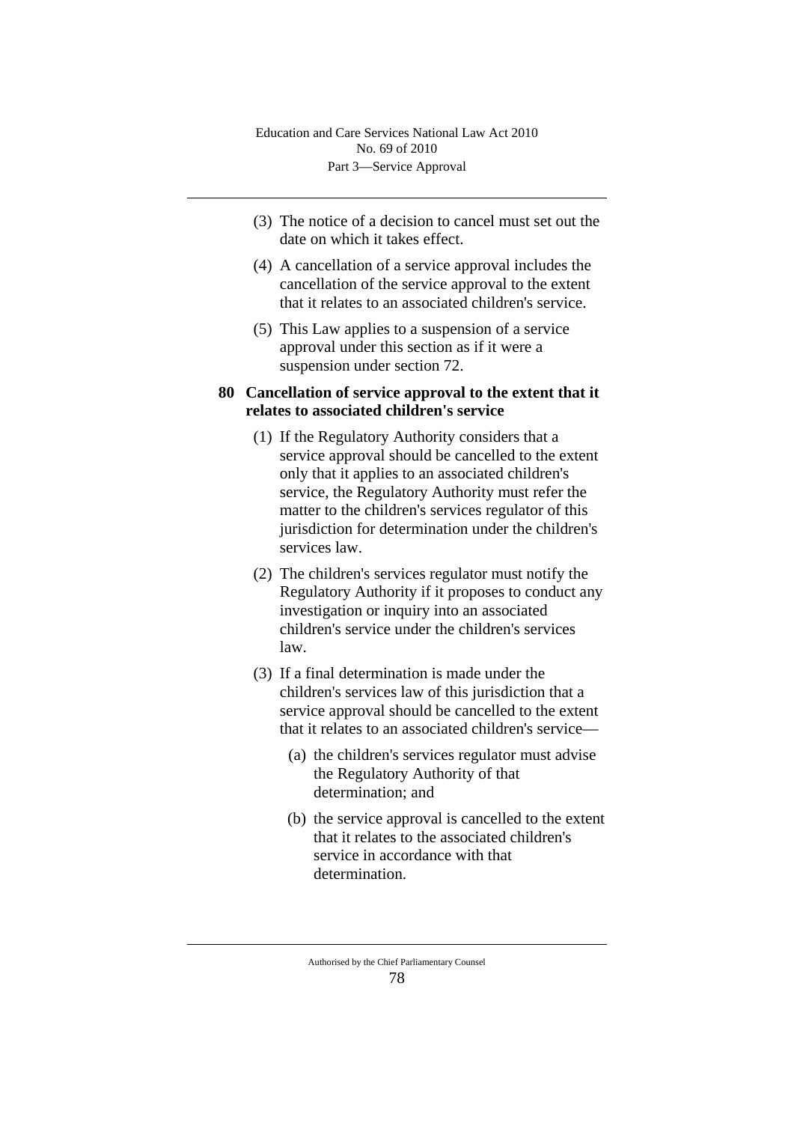- (3) The notice of a decision to cancel must set out the date on which it takes effect.
- (4) A cancellation of a service approval includes the cancellation of the service approval to the extent that it relates to an associated children's service.
- (5) This Law applies to a suspension of a service approval under this section as if it were a suspension under section 72.

## **80 Cancellation of service approval to the extent that it relates to associated children's service**

- (1) If the Regulatory Authority considers that a service approval should be cancelled to the extent only that it applies to an associated children's service, the Regulatory Authority must refer the matter to the children's services regulator of this jurisdiction for determination under the children's services law.
- (2) The children's services regulator must notify the Regulatory Authority if it proposes to conduct any investigation or inquiry into an associated children's service under the children's services law.
- (3) If a final determination is made under the children's services law of this jurisdiction that a service approval should be cancelled to the extent that it relates to an associated children's service—
	- (a) the children's services regulator must advise the Regulatory Authority of that determination; and
	- (b) the service approval is cancelled to the extent that it relates to the associated children's service in accordance with that determination.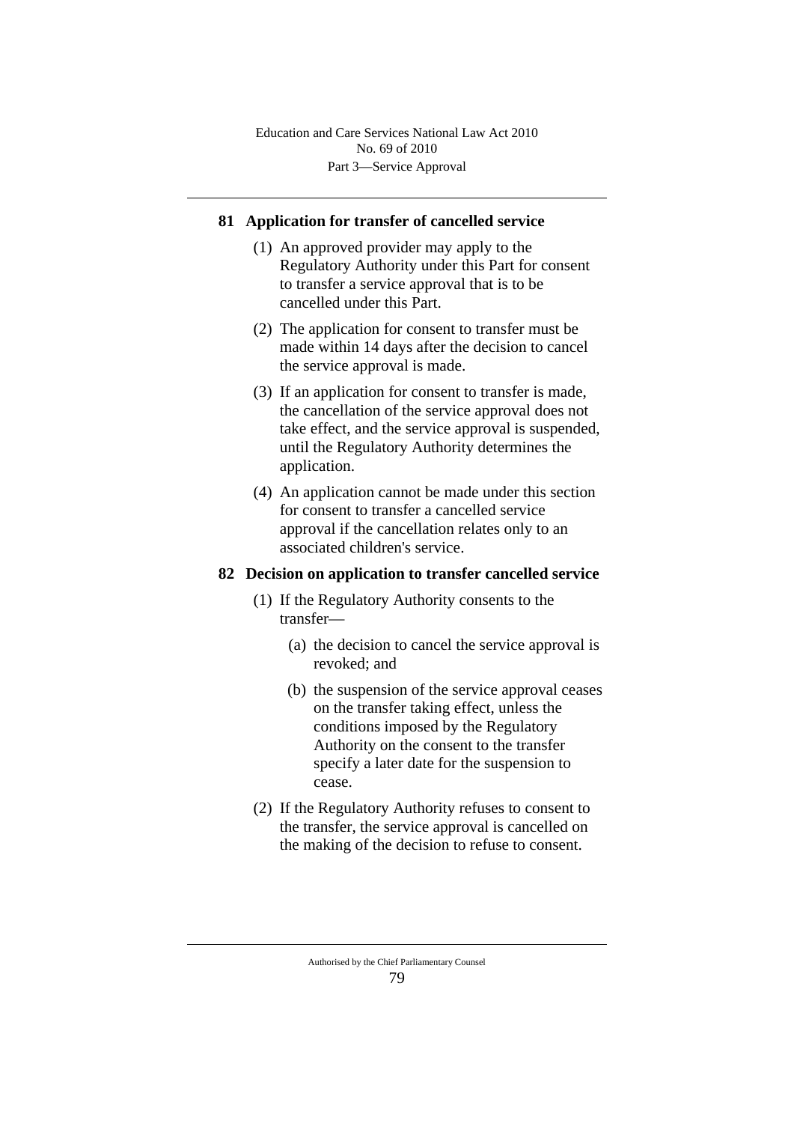## **81 Application for transfer of cancelled service**

- (1) An approved provider may apply to the Regulatory Authority under this Part for consent to transfer a service approval that is to be cancelled under this Part.
- (2) The application for consent to transfer must be made within 14 days after the decision to cancel the service approval is made.
- (3) If an application for consent to transfer is made, the cancellation of the service approval does not take effect, and the service approval is suspended, until the Regulatory Authority determines the application.
- (4) An application cannot be made under this section for consent to transfer a cancelled service approval if the cancellation relates only to an associated children's service.

#### **82 Decision on application to transfer cancelled service**

- (1) If the Regulatory Authority consents to the transfer—
	- (a) the decision to cancel the service approval is revoked; and
	- (b) the suspension of the service approval ceases on the transfer taking effect, unless the conditions imposed by the Regulatory Authority on the consent to the transfer specify a later date for the suspension to cease.
- (2) If the Regulatory Authority refuses to consent to the transfer, the service approval is cancelled on the making of the decision to refuse to consent.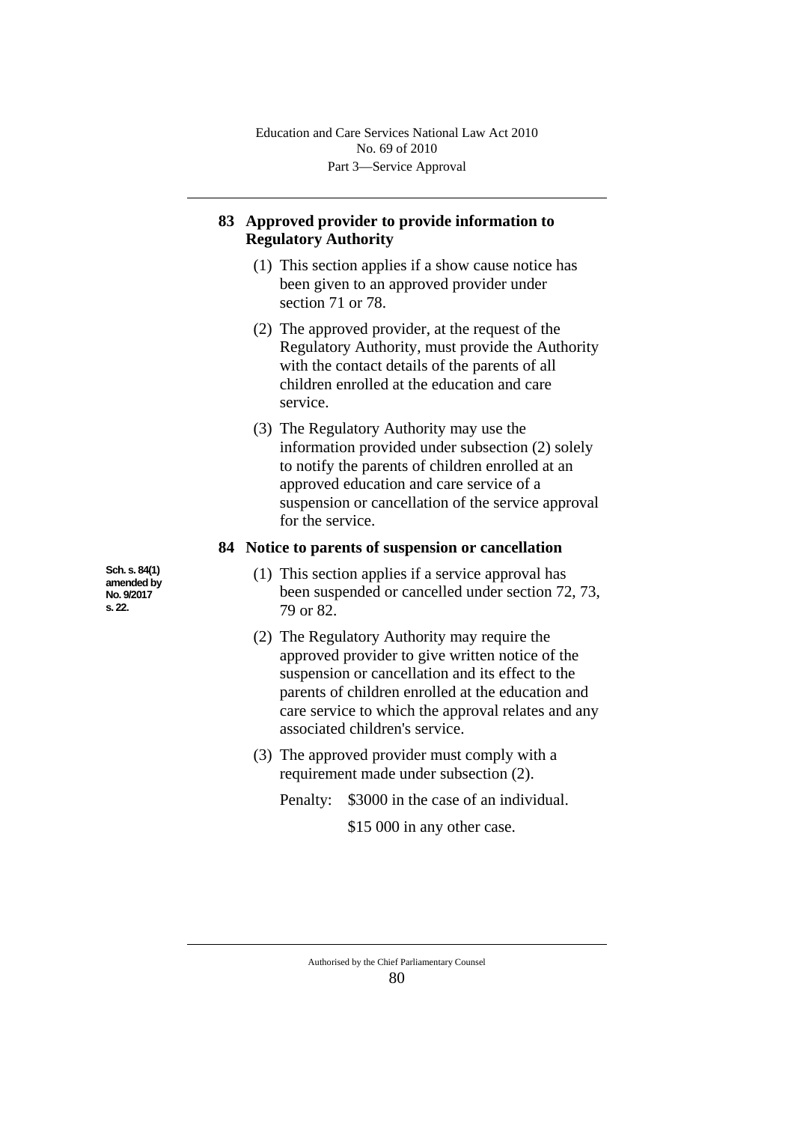# **83 Approved provider to provide information to Regulatory Authority**

- (1) This section applies if a show cause notice has been given to an approved provider under section 71 or 78.
- (2) The approved provider, at the request of the Regulatory Authority, must provide the Authority with the contact details of the parents of all children enrolled at the education and care service.
- (3) The Regulatory Authority may use the information provided under subsection (2) solely to notify the parents of children enrolled at an approved education and care service of a suspension or cancellation of the service approval for the service.

### **84 Notice to parents of suspension or cancellation**

- (1) This section applies if a service approval has been suspended or cancelled under section 72, 73, 79 or 82.
- (2) The Regulatory Authority may require the approved provider to give written notice of the suspension or cancellation and its effect to the parents of children enrolled at the education and care service to which the approval relates and any associated children's service.
- (3) The approved provider must comply with a requirement made under subsection (2).

Penalty: \$3000 in the case of an individual.

\$15 000 in any other case.

**Sch. s. 84(1) amended by No. 9/2017 s. 22.**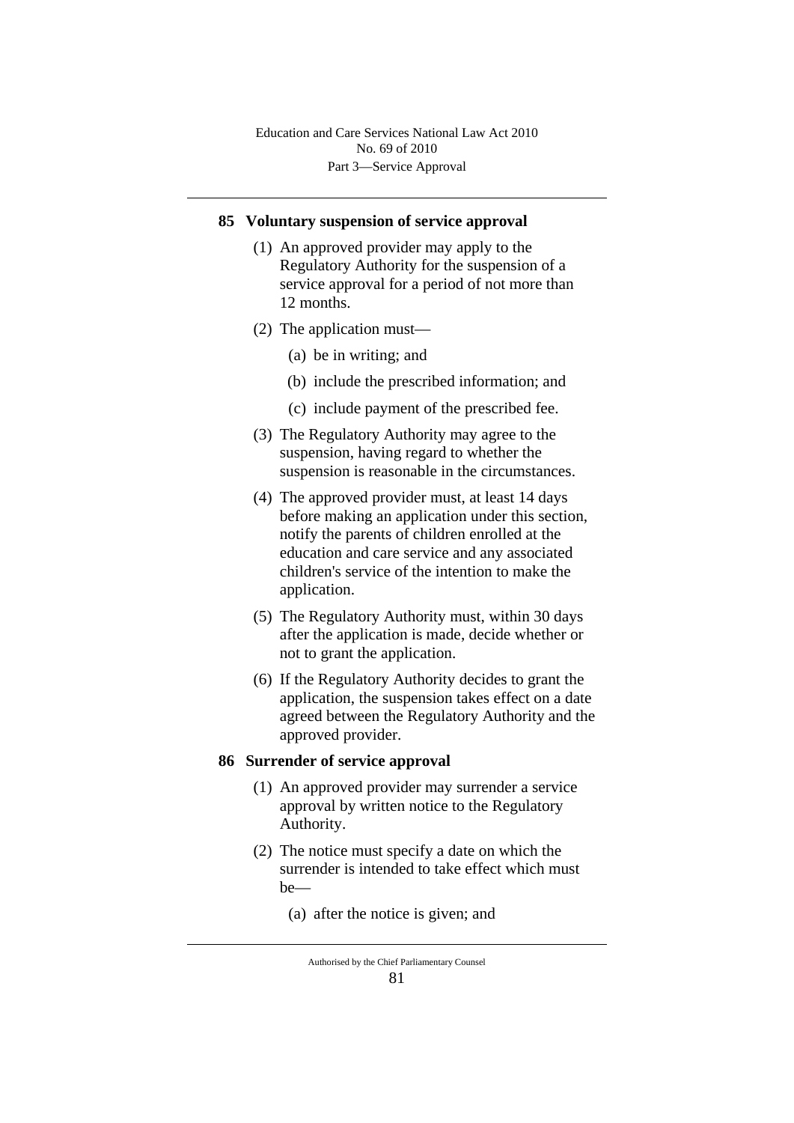#### **85 Voluntary suspension of service approval**

- (1) An approved provider may apply to the Regulatory Authority for the suspension of a service approval for a period of not more than 12 months.
- (2) The application must—
	- (a) be in writing; and
	- (b) include the prescribed information; and
	- (c) include payment of the prescribed fee.
- (3) The Regulatory Authority may agree to the suspension, having regard to whether the suspension is reasonable in the circumstances.
- (4) The approved provider must, at least 14 days before making an application under this section, notify the parents of children enrolled at the education and care service and any associated children's service of the intention to make the application.
- (5) The Regulatory Authority must, within 30 days after the application is made, decide whether or not to grant the application.
- (6) If the Regulatory Authority decides to grant the application, the suspension takes effect on a date agreed between the Regulatory Authority and the approved provider.

#### **86 Surrender of service approval**

- (1) An approved provider may surrender a service approval by written notice to the Regulatory Authority.
- (2) The notice must specify a date on which the surrender is intended to take effect which must be—
	- (a) after the notice is given; and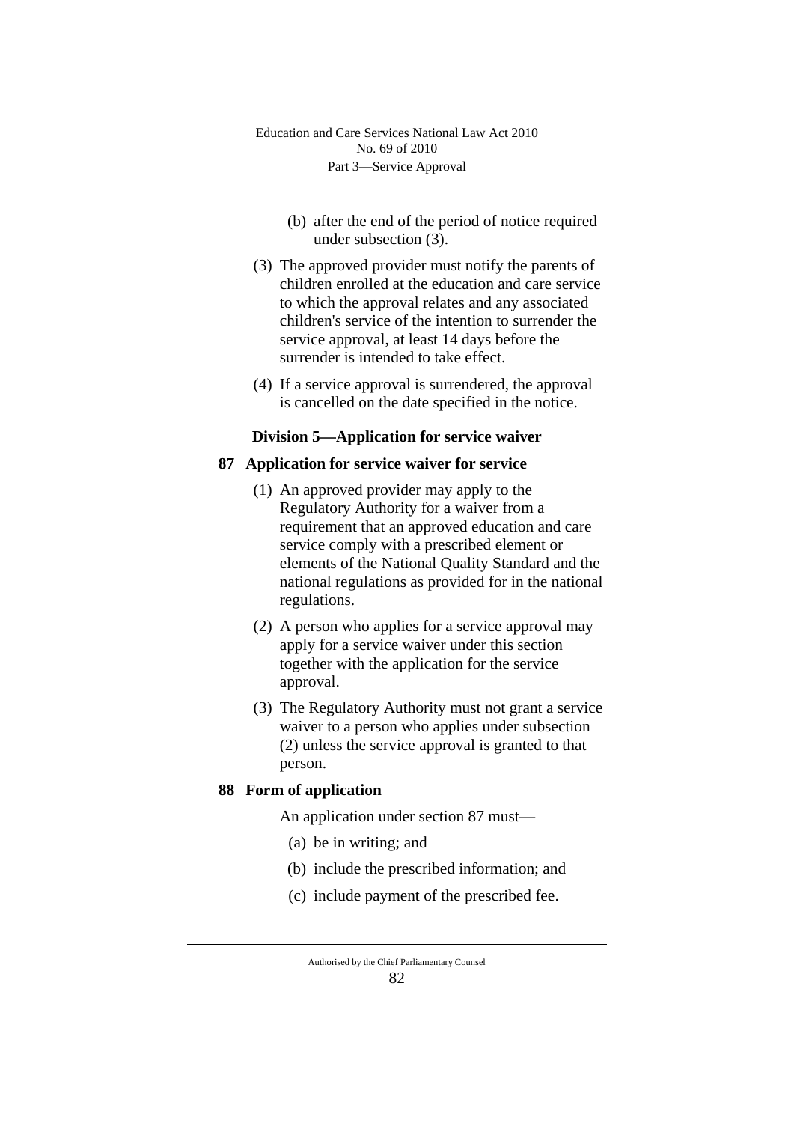- (b) after the end of the period of notice required under subsection (3).
- (3) The approved provider must notify the parents of children enrolled at the education and care service to which the approval relates and any associated children's service of the intention to surrender the service approval, at least 14 days before the surrender is intended to take effect.
- (4) If a service approval is surrendered, the approval is cancelled on the date specified in the notice.

## **Division 5—Application for service waiver**

### **87 Application for service waiver for service**

- (1) An approved provider may apply to the Regulatory Authority for a waiver from a requirement that an approved education and care service comply with a prescribed element or elements of the National Quality Standard and the national regulations as provided for in the national regulations.
- (2) A person who applies for a service approval may apply for a service waiver under this section together with the application for the service approval.
- (3) The Regulatory Authority must not grant a service waiver to a person who applies under subsection (2) unless the service approval is granted to that person.

## **88 Form of application**

An application under section 87 must—

- (a) be in writing; and
- (b) include the prescribed information; and
- (c) include payment of the prescribed fee.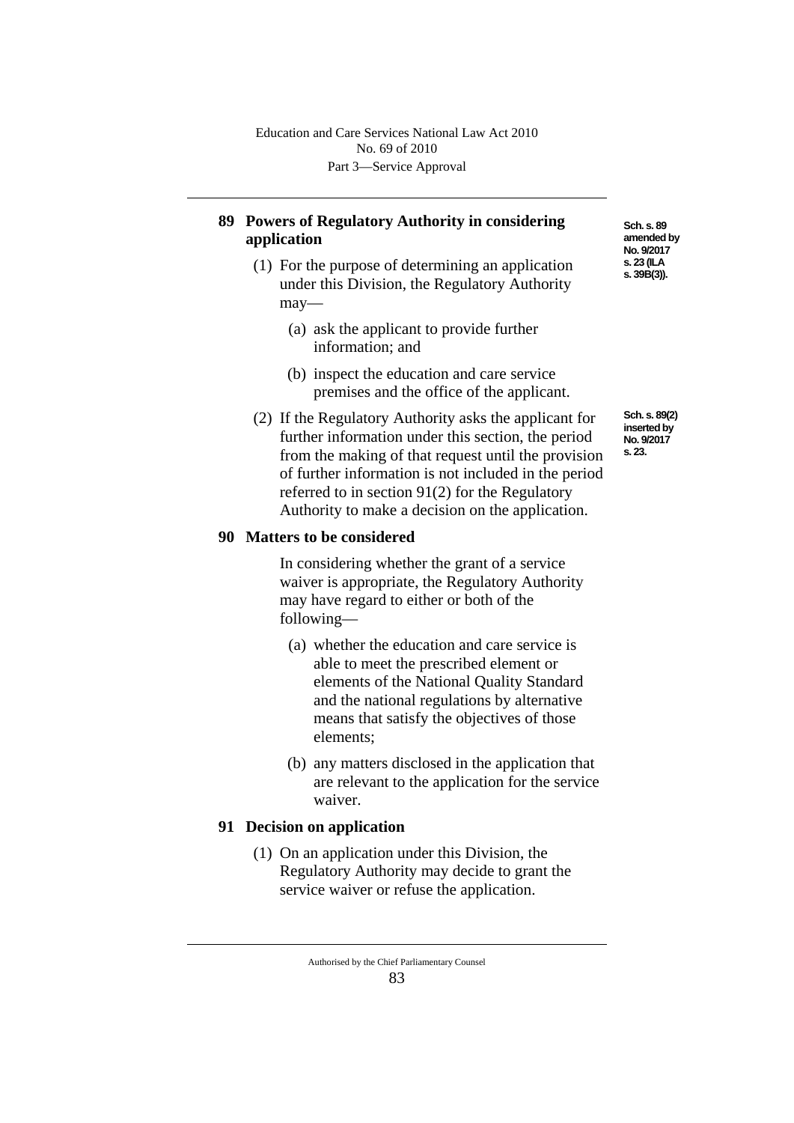# **89 Powers of Regulatory Authority in considering application**

- (1) For the purpose of determining an application under this Division, the Regulatory Authority may—
	- (a) ask the applicant to provide further information; and
	- (b) inspect the education and care service premises and the office of the applicant.
- (2) If the Regulatory Authority asks the applicant for further information under this section, the period from the making of that request until the provision of further information is not included in the period referred to in section 91(2) for the Regulatory Authority to make a decision on the application.

## **90 Matters to be considered**

In considering whether the grant of a service waiver is appropriate, the Regulatory Authority may have regard to either or both of the following—

- (a) whether the education and care service is able to meet the prescribed element or elements of the National Quality Standard and the national regulations by alternative means that satisfy the objectives of those elements;
- (b) any matters disclosed in the application that are relevant to the application for the service waiver.

## **91 Decision on application**

(1) On an application under this Division, the Regulatory Authority may decide to grant the service waiver or refuse the application.

**Sch. s. 89 amended by No. 9/2017 s. 23 (ILA s. 39B(3)).**

**Sch. s. 89(2) inserted by No. 9/2017 s. 23.**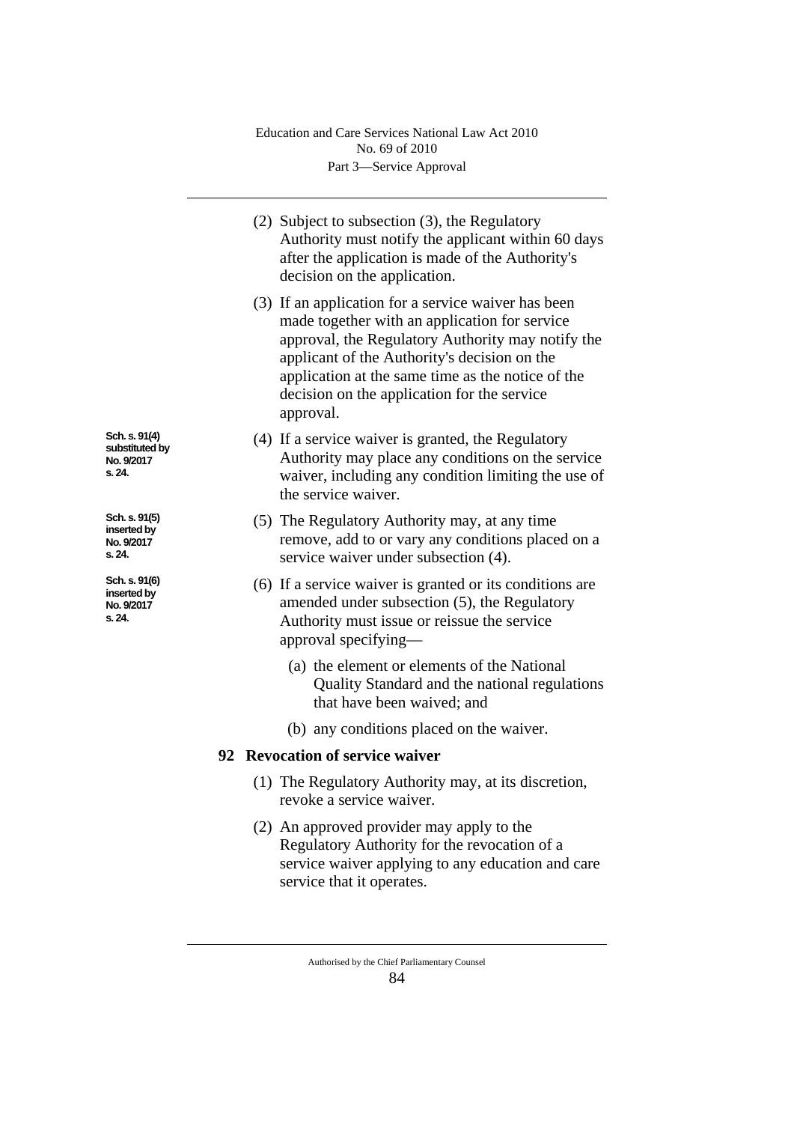- (2) Subject to subsection (3), the Regulatory Authority must notify the applicant within 60 days after the application is made of the Authority's decision on the application. (3) If an application for a service waiver has been made together with an application for service approval, the Regulatory Authority may notify the applicant of the Authority's decision on the application at the same time as the notice of the decision on the application for the service approval. (4) If a service waiver is granted, the Regulatory Authority may place any conditions on the service waiver, including any condition limiting the use of the service waiver. (5) The Regulatory Authority may, at any time remove, add to or vary any conditions placed on a service waiver under subsection (4). (6) If a service waiver is granted or its conditions are amended under subsection (5), the Regulatory Authority must issue or reissue the service approval specifying— (a) the element or elements of the National Quality Standard and the national regulations that have been waived; and (b) any conditions placed on the waiver. **92 Revocation of service waiver** (1) The Regulatory Authority may, at its discretion, **Sch. s. 91(4)** 
	- revoke a service waiver.
	- (2) An approved provider may apply to the Regulatory Authority for the revocation of a service waiver applying to any education and care service that it operates.

**substituted by No. 9/2017 s. 24.**

**Sch. s. 91(5) inserted by No. 9/2017 s. 24.**

**Sch. s. 91(6) inserted by No. 9/2017 s. 24.**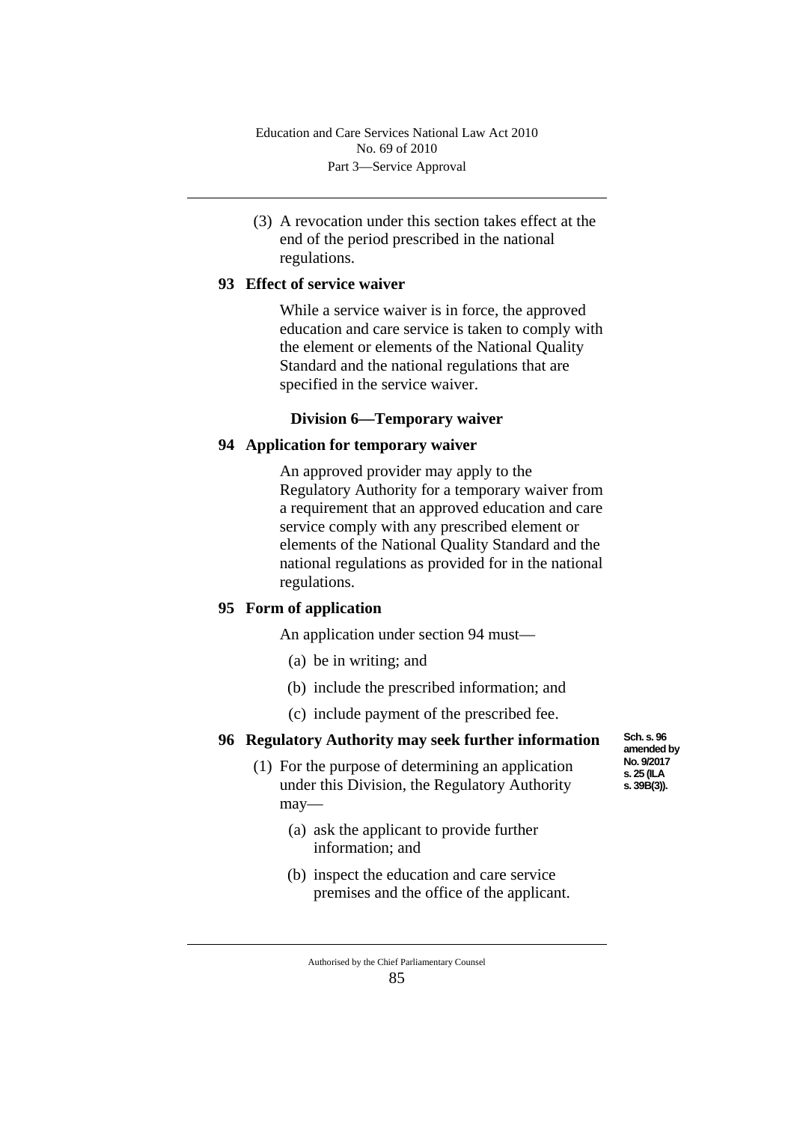(3) A revocation under this section takes effect at the end of the period prescribed in the national regulations.

## **93 Effect of service waiver**

While a service waiver is in force, the approved education and care service is taken to comply with the element or elements of the National Quality Standard and the national regulations that are specified in the service waiver.

#### **Division 6—Temporary waiver**

### **94 Application for temporary waiver**

An approved provider may apply to the Regulatory Authority for a temporary waiver from a requirement that an approved education and care service comply with any prescribed element or elements of the National Quality Standard and the national regulations as provided for in the national regulations.

# **95 Form of application**

An application under section 94 must—

- (a) be in writing; and
- (b) include the prescribed information; and
- (c) include payment of the prescribed fee.

#### **96 Regulatory Authority may seek further information**

- (1) For the purpose of determining an application under this Division, the Regulatory Authority may—
	- (a) ask the applicant to provide further information; and
	- (b) inspect the education and care service premises and the office of the applicant.

**Sch. s. 96 amended by No. 9/2017 s. 25 (ILA s. 39B(3)).**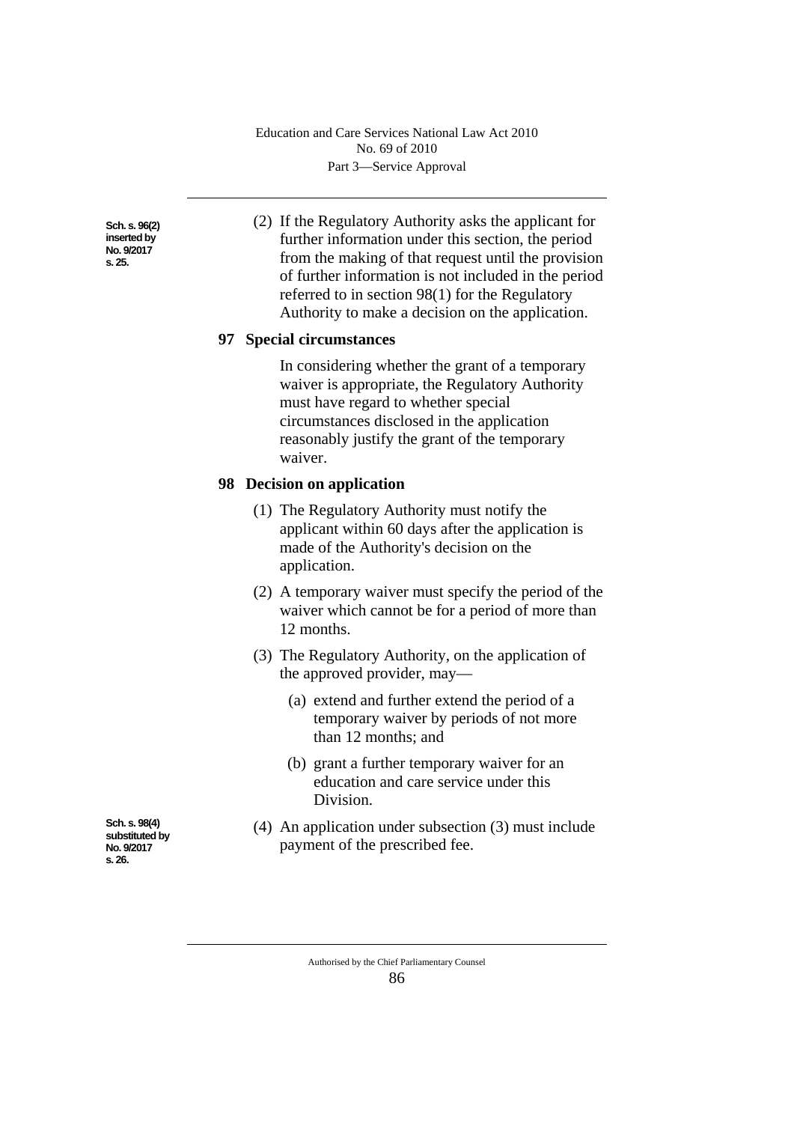**Sch. s. 96(2) inserted by No. 9/2017 s. 25.**

(2) If the Regulatory Authority asks the applicant for further information under this section, the period from the making of that request until the provision of further information is not included in the period referred to in section 98(1) for the Regulatory Authority to make a decision on the application.

### **97 Special circumstances**

In considering whether the grant of a temporary waiver is appropriate, the Regulatory Authority must have regard to whether special circumstances disclosed in the application reasonably justify the grant of the temporary waiver.

### **98 Decision on application**

- (1) The Regulatory Authority must notify the applicant within 60 days after the application is made of the Authority's decision on the application.
- (2) A temporary waiver must specify the period of the waiver which cannot be for a period of more than 12 months.
- (3) The Regulatory Authority, on the application of the approved provider, may—
	- (a) extend and further extend the period of a temporary waiver by periods of not more than 12 months; and
	- (b) grant a further temporary waiver for an education and care service under this Division.
- (4) An application under subsection (3) must include payment of the prescribed fee.

**Sch. s. 98(4) substituted by No. 9/2017 s. 26.**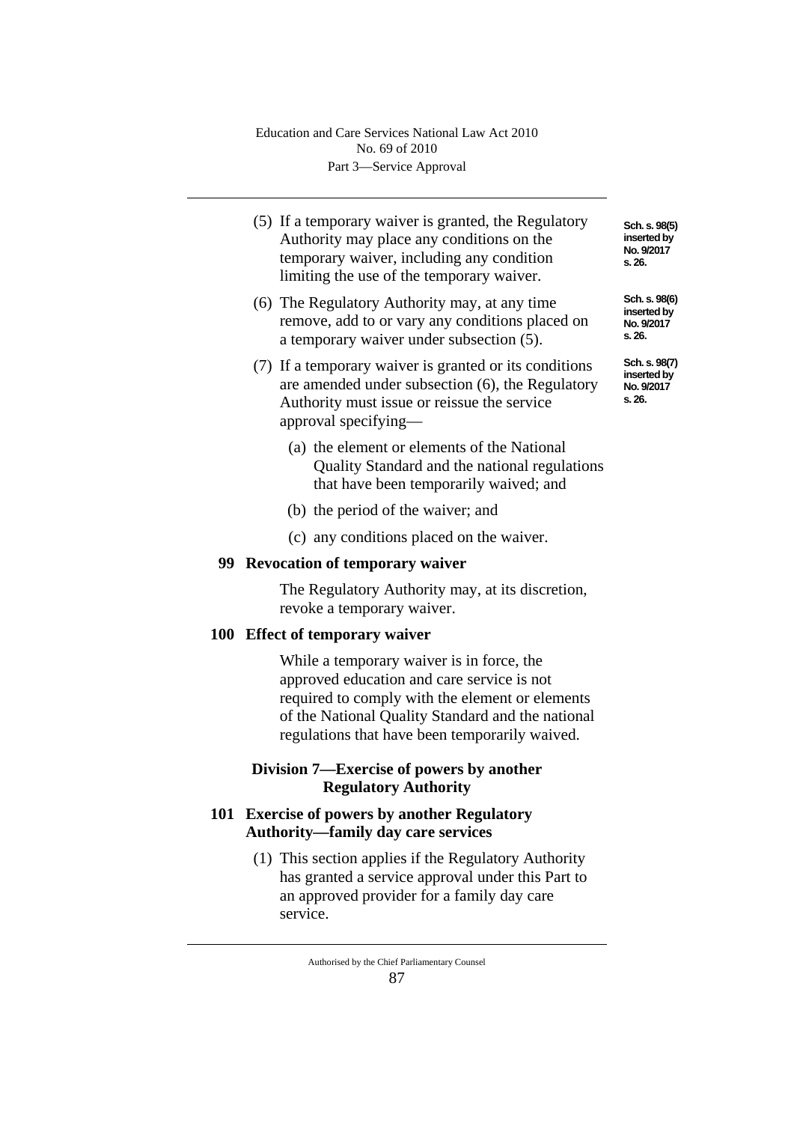- (5) If a temporary waiver is granted, the Regulatory Authority may place any conditions on the temporary waiver, including any condition limiting the use of the temporary waiver.
- (6) The Regulatory Authority may, at any time remove, add to or vary any conditions placed on a temporary waiver under subsection (5).
- (7) If a temporary waiver is granted or its conditions are amended under subsection (6), the Regulatory Authority must issue or reissue the service approval specifying—
	- (a) the element or elements of the National Quality Standard and the national regulations that have been temporarily waived; and
	- (b) the period of the waiver; and
	- (c) any conditions placed on the waiver.

#### **99 Revocation of temporary waiver**

The Regulatory Authority may, at its discretion, revoke a temporary waiver.

## **100 Effect of temporary waiver**

While a temporary waiver is in force, the approved education and care service is not required to comply with the element or elements of the National Quality Standard and the national regulations that have been temporarily waived.

# **Division 7—Exercise of powers by another Regulatory Authority**

# **101 Exercise of powers by another Regulatory Authority—family day care services**

(1) This section applies if the Regulatory Authority has granted a service approval under this Part to an approved provider for a family day care service.

**Sch. s. 98(5) inserted by No. 9/2017 s. 26.**

**Sch. s. 98(6) inserted by No. 9/2017 s. 26.**

**Sch. s. 98(7) inserted by No. 9/2017 s. 26.**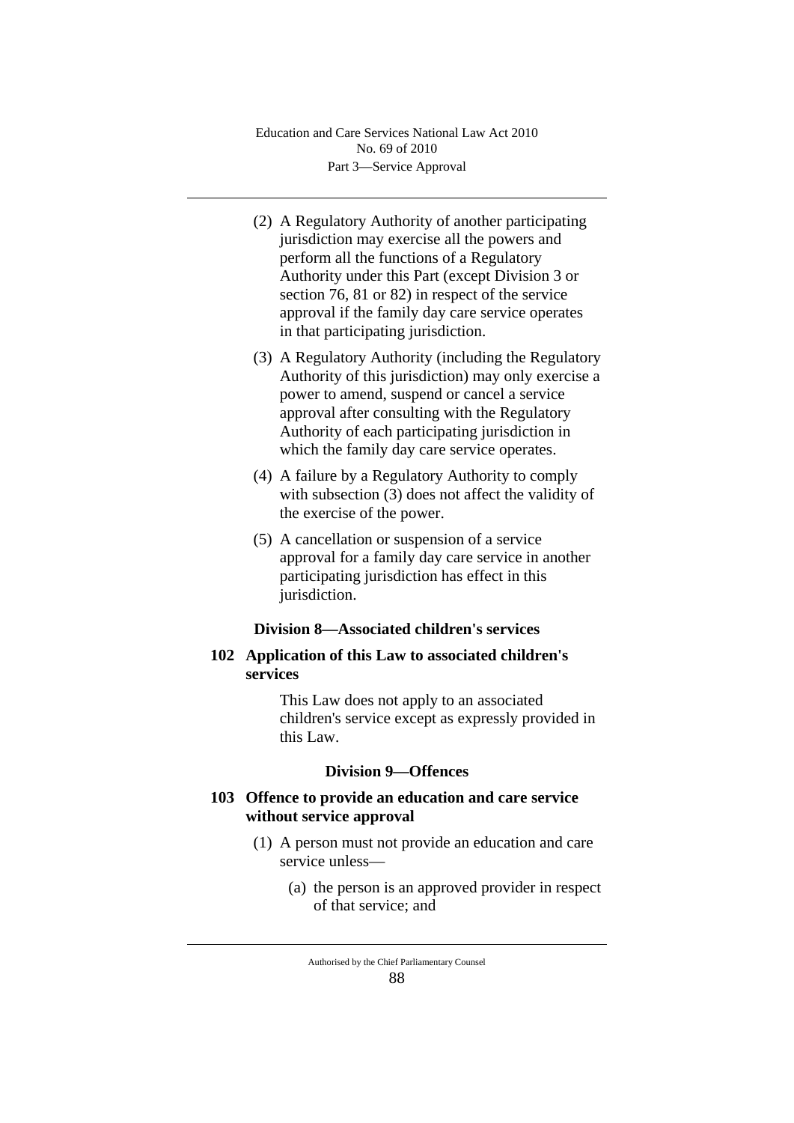- (2) A Regulatory Authority of another participating jurisdiction may exercise all the powers and perform all the functions of a Regulatory Authority under this Part (except Division 3 or section 76, 81 or 82) in respect of the service approval if the family day care service operates in that participating jurisdiction.
- (3) A Regulatory Authority (including the Regulatory Authority of this jurisdiction) may only exercise a power to amend, suspend or cancel a service approval after consulting with the Regulatory Authority of each participating jurisdiction in which the family day care service operates.
- (4) A failure by a Regulatory Authority to comply with subsection (3) does not affect the validity of the exercise of the power.
- (5) A cancellation or suspension of a service approval for a family day care service in another participating jurisdiction has effect in this jurisdiction.

#### **Division 8—Associated children's services**

## **102 Application of this Law to associated children's services**

This Law does not apply to an associated children's service except as expressly provided in this Law.

#### **Division 9—Offences**

## **103 Offence to provide an education and care service without service approval**

- (1) A person must not provide an education and care service unless—
	- (a) the person is an approved provider in respect of that service; and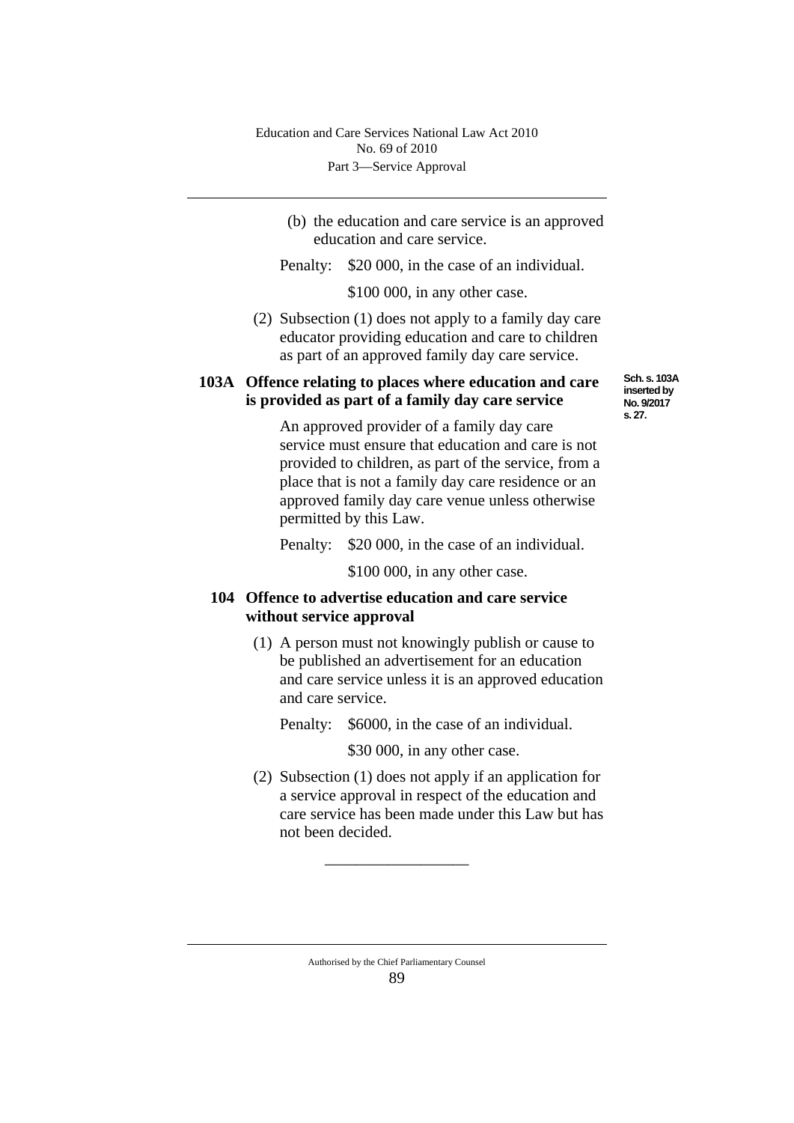(b) the education and care service is an approved education and care service.

Penalty: \$20 000, in the case of an individual.

\$100 000, in any other case.

(2) Subsection (1) does not apply to a family day care educator providing education and care to children as part of an approved family day care service.

# **103A Offence relating to places where education and care is provided as part of a family day care service**

**Sch. s. 103A inserted by No. 9/2017 s. 27.**

An approved provider of a family day care service must ensure that education and care is not provided to children, as part of the service, from a place that is not a family day care residence or an approved family day care venue unless otherwise permitted by this Law.

Penalty: \$20 000, in the case of an individual.

\$100 000, in any other case.

# **104 Offence to advertise education and care service without service approval**

- (1) A person must not knowingly publish or cause to be published an advertisement for an education and care service unless it is an approved education and care service.
	- Penalty: \$6000, in the case of an individual.

\$30 000, in any other case.

(2) Subsection (1) does not apply if an application for a service approval in respect of the education and care service has been made under this Law but has not been decided.

\_\_\_\_\_\_\_\_\_\_\_\_\_\_\_\_\_\_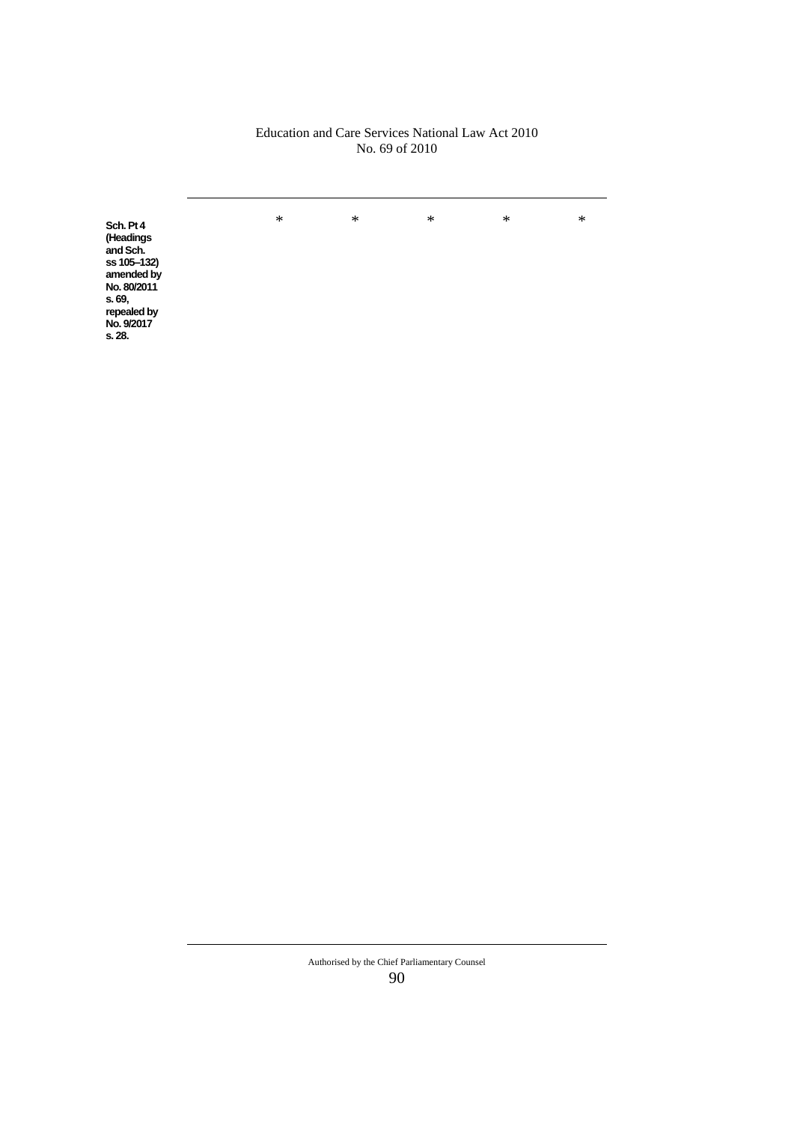#### Education and Care Services National Law Act 2010 No. 69 of 2010

**Sch. Pt 4** \* \* \* \* \* **(Headings and Sch. ss 105‒132) amended by No. 80/2011 s. 69, repealed by No. 9/2017 s. 28.**

> Authorised by the Chief Parliamentary Counsel 90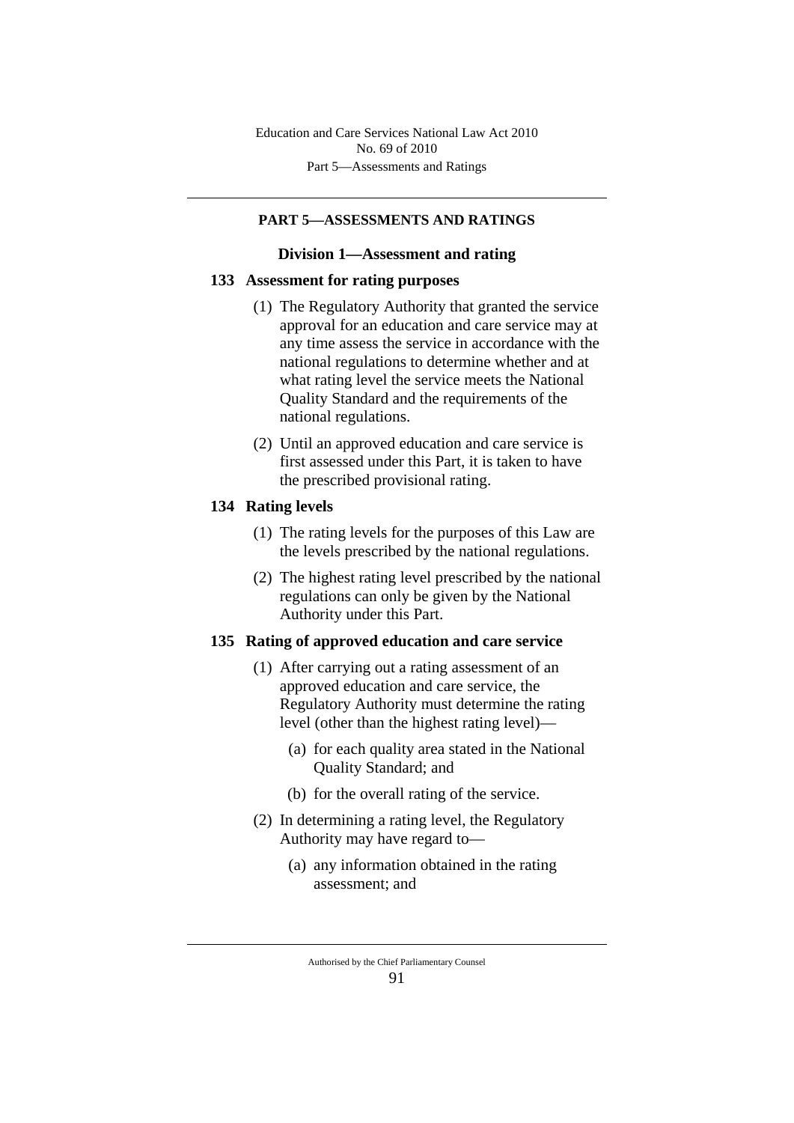## **PART 5—ASSESSMENTS AND RATINGS**

#### **Division 1—Assessment and rating**

#### **133 Assessment for rating purposes**

- (1) The Regulatory Authority that granted the service approval for an education and care service may at any time assess the service in accordance with the national regulations to determine whether and at what rating level the service meets the National Quality Standard and the requirements of the national regulations.
- (2) Until an approved education and care service is first assessed under this Part, it is taken to have the prescribed provisional rating.

### **134 Rating levels**

- (1) The rating levels for the purposes of this Law are the levels prescribed by the national regulations.
- (2) The highest rating level prescribed by the national regulations can only be given by the National Authority under this Part.

#### **135 Rating of approved education and care service**

- (1) After carrying out a rating assessment of an approved education and care service, the Regulatory Authority must determine the rating level (other than the highest rating level)—
	- (a) for each quality area stated in the National Quality Standard; and
	- (b) for the overall rating of the service.
- (2) In determining a rating level, the Regulatory Authority may have regard to—
	- (a) any information obtained in the rating assessment; and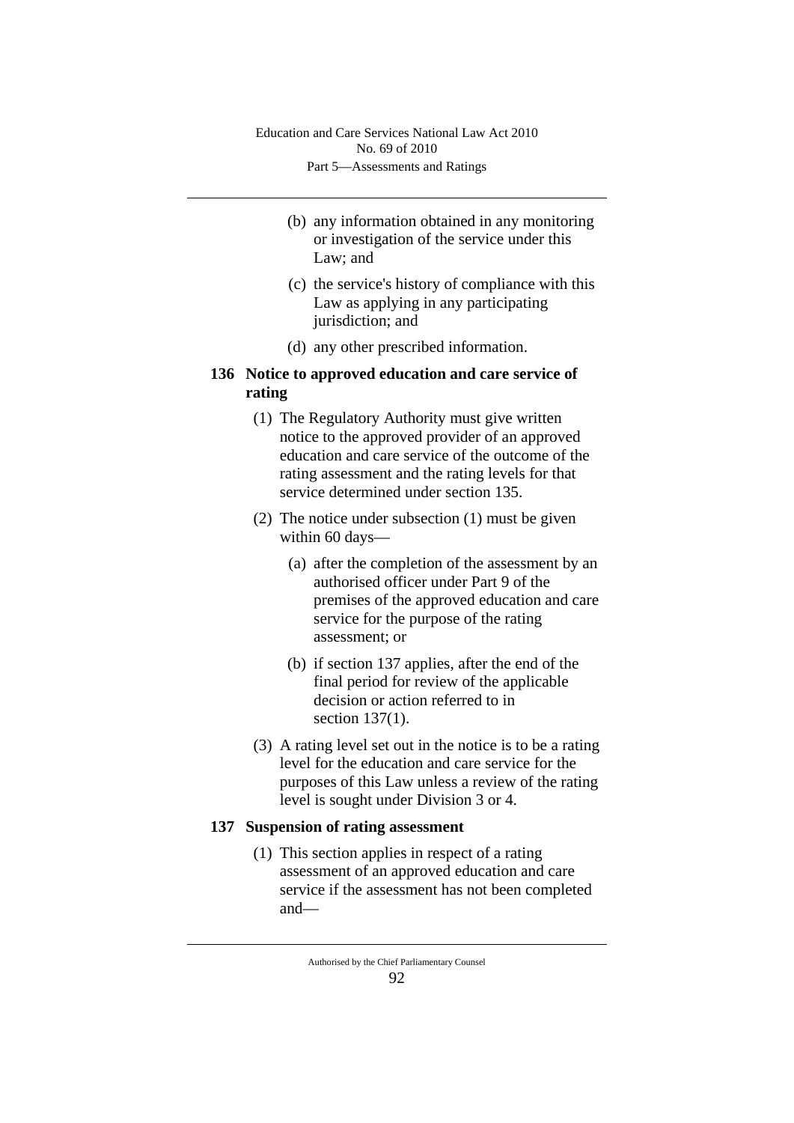- (b) any information obtained in any monitoring or investigation of the service under this Law; and
- (c) the service's history of compliance with this Law as applying in any participating jurisdiction; and
- (d) any other prescribed information.

# **136 Notice to approved education and care service of rating**

- (1) The Regulatory Authority must give written notice to the approved provider of an approved education and care service of the outcome of the rating assessment and the rating levels for that service determined under section 135.
- (2) The notice under subsection (1) must be given within 60 days—
	- (a) after the completion of the assessment by an authorised officer under Part 9 of the premises of the approved education and care service for the purpose of the rating assessment; or
	- (b) if section 137 applies, after the end of the final period for review of the applicable decision or action referred to in section 137(1).
- (3) A rating level set out in the notice is to be a rating level for the education and care service for the purposes of this Law unless a review of the rating level is sought under Division 3 or 4.

# **137 Suspension of rating assessment**

(1) This section applies in respect of a rating assessment of an approved education and care service if the assessment has not been completed and—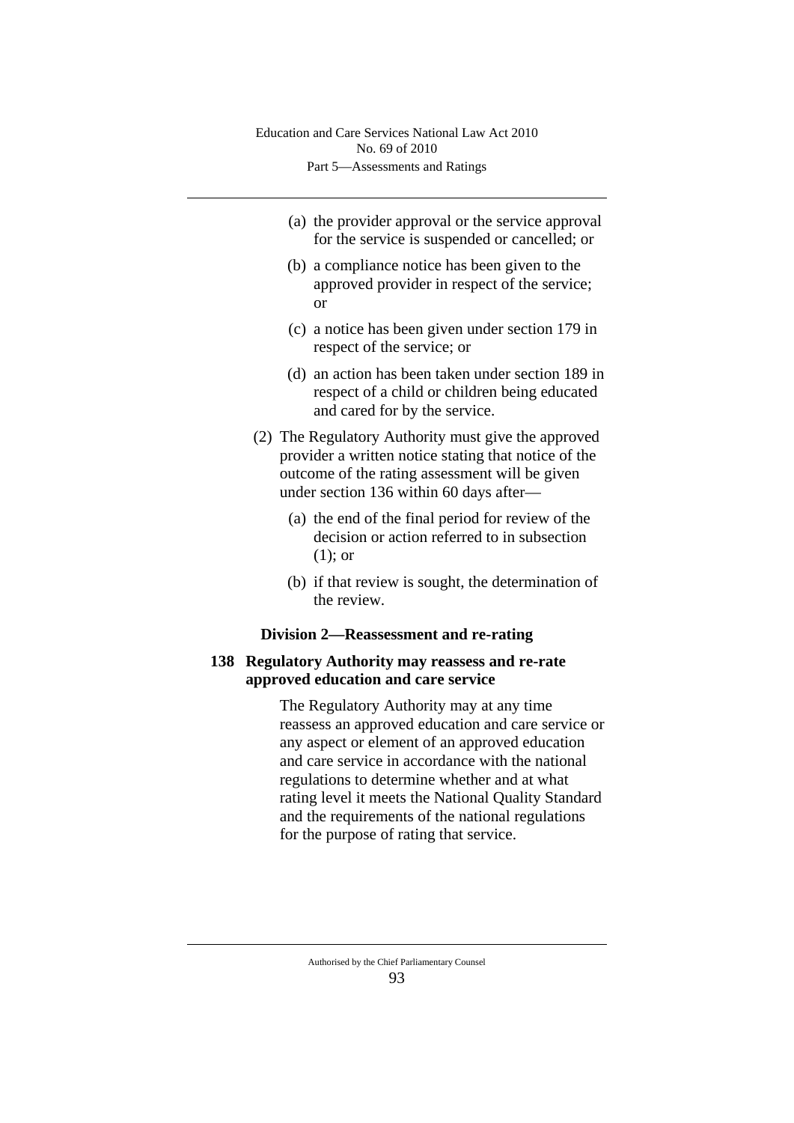- (a) the provider approval or the service approval for the service is suspended or cancelled; or
- (b) a compliance notice has been given to the approved provider in respect of the service; or
- (c) a notice has been given under section 179 in respect of the service; or
- (d) an action has been taken under section 189 in respect of a child or children being educated and cared for by the service.
- (2) The Regulatory Authority must give the approved provider a written notice stating that notice of the outcome of the rating assessment will be given under section 136 within 60 days after—
	- (a) the end of the final period for review of the decision or action referred to in subsection (1); or
	- (b) if that review is sought, the determination of the review.

## **Division 2—Reassessment and re-rating**

# **138 Regulatory Authority may reassess and re-rate approved education and care service**

The Regulatory Authority may at any time reassess an approved education and care service or any aspect or element of an approved education and care service in accordance with the national regulations to determine whether and at what rating level it meets the National Quality Standard and the requirements of the national regulations for the purpose of rating that service.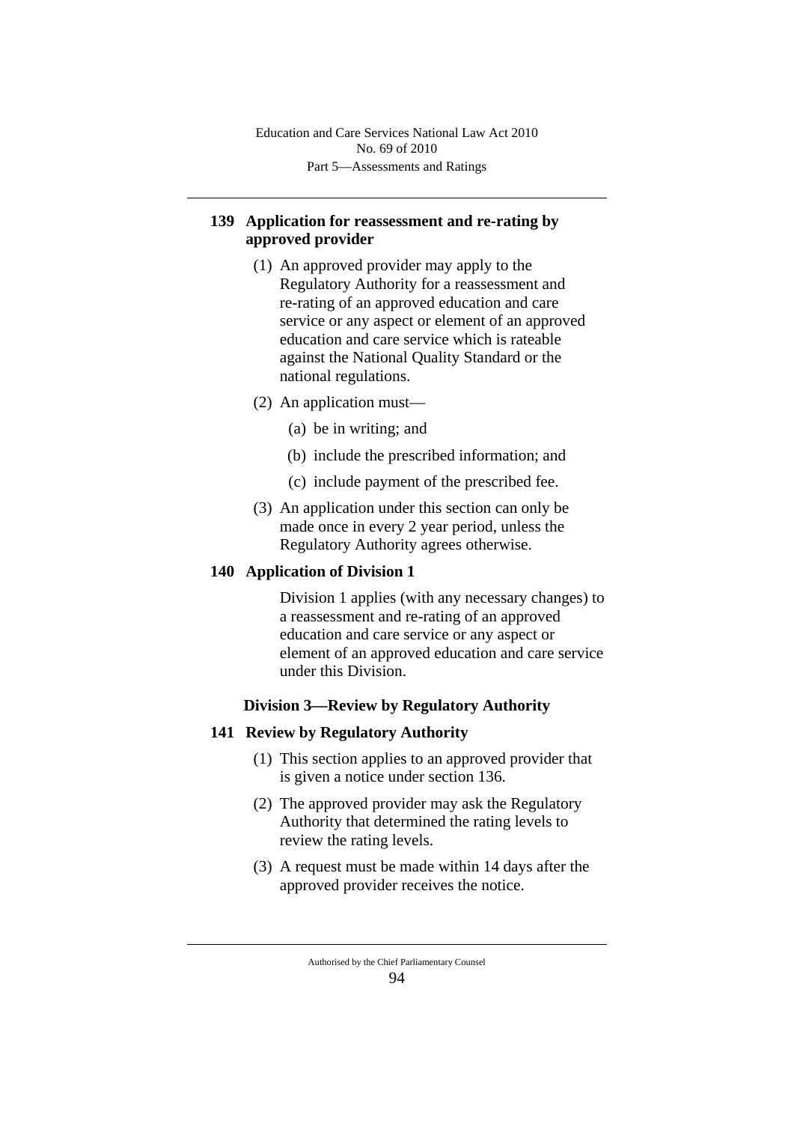Part 5—Assessments and Ratings Education and Care Services National Law Act 2010 No. 69 of 2010

# **139 Application for reassessment and re-rating by approved provider**

- (1) An approved provider may apply to the Regulatory Authority for a reassessment and re-rating of an approved education and care service or any aspect or element of an approved education and care service which is rateable against the National Quality Standard or the national regulations.
- (2) An application must—
	- (a) be in writing; and
	- (b) include the prescribed information; and
	- (c) include payment of the prescribed fee.
- (3) An application under this section can only be made once in every 2 year period, unless the Regulatory Authority agrees otherwise.

## **140 Application of Division 1**

Division 1 applies (with any necessary changes) to a reassessment and re-rating of an approved education and care service or any aspect or element of an approved education and care service under this Division.

## **Division 3—Review by Regulatory Authority**

## **141 Review by Regulatory Authority**

- (1) This section applies to an approved provider that is given a notice under section 136.
- (2) The approved provider may ask the Regulatory Authority that determined the rating levels to review the rating levels.
- (3) A request must be made within 14 days after the approved provider receives the notice.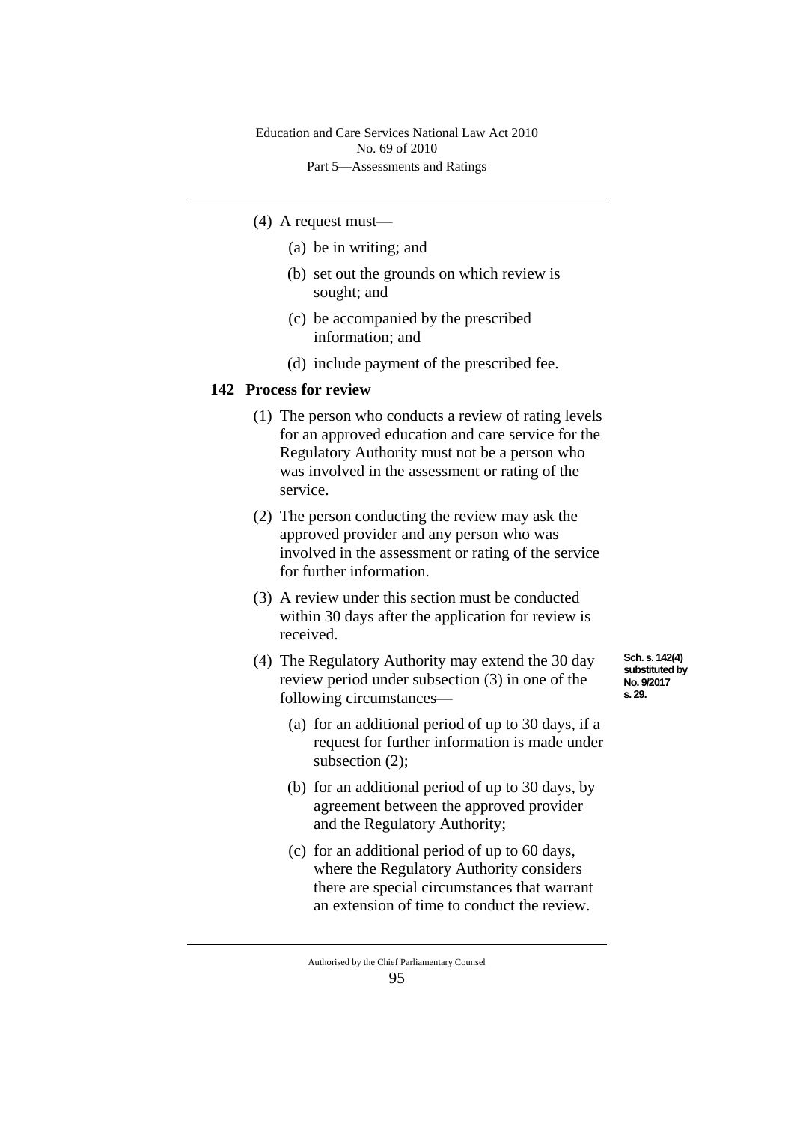- (4) A request must—
	- (a) be in writing; and
	- (b) set out the grounds on which review is sought; and
	- (c) be accompanied by the prescribed information; and
	- (d) include payment of the prescribed fee.

#### **142 Process for review**

- (1) The person who conducts a review of rating levels for an approved education and care service for the Regulatory Authority must not be a person who was involved in the assessment or rating of the service.
- (2) The person conducting the review may ask the approved provider and any person who was involved in the assessment or rating of the service for further information.
- (3) A review under this section must be conducted within 30 days after the application for review is received.
- (4) The Regulatory Authority may extend the 30 day review period under subsection (3) in one of the following circumstances—
	- (a) for an additional period of up to 30 days, if a request for further information is made under subsection (2);
	- (b) for an additional period of up to 30 days, by agreement between the approved provider and the Regulatory Authority;
	- (c) for an additional period of up to 60 days, where the Regulatory Authority considers there are special circumstances that warrant an extension of time to conduct the review.

**Sch. s. 142(4) substituted by No. 9/2017 s. 29.**

Authorised by the Chief Parliamentary Counsel 95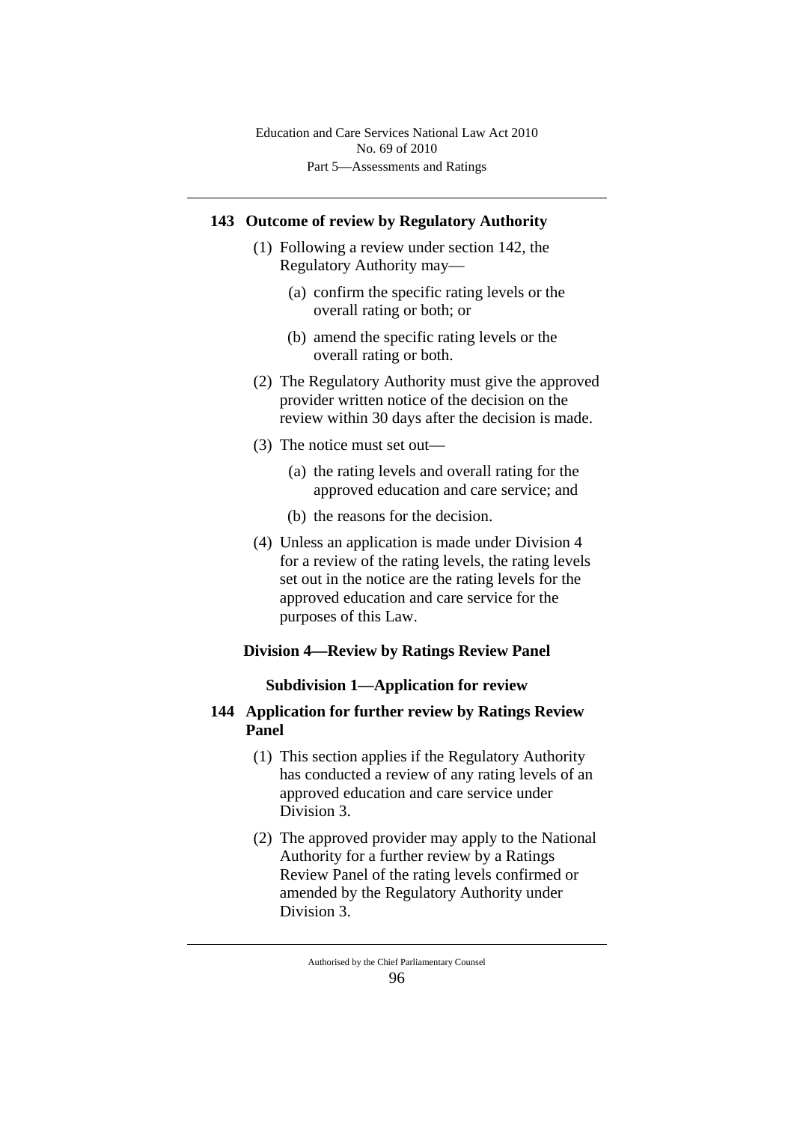### **143 Outcome of review by Regulatory Authority**

- (1) Following a review under section 142, the Regulatory Authority may—
	- (a) confirm the specific rating levels or the overall rating or both; or
	- (b) amend the specific rating levels or the overall rating or both.
- (2) The Regulatory Authority must give the approved provider written notice of the decision on the review within 30 days after the decision is made.
- (3) The notice must set out—
	- (a) the rating levels and overall rating for the approved education and care service; and
	- (b) the reasons for the decision.
- (4) Unless an application is made under Division 4 for a review of the rating levels, the rating levels set out in the notice are the rating levels for the approved education and care service for the purposes of this Law.

# **Division 4—Review by Ratings Review Panel**

#### **Subdivision 1—Application for review**

### **144 Application for further review by Ratings Review Panel**

- (1) This section applies if the Regulatory Authority has conducted a review of any rating levels of an approved education and care service under Division 3.
- (2) The approved provider may apply to the National Authority for a further review by a Ratings Review Panel of the rating levels confirmed or amended by the Regulatory Authority under Division 3.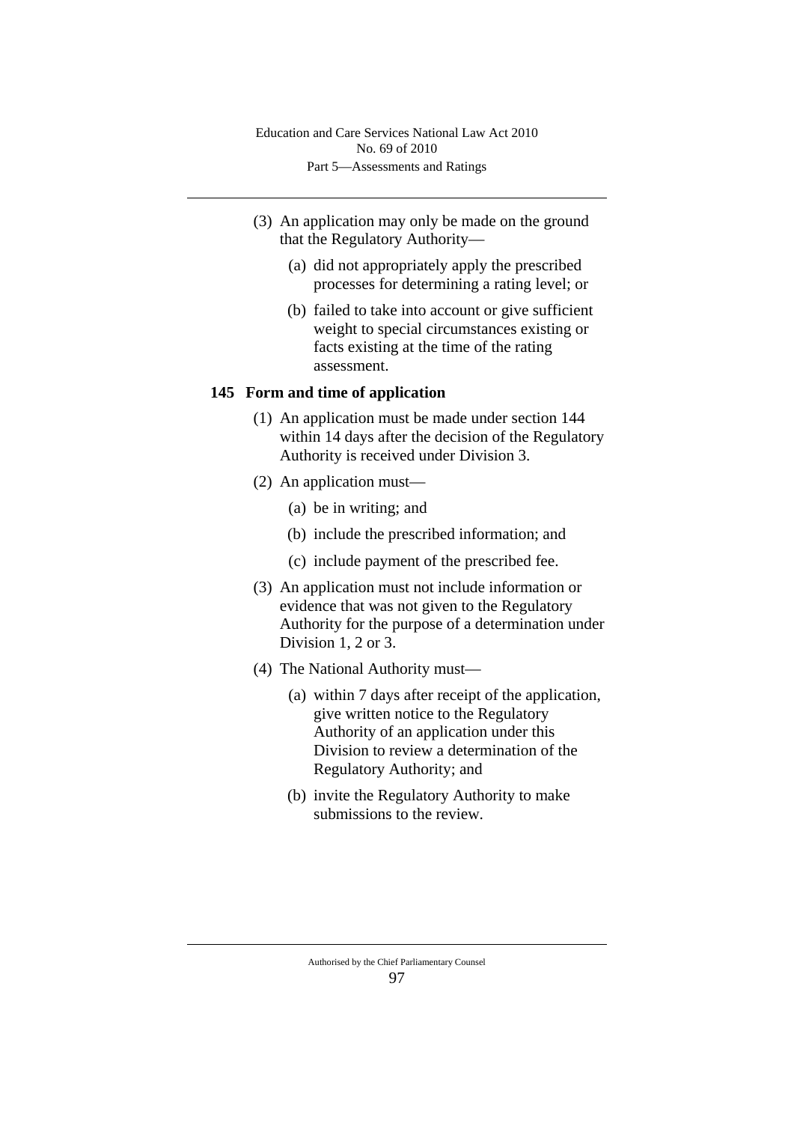- (3) An application may only be made on the ground that the Regulatory Authority—
	- (a) did not appropriately apply the prescribed processes for determining a rating level; or
	- (b) failed to take into account or give sufficient weight to special circumstances existing or facts existing at the time of the rating assessment.

#### **145 Form and time of application**

- (1) An application must be made under section 144 within 14 days after the decision of the Regulatory Authority is received under Division 3.
- (2) An application must—
	- (a) be in writing; and
	- (b) include the prescribed information; and
	- (c) include payment of the prescribed fee.
- (3) An application must not include information or evidence that was not given to the Regulatory Authority for the purpose of a determination under Division 1, 2 or 3.
- (4) The National Authority must—
	- (a) within 7 days after receipt of the application, give written notice to the Regulatory Authority of an application under this Division to review a determination of the Regulatory Authority; and
	- (b) invite the Regulatory Authority to make submissions to the review.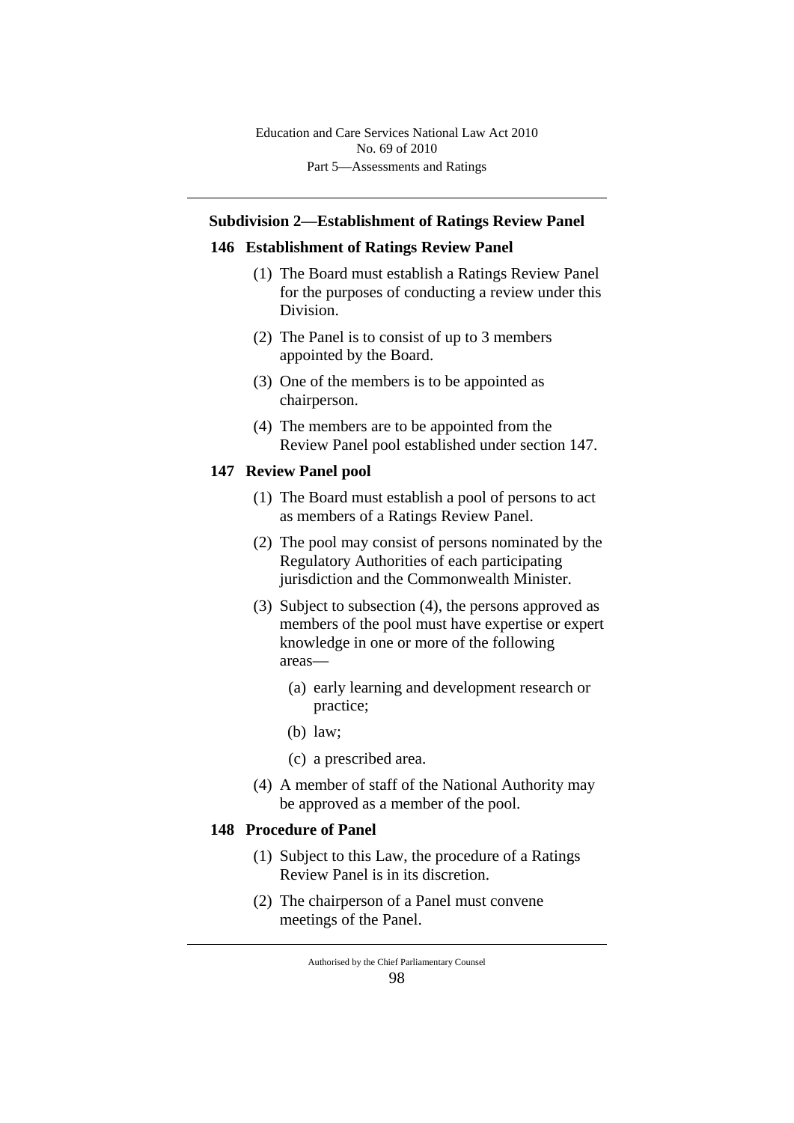# **Subdivision 2—Establishment of Ratings Review Panel**

### **146 Establishment of Ratings Review Panel**

- (1) The Board must establish a Ratings Review Panel for the purposes of conducting a review under this Division.
- (2) The Panel is to consist of up to 3 members appointed by the Board.
- (3) One of the members is to be appointed as chairperson.
- (4) The members are to be appointed from the Review Panel pool established under section 147.

# **147 Review Panel pool**

- (1) The Board must establish a pool of persons to act as members of a Ratings Review Panel.
- (2) The pool may consist of persons nominated by the Regulatory Authorities of each participating jurisdiction and the Commonwealth Minister.
- (3) Subject to subsection (4), the persons approved as members of the pool must have expertise or expert knowledge in one or more of the following areas—
	- (a) early learning and development research or practice;
	- (b) law;
	- (c) a prescribed area.
- (4) A member of staff of the National Authority may be approved as a member of the pool.

# **148 Procedure of Panel**

- (1) Subject to this Law, the procedure of a Ratings Review Panel is in its discretion.
- (2) The chairperson of a Panel must convene meetings of the Panel.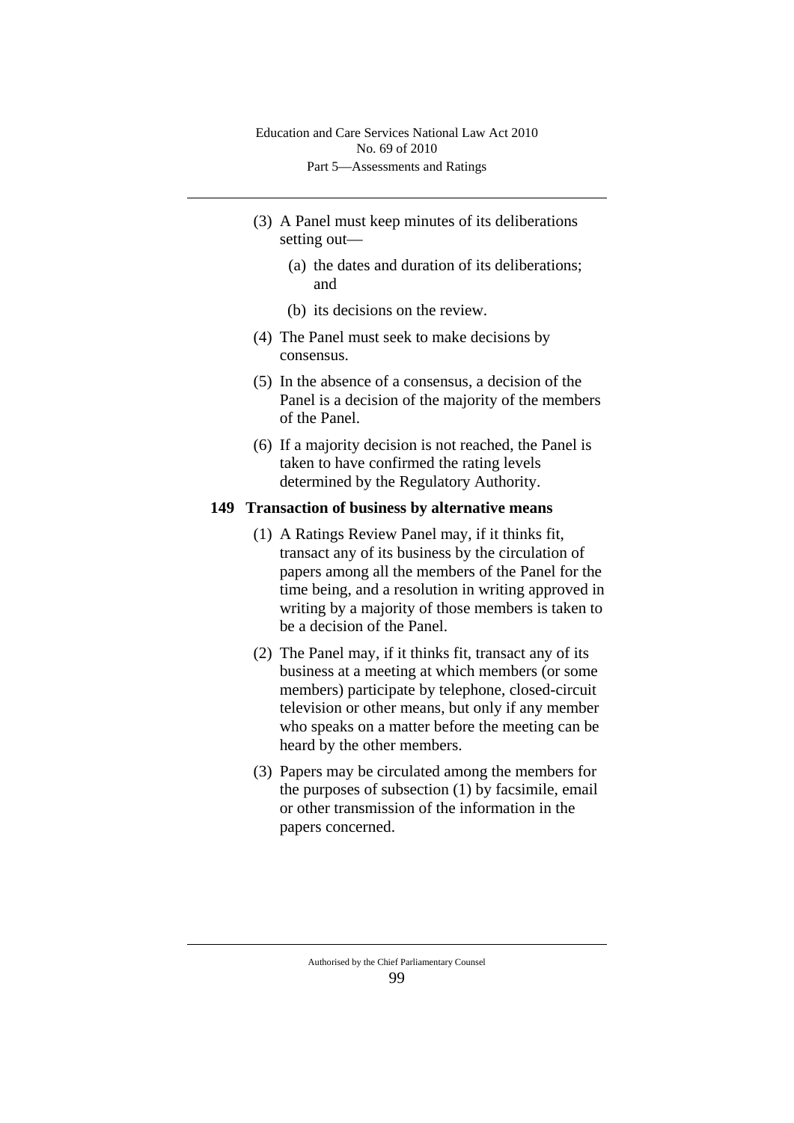- (3) A Panel must keep minutes of its deliberations setting out—
	- (a) the dates and duration of its deliberations; and
	- (b) its decisions on the review.
- (4) The Panel must seek to make decisions by consensus.
- (5) In the absence of a consensus, a decision of the Panel is a decision of the majority of the members of the Panel.
- (6) If a majority decision is not reached, the Panel is taken to have confirmed the rating levels determined by the Regulatory Authority.

#### **149 Transaction of business by alternative means**

- (1) A Ratings Review Panel may, if it thinks fit, transact any of its business by the circulation of papers among all the members of the Panel for the time being, and a resolution in writing approved in writing by a majority of those members is taken to be a decision of the Panel.
- (2) The Panel may, if it thinks fit, transact any of its business at a meeting at which members (or some members) participate by telephone, closed-circuit television or other means, but only if any member who speaks on a matter before the meeting can be heard by the other members.
- (3) Papers may be circulated among the members for the purposes of subsection (1) by facsimile, email or other transmission of the information in the papers concerned.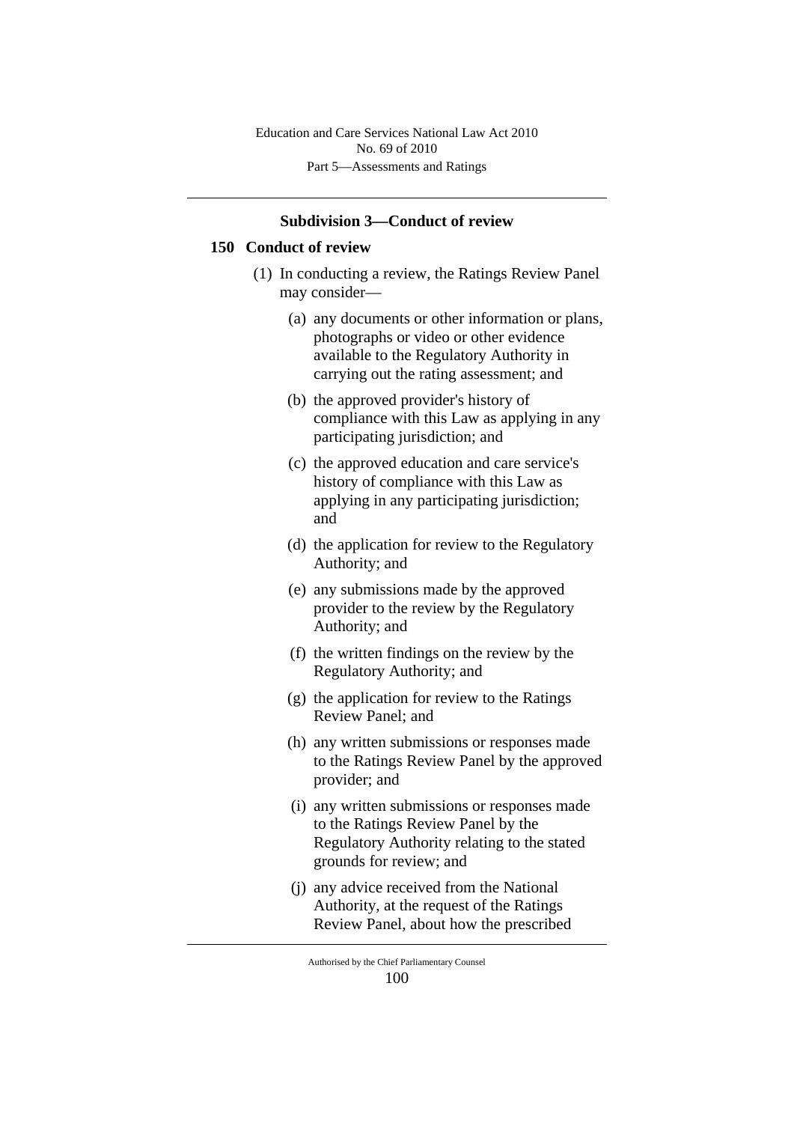#### **Subdivision 3—Conduct of review**

#### **150 Conduct of review**

- (1) In conducting a review, the Ratings Review Panel may consider—
	- (a) any documents or other information or plans, photographs or video or other evidence available to the Regulatory Authority in carrying out the rating assessment; and
	- (b) the approved provider's history of compliance with this Law as applying in any participating jurisdiction; and
	- (c) the approved education and care service's history of compliance with this Law as applying in any participating jurisdiction; and
	- (d) the application for review to the Regulatory Authority; and
	- (e) any submissions made by the approved provider to the review by the Regulatory Authority; and
	- (f) the written findings on the review by the Regulatory Authority; and
	- (g) the application for review to the Ratings Review Panel; and
	- (h) any written submissions or responses made to the Ratings Review Panel by the approved provider; and
	- (i) any written submissions or responses made to the Ratings Review Panel by the Regulatory Authority relating to the stated grounds for review; and
	- (j) any advice received from the National Authority, at the request of the Ratings Review Panel, about how the prescribed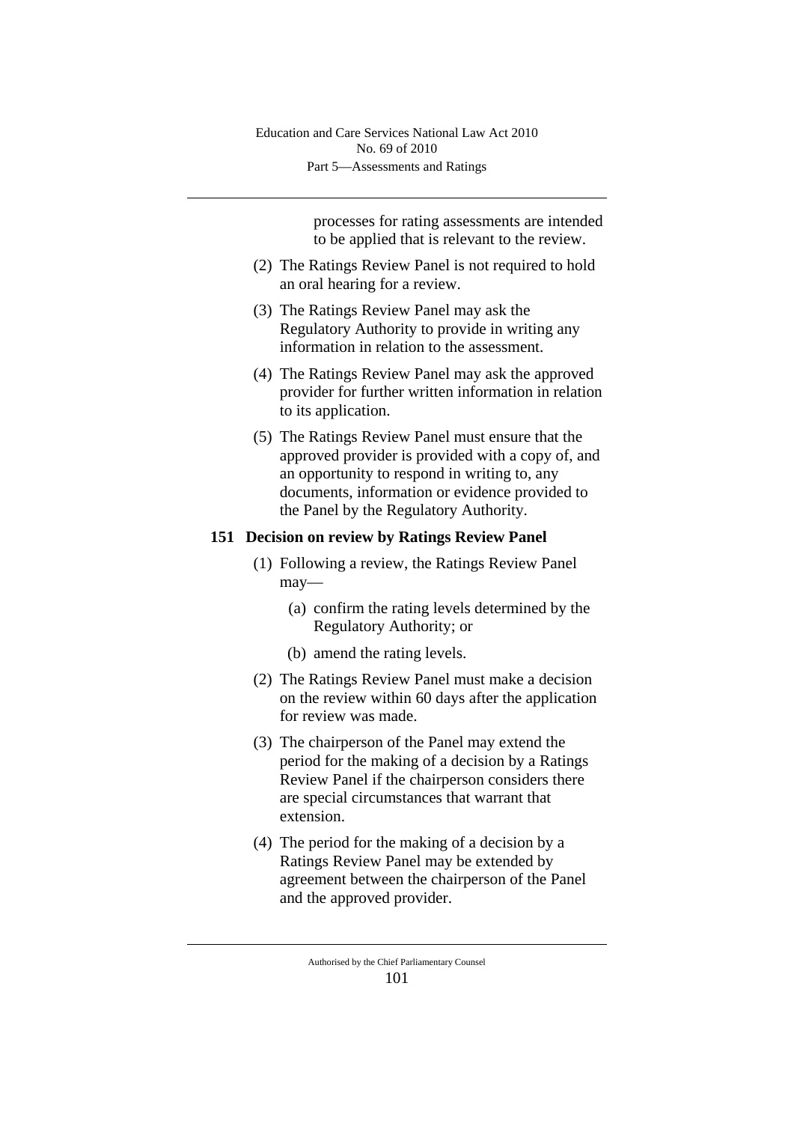processes for rating assessments are intended to be applied that is relevant to the review.

- (2) The Ratings Review Panel is not required to hold an oral hearing for a review.
- (3) The Ratings Review Panel may ask the Regulatory Authority to provide in writing any information in relation to the assessment.
- (4) The Ratings Review Panel may ask the approved provider for further written information in relation to its application.
- (5) The Ratings Review Panel must ensure that the approved provider is provided with a copy of, and an opportunity to respond in writing to, any documents, information or evidence provided to the Panel by the Regulatory Authority.

### **151 Decision on review by Ratings Review Panel**

- (1) Following a review, the Ratings Review Panel may—
	- (a) confirm the rating levels determined by the Regulatory Authority; or
	- (b) amend the rating levels.
- (2) The Ratings Review Panel must make a decision on the review within 60 days after the application for review was made.
- (3) The chairperson of the Panel may extend the period for the making of a decision by a Ratings Review Panel if the chairperson considers there are special circumstances that warrant that extension.
- (4) The period for the making of a decision by a Ratings Review Panel may be extended by agreement between the chairperson of the Panel and the approved provider.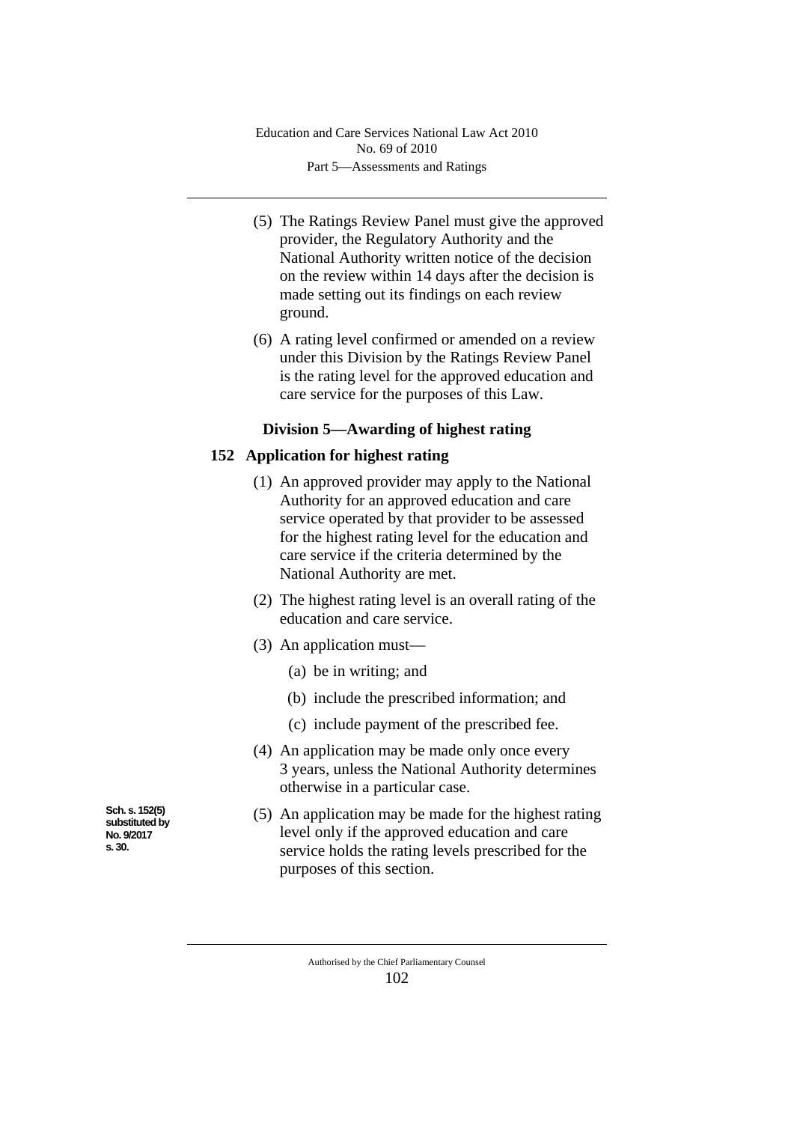- (5) The Ratings Review Panel must give the approved provider, the Regulatory Authority and the National Authority written notice of the decision on the review within 14 days after the decision is made setting out its findings on each review ground.
- (6) A rating level confirmed or amended on a review under this Division by the Ratings Review Panel is the rating level for the approved education and care service for the purposes of this Law.

# **Division 5—Awarding of highest rating**

# **152 Application for highest rating**

- (1) An approved provider may apply to the National Authority for an approved education and care service operated by that provider to be assessed for the highest rating level for the education and care service if the criteria determined by the National Authority are met.
- (2) The highest rating level is an overall rating of the education and care service.
- (3) An application must—
	- (a) be in writing; and
	- (b) include the prescribed information; and
	- (c) include payment of the prescribed fee.
- (4) An application may be made only once every 3 years, unless the National Authority determines otherwise in a particular case.
- (5) An application may be made for the highest rating level only if the approved education and care service holds the rating levels prescribed for the purposes of this section.

Authorised by the Chief Parliamentary Counsel 102

**Sch. s. 152(5) substituted by No. 9/2017 s. 30.**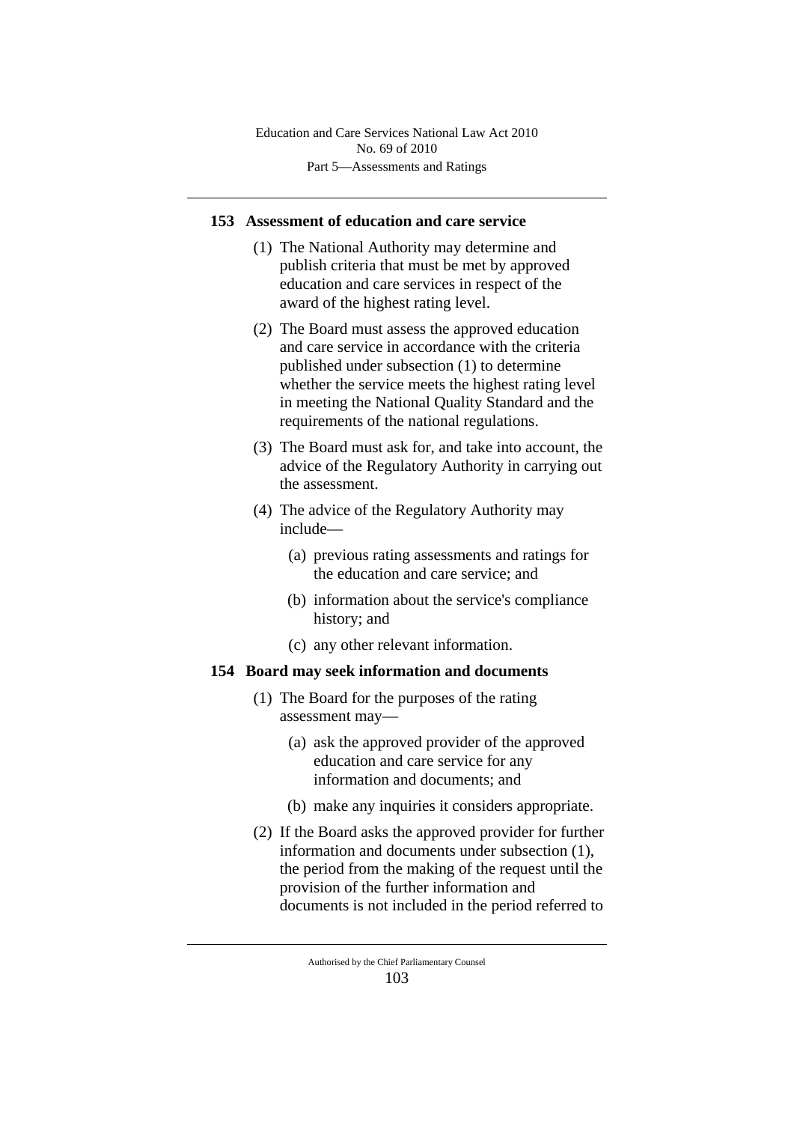### **153 Assessment of education and care service**

- (1) The National Authority may determine and publish criteria that must be met by approved education and care services in respect of the award of the highest rating level.
- (2) The Board must assess the approved education and care service in accordance with the criteria published under subsection (1) to determine whether the service meets the highest rating level in meeting the National Quality Standard and the requirements of the national regulations.
- (3) The Board must ask for, and take into account, the advice of the Regulatory Authority in carrying out the assessment.
- (4) The advice of the Regulatory Authority may include—
	- (a) previous rating assessments and ratings for the education and care service; and
	- (b) information about the service's compliance history; and
	- (c) any other relevant information.

### **154 Board may seek information and documents**

- (1) The Board for the purposes of the rating assessment may—
	- (a) ask the approved provider of the approved education and care service for any information and documents; and
	- (b) make any inquiries it considers appropriate.
- (2) If the Board asks the approved provider for further information and documents under subsection (1), the period from the making of the request until the provision of the further information and documents is not included in the period referred to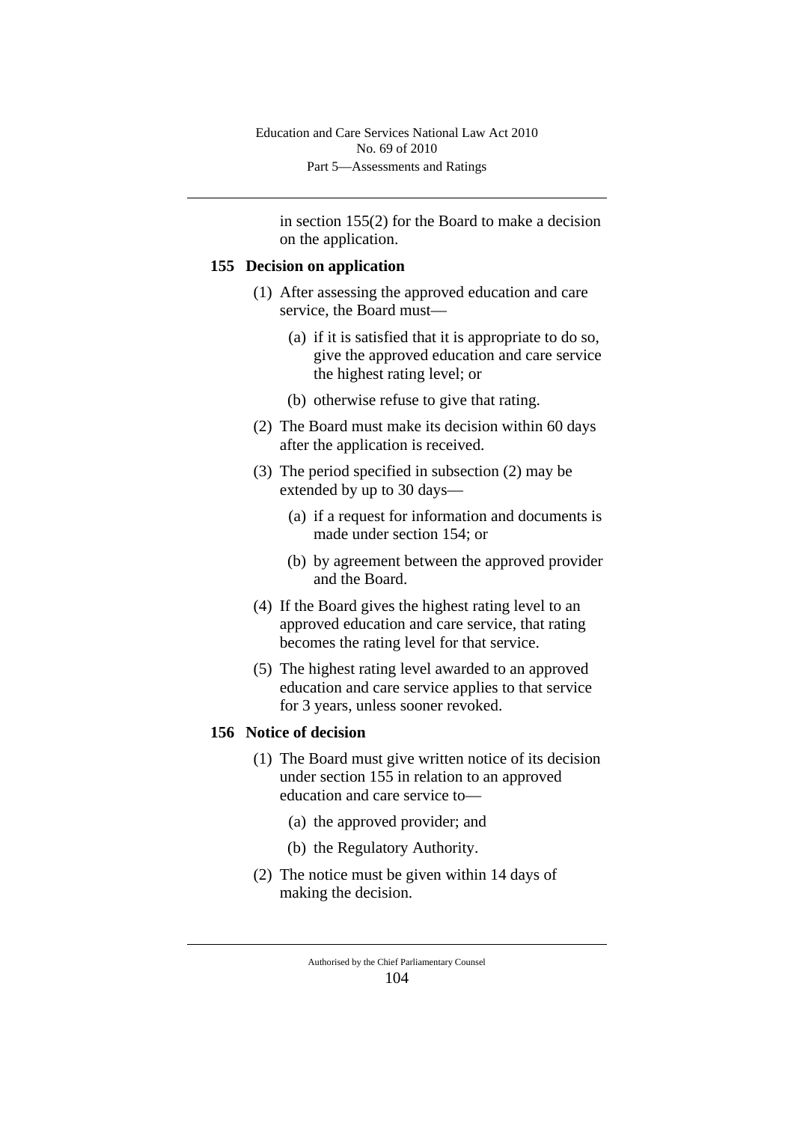in section 155(2) for the Board to make a decision on the application.

#### **155 Decision on application**

- (1) After assessing the approved education and care service, the Board must—
	- (a) if it is satisfied that it is appropriate to do so, give the approved education and care service the highest rating level; or
	- (b) otherwise refuse to give that rating.
- (2) The Board must make its decision within 60 days after the application is received.
- (3) The period specified in subsection (2) may be extended by up to 30 days—
	- (a) if a request for information and documents is made under section 154; or
	- (b) by agreement between the approved provider and the Board.
- (4) If the Board gives the highest rating level to an approved education and care service, that rating becomes the rating level for that service.
- (5) The highest rating level awarded to an approved education and care service applies to that service for 3 years, unless sooner revoked.

# **156 Notice of decision**

- (1) The Board must give written notice of its decision under section 155 in relation to an approved education and care service to—
	- (a) the approved provider; and
	- (b) the Regulatory Authority.
- (2) The notice must be given within 14 days of making the decision.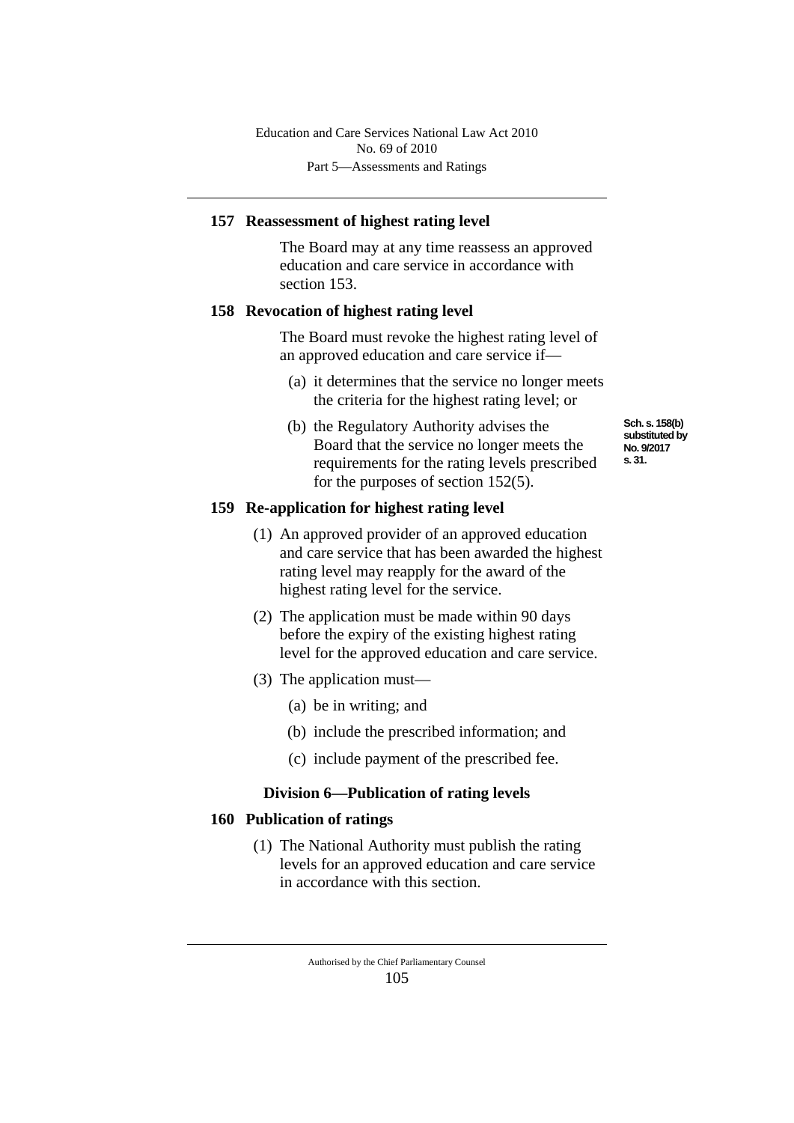# **157 Reassessment of highest rating level**

The Board may at any time reassess an approved education and care service in accordance with section 153.

# **158 Revocation of highest rating level**

The Board must revoke the highest rating level of an approved education and care service if—

- (a) it determines that the service no longer meets the criteria for the highest rating level; or
- (b) the Regulatory Authority advises the Board that the service no longer meets the requirements for the rating levels prescribed for the purposes of section 152(5).

# **159 Re-application for highest rating level**

- (1) An approved provider of an approved education and care service that has been awarded the highest rating level may reapply for the award of the highest rating level for the service.
- (2) The application must be made within 90 days before the expiry of the existing highest rating level for the approved education and care service.
- (3) The application must—
	- (a) be in writing; and
	- (b) include the prescribed information; and
	- (c) include payment of the prescribed fee.

# **Division 6—Publication of rating levels**

# **160 Publication of ratings**

(1) The National Authority must publish the rating levels for an approved education and care service in accordance with this section.

**Sch. s. 158(b) substituted by No. 9/2017 s. 31.**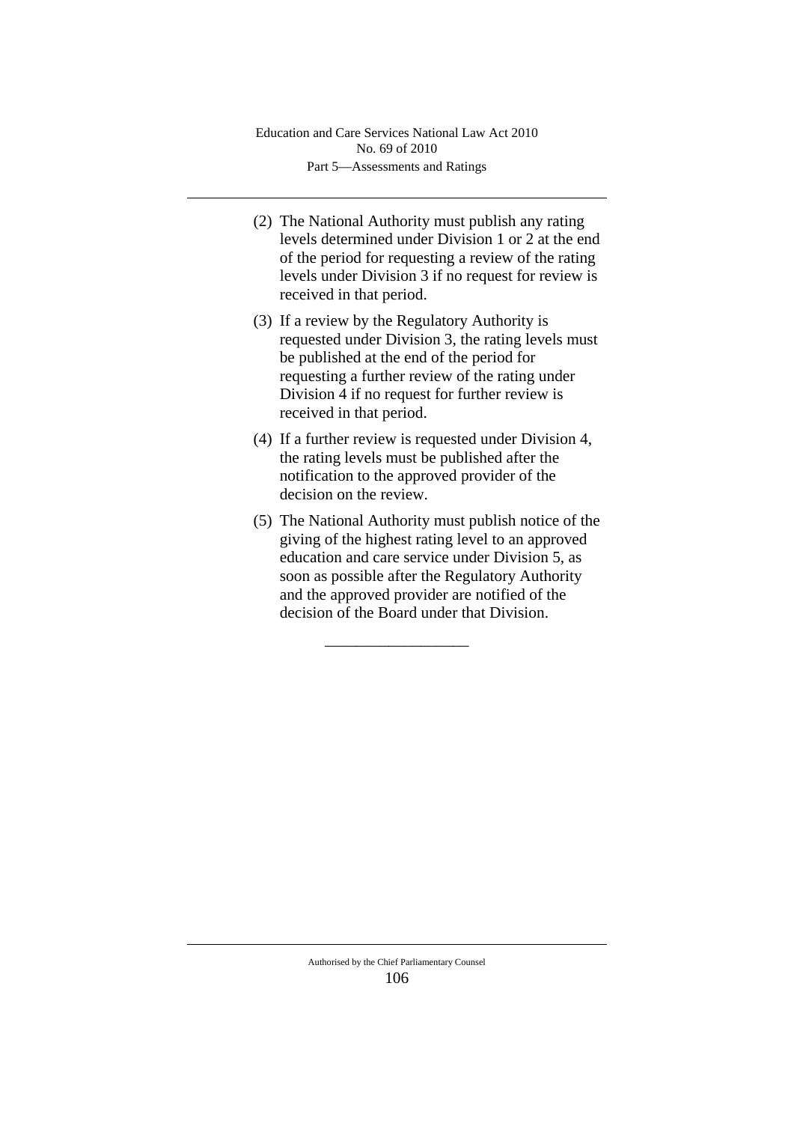- (2) The National Authority must publish any rating levels determined under Division 1 or 2 at the end of the period for requesting a review of the rating levels under Division 3 if no request for review is received in that period.
- (3) If a review by the Regulatory Authority is requested under Division 3, the rating levels must be published at the end of the period for requesting a further review of the rating under Division 4 if no request for further review is received in that period.
- (4) If a further review is requested under Division 4, the rating levels must be published after the notification to the approved provider of the decision on the review.
- (5) The National Authority must publish notice of the giving of the highest rating level to an approved education and care service under Division 5, as soon as possible after the Regulatory Authority and the approved provider are notified of the decision of the Board under that Division.

\_\_\_\_\_\_\_\_\_\_\_\_\_\_\_\_\_\_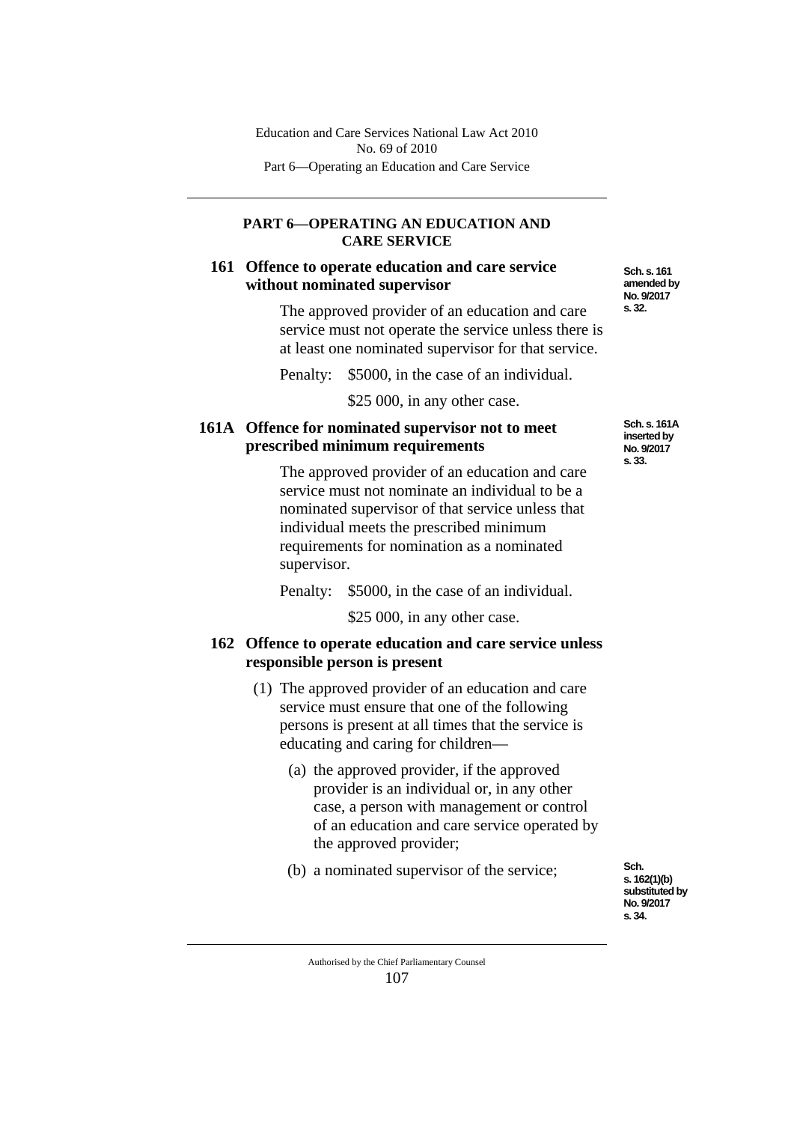### **PART 6—OPERATING AN EDUCATION AND CARE SERVICE**

### **161 Offence to operate education and care service without nominated supervisor**

The approved provider of an education and care service must not operate the service unless there is at least one nominated supervisor for that service.

Penalty: \$5000, in the case of an individual.

\$25 000, in any other case.

# **161A Offence for nominated supervisor not to meet prescribed minimum requirements**

The approved provider of an education and care service must not nominate an individual to be a nominated supervisor of that service unless that individual meets the prescribed minimum requirements for nomination as a nominated supervisor.

Penalty: \$5000, in the case of an individual.

\$25,000, in any other case.

# **162 Offence to operate education and care service unless responsible person is present**

- (1) The approved provider of an education and care service must ensure that one of the following persons is present at all times that the service is educating and caring for children—
	- (a) the approved provider, if the approved provider is an individual or, in any other case, a person with management or control of an education and care service operated by the approved provider;
	- (b) a nominated supervisor of the service;

**Sch. s. 162(1)(b) substituted by No. 9/2017 s. 34.**

**Sch. s. 161 amended by No. 9/2017 s. 32.**

**Sch. s. 161A inserted by No. 9/2017 s. 33.**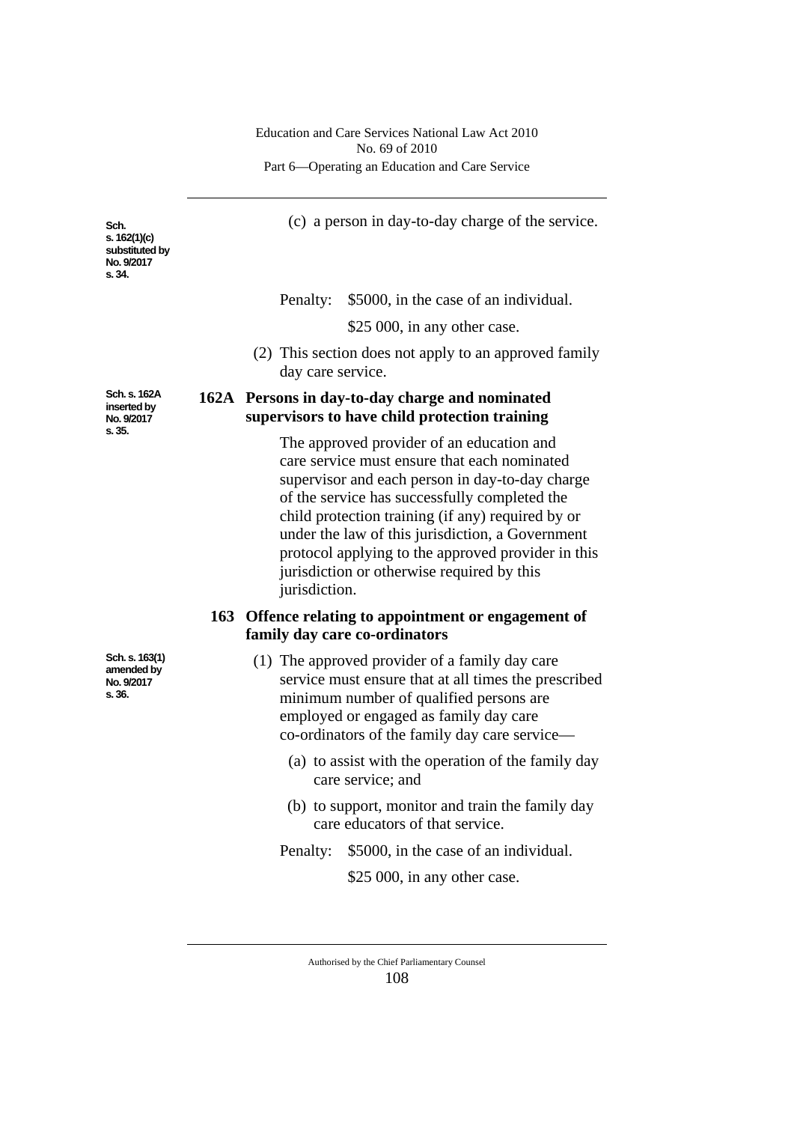**Sch. s. 162(1)(c) substituted by No. 9/2017 s. 34.**

(c) a person in day-to-day charge of the service.

Penalty: \$5000, in the case of an individual.

\$25 000, in any other case.

(2) This section does not apply to an approved family day care service.

# **162A Persons in day-to-day charge and nominated supervisors to have child protection training**

The approved provider of an education and care service must ensure that each nominated supervisor and each person in day-to-day charge of the service has successfully completed the child protection training (if any) required by or under the law of this jurisdiction, a Government protocol applying to the approved provider in this jurisdiction or otherwise required by this jurisdiction.

### **163 Offence relating to appointment or engagement of family day care co-ordinators**

- (1) The approved provider of a family day care service must ensure that at all times the prescribed minimum number of qualified persons are employed or engaged as family day care co-ordinators of the family day care service—
	- (a) to assist with the operation of the family day care service; and
	- (b) to support, monitor and train the family day care educators of that service.
	- Penalty: \$5000, in the case of an individual.

\$25 000, in any other case.

Authorised by the Chief Parliamentary Counsel 108

**Sch. s. 162A inserted by No. 9/2017 s. 35.**

**Sch. s. 163(1) amended by No. 9/2017 s. 36.**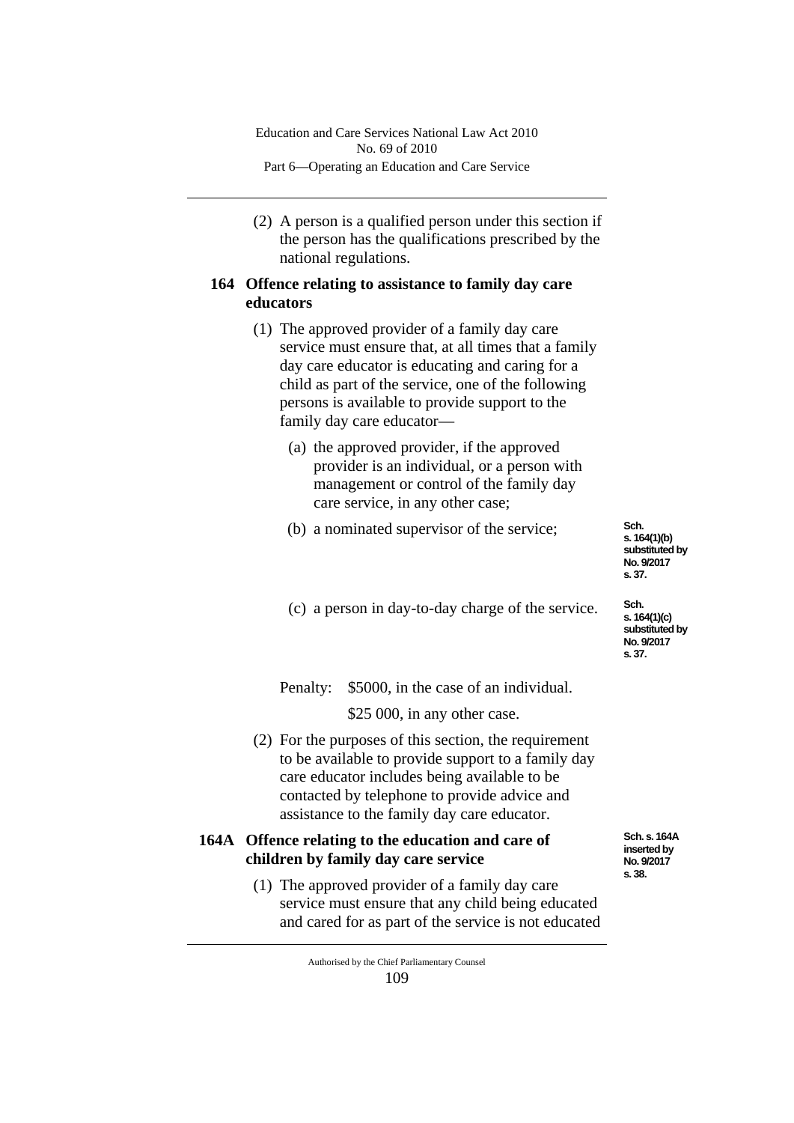(2) A person is a qualified person under this section if the person has the qualifications prescribed by the national regulations.

# **164 Offence relating to assistance to family day care educators**

- (1) The approved provider of a family day care service must ensure that, at all times that a family day care educator is educating and caring for a child as part of the service, one of the following persons is available to provide support to the family day care educator—
	- (a) the approved provider, if the approved provider is an individual, or a person with management or control of the family day care service, in any other case;
	- (b) a nominated supervisor of the service;

**Sch. s. 164(1)(b) substituted by No. 9/2017 s. 37.**

(c) a person in day-to-day charge of the service.

**Sch. s. 164(1)(c) substituted by No. 9/2017 s. 37.**

Penalty: \$5000, in the case of an individual.

\$25 000, in any other case.

(2) For the purposes of this section, the requirement to be available to provide support to a family day care educator includes being available to be contacted by telephone to provide advice and assistance to the family day care educator.

# **164A Offence relating to the education and care of children by family day care service**

(1) The approved provider of a family day care service must ensure that any child being educated and cared for as part of the service is not educated **Sch. s. 164A inserted by No. 9/2017 s. 38.**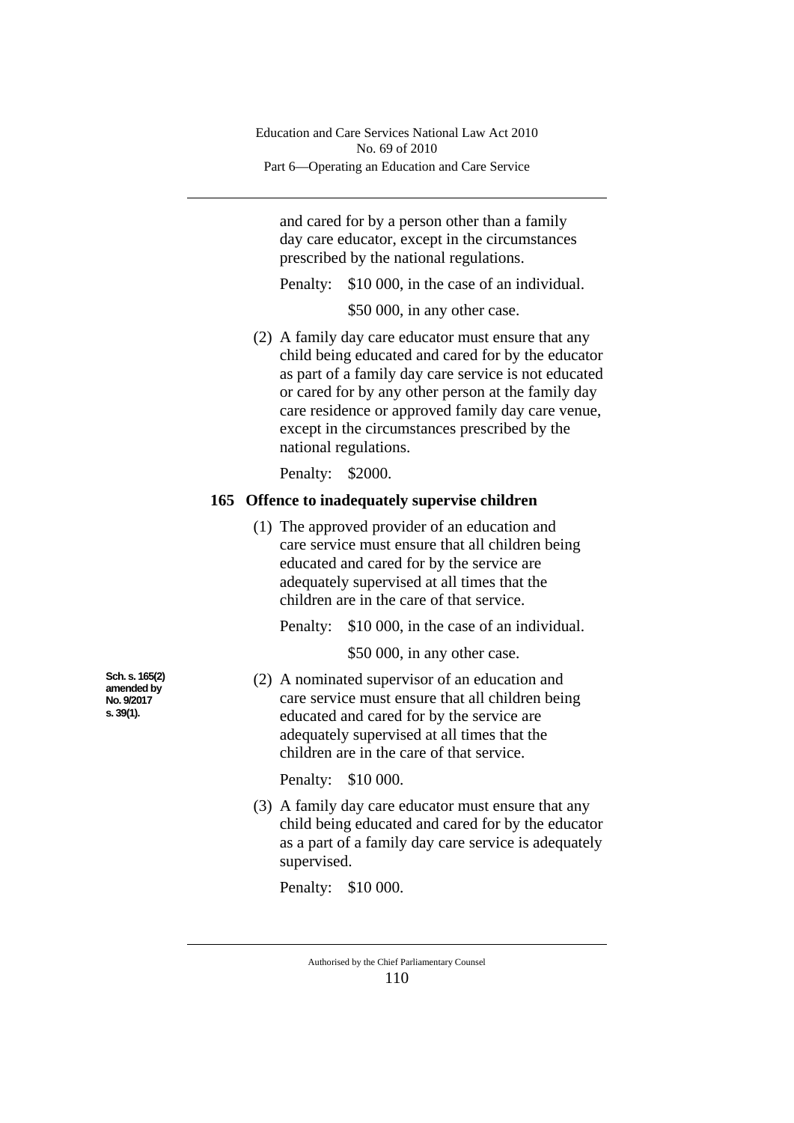and cared for by a person other than a family day care educator, except in the circumstances prescribed by the national regulations.

Penalty: \$10 000, in the case of an individual.

\$50 000, in any other case.

(2) A family day care educator must ensure that any child being educated and cared for by the educator as part of a family day care service is not educated or cared for by any other person at the family day care residence or approved family day care venue, except in the circumstances prescribed by the national regulations.

Penalty: \$2000.

### **165 Offence to inadequately supervise children**

(1) The approved provider of an education and care service must ensure that all children being educated and cared for by the service are adequately supervised at all times that the children are in the care of that service.

Penalty: \$10 000, in the case of an individual.

\$50 000, in any other case.

(2) A nominated supervisor of an education and care service must ensure that all children being educated and cared for by the service are adequately supervised at all times that the children are in the care of that service.

Penalty: \$10 000.

(3) A family day care educator must ensure that any child being educated and cared for by the educator as a part of a family day care service is adequately supervised.

Penalty: \$10 000.

**Sch. s. 165(2) amended by No. 9/2017 s. 39(1).**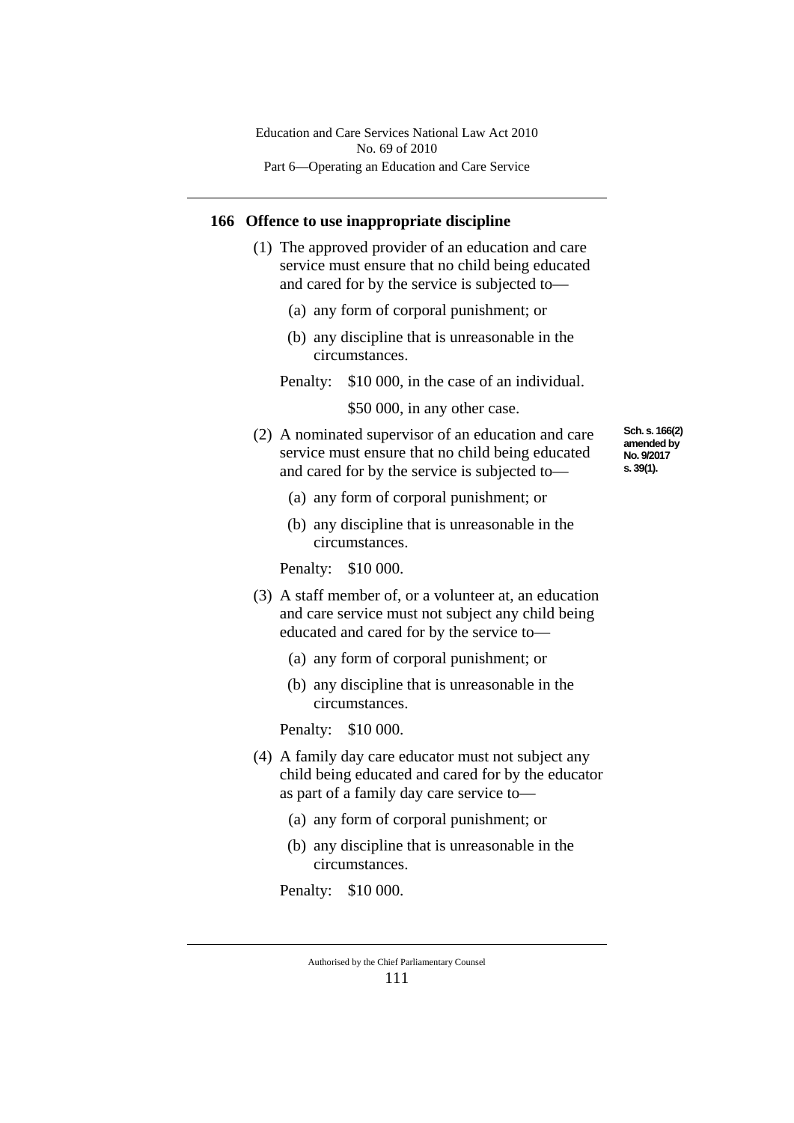#### **166 Offence to use inappropriate discipline**

- (1) The approved provider of an education and care service must ensure that no child being educated and cared for by the service is subjected to—
	- (a) any form of corporal punishment; or
	- (b) any discipline that is unreasonable in the circumstances.
	- Penalty: \$10 000, in the case of an individual.

\$50,000, in any other case.

- (2) A nominated supervisor of an education and care service must ensure that no child being educated and cared for by the service is subjected to—
- **Sch. s. 166(2) amended by No. 9/2017 s. 39(1).**
- (a) any form of corporal punishment; or
- (b) any discipline that is unreasonable in the circumstances.

Penalty: \$10 000.

- (3) A staff member of, or a volunteer at, an education and care service must not subject any child being educated and cared for by the service to—
	- (a) any form of corporal punishment; or
	- (b) any discipline that is unreasonable in the circumstances.

Penalty: \$10 000.

- (4) A family day care educator must not subject any child being educated and cared for by the educator as part of a family day care service to—
	- (a) any form of corporal punishment; or
	- (b) any discipline that is unreasonable in the circumstances.

Penalty: \$10 000.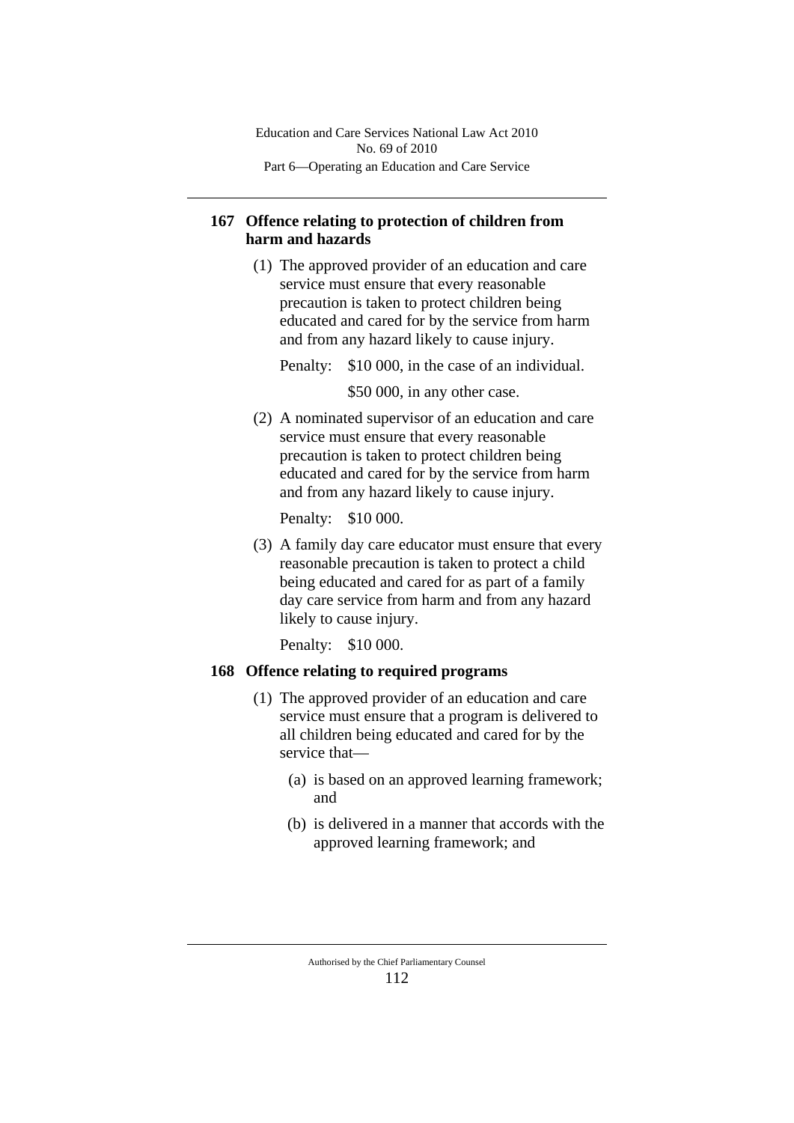# **167 Offence relating to protection of children from harm and hazards**

(1) The approved provider of an education and care service must ensure that every reasonable precaution is taken to protect children being educated and cared for by the service from harm and from any hazard likely to cause injury.

Penalty: \$10 000, in the case of an individual.

\$50 000, in any other case.

(2) A nominated supervisor of an education and care service must ensure that every reasonable precaution is taken to protect children being educated and cared for by the service from harm and from any hazard likely to cause injury.

Penalty: \$10 000.

(3) A family day care educator must ensure that every reasonable precaution is taken to protect a child being educated and cared for as part of a family day care service from harm and from any hazard likely to cause injury.

Penalty: \$10 000.

# **168 Offence relating to required programs**

- (1) The approved provider of an education and care service must ensure that a program is delivered to all children being educated and cared for by the service that—
	- (a) is based on an approved learning framework; and
	- (b) is delivered in a manner that accords with the approved learning framework; and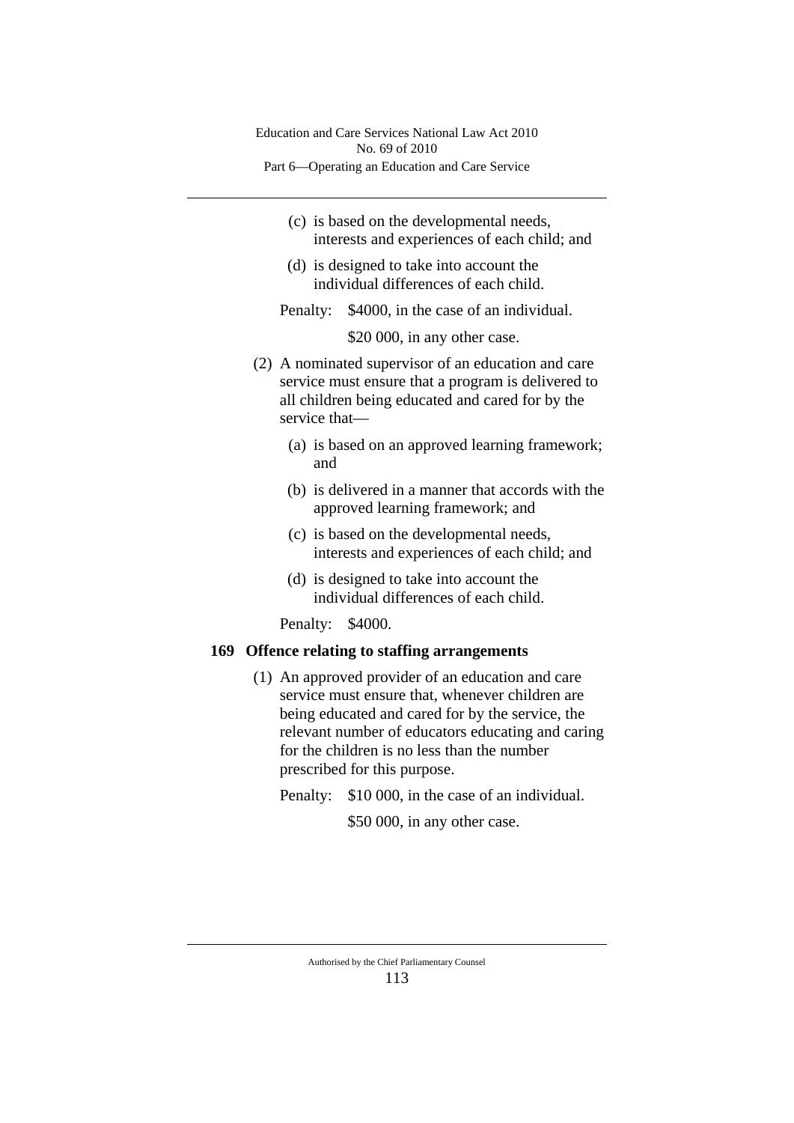- (c) is based on the developmental needs, interests and experiences of each child; and
- (d) is designed to take into account the individual differences of each child.

Penalty: \$4000, in the case of an individual.

\$20 000, in any other case.

- (2) A nominated supervisor of an education and care service must ensure that a program is delivered to all children being educated and cared for by the service that—
	- (a) is based on an approved learning framework; and
	- (b) is delivered in a manner that accords with the approved learning framework; and
	- (c) is based on the developmental needs, interests and experiences of each child; and
	- (d) is designed to take into account the individual differences of each child.

Penalty: \$4000.

#### **169 Offence relating to staffing arrangements**

- (1) An approved provider of an education and care service must ensure that, whenever children are being educated and cared for by the service, the relevant number of educators educating and caring for the children is no less than the number prescribed for this purpose.
	- Penalty: \$10 000, in the case of an individual.

\$50 000, in any other case.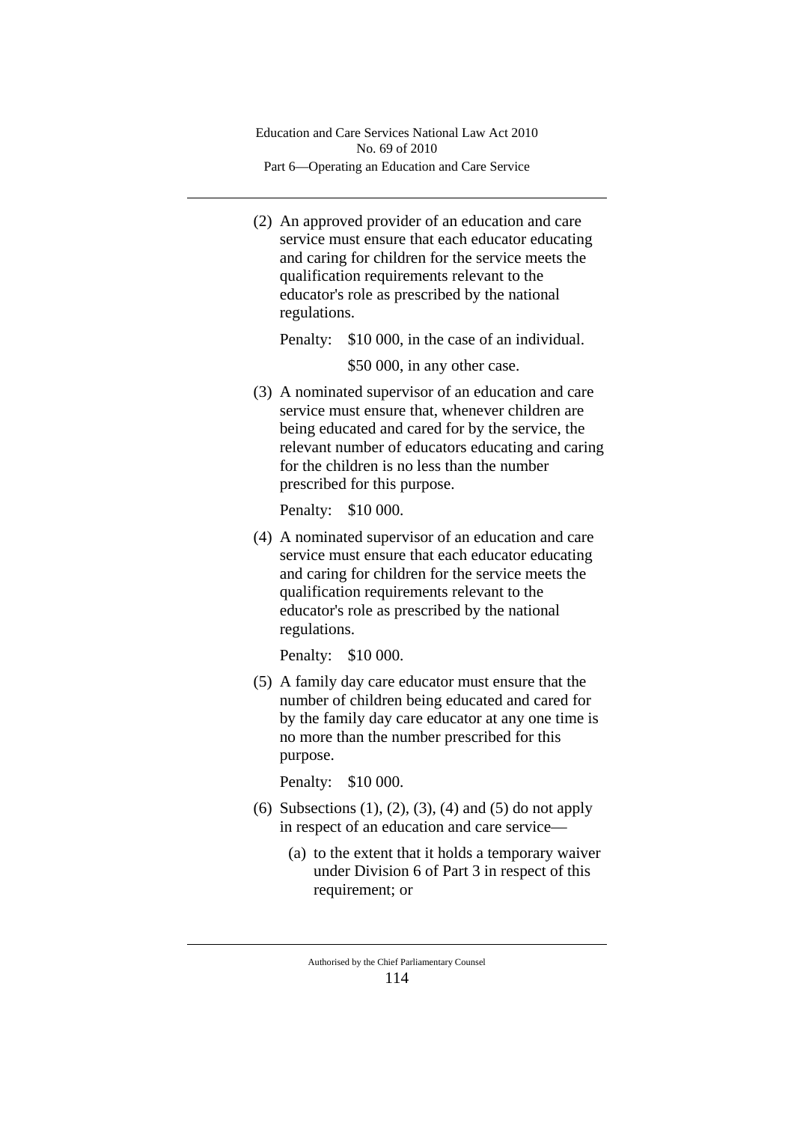(2) An approved provider of an education and care service must ensure that each educator educating and caring for children for the service meets the qualification requirements relevant to the educator's role as prescribed by the national regulations.

Penalty: \$10 000, in the case of an individual.

\$50 000, in any other case.

(3) A nominated supervisor of an education and care service must ensure that, whenever children are being educated and cared for by the service, the relevant number of educators educating and caring for the children is no less than the number prescribed for this purpose.

Penalty: \$10 000.

(4) A nominated supervisor of an education and care service must ensure that each educator educating and caring for children for the service meets the qualification requirements relevant to the educator's role as prescribed by the national regulations.

Penalty: \$10 000.

(5) A family day care educator must ensure that the number of children being educated and cared for by the family day care educator at any one time is no more than the number prescribed for this purpose.

Penalty: \$10 000.

- (6) Subsections (1), (2), (3), (4) and (5) do not apply in respect of an education and care service—
	- (a) to the extent that it holds a temporary waiver under Division 6 of Part 3 in respect of this requirement; or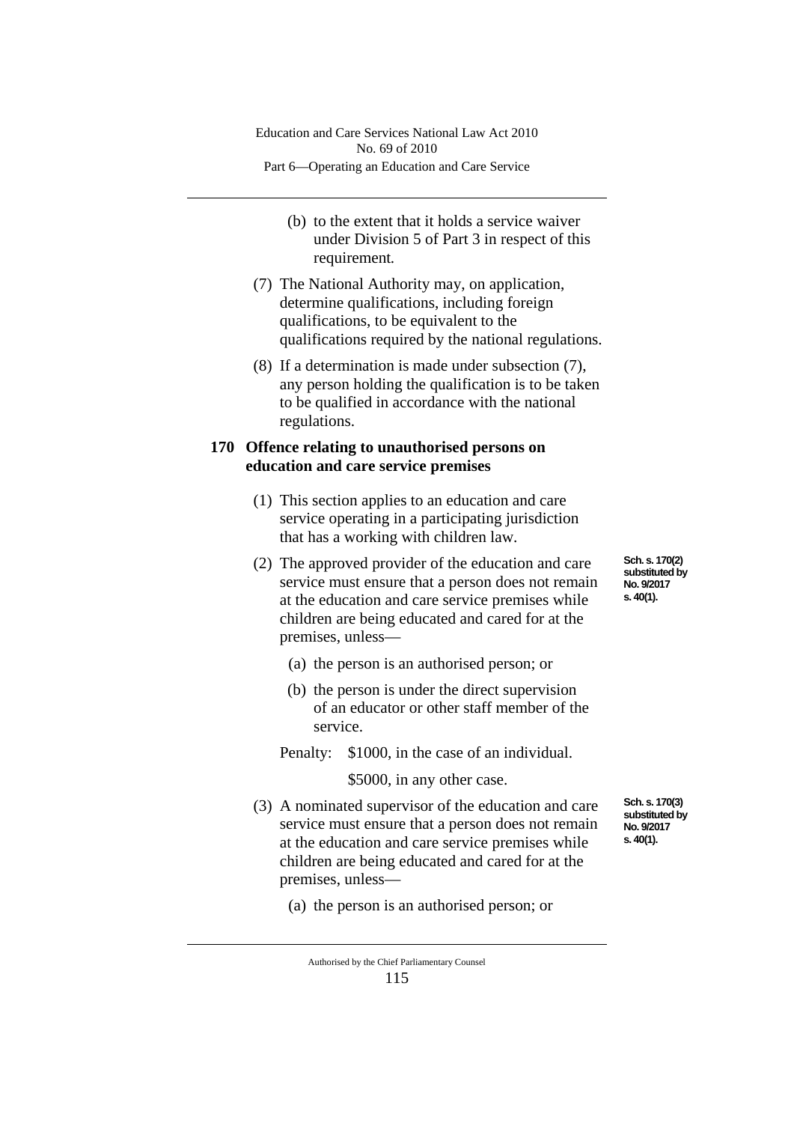- (b) to the extent that it holds a service waiver under Division 5 of Part 3 in respect of this requirement*.*
- (7) The National Authority may, on application, determine qualifications, including foreign qualifications, to be equivalent to the qualifications required by the national regulations.
- (8) If a determination is made under subsection (7), any person holding the qualification is to be taken to be qualified in accordance with the national regulations.

### **170 Offence relating to unauthorised persons on education and care service premises**

- (1) This section applies to an education and care service operating in a participating jurisdiction that has a working with children law.
- (2) The approved provider of the education and care service must ensure that a person does not remain at the education and care service premises while children are being educated and cared for at the premises, unless—
	- (a) the person is an authorised person; or
	- (b) the person is under the direct supervision of an educator or other staff member of the service.
	- Penalty: \$1000, in the case of an individual.

\$5000, in any other case.

- (3) A nominated supervisor of the education and care service must ensure that a person does not remain at the education and care service premises while children are being educated and cared for at the premises, unless—
	- (a) the person is an authorised person; or

Authorised by the Chief Parliamentary Counsel

115

**Sch. s. 170(2) substituted by No. 9/2017 s. 40(1).**

**Sch. s. 170(3) substituted by No. 9/2017 s. 40(1).**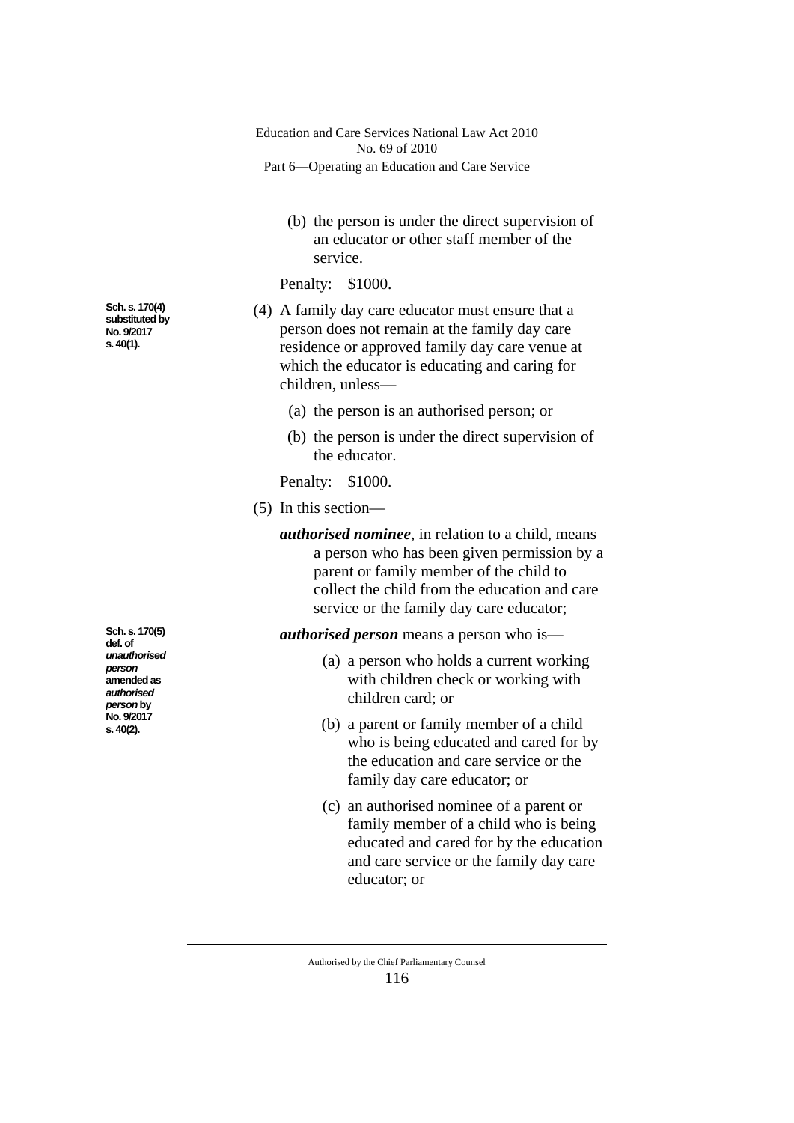|                                                                 | Education and Care Services National Law Act 2010<br>No. 69 of 2010                                                                                                                                                                              |  |  |  |  |  |
|-----------------------------------------------------------------|--------------------------------------------------------------------------------------------------------------------------------------------------------------------------------------------------------------------------------------------------|--|--|--|--|--|
|                                                                 | Part 6—Operating an Education and Care Service                                                                                                                                                                                                   |  |  |  |  |  |
|                                                                 | (b) the person is under the direct supervision of<br>an educator or other staff member of the<br>service.                                                                                                                                        |  |  |  |  |  |
|                                                                 | Penalty: \$1000.                                                                                                                                                                                                                                 |  |  |  |  |  |
| Sch. s. 170(4)<br>substituted by<br>No. 9/2017<br>s. 40(1).     | (4) A family day care educator must ensure that a<br>person does not remain at the family day care<br>residence or approved family day care venue at<br>which the educator is educating and caring for<br>children, unless-                      |  |  |  |  |  |
|                                                                 | (a) the person is an authorised person; or                                                                                                                                                                                                       |  |  |  |  |  |
|                                                                 | (b) the person is under the direct supervision of<br>the educator.                                                                                                                                                                               |  |  |  |  |  |
|                                                                 | Penalty: \$1000.                                                                                                                                                                                                                                 |  |  |  |  |  |
|                                                                 | $(5)$ In this section—                                                                                                                                                                                                                           |  |  |  |  |  |
|                                                                 | <i>authorised nominee</i> , in relation to a child, means<br>a person who has been given permission by a<br>parent or family member of the child to<br>collect the child from the education and care<br>service or the family day care educator; |  |  |  |  |  |
| Sch. s. 170(5)<br>def. of                                       | <i>authorised person</i> means a person who is—                                                                                                                                                                                                  |  |  |  |  |  |
| unauthorised<br>person<br>amended as<br>authorised<br>person by | (a) a person who holds a current working<br>with children check or working with<br>children card; or                                                                                                                                             |  |  |  |  |  |
| No. 9/2017<br>s. 40(2).                                         | (b) a parent or family member of a child<br>who is being educated and cared for by<br>the education and care service or the<br>family day care educator; or                                                                                      |  |  |  |  |  |
|                                                                 | (c) an authorised nominee of a parent or<br>family member of a child who is being<br>educated and cared for by the education<br>and care service or the family day care<br>educator; or                                                          |  |  |  |  |  |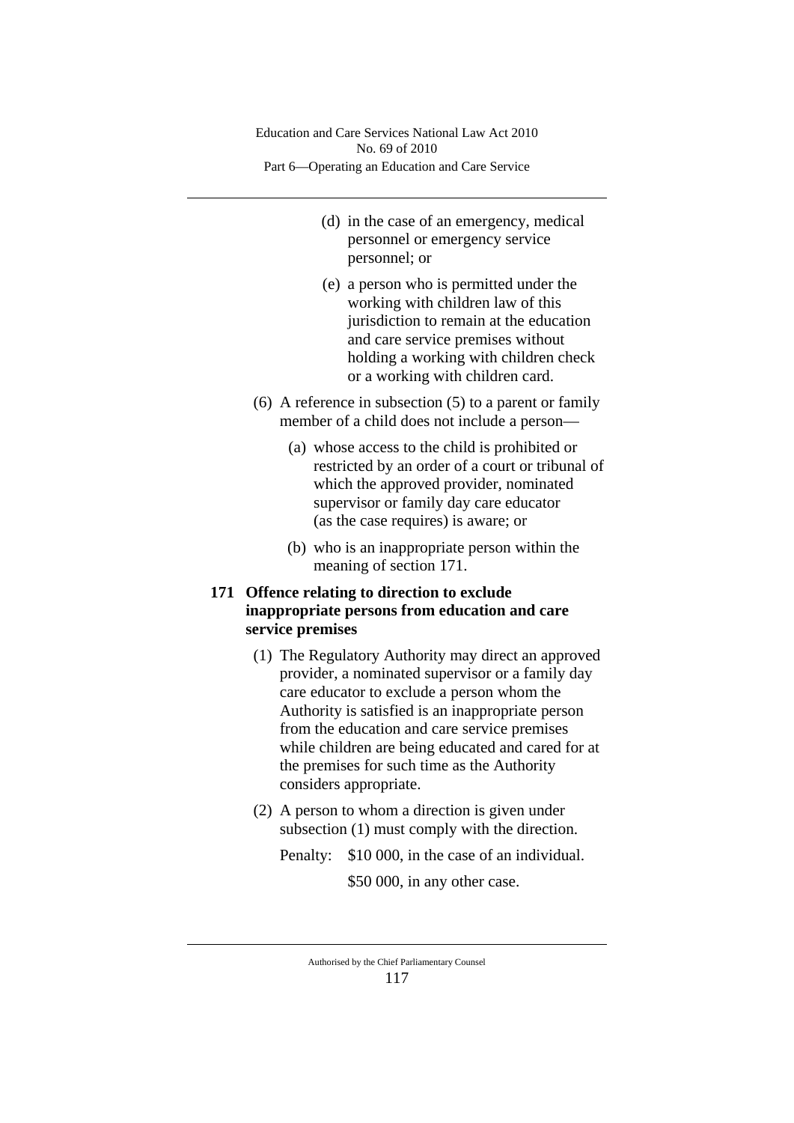- (d) in the case of an emergency, medical personnel or emergency service personnel; or
- (e) a person who is permitted under the working with children law of this jurisdiction to remain at the education and care service premises without holding a working with children check or a working with children card.
- (6) A reference in subsection (5) to a parent or family member of a child does not include a person—
	- (a) whose access to the child is prohibited or restricted by an order of a court or tribunal of which the approved provider, nominated supervisor or family day care educator (as the case requires) is aware; or
	- (b) who is an inappropriate person within the meaning of section 171.

# **171 Offence relating to direction to exclude inappropriate persons from education and care service premises**

- (1) The Regulatory Authority may direct an approved provider, a nominated supervisor or a family day care educator to exclude a person whom the Authority is satisfied is an inappropriate person from the education and care service premises while children are being educated and cared for at the premises for such time as the Authority considers appropriate.
- (2) A person to whom a direction is given under subsection (1) must comply with the direction.

Penalty: \$10 000, in the case of an individual.

\$50 000, in any other case.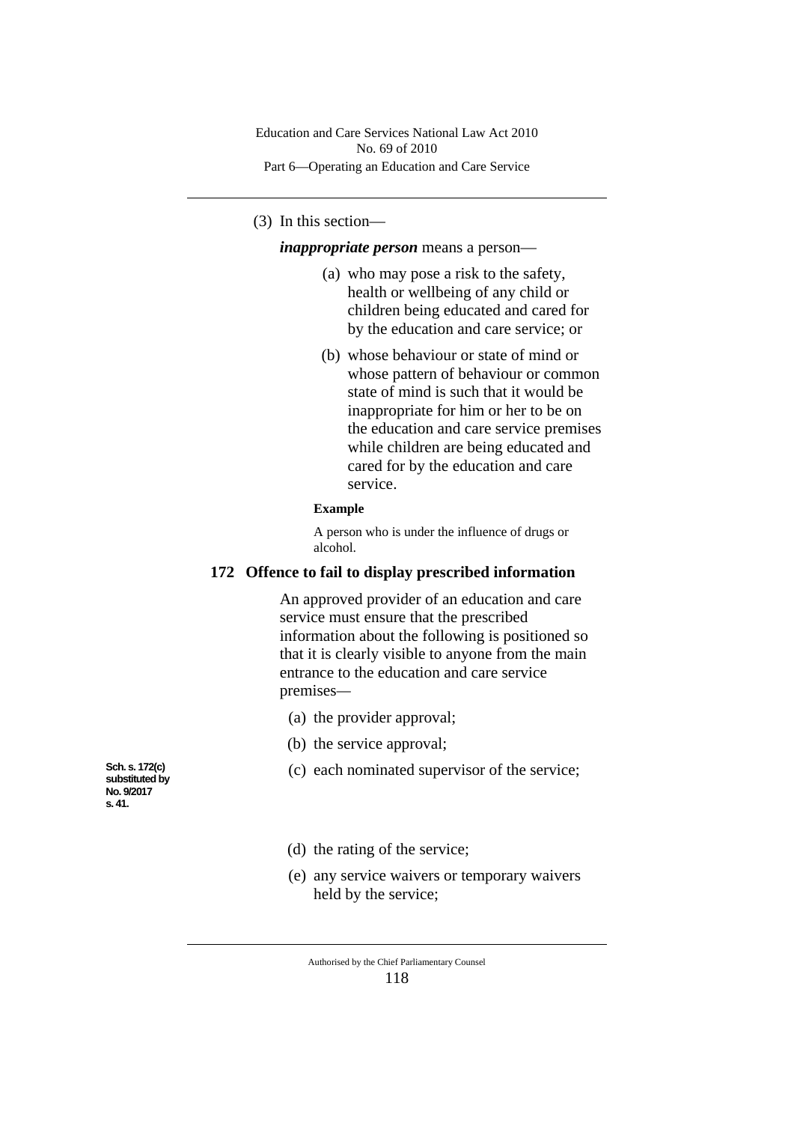# (3) In this section—

*inappropriate person* means a person—

- (a) who may pose a risk to the safety, health or wellbeing of any child or children being educated and cared for by the education and care service; or
- (b) whose behaviour or state of mind or whose pattern of behaviour or common state of mind is such that it would be inappropriate for him or her to be on the education and care service premises while children are being educated and cared for by the education and care service.

#### **Example**

A person who is under the influence of drugs or alcohol.

#### **172 Offence to fail to display prescribed information**

An approved provider of an education and care service must ensure that the prescribed information about the following is positioned so that it is clearly visible to anyone from the main entrance to the education and care service premises*—*

- (a) the provider approval;
- (b) the service approval;
- (c) each nominated supervisor of the service;

**Sch. s. 172(c) substituted by No. 9/2017 s. 41.**

- (d) the rating of the service;
- (e) any service waivers or temporary waivers held by the service;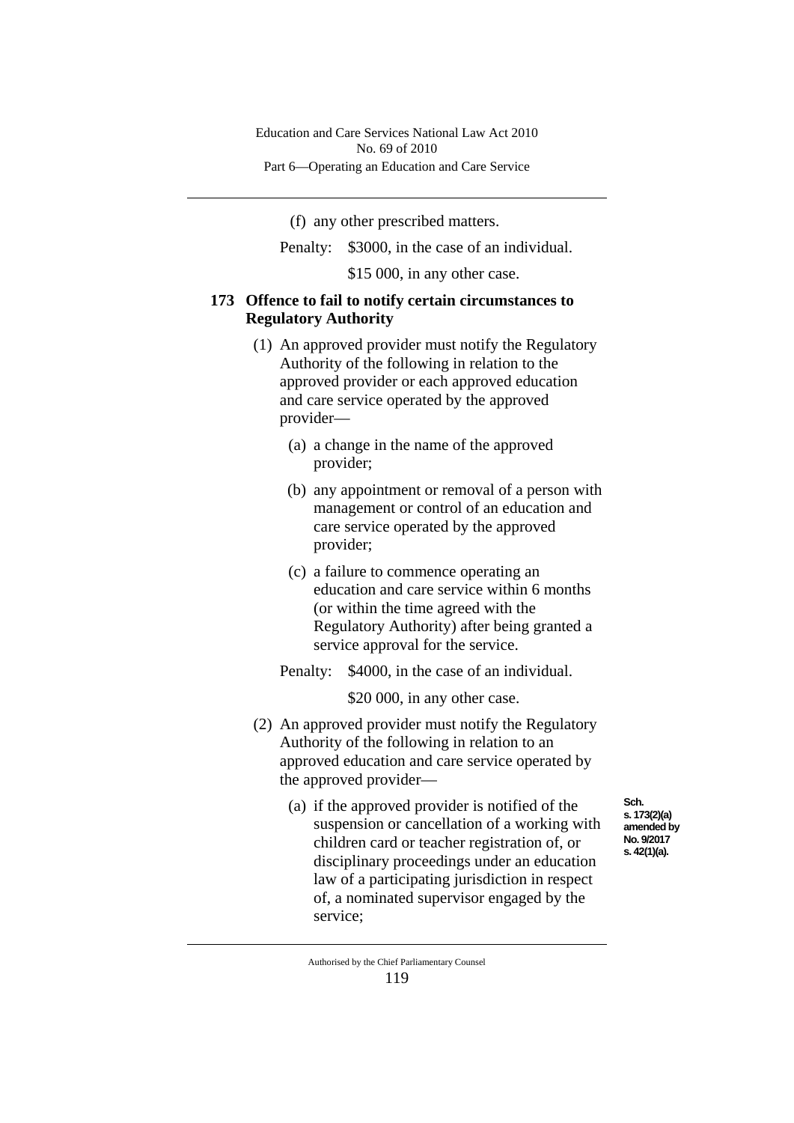(f) any other prescribed matters.

Penalty: \$3000, in the case of an individual.

\$15 000, in any other case.

### **173 Offence to fail to notify certain circumstances to Regulatory Authority**

- (1) An approved provider must notify the Regulatory Authority of the following in relation to the approved provider or each approved education and care service operated by the approved provider—
	- (a) a change in the name of the approved provider;
	- (b) any appointment or removal of a person with management or control of an education and care service operated by the approved provider;
	- (c) a failure to commence operating an education and care service within 6 months (or within the time agreed with the Regulatory Authority) after being granted a service approval for the service.
	- Penalty: \$4000, in the case of an individual.

\$20 000, in any other case.

- (2) An approved provider must notify the Regulatory Authority of the following in relation to an approved education and care service operated by the approved provider—
	- (a) if the approved provider is notified of the suspension or cancellation of a working with children card or teacher registration of, or disciplinary proceedings under an education law of a participating jurisdiction in respect of, a nominated supervisor engaged by the service;

**Sch. s. 173(2)(a) amended by No. 9/2017 s. 42(1)(a).**

Authorised by the Chief Parliamentary Counsel 119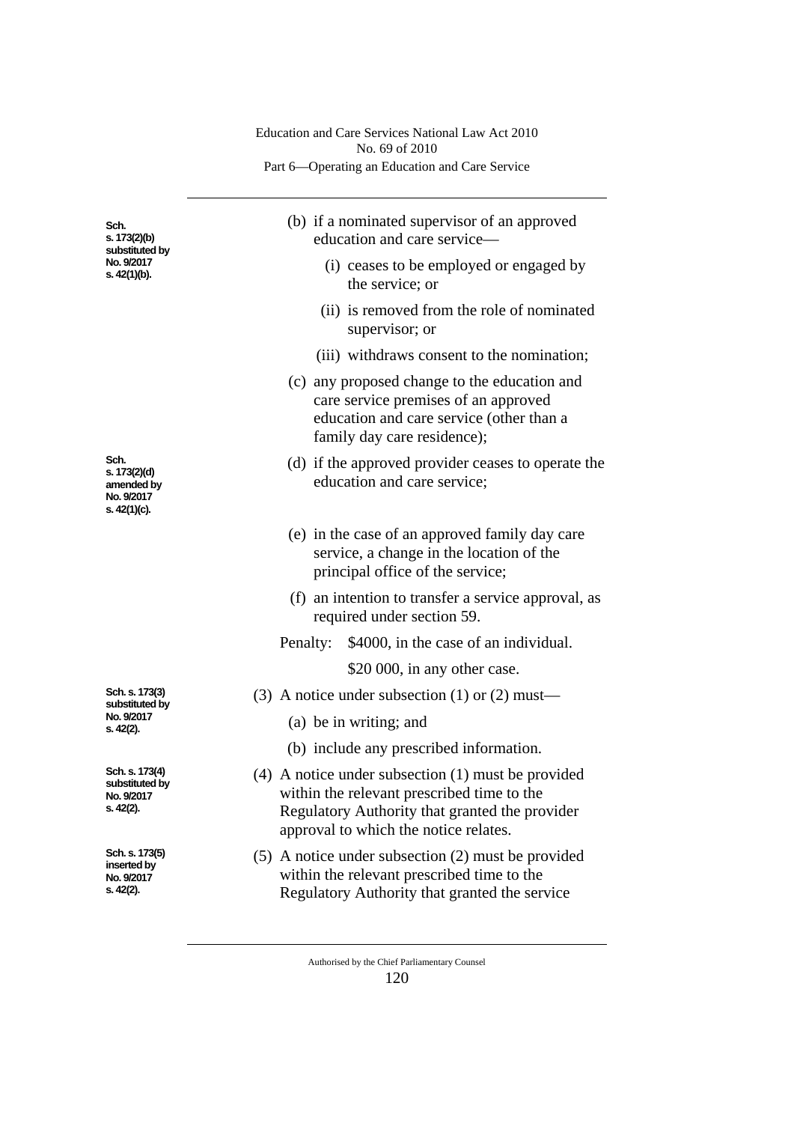|                                                                      | Education and Care Services National Law Act 2010<br>No. 69 of 2010<br>Part 6—Operating an Education and Care Service                                                                           |  |  |  |  |  |
|----------------------------------------------------------------------|-------------------------------------------------------------------------------------------------------------------------------------------------------------------------------------------------|--|--|--|--|--|
|                                                                      |                                                                                                                                                                                                 |  |  |  |  |  |
| Sch.<br>s. 173(2)(b)<br>substituted by<br>No. 9/2017<br>s. 42(1)(b). | (b) if a nominated supervisor of an approved<br>education and care service—                                                                                                                     |  |  |  |  |  |
|                                                                      | (i) ceases to be employed or engaged by<br>the service; or                                                                                                                                      |  |  |  |  |  |
|                                                                      | (ii) is removed from the role of nominated<br>supervisor; or                                                                                                                                    |  |  |  |  |  |
|                                                                      | (iii) withdraws consent to the nomination;                                                                                                                                                      |  |  |  |  |  |
|                                                                      | (c) any proposed change to the education and<br>care service premises of an approved<br>education and care service (other than a<br>family day care residence);                                 |  |  |  |  |  |
| Sch.<br>s. 173(2)(d)<br>amended by<br>No. 9/2017<br>s. 42(1)(c).     | (d) if the approved provider ceases to operate the<br>education and care service;                                                                                                               |  |  |  |  |  |
|                                                                      | (e) in the case of an approved family day care<br>service, a change in the location of the<br>principal office of the service;                                                                  |  |  |  |  |  |
|                                                                      | (f) an intention to transfer a service approval, as<br>required under section 59.                                                                                                               |  |  |  |  |  |
|                                                                      | \$4000, in the case of an individual.<br>Penalty:                                                                                                                                               |  |  |  |  |  |
|                                                                      | \$20 000, in any other case.                                                                                                                                                                    |  |  |  |  |  |
| Sch. s. 173(3)<br>substituted by<br>No. 9/2017<br>s. 42(2).          | (3) A notice under subsection (1) or (2) must—                                                                                                                                                  |  |  |  |  |  |
|                                                                      | (a) be in writing; and                                                                                                                                                                          |  |  |  |  |  |
|                                                                      | (b) include any prescribed information.                                                                                                                                                         |  |  |  |  |  |
| Sch. s. 173(4)<br>substituted by<br>No. 9/2017<br>s. 42(2).          | $(4)$ A notice under subsection $(1)$ must be provided<br>within the relevant prescribed time to the<br>Regulatory Authority that granted the provider<br>approval to which the notice relates. |  |  |  |  |  |
| Sch. s. 173(5)<br>inserted by<br>No. 9/2017<br>s. 42(2).             | $(5)$ A notice under subsection $(2)$ must be provided<br>within the relevant prescribed time to the<br>Regulatory Authority that granted the service                                           |  |  |  |  |  |

Authorised by the Chief Parliamentary Counsel 120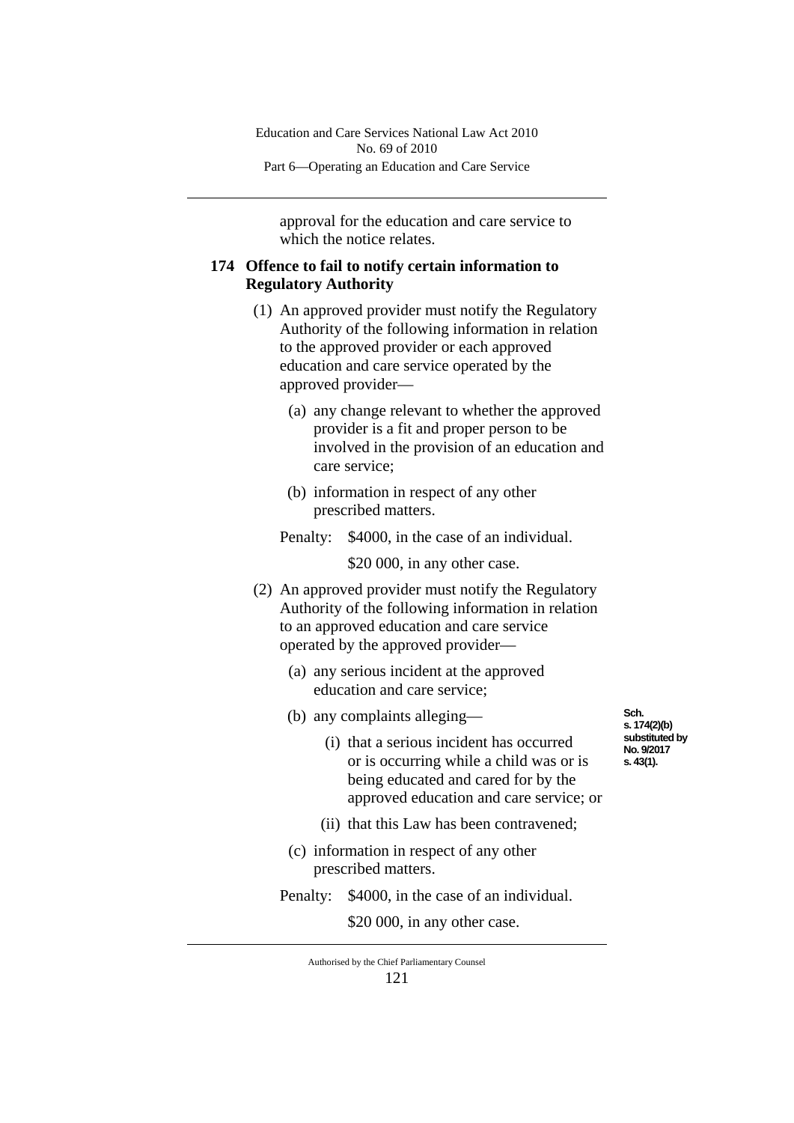approval for the education and care service to which the notice relates.

# **174 Offence to fail to notify certain information to Regulatory Authority**

- (1) An approved provider must notify the Regulatory Authority of the following information in relation to the approved provider or each approved education and care service operated by the approved provider—
	- (a) any change relevant to whether the approved provider is a fit and proper person to be involved in the provision of an education and care service;
	- (b) information in respect of any other prescribed matters.
	- Penalty: \$4000, in the case of an individual.

\$20 000, in any other case.

- (2) An approved provider must notify the Regulatory Authority of the following information in relation to an approved education and care service operated by the approved provider—
	- (a) any serious incident at the approved education and care service;
	- (b) any complaints alleging—
		- (i) that a serious incident has occurred or is occurring while a child was or is being educated and cared for by the approved education and care service; or
		- (ii) that this Law has been contravened;
	- (c) information in respect of any other prescribed matters.
	- Penalty: \$4000, in the case of an individual.

\$20 000, in any other case.

Authorised by the Chief Parliamentary Counsel 121

**Sch. s. 174(2)(b) substituted by No. 9/2017 s. 43(1).**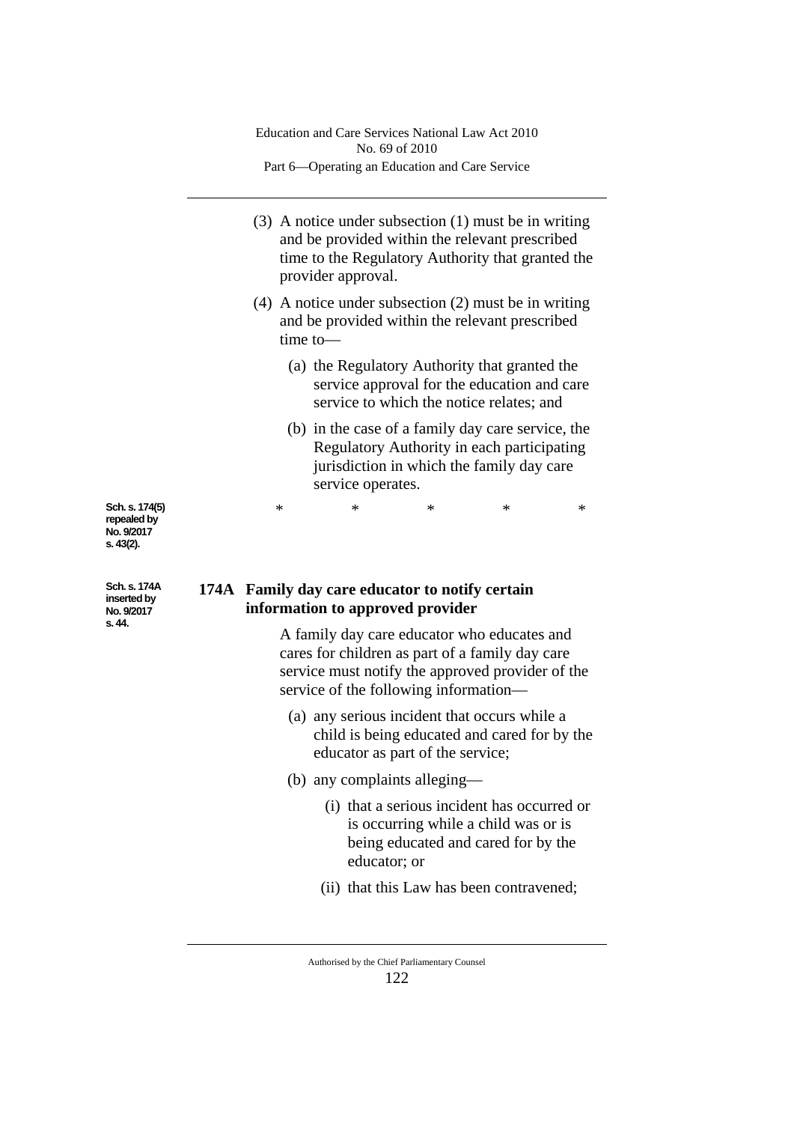|                                                          | Education and Care Services National Law Act 2010<br>No. 69 of 2010<br>Part 6-Operating an Education and Care Service                                             |                                                                                                                                                                                                                                                                                    |   |        |   |   |  |  |
|----------------------------------------------------------|-------------------------------------------------------------------------------------------------------------------------------------------------------------------|------------------------------------------------------------------------------------------------------------------------------------------------------------------------------------------------------------------------------------------------------------------------------------|---|--------|---|---|--|--|
|                                                          |                                                                                                                                                                   | $(3)$ A notice under subsection $(1)$ must be in writing<br>and be provided within the relevant prescribed<br>time to the Regulatory Authority that granted the<br>provider approval.                                                                                              |   |        |   |   |  |  |
|                                                          | $(4)$ A notice under subsection $(2)$ must be in writing<br>and be provided within the relevant prescribed<br>$time$ to $-$                                       |                                                                                                                                                                                                                                                                                    |   |        |   |   |  |  |
|                                                          | (a) the Regulatory Authority that granted the<br>service approval for the education and care<br>service to which the notice relates; and                          |                                                                                                                                                                                                                                                                                    |   |        |   |   |  |  |
|                                                          | (b) in the case of a family day care service, the<br>Regulatory Authority in each participating<br>jurisdiction in which the family day care<br>service operates. |                                                                                                                                                                                                                                                                                    |   |        |   |   |  |  |
| Sch. s. 174(5)<br>repealed by<br>No. 9/2017<br>s. 43(2). |                                                                                                                                                                   | ∗                                                                                                                                                                                                                                                                                  | ∗ | $\ast$ | * | * |  |  |
| Sch. s. 174A<br>inserted by<br>No. 9/2017<br>s. 44.      |                                                                                                                                                                   | 174A Family day care educator to notify certain<br>information to approved provider<br>A family day care educator who educates and<br>cares for children as part of a family day care<br>service must notify the approved provider of the<br>service of the following information- |   |        |   |   |  |  |

- (a) any serious incident that occurs while a child is being educated and cared for by the educator as part of the service;
- (b) any complaints alleging—
	- (i) that a serious incident has occurred or is occurring while a child was or is being educated and cared for by the educator; or
	- (ii) that this Law has been contravened;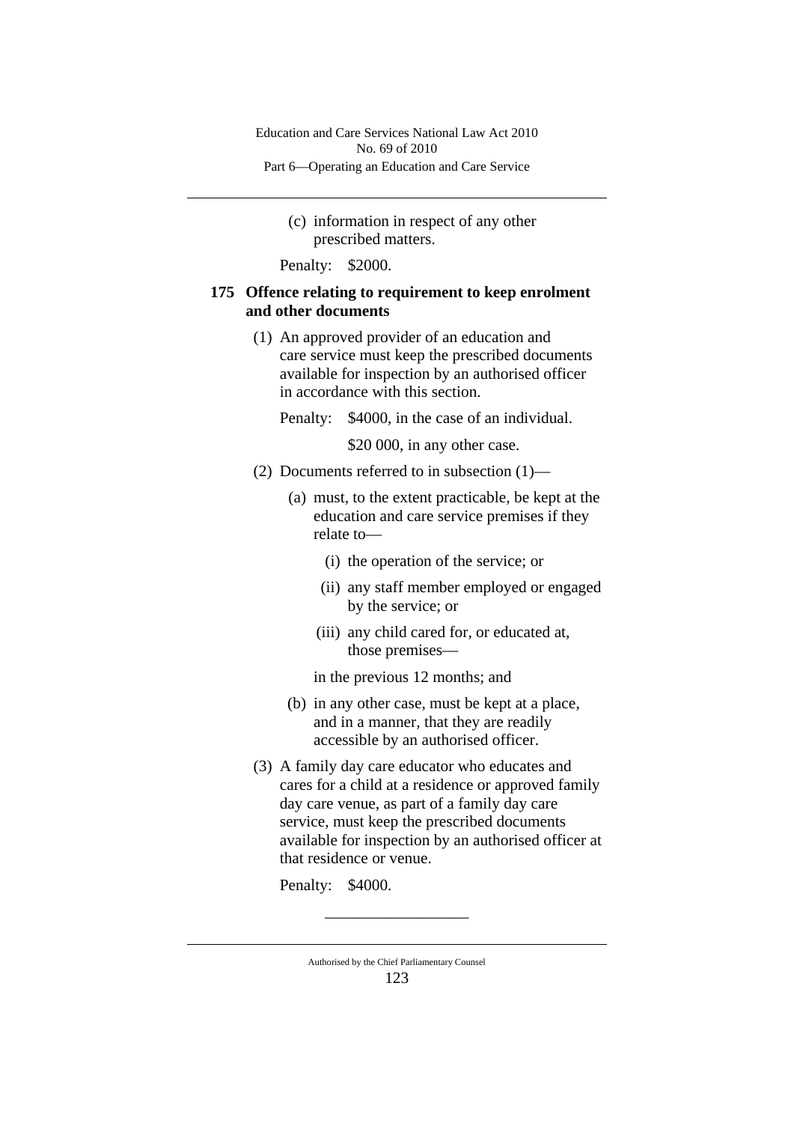> (c) information in respect of any other prescribed matters.

Penalty: \$2000.

### **175 Offence relating to requirement to keep enrolment and other documents**

- (1) An approved provider of an education and care service must keep the prescribed documents available for inspection by an authorised officer in accordance with this section.
	- Penalty: \$4000, in the case of an individual.

\$20 000, in any other case.

- (2) Documents referred to in subsection (1)—
	- (a) must, to the extent practicable, be kept at the education and care service premises if they relate to—
		- (i) the operation of the service; or
		- (ii) any staff member employed or engaged by the service; or
		- (iii) any child cared for, or educated at, those premises—
		- in the previous 12 months; and
	- (b) in any other case, must be kept at a place, and in a manner, that they are readily accessible by an authorised officer.
- (3) A family day care educator who educates and cares for a child at a residence or approved family day care venue, as part of a family day care service, must keep the prescribed documents available for inspection by an authorised officer at that residence or venue.

Penalty: \$4000.

\_\_\_\_\_\_\_\_\_\_\_\_\_\_\_\_\_\_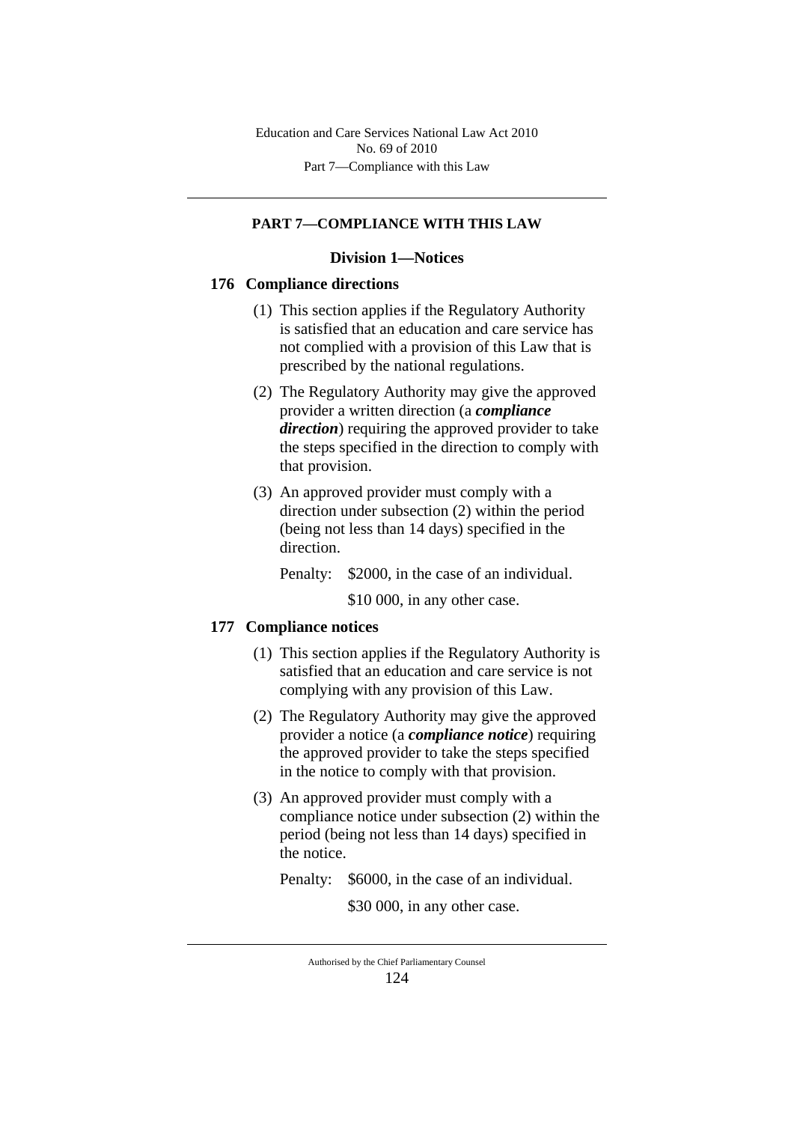# **PART 7—COMPLIANCE WITH THIS LAW**

### **Division 1—Notices**

### **176 Compliance directions**

- (1) This section applies if the Regulatory Authority is satisfied that an education and care service has not complied with a provision of this Law that is prescribed by the national regulations.
- (2) The Regulatory Authority may give the approved provider a written direction (a *compliance direction*) requiring the approved provider to take the steps specified in the direction to comply with that provision.
- (3) An approved provider must comply with a direction under subsection (2) within the period (being not less than 14 days) specified in the direction.

Penalty: \$2000, in the case of an individual.

\$10 000, in any other case.

# **177 Compliance notices**

- (1) This section applies if the Regulatory Authority is satisfied that an education and care service is not complying with any provision of this Law.
- (2) The Regulatory Authority may give the approved provider a notice (a *compliance notice*) requiring the approved provider to take the steps specified in the notice to comply with that provision.
- (3) An approved provider must comply with a compliance notice under subsection (2) within the period (being not less than 14 days) specified in the notice.

Penalty: \$6000, in the case of an individual.

\$30 000, in any other case.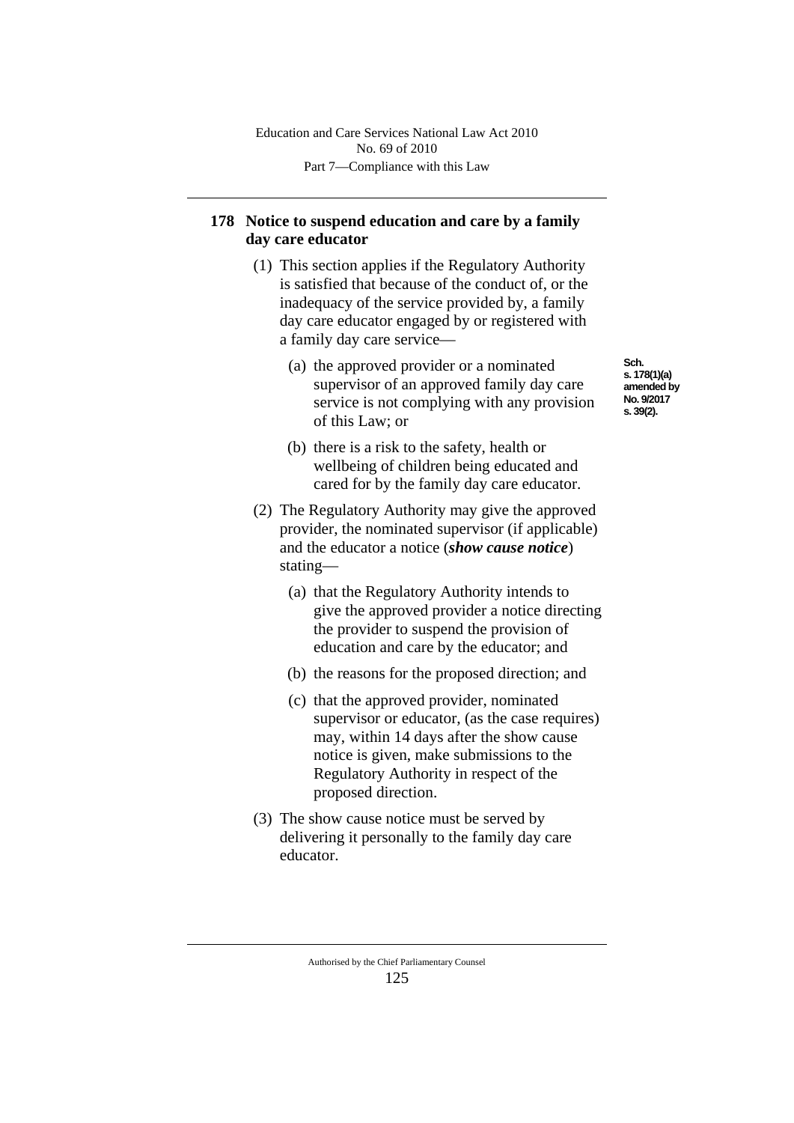# **178 Notice to suspend education and care by a family day care educator**

- (1) This section applies if the Regulatory Authority is satisfied that because of the conduct of, or the inadequacy of the service provided by, a family day care educator engaged by or registered with a family day care service—
	- (a) the approved provider or a nominated supervisor of an approved family day care service is not complying with any provision of this Law; or

**Sch. s. 178(1)(a) amended by No. 9/2017 s. 39(2).**

- (b) there is a risk to the safety, health or wellbeing of children being educated and cared for by the family day care educator.
- (2) The Regulatory Authority may give the approved provider, the nominated supervisor (if applicable) and the educator a notice (*show cause notice*) stating—
	- (a) that the Regulatory Authority intends to give the approved provider a notice directing the provider to suspend the provision of education and care by the educator; and
	- (b) the reasons for the proposed direction; and
	- (c) that the approved provider, nominated supervisor or educator, (as the case requires) may, within 14 days after the show cause notice is given, make submissions to the Regulatory Authority in respect of the proposed direction.
- (3) The show cause notice must be served by delivering it personally to the family day care educator.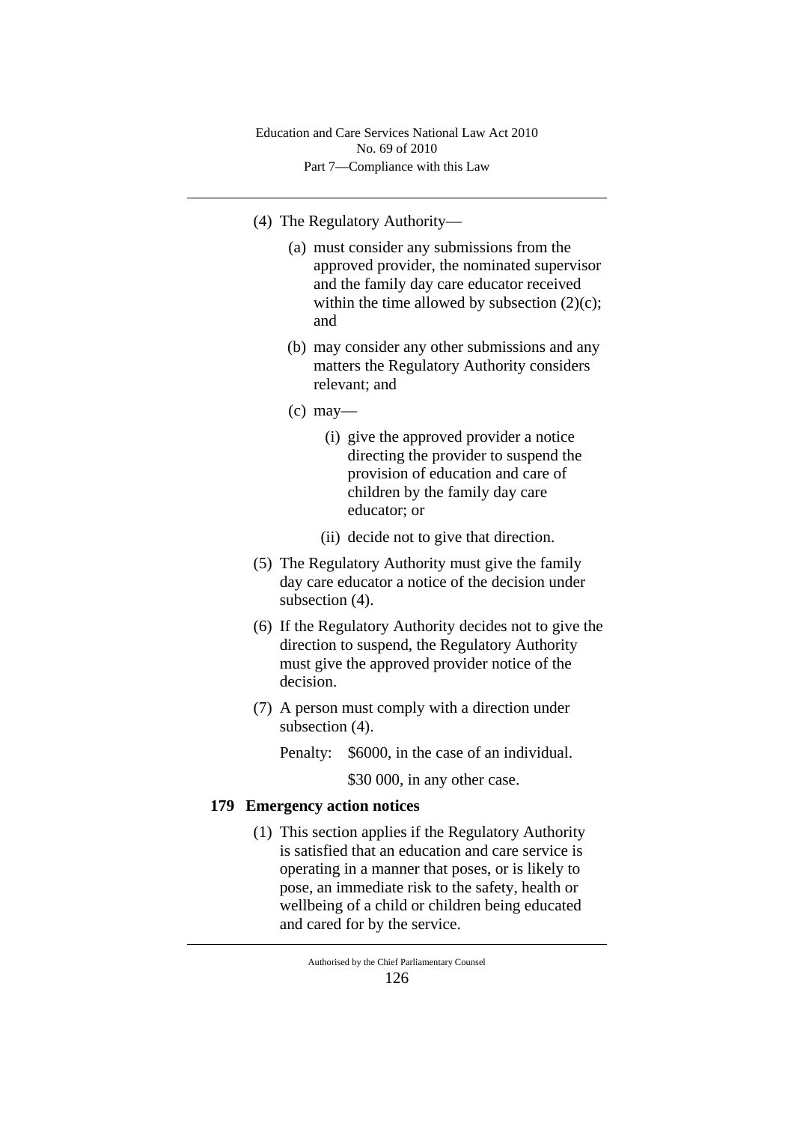Part 7—Compliance with this Law Education and Care Services National Law Act 2010 No. 69 of 2010

- (4) The Regulatory Authority—
	- (a) must consider any submissions from the approved provider, the nominated supervisor and the family day care educator received within the time allowed by subsection  $(2)(c)$ ; and
	- (b) may consider any other submissions and any matters the Regulatory Authority considers relevant; and
	- $(c)$  may—
		- (i) give the approved provider a notice directing the provider to suspend the provision of education and care of children by the family day care educator; or
		- (ii) decide not to give that direction.
- (5) The Regulatory Authority must give the family day care educator a notice of the decision under subsection  $(4)$ .
- (6) If the Regulatory Authority decides not to give the direction to suspend, the Regulatory Authority must give the approved provider notice of the decision.
- (7) A person must comply with a direction under subsection (4).
	- Penalty: \$6000, in the case of an individual.

\$30 000, in any other case.

# **179 Emergency action notices**

(1) This section applies if the Regulatory Authority is satisfied that an education and care service is operating in a manner that poses, or is likely to pose, an immediate risk to the safety, health or wellbeing of a child or children being educated and cared for by the service.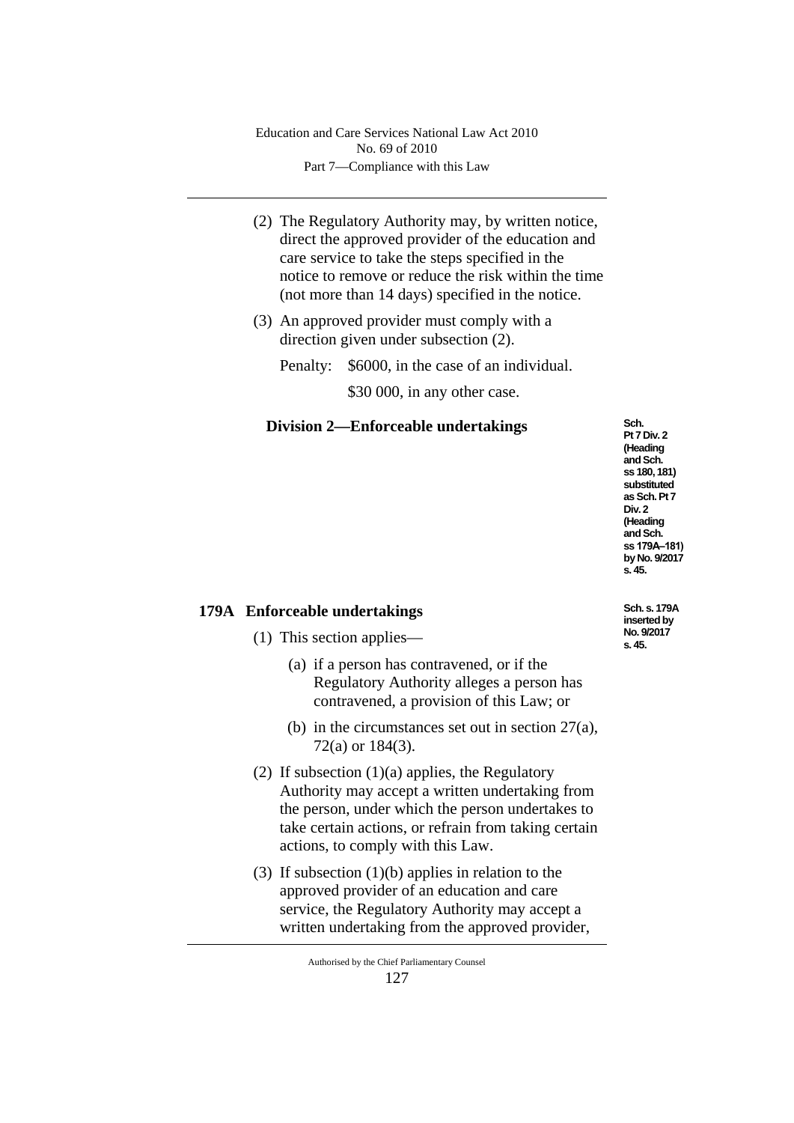- (2) The Regulatory Authority may, by written notice, direct the approved provider of the education and care service to take the steps specified in the notice to remove or reduce the risk within the time (not more than 14 days) specified in the notice.
- (3) An approved provider must comply with a direction given under subsection (2).

Penalty: \$6000, in the case of an individual.

\$30,000, in any other case.

# **Division 2—Enforceable undertakings**

**Sch. Pt 7 Div. 2 (Heading and Sch. ss 180, 181) substituted as Sch. Pt 7 Div. 2 (Heading and Sch. ss 179A‒181) by No. 9/2017 s. 45.**

# **179A Enforceable undertakings**

- (1) This section applies—
	- (a) if a person has contravened, or if the Regulatory Authority alleges a person has contravened, a provision of this Law; or
	- (b) in the circumstances set out in section 27(a), 72(a) or 184(3).
- (2) If subsection (1)(a) applies, the Regulatory Authority may accept a written undertaking from the person, under which the person undertakes to take certain actions, or refrain from taking certain actions, to comply with this Law.
- (3) If subsection (1)(b) applies in relation to the approved provider of an education and care service, the Regulatory Authority may accept a written undertaking from the approved provider,

**Sch. s. 179A inserted by No. 9/2017 s. 45.**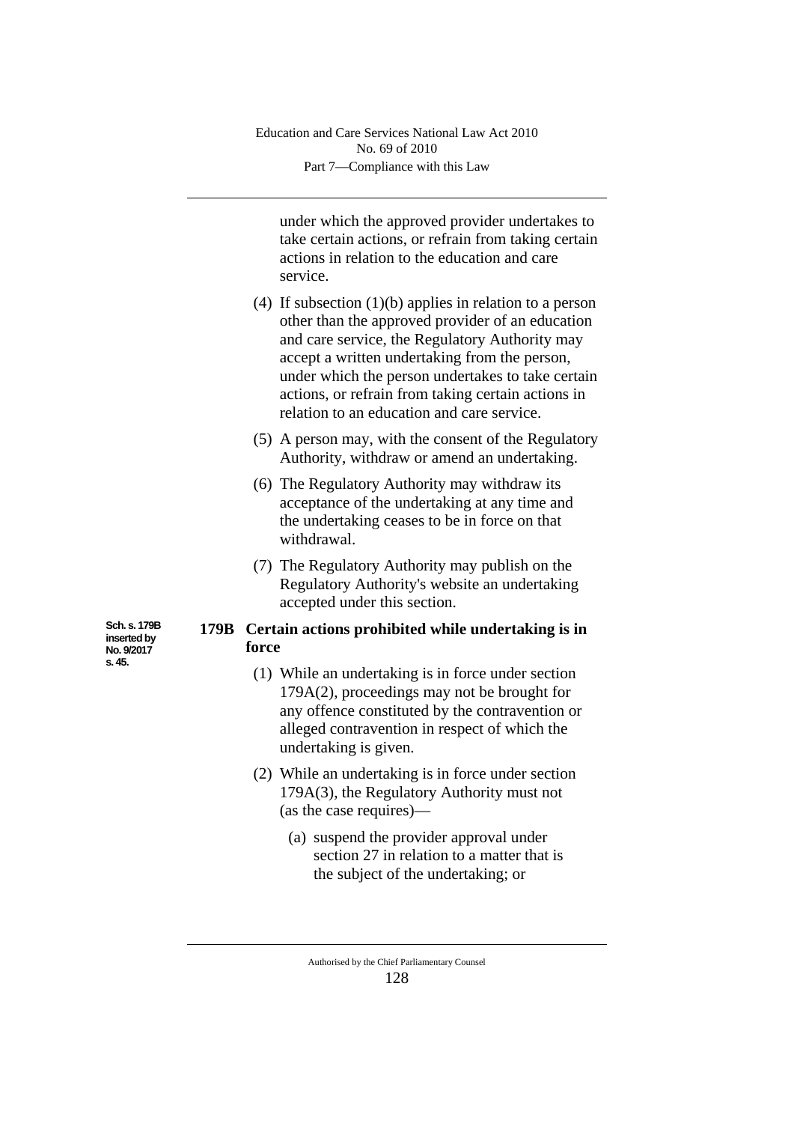under which the approved provider undertakes to take certain actions, or refrain from taking certain actions in relation to the education and care service.

- (4) If subsection (1)(b) applies in relation to a person other than the approved provider of an education and care service, the Regulatory Authority may accept a written undertaking from the person, under which the person undertakes to take certain actions, or refrain from taking certain actions in relation to an education and care service.
- (5) A person may, with the consent of the Regulatory Authority, withdraw or amend an undertaking.
- (6) The Regulatory Authority may withdraw its acceptance of the undertaking at any time and the undertaking ceases to be in force on that withdrawal.
- (7) The Regulatory Authority may publish on the Regulatory Authority's website an undertaking accepted under this section.

# **179B Certain actions prohibited while undertaking is in force**

- (1) While an undertaking is in force under section 179A(2), proceedings may not be brought for any offence constituted by the contravention or alleged contravention in respect of which the undertaking is given.
- (2) While an undertaking is in force under section 179A(3), the Regulatory Authority must not (as the case requires)—
	- (a) suspend the provider approval under section 27 in relation to a matter that is the subject of the undertaking; or

**Sch. s. 179B inserted by No. 9/2017 s. 45.**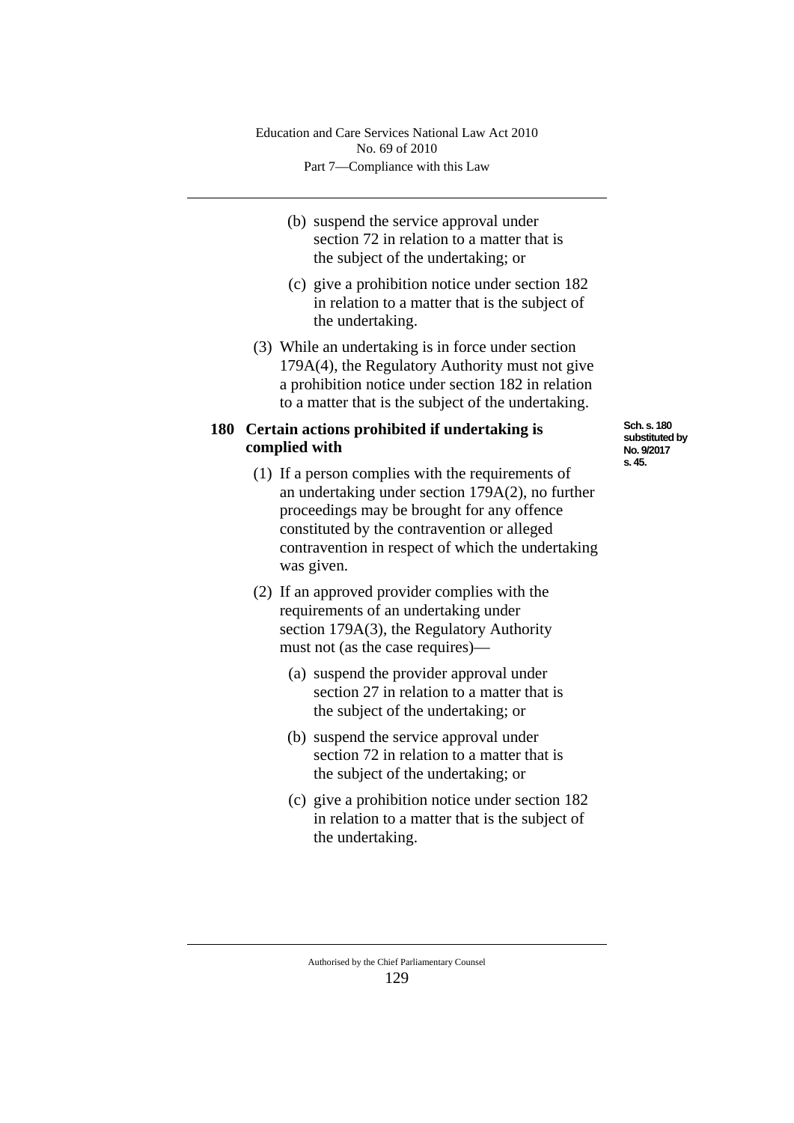- (b) suspend the service approval under section 72 in relation to a matter that is the subject of the undertaking; or
- (c) give a prohibition notice under section 182 in relation to a matter that is the subject of the undertaking.
- (3) While an undertaking is in force under section 179A(4), the Regulatory Authority must not give a prohibition notice under section 182 in relation to a matter that is the subject of the undertaking.

# **180 Certain actions prohibited if undertaking is complied with**

- (1) If a person complies with the requirements of an undertaking under section 179A(2), no further proceedings may be brought for any offence constituted by the contravention or alleged contravention in respect of which the undertaking was given.
- (2) If an approved provider complies with the requirements of an undertaking under section 179A(3), the Regulatory Authority must not (as the case requires)—
	- (a) suspend the provider approval under section 27 in relation to a matter that is the subject of the undertaking; or
	- (b) suspend the service approval under section 72 in relation to a matter that is the subject of the undertaking; or
	- (c) give a prohibition notice under section 182 in relation to a matter that is the subject of the undertaking.

**Sch. s. 180 substituted by No. 9/2017 s. 45.**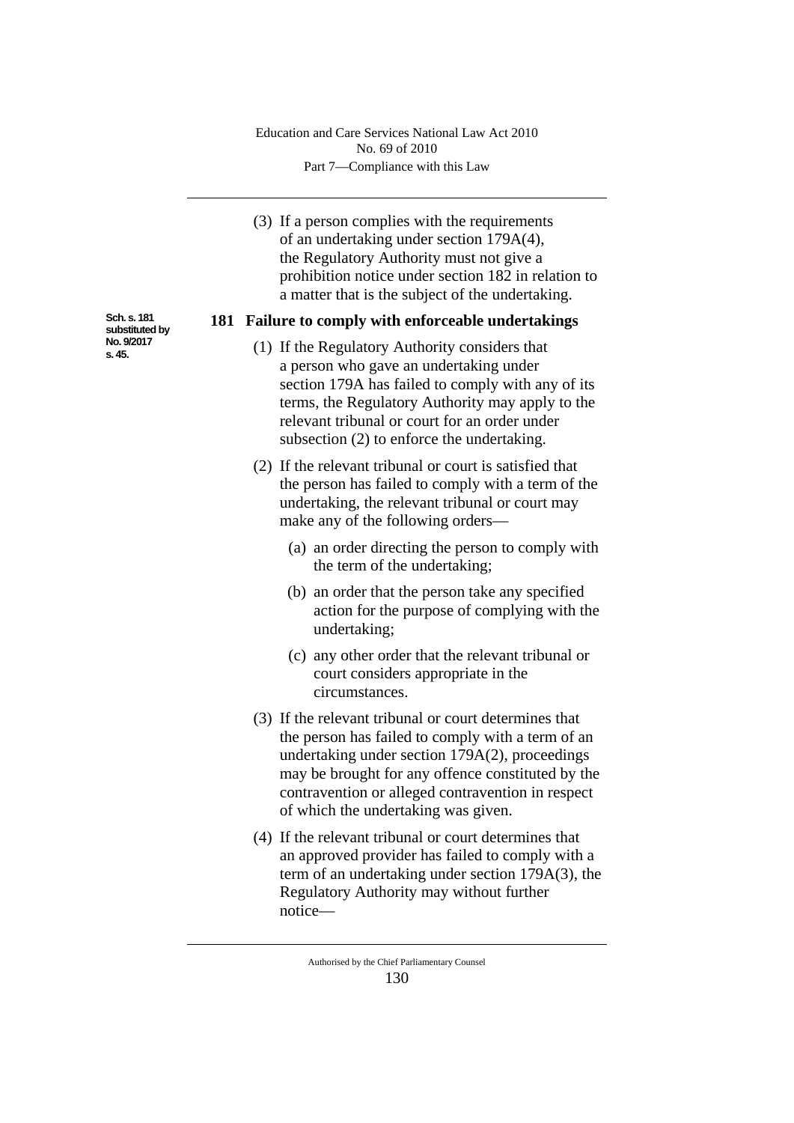Part 7—Compliance with this Law Education and Care Services National Law Act 2010 No. 69 of 2010

(3) If a person complies with the requirements of an undertaking under section 179A(4), the Regulatory Authority must not give a prohibition notice under section 182 in relation to a matter that is the subject of the undertaking.

#### **181 Failure to comply with enforceable undertakings**

- (1) If the Regulatory Authority considers that a person who gave an undertaking under section 179A has failed to comply with any of its terms, the Regulatory Authority may apply to the relevant tribunal or court for an order under subsection (2) to enforce the undertaking.
- (2) If the relevant tribunal or court is satisfied that the person has failed to comply with a term of the undertaking, the relevant tribunal or court may make any of the following orders—
	- (a) an order directing the person to comply with the term of the undertaking;
	- (b) an order that the person take any specified action for the purpose of complying with the undertaking;
	- (c) any other order that the relevant tribunal or court considers appropriate in the circumstances.
- (3) If the relevant tribunal or court determines that the person has failed to comply with a term of an undertaking under section 179A(2), proceedings may be brought for any offence constituted by the contravention or alleged contravention in respect of which the undertaking was given.
- (4) If the relevant tribunal or court determines that an approved provider has failed to comply with a term of an undertaking under section 179A(3), the Regulatory Authority may without further notice—

**Sch. s. 181 substituted by No. 9/2017 s. 45.**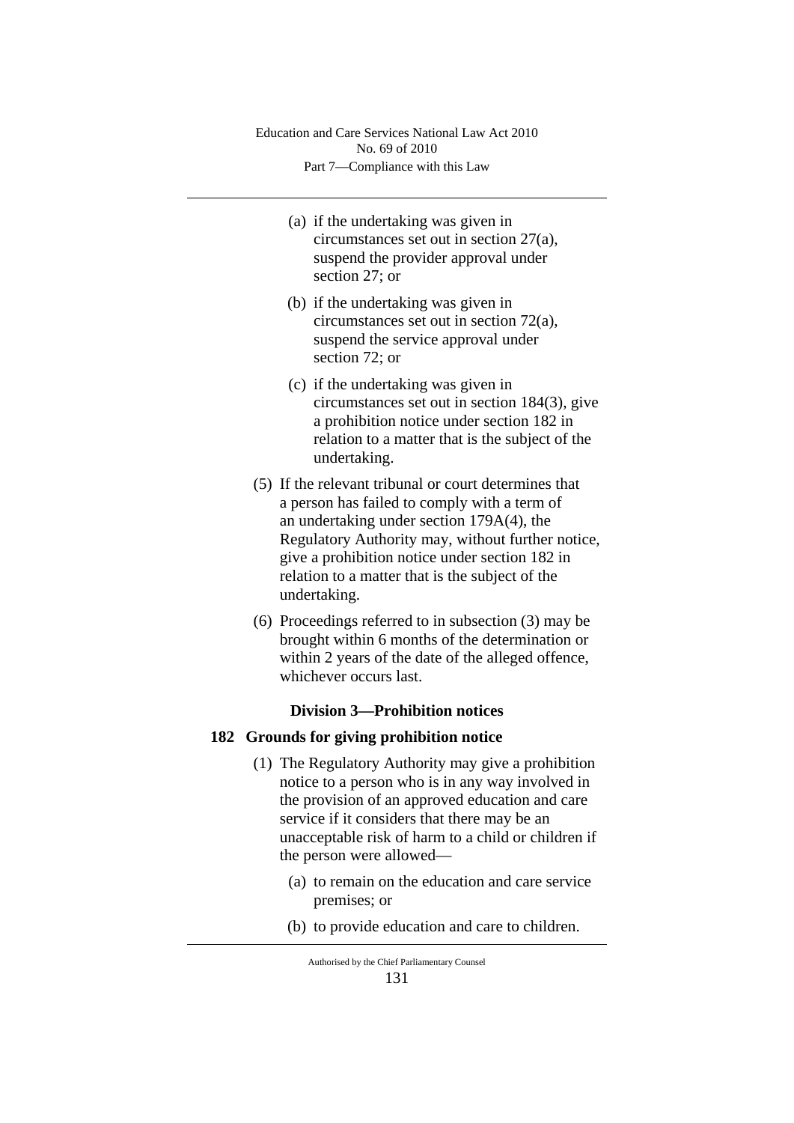Part 7—Compliance with this Law Education and Care Services National Law Act 2010 No. 69 of 2010

- (a) if the undertaking was given in circumstances set out in section 27(a), suspend the provider approval under section 27; or
- (b) if the undertaking was given in circumstances set out in section 72(a), suspend the service approval under section 72; or
- (c) if the undertaking was given in circumstances set out in section 184(3), give a prohibition notice under section 182 in relation to a matter that is the subject of the undertaking.
- (5) If the relevant tribunal or court determines that a person has failed to comply with a term of an undertaking under section 179A(4), the Regulatory Authority may, without further notice, give a prohibition notice under section 182 in relation to a matter that is the subject of the undertaking.
- (6) Proceedings referred to in subsection (3) may be brought within 6 months of the determination or within 2 years of the date of the alleged offence, whichever occurs last.

# **Division 3—Prohibition notices**

### **182 Grounds for giving prohibition notice**

- (1) The Regulatory Authority may give a prohibition notice to a person who is in any way involved in the provision of an approved education and care service if it considers that there may be an unacceptable risk of harm to a child or children if the person were allowed—
	- (a) to remain on the education and care service premises; or
	- (b) to provide education and care to children.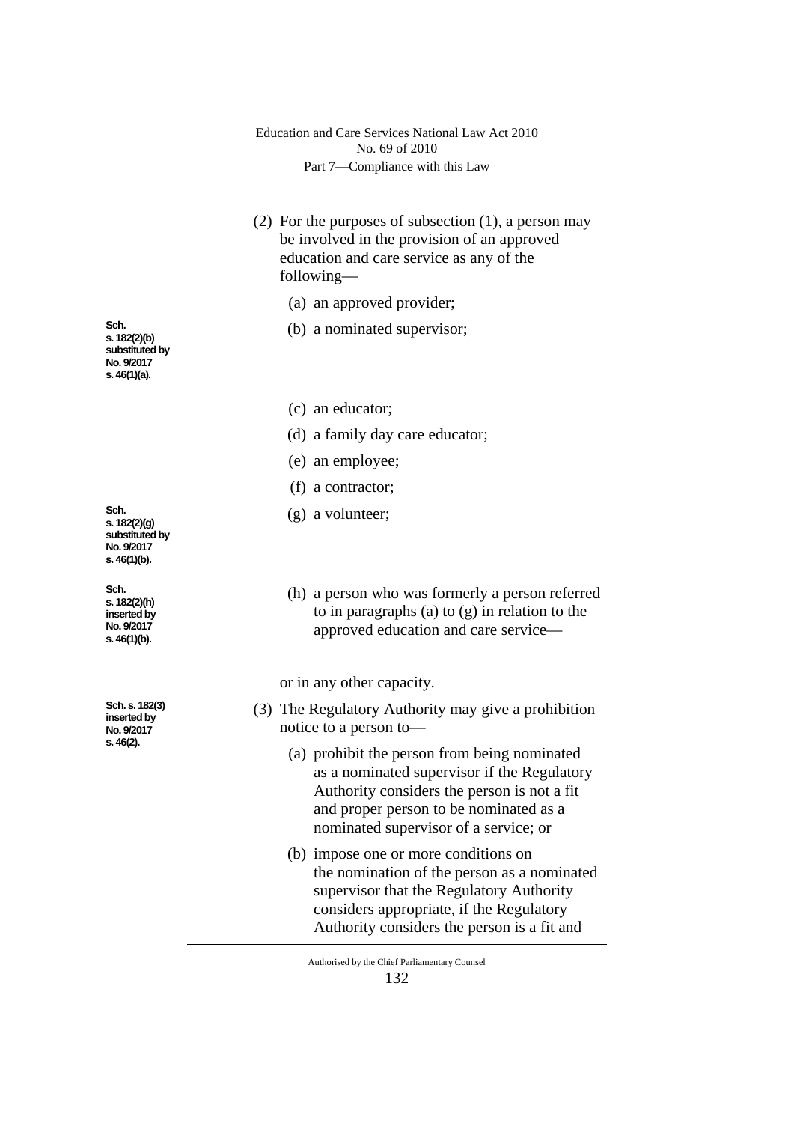Part 7—Compliance with this Law Education and Care Services National Law Act 2010 No. 69 of 2010

- (2) For the purposes of subsection (1), a person may be involved in the provision of an approved education and care service as any of the following—
	- (a) an approved provider;
	- (b) a nominated supervisor;
	- (c) an educator;
	- (d) a family day care educator;
	- (e) an employee;
	- (f) a contractor;
	- (g) a volunteer;
	- (h) a person who was formerly a person referred to in paragraphs (a) to (g) in relation to the approved education and care service—

or in any other capacity.

- (3) The Regulatory Authority may give a prohibition notice to a person to—
	- (a) prohibit the person from being nominated as a nominated supervisor if the Regulatory Authority considers the person is not a fit and proper person to be nominated as a nominated supervisor of a service; or
	- (b) impose one or more conditions on the nomination of the person as a nominated supervisor that the Regulatory Authority considers appropriate, if the Regulatory Authority considers the person is a fit and

Authorised by the Chief Parliamentary Counsel 132

**Sch. s. 182(2)(b) substituted by No. 9/2017 s. 46(1)(a).**

**Sch. s. 182(2)(g) substituted by No. 9/2017 s. 46(1)(b).**

**Sch. s. 182(2)(h) inserted by No. 9/2017 s. 46(1)(b).**

**Sch. s. 182(3) inserted by No. 9/2017 s. 46(2).**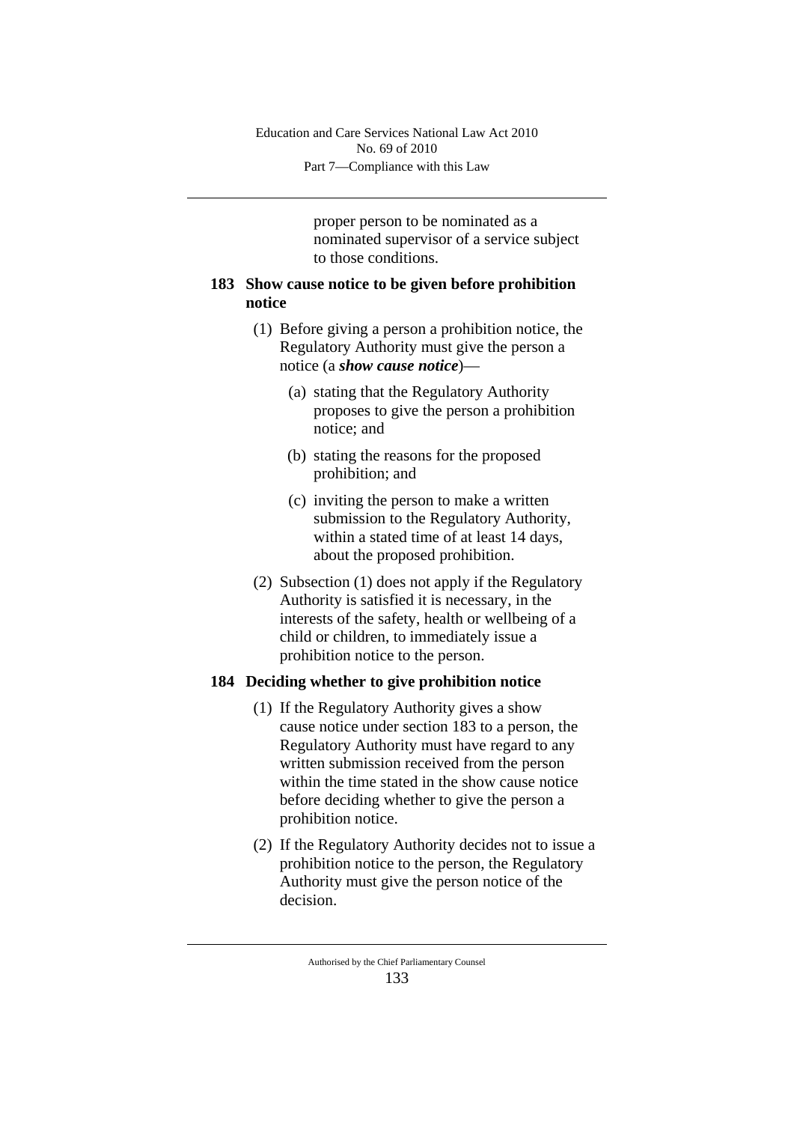proper person to be nominated as a nominated supervisor of a service subject to those conditions.

# **183 Show cause notice to be given before prohibition notice**

- (1) Before giving a person a prohibition notice, the Regulatory Authority must give the person a notice (a *show cause notice*)—
	- (a) stating that the Regulatory Authority proposes to give the person a prohibition notice; and
	- (b) stating the reasons for the proposed prohibition; and
	- (c) inviting the person to make a written submission to the Regulatory Authority, within a stated time of at least 14 days, about the proposed prohibition.
- (2) Subsection (1) does not apply if the Regulatory Authority is satisfied it is necessary, in the interests of the safety, health or wellbeing of a child or children, to immediately issue a prohibition notice to the person.

# **184 Deciding whether to give prohibition notice**

- (1) If the Regulatory Authority gives a show cause notice under section 183 to a person, the Regulatory Authority must have regard to any written submission received from the person within the time stated in the show cause notice before deciding whether to give the person a prohibition notice.
- (2) If the Regulatory Authority decides not to issue a prohibition notice to the person, the Regulatory Authority must give the person notice of the decision.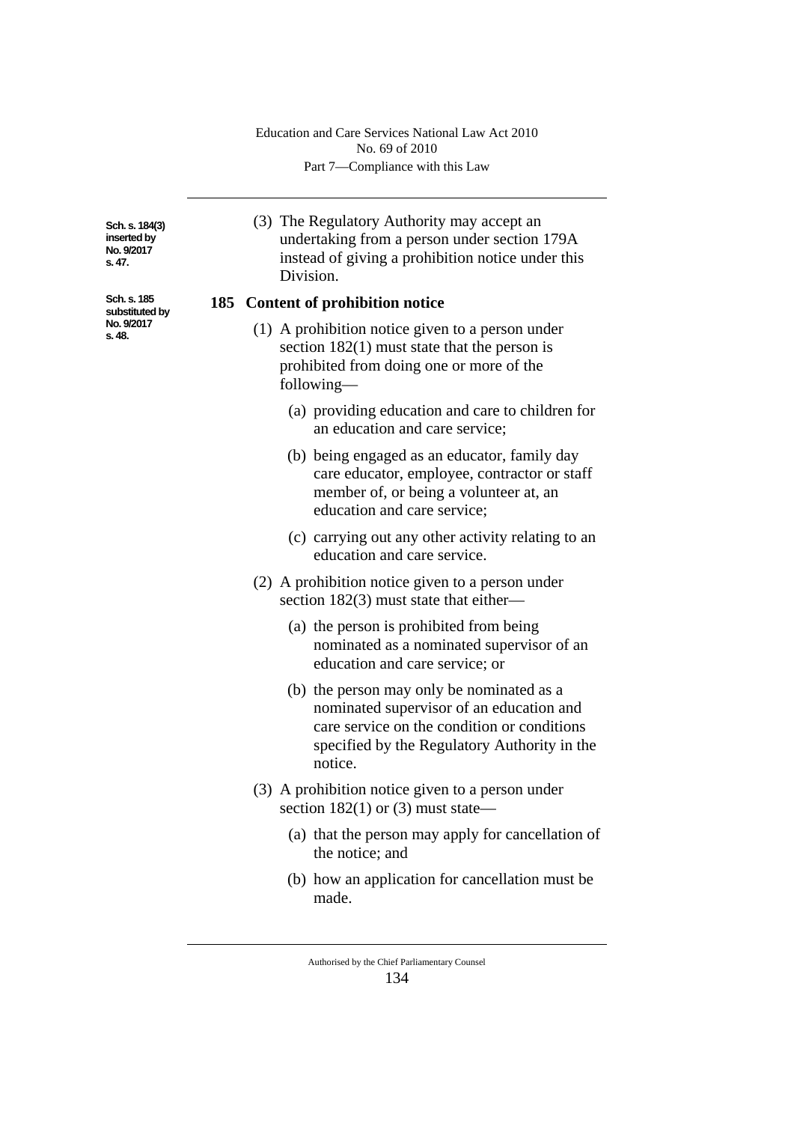Part 7—Compliance with this Law Education and Care Services National Law Act 2010 No. 69 of 2010

**Sch. s. 184(3) inserted by No. 9/2017 s. 47.**

**Sch. s. 185 substituted by No. 9/2017 s. 48.**

(3) The Regulatory Authority may accept an undertaking from a person under section 179A instead of giving a prohibition notice under this Division.

# **185 Content of prohibition notice**

- (1) A prohibition notice given to a person under section 182(1) must state that the person is prohibited from doing one or more of the following—
	- (a) providing education and care to children for an education and care service;
	- (b) being engaged as an educator, family day care educator, employee, contractor or staff member of, or being a volunteer at, an education and care service;
	- (c) carrying out any other activity relating to an education and care service.
- (2) A prohibition notice given to a person under section 182(3) must state that either—
	- (a) the person is prohibited from being nominated as a nominated supervisor of an education and care service; or
	- (b) the person may only be nominated as a nominated supervisor of an education and care service on the condition or conditions specified by the Regulatory Authority in the notice.
- (3) A prohibition notice given to a person under section  $182(1)$  or (3) must state—
	- (a) that the person may apply for cancellation of the notice; and
	- (b) how an application for cancellation must be made.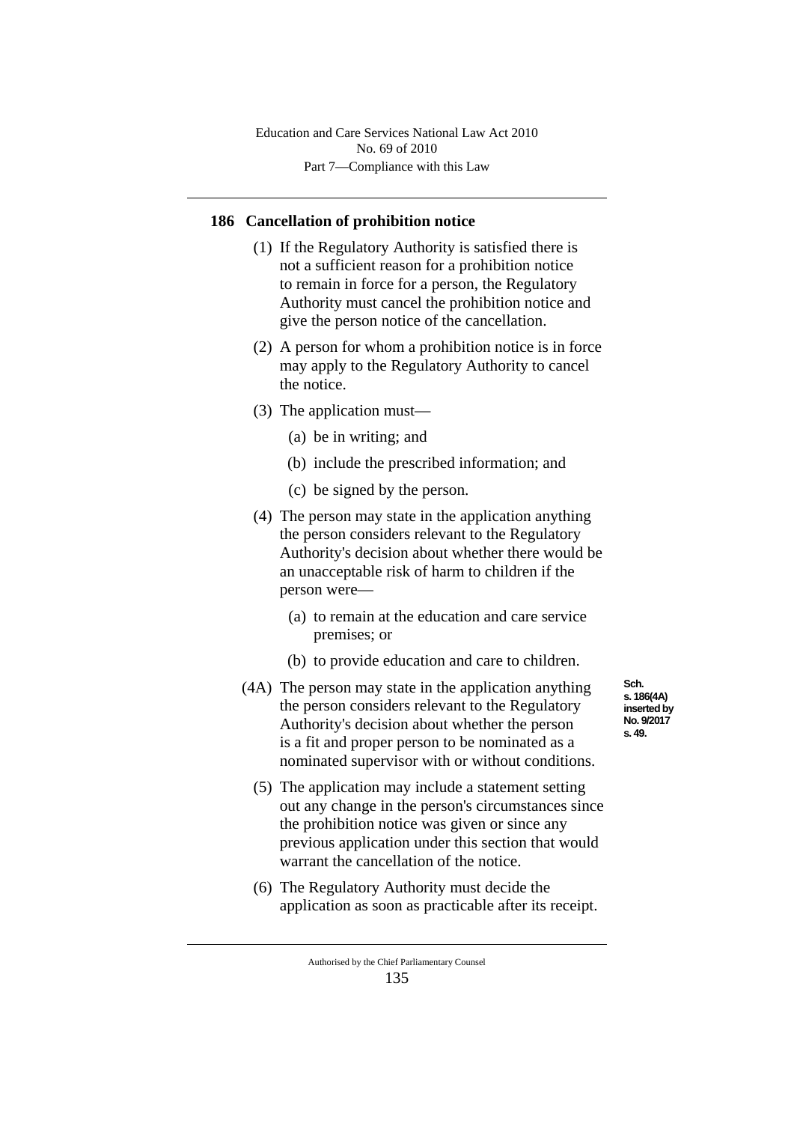Part 7—Compliance with this Law Education and Care Services National Law Act 2010 No. 69 of 2010

# **186 Cancellation of prohibition notice**

- (1) If the Regulatory Authority is satisfied there is not a sufficient reason for a prohibition notice to remain in force for a person, the Regulatory Authority must cancel the prohibition notice and give the person notice of the cancellation.
- (2) A person for whom a prohibition notice is in force may apply to the Regulatory Authority to cancel the notice.
- (3) The application must—
	- (a) be in writing; and
	- (b) include the prescribed information; and
	- (c) be signed by the person.
- (4) The person may state in the application anything the person considers relevant to the Regulatory Authority's decision about whether there would be an unacceptable risk of harm to children if the person were—
	- (a) to remain at the education and care service premises; or
	- (b) to provide education and care to children.
- (4A) The person may state in the application anything the person considers relevant to the Regulatory Authority's decision about whether the person is a fit and proper person to be nominated as a nominated supervisor with or without conditions.
	- (5) The application may include a statement setting out any change in the person's circumstances since the prohibition notice was given or since any previous application under this section that would warrant the cancellation of the notice.
	- (6) The Regulatory Authority must decide the application as soon as practicable after its receipt.

**Sch. s. 186(4A) inserted by No. 9/2017 s. 49.**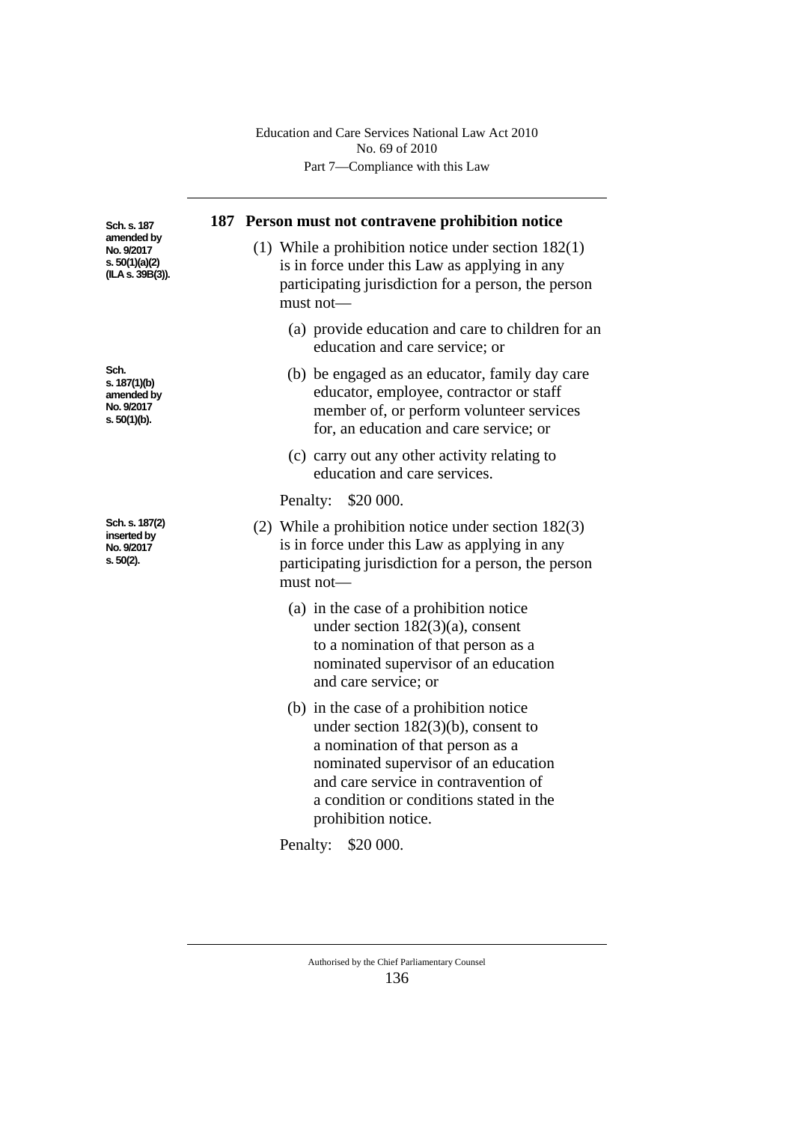|                                                                                 | Education and Care Services National Law Act 2010<br>No. 69 of 2010<br>Part 7—Compliance with this Law                                                                                                                                                                  |
|---------------------------------------------------------------------------------|-------------------------------------------------------------------------------------------------------------------------------------------------------------------------------------------------------------------------------------------------------------------------|
| Sch. s. 187<br>amended by<br>No. 9/2017<br>s. $50(1)(a)(2)$<br>(ILA s. 39B(3)). | 187 Person must not contravene prohibition notice<br>(1) While a prohibition notice under section $182(1)$<br>is in force under this Law as applying in any<br>participating jurisdiction for a person, the person<br>must not-                                         |
|                                                                                 | (a) provide education and care to children for an<br>education and care service; or                                                                                                                                                                                     |
| Sch.<br>s. 187(1)(b)<br>amended by<br>No. 9/2017<br>s. 50(1)(b).                | (b) be engaged as an educator, family day care<br>educator, employee, contractor or staff<br>member of, or perform volunteer services<br>for, an education and care service; or                                                                                         |
|                                                                                 | (c) carry out any other activity relating to<br>education and care services.                                                                                                                                                                                            |
|                                                                                 | Penalty: \$20 000.                                                                                                                                                                                                                                                      |
| Sch. s. 187(2)<br>inserted by<br>No. 9/2017<br>s. 50(2).                        | (2) While a prohibition notice under section $182(3)$<br>is in force under this Law as applying in any<br>participating jurisdiction for a person, the person<br>$must not$ —                                                                                           |
|                                                                                 | (a) in the case of a prohibition notice<br>under section $182(3)(a)$ , consent<br>to a nomination of that person as a<br>nominated supervisor of an education<br>and care service; or                                                                                   |
|                                                                                 | (b) in the case of a prohibition notice<br>under section $182(3)(b)$ , consent to<br>a nomination of that person as a<br>nominated supervisor of an education<br>and care service in contravention of<br>a condition or conditions stated in the<br>prohibition notice. |
|                                                                                 | Penalty:<br>\$20 000.                                                                                                                                                                                                                                                   |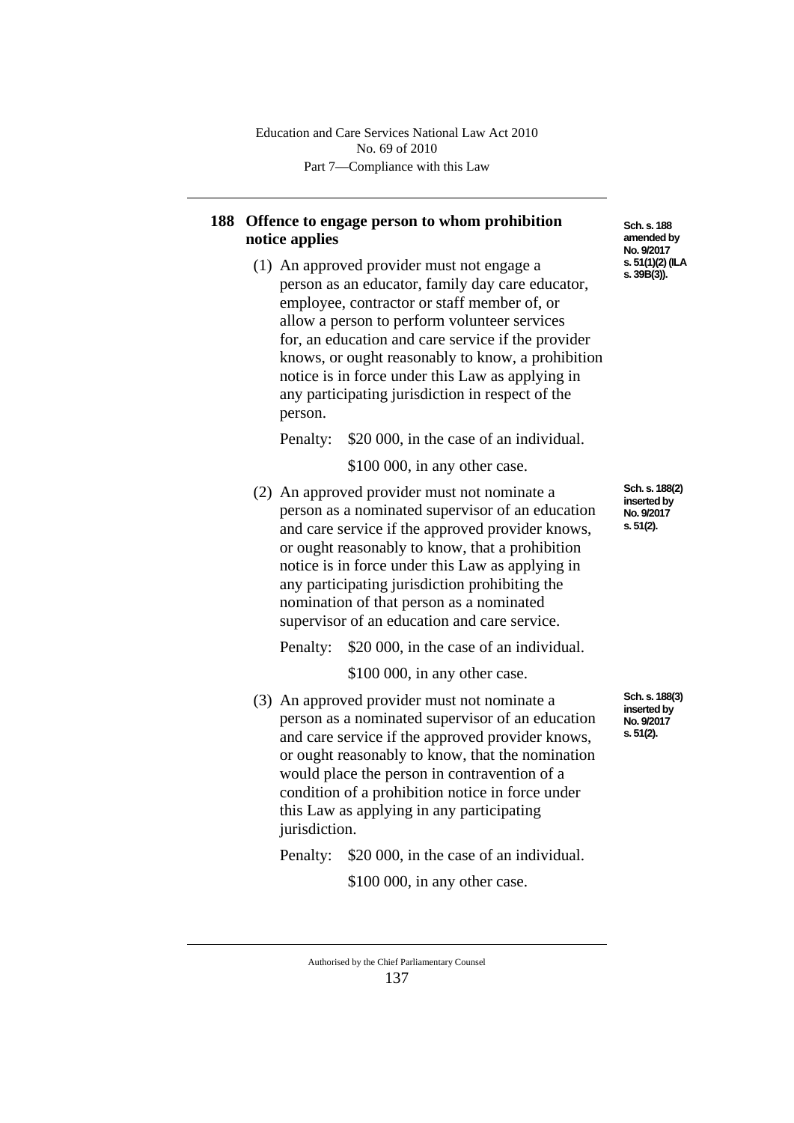# **188 Offence to engage person to whom prohibition notice applies**

(1) An approved provider must not engage a person as an educator, family day care educator, employee, contractor or staff member of, or allow a person to perform volunteer services for, an education and care service if the provider knows, or ought reasonably to know, a prohibition notice is in force under this Law as applying in any participating jurisdiction in respect of the person.

Penalty: \$20 000, in the case of an individual.

\$100 000, in any other case.

(2) An approved provider must not nominate a person as a nominated supervisor of an education and care service if the approved provider knows, or ought reasonably to know, that a prohibition notice is in force under this Law as applying in any participating jurisdiction prohibiting the nomination of that person as a nominated supervisor of an education and care service.

Penalty: \$20 000, in the case of an individual.

\$100 000, in any other case.

(3) An approved provider must not nominate a person as a nominated supervisor of an education and care service if the approved provider knows, or ought reasonably to know, that the nomination would place the person in contravention of a condition of a prohibition notice in force under this Law as applying in any participating jurisdiction.

Penalty: \$20 000, in the case of an individual.

\$100 000, in any other case.

**Sch. s. 188 amended by No. 9/2017 s. 51(1)(2) (ILA s. 39B(3)).**

**Sch. s. 188(2) inserted by No. 9/2017 s. 51(2).**

**Sch. s. 188(3) inserted by No. 9/2017 s. 51(2).**

Authorised by the Chief Parliamentary Counsel 137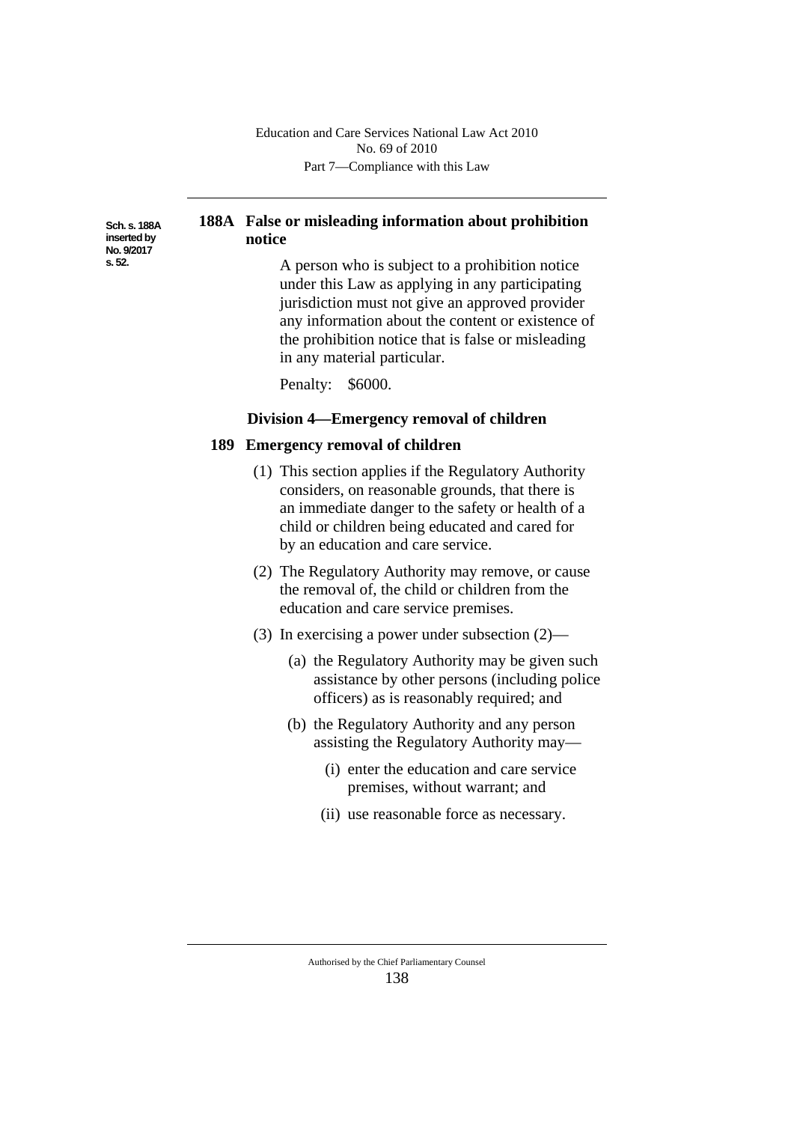Part 7—Compliance with this Law Education and Care Services National Law Act 2010 No. 69 of 2010

**Sch. s. 188A inserted by No. 9/2017 s. 52.**

# **188A False or misleading information about prohibition notice**

A person who is subject to a prohibition notice under this Law as applying in any participating jurisdiction must not give an approved provider any information about the content or existence of the prohibition notice that is false or misleading in any material particular.

Penalty: \$6000.

### **Division 4—Emergency removal of children**

#### **189 Emergency removal of children**

- (1) This section applies if the Regulatory Authority considers, on reasonable grounds, that there is an immediate danger to the safety or health of a child or children being educated and cared for by an education and care service.
- (2) The Regulatory Authority may remove, or cause the removal of, the child or children from the education and care service premises.
- (3) In exercising a power under subsection (2)—
	- (a) the Regulatory Authority may be given such assistance by other persons (including police officers) as is reasonably required; and
	- (b) the Regulatory Authority and any person assisting the Regulatory Authority may—
		- (i) enter the education and care service premises, without warrant; and
		- (ii) use reasonable force as necessary.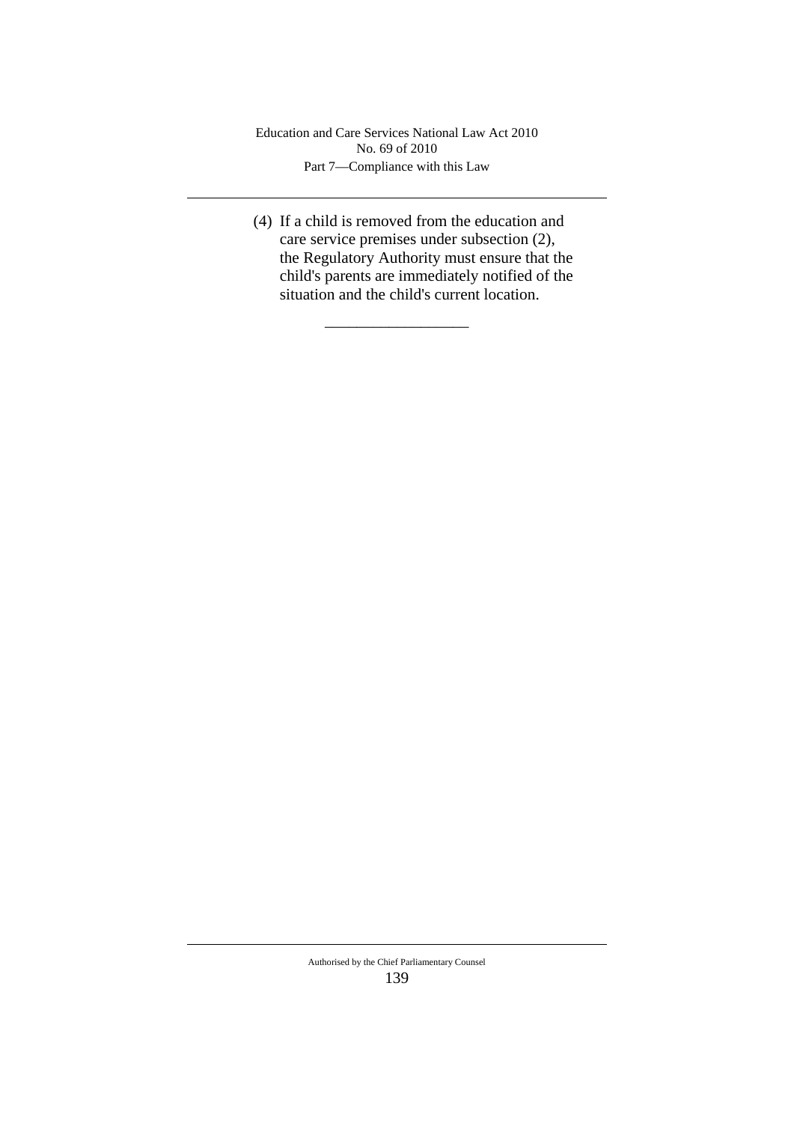Part 7—Compliance with this Law Education and Care Services National Law Act 2010 No. 69 of 2010

(4) If a child is removed from the education and care service premises under subsection (2), the Regulatory Authority must ensure that the child's parents are immediately notified of the situation and the child's current location.

\_\_\_\_\_\_\_\_\_\_\_\_\_\_\_\_\_\_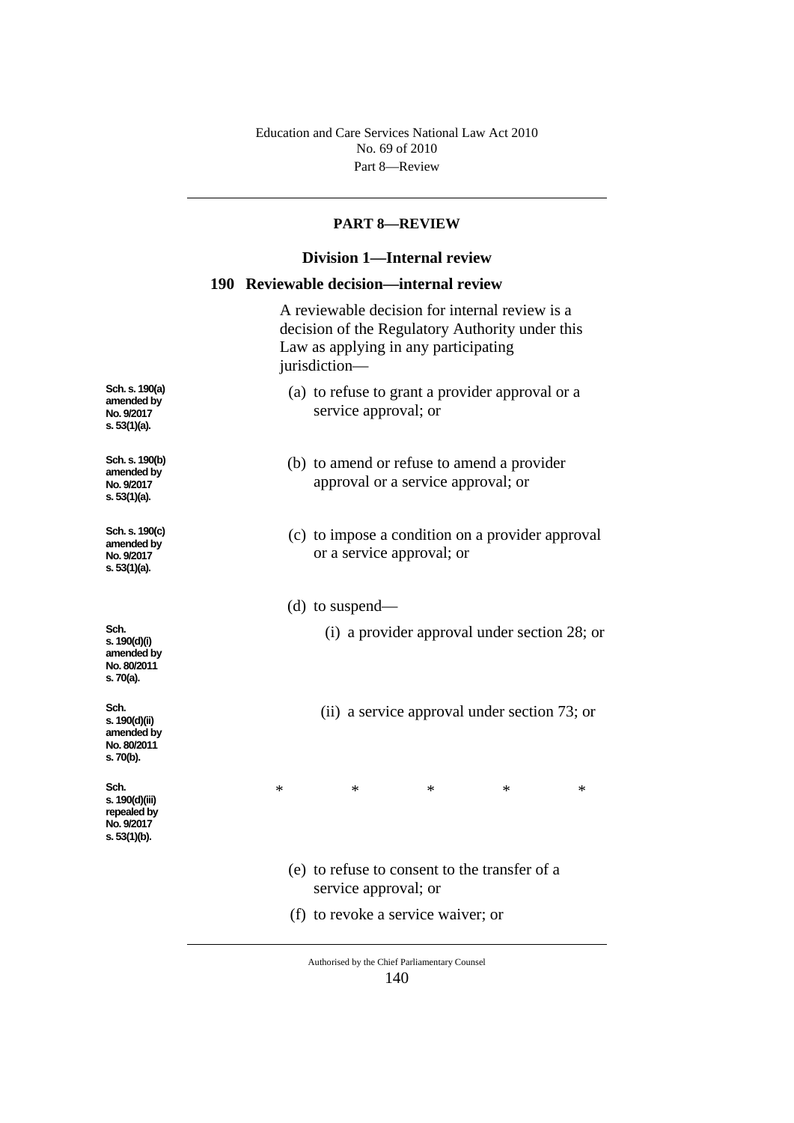Part 8—Review Education and Care Services National Law Act 2010 No. 69 of 2010

#### **PART 8—REVIEW**

# **Division 1—Internal review**

## **190 Reviewable decision—internal review**

A reviewable decision for internal review is a decision of the Regulatory Authority under this Law as applying in any participating jurisdiction—

- (a) to refuse to grant a provider approval or a service approval; or
- (b) to amend or refuse to amend a provider approval or a service approval; or
- (c) to impose a condition on a provider approval or a service approval; or
- (d) to suspend—
	- (i) a provider approval under section 28; or
	- (ii) a service approval under section 73; or

\* \* \* \* \*

- (e) to refuse to consent to the transfer of a service approval; or
- (f) to revoke a service waiver; or
	- Authorised by the Chief Parliamentary Counsel 140

**No. 9/2017 s. 53(1)(a). Sch. s. 190(b) amended by No. 9/2017** 

**s. 53(1)(a).**

**Sch. s. 190(a) amended by** 

**Sch. s. 190(c) amended by No. 9/2017 s. 53(1)(a).**

**Sch. s. 190(d)(i) amended by No. 80/2011 s. 70(a).**

**Sch. s. 190(d)(ii) amended by No. 80/2011 s. 70(b).**

**Sch. s. 190(d)(iii) repealed by No. 9/2017 s. 53(1)(b).**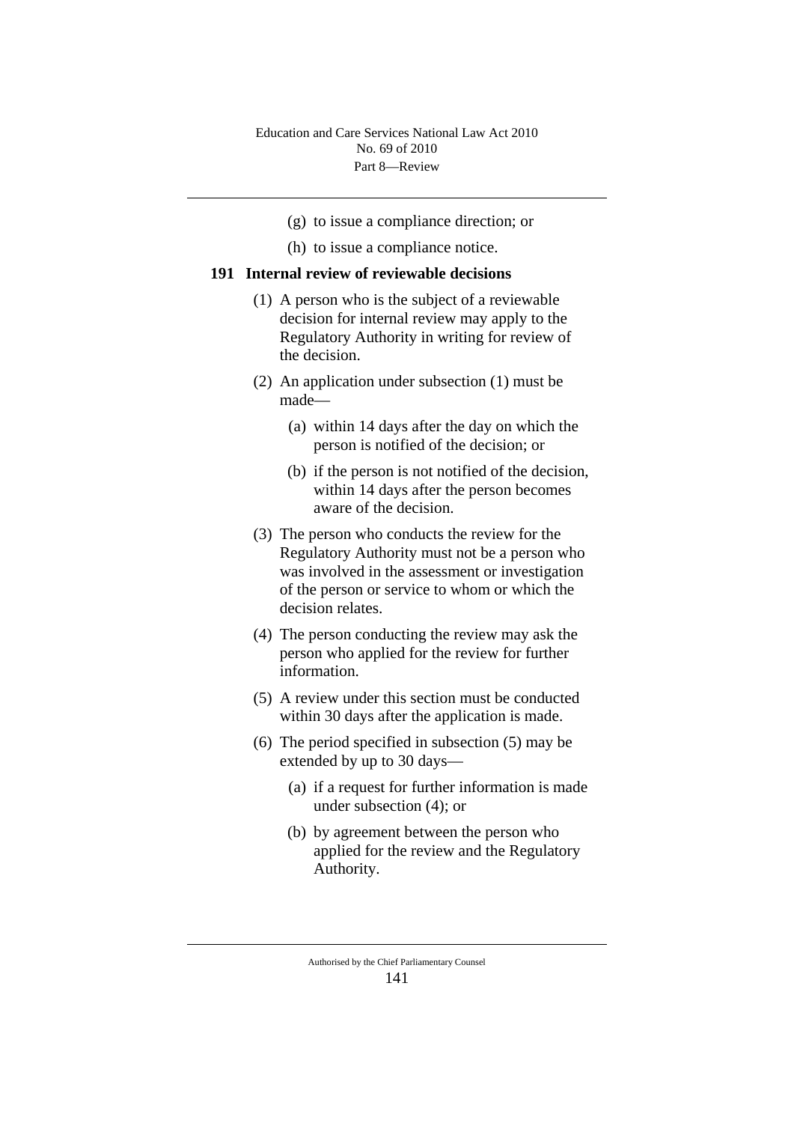- (g) to issue a compliance direction; or
- (h) to issue a compliance notice.

#### **191 Internal review of reviewable decisions**

- (1) A person who is the subject of a reviewable decision for internal review may apply to the Regulatory Authority in writing for review of the decision.
- (2) An application under subsection (1) must be made—
	- (a) within 14 days after the day on which the person is notified of the decision; or
	- (b) if the person is not notified of the decision, within 14 days after the person becomes aware of the decision.
- (3) The person who conducts the review for the Regulatory Authority must not be a person who was involved in the assessment or investigation of the person or service to whom or which the decision relates.
- (4) The person conducting the review may ask the person who applied for the review for further information.
- (5) A review under this section must be conducted within 30 days after the application is made.
- (6) The period specified in subsection (5) may be extended by up to 30 days—
	- (a) if a request for further information is made under subsection (4); or
	- (b) by agreement between the person who applied for the review and the Regulatory Authority.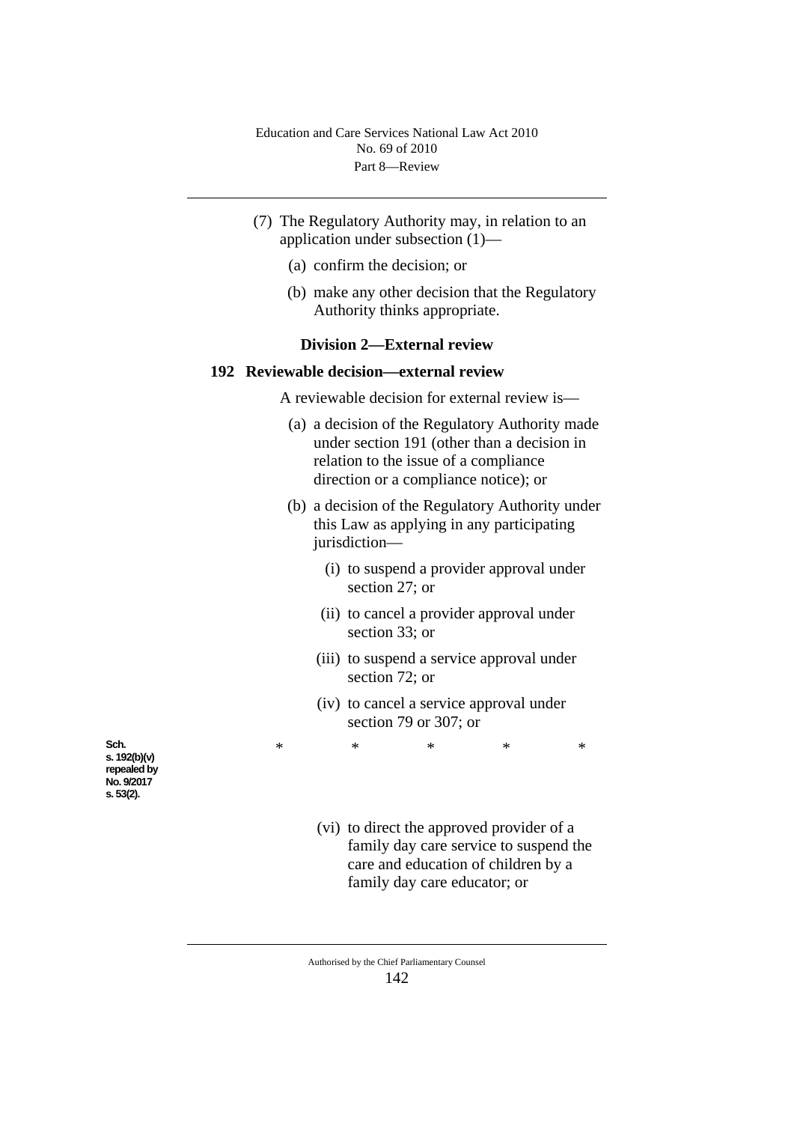- (7) The Regulatory Authority may, in relation to an application under subsection (1)—
	- (a) confirm the decision; or
	- (b) make any other decision that the Regulatory Authority thinks appropriate.

## **Division 2—External review**

# **192 Reviewable decision—external review**

A reviewable decision for external review is—

- (a) a decision of the Regulatory Authority made under section 191 (other than a decision in relation to the issue of a compliance direction or a compliance notice); or
- (b) a decision of the Regulatory Authority under this Law as applying in any participating jurisdiction—
	- (i) to suspend a provider approval under section 27; or
	- (ii) to cancel a provider approval under section 33; or
	- (iii) to suspend a service approval under section 72; or
	- (iv) to cancel a service approval under section 79 or 307; or

\* \* \* \* \*

**Sch. s. 192(b)(v) repealed by No. 9/2017 s. 53(2).**

- (vi) to direct the approved provider of a family day care service to suspend the care and education of children by a
	- family day care educator; or

Authorised by the Chief Parliamentary Counsel 142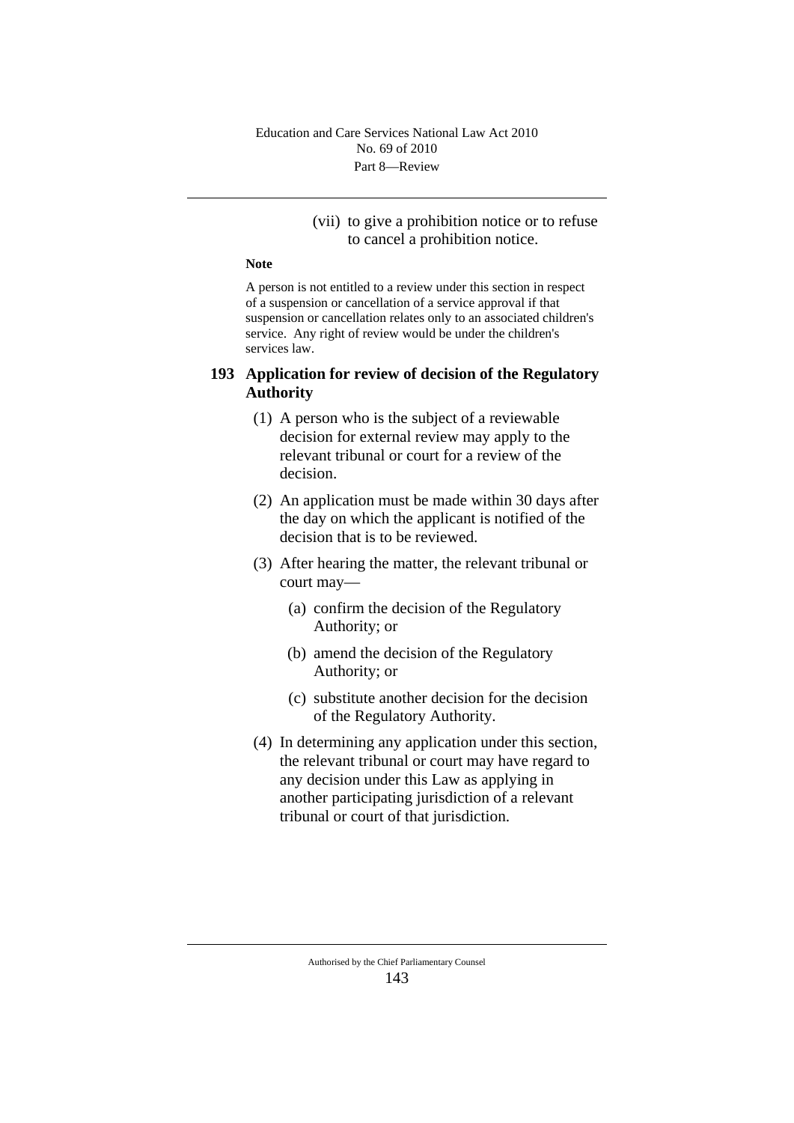## (vii) to give a prohibition notice or to refuse to cancel a prohibition notice.

#### **Note**

A person is not entitled to a review under this section in respect of a suspension or cancellation of a service approval if that suspension or cancellation relates only to an associated children's service. Any right of review would be under the children's services law.

# **193 Application for review of decision of the Regulatory Authority**

- (1) A person who is the subject of a reviewable decision for external review may apply to the relevant tribunal or court for a review of the decision.
- (2) An application must be made within 30 days after the day on which the applicant is notified of the decision that is to be reviewed.
- (3) After hearing the matter, the relevant tribunal or court may—
	- (a) confirm the decision of the Regulatory Authority; or
	- (b) amend the decision of the Regulatory Authority; or
	- (c) substitute another decision for the decision of the Regulatory Authority.
- (4) In determining any application under this section, the relevant tribunal or court may have regard to any decision under this Law as applying in another participating jurisdiction of a relevant tribunal or court of that jurisdiction.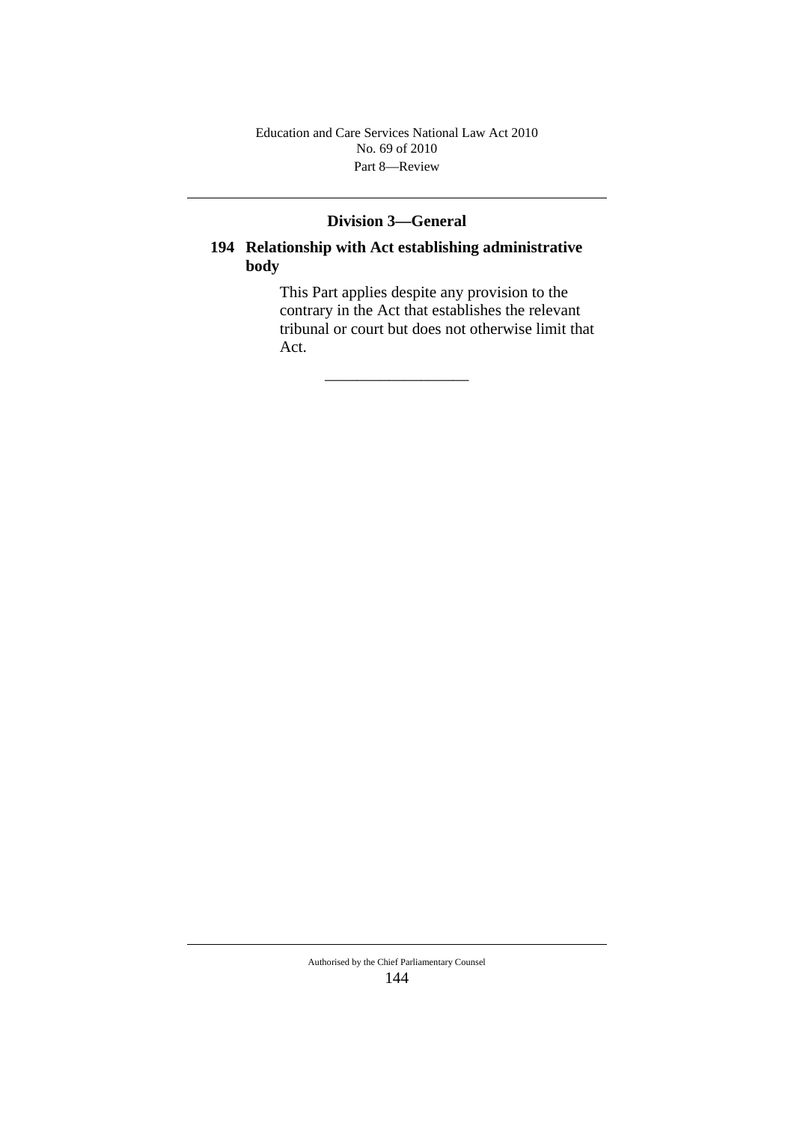Part 8—Review Education and Care Services National Law Act 2010 No. 69 of 2010

# **Division 3—General**

# **194 Relationship with Act establishing administrative body**

\_\_\_\_\_\_\_\_\_\_\_\_\_\_\_\_\_\_

This Part applies despite any provision to the contrary in the Act that establishes the relevant tribunal or court but does not otherwise limit that Act.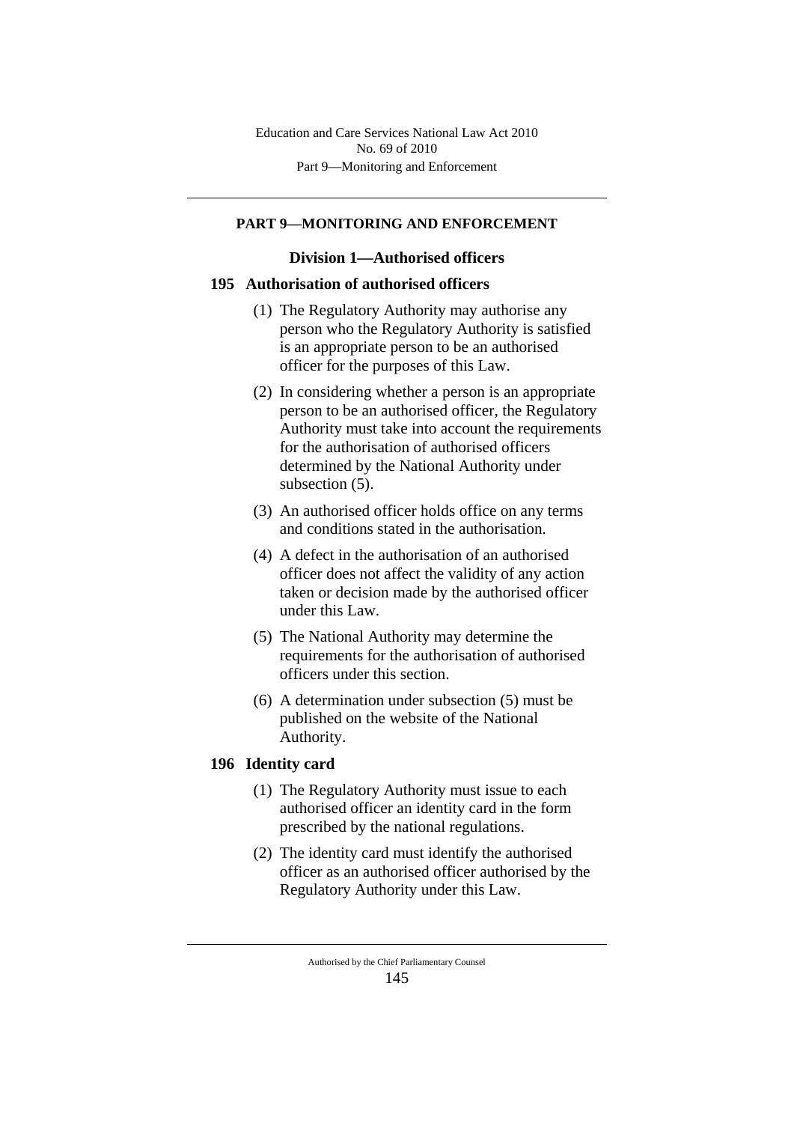## **PART 9—MONITORING AND ENFORCEMENT**

## **Division 1—Authorised officers**

## **195 Authorisation of authorised officers**

- (1) The Regulatory Authority may authorise any person who the Regulatory Authority is satisfied is an appropriate person to be an authorised officer for the purposes of this Law.
- (2) In considering whether a person is an appropriate person to be an authorised officer, the Regulatory Authority must take into account the requirements for the authorisation of authorised officers determined by the National Authority under subsection (5).
- (3) An authorised officer holds office on any terms and conditions stated in the authorisation.
- (4) A defect in the authorisation of an authorised officer does not affect the validity of any action taken or decision made by the authorised officer under this Law.
- (5) The National Authority may determine the requirements for the authorisation of authorised officers under this section.
- (6) A determination under subsection (5) must be published on the website of the National Authority.

# **196 Identity card**

- (1) The Regulatory Authority must issue to each authorised officer an identity card in the form prescribed by the national regulations.
- (2) The identity card must identify the authorised officer as an authorised officer authorised by the Regulatory Authority under this Law.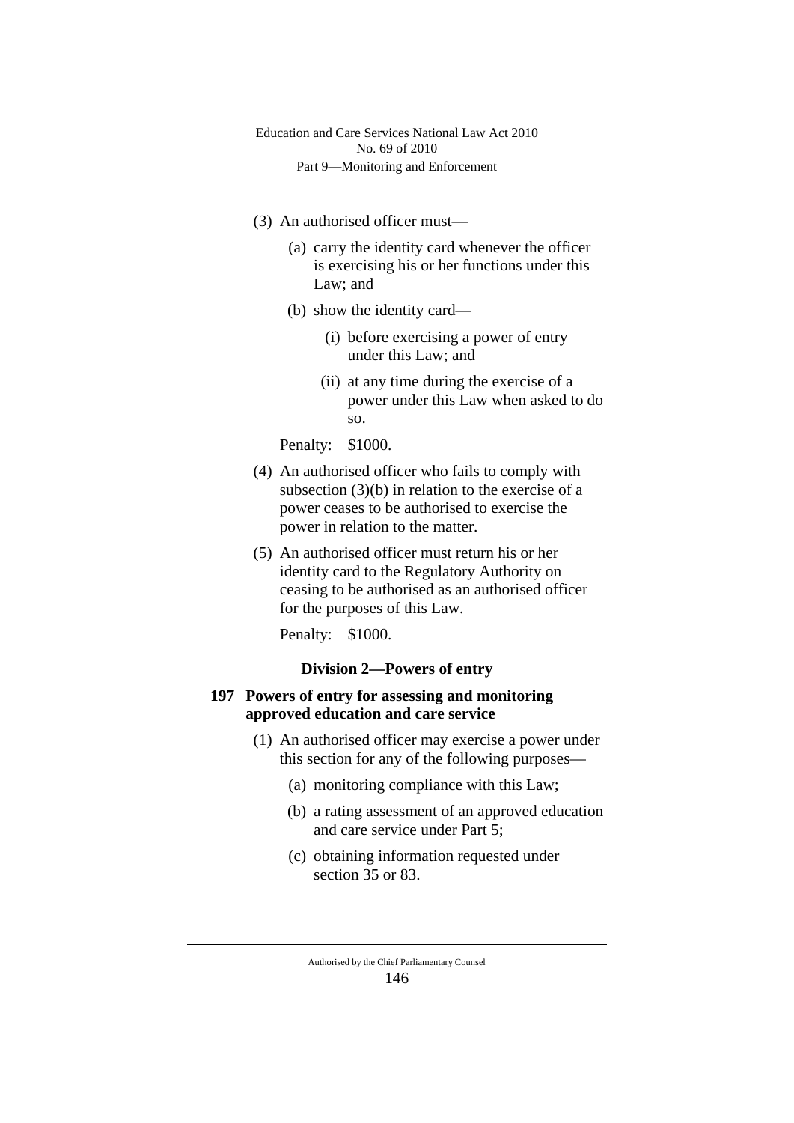- (3) An authorised officer must—
	- (a) carry the identity card whenever the officer is exercising his or her functions under this Law; and
	- (b) show the identity card—
		- (i) before exercising a power of entry under this Law; and
		- (ii) at any time during the exercise of a power under this Law when asked to do so.

Penalty: \$1000.

- (4) An authorised officer who fails to comply with subsection (3)(b) in relation to the exercise of a power ceases to be authorised to exercise the power in relation to the matter.
- (5) An authorised officer must return his or her identity card to the Regulatory Authority on ceasing to be authorised as an authorised officer for the purposes of this Law.

Penalty: \$1000.

## **Division 2—Powers of entry**

## **197 Powers of entry for assessing and monitoring approved education and care service**

- (1) An authorised officer may exercise a power under this section for any of the following purposes—
	- (a) monitoring compliance with this Law;
	- (b) a rating assessment of an approved education and care service under Part 5;
	- (c) obtaining information requested under section 35 or 83.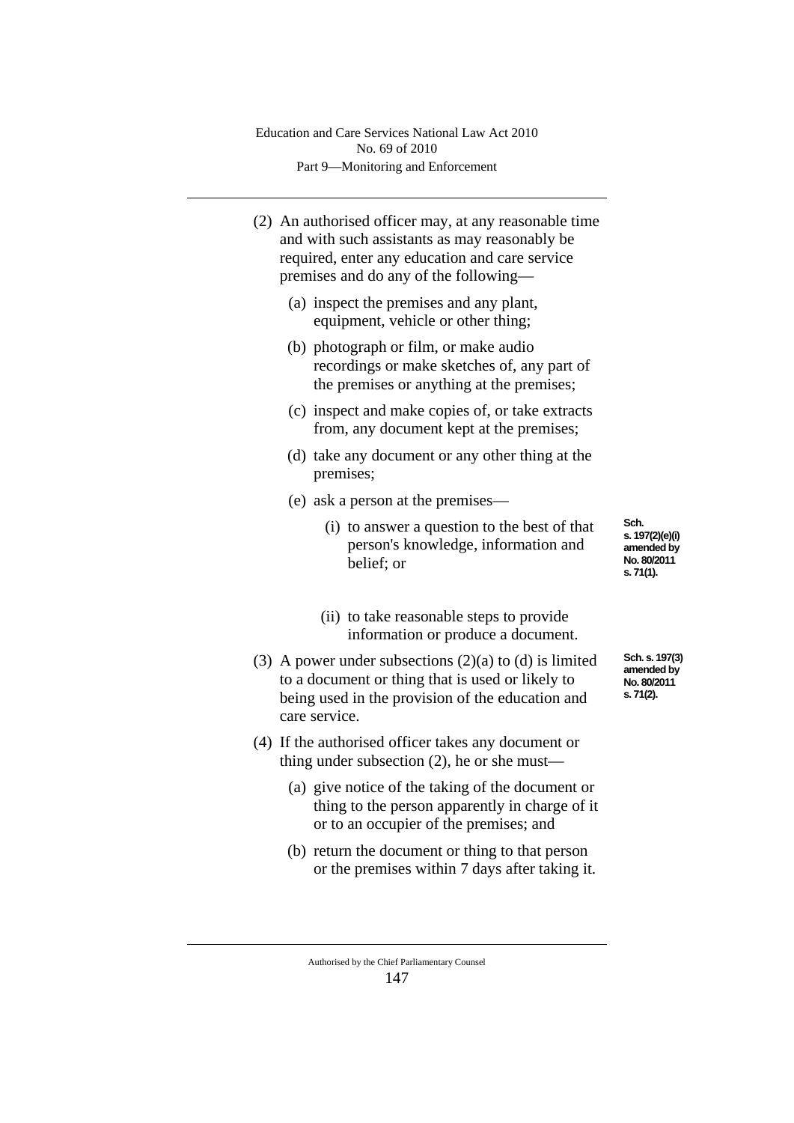(2) An authorised officer may, at any reasonable time and with such assistants as may reasonably be required, enter any education and care service premises and do any of the following—

- (a) inspect the premises and any plant, equipment, vehicle or other thing;
- (b) photograph or film, or make audio recordings or make sketches of, any part of the premises or anything at the premises;
- (c) inspect and make copies of, or take extracts from, any document kept at the premises;
- (d) take any document or any other thing at the premises;
- (e) ask a person at the premises—
	- (i) to answer a question to the best of that person's knowledge, information and belief; or

**Sch. s. 197(2)(e)(i) amended by No. 80/2011 s. 71(1).**

- (ii) to take reasonable steps to provide information or produce a document.
- (3) A power under subsections  $(2)(a)$  to  $(d)$  is limited to a document or thing that is used or likely to being used in the provision of the education and care service.
- (4) If the authorised officer takes any document or thing under subsection (2), he or she must—
	- (a) give notice of the taking of the document or thing to the person apparently in charge of it or to an occupier of the premises; and
	- (b) return the document or thing to that person or the premises within 7 days after taking it.

Authorised by the Chief Parliamentary Counsel 147

**Sch. s. 197(3) amended by No. 80/2011 s. 71(2).**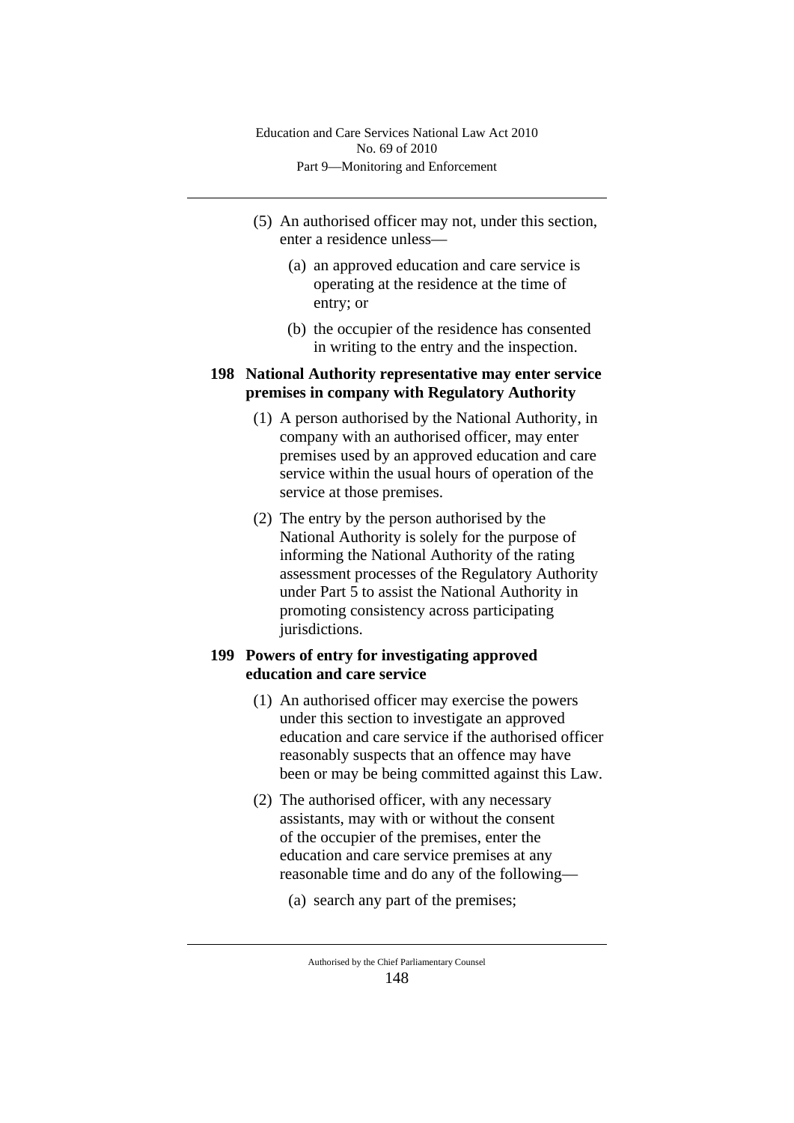- (5) An authorised officer may not, under this section, enter a residence unless—
	- (a) an approved education and care service is operating at the residence at the time of entry; or
	- (b) the occupier of the residence has consented in writing to the entry and the inspection.

# **198 National Authority representative may enter service premises in company with Regulatory Authority**

- (1) A person authorised by the National Authority, in company with an authorised officer, may enter premises used by an approved education and care service within the usual hours of operation of the service at those premises.
- (2) The entry by the person authorised by the National Authority is solely for the purpose of informing the National Authority of the rating assessment processes of the Regulatory Authority under Part 5 to assist the National Authority in promoting consistency across participating jurisdictions.

# **199 Powers of entry for investigating approved education and care service**

- (1) An authorised officer may exercise the powers under this section to investigate an approved education and care service if the authorised officer reasonably suspects that an offence may have been or may be being committed against this Law.
- (2) The authorised officer, with any necessary assistants, may with or without the consent of the occupier of the premises, enter the education and care service premises at any reasonable time and do any of the following—

(a) search any part of the premises;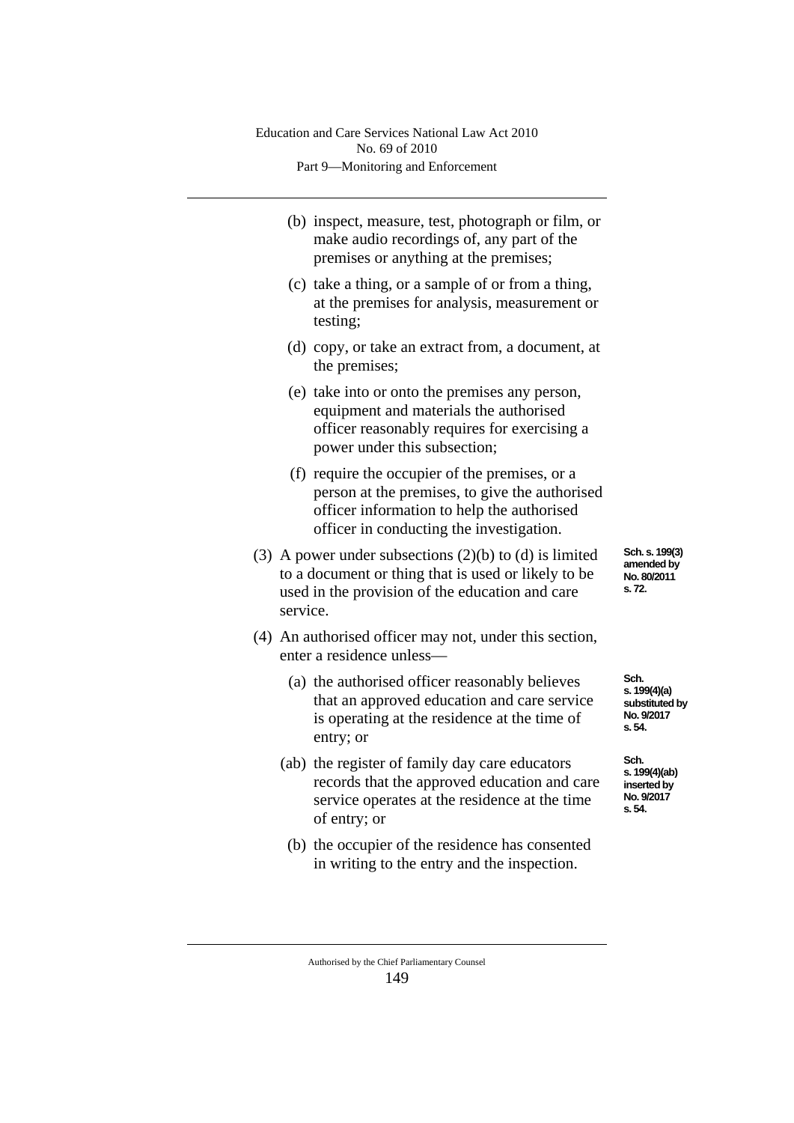| (b) inspect, measure, test, photograph or film, or |
|----------------------------------------------------|
| make audio recordings of, any part of the          |
| premises or anything at the premises;              |

- (c) take a thing, or a sample of or from a thing, at the premises for analysis, measurement or testing;
- (d) copy, or take an extract from, a document, at the premises;
- (e) take into or onto the premises any person, equipment and materials the authorised officer reasonably requires for exercising a power under this subsection;
- (f) require the occupier of the premises, or a person at the premises, to give the authorised officer information to help the authorised officer in conducting the investigation.
- (3) A power under subsections  $(2)(b)$  to  $(d)$  is limited to a document or thing that is used or likely to be used in the provision of the education and care service.
- (4) An authorised officer may not, under this section, enter a residence unless—
	- (a) the authorised officer reasonably believes that an approved education and care service is operating at the residence at the time of entry; or
	- (ab) the register of family day care educators records that the approved education and care service operates at the residence at the time of entry; or
	- (b) the occupier of the residence has consented in writing to the entry and the inspection.

**Sch. s. 199(3) amended by No. 80/2011 s. 72.**

**Sch. s. 199(4)(a) substituted by No. 9/2017 s. 54.**

**Sch. s. 199(4)(ab) inserted by No. 9/2017 s. 54.**

Authorised by the Chief Parliamentary Counsel 149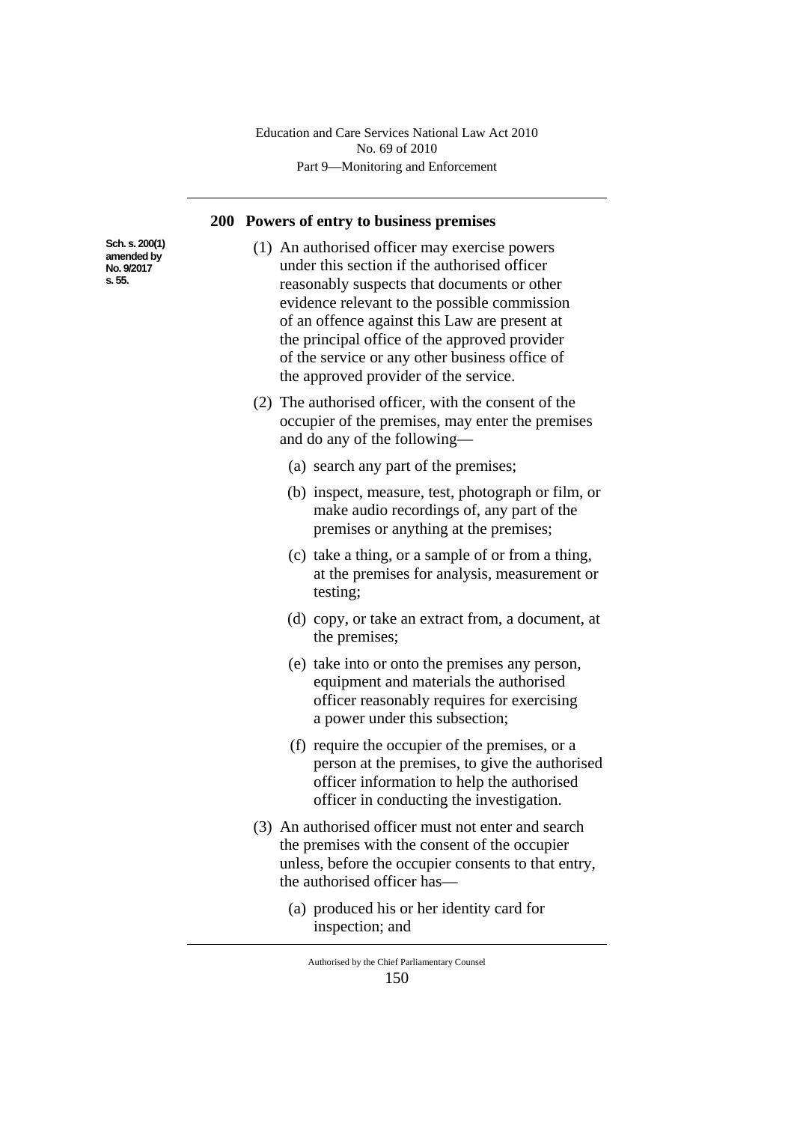#### **200 Powers of entry to business premises**

(1) An authorised officer may exercise powers under this section if the authorised officer reasonably suspects that documents or other evidence relevant to the possible commission of an offence against this Law are present at the principal office of the approved provider of the service or any other business office of the approved provider of the service.

- (2) The authorised officer, with the consent of the occupier of the premises, may enter the premises and do any of the following—
	- (a) search any part of the premises;
	- (b) inspect, measure, test, photograph or film, or make audio recordings of, any part of the premises or anything at the premises;
	- (c) take a thing, or a sample of or from a thing, at the premises for analysis, measurement or testing;
	- (d) copy, or take an extract from, a document, at the premises;
	- (e) take into or onto the premises any person, equipment and materials the authorised officer reasonably requires for exercising a power under this subsection;
	- (f) require the occupier of the premises, or a person at the premises, to give the authorised officer information to help the authorised officer in conducting the investigation.
- (3) An authorised officer must not enter and search the premises with the consent of the occupier unless, before the occupier consents to that entry, the authorised officer has—
	- (a) produced his or her identity card for inspection; and

Authorised by the Chief Parliamentary Counsel 150

**Sch. s. 200(1) amended by No. 9/2017 s. 55.**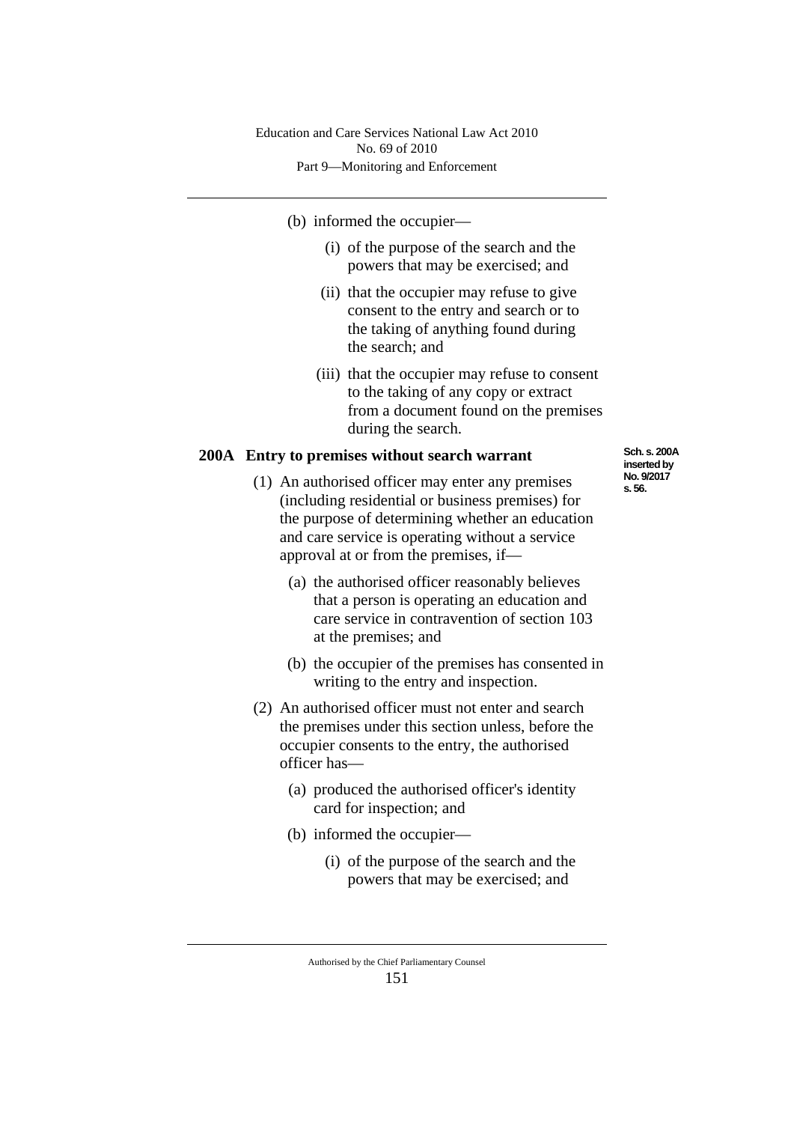### (b) informed the occupier—

- (i) of the purpose of the search and the powers that may be exercised; and
- (ii) that the occupier may refuse to give consent to the entry and search or to the taking of anything found during the search; and
- (iii) that the occupier may refuse to consent to the taking of any copy or extract from a document found on the premises during the search.

### **200A Entry to premises without search warrant**

- (1) An authorised officer may enter any premises (including residential or business premises) for the purpose of determining whether an education and care service is operating without a service approval at or from the premises, if—
	- (a) the authorised officer reasonably believes that a person is operating an education and care service in contravention of section 103 at the premises; and
	- (b) the occupier of the premises has consented in writing to the entry and inspection.
- (2) An authorised officer must not enter and search the premises under this section unless, before the occupier consents to the entry, the authorised officer has—
	- (a) produced the authorised officer's identity card for inspection; and
	- (b) informed the occupier—
		- (i) of the purpose of the search and the powers that may be exercised; and

Authorised by the Chief Parliamentary Counsel 151

**Sch. s. 200A inserted by No. 9/2017 s. 56.**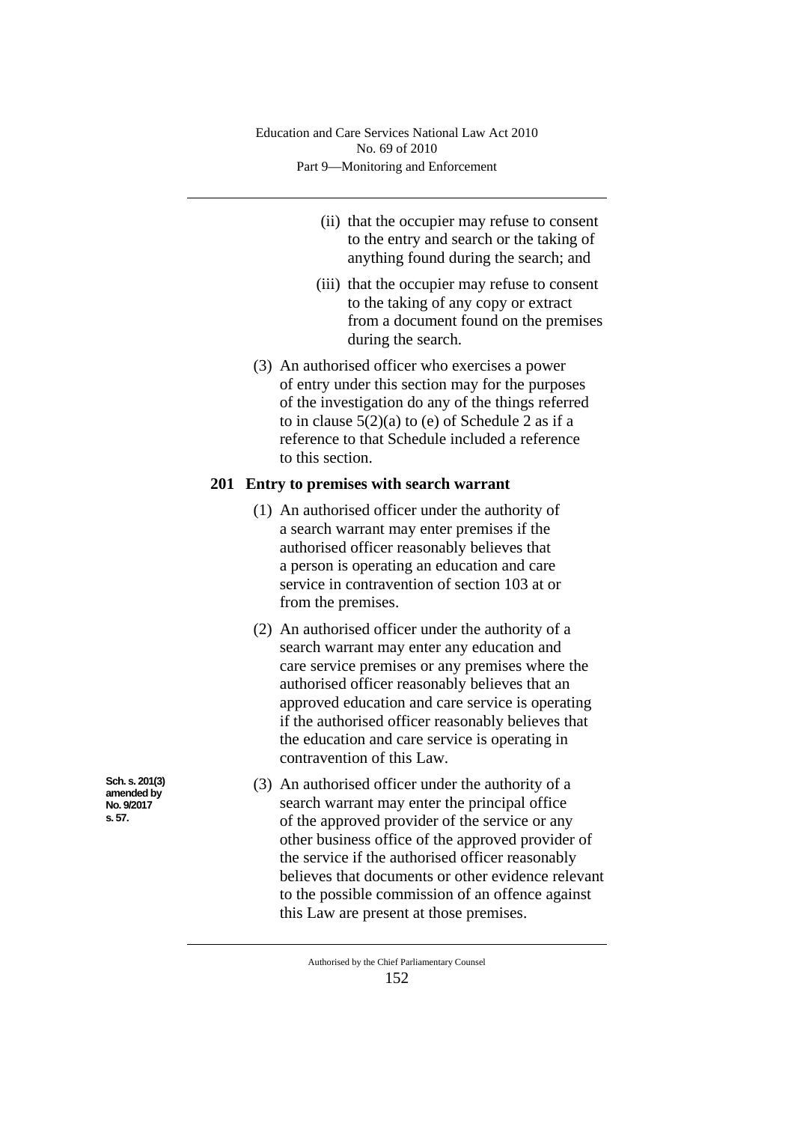- (ii) that the occupier may refuse to consent to the entry and search or the taking of anything found during the search; and
- (iii) that the occupier may refuse to consent to the taking of any copy or extract from a document found on the premises during the search.
- (3) An authorised officer who exercises a power of entry under this section may for the purposes of the investigation do any of the things referred to in clause  $5(2)(a)$  to (e) of Schedule 2 as if a reference to that Schedule included a reference to this section.

## **201 Entry to premises with search warrant**

- (1) An authorised officer under the authority of a search warrant may enter premises if the authorised officer reasonably believes that a person is operating an education and care service in contravention of section 103 at or from the premises.
- (2) An authorised officer under the authority of a search warrant may enter any education and care service premises or any premises where the authorised officer reasonably believes that an approved education and care service is operating if the authorised officer reasonably believes that the education and care service is operating in contravention of this Law.
- (3) An authorised officer under the authority of a search warrant may enter the principal office of the approved provider of the service or any other business office of the approved provider of the service if the authorised officer reasonably believes that documents or other evidence relevant to the possible commission of an offence against this Law are present at those premises.

**Sch. s. 201(3) amended by No. 9/2017 s. 57.**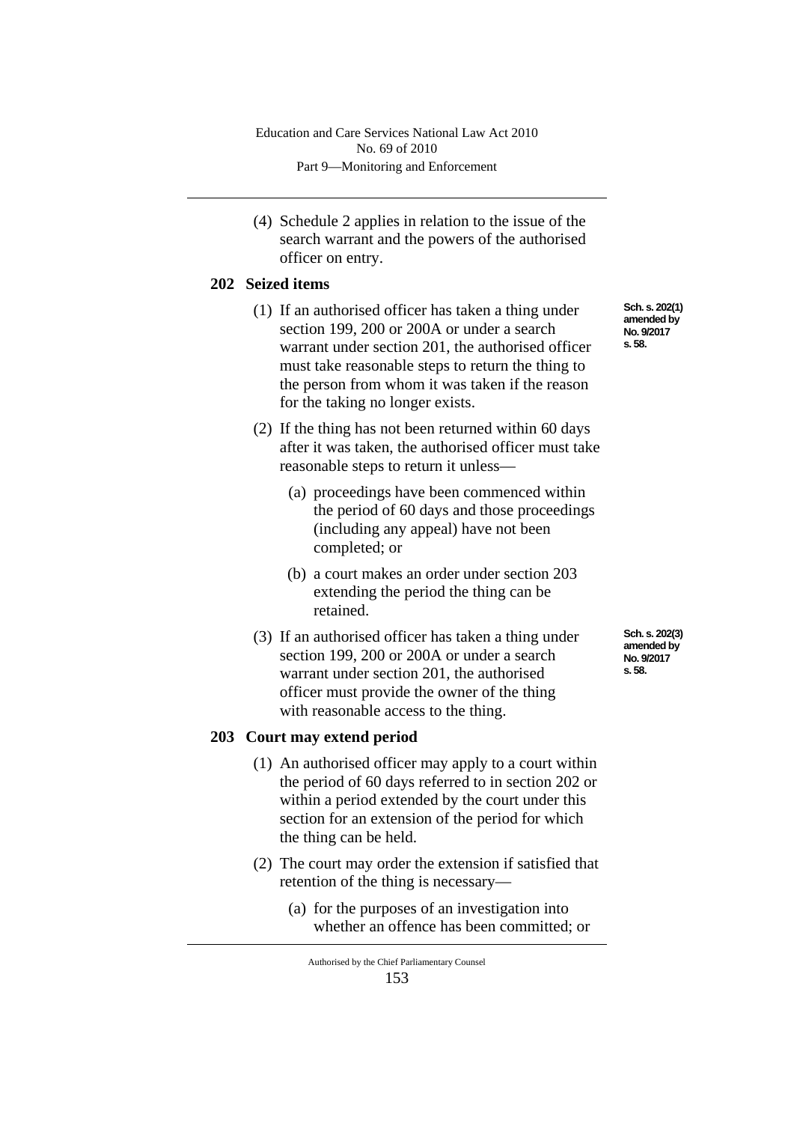(4) Schedule 2 applies in relation to the issue of the search warrant and the powers of the authorised officer on entry.

## **202 Seized items**

- (1) If an authorised officer has taken a thing under section 199, 200 or 200A or under a search warrant under section 201, the authorised officer must take reasonable steps to return the thing to the person from whom it was taken if the reason for the taking no longer exists.
- (2) If the thing has not been returned within 60 days after it was taken, the authorised officer must take reasonable steps to return it unless—
	- (a) proceedings have been commenced within the period of 60 days and those proceedings (including any appeal) have not been completed; or
	- (b) a court makes an order under section 203 extending the period the thing can be retained.
- (3) If an authorised officer has taken a thing under section 199, 200 or 200A or under a search warrant under section 201, the authorised officer must provide the owner of the thing with reasonable access to the thing.

### **203 Court may extend period**

- (1) An authorised officer may apply to a court within the period of 60 days referred to in section 202 or within a period extended by the court under this section for an extension of the period for which the thing can be held.
- (2) The court may order the extension if satisfied that retention of the thing is necessary—
	- (a) for the purposes of an investigation into whether an offence has been committed; or

**Sch. s. 202(1) amended by No. 9/2017 s. 58.**

**Sch. s. 202(3) amended by No. 9/2017 s. 58.**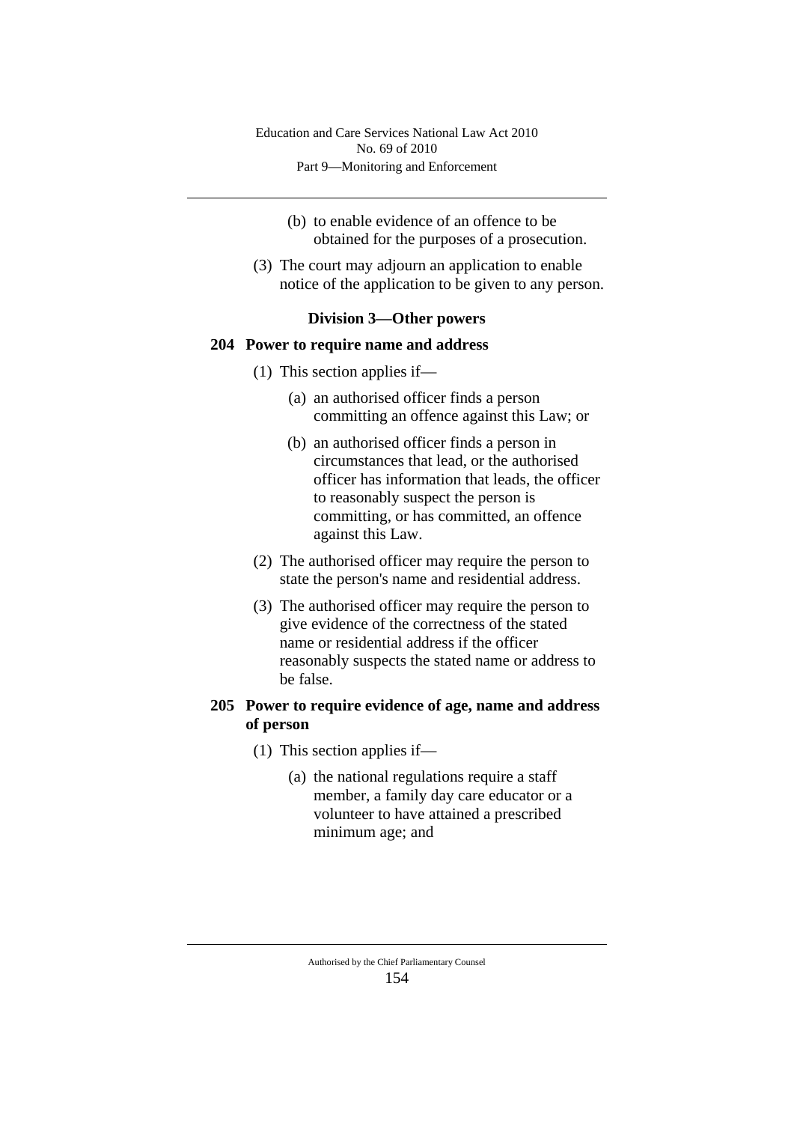- (b) to enable evidence of an offence to be obtained for the purposes of a prosecution.
- (3) The court may adjourn an application to enable notice of the application to be given to any person.

# **Division 3—Other powers**

#### **204 Power to require name and address**

- (1) This section applies if—
	- (a) an authorised officer finds a person committing an offence against this Law; or
	- (b) an authorised officer finds a person in circumstances that lead, or the authorised officer has information that leads, the officer to reasonably suspect the person is committing, or has committed, an offence against this Law.
- (2) The authorised officer may require the person to state the person's name and residential address.
- (3) The authorised officer may require the person to give evidence of the correctness of the stated name or residential address if the officer reasonably suspects the stated name or address to be false.

# **205 Power to require evidence of age, name and address of person**

- (1) This section applies if—
	- (a) the national regulations require a staff member, a family day care educator or a volunteer to have attained a prescribed minimum age; and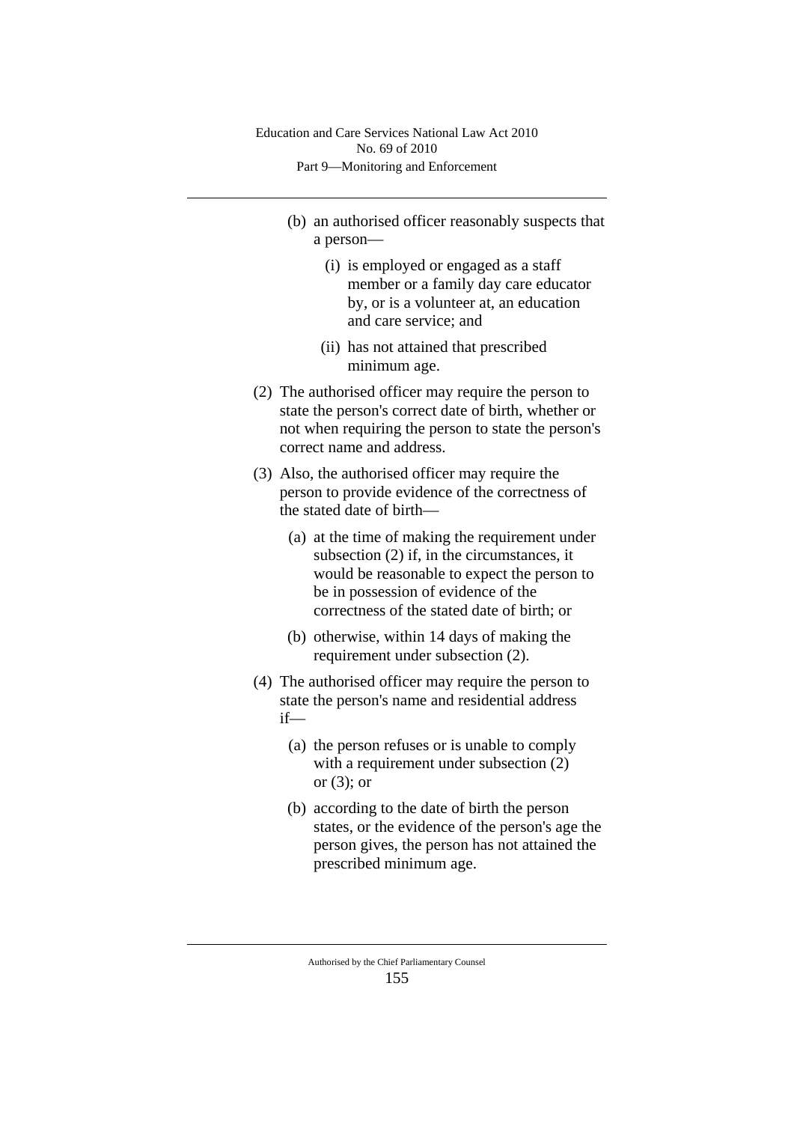- (b) an authorised officer reasonably suspects that a person—
	- (i) is employed or engaged as a staff member or a family day care educator by, or is a volunteer at, an education and care service; and
	- (ii) has not attained that prescribed minimum age.
- (2) The authorised officer may require the person to state the person's correct date of birth, whether or not when requiring the person to state the person's correct name and address.
- (3) Also, the authorised officer may require the person to provide evidence of the correctness of the stated date of birth—
	- (a) at the time of making the requirement under subsection (2) if, in the circumstances, it would be reasonable to expect the person to be in possession of evidence of the correctness of the stated date of birth; or
	- (b) otherwise, within 14 days of making the requirement under subsection (2).
- (4) The authorised officer may require the person to state the person's name and residential address if—
	- (a) the person refuses or is unable to comply with a requirement under subsection  $(2)$ or (3); or
	- (b) according to the date of birth the person states, or the evidence of the person's age the person gives, the person has not attained the prescribed minimum age.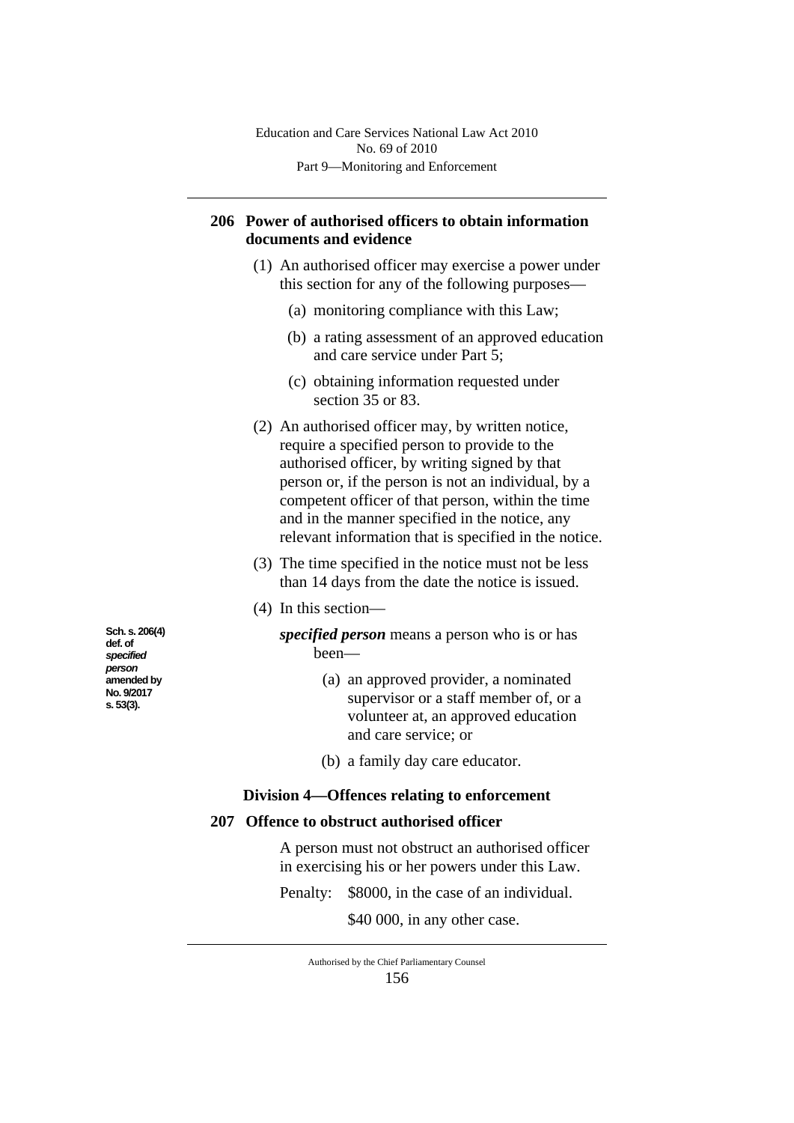# **206 Power of authorised officers to obtain information documents and evidence**

- (1) An authorised officer may exercise a power under this section for any of the following purposes—
	- (a) monitoring compliance with this Law;
	- (b) a rating assessment of an approved education and care service under Part 5;
	- (c) obtaining information requested under section 35 or 83.
- (2) An authorised officer may, by written notice, require a specified person to provide to the authorised officer, by writing signed by that person or, if the person is not an individual, by a competent officer of that person, within the time and in the manner specified in the notice, any relevant information that is specified in the notice.
- (3) The time specified in the notice must not be less than 14 days from the date the notice is issued.
- (4) In this section
	- *specified person* means a person who is or has been—
		- (a) an approved provider, a nominated supervisor or a staff member of, or a volunteer at, an approved education and care service; or
		- (b) a family day care educator.

# **Division 4—Offences relating to enforcement**

## **207 Offence to obstruct authorised officer**

A person must not obstruct an authorised officer in exercising his or her powers under this Law.

Penalty: \$8000, in the case of an individual.

\$40 000, in any other case.

**Sch. s. 206(4) def. of**  *specified person* **amended by No. 9/2017 s. 53(3).**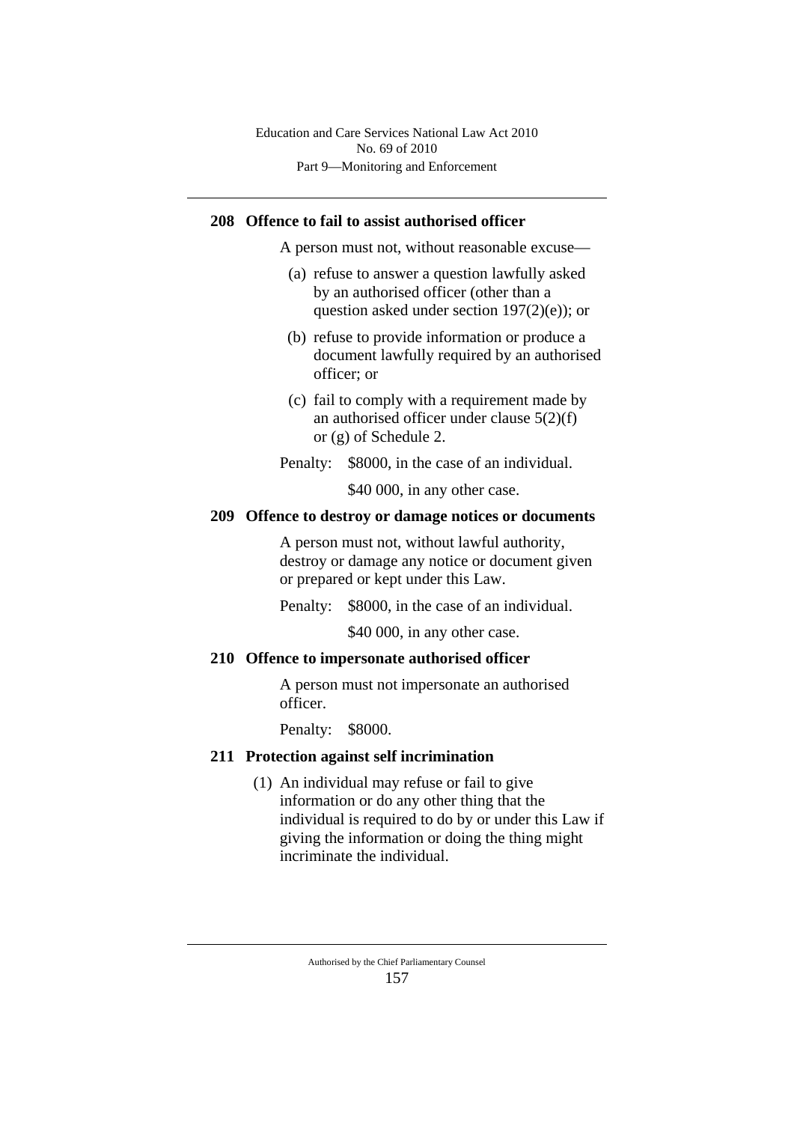## **208 Offence to fail to assist authorised officer**

A person must not, without reasonable excuse—

- (a) refuse to answer a question lawfully asked by an authorised officer (other than a question asked under section 197(2)(e)); or
- (b) refuse to provide information or produce a document lawfully required by an authorised officer; or
- (c) fail to comply with a requirement made by an authorised officer under clause 5(2)(f) or (g) of Schedule 2.
- Penalty: \$8000, in the case of an individual.

\$40 000, in any other case.

### **209 Offence to destroy or damage notices or documents**

A person must not, without lawful authority, destroy or damage any notice or document given or prepared or kept under this Law.

Penalty: \$8000, in the case of an individual.

\$40 000, in any other case.

### **210 Offence to impersonate authorised officer**

A person must not impersonate an authorised officer.

Penalty: \$8000.

### **211 Protection against self incrimination**

(1) An individual may refuse or fail to give information or do any other thing that the individual is required to do by or under this Law if giving the information or doing the thing might incriminate the individual.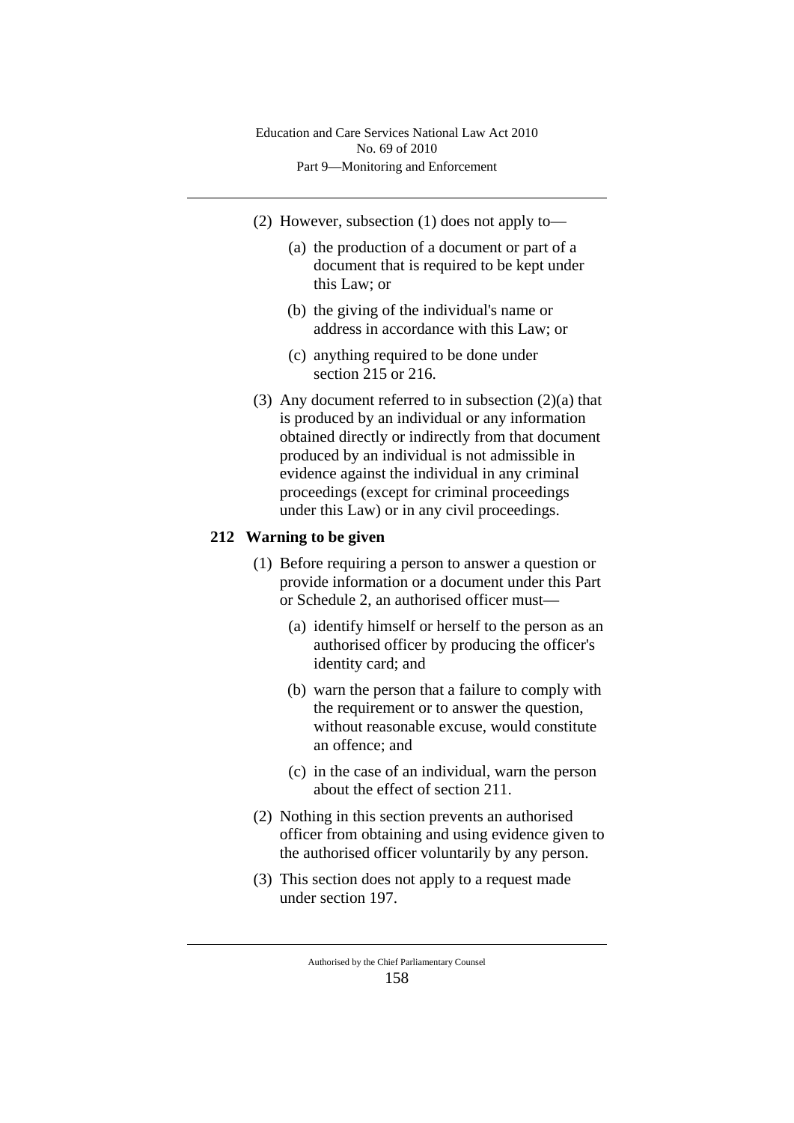- (2) However, subsection (1) does not apply to—
	- (a) the production of a document or part of a document that is required to be kept under this Law; or
	- (b) the giving of the individual's name or address in accordance with this Law; or
	- (c) anything required to be done under section 215 or 216.
- (3) Any document referred to in subsection (2)(a) that is produced by an individual or any information obtained directly or indirectly from that document produced by an individual is not admissible in evidence against the individual in any criminal proceedings (except for criminal proceedings under this Law) or in any civil proceedings.

# **212 Warning to be given**

- (1) Before requiring a person to answer a question or provide information or a document under this Part or Schedule 2, an authorised officer must—
	- (a) identify himself or herself to the person as an authorised officer by producing the officer's identity card; and
	- (b) warn the person that a failure to comply with the requirement or to answer the question, without reasonable excuse, would constitute an offence; and
	- (c) in the case of an individual, warn the person about the effect of section 211.
- (2) Nothing in this section prevents an authorised officer from obtaining and using evidence given to the authorised officer voluntarily by any person.
- (3) This section does not apply to a request made under section 197.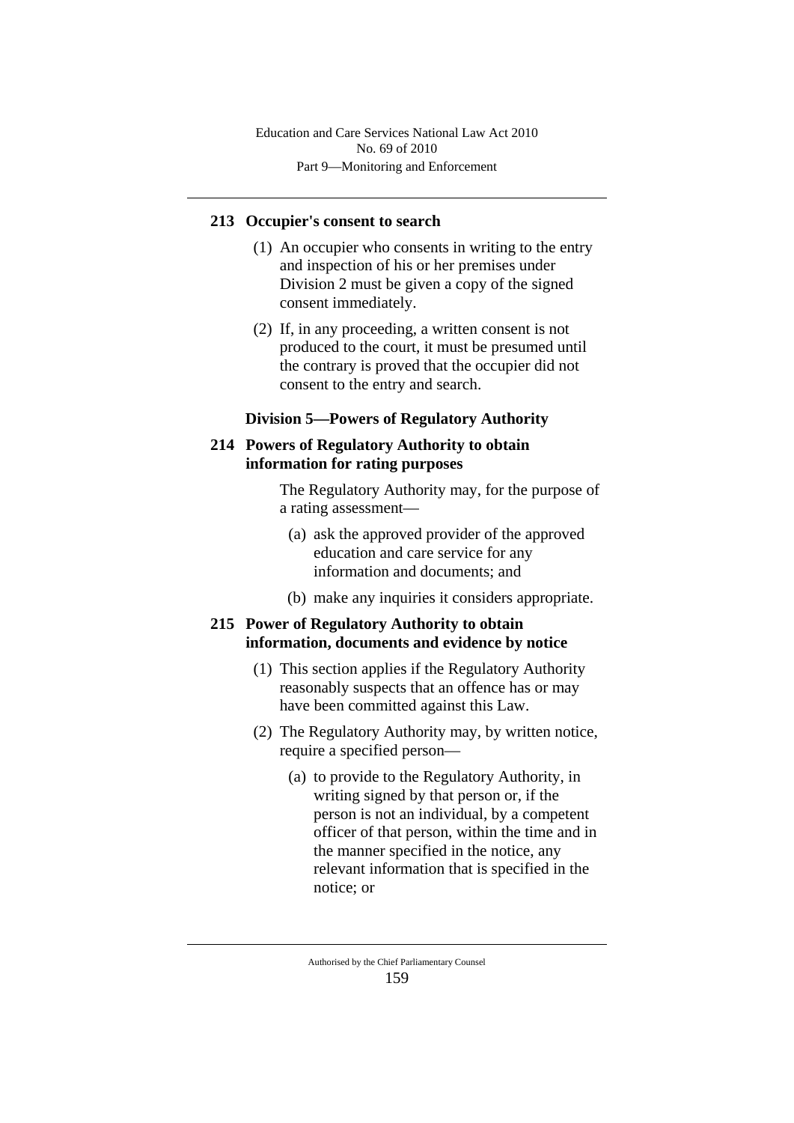## **213 Occupier's consent to search**

- (1) An occupier who consents in writing to the entry and inspection of his or her premises under Division 2 must be given a copy of the signed consent immediately.
- (2) If, in any proceeding, a written consent is not produced to the court, it must be presumed until the contrary is proved that the occupier did not consent to the entry and search.

## **Division 5—Powers of Regulatory Authority**

# **214 Powers of Regulatory Authority to obtain information for rating purposes**

The Regulatory Authority may, for the purpose of a rating assessment—

- (a) ask the approved provider of the approved education and care service for any information and documents; and
- (b) make any inquiries it considers appropriate.

# **215 Power of Regulatory Authority to obtain information, documents and evidence by notice**

- (1) This section applies if the Regulatory Authority reasonably suspects that an offence has or may have been committed against this Law.
- (2) The Regulatory Authority may, by written notice, require a specified person—
	- (a) to provide to the Regulatory Authority, in writing signed by that person or, if the person is not an individual, by a competent officer of that person, within the time and in the manner specified in the notice, any relevant information that is specified in the notice; or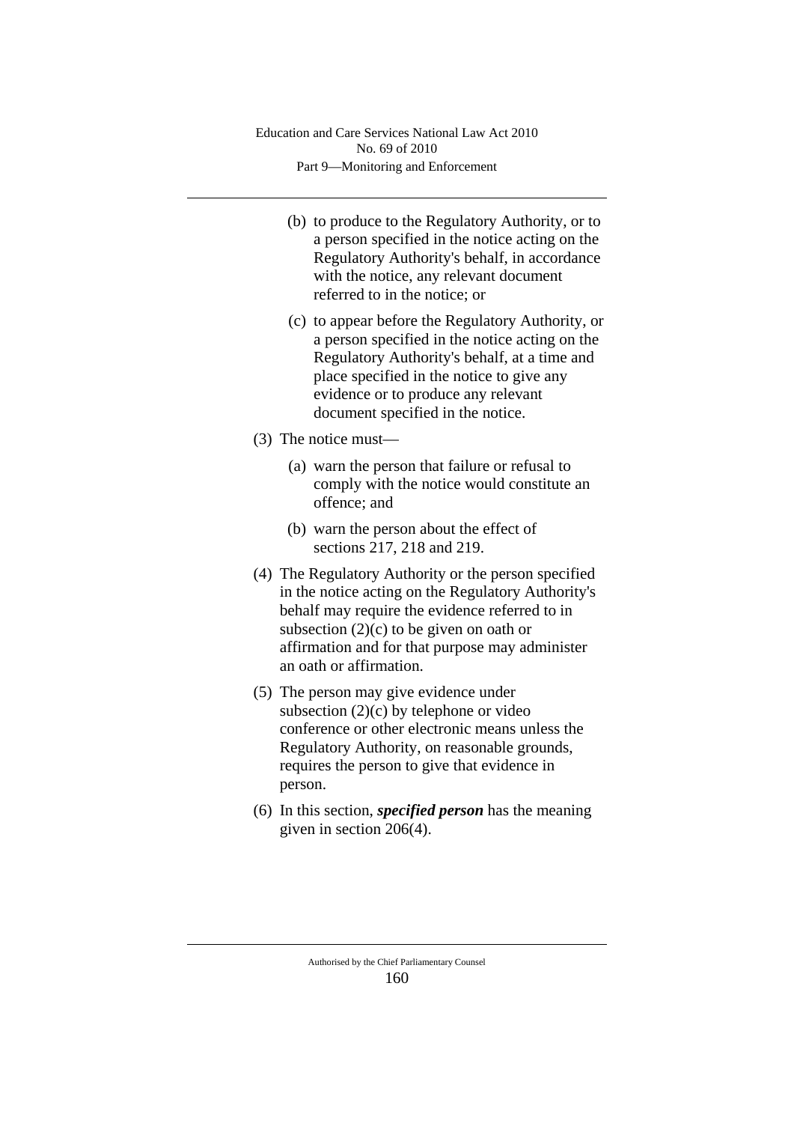- (b) to produce to the Regulatory Authority, or to a person specified in the notice acting on the Regulatory Authority's behalf, in accordance with the notice, any relevant document referred to in the notice; or
- (c) to appear before the Regulatory Authority, or a person specified in the notice acting on the Regulatory Authority's behalf, at a time and place specified in the notice to give any evidence or to produce any relevant document specified in the notice.
- (3) The notice must—
	- (a) warn the person that failure or refusal to comply with the notice would constitute an offence; and
	- (b) warn the person about the effect of sections 217, 218 and 219.
- (4) The Regulatory Authority or the person specified in the notice acting on the Regulatory Authority's behalf may require the evidence referred to in subsection  $(2)(c)$  to be given on oath or affirmation and for that purpose may administer an oath or affirmation.
- (5) The person may give evidence under subsection (2)(c) by telephone or video conference or other electronic means unless the Regulatory Authority, on reasonable grounds, requires the person to give that evidence in person.
- (6) In this section, *specified person* has the meaning given in section 206(4).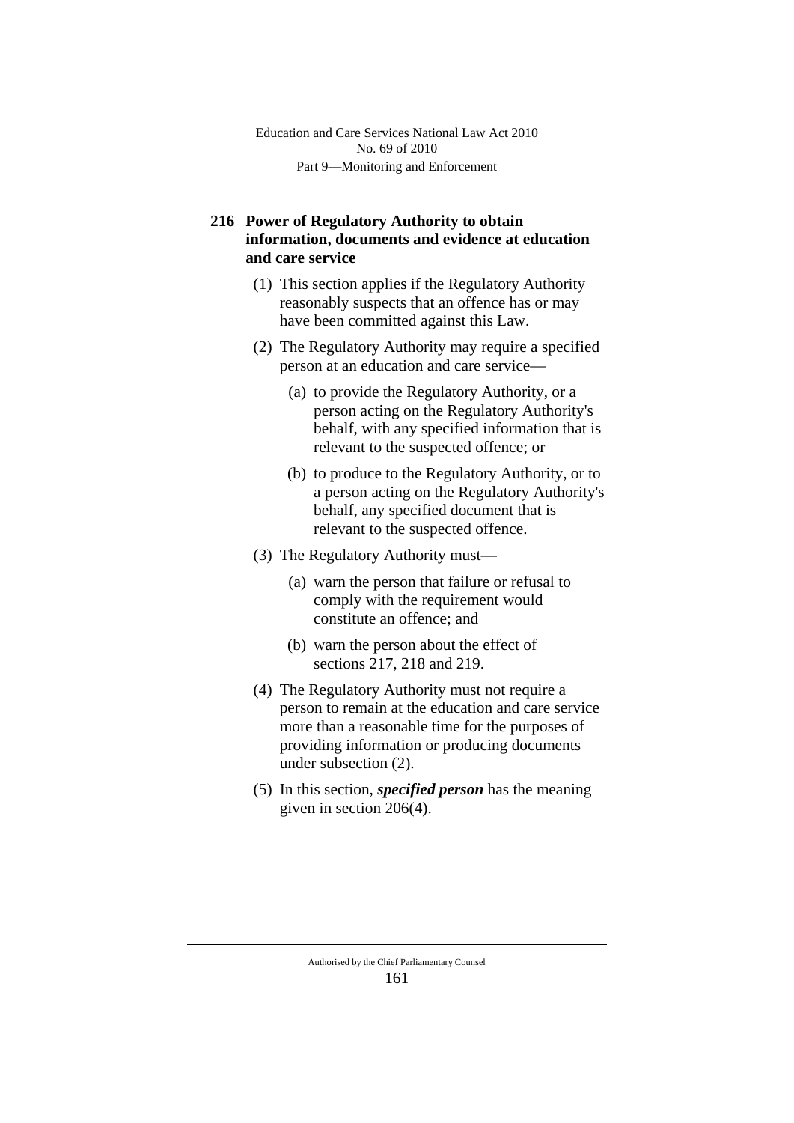# **216 Power of Regulatory Authority to obtain information, documents and evidence at education and care service**

- (1) This section applies if the Regulatory Authority reasonably suspects that an offence has or may have been committed against this Law.
- (2) The Regulatory Authority may require a specified person at an education and care service—
	- (a) to provide the Regulatory Authority, or a person acting on the Regulatory Authority's behalf, with any specified information that is relevant to the suspected offence; or
	- (b) to produce to the Regulatory Authority, or to a person acting on the Regulatory Authority's behalf, any specified document that is relevant to the suspected offence.
- (3) The Regulatory Authority must—
	- (a) warn the person that failure or refusal to comply with the requirement would constitute an offence; and
	- (b) warn the person about the effect of sections 217, 218 and 219.
- (4) The Regulatory Authority must not require a person to remain at the education and care service more than a reasonable time for the purposes of providing information or producing documents under subsection (2).
- (5) In this section, *specified person* has the meaning given in section 206(4).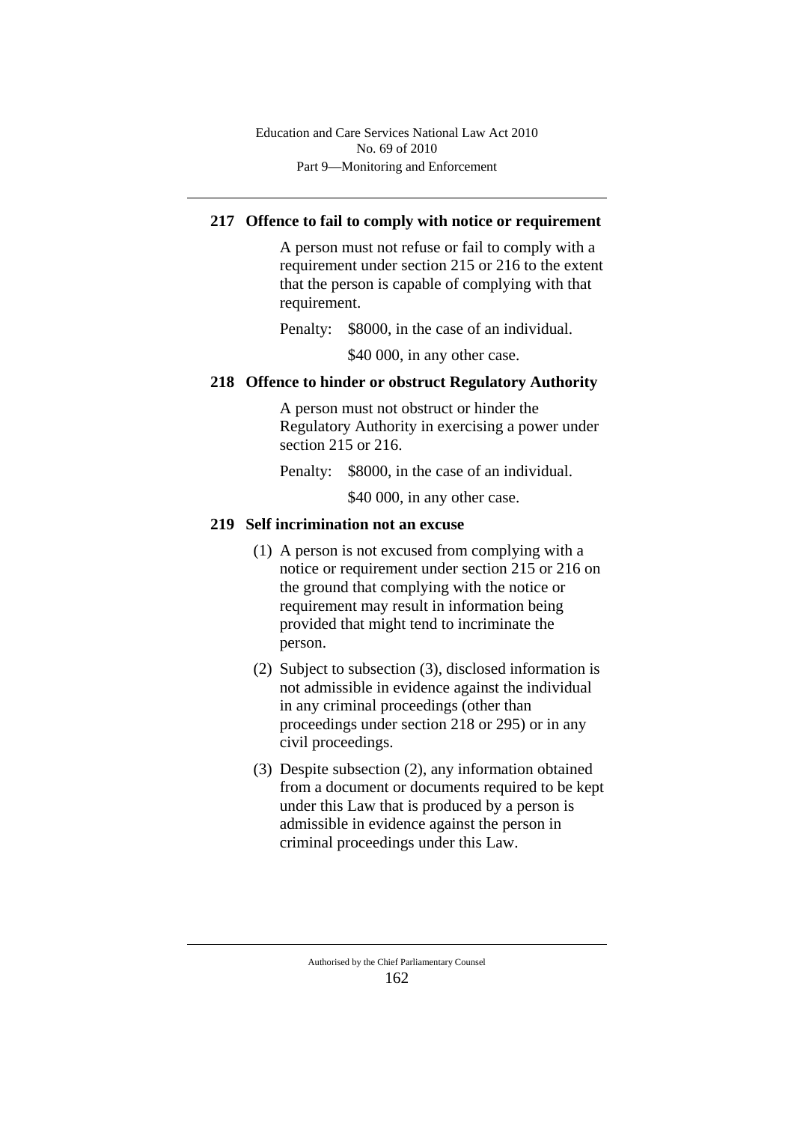# **217 Offence to fail to comply with notice or requirement**

A person must not refuse or fail to comply with a requirement under section 215 or 216 to the extent that the person is capable of complying with that requirement.

Penalty: \$8000, in the case of an individual.

\$40 000, in any other case.

# **218 Offence to hinder or obstruct Regulatory Authority**

A person must not obstruct or hinder the Regulatory Authority in exercising a power under section 215 or 216.

Penalty: \$8000, in the case of an individual.

\$40,000, in any other case.

## **219 Self incrimination not an excuse**

- (1) A person is not excused from complying with a notice or requirement under section 215 or 216 on the ground that complying with the notice or requirement may result in information being provided that might tend to incriminate the person.
- (2) Subject to subsection (3), disclosed information is not admissible in evidence against the individual in any criminal proceedings (other than proceedings under section 218 or 295) or in any civil proceedings.
- (3) Despite subsection (2), any information obtained from a document or documents required to be kept under this Law that is produced by a person is admissible in evidence against the person in criminal proceedings under this Law.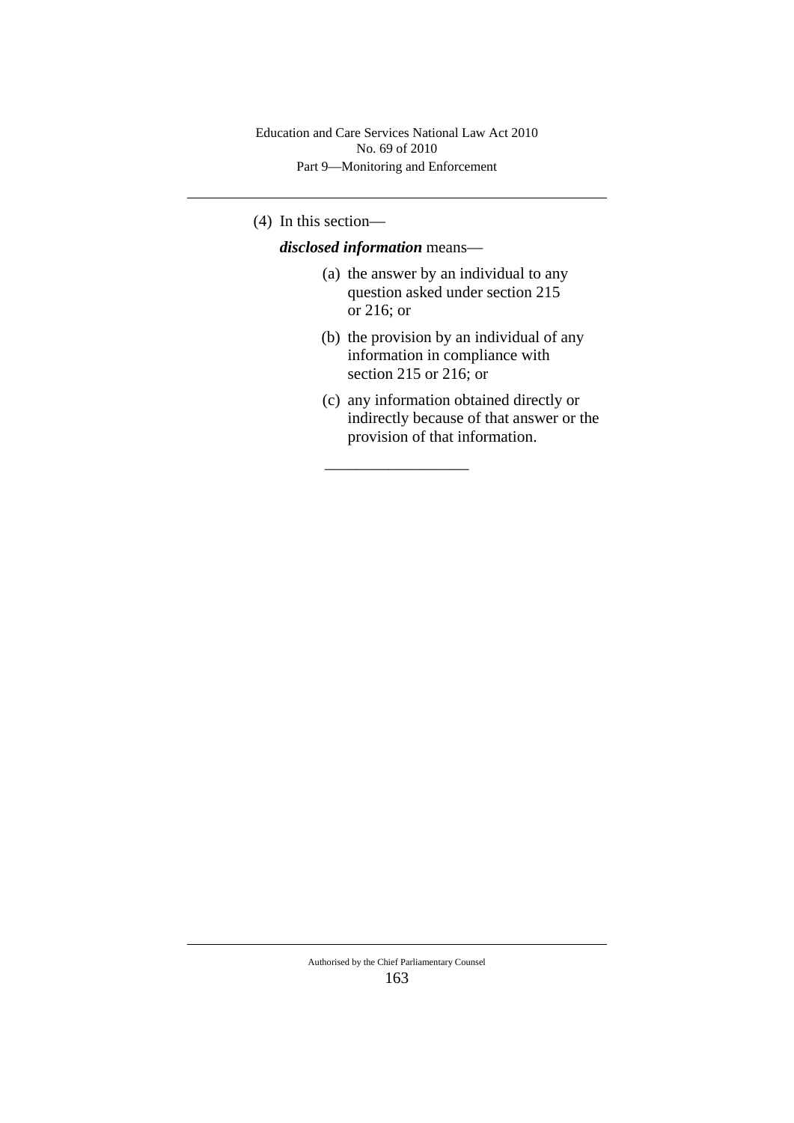(4) In this section—

*disclosed information* means—

\_\_\_\_\_\_\_\_\_\_\_\_\_\_\_\_\_\_

- (a) the answer by an individual to any question asked under section 215 or 216; or
- (b) the provision by an individual of any information in compliance with section 215 or 216; or
- (c) any information obtained directly or indirectly because of that answer or the provision of that information.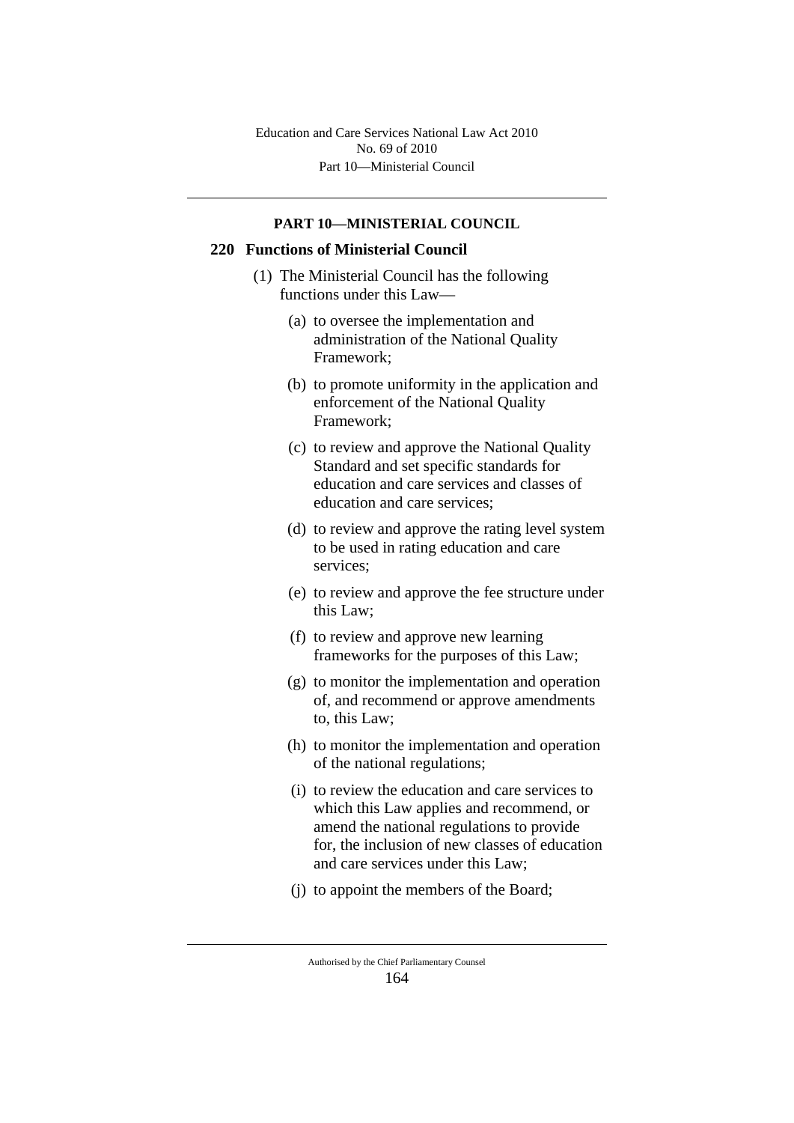Part 10—Ministerial Council Education and Care Services National Law Act 2010 No. 69 of 2010

#### **PART 10—MINISTERIAL COUNCIL**

# **220 Functions of Ministerial Council**

- (1) The Ministerial Council has the following functions under this Law—
	- (a) to oversee the implementation and administration of the National Quality Framework;
	- (b) to promote uniformity in the application and enforcement of the National Quality Framework;
	- (c) to review and approve the National Quality Standard and set specific standards for education and care services and classes of education and care services;
	- (d) to review and approve the rating level system to be used in rating education and care services;
	- (e) to review and approve the fee structure under this Law;
	- (f) to review and approve new learning frameworks for the purposes of this Law;
	- (g) to monitor the implementation and operation of, and recommend or approve amendments to, this Law;
	- (h) to monitor the implementation and operation of the national regulations;
	- (i) to review the education and care services to which this Law applies and recommend, or amend the national regulations to provide for, the inclusion of new classes of education and care services under this Law;
	- (j) to appoint the members of the Board;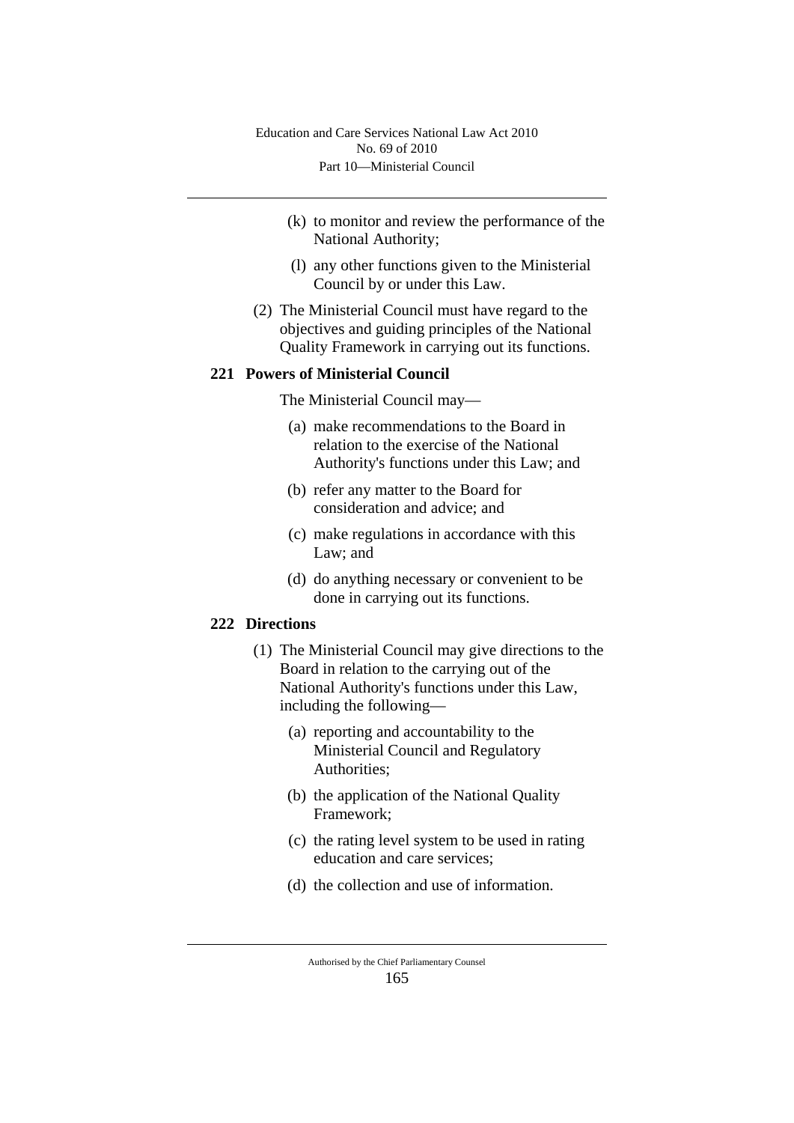- (k) to monitor and review the performance of the National Authority;
- (l) any other functions given to the Ministerial Council by or under this Law.
- (2) The Ministerial Council must have regard to the objectives and guiding principles of the National Quality Framework in carrying out its functions.

## **221 Powers of Ministerial Council**

The Ministerial Council may—

- (a) make recommendations to the Board in relation to the exercise of the National Authority's functions under this Law; and
- (b) refer any matter to the Board for consideration and advice; and
- (c) make regulations in accordance with this Law; and
- (d) do anything necessary or convenient to be done in carrying out its functions.

### **222 Directions**

- (1) The Ministerial Council may give directions to the Board in relation to the carrying out of the National Authority's functions under this Law, including the following—
	- (a) reporting and accountability to the Ministerial Council and Regulatory Authorities;
	- (b) the application of the National Quality Framework;
	- (c) the rating level system to be used in rating education and care services;
	- (d) the collection and use of information.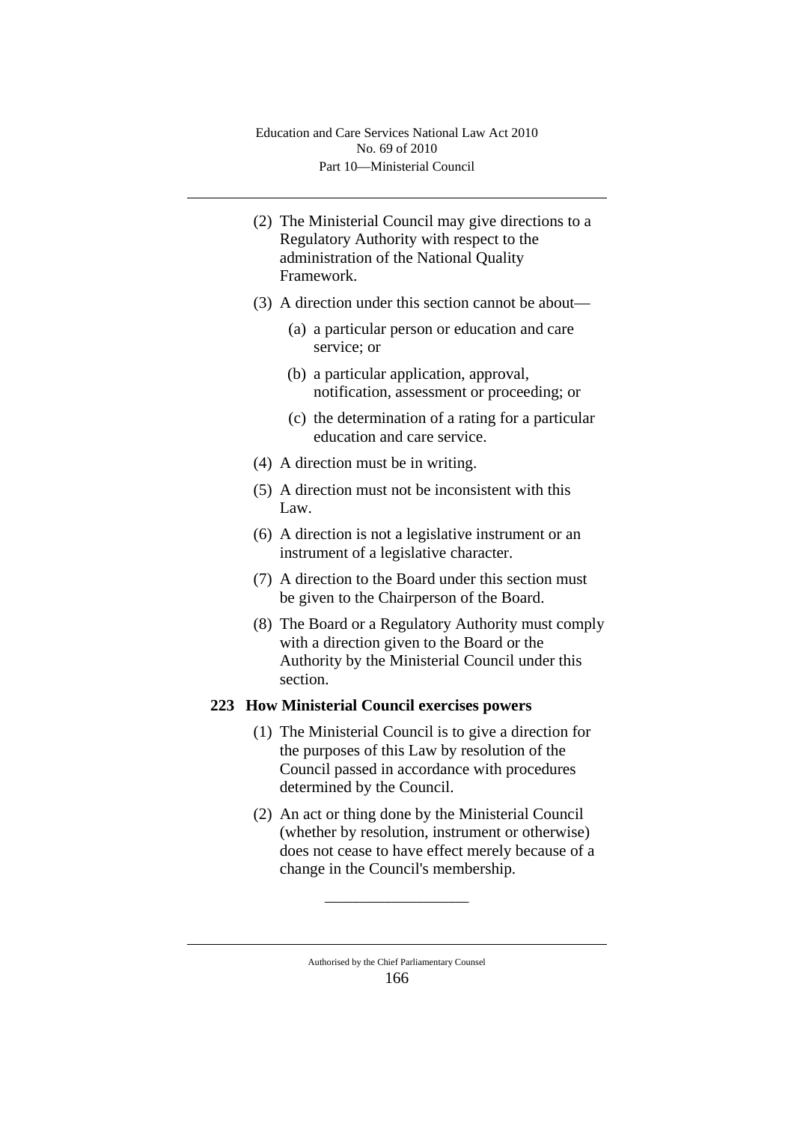- (2) The Ministerial Council may give directions to a Regulatory Authority with respect to the administration of the National Quality Framework.
- (3) A direction under this section cannot be about—
	- (a) a particular person or education and care service; or
	- (b) a particular application, approval, notification, assessment or proceeding; or
	- (c) the determination of a rating for a particular education and care service.
- (4) A direction must be in writing.
- (5) A direction must not be inconsistent with this Law.
- (6) A direction is not a legislative instrument or an instrument of a legislative character.
- (7) A direction to the Board under this section must be given to the Chairperson of the Board.
- (8) The Board or a Regulatory Authority must comply with a direction given to the Board or the Authority by the Ministerial Council under this section.

# **223 How Ministerial Council exercises powers**

- (1) The Ministerial Council is to give a direction for the purposes of this Law by resolution of the Council passed in accordance with procedures determined by the Council.
- (2) An act or thing done by the Ministerial Council (whether by resolution, instrument or otherwise) does not cease to have effect merely because of a change in the Council's membership.

\_\_\_\_\_\_\_\_\_\_\_\_\_\_\_\_\_\_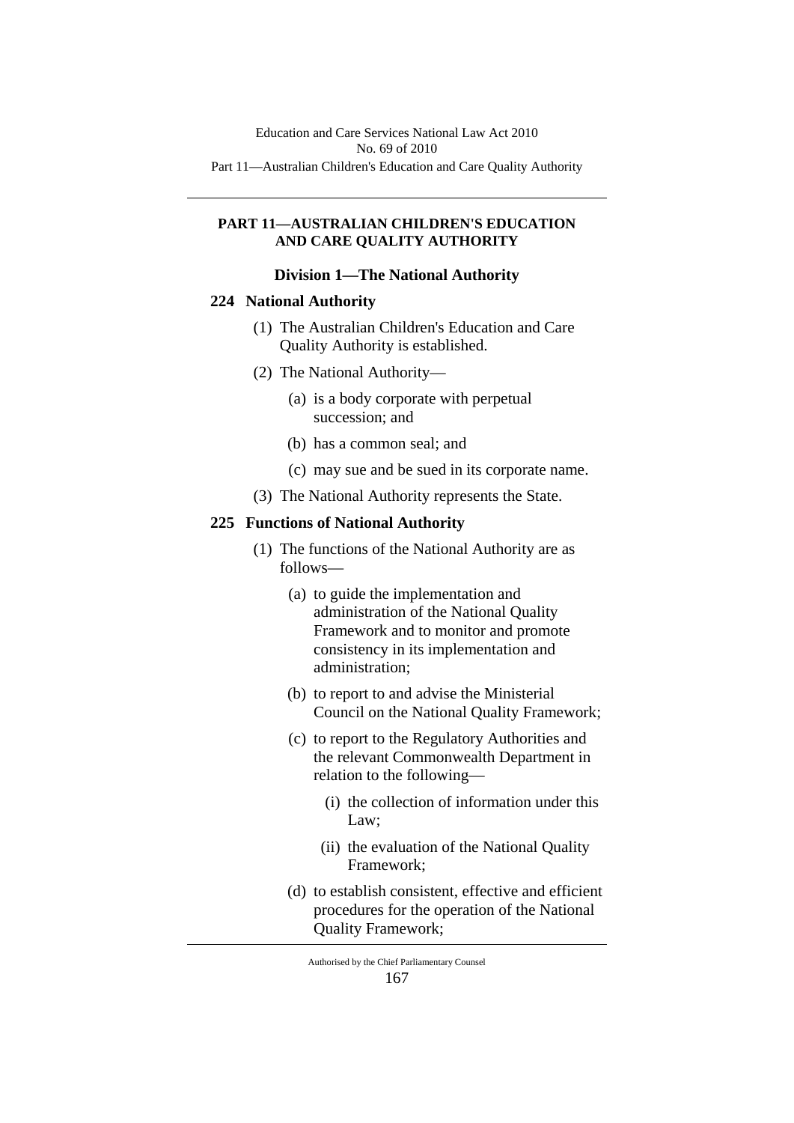#### **PART 11—AUSTRALIAN CHILDREN'S EDUCATION AND CARE QUALITY AUTHORITY**

#### **Division 1—The National Authority**

# **224 National Authority**

- (1) The Australian Children's Education and Care Quality Authority is established.
- (2) The National Authority—
	- (a) is a body corporate with perpetual succession; and
	- (b) has a common seal; and
	- (c) may sue and be sued in its corporate name.
- (3) The National Authority represents the State.

## **225 Functions of National Authority**

- (1) The functions of the National Authority are as follows—
	- (a) to guide the implementation and administration of the National Quality Framework and to monitor and promote consistency in its implementation and administration;
	- (b) to report to and advise the Ministerial Council on the National Quality Framework;
	- (c) to report to the Regulatory Authorities and the relevant Commonwealth Department in relation to the following—
		- (i) the collection of information under this Law;
		- (ii) the evaluation of the National Quality Framework;
	- (d) to establish consistent, effective and efficient procedures for the operation of the National Quality Framework;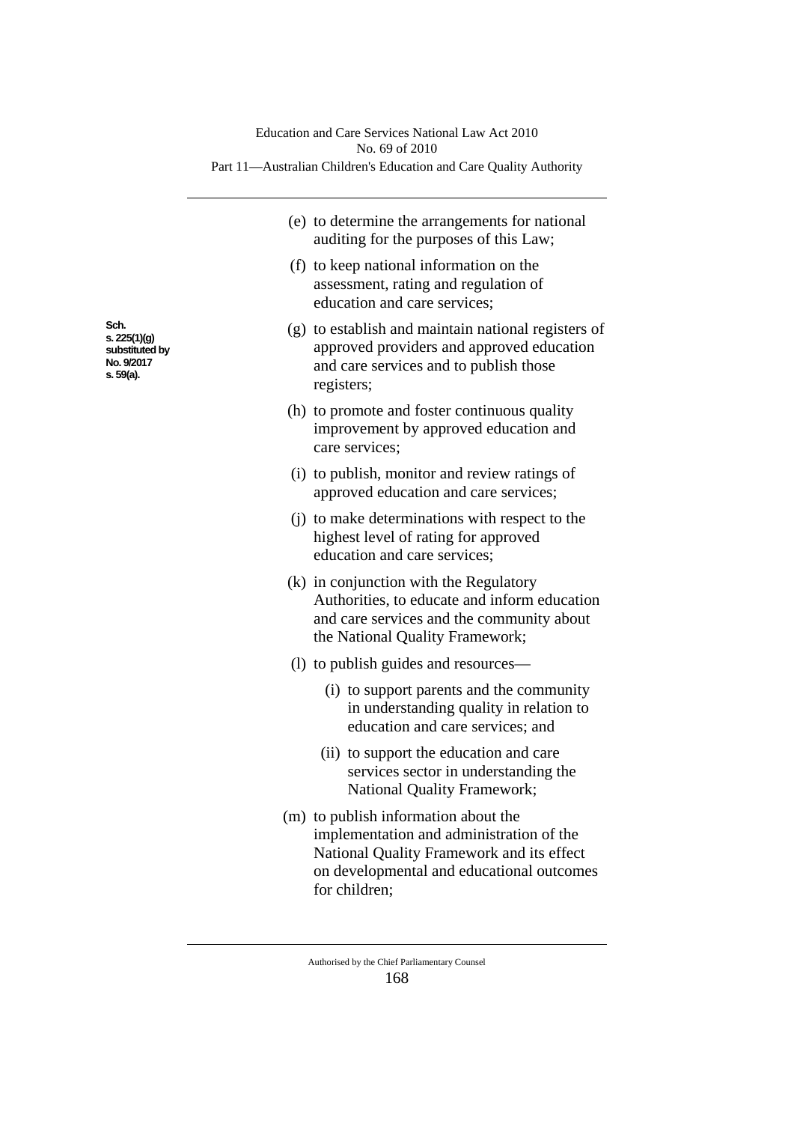|                                                                   | Education and Care Services National Law Act 2010<br>No. 69 of 2010<br>Part 11—Australian Children's Education and Care Quality Authority                                                   |
|-------------------------------------------------------------------|---------------------------------------------------------------------------------------------------------------------------------------------------------------------------------------------|
|                                                                   | (e) to determine the arrangements for national<br>auditing for the purposes of this Law;                                                                                                    |
|                                                                   | (f) to keep national information on the<br>assessment, rating and regulation of<br>education and care services;                                                                             |
| Sch.<br>s. 225(1)(g)<br>substituted by<br>No. 9/2017<br>s. 59(a). | (g) to establish and maintain national registers of<br>approved providers and approved education<br>and care services and to publish those<br>registers;                                    |
|                                                                   | (h) to promote and foster continuous quality<br>improvement by approved education and<br>care services;                                                                                     |
|                                                                   | (i) to publish, monitor and review ratings of<br>approved education and care services;                                                                                                      |
|                                                                   | (i) to make determinations with respect to the<br>highest level of rating for approved<br>education and care services;                                                                      |
|                                                                   | (k) in conjunction with the Regulatory<br>Authorities, to educate and inform education<br>and care services and the community about<br>the National Quality Framework;                      |
|                                                                   | (1) to publish guides and resources—                                                                                                                                                        |
|                                                                   | (i) to support parents and the community<br>in understanding quality in relation to<br>education and care services; and                                                                     |
|                                                                   | (ii) to support the education and care<br>services sector in understanding the<br><b>National Quality Framework;</b>                                                                        |
|                                                                   | (m) to publish information about the<br>implementation and administration of the<br>National Quality Framework and its effect<br>on developmental and educational outcomes<br>for children; |

**Sch. s. 225(1)(g)**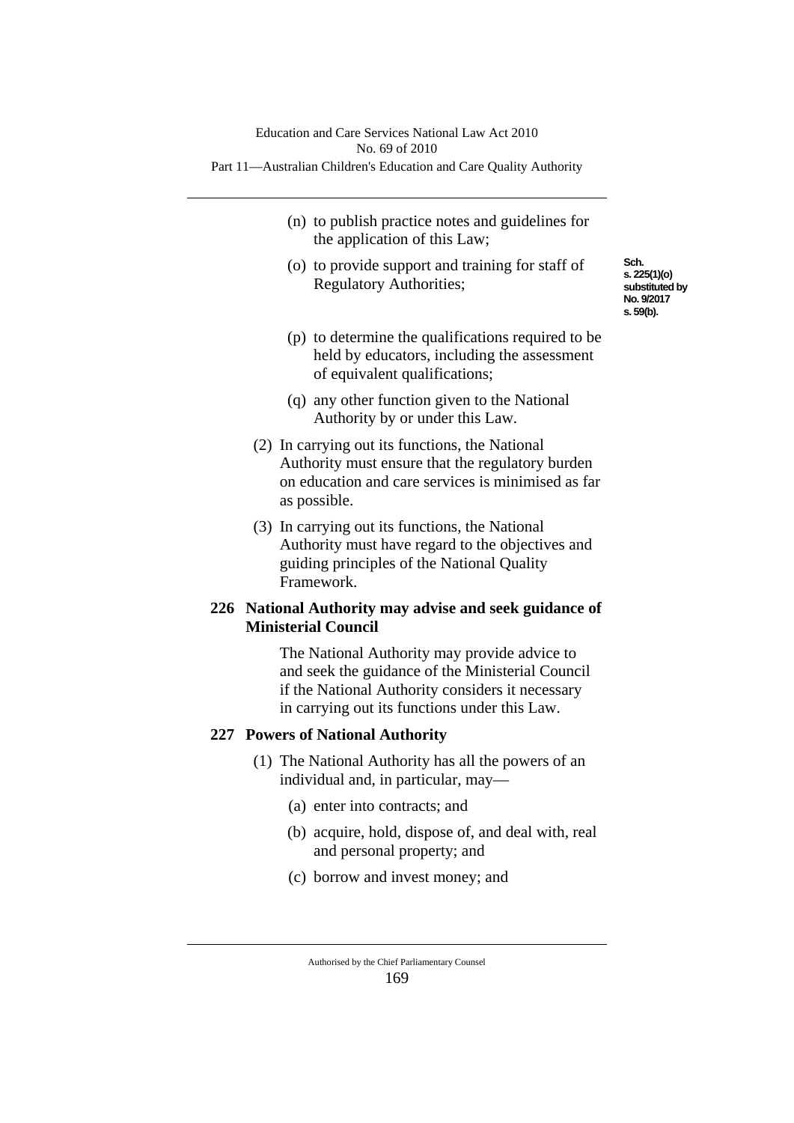- (n) to publish practice notes and guidelines for the application of this Law;
- (o) to provide support and training for staff of Regulatory Authorities;
- (p) to determine the qualifications required to be held by educators, including the assessment of equivalent qualifications;
- (q) any other function given to the National Authority by or under this Law.
- (2) In carrying out its functions, the National Authority must ensure that the regulatory burden on education and care services is minimised as far as possible.
- (3) In carrying out its functions, the National Authority must have regard to the objectives and guiding principles of the National Quality Framework.

## **226 National Authority may advise and seek guidance of Ministerial Council**

The National Authority may provide advice to and seek the guidance of the Ministerial Council if the National Authority considers it necessary in carrying out its functions under this Law.

# **227 Powers of National Authority**

- (1) The National Authority has all the powers of an individual and, in particular, may—
	- (a) enter into contracts; and
	- (b) acquire, hold, dispose of, and deal with, real and personal property; and
	- (c) borrow and invest money; and

**Sch. s. 225(1)(o) substituted by No. 9/2017 s. 59(b).**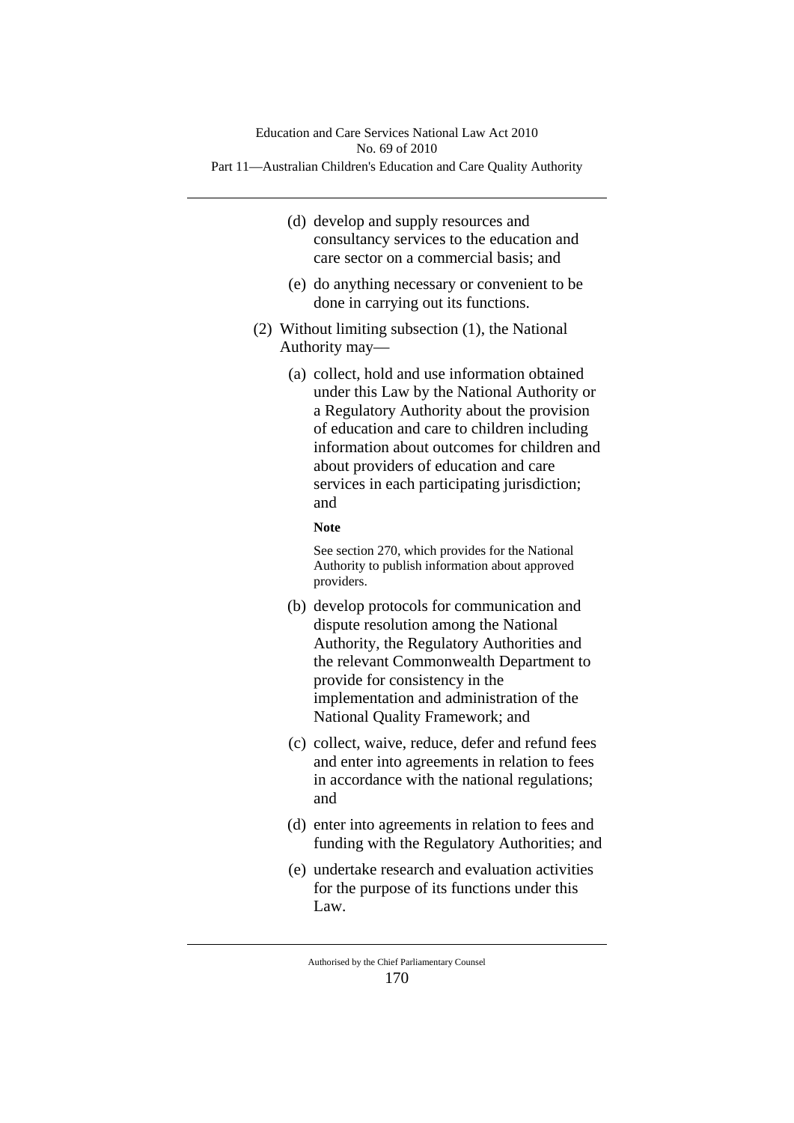- (d) develop and supply resources and consultancy services to the education and care sector on a commercial basis; and
- (e) do anything necessary or convenient to be done in carrying out its functions.
- (2) Without limiting subsection (1), the National Authority may—
	- (a) collect, hold and use information obtained under this Law by the National Authority or a Regulatory Authority about the provision of education and care to children including information about outcomes for children and about providers of education and care services in each participating jurisdiction; and

#### **Note**

See section 270, which provides for the National Authority to publish information about approved providers.

- (b) develop protocols for communication and dispute resolution among the National Authority, the Regulatory Authorities and the relevant Commonwealth Department to provide for consistency in the implementation and administration of the National Quality Framework; and
- (c) collect, waive, reduce, defer and refund fees and enter into agreements in relation to fees in accordance with the national regulations; and
- (d) enter into agreements in relation to fees and funding with the Regulatory Authorities; and
- (e) undertake research and evaluation activities for the purpose of its functions under this Law.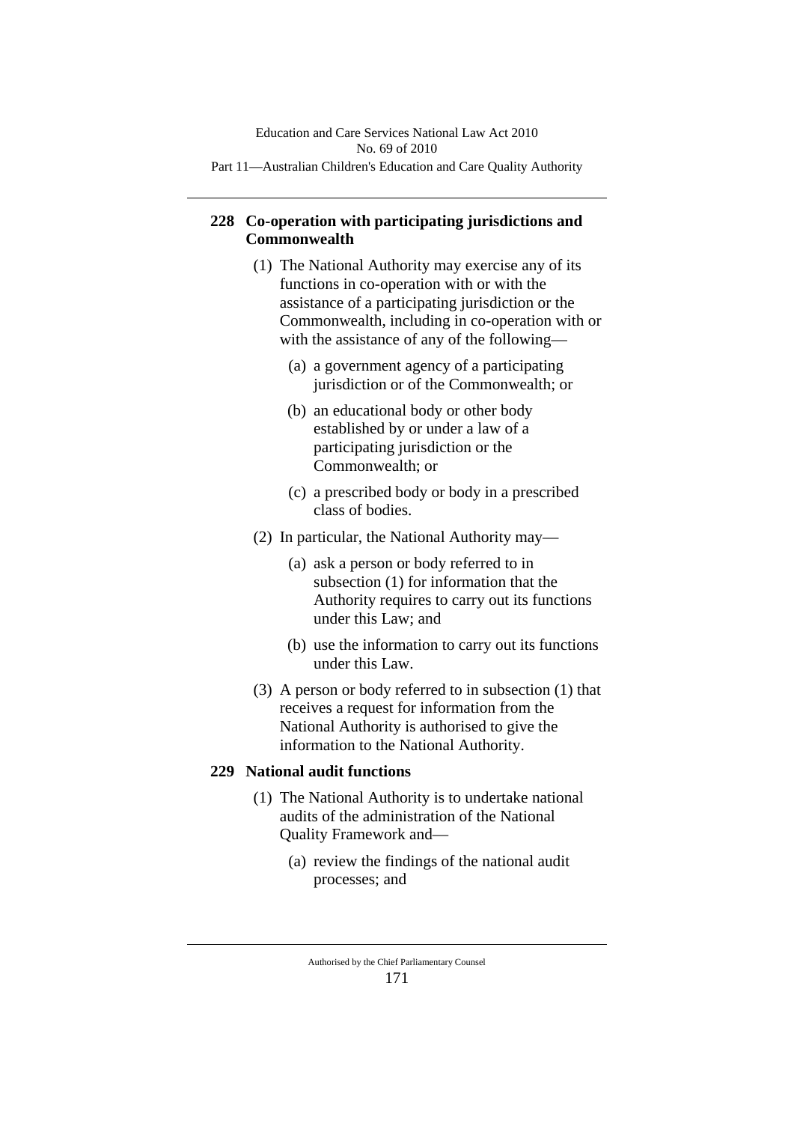# **228 Co-operation with participating jurisdictions and Commonwealth**

- (1) The National Authority may exercise any of its functions in co-operation with or with the assistance of a participating jurisdiction or the Commonwealth, including in co-operation with or with the assistance of any of the following—
	- (a) a government agency of a participating jurisdiction or of the Commonwealth; or
	- (b) an educational body or other body established by or under a law of a participating jurisdiction or the Commonwealth; or
	- (c) a prescribed body or body in a prescribed class of bodies.
- (2) In particular, the National Authority may—
	- (a) ask a person or body referred to in subsection (1) for information that the Authority requires to carry out its functions under this Law; and
	- (b) use the information to carry out its functions under this Law.
- (3) A person or body referred to in subsection (1) that receives a request for information from the National Authority is authorised to give the information to the National Authority.

## **229 National audit functions**

- (1) The National Authority is to undertake national audits of the administration of the National Quality Framework and—
	- (a) review the findings of the national audit processes; and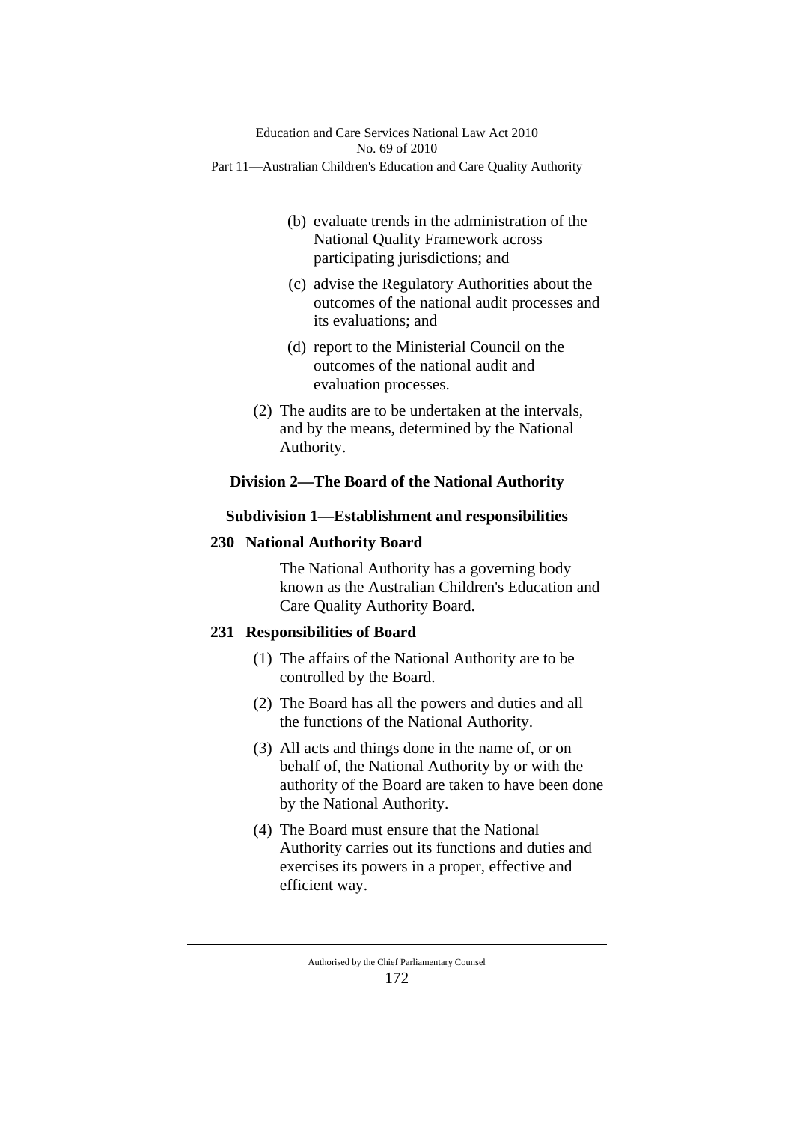- (b) evaluate trends in the administration of the National Quality Framework across participating jurisdictions; and
- (c) advise the Regulatory Authorities about the outcomes of the national audit processes and its evaluations; and
- (d) report to the Ministerial Council on the outcomes of the national audit and evaluation processes.
- (2) The audits are to be undertaken at the intervals, and by the means, determined by the National Authority.

# **Division 2—The Board of the National Authority**

# **Subdivision 1—Establishment and responsibilities**

# **230 National Authority Board**

The National Authority has a governing body known as the Australian Children's Education and Care Quality Authority Board.

# **231 Responsibilities of Board**

- (1) The affairs of the National Authority are to be controlled by the Board.
- (2) The Board has all the powers and duties and all the functions of the National Authority.
- (3) All acts and things done in the name of, or on behalf of, the National Authority by or with the authority of the Board are taken to have been done by the National Authority.
- (4) The Board must ensure that the National Authority carries out its functions and duties and exercises its powers in a proper, effective and efficient way.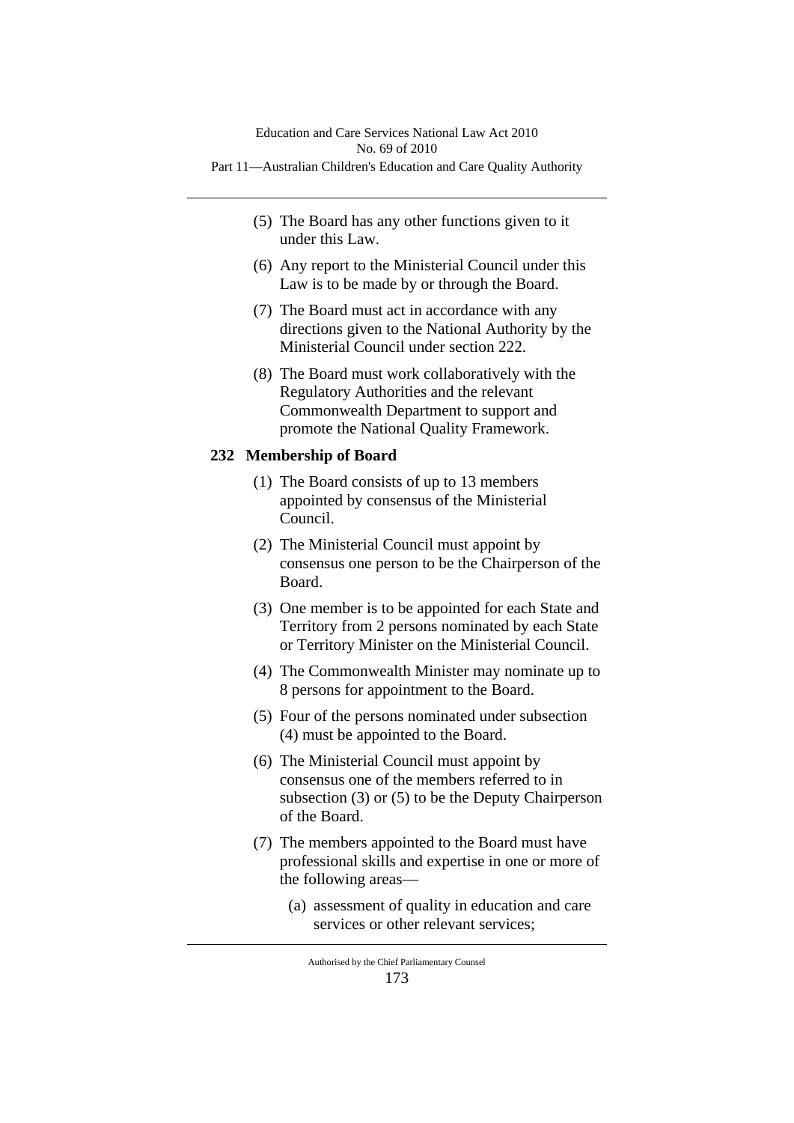- (5) The Board has any other functions given to it under this Law.
- (6) Any report to the Ministerial Council under this Law is to be made by or through the Board.
- (7) The Board must act in accordance with any directions given to the National Authority by the Ministerial Council under section 222.
- (8) The Board must work collaboratively with the Regulatory Authorities and the relevant Commonwealth Department to support and promote the National Quality Framework.

## **232 Membership of Board**

- (1) The Board consists of up to 13 members appointed by consensus of the Ministerial Council.
- (2) The Ministerial Council must appoint by consensus one person to be the Chairperson of the Board.
- (3) One member is to be appointed for each State and Territory from 2 persons nominated by each State or Territory Minister on the Ministerial Council.
- (4) The Commonwealth Minister may nominate up to 8 persons for appointment to the Board.
- (5) Four of the persons nominated under subsection (4) must be appointed to the Board.
- (6) The Ministerial Council must appoint by consensus one of the members referred to in subsection (3) or (5) to be the Deputy Chairperson of the Board.
- (7) The members appointed to the Board must have professional skills and expertise in one or more of the following areas—
	- (a) assessment of quality in education and care services or other relevant services;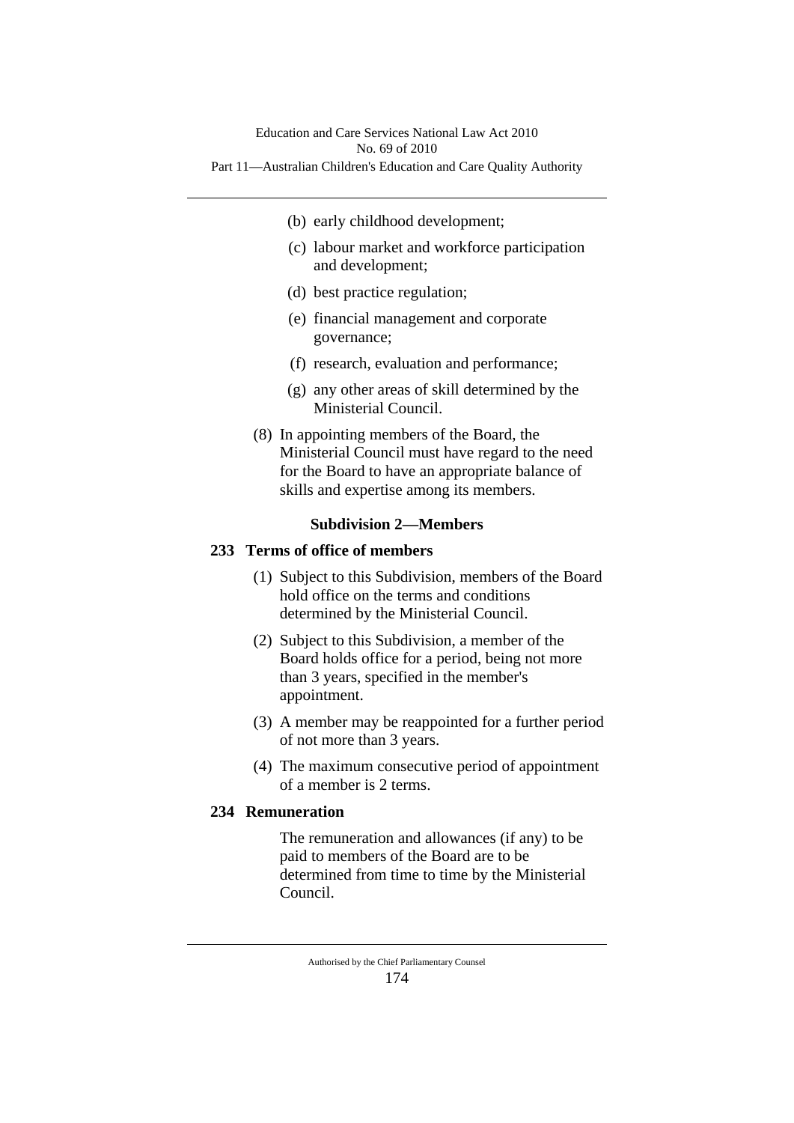- (b) early childhood development;
- (c) labour market and workforce participation and development;
- (d) best practice regulation;
- (e) financial management and corporate governance;
- (f) research, evaluation and performance;
- (g) any other areas of skill determined by the Ministerial Council.
- (8) In appointing members of the Board, the Ministerial Council must have regard to the need for the Board to have an appropriate balance of skills and expertise among its members.

# **Subdivision 2—Members**

## **233 Terms of office of members**

- (1) Subject to this Subdivision, members of the Board hold office on the terms and conditions determined by the Ministerial Council.
- (2) Subject to this Subdivision, a member of the Board holds office for a period, being not more than 3 years, specified in the member's appointment.
- (3) A member may be reappointed for a further period of not more than 3 years.
- (4) The maximum consecutive period of appointment of a member is 2 terms.

# **234 Remuneration**

The remuneration and allowances (if any) to be paid to members of the Board are to be determined from time to time by the Ministerial Council.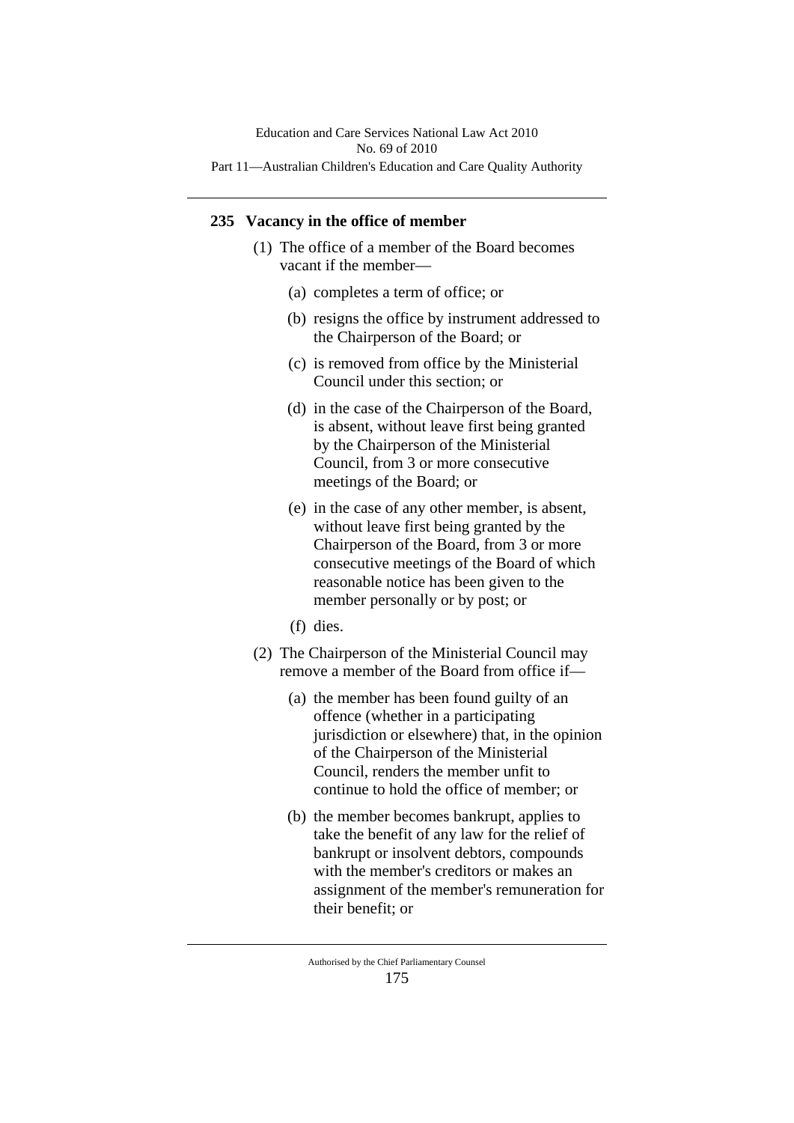### **235 Vacancy in the office of member**

- (1) The office of a member of the Board becomes vacant if the member—
	- (a) completes a term of office; or
	- (b) resigns the office by instrument addressed to the Chairperson of the Board; or
	- (c) is removed from office by the Ministerial Council under this section; or
	- (d) in the case of the Chairperson of the Board, is absent, without leave first being granted by the Chairperson of the Ministerial Council, from 3 or more consecutive meetings of the Board; or
	- (e) in the case of any other member, is absent, without leave first being granted by the Chairperson of the Board, from 3 or more consecutive meetings of the Board of which reasonable notice has been given to the member personally or by post; or
	- (f) dies.
- (2) The Chairperson of the Ministerial Council may remove a member of the Board from office if—
	- (a) the member has been found guilty of an offence (whether in a participating jurisdiction or elsewhere) that, in the opinion of the Chairperson of the Ministerial Council, renders the member unfit to continue to hold the office of member; or
	- (b) the member becomes bankrupt, applies to take the benefit of any law for the relief of bankrupt or insolvent debtors, compounds with the member's creditors or makes an assignment of the member's remuneration for their benefit; or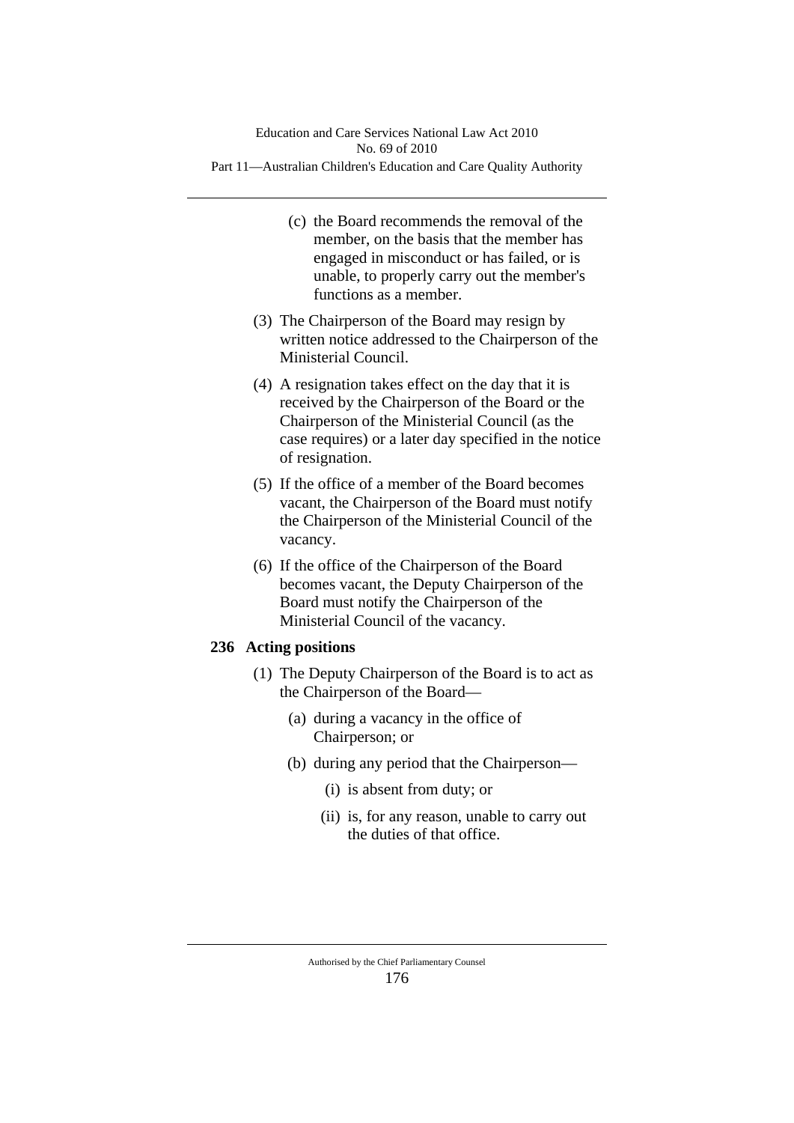- (c) the Board recommends the removal of the member, on the basis that the member has engaged in misconduct or has failed, or is unable, to properly carry out the member's functions as a member.
- (3) The Chairperson of the Board may resign by written notice addressed to the Chairperson of the Ministerial Council.
- (4) A resignation takes effect on the day that it is received by the Chairperson of the Board or the Chairperson of the Ministerial Council (as the case requires) or a later day specified in the notice of resignation.
- (5) If the office of a member of the Board becomes vacant, the Chairperson of the Board must notify the Chairperson of the Ministerial Council of the vacancy.
- (6) If the office of the Chairperson of the Board becomes vacant, the Deputy Chairperson of the Board must notify the Chairperson of the Ministerial Council of the vacancy.

# **236 Acting positions**

- (1) The Deputy Chairperson of the Board is to act as the Chairperson of the Board—
	- (a) during a vacancy in the office of Chairperson; or
	- (b) during any period that the Chairperson—
		- (i) is absent from duty; or
		- (ii) is, for any reason, unable to carry out the duties of that office.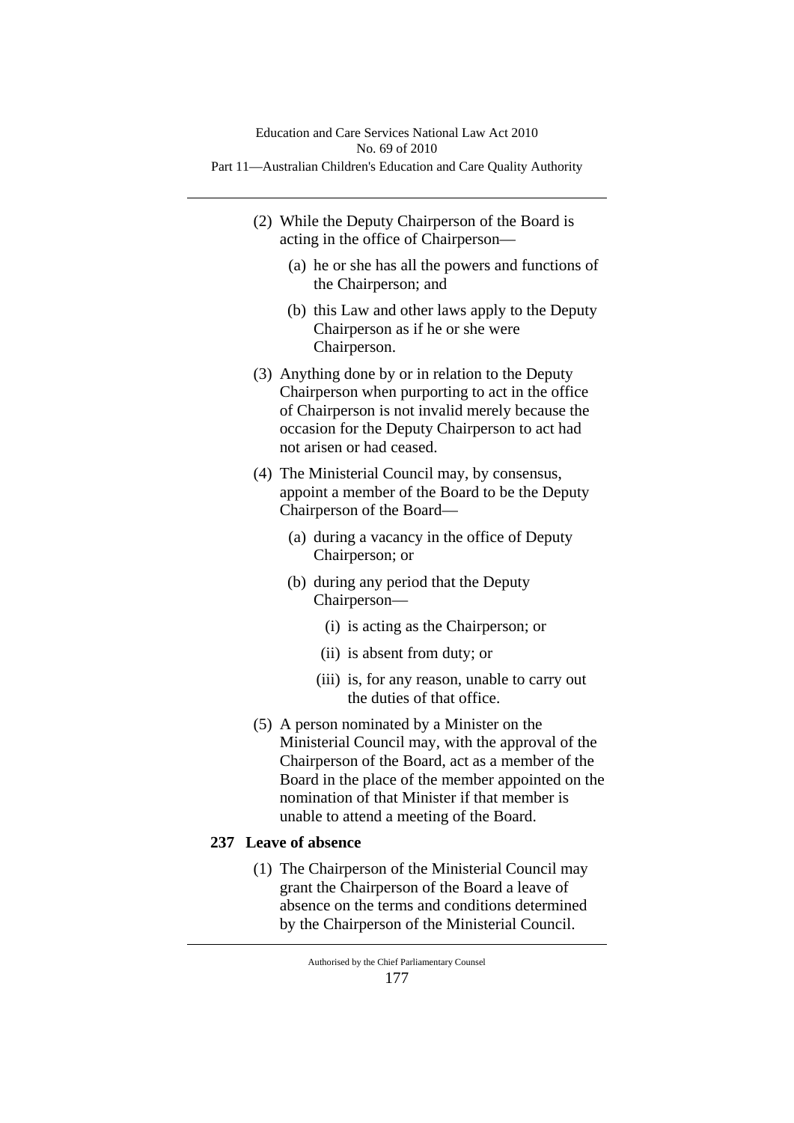- (2) While the Deputy Chairperson of the Board is acting in the office of Chairperson—
	- (a) he or she has all the powers and functions of the Chairperson; and
	- (b) this Law and other laws apply to the Deputy Chairperson as if he or she were Chairperson.
- (3) Anything done by or in relation to the Deputy Chairperson when purporting to act in the office of Chairperson is not invalid merely because the occasion for the Deputy Chairperson to act had not arisen or had ceased.
- (4) The Ministerial Council may, by consensus, appoint a member of the Board to be the Deputy Chairperson of the Board—
	- (a) during a vacancy in the office of Deputy Chairperson; or
	- (b) during any period that the Deputy Chairperson—
		- (i) is acting as the Chairperson; or
		- (ii) is absent from duty; or
		- (iii) is, for any reason, unable to carry out the duties of that office.
- (5) A person nominated by a Minister on the Ministerial Council may, with the approval of the Chairperson of the Board, act as a member of the Board in the place of the member appointed on the nomination of that Minister if that member is unable to attend a meeting of the Board.

# **237 Leave of absence**

(1) The Chairperson of the Ministerial Council may grant the Chairperson of the Board a leave of absence on the terms and conditions determined by the Chairperson of the Ministerial Council.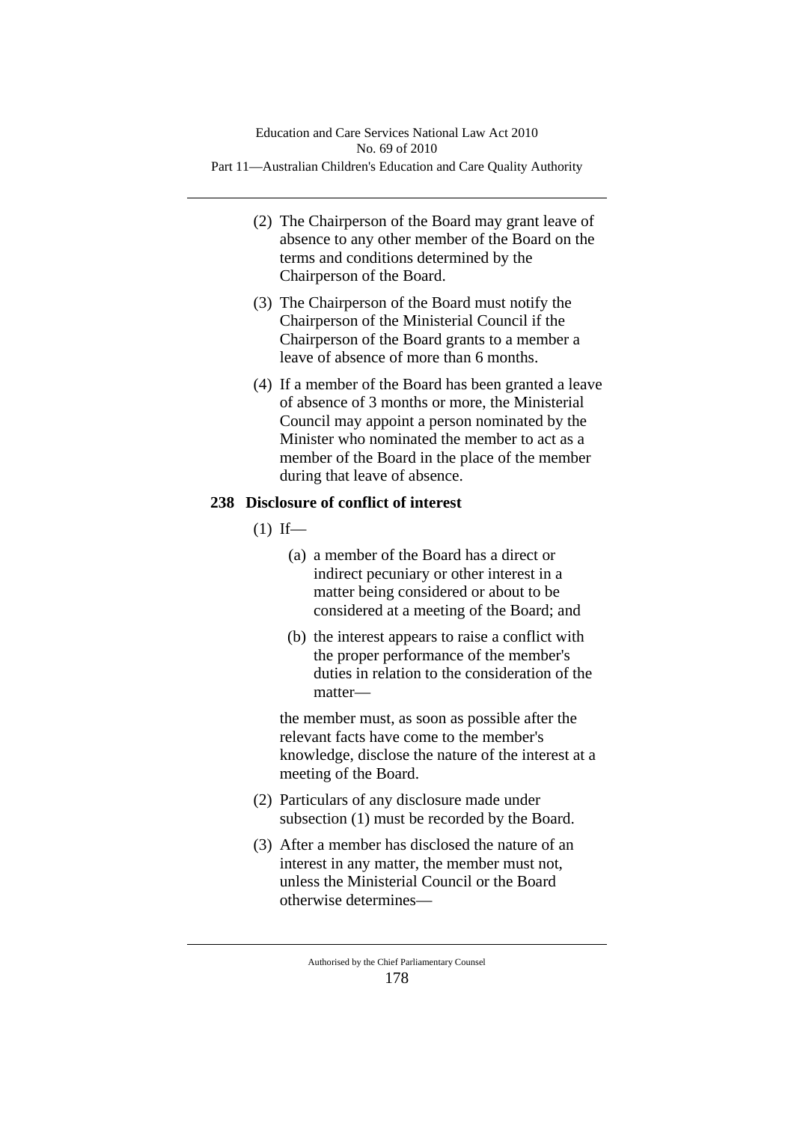- (2) The Chairperson of the Board may grant leave of absence to any other member of the Board on the terms and conditions determined by the Chairperson of the Board.
- (3) The Chairperson of the Board must notify the Chairperson of the Ministerial Council if the Chairperson of the Board grants to a member a leave of absence of more than 6 months.
- (4) If a member of the Board has been granted a leave of absence of 3 months or more, the Ministerial Council may appoint a person nominated by the Minister who nominated the member to act as a member of the Board in the place of the member during that leave of absence.

# **238 Disclosure of conflict of interest**

- $(1)$  If—
	- (a) a member of the Board has a direct or indirect pecuniary or other interest in a matter being considered or about to be considered at a meeting of the Board; and
	- (b) the interest appears to raise a conflict with the proper performance of the member's duties in relation to the consideration of the matter—

the member must, as soon as possible after the relevant facts have come to the member's knowledge, disclose the nature of the interest at a meeting of the Board.

- (2) Particulars of any disclosure made under subsection (1) must be recorded by the Board.
- (3) After a member has disclosed the nature of an interest in any matter, the member must not, unless the Ministerial Council or the Board otherwise determines—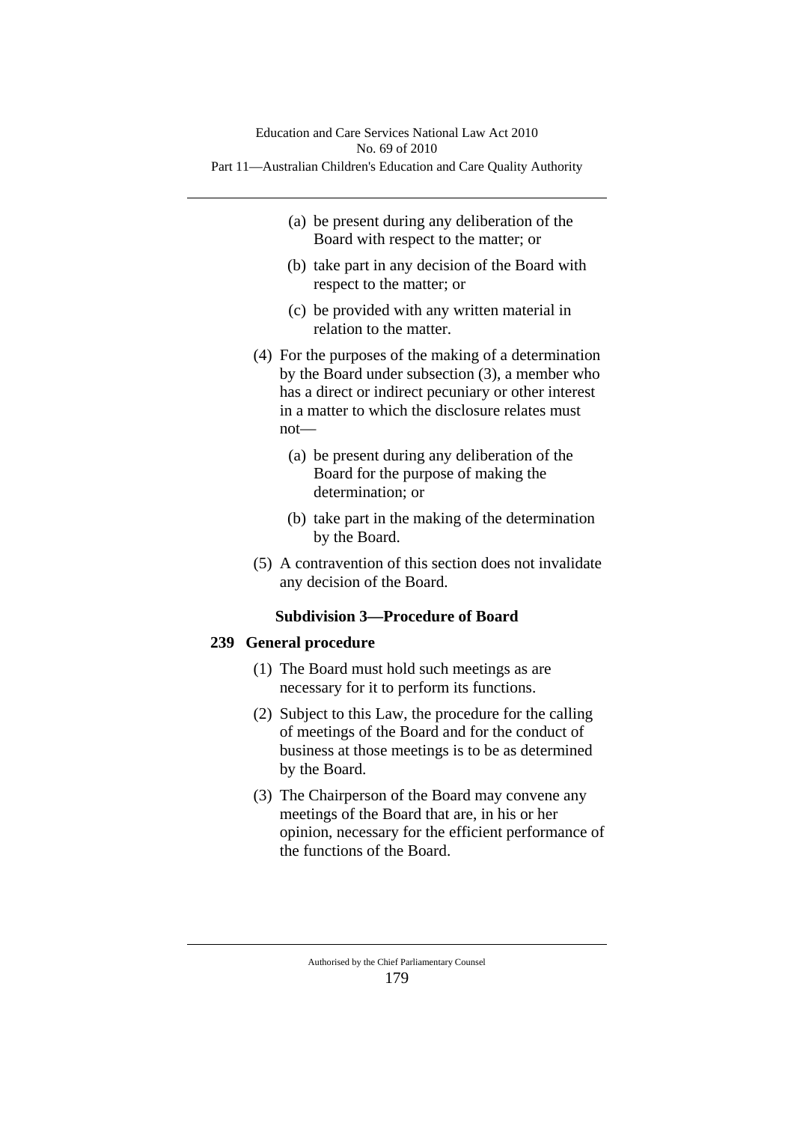- (a) be present during any deliberation of the Board with respect to the matter; or
- (b) take part in any decision of the Board with respect to the matter; or
- (c) be provided with any written material in relation to the matter.
- (4) For the purposes of the making of a determination by the Board under subsection (3), a member who has a direct or indirect pecuniary or other interest in a matter to which the disclosure relates must not—
	- (a) be present during any deliberation of the Board for the purpose of making the determination; or
	- (b) take part in the making of the determination by the Board.
- (5) A contravention of this section does not invalidate any decision of the Board.

# **Subdivision 3—Procedure of Board**

# **239 General procedure**

- (1) The Board must hold such meetings as are necessary for it to perform its functions.
- (2) Subject to this Law, the procedure for the calling of meetings of the Board and for the conduct of business at those meetings is to be as determined by the Board.
- (3) The Chairperson of the Board may convene any meetings of the Board that are, in his or her opinion, necessary for the efficient performance of the functions of the Board.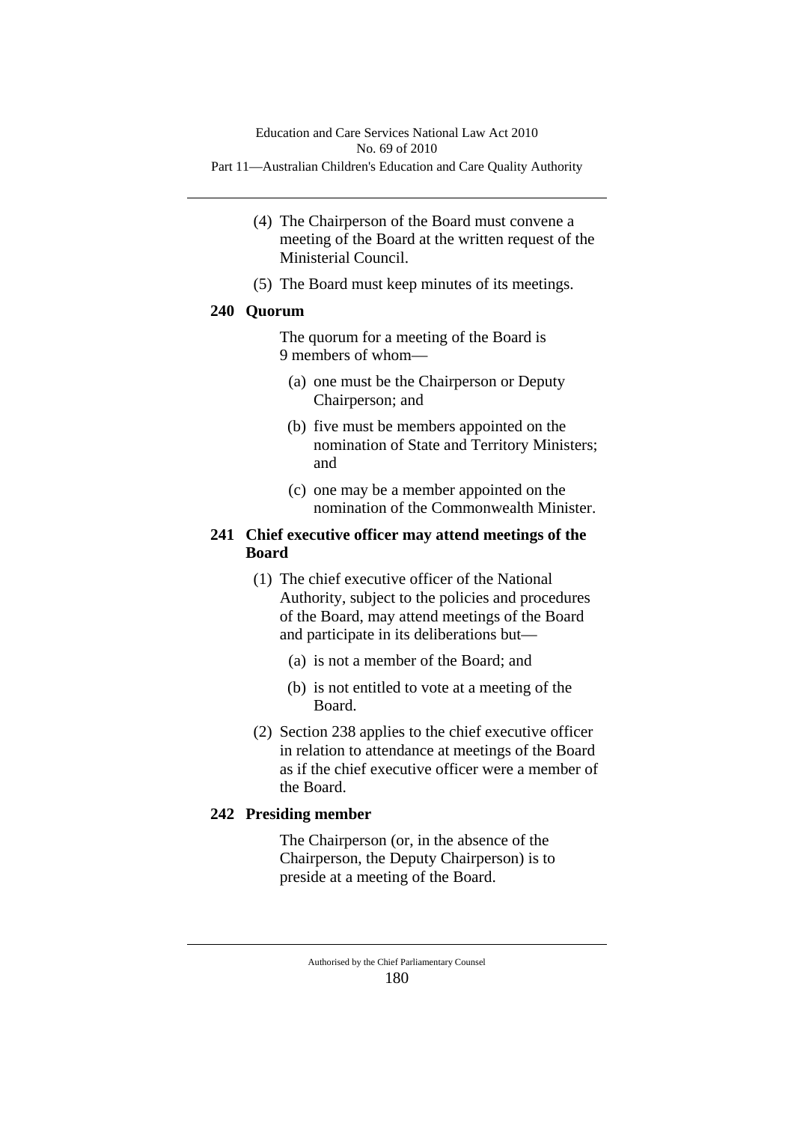- (4) The Chairperson of the Board must convene a meeting of the Board at the written request of the Ministerial Council.
- (5) The Board must keep minutes of its meetings.

## **240 Quorum**

The quorum for a meeting of the Board is 9 members of whom—

- (a) one must be the Chairperson or Deputy Chairperson; and
- (b) five must be members appointed on the nomination of State and Territory Ministers; and
- (c) one may be a member appointed on the nomination of the Commonwealth Minister.

# **241 Chief executive officer may attend meetings of the Board**

- (1) The chief executive officer of the National Authority, subject to the policies and procedures of the Board, may attend meetings of the Board and participate in its deliberations but—
	- (a) is not a member of the Board; and
	- (b) is not entitled to vote at a meeting of the Board.
- (2) Section 238 applies to the chief executive officer in relation to attendance at meetings of the Board as if the chief executive officer were a member of the Board.

# **242 Presiding member**

The Chairperson (or, in the absence of the Chairperson, the Deputy Chairperson) is to preside at a meeting of the Board.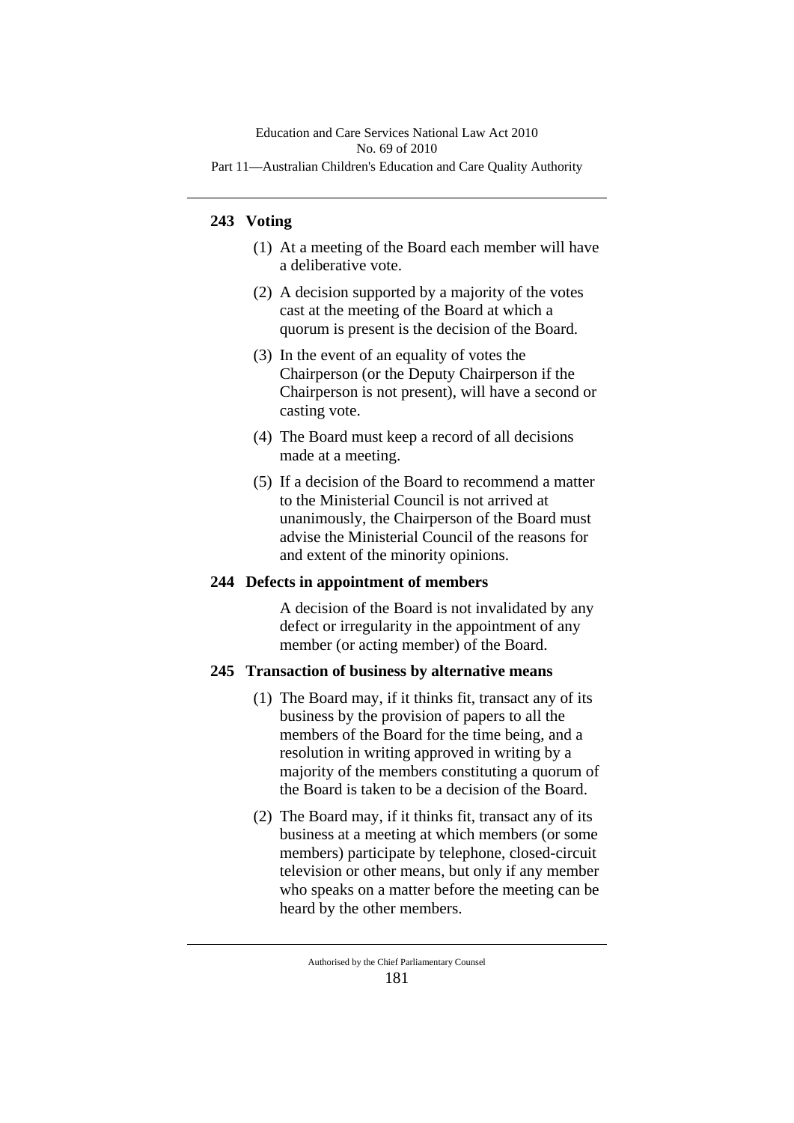# **243 Voting**

- (1) At a meeting of the Board each member will have a deliberative vote.
- (2) A decision supported by a majority of the votes cast at the meeting of the Board at which a quorum is present is the decision of the Board.
- (3) In the event of an equality of votes the Chairperson (or the Deputy Chairperson if the Chairperson is not present), will have a second or casting vote.
- (4) The Board must keep a record of all decisions made at a meeting.
- (5) If a decision of the Board to recommend a matter to the Ministerial Council is not arrived at unanimously, the Chairperson of the Board must advise the Ministerial Council of the reasons for and extent of the minority opinions.

### **244 Defects in appointment of members**

A decision of the Board is not invalidated by any defect or irregularity in the appointment of any member (or acting member) of the Board.

# **245 Transaction of business by alternative means**

- (1) The Board may, if it thinks fit, transact any of its business by the provision of papers to all the members of the Board for the time being, and a resolution in writing approved in writing by a majority of the members constituting a quorum of the Board is taken to be a decision of the Board.
- (2) The Board may, if it thinks fit, transact any of its business at a meeting at which members (or some members) participate by telephone, closed-circuit television or other means, but only if any member who speaks on a matter before the meeting can be heard by the other members.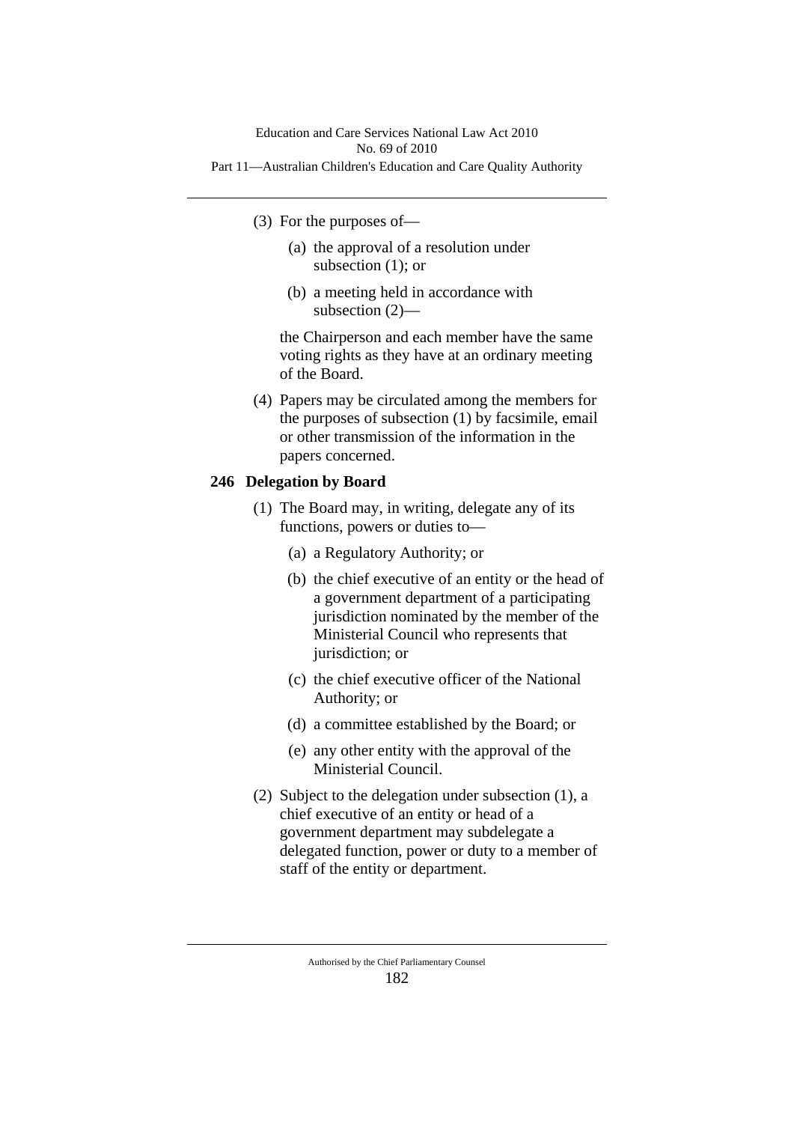- (3) For the purposes of—
	- (a) the approval of a resolution under subsection (1); or
	- (b) a meeting held in accordance with subsection (2)—

the Chairperson and each member have the same voting rights as they have at an ordinary meeting of the Board.

(4) Papers may be circulated among the members for the purposes of subsection (1) by facsimile, email or other transmission of the information in the papers concerned.

# **246 Delegation by Board**

- (1) The Board may, in writing, delegate any of its functions, powers or duties to—
	- (a) a Regulatory Authority; or
	- (b) the chief executive of an entity or the head of a government department of a participating jurisdiction nominated by the member of the Ministerial Council who represents that jurisdiction; or
	- (c) the chief executive officer of the National Authority; or
	- (d) a committee established by the Board; or
	- (e) any other entity with the approval of the Ministerial Council.
- (2) Subject to the delegation under subsection (1), a chief executive of an entity or head of a government department may subdelegate a delegated function, power or duty to a member of staff of the entity or department.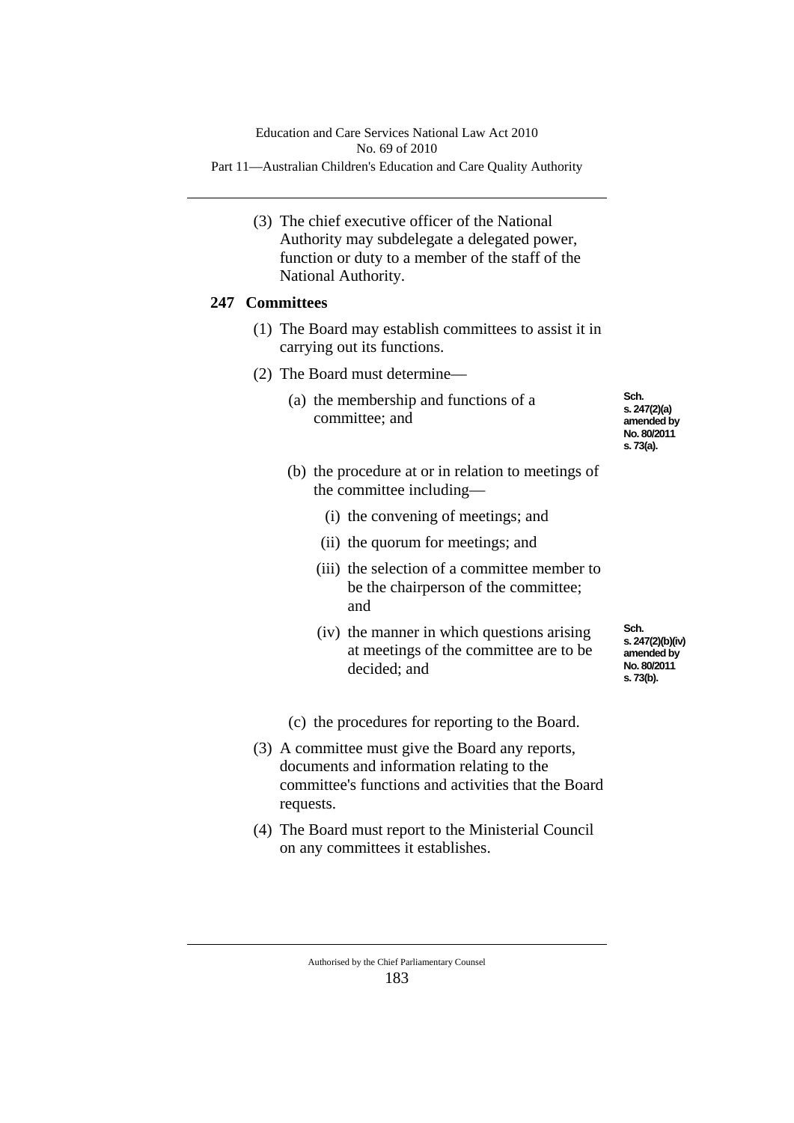(3) The chief executive officer of the National Authority may subdelegate a delegated power, function or duty to a member of the staff of the National Authority.

# **247 Committees**

- (1) The Board may establish committees to assist it in carrying out its functions.
- (2) The Board must determine—
	- (a) the membership and functions of a committee; and

**Sch. s. 247(2)(a) amended by No. 80/2011 s. 73(a).**

- (b) the procedure at or in relation to meetings of the committee including—
	- (i) the convening of meetings; and
	- (ii) the quorum for meetings; and
	- (iii) the selection of a committee member to be the chairperson of the committee; and
	- (iv) the manner in which questions arising at meetings of the committee are to be decided; and

**Sch. s. 247(2)(b)(iv) amended by No. 80/2011 s. 73(b).**

(c) the procedures for reporting to the Board.

- (3) A committee must give the Board any reports, documents and information relating to the committee's functions and activities that the Board requests.
- (4) The Board must report to the Ministerial Council on any committees it establishes.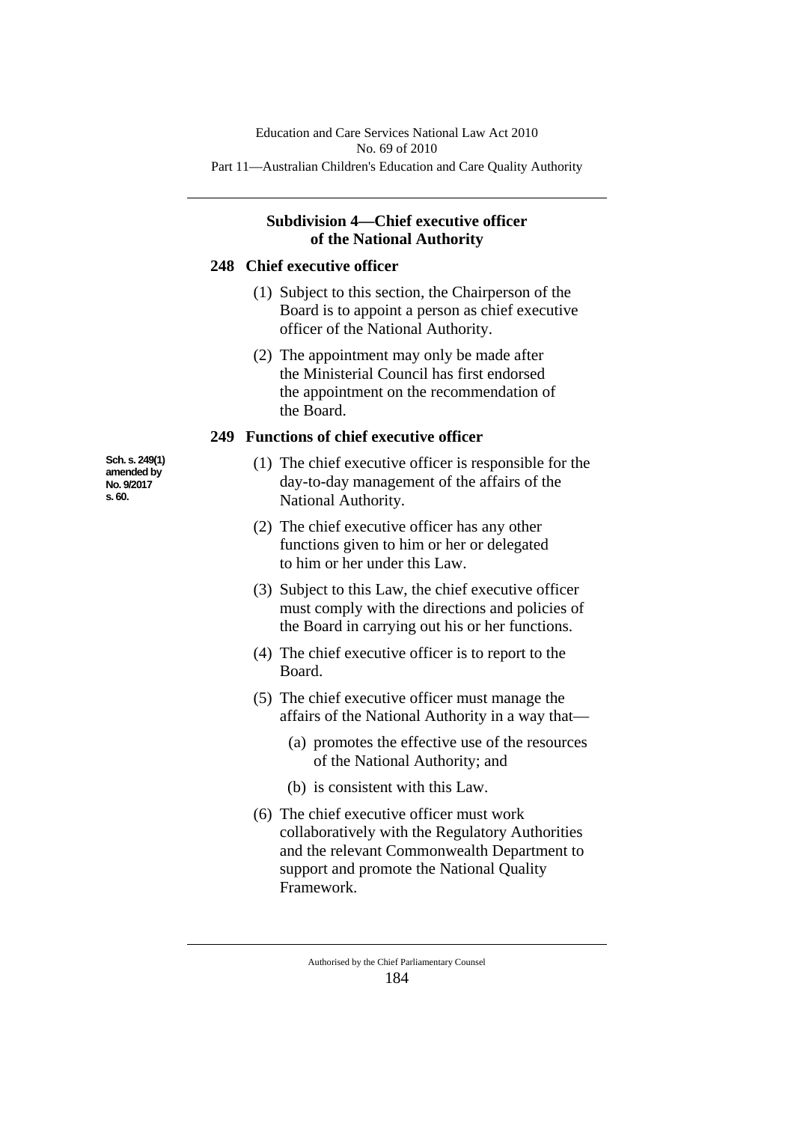# **Subdivision 4—Chief executive officer of the National Authority**

#### **248 Chief executive officer**

- (1) Subject to this section, the Chairperson of the Board is to appoint a person as chief executive officer of the National Authority.
- (2) The appointment may only be made after the Ministerial Council has first endorsed the appointment on the recommendation of the Board.

### **249 Functions of chief executive officer**

- (1) The chief executive officer is responsible for the day-to-day management of the affairs of the National Authority.
- (2) The chief executive officer has any other functions given to him or her or delegated to him or her under this Law.
- (3) Subject to this Law, the chief executive officer must comply with the directions and policies of the Board in carrying out his or her functions.
- (4) The chief executive officer is to report to the Board.
- (5) The chief executive officer must manage the affairs of the National Authority in a way that—
	- (a) promotes the effective use of the resources of the National Authority; and
	- (b) is consistent with this Law.
- (6) The chief executive officer must work collaboratively with the Regulatory Authorities and the relevant Commonwealth Department to support and promote the National Quality Framework.

**Sch. s. 249(1) amended by No. 9/2017 s. 60.**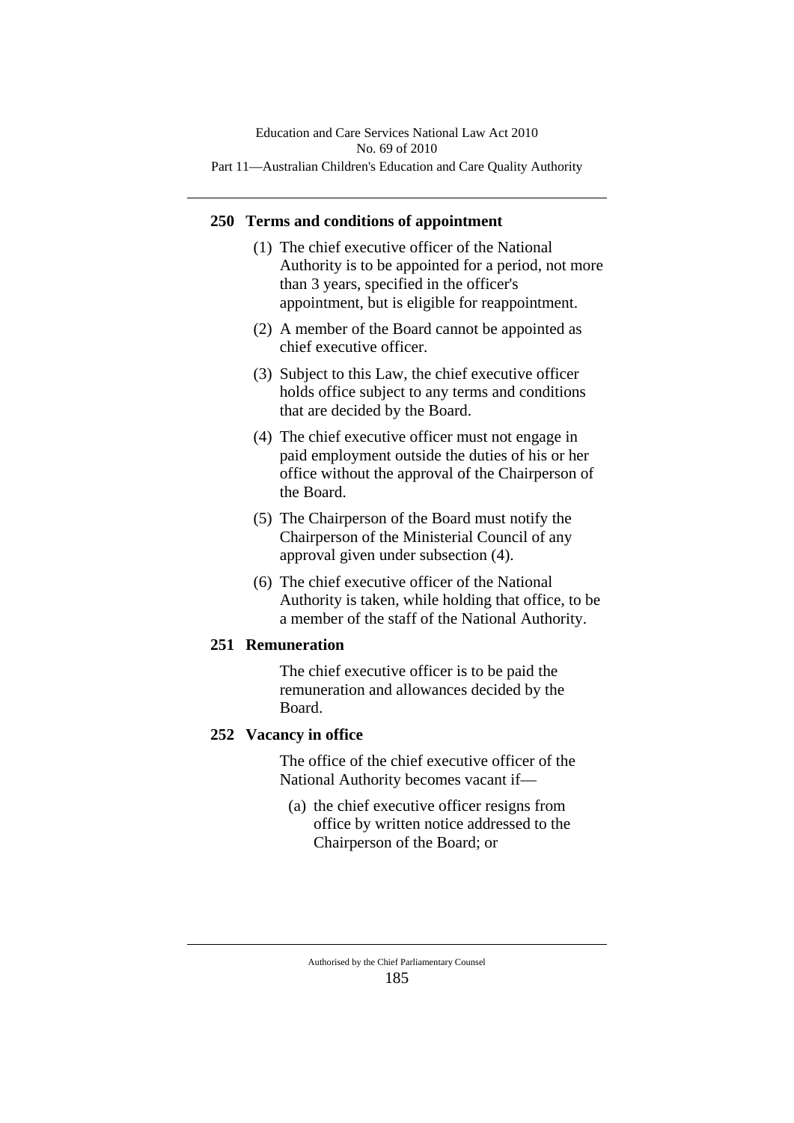## **250 Terms and conditions of appointment**

- (1) The chief executive officer of the National Authority is to be appointed for a period, not more than 3 years, specified in the officer's appointment, but is eligible for reappointment.
- (2) A member of the Board cannot be appointed as chief executive officer.
- (3) Subject to this Law, the chief executive officer holds office subject to any terms and conditions that are decided by the Board.
- (4) The chief executive officer must not engage in paid employment outside the duties of his or her office without the approval of the Chairperson of the Board.
- (5) The Chairperson of the Board must notify the Chairperson of the Ministerial Council of any approval given under subsection (4).
- (6) The chief executive officer of the National Authority is taken, while holding that office, to be a member of the staff of the National Authority.

### **251 Remuneration**

The chief executive officer is to be paid the remuneration and allowances decided by the Board.

### **252 Vacancy in office**

The office of the chief executive officer of the National Authority becomes vacant if—

(a) the chief executive officer resigns from office by written notice addressed to the Chairperson of the Board; or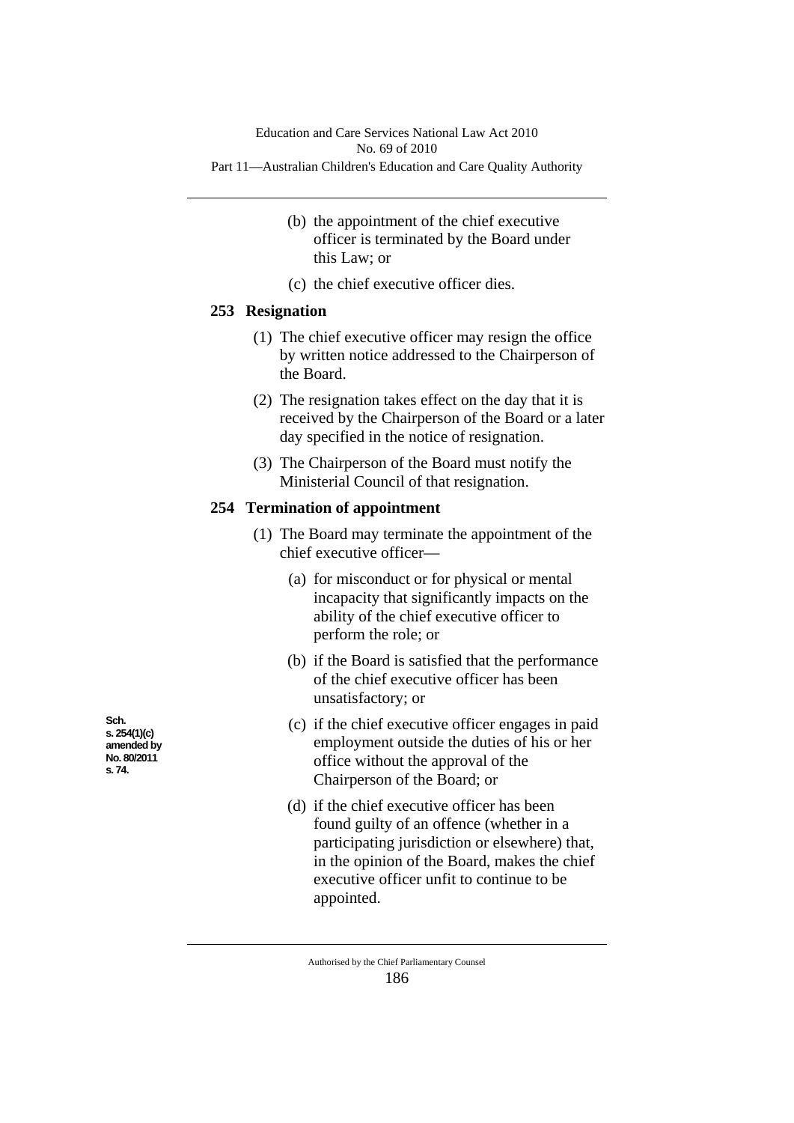- (b) the appointment of the chief executive officer is terminated by the Board under this Law; or
- (c) the chief executive officer dies.

# **253 Resignation**

- (1) The chief executive officer may resign the office by written notice addressed to the Chairperson of the Board.
- (2) The resignation takes effect on the day that it is received by the Chairperson of the Board or a later day specified in the notice of resignation.
- (3) The Chairperson of the Board must notify the Ministerial Council of that resignation.

## **254 Termination of appointment**

- (1) The Board may terminate the appointment of the chief executive officer—
	- (a) for misconduct or for physical or mental incapacity that significantly impacts on the ability of the chief executive officer to perform the role; or
	- (b) if the Board is satisfied that the performance of the chief executive officer has been unsatisfactory; or
	- (c) if the chief executive officer engages in paid employment outside the duties of his or her office without the approval of the Chairperson of the Board; or
	- (d) if the chief executive officer has been found guilty of an offence (whether in a participating jurisdiction or elsewhere) that, in the opinion of the Board, makes the chief executive officer unfit to continue to be appointed.

**Sch. s. 254(1)(c) amended by No. 80/2011 s. 74.**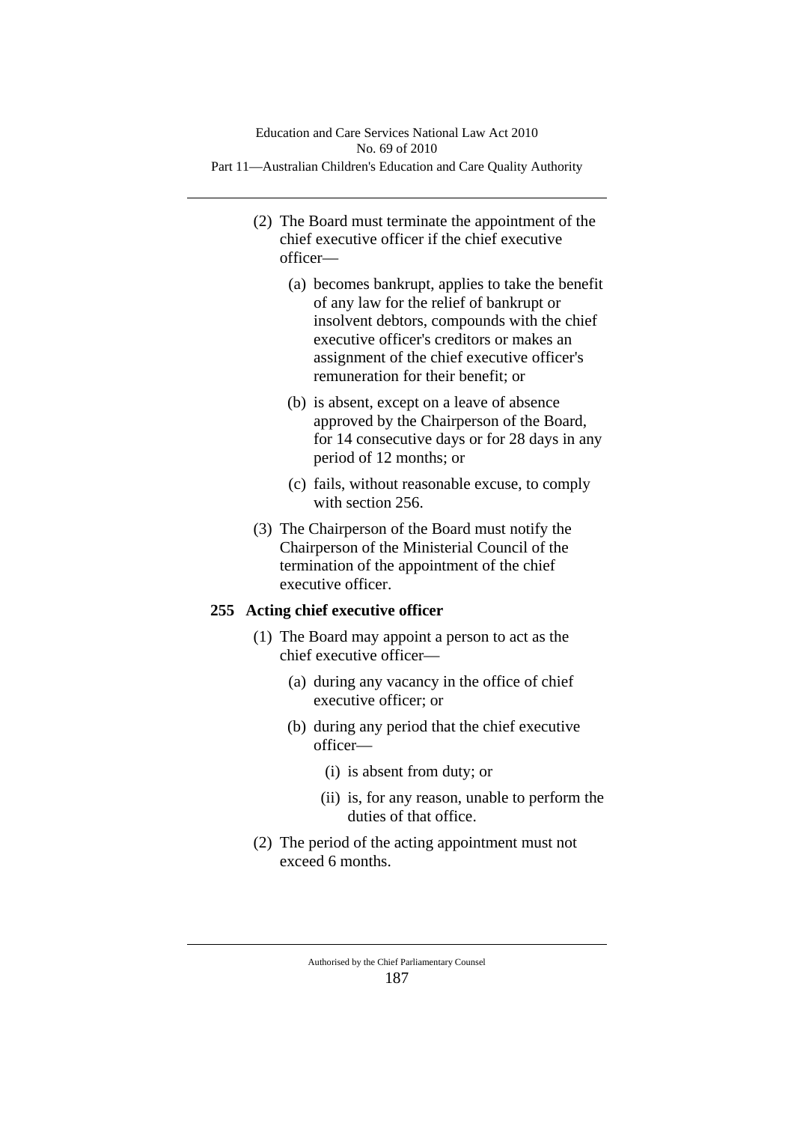- (2) The Board must terminate the appointment of the chief executive officer if the chief executive officer—
	- (a) becomes bankrupt, applies to take the benefit of any law for the relief of bankrupt or insolvent debtors, compounds with the chief executive officer's creditors or makes an assignment of the chief executive officer's remuneration for their benefit; or
	- (b) is absent, except on a leave of absence approved by the Chairperson of the Board, for 14 consecutive days or for 28 days in any period of 12 months; or
	- (c) fails, without reasonable excuse, to comply with section 256.
- (3) The Chairperson of the Board must notify the Chairperson of the Ministerial Council of the termination of the appointment of the chief executive officer.

# **255 Acting chief executive officer**

- (1) The Board may appoint a person to act as the chief executive officer—
	- (a) during any vacancy in the office of chief executive officer; or
	- (b) during any period that the chief executive officer—
		- (i) is absent from duty; or
		- (ii) is, for any reason, unable to perform the duties of that office.
- (2) The period of the acting appointment must not exceed 6 months.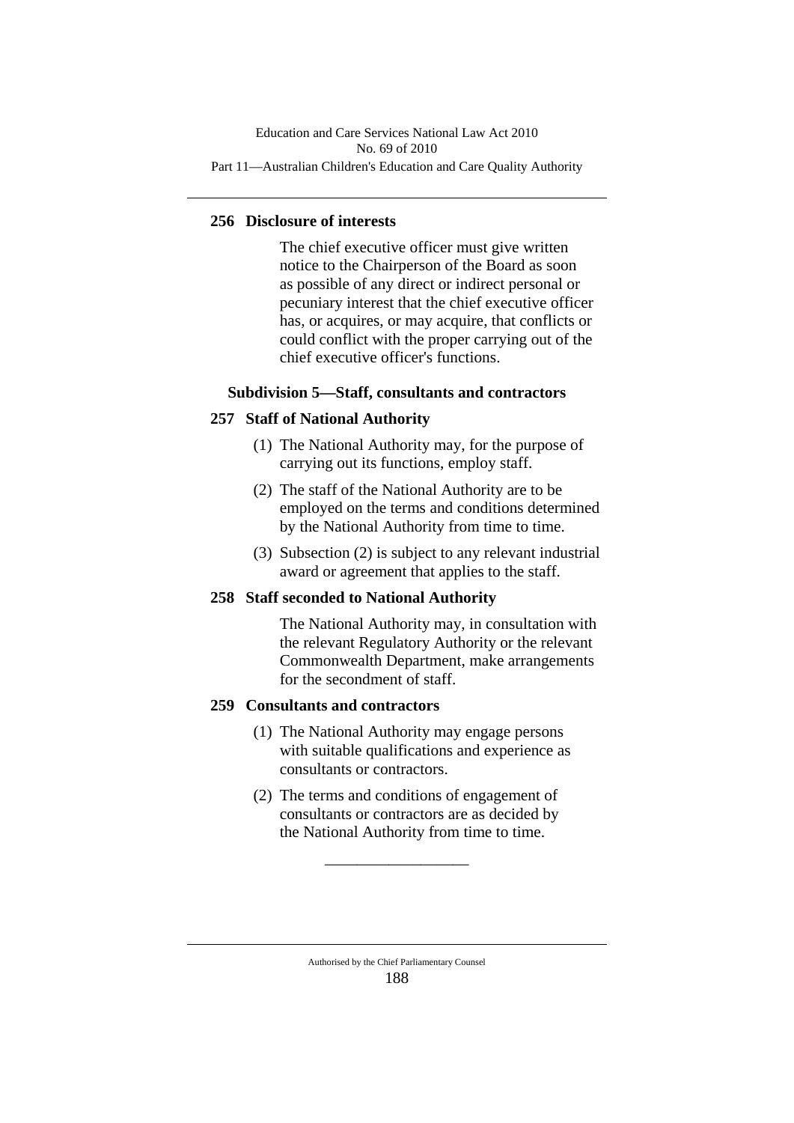## **256 Disclosure of interests**

The chief executive officer must give written notice to the Chairperson of the Board as soon as possible of any direct or indirect personal or pecuniary interest that the chief executive officer has, or acquires, or may acquire, that conflicts or could conflict with the proper carrying out of the chief executive officer's functions.

### **Subdivision 5—Staff, consultants and contractors**

## **257 Staff of National Authority**

- (1) The National Authority may, for the purpose of carrying out its functions, employ staff.
- (2) The staff of the National Authority are to be employed on the terms and conditions determined by the National Authority from time to time.
- (3) Subsection (2) is subject to any relevant industrial award or agreement that applies to the staff.

### **258 Staff seconded to National Authority**

The National Authority may, in consultation with the relevant Regulatory Authority or the relevant Commonwealth Department, make arrangements for the secondment of staff.

### **259 Consultants and contractors**

- (1) The National Authority may engage persons with suitable qualifications and experience as consultants or contractors.
- (2) The terms and conditions of engagement of consultants or contractors are as decided by the National Authority from time to time.

\_\_\_\_\_\_\_\_\_\_\_\_\_\_\_\_\_\_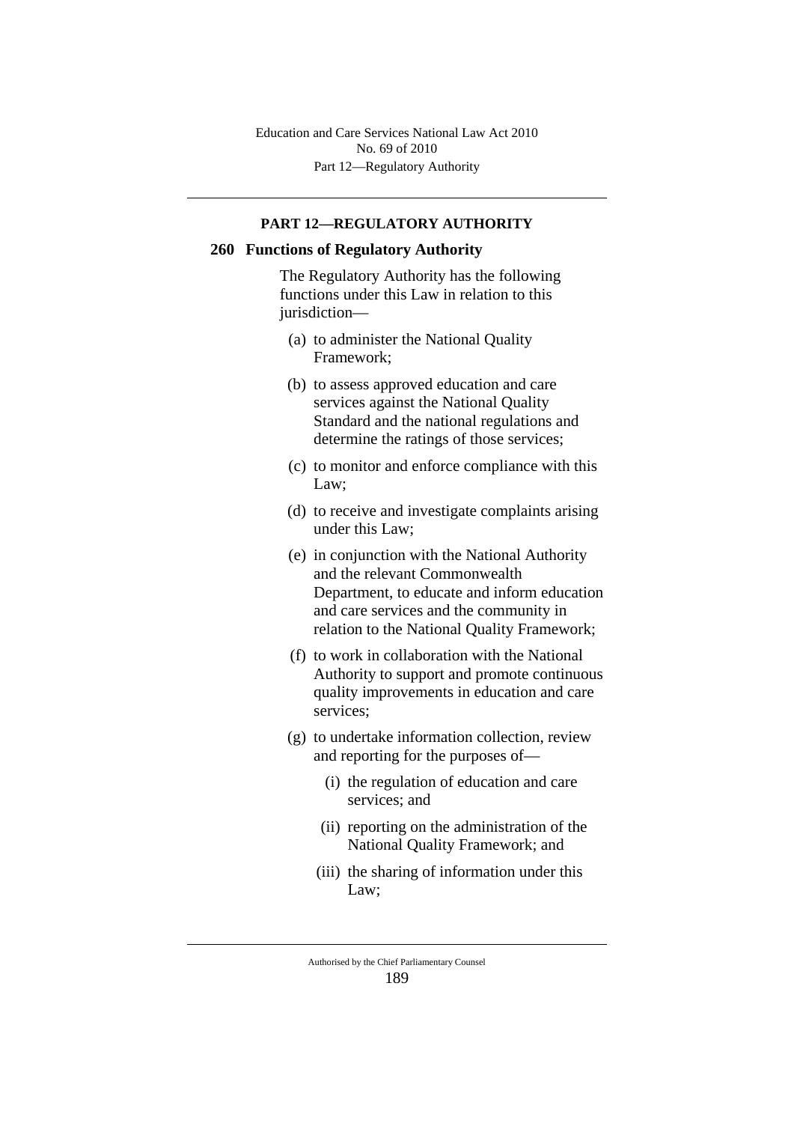Part 12—Regulatory Authority Education and Care Services National Law Act 2010 No. 69 of 2010

#### **PART 12—REGULATORY AUTHORITY**

### **260 Functions of Regulatory Authority**

The Regulatory Authority has the following functions under this Law in relation to this jurisdiction—

- (a) to administer the National Quality Framework;
- (b) to assess approved education and care services against the National Quality Standard and the national regulations and determine the ratings of those services;
- (c) to monitor and enforce compliance with this Law;
- (d) to receive and investigate complaints arising under this Law;
- (e) in conjunction with the National Authority and the relevant Commonwealth Department, to educate and inform education and care services and the community in relation to the National Quality Framework;
- (f) to work in collaboration with the National Authority to support and promote continuous quality improvements in education and care services;
- (g) to undertake information collection, review and reporting for the purposes of—
	- (i) the regulation of education and care services; and
	- (ii) reporting on the administration of the National Quality Framework; and
	- (iii) the sharing of information under this Law;

Authorised by the Chief Parliamentary Counsel 189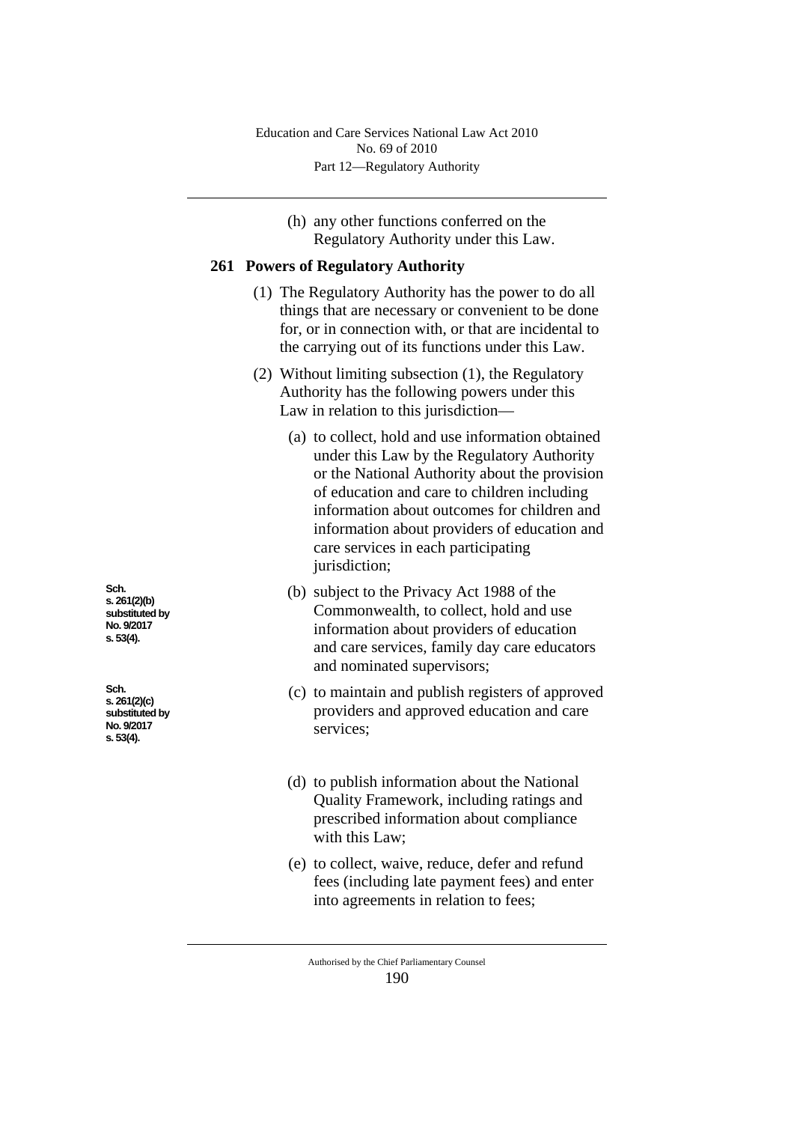(h) any other functions conferred on the Regulatory Authority under this Law.

## **261 Powers of Regulatory Authority**

- (1) The Regulatory Authority has the power to do all things that are necessary or convenient to be done for, or in connection with, or that are incidental to the carrying out of its functions under this Law.
- (2) Without limiting subsection (1), the Regulatory Authority has the following powers under this Law in relation to this jurisdiction—
	- (a) to collect, hold and use information obtained under this Law by the Regulatory Authority or the National Authority about the provision of education and care to children including information about outcomes for children and information about providers of education and care services in each participating jurisdiction;
	- (b) subject to the Privacy Act 1988 of the Commonwealth, to collect, hold and use information about providers of education and care services, family day care educators and nominated supervisors;
	- (c) to maintain and publish registers of approved providers and approved education and care services;
	- (d) to publish information about the National Quality Framework, including ratings and prescribed information about compliance with this Law;
	- (e) to collect, waive, reduce, defer and refund fees (including late payment fees) and enter into agreements in relation to fees;

**Sch. s. 261(2)(b) substituted by No. 9/2017 s. 53(4).**

**Sch. s. 261(2)(c) substituted by No. 9/2017 s. 53(4).**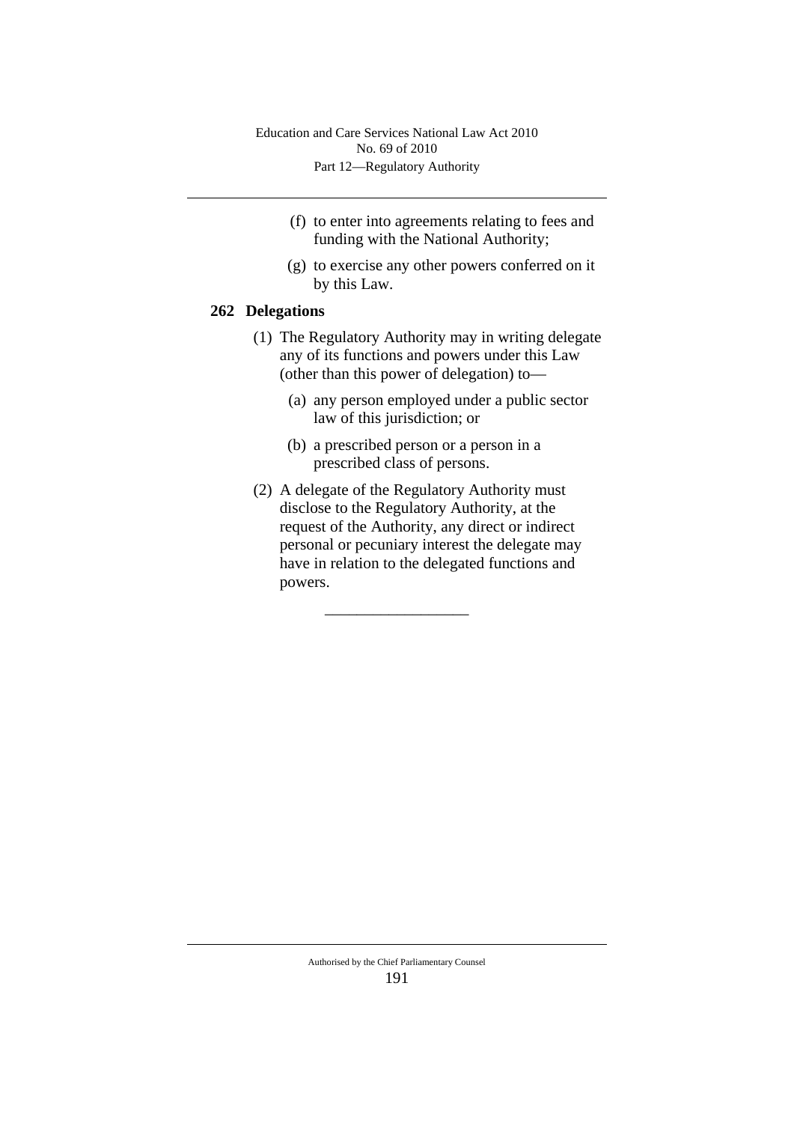- (f) to enter into agreements relating to fees and funding with the National Authority;
- (g) to exercise any other powers conferred on it by this Law.

## **262 Delegations**

- (1) The Regulatory Authority may in writing delegate any of its functions and powers under this Law (other than this power of delegation) to—
	- (a) any person employed under a public sector law of this jurisdiction; or
	- (b) a prescribed person or a person in a prescribed class of persons.
- (2) A delegate of the Regulatory Authority must disclose to the Regulatory Authority, at the request of the Authority, any direct or indirect personal or pecuniary interest the delegate may have in relation to the delegated functions and powers.

\_\_\_\_\_\_\_\_\_\_\_\_\_\_\_\_\_\_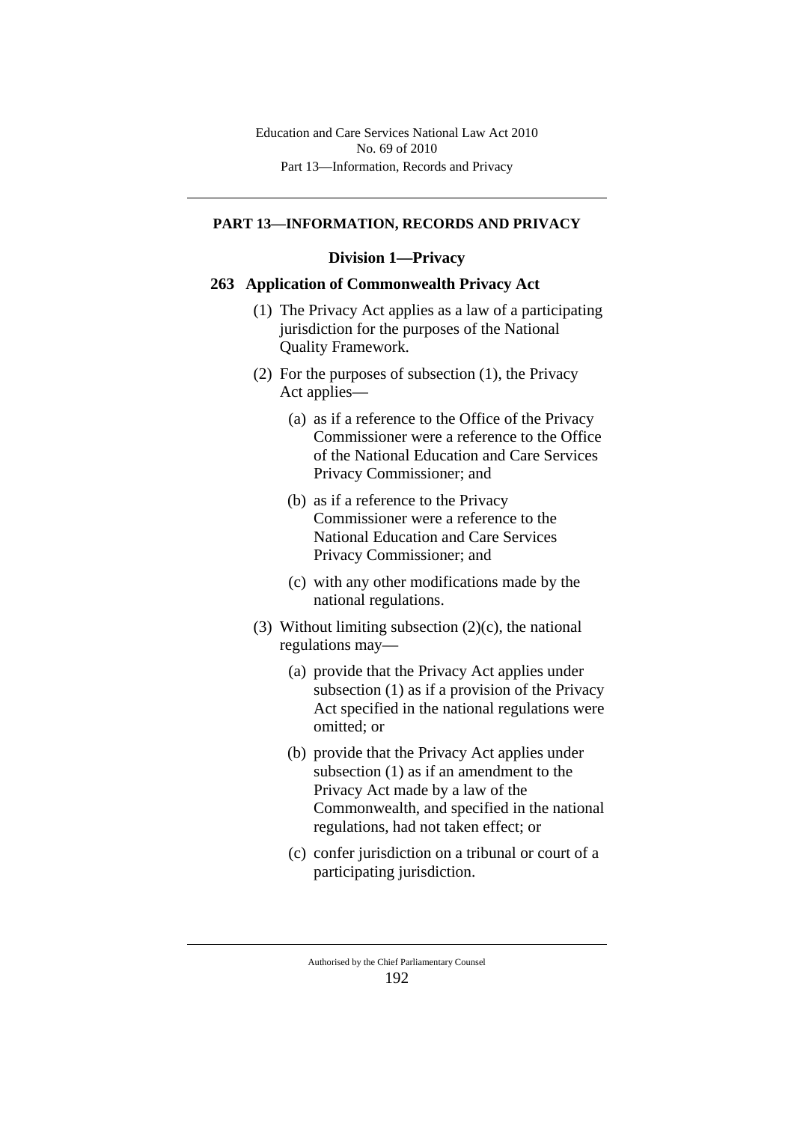#### **PART 13—INFORMATION, RECORDS AND PRIVACY**

#### **Division 1—Privacy**

### **263 Application of Commonwealth Privacy Act**

- (1) The Privacy Act applies as a law of a participating jurisdiction for the purposes of the National Quality Framework.
- (2) For the purposes of subsection (1), the Privacy Act applies—
	- (a) as if a reference to the Office of the Privacy Commissioner were a reference to the Office of the National Education and Care Services Privacy Commissioner; and
	- (b) as if a reference to the Privacy Commissioner were a reference to the National Education and Care Services Privacy Commissioner; and
	- (c) with any other modifications made by the national regulations.
- (3) Without limiting subsection  $(2)(c)$ , the national regulations may—
	- (a) provide that the Privacy Act applies under subsection (1) as if a provision of the Privacy Act specified in the national regulations were omitted; or
	- (b) provide that the Privacy Act applies under subsection (1) as if an amendment to the Privacy Act made by a law of the Commonwealth, and specified in the national regulations, had not taken effect; or
	- (c) confer jurisdiction on a tribunal or court of a participating jurisdiction.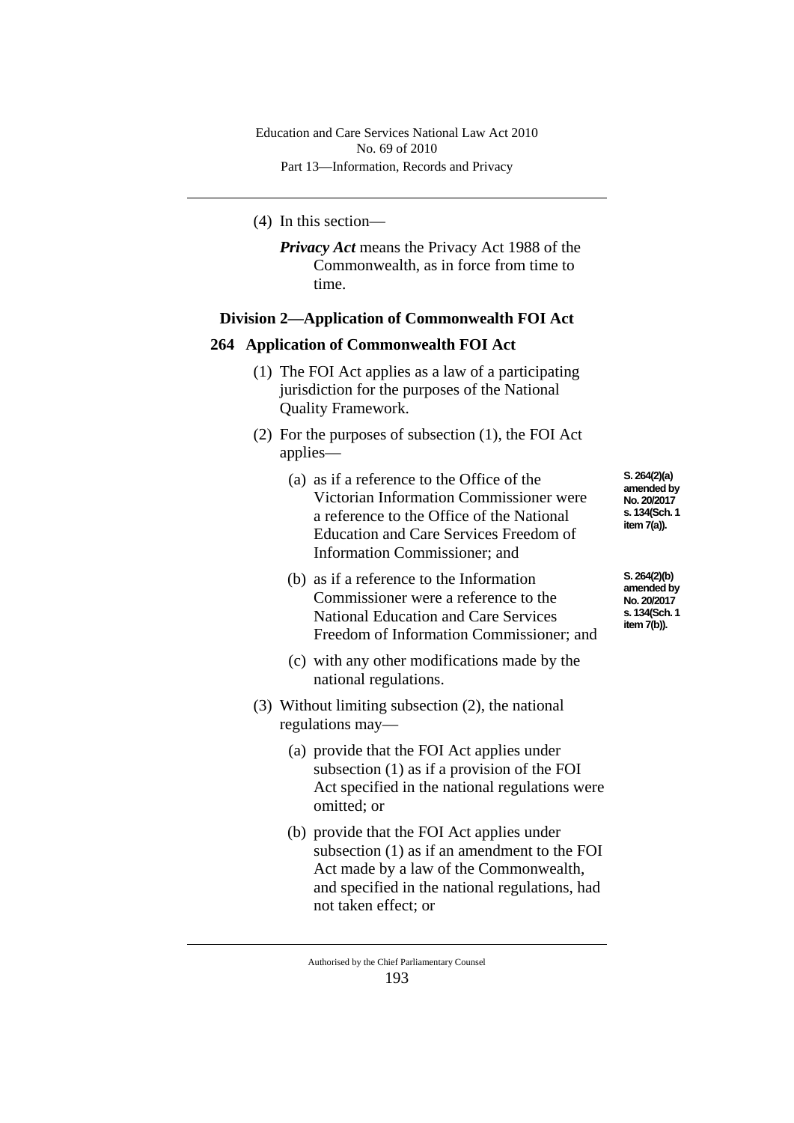(4) In this section—

*Privacy Act* means the Privacy Act 1988 of the Commonwealth, as in force from time to time.

## **Division 2—Application of Commonwealth FOI Act**

### **264 Application of Commonwealth FOI Act**

- (1) The FOI Act applies as a law of a participating jurisdiction for the purposes of the National Quality Framework.
- (2) For the purposes of subsection (1), the FOI Act applies—
	- (a) as if a reference to the Office of the Victorian Information Commissioner were a reference to the Office of the National Education and Care Services Freedom of Information Commissioner; and
	- (b) as if a reference to the Information Commissioner were a reference to the National Education and Care Services Freedom of Information Commissioner; and
	- (c) with any other modifications made by the national regulations.
- (3) Without limiting subsection (2), the national regulations may—
	- (a) provide that the FOI Act applies under subsection (1) as if a provision of the FOI Act specified in the national regulations were omitted; or
	- (b) provide that the FOI Act applies under subsection (1) as if an amendment to the FOI Act made by a law of the Commonwealth, and specified in the national regulations, had not taken effect; or

**S. 264(2)(a) amended by No. 20/2017 s. 134(Sch. 1 item 7(a)).**

**S. 264(2)(b) amended by No. 20/2017 s. 134(Sch. 1 item 7(b)).**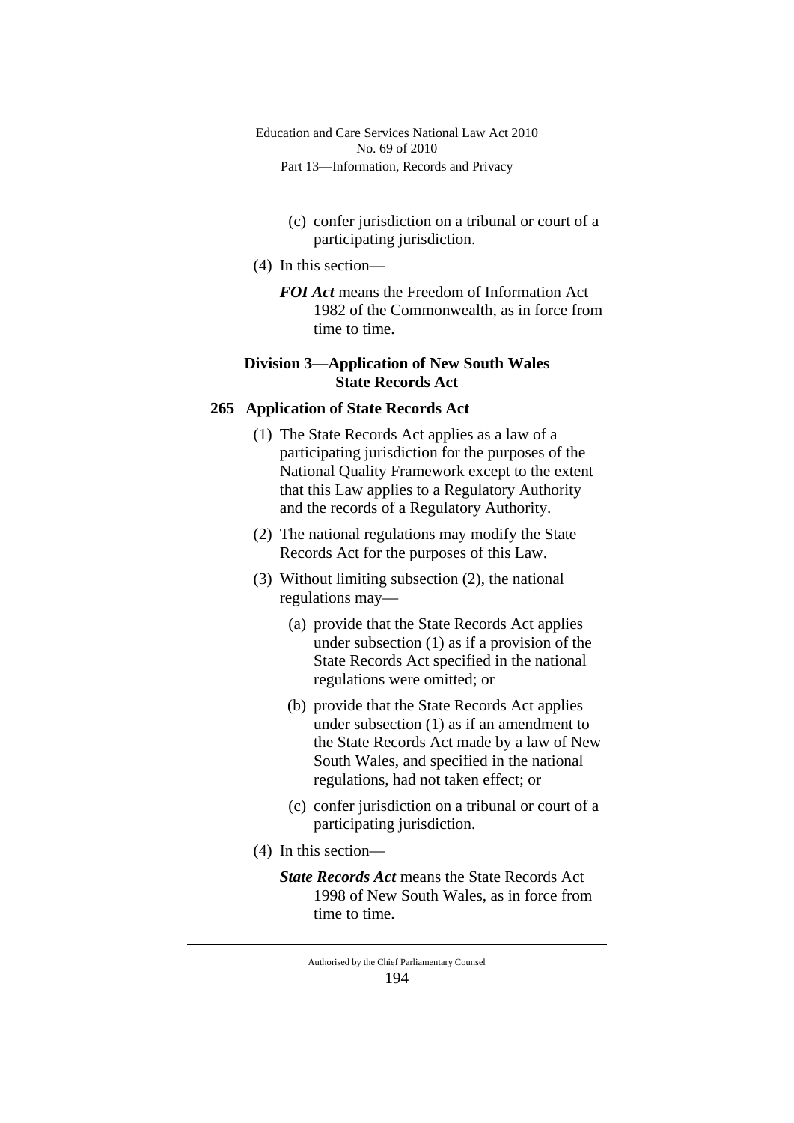- (c) confer jurisdiction on a tribunal or court of a participating jurisdiction.
- (4) In this section—
	- *FOI Act* means the Freedom of Information Act 1982 of the Commonwealth, as in force from time to time.

# **Division 3—Application of New South Wales State Records Act**

## **265 Application of State Records Act**

- (1) The State Records Act applies as a law of a participating jurisdiction for the purposes of the National Quality Framework except to the extent that this Law applies to a Regulatory Authority and the records of a Regulatory Authority.
- (2) The national regulations may modify the State Records Act for the purposes of this Law.
- (3) Without limiting subsection (2), the national regulations may—
	- (a) provide that the State Records Act applies under subsection (1) as if a provision of the State Records Act specified in the national regulations were omitted; or
	- (b) provide that the State Records Act applies under subsection (1) as if an amendment to the State Records Act made by a law of New South Wales, and specified in the national regulations, had not taken effect; or
	- (c) confer jurisdiction on a tribunal or court of a participating jurisdiction.
- (4) In this section—
	- *State Records Act* means the State Records Act 1998 of New South Wales, as in force from time to time.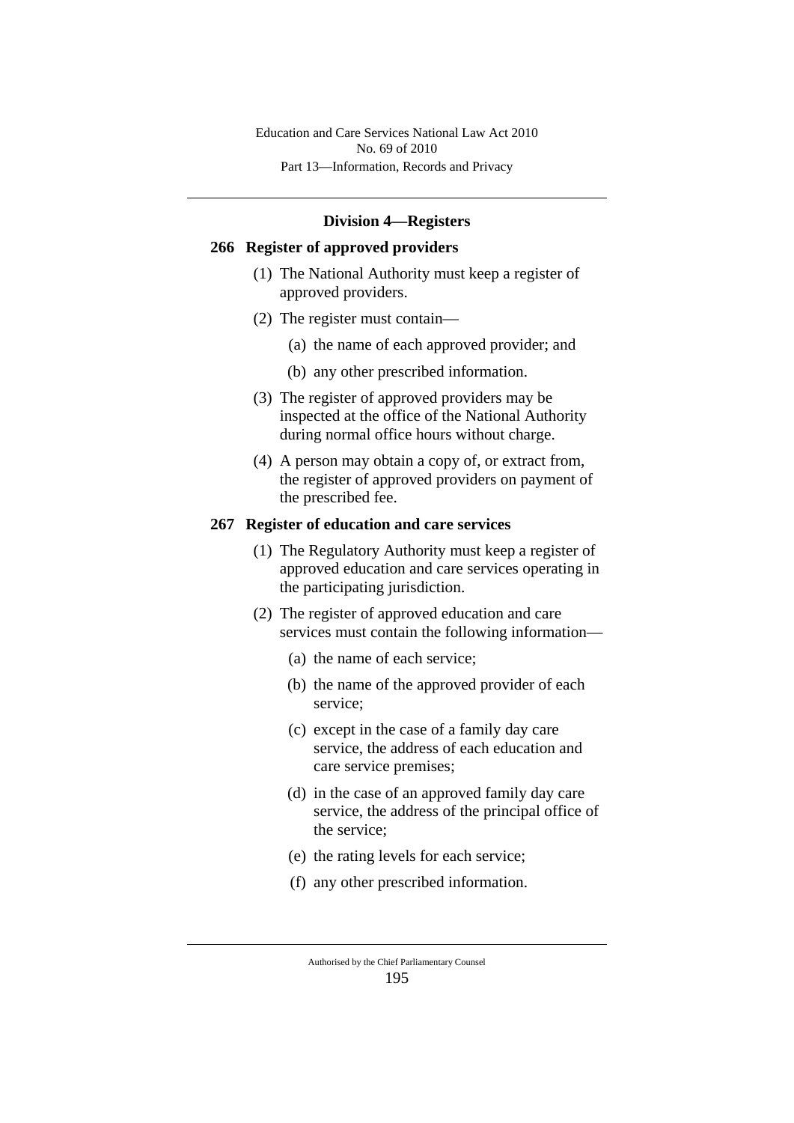### **Division 4—Registers**

## **266 Register of approved providers**

- (1) The National Authority must keep a register of approved providers.
- (2) The register must contain—
	- (a) the name of each approved provider; and
	- (b) any other prescribed information.
- (3) The register of approved providers may be inspected at the office of the National Authority during normal office hours without charge.
- (4) A person may obtain a copy of, or extract from, the register of approved providers on payment of the prescribed fee.

#### **267 Register of education and care services**

- (1) The Regulatory Authority must keep a register of approved education and care services operating in the participating jurisdiction.
- (2) The register of approved education and care services must contain the following information—
	- (a) the name of each service;
	- (b) the name of the approved provider of each service;
	- (c) except in the case of a family day care service, the address of each education and care service premises;
	- (d) in the case of an approved family day care service, the address of the principal office of the service;
	- (e) the rating levels for each service;
	- (f) any other prescribed information.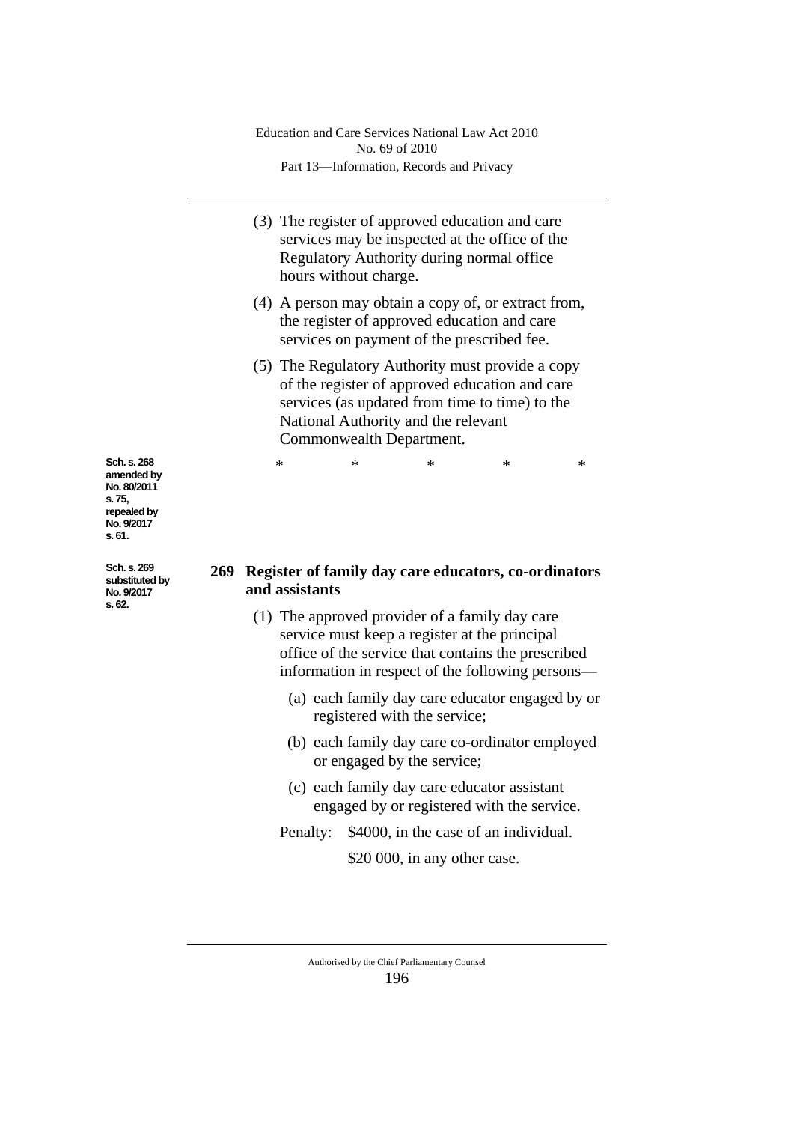- (3) The register of approved education and care services may be inspected at the office of the Regulatory Authority during normal office hours without charge.
- (4) A person may obtain a copy of, or extract from, the register of approved education and care services on payment of the prescribed fee.
- (5) The Regulatory Authority must provide a copy of the register of approved education and care services (as updated from time to time) to the National Authority and the relevant Commonwealth Department.

\* \* \* \* \*

**Sch. s. 268 amended by No. 80/2011 s. 75, repealed by No. 9/2017 s. 61.**

**Sch. s. 269 substituted by No. 9/2017 s. 62.**

### **269 Register of family day care educators, co-ordinators and assistants**

- (1) The approved provider of a family day care service must keep a register at the principal office of the service that contains the prescribed information in respect of the following persons—
	- (a) each family day care educator engaged by or registered with the service;
	- (b) each family day care co-ordinator employed or engaged by the service;
	- (c) each family day care educator assistant engaged by or registered with the service.

Penalty: \$4000, in the case of an individual.

\$20 000, in any other case.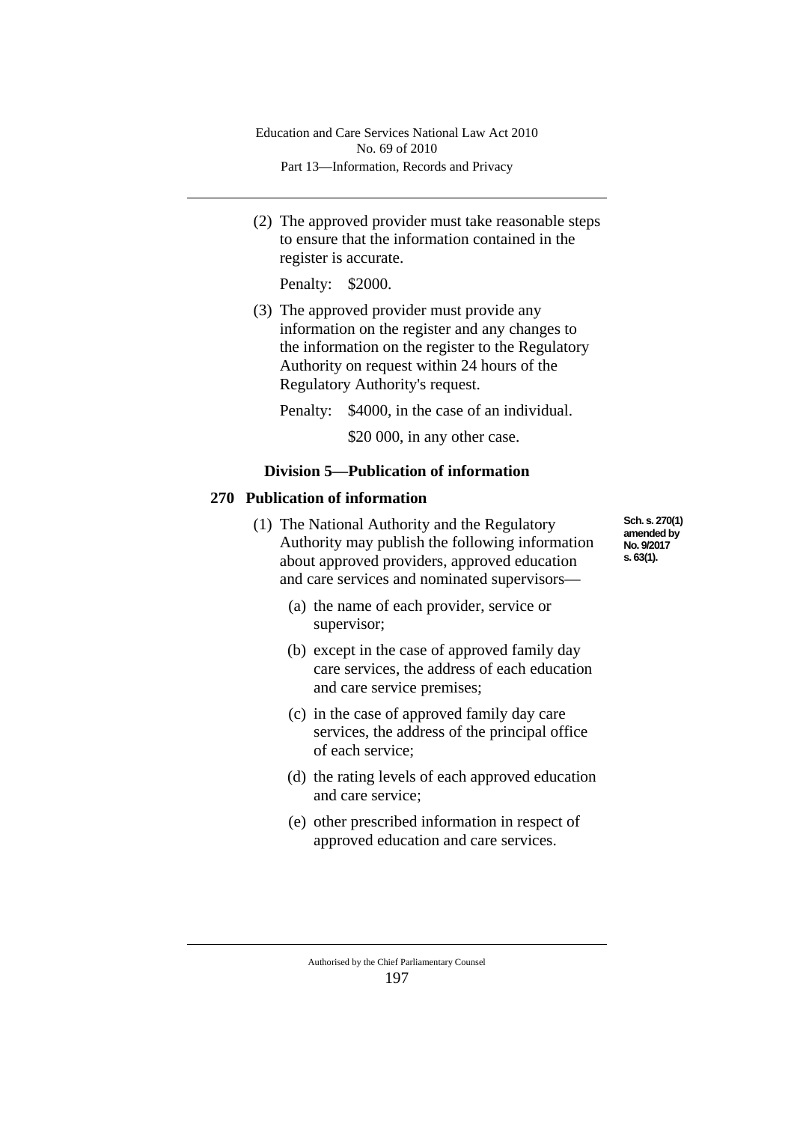(2) The approved provider must take reasonable steps to ensure that the information contained in the register is accurate.

Penalty: \$2000.

(3) The approved provider must provide any information on the register and any changes to the information on the register to the Regulatory Authority on request within 24 hours of the Regulatory Authority's request.

Penalty: \$4000, in the case of an individual.

\$20 000, in any other case.

# **Division 5—Publication of information**

# **270 Publication of information**

- (1) The National Authority and the Regulatory Authority may publish the following information about approved providers, approved education and care services and nominated supervisors—
	- (a) the name of each provider, service or supervisor;
	- (b) except in the case of approved family day care services, the address of each education and care service premises;
	- (c) in the case of approved family day care services, the address of the principal office of each service;
	- (d) the rating levels of each approved education and care service;
	- (e) other prescribed information in respect of approved education and care services.
		- Authorised by the Chief Parliamentary Counsel 197

**Sch. s. 270(1) amended by No. 9/2017 s. 63(1).**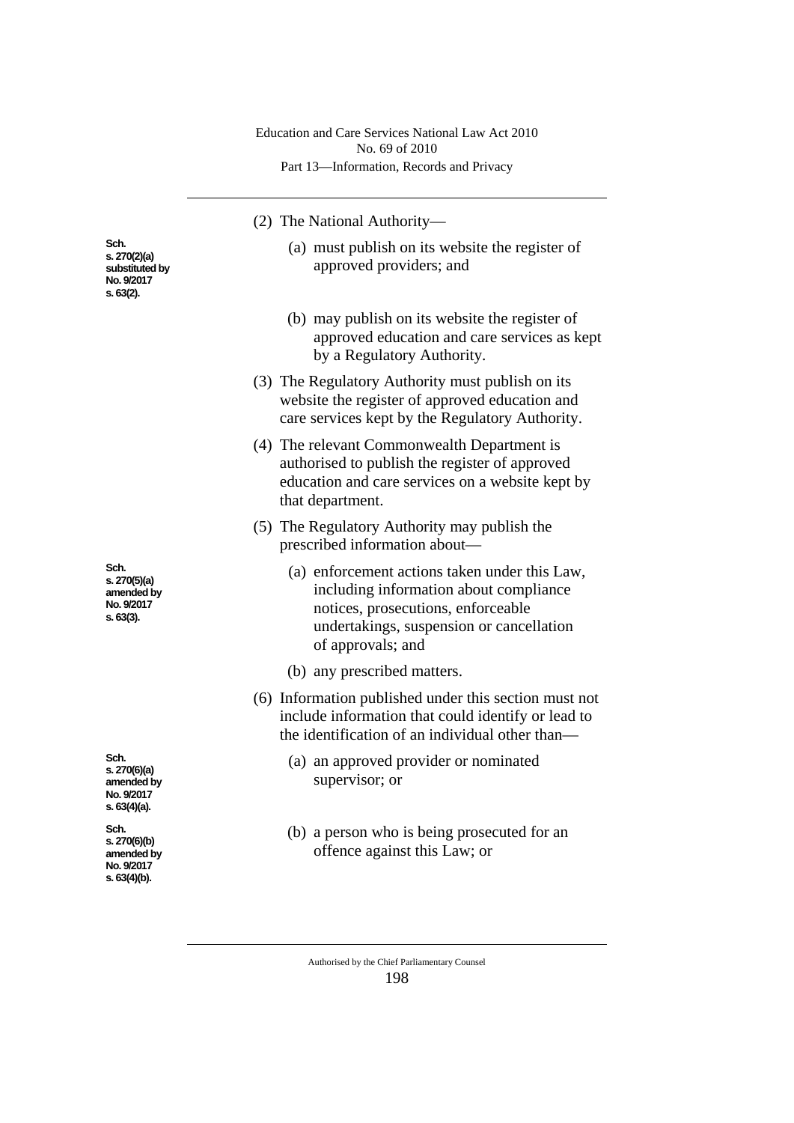|                                                                     | Education and Care Services National Law Act 2010<br>No. 69 of 2010                                                                                                                            |
|---------------------------------------------------------------------|------------------------------------------------------------------------------------------------------------------------------------------------------------------------------------------------|
|                                                                     | Part 13-Information, Records and Privacy                                                                                                                                                       |
|                                                                     | (2) The National Authority-                                                                                                                                                                    |
| Sch.<br>s. 270(2)(a)<br>substituted by<br>No. 9/2017<br>s. 63(2).   | (a) must publish on its website the register of<br>approved providers; and                                                                                                                     |
|                                                                     | (b) may publish on its website the register of<br>approved education and care services as kept<br>by a Regulatory Authority.                                                                   |
|                                                                     | (3) The Regulatory Authority must publish on its<br>website the register of approved education and<br>care services kept by the Regulatory Authority.                                          |
|                                                                     | (4) The relevant Commonwealth Department is<br>authorised to publish the register of approved<br>education and care services on a website kept by<br>that department.                          |
|                                                                     | (5) The Regulatory Authority may publish the<br>prescribed information about—                                                                                                                  |
| Sch.<br>s. 270(5)(a)<br>amended by<br>No. 9/2017<br>S. 63(3).       | (a) enforcement actions taken under this Law,<br>including information about compliance<br>notices, prosecutions, enforceable<br>undertakings, suspension or cancellation<br>of approvals; and |
|                                                                     | (b) any prescribed matters.                                                                                                                                                                    |
|                                                                     | (6) Information published under this section must not<br>include information that could identify or lead to<br>the identification of an individual other than—                                 |
| Sch.<br>s. 270(6)(a)<br>amended by<br>No. 9/2017<br>s. 63(4)(a).    | (a) an approved provider or nominated<br>supervisor; or                                                                                                                                        |
| Sch.<br>s. 270(6)(b)<br>amended by<br>No. 9/2017<br>$s. 63(4)(b)$ . | (b) a person who is being prosecuted for an<br>offence against this Law; or                                                                                                                    |
|                                                                     |                                                                                                                                                                                                |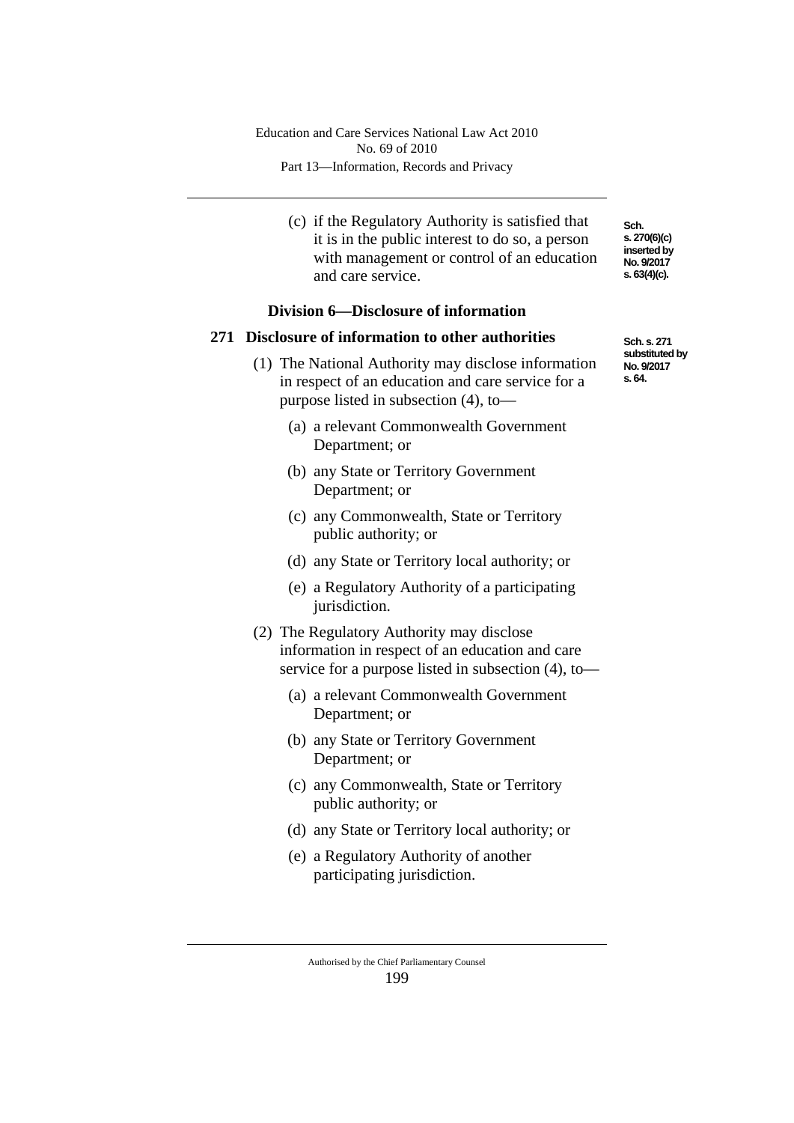(c) if the Regulatory Authority is satisfied that it is in the public interest to do so, a person with management or control of an education and care service.

## **Division 6—Disclosure of information**

#### **271 Disclosure of information to other authorities**

- (1) The National Authority may disclose information in respect of an education and care service for a purpose listed in subsection (4), to—
	- (a) a relevant Commonwealth Government Department; or
	- (b) any State or Territory Government Department; or
	- (c) any Commonwealth, State or Territory public authority; or
	- (d) any State or Territory local authority; or
	- (e) a Regulatory Authority of a participating jurisdiction.
- (2) The Regulatory Authority may disclose information in respect of an education and care service for a purpose listed in subsection (4), to—
	- (a) a relevant Commonwealth Government Department; or
	- (b) any State or Territory Government Department; or
	- (c) any Commonwealth, State or Territory public authority; or
	- (d) any State or Territory local authority; or
	- (e) a Regulatory Authority of another participating jurisdiction.

Authorised by the Chief Parliamentary Counsel 199

**Sch. s. 270(6)(c) inserted by No. 9/2017 s. 63(4)(c).**

**Sch. s. 271 substituted by No. 9/2017 s. 64.**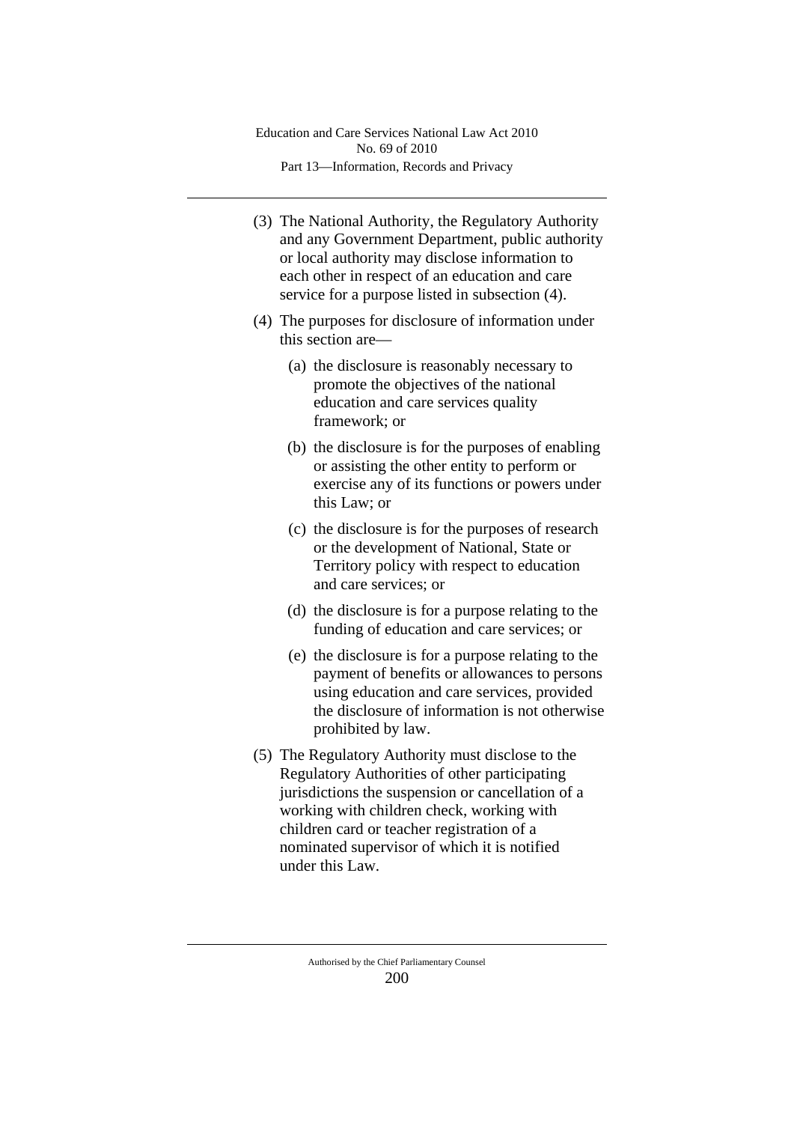- (3) The National Authority, the Regulatory Authority and any Government Department, public authority or local authority may disclose information to each other in respect of an education and care service for a purpose listed in subsection (4).
- (4) The purposes for disclosure of information under this section are—
	- (a) the disclosure is reasonably necessary to promote the objectives of the national education and care services quality framework; or
	- (b) the disclosure is for the purposes of enabling or assisting the other entity to perform or exercise any of its functions or powers under this Law; or
	- (c) the disclosure is for the purposes of research or the development of National, State or Territory policy with respect to education and care services; or
	- (d) the disclosure is for a purpose relating to the funding of education and care services; or
	- (e) the disclosure is for a purpose relating to the payment of benefits or allowances to persons using education and care services, provided the disclosure of information is not otherwise prohibited by law.
- (5) The Regulatory Authority must disclose to the Regulatory Authorities of other participating jurisdictions the suspension or cancellation of a working with children check, working with children card or teacher registration of a nominated supervisor of which it is notified under this Law.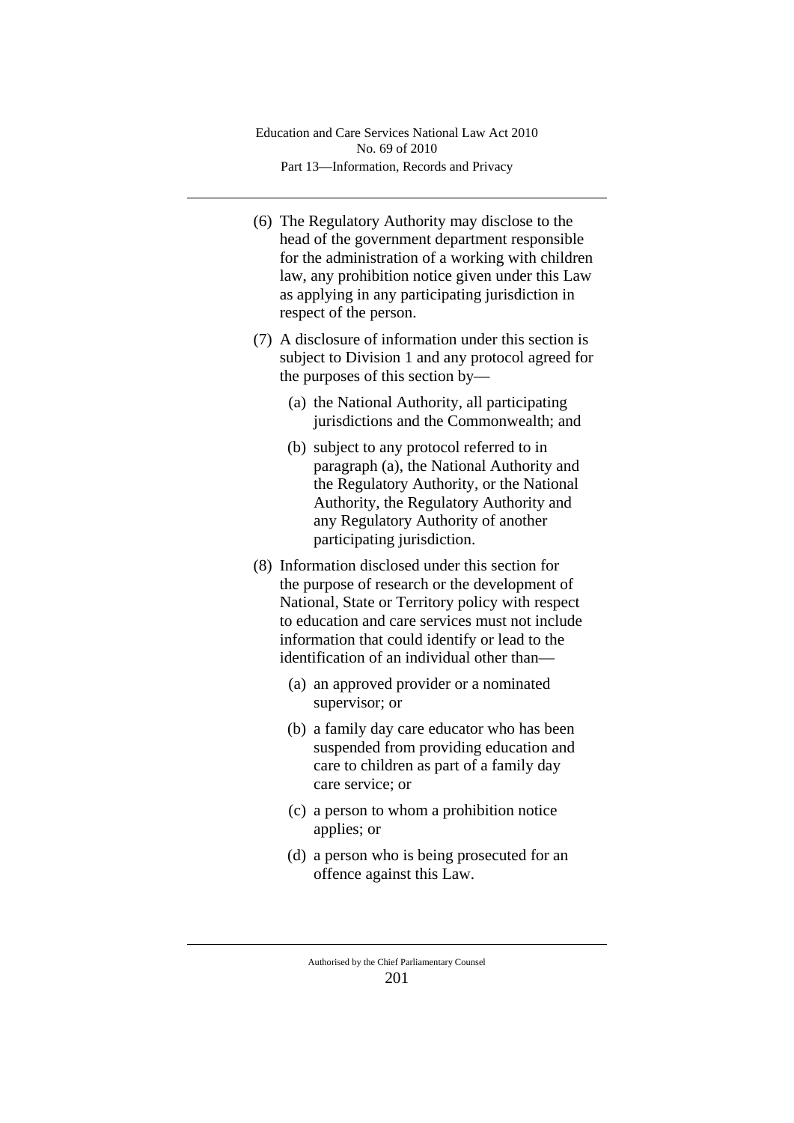- (6) The Regulatory Authority may disclose to the head of the government department responsible for the administration of a working with children law, any prohibition notice given under this Law as applying in any participating jurisdiction in respect of the person.
- (7) A disclosure of information under this section is subject to Division 1 and any protocol agreed for the purposes of this section by—
	- (a) the National Authority, all participating jurisdictions and the Commonwealth; and
	- (b) subject to any protocol referred to in paragraph (a), the National Authority and the Regulatory Authority, or the National Authority, the Regulatory Authority and any Regulatory Authority of another participating jurisdiction.
- (8) Information disclosed under this section for the purpose of research or the development of National, State or Territory policy with respect to education and care services must not include information that could identify or lead to the identification of an individual other than—
	- (a) an approved provider or a nominated supervisor; or
	- (b) a family day care educator who has been suspended from providing education and care to children as part of a family day care service; or
	- (c) a person to whom a prohibition notice applies; or
	- (d) a person who is being prosecuted for an offence against this Law.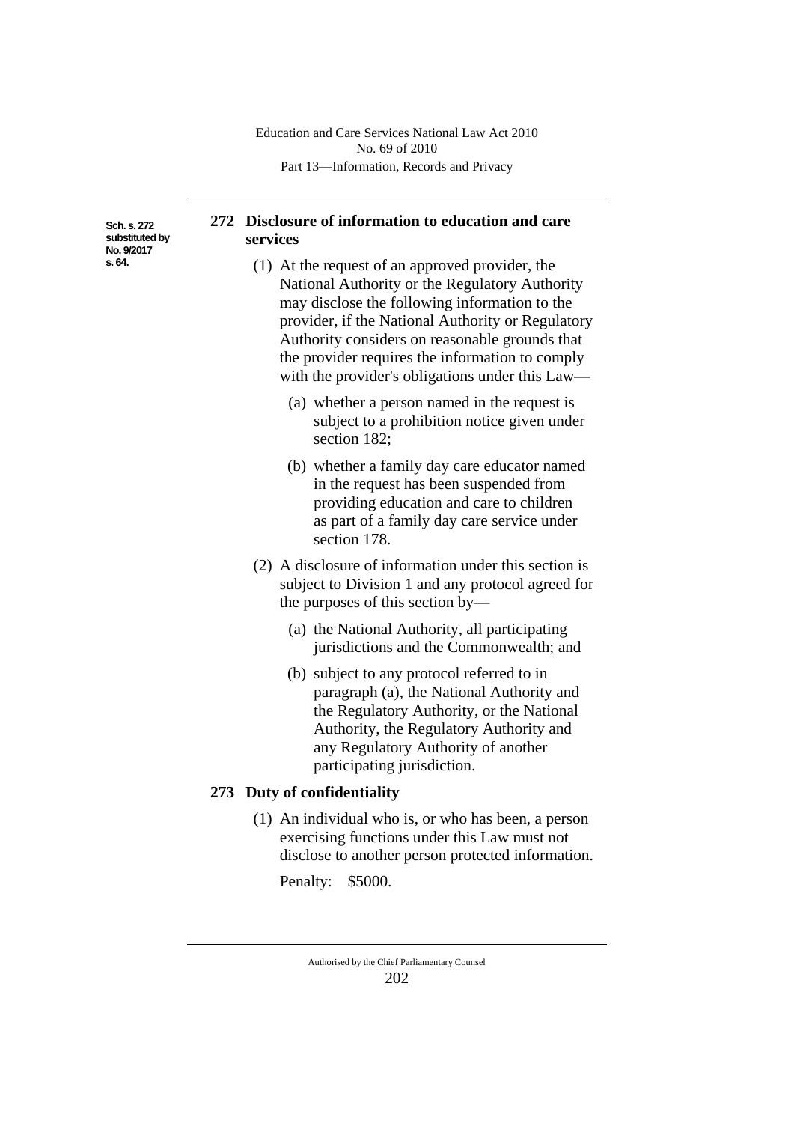**Sch. s. 272 substituted by No. 9/2017 s. 64.**

# **272 Disclosure of information to education and care services**

- (1) At the request of an approved provider, the National Authority or the Regulatory Authority may disclose the following information to the provider, if the National Authority or Regulatory Authority considers on reasonable grounds that the provider requires the information to comply with the provider's obligations under this Law—
	- (a) whether a person named in the request is subject to a prohibition notice given under section 182;
	- (b) whether a family day care educator named in the request has been suspended from providing education and care to children as part of a family day care service under section 178.
- (2) A disclosure of information under this section is subject to Division 1 and any protocol agreed for the purposes of this section by—
	- (a) the National Authority, all participating jurisdictions and the Commonwealth; and
	- (b) subject to any protocol referred to in paragraph (a), the National Authority and the Regulatory Authority, or the National Authority, the Regulatory Authority and any Regulatory Authority of another participating jurisdiction.

# **273 Duty of confidentiality**

(1) An individual who is, or who has been, a person exercising functions under this Law must not disclose to another person protected information.

Penalty: \$5000.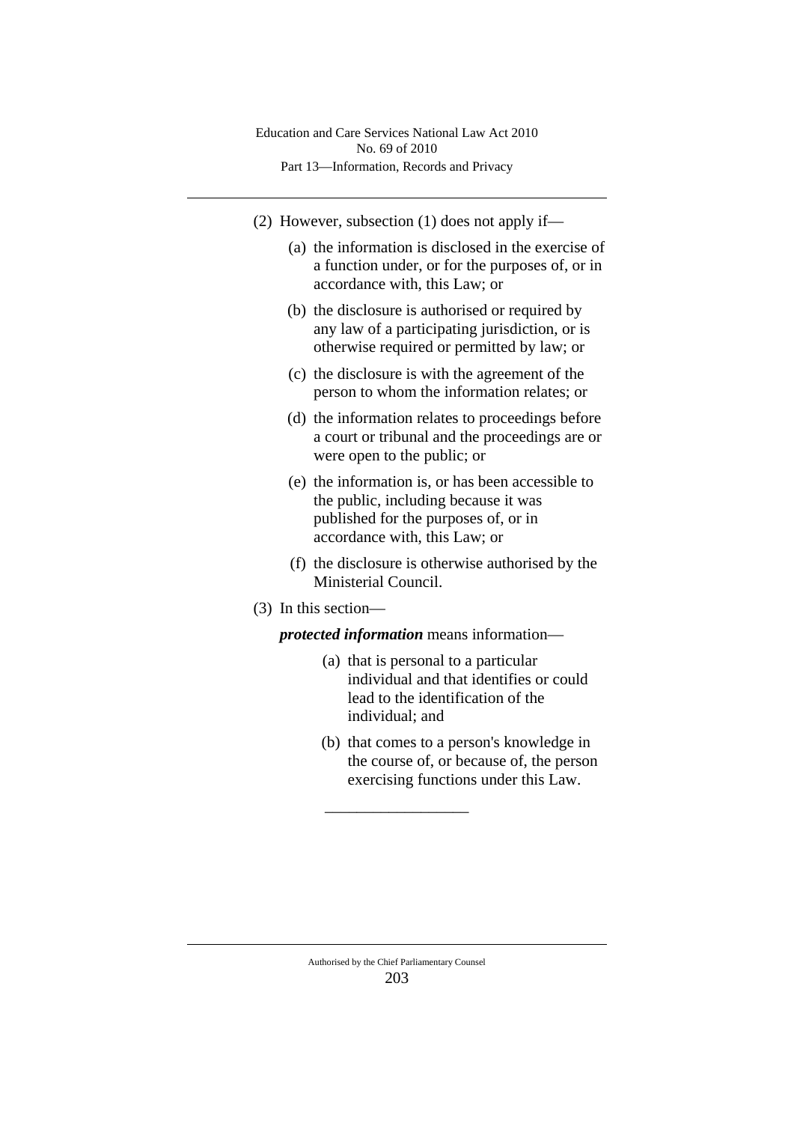Part 13—Information, Records and Privacy Education and Care Services National Law Act 2010 No. 69 of 2010

- (2) However, subsection (1) does not apply if—
	- (a) the information is disclosed in the exercise of a function under, or for the purposes of, or in accordance with, this Law; or
	- (b) the disclosure is authorised or required by any law of a participating jurisdiction, or is otherwise required or permitted by law; or
	- (c) the disclosure is with the agreement of the person to whom the information relates; or
	- (d) the information relates to proceedings before a court or tribunal and the proceedings are or were open to the public; or
	- (e) the information is, or has been accessible to the public, including because it was published for the purposes of, or in accordance with, this Law; or
	- (f) the disclosure is otherwise authorised by the Ministerial Council.
- (3) In this section—

*protected information* means information—

- (a) that is personal to a particular individual and that identifies or could lead to the identification of the individual; and
- (b) that comes to a person's knowledge in the course of, or because of, the person exercising functions under this Law.

\_\_\_\_\_\_\_\_\_\_\_\_\_\_\_\_\_\_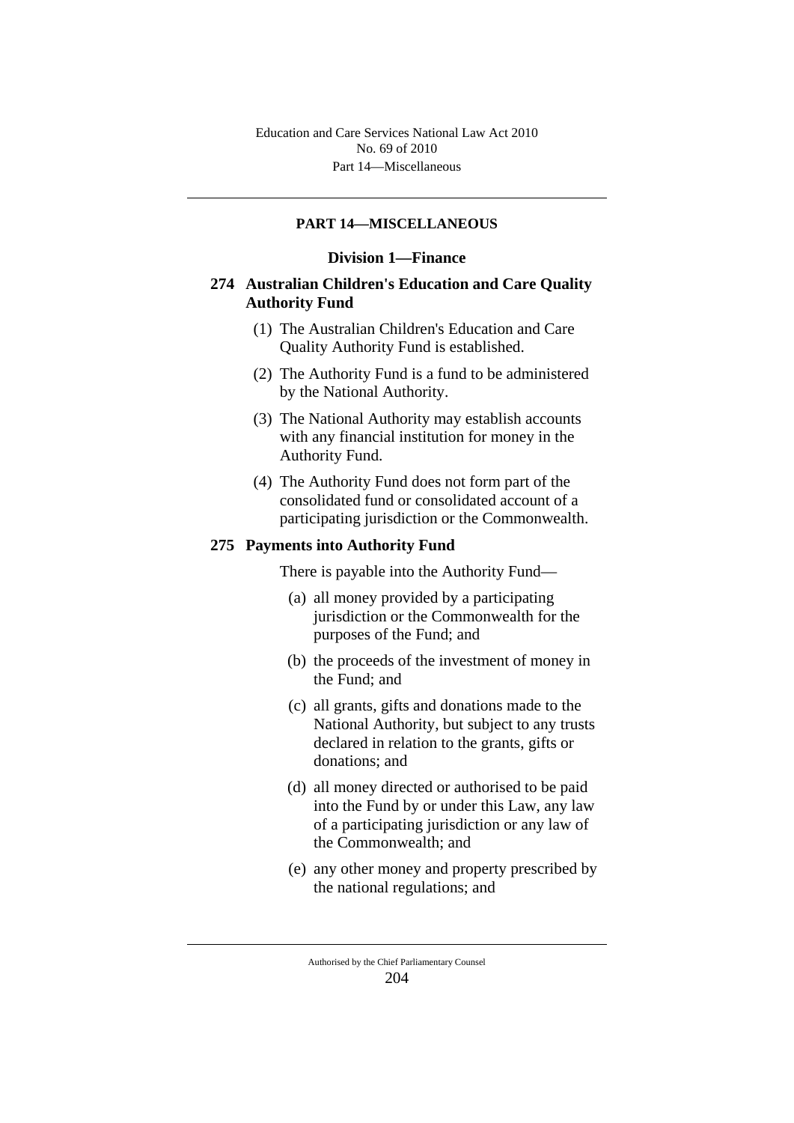### **PART 14—MISCELLANEOUS**

### **Division 1—Finance**

## **274 Australian Children's Education and Care Quality Authority Fund**

- (1) The Australian Children's Education and Care Quality Authority Fund is established.
- (2) The Authority Fund is a fund to be administered by the National Authority.
- (3) The National Authority may establish accounts with any financial institution for money in the Authority Fund.
- (4) The Authority Fund does not form part of the consolidated fund or consolidated account of a participating jurisdiction or the Commonwealth.

#### **275 Payments into Authority Fund**

There is payable into the Authority Fund—

- (a) all money provided by a participating jurisdiction or the Commonwealth for the purposes of the Fund; and
- (b) the proceeds of the investment of money in the Fund; and
- (c) all grants, gifts and donations made to the National Authority, but subject to any trusts declared in relation to the grants, gifts or donations; and
- (d) all money directed or authorised to be paid into the Fund by or under this Law, any law of a participating jurisdiction or any law of the Commonwealth; and
- (e) any other money and property prescribed by the national regulations; and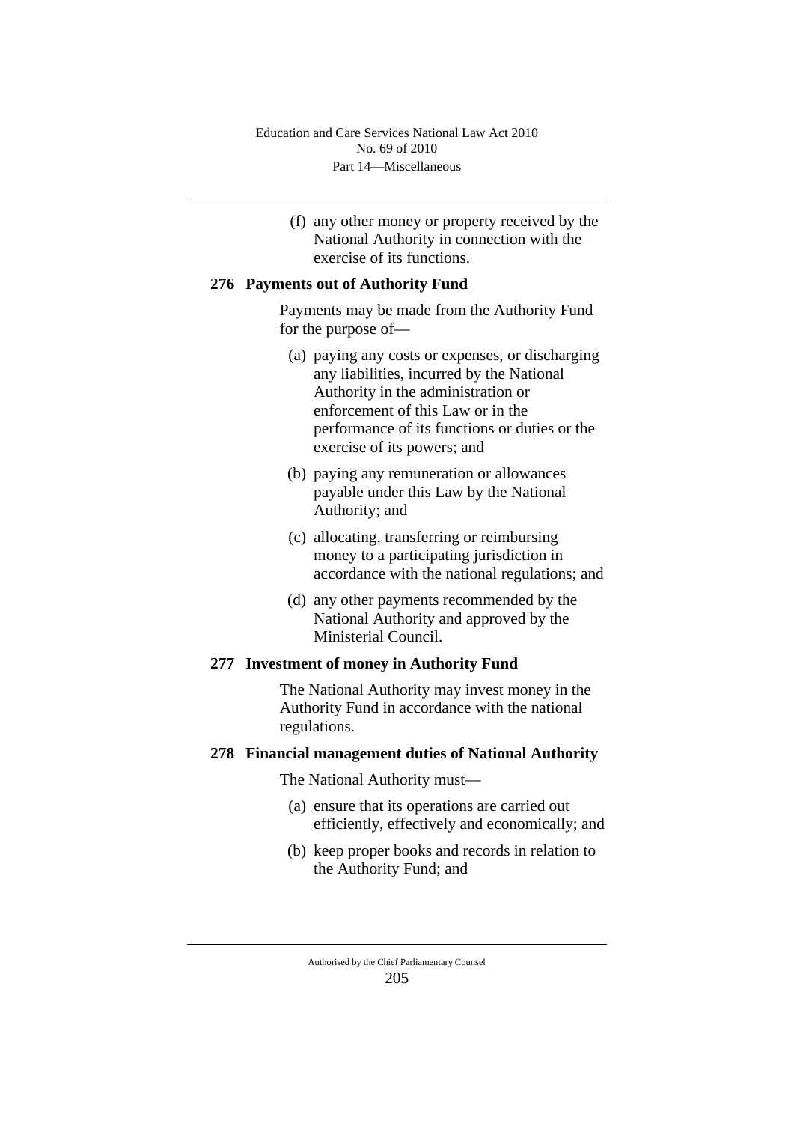(f) any other money or property received by the National Authority in connection with the exercise of its functions.

### **276 Payments out of Authority Fund**

Payments may be made from the Authority Fund for the purpose of—

- (a) paying any costs or expenses, or discharging any liabilities, incurred by the National Authority in the administration or enforcement of this Law or in the performance of its functions or duties or the exercise of its powers; and
- (b) paying any remuneration or allowances payable under this Law by the National Authority; and
- (c) allocating, transferring or reimbursing money to a participating jurisdiction in accordance with the national regulations; and
- (d) any other payments recommended by the National Authority and approved by the Ministerial Council.

## **277 Investment of money in Authority Fund**

The National Authority may invest money in the Authority Fund in accordance with the national regulations.

#### **278 Financial management duties of National Authority**

The National Authority must—

- (a) ensure that its operations are carried out efficiently, effectively and economically; and
- (b) keep proper books and records in relation to the Authority Fund; and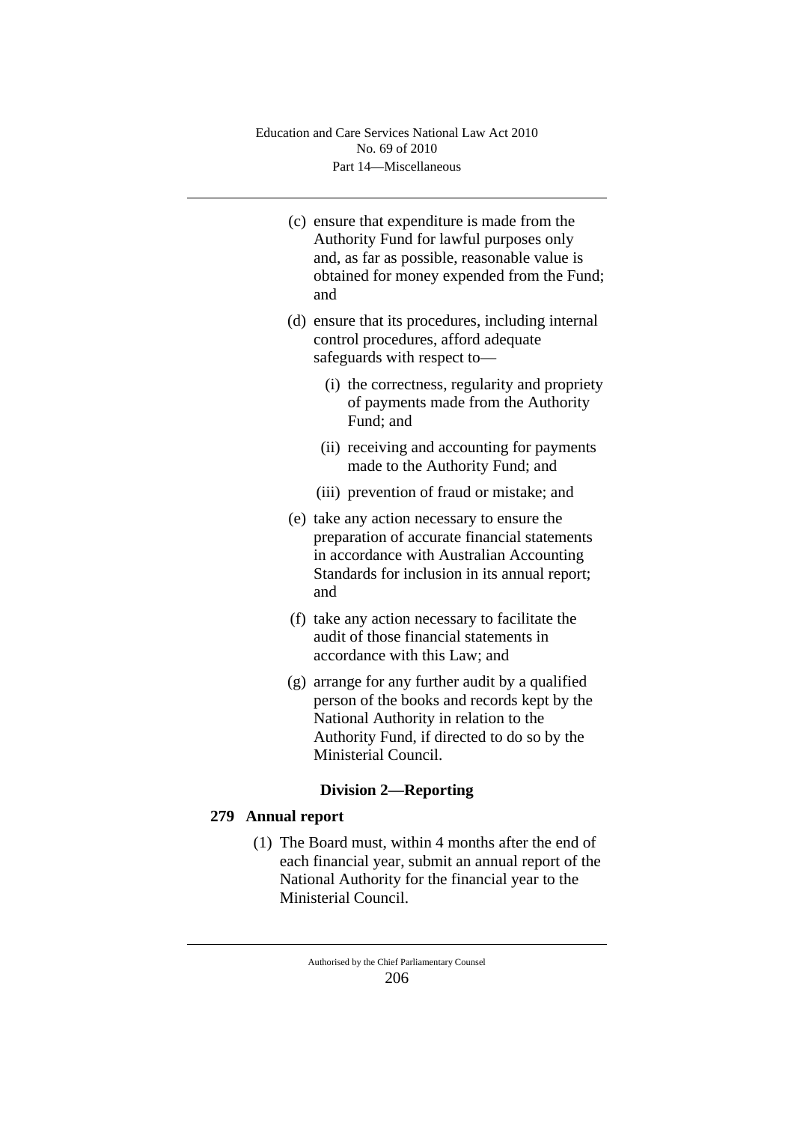- (c) ensure that expenditure is made from the Authority Fund for lawful purposes only and, as far as possible, reasonable value is obtained for money expended from the Fund; and
- (d) ensure that its procedures, including internal control procedures, afford adequate safeguards with respect to—
	- (i) the correctness, regularity and propriety of payments made from the Authority Fund; and
	- (ii) receiving and accounting for payments made to the Authority Fund; and
	- (iii) prevention of fraud or mistake; and
- (e) take any action necessary to ensure the preparation of accurate financial statements in accordance with Australian Accounting Standards for inclusion in its annual report; and
- (f) take any action necessary to facilitate the audit of those financial statements in accordance with this Law; and
- (g) arrange for any further audit by a qualified person of the books and records kept by the National Authority in relation to the Authority Fund, if directed to do so by the Ministerial Council.

# **Division 2—Reporting**

# **279 Annual report**

(1) The Board must, within 4 months after the end of each financial year, submit an annual report of the National Authority for the financial year to the Ministerial Council.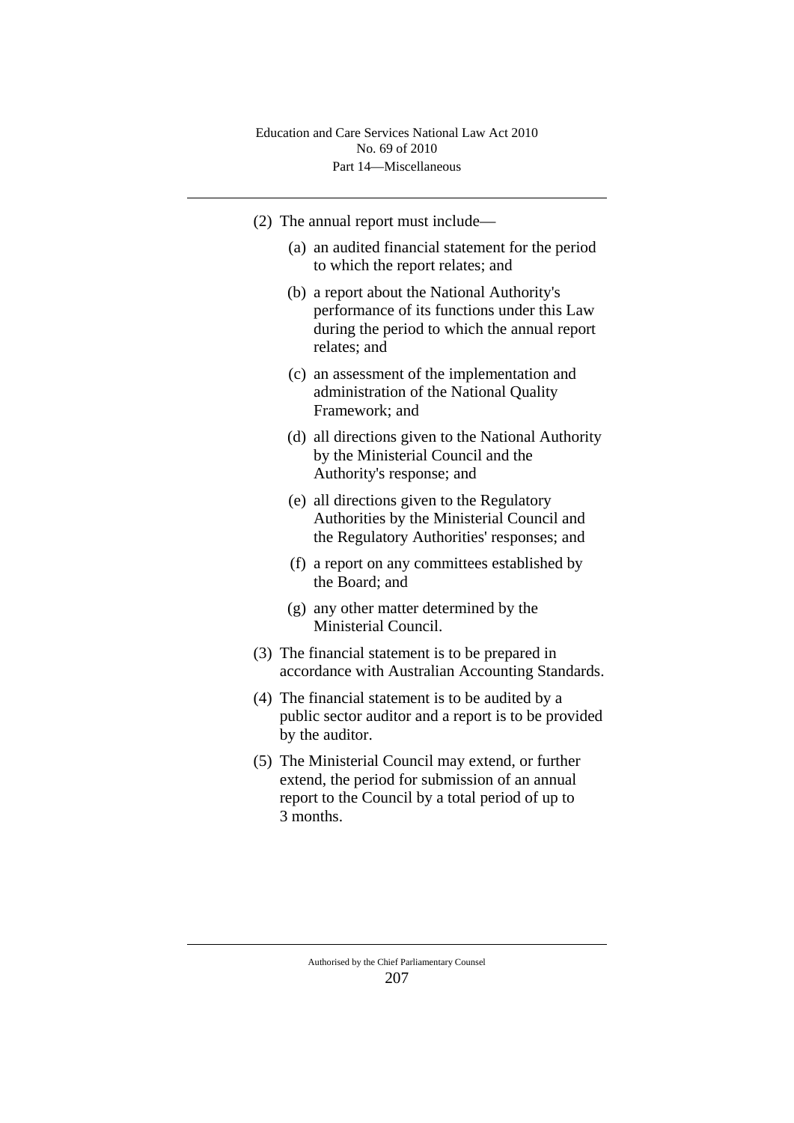- (2) The annual report must include—
	- (a) an audited financial statement for the period to which the report relates; and
	- (b) a report about the National Authority's performance of its functions under this Law during the period to which the annual report relates; and
	- (c) an assessment of the implementation and administration of the National Quality Framework; and
	- (d) all directions given to the National Authority by the Ministerial Council and the Authority's response; and
	- (e) all directions given to the Regulatory Authorities by the Ministerial Council and the Regulatory Authorities' responses; and
	- (f) a report on any committees established by the Board; and
	- (g) any other matter determined by the Ministerial Council.
- (3) The financial statement is to be prepared in accordance with Australian Accounting Standards.
- (4) The financial statement is to be audited by a public sector auditor and a report is to be provided by the auditor.
- (5) The Ministerial Council may extend, or further extend, the period for submission of an annual report to the Council by a total period of up to 3 months.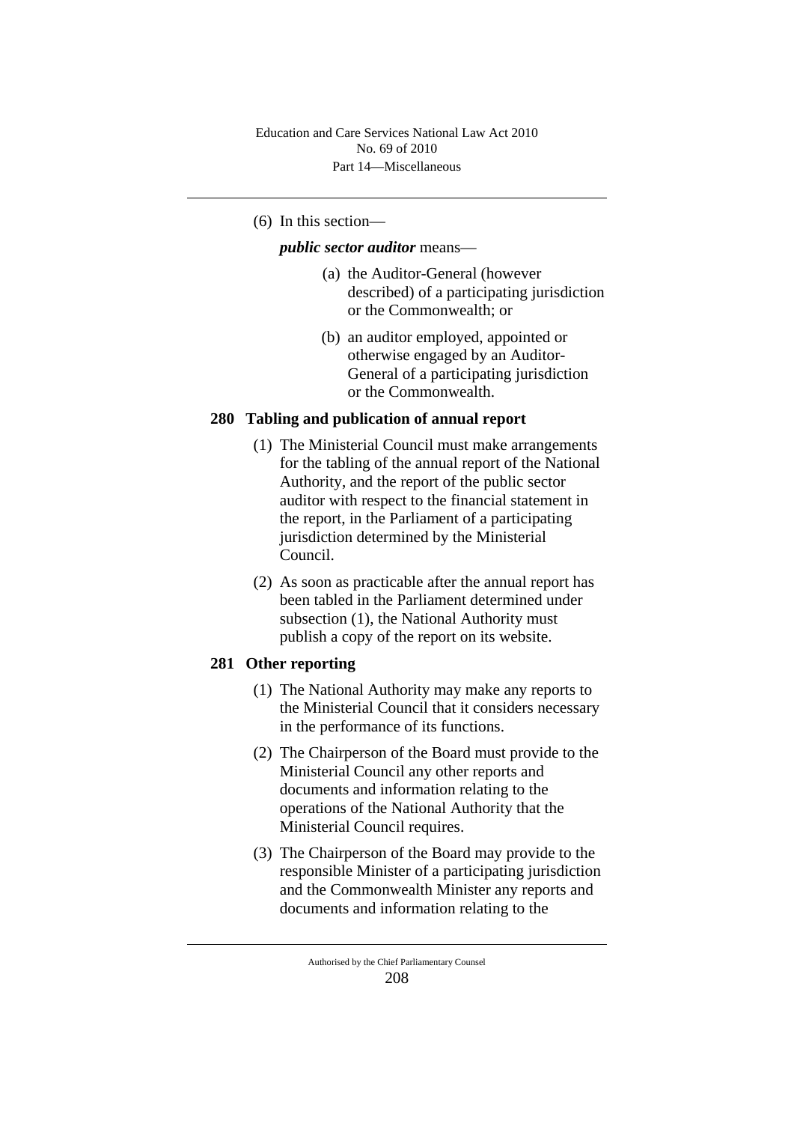## (6) In this section—

*public sector auditor* means—

- (a) the Auditor-General (however described) of a participating jurisdiction or the Commonwealth; or
- (b) an auditor employed, appointed or otherwise engaged by an Auditor-General of a participating jurisdiction or the Commonwealth.

## **280 Tabling and publication of annual report**

- (1) The Ministerial Council must make arrangements for the tabling of the annual report of the National Authority, and the report of the public sector auditor with respect to the financial statement in the report, in the Parliament of a participating jurisdiction determined by the Ministerial Council.
- (2) As soon as practicable after the annual report has been tabled in the Parliament determined under subsection (1), the National Authority must publish a copy of the report on its website.

# **281 Other reporting**

- (1) The National Authority may make any reports to the Ministerial Council that it considers necessary in the performance of its functions.
- (2) The Chairperson of the Board must provide to the Ministerial Council any other reports and documents and information relating to the operations of the National Authority that the Ministerial Council requires.
- (3) The Chairperson of the Board may provide to the responsible Minister of a participating jurisdiction and the Commonwealth Minister any reports and documents and information relating to the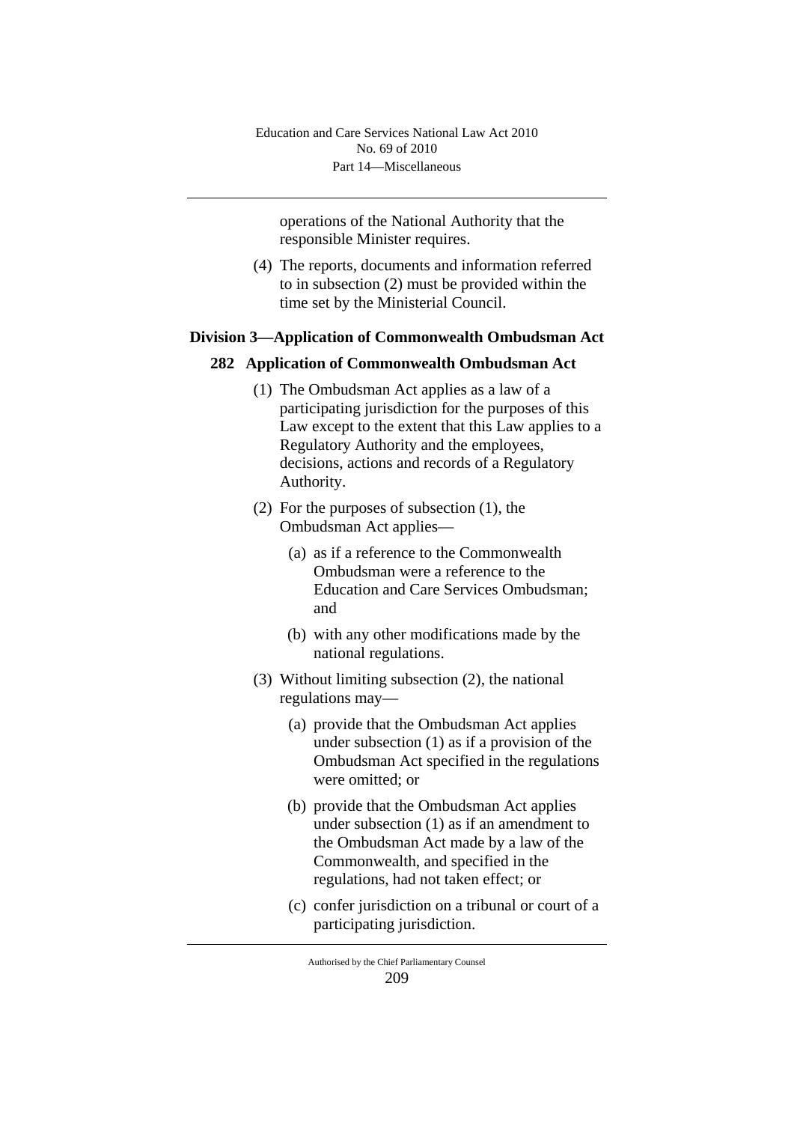operations of the National Authority that the responsible Minister requires.

(4) The reports, documents and information referred to in subsection (2) must be provided within the time set by the Ministerial Council.

### **Division 3—Application of Commonwealth Ombudsman Act**

### **282 Application of Commonwealth Ombudsman Act**

- (1) The Ombudsman Act applies as a law of a participating jurisdiction for the purposes of this Law except to the extent that this Law applies to a Regulatory Authority and the employees, decisions, actions and records of a Regulatory Authority.
- (2) For the purposes of subsection (1), the Ombudsman Act applies—
	- (a) as if a reference to the Commonwealth Ombudsman were a reference to the Education and Care Services Ombudsman; and
	- (b) with any other modifications made by the national regulations.
- (3) Without limiting subsection (2), the national regulations may—
	- (a) provide that the Ombudsman Act applies under subsection (1) as if a provision of the Ombudsman Act specified in the regulations were omitted; or
	- (b) provide that the Ombudsman Act applies under subsection (1) as if an amendment to the Ombudsman Act made by a law of the Commonwealth, and specified in the regulations, had not taken effect; or
	- (c) confer jurisdiction on a tribunal or court of a participating jurisdiction.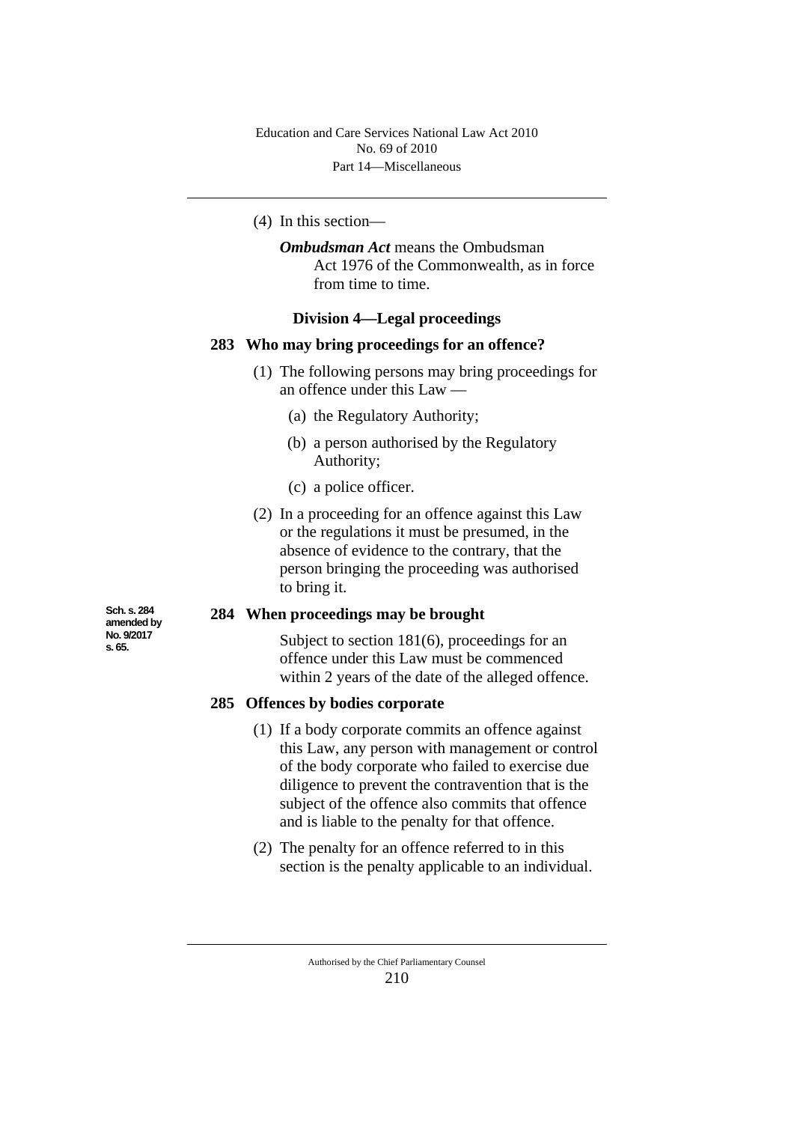(4) In this section—

*Ombudsman Act* means the Ombudsman Act 1976 of the Commonwealth, as in force from time to time.

### **Division 4—Legal proceedings**

#### **283 Who may bring proceedings for an offence?**

- (1) The following persons may bring proceedings for an offence under this Law —
	- (a) the Regulatory Authority;
	- (b) a person authorised by the Regulatory Authority;
	- (c) a police officer.
- (2) In a proceeding for an offence against this Law or the regulations it must be presumed, in the absence of evidence to the contrary, that the person bringing the proceeding was authorised to bring it.

## **284 When proceedings may be brought**

Subject to section 181(6), proceedings for an offence under this Law must be commenced within 2 years of the date of the alleged offence.

#### **285 Offences by bodies corporate**

- (1) If a body corporate commits an offence against this Law, any person with management or control of the body corporate who failed to exercise due diligence to prevent the contravention that is the subject of the offence also commits that offence and is liable to the penalty for that offence.
- (2) The penalty for an offence referred to in this section is the penalty applicable to an individual.

**Sch. s. 284 amended by No. 9/2017 s. 65.**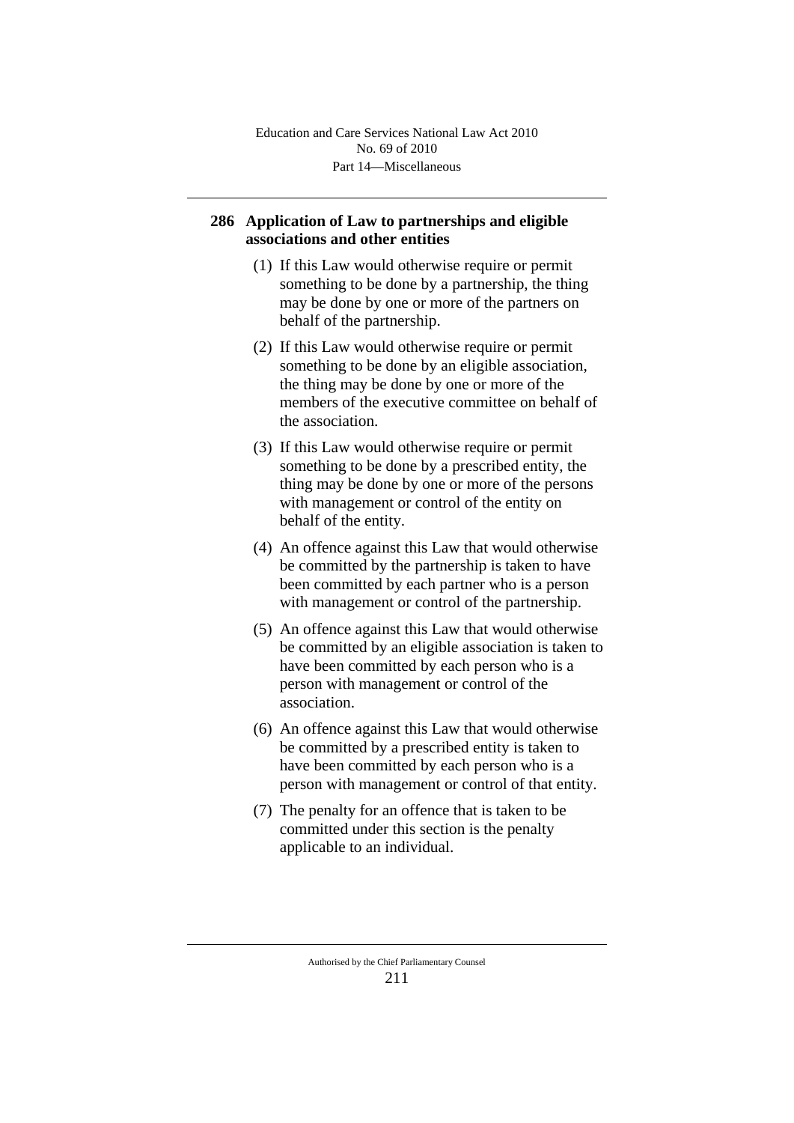# **286 Application of Law to partnerships and eligible associations and other entities**

- (1) If this Law would otherwise require or permit something to be done by a partnership, the thing may be done by one or more of the partners on behalf of the partnership.
- (2) If this Law would otherwise require or permit something to be done by an eligible association, the thing may be done by one or more of the members of the executive committee on behalf of the association.
- (3) If this Law would otherwise require or permit something to be done by a prescribed entity, the thing may be done by one or more of the persons with management or control of the entity on behalf of the entity.
- (4) An offence against this Law that would otherwise be committed by the partnership is taken to have been committed by each partner who is a person with management or control of the partnership.
- (5) An offence against this Law that would otherwise be committed by an eligible association is taken to have been committed by each person who is a person with management or control of the association.
- (6) An offence against this Law that would otherwise be committed by a prescribed entity is taken to have been committed by each person who is a person with management or control of that entity.
- (7) The penalty for an offence that is taken to be committed under this section is the penalty applicable to an individual.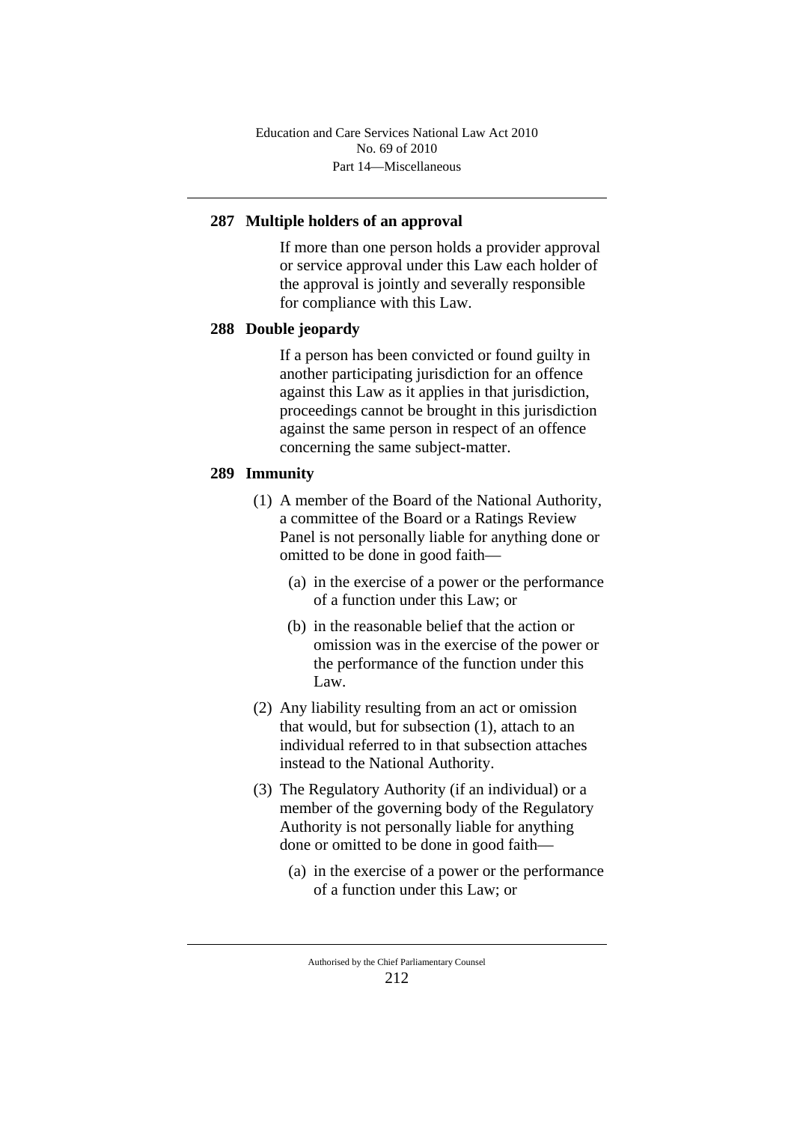# **287 Multiple holders of an approval**

If more than one person holds a provider approval or service approval under this Law each holder of the approval is jointly and severally responsible for compliance with this Law.

## **288 Double jeopardy**

If a person has been convicted or found guilty in another participating jurisdiction for an offence against this Law as it applies in that jurisdiction, proceedings cannot be brought in this jurisdiction against the same person in respect of an offence concerning the same subject-matter.

# **289 Immunity**

- (1) A member of the Board of the National Authority, a committee of the Board or a Ratings Review Panel is not personally liable for anything done or omitted to be done in good faith—
	- (a) in the exercise of a power or the performance of a function under this Law; or
	- (b) in the reasonable belief that the action or omission was in the exercise of the power or the performance of the function under this Law.
- (2) Any liability resulting from an act or omission that would, but for subsection (1), attach to an individual referred to in that subsection attaches instead to the National Authority.
- (3) The Regulatory Authority (if an individual) or a member of the governing body of the Regulatory Authority is not personally liable for anything done or omitted to be done in good faith—
	- (a) in the exercise of a power or the performance of a function under this Law; or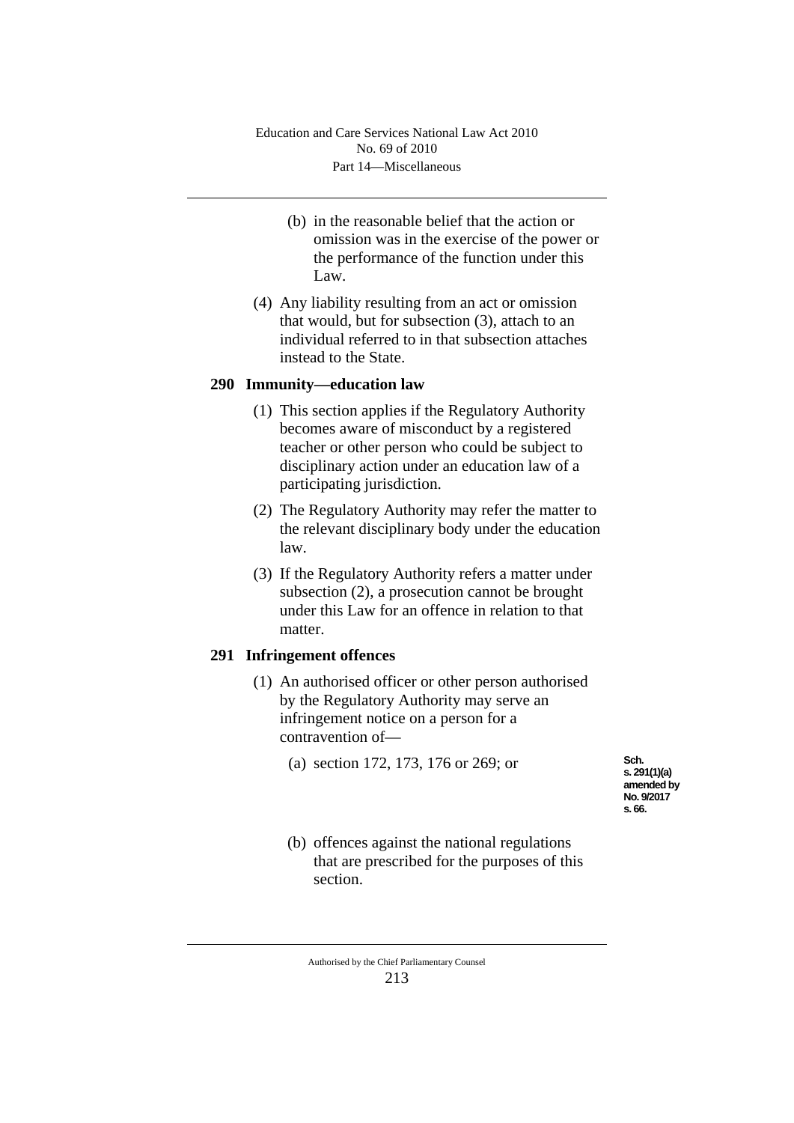- (b) in the reasonable belief that the action or omission was in the exercise of the power or the performance of the function under this Law.
- (4) Any liability resulting from an act or omission that would, but for subsection (3), attach to an individual referred to in that subsection attaches instead to the State.

## **290 Immunity—education law**

- (1) This section applies if the Regulatory Authority becomes aware of misconduct by a registered teacher or other person who could be subject to disciplinary action under an education law of a participating jurisdiction.
- (2) The Regulatory Authority may refer the matter to the relevant disciplinary body under the education law.
- (3) If the Regulatory Authority refers a matter under subsection (2), a prosecution cannot be brought under this Law for an offence in relation to that matter.

# **291 Infringement offences**

- (1) An authorised officer or other person authorised by the Regulatory Authority may serve an infringement notice on a person for a contravention of—
	- (a) section 172, 173, 176 or 269; or

**Sch. s. 291(1)(a) amended by No. 9/2017 s. 66.**

(b) offences against the national regulations that are prescribed for the purposes of this section.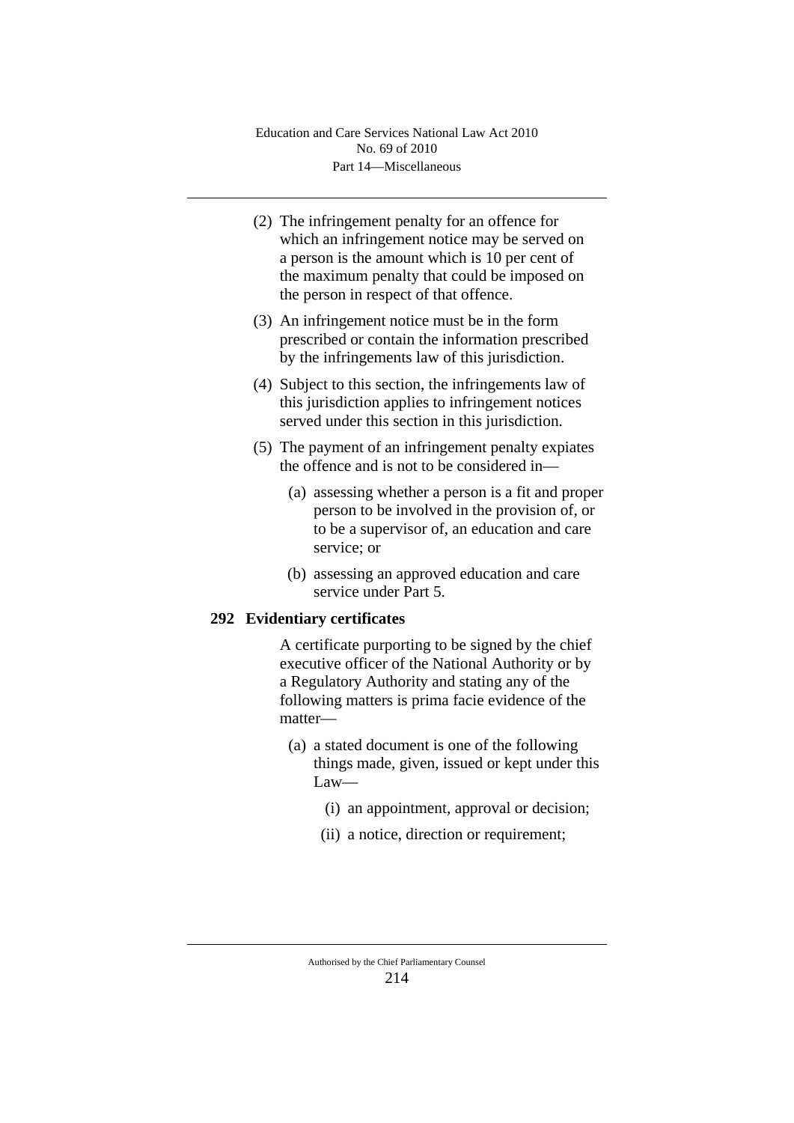- (2) The infringement penalty for an offence for which an infringement notice may be served on a person is the amount which is 10 per cent of the maximum penalty that could be imposed on the person in respect of that offence.
- (3) An infringement notice must be in the form prescribed or contain the information prescribed by the infringements law of this jurisdiction.
- (4) Subject to this section, the infringements law of this jurisdiction applies to infringement notices served under this section in this jurisdiction.
- (5) The payment of an infringement penalty expiates the offence and is not to be considered in—
	- (a) assessing whether a person is a fit and proper person to be involved in the provision of, or to be a supervisor of, an education and care service; or
	- (b) assessing an approved education and care service under Part 5.

# **292 Evidentiary certificates**

A certificate purporting to be signed by the chief executive officer of the National Authority or by a Regulatory Authority and stating any of the following matters is prima facie evidence of the matter—

- (a) a stated document is one of the following things made, given, issued or kept under this Law—
	- (i) an appointment, approval or decision;
	- (ii) a notice, direction or requirement;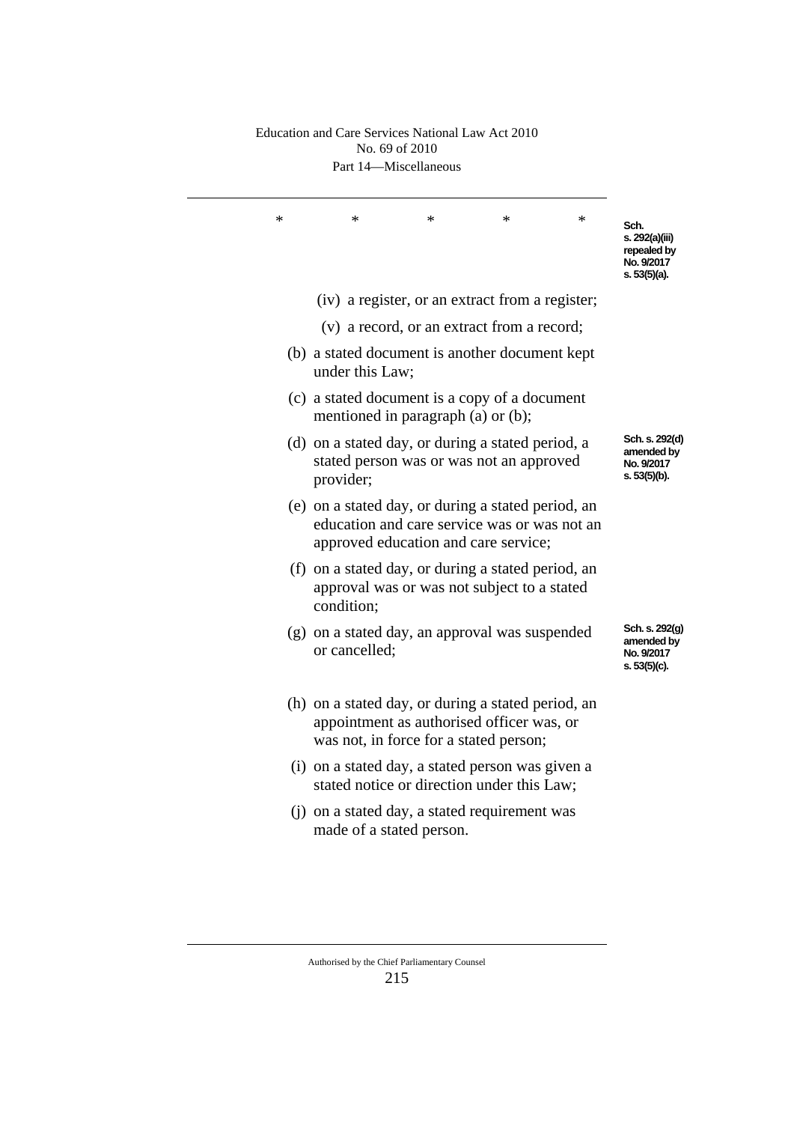### Part 14—Miscellaneous Education and Care Services National Law Act 2010 No. 69 of 2010

| Sch.<br>s. 292(a)(iii)<br>repealed by<br>No. 9/2017<br>s. 53(5)(a). | ∗                                                                                                  | ∗ | ∗                                                                                              | ∗               | ∗ |
|---------------------------------------------------------------------|----------------------------------------------------------------------------------------------------|---|------------------------------------------------------------------------------------------------|-----------------|---|
|                                                                     | (iv) a register, or an extract from a register;                                                    |   |                                                                                                |                 |   |
|                                                                     |                                                                                                    |   | (v) a record, or an extract from a record;                                                     |                 |   |
|                                                                     |                                                                                                    |   | (b) a stated document is another document kept                                                 | under this Law; |   |
|                                                                     |                                                                                                    |   | (c) a stated document is a copy of a document<br>mentioned in paragraph (a) or (b);            |                 |   |
| Sch. s. 292(d)<br>amended by<br>No. 9/2017<br>s. 53(5)(b).          |                                                                                                    |   | (d) on a stated day, or during a stated period, a<br>stated person was or was not an approved  | provider;       |   |
|                                                                     | (e) on a stated day, or during a stated period, an<br>education and care service was or was not an |   | approved education and care service;                                                           |                 |   |
|                                                                     | (f) on a stated day, or during a stated period, an                                                 |   | approval was or was not subject to a stated                                                    | condition;      |   |
| Sch. s. 292(g)<br>amended by<br>No. 9/2017<br>s. 53(5)(c).          |                                                                                                    |   | (g) on a stated day, an approval was suspended                                                 | or cancelled;   |   |
|                                                                     | (h) on a stated day, or during a stated period, an                                                 |   | appointment as authorised officer was, or<br>was not, in force for a stated person;            |                 |   |
|                                                                     |                                                                                                    |   | (i) on a stated day, a stated person was given a<br>stated notice or direction under this Law; |                 |   |
|                                                                     |                                                                                                    |   | (j) on a stated day, a stated requirement was<br>made of a stated person.                      |                 |   |
|                                                                     |                                                                                                    |   |                                                                                                |                 |   |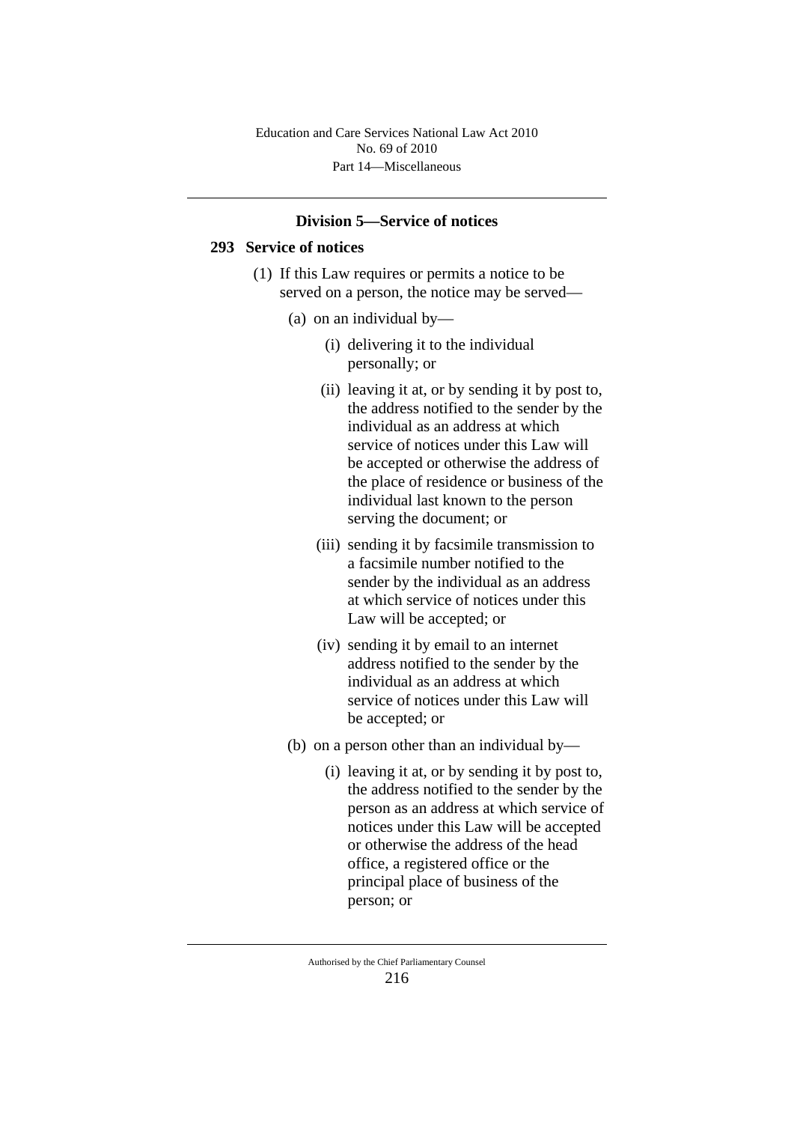Part 14—Miscellaneous Education and Care Services National Law Act 2010 No. 69 of 2010

## **Division 5—Service of notices**

### **293 Service of notices**

- (1) If this Law requires or permits a notice to be served on a person, the notice may be served—
	- (a) on an individual by—
		- (i) delivering it to the individual personally; or
		- (ii) leaving it at, or by sending it by post to, the address notified to the sender by the individual as an address at which service of notices under this Law will be accepted or otherwise the address of the place of residence or business of the individual last known to the person serving the document; or
		- (iii) sending it by facsimile transmission to a facsimile number notified to the sender by the individual as an address at which service of notices under this Law will be accepted; or
		- (iv) sending it by email to an internet address notified to the sender by the individual as an address at which service of notices under this Law will be accepted; or
	- (b) on a person other than an individual by—
		- (i) leaving it at, or by sending it by post to, the address notified to the sender by the person as an address at which service of notices under this Law will be accepted or otherwise the address of the head office, a registered office or the principal place of business of the person; or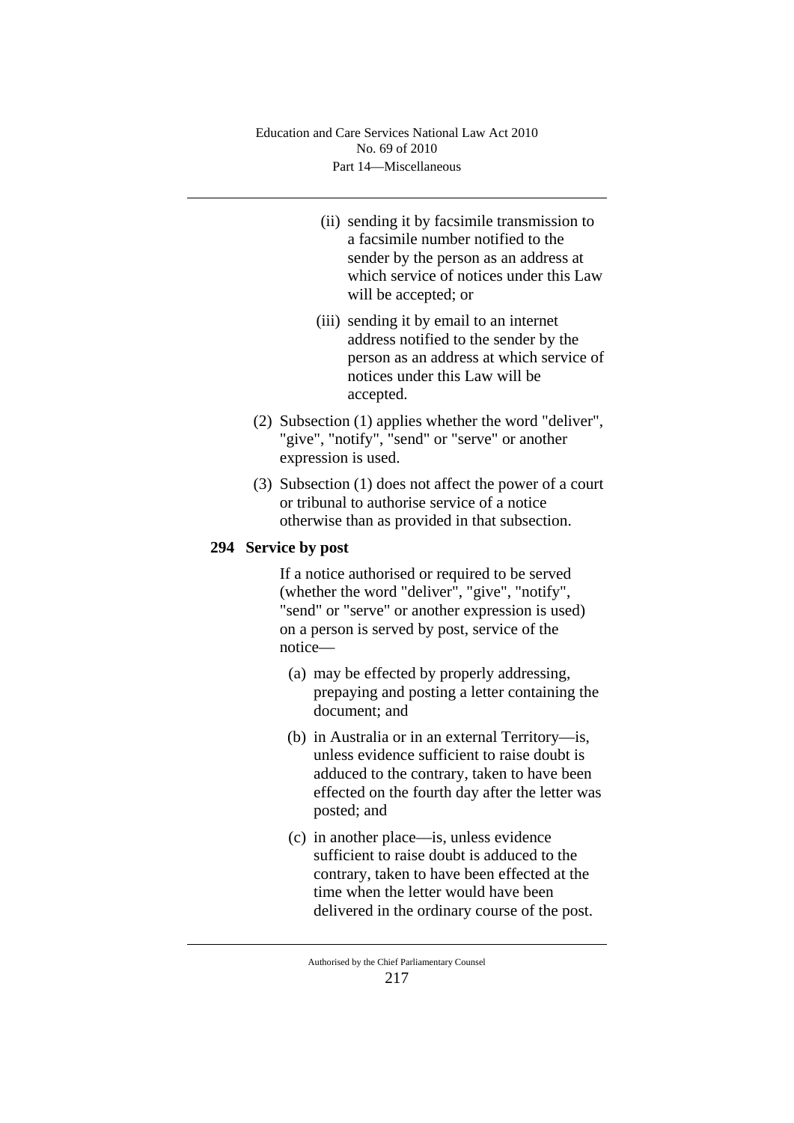- (ii) sending it by facsimile transmission to a facsimile number notified to the sender by the person as an address at which service of notices under this Law will be accepted; or
- (iii) sending it by email to an internet address notified to the sender by the person as an address at which service of notices under this Law will be accepted.
- (2) Subsection (1) applies whether the word "deliver", "give", "notify", "send" or "serve" or another expression is used.
- (3) Subsection (1) does not affect the power of a court or tribunal to authorise service of a notice otherwise than as provided in that subsection.

# **294 Service by post**

If a notice authorised or required to be served (whether the word "deliver", "give", "notify", "send" or "serve" or another expression is used) on a person is served by post, service of the notice—

- (a) may be effected by properly addressing, prepaying and posting a letter containing the document; and
- (b) in Australia or in an external Territory—is, unless evidence sufficient to raise doubt is adduced to the contrary, taken to have been effected on the fourth day after the letter was posted; and
- (c) in another place—is, unless evidence sufficient to raise doubt is adduced to the contrary, taken to have been effected at the time when the letter would have been delivered in the ordinary course of the post.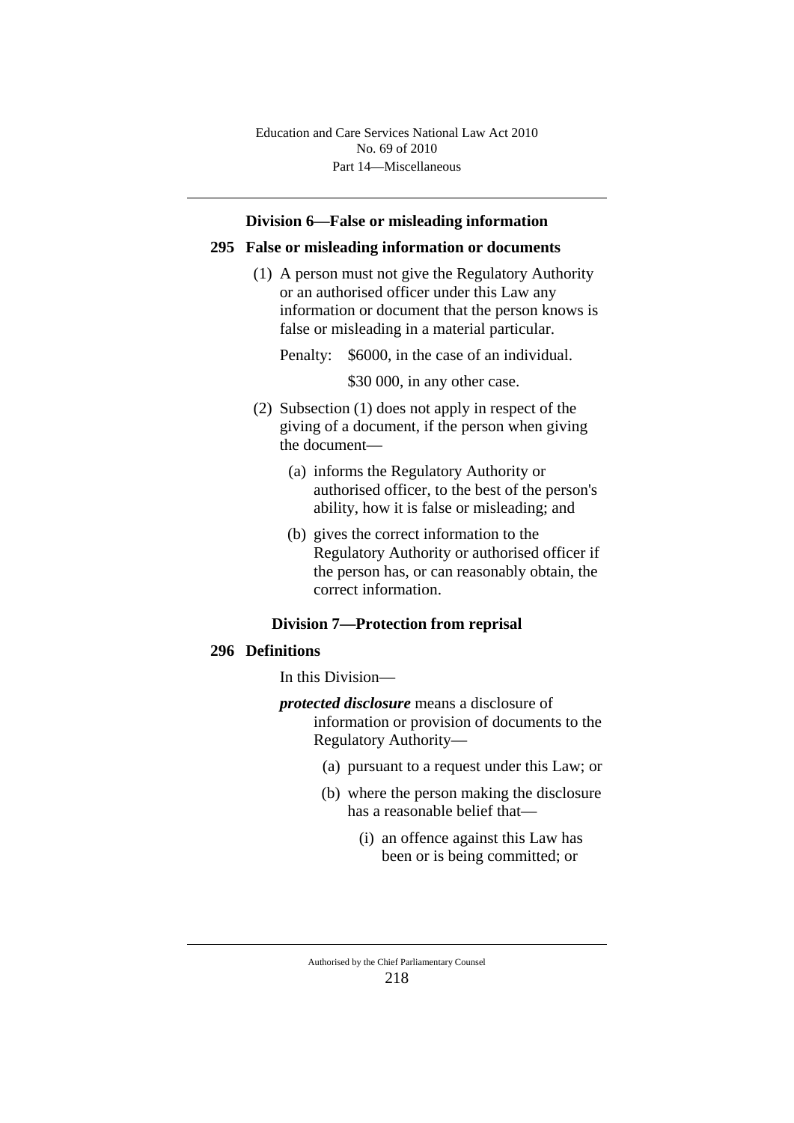Part 14—Miscellaneous Education and Care Services National Law Act 2010 No. 69 of 2010

#### **Division 6—False or misleading information**

#### **295 False or misleading information or documents**

(1) A person must not give the Regulatory Authority or an authorised officer under this Law any information or document that the person knows is false or misleading in a material particular.

Penalty: \$6000, in the case of an individual.

\$30 000, in any other case.

- (2) Subsection (1) does not apply in respect of the giving of a document, if the person when giving the document—
	- (a) informs the Regulatory Authority or authorised officer, to the best of the person's ability, how it is false or misleading; and
	- (b) gives the correct information to the Regulatory Authority or authorised officer if the person has, or can reasonably obtain, the correct information.

### **Division 7—Protection from reprisal**

#### **296 Definitions**

In this Division—

- *protected disclosure* means a disclosure of information or provision of documents to the Regulatory Authority—
	- (a) pursuant to a request under this Law; or
	- (b) where the person making the disclosure has a reasonable belief that—
		- (i) an offence against this Law has been or is being committed; or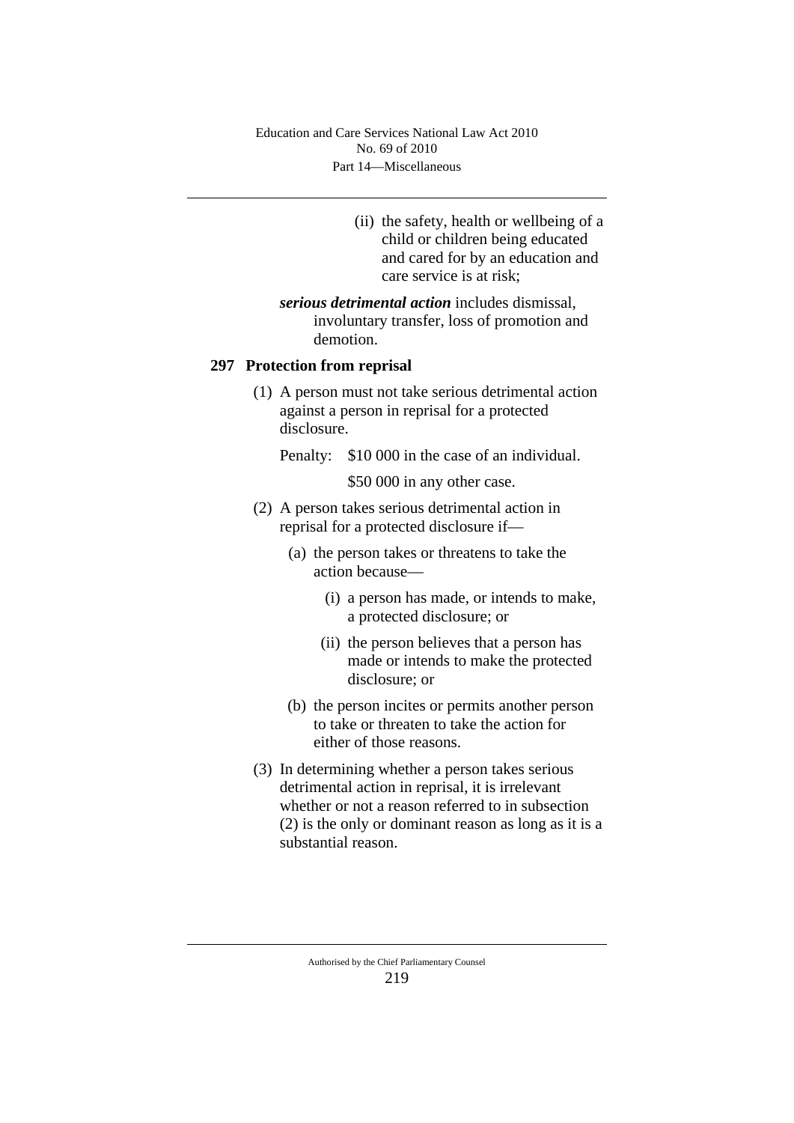- (ii) the safety, health or wellbeing of a child or children being educated and cared for by an education and care service is at risk;
- *serious detrimental action* includes dismissal, involuntary transfer, loss of promotion and demotion.

## **297 Protection from reprisal**

- (1) A person must not take serious detrimental action against a person in reprisal for a protected disclosure.
	- Penalty: \$10 000 in the case of an individual.

\$50 000 in any other case.

- (2) A person takes serious detrimental action in reprisal for a protected disclosure if—
	- (a) the person takes or threatens to take the action because—
		- (i) a person has made, or intends to make, a protected disclosure; or
		- (ii) the person believes that a person has made or intends to make the protected disclosure; or
	- (b) the person incites or permits another person to take or threaten to take the action for either of those reasons.
- (3) In determining whether a person takes serious detrimental action in reprisal, it is irrelevant whether or not a reason referred to in subsection (2) is the only or dominant reason as long as it is a substantial reason.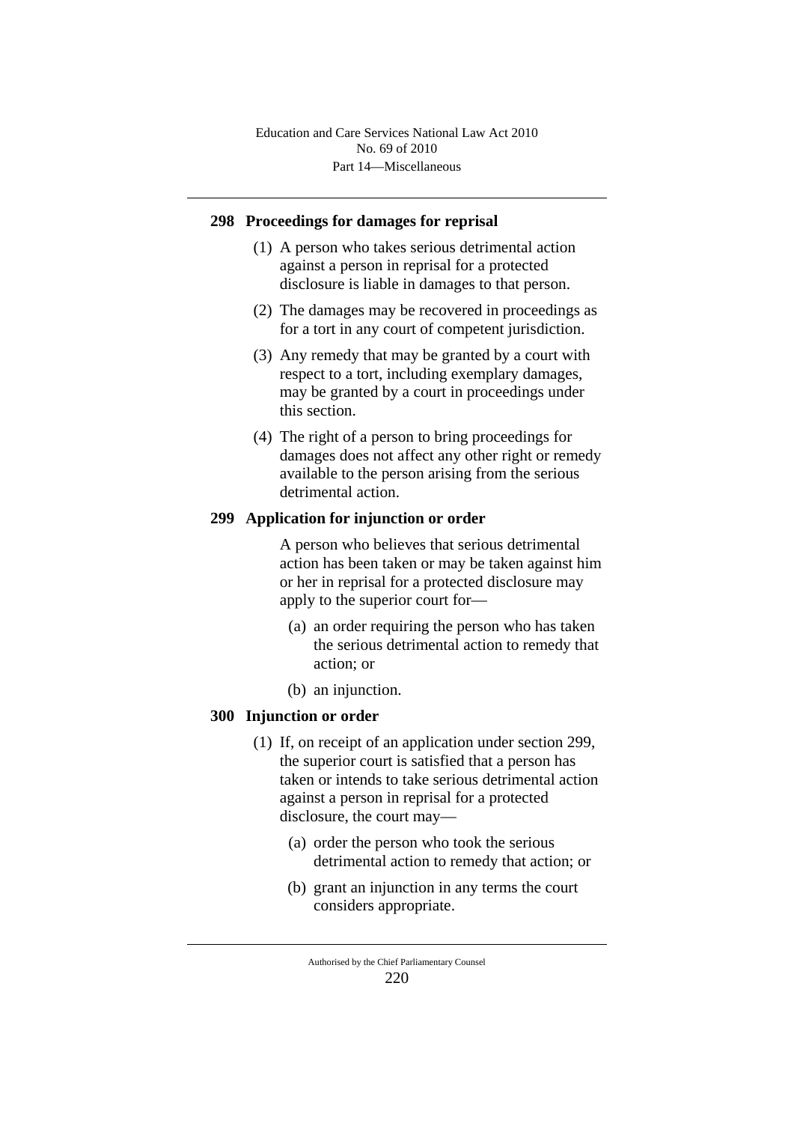## **298 Proceedings for damages for reprisal**

- (1) A person who takes serious detrimental action against a person in reprisal for a protected disclosure is liable in damages to that person.
- (2) The damages may be recovered in proceedings as for a tort in any court of competent jurisdiction.
- (3) Any remedy that may be granted by a court with respect to a tort, including exemplary damages, may be granted by a court in proceedings under this section.
- (4) The right of a person to bring proceedings for damages does not affect any other right or remedy available to the person arising from the serious detrimental action.

# **299 Application for injunction or order**

A person who believes that serious detrimental action has been taken or may be taken against him or her in reprisal for a protected disclosure may apply to the superior court for—

- (a) an order requiring the person who has taken the serious detrimental action to remedy that action; or
- (b) an injunction.

## **300 Injunction or order**

- (1) If, on receipt of an application under section 299, the superior court is satisfied that a person has taken or intends to take serious detrimental action against a person in reprisal for a protected disclosure, the court may—
	- (a) order the person who took the serious detrimental action to remedy that action; or
	- (b) grant an injunction in any terms the court considers appropriate.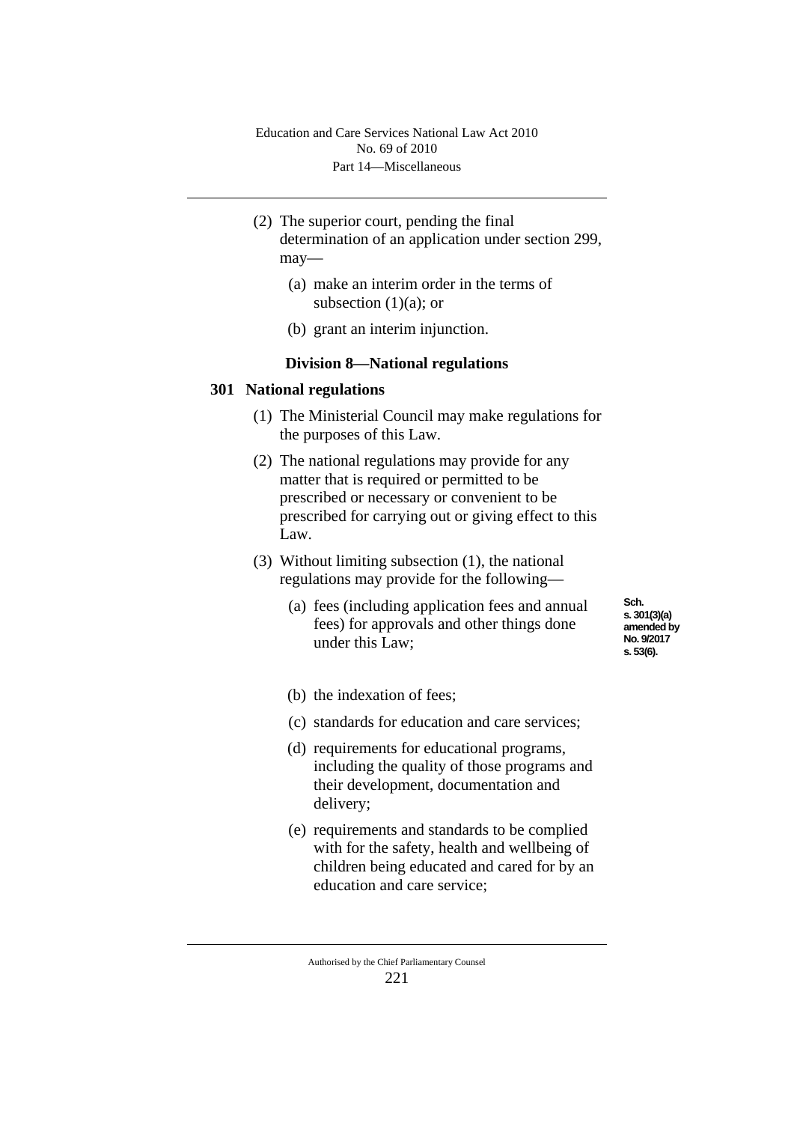- (2) The superior court, pending the final determination of an application under section 299, may—
	- (a) make an interim order in the terms of subsection  $(1)(a)$ ; or
	- (b) grant an interim injunction.

## **Division 8—National regulations**

#### **301 National regulations**

- (1) The Ministerial Council may make regulations for the purposes of this Law.
- (2) The national regulations may provide for any matter that is required or permitted to be prescribed or necessary or convenient to be prescribed for carrying out or giving effect to this Law.
- (3) Without limiting subsection (1), the national regulations may provide for the following—
	- (a) fees (including application fees and annual fees) for approvals and other things done under this Law;

**Sch. s. 301(3)(a) amended by No. 9/2017 s. 53(6).**

- (b) the indexation of fees;
- (c) standards for education and care services;
- (d) requirements for educational programs, including the quality of those programs and their development, documentation and delivery;
- (e) requirements and standards to be complied with for the safety, health and wellbeing of children being educated and cared for by an education and care service;

Authorised by the Chief Parliamentary Counsel 221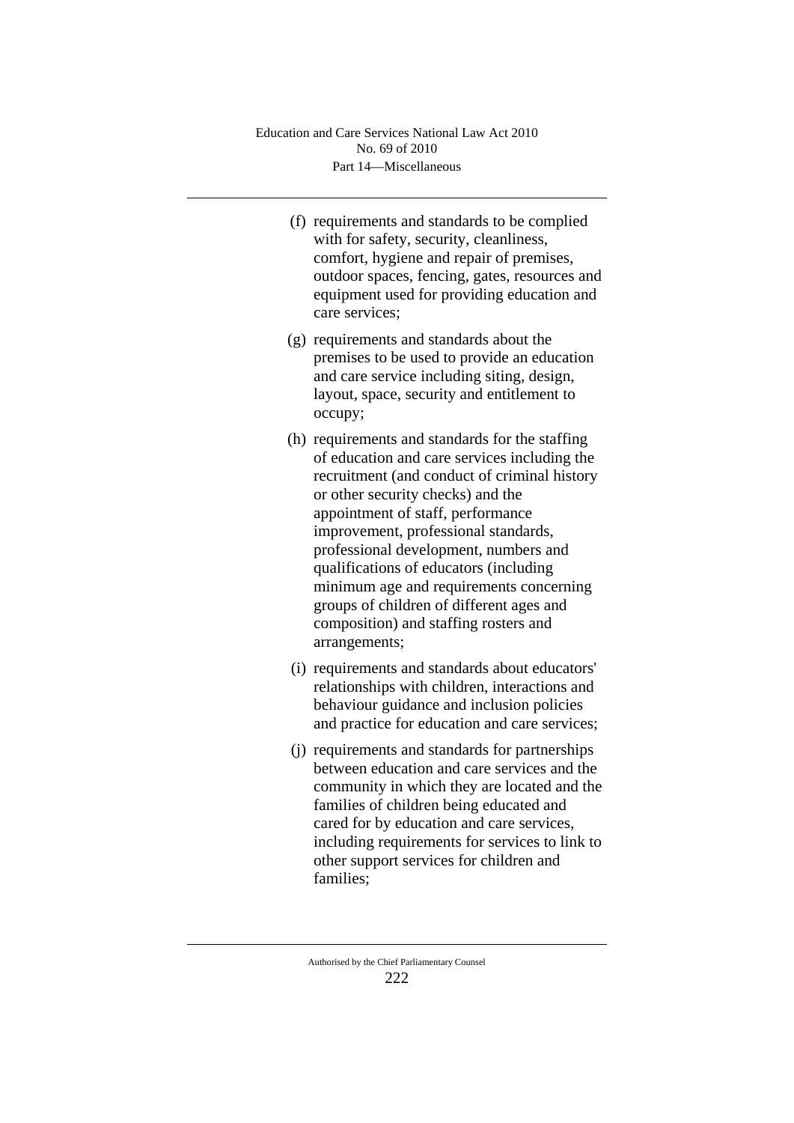- (f) requirements and standards to be complied with for safety, security, cleanliness, comfort, hygiene and repair of premises, outdoor spaces, fencing, gates, resources and equipment used for providing education and care services;
- (g) requirements and standards about the premises to be used to provide an education and care service including siting, design, layout, space, security and entitlement to occupy;
- (h) requirements and standards for the staffing of education and care services including the recruitment (and conduct of criminal history or other security checks) and the appointment of staff, performance improvement, professional standards, professional development, numbers and qualifications of educators (including minimum age and requirements concerning groups of children of different ages and composition) and staffing rosters and arrangements;
- (i) requirements and standards about educators' relationships with children, interactions and behaviour guidance and inclusion policies and practice for education and care services;
- (j) requirements and standards for partnerships between education and care services and the community in which they are located and the families of children being educated and cared for by education and care services, including requirements for services to link to other support services for children and families;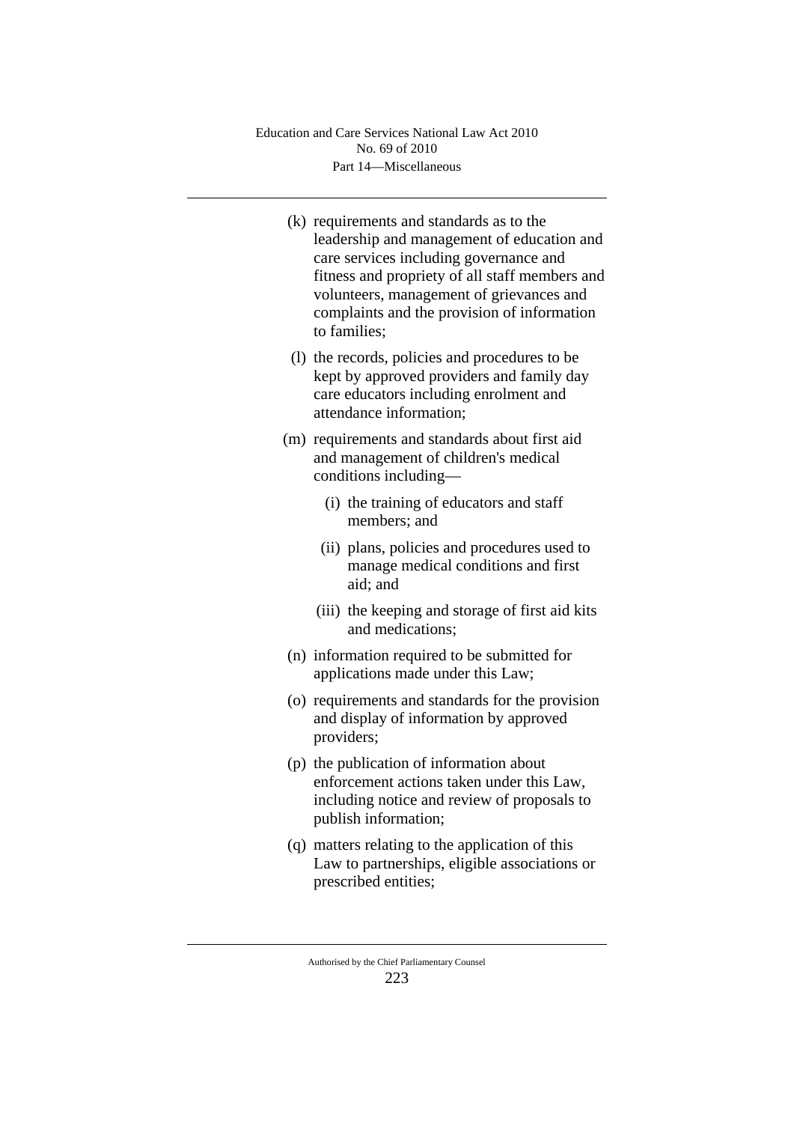|  | (k) requirements and standards as to the       |
|--|------------------------------------------------|
|  | leadership and management of education and     |
|  | care services including governance and         |
|  | fitness and propriety of all staff members and |
|  | volunteers, management of grievances and       |
|  | complaints and the provision of information    |
|  | to families;                                   |
|  |                                                |

- (l) the records, policies and procedures to be kept by approved providers and family day care educators including enrolment and attendance information;
- (m) requirements and standards about first aid and management of children's medical conditions including—
	- (i) the training of educators and staff members; and
	- (ii) plans, policies and procedures used to manage medical conditions and first aid; and
	- (iii) the keeping and storage of first aid kits and medications;
- (n) information required to be submitted for applications made under this Law;
- (o) requirements and standards for the provision and display of information by approved providers;
- (p) the publication of information about enforcement actions taken under this Law, including notice and review of proposals to publish information;
- (q) matters relating to the application of this Law to partnerships, eligible associations or prescribed entities;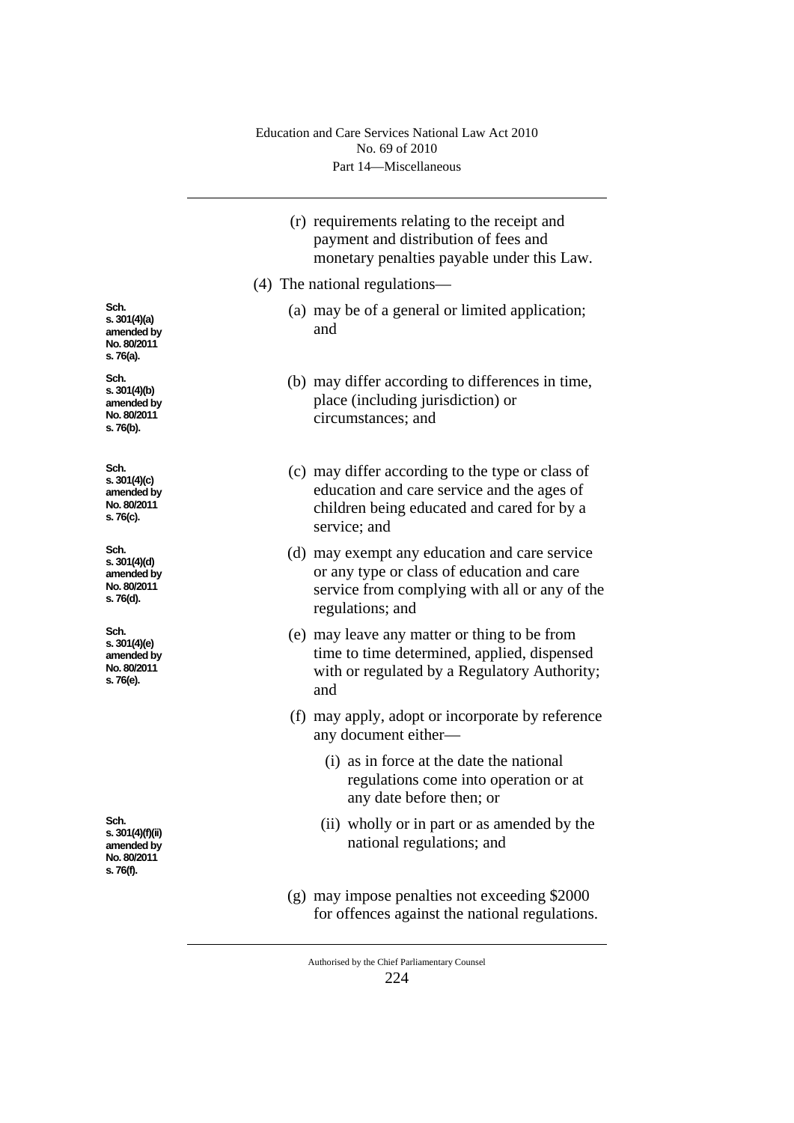|                                                                    | (r) requirements relating to the receipt and<br>payment and distribution of fees and<br>monetary penalties payable under this Law.                               |
|--------------------------------------------------------------------|------------------------------------------------------------------------------------------------------------------------------------------------------------------|
|                                                                    | (4) The national regulations—                                                                                                                                    |
| Sch.<br>s. 301(4)(a)<br>amended by<br>No. 80/2011<br>s. 76(a).     | (a) may be of a general or limited application;<br>and                                                                                                           |
| Sch.<br>s. $301(4)(b)$<br>amended by<br>No. 80/2011<br>s. 76(b).   | (b) may differ according to differences in time,<br>place (including jurisdiction) or<br>circumstances; and                                                      |
| Sch.<br>s. 301(4)(c)<br>amended by<br>No. 80/2011<br>s. 76(c).     | (c) may differ according to the type or class of<br>education and care service and the ages of<br>children being educated and cared for by a<br>service; and     |
| Sch.<br>s. 301(4)(d)<br>amended by<br>No. 80/2011<br>s. 76(d).     | (d) may exempt any education and care service<br>or any type or class of education and care<br>service from complying with all or any of the<br>regulations; and |
| Sch.<br>s. $301(4)(e)$<br>amended by<br>No. 80/2011<br>s. 76(e).   | (e) may leave any matter or thing to be from<br>time to time determined, applied, dispensed<br>with or regulated by a Regulatory Authority;<br>and               |
|                                                                    | (f) may apply, adopt or incorporate by reference<br>any document either—                                                                                         |
|                                                                    | (i) as in force at the date the national<br>regulations come into operation or at<br>any date before then; or                                                    |
| Sch.<br>s. 301(4)(f)(ii)<br>amended by<br>No. 80/2011<br>s. 76(f). | (ii) wholly or in part or as amended by the<br>national regulations; and                                                                                         |
|                                                                    | (g) may impose penalties not exceeding \$2000<br>for offences against the national regulations.                                                                  |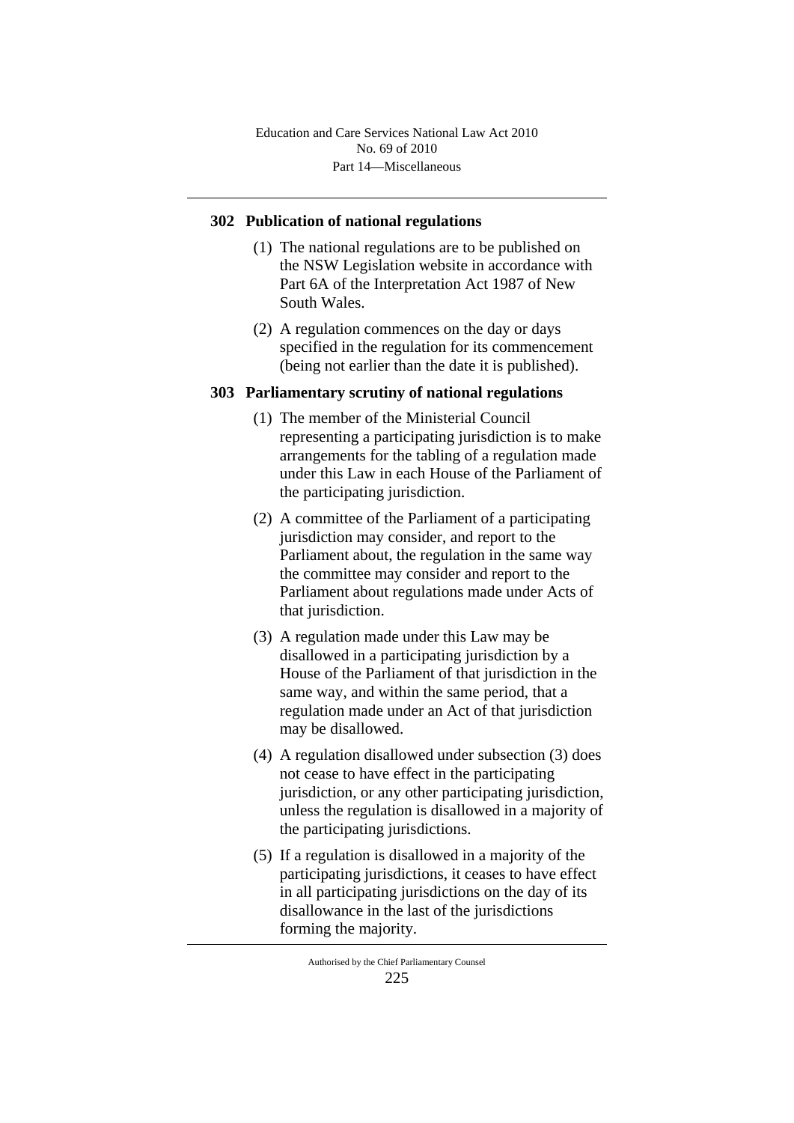Part 14—Miscellaneous Education and Care Services National Law Act 2010 No. 69 of 2010

### **302 Publication of national regulations**

- (1) The national regulations are to be published on the NSW Legislation website in accordance with Part 6A of the Interpretation Act 1987 of New South Wales.
- (2) A regulation commences on the day or days specified in the regulation for its commencement (being not earlier than the date it is published).

#### **303 Parliamentary scrutiny of national regulations**

- (1) The member of the Ministerial Council representing a participating jurisdiction is to make arrangements for the tabling of a regulation made under this Law in each House of the Parliament of the participating jurisdiction.
- (2) A committee of the Parliament of a participating jurisdiction may consider, and report to the Parliament about, the regulation in the same way the committee may consider and report to the Parliament about regulations made under Acts of that jurisdiction.
- (3) A regulation made under this Law may be disallowed in a participating jurisdiction by a House of the Parliament of that jurisdiction in the same way, and within the same period, that a regulation made under an Act of that jurisdiction may be disallowed.
- (4) A regulation disallowed under subsection (3) does not cease to have effect in the participating jurisdiction, or any other participating jurisdiction, unless the regulation is disallowed in a majority of the participating jurisdictions.
- (5) If a regulation is disallowed in a majority of the participating jurisdictions, it ceases to have effect in all participating jurisdictions on the day of its disallowance in the last of the jurisdictions forming the majority.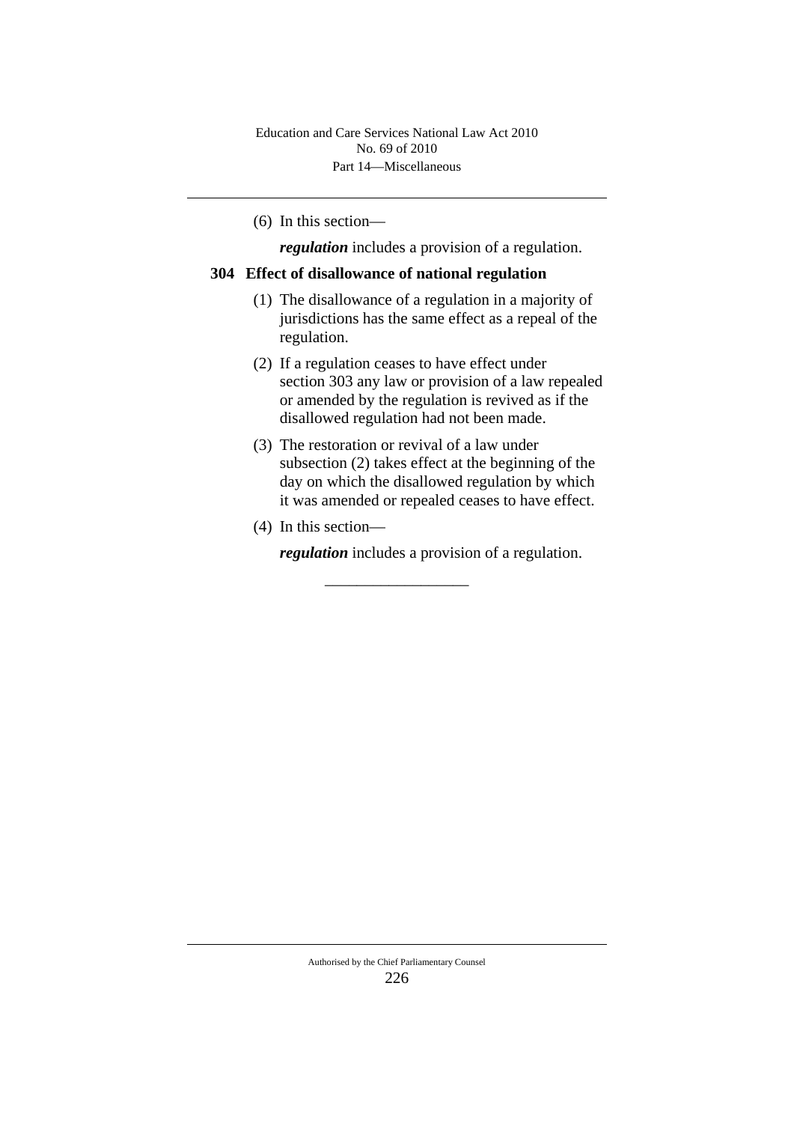(6) In this section—

*regulation* includes a provision of a regulation.

## **304 Effect of disallowance of national regulation**

- (1) The disallowance of a regulation in a majority of jurisdictions has the same effect as a repeal of the regulation.
- (2) If a regulation ceases to have effect under section 303 any law or provision of a law repealed or amended by the regulation is revived as if the disallowed regulation had not been made.
- (3) The restoration or revival of a law under subsection (2) takes effect at the beginning of the day on which the disallowed regulation by which it was amended or repealed ceases to have effect.
- (4) In this section—

*regulation* includes a provision of a regulation.

\_\_\_\_\_\_\_\_\_\_\_\_\_\_\_\_\_\_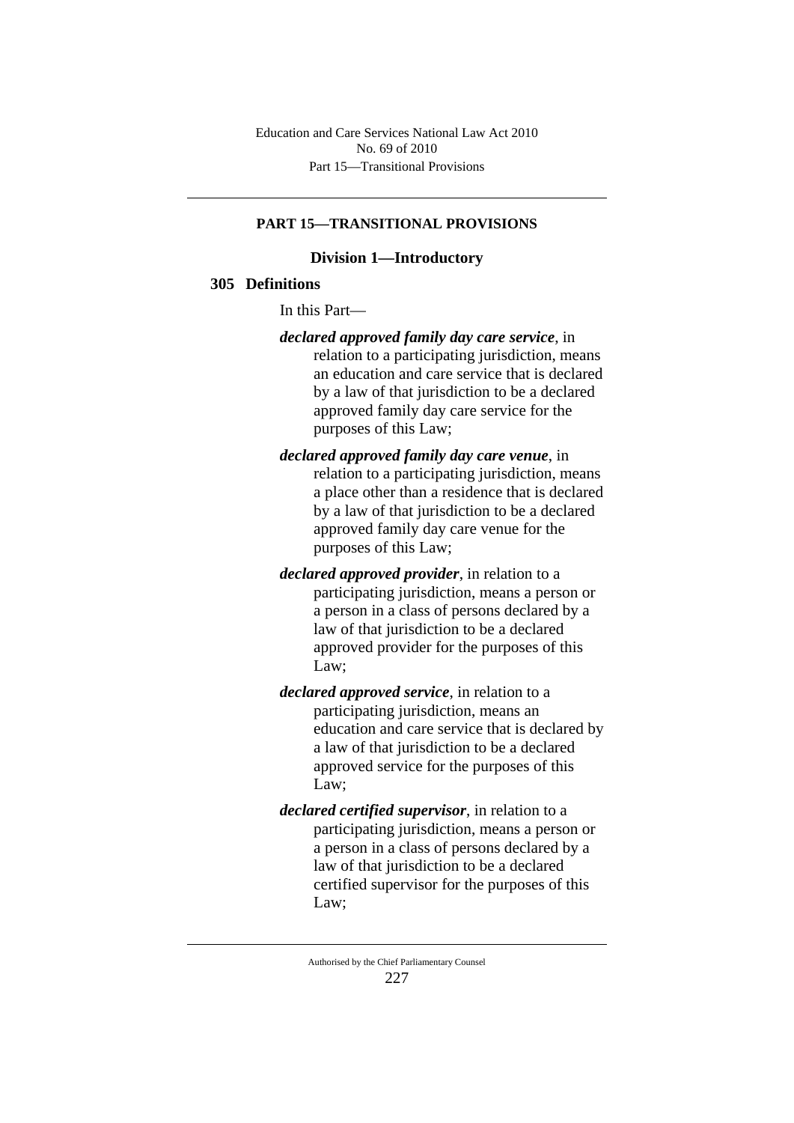Part 15—Transitional Provisions Education and Care Services National Law Act 2010 No. 69 of 2010

#### **PART 15—TRANSITIONAL PROVISIONS**

#### **Division 1—Introductory**

## **305 Definitions**

In this Part—

- *declared approved family day care service*, in relation to a participating jurisdiction, means an education and care service that is declared by a law of that jurisdiction to be a declared approved family day care service for the purposes of this Law;
- *declared approved family day care venue*, in relation to a participating jurisdiction, means a place other than a residence that is declared by a law of that jurisdiction to be a declared approved family day care venue for the purposes of this Law;
- *declared approved provider*, in relation to a participating jurisdiction, means a person or a person in a class of persons declared by a law of that jurisdiction to be a declared approved provider for the purposes of this Law;
- *declared approved service*, in relation to a participating jurisdiction, means an education and care service that is declared by a law of that jurisdiction to be a declared approved service for the purposes of this Law;
- *declared certified supervisor*, in relation to a participating jurisdiction, means a person or a person in a class of persons declared by a law of that jurisdiction to be a declared certified supervisor for the purposes of this Law;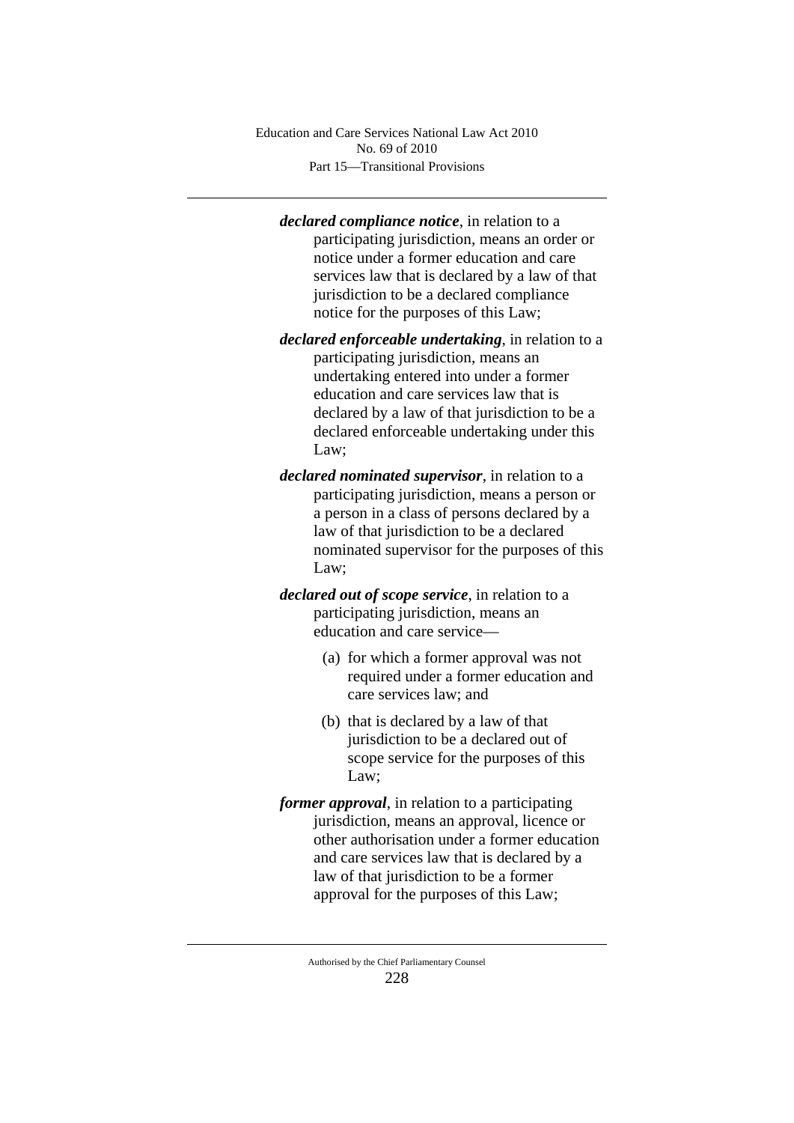Part 15—Transitional Provisions Education and Care Services National Law Act 2010 No. 69 of 2010

*declared compliance notice*, in relation to a participating jurisdiction, means an order or notice under a former education and care services law that is declared by a law of that jurisdiction to be a declared compliance notice for the purposes of this Law;

- *declared enforceable undertaking*, in relation to a participating jurisdiction, means an undertaking entered into under a former education and care services law that is declared by a law of that jurisdiction to be a declared enforceable undertaking under this Law;
- *declared nominated supervisor*, in relation to a participating jurisdiction, means a person or a person in a class of persons declared by a law of that jurisdiction to be a declared nominated supervisor for the purposes of this Law;
- *declared out of scope service*, in relation to a participating jurisdiction, means an education and care service—
	- (a) for which a former approval was not required under a former education and care services law; and
	- (b) that is declared by a law of that jurisdiction to be a declared out of scope service for the purposes of this Law;
- *former approval*, in relation to a participating jurisdiction, means an approval, licence or other authorisation under a former education and care services law that is declared by a law of that jurisdiction to be a former approval for the purposes of this Law;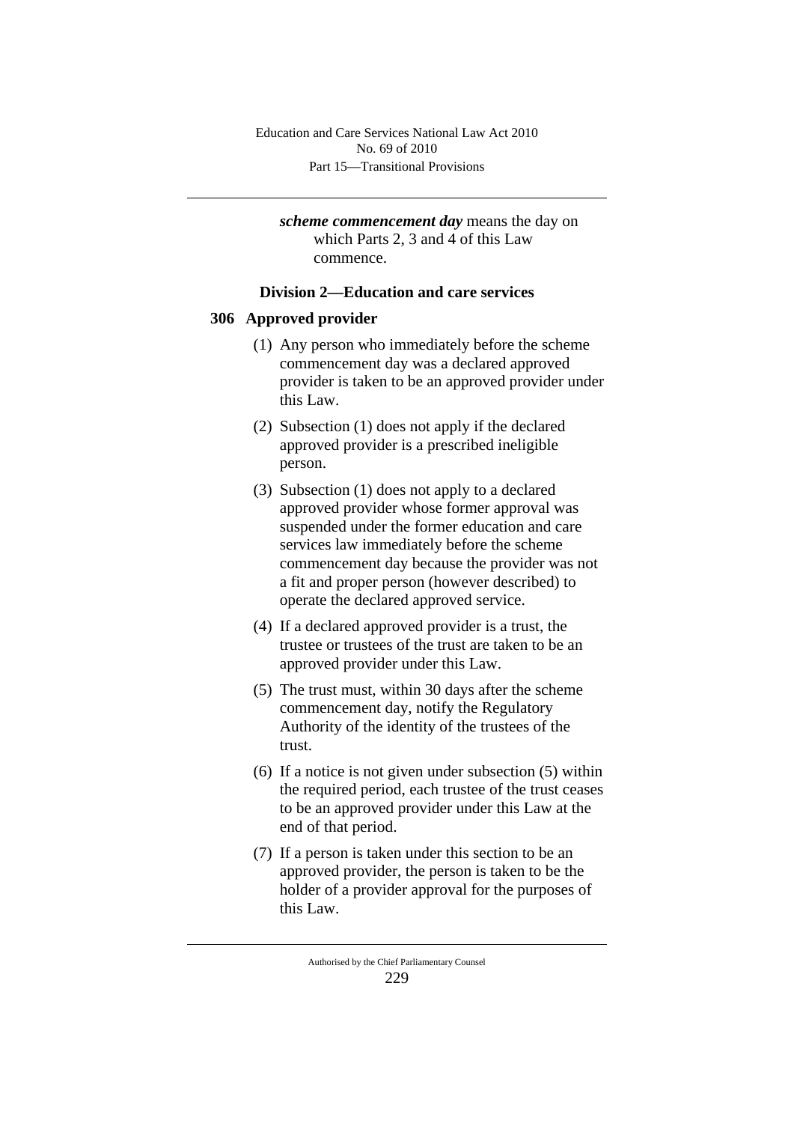*scheme commencement day* means the day on which Parts 2, 3 and 4 of this Law commence.

## **Division 2—Education and care services**

### **306 Approved provider**

- (1) Any person who immediately before the scheme commencement day was a declared approved provider is taken to be an approved provider under this Law.
- (2) Subsection (1) does not apply if the declared approved provider is a prescribed ineligible person.
- (3) Subsection (1) does not apply to a declared approved provider whose former approval was suspended under the former education and care services law immediately before the scheme commencement day because the provider was not a fit and proper person (however described) to operate the declared approved service.
- (4) If a declared approved provider is a trust, the trustee or trustees of the trust are taken to be an approved provider under this Law.
- (5) The trust must, within 30 days after the scheme commencement day, notify the Regulatory Authority of the identity of the trustees of the trust.
- (6) If a notice is not given under subsection (5) within the required period, each trustee of the trust ceases to be an approved provider under this Law at the end of that period.
- (7) If a person is taken under this section to be an approved provider, the person is taken to be the holder of a provider approval for the purposes of this Law.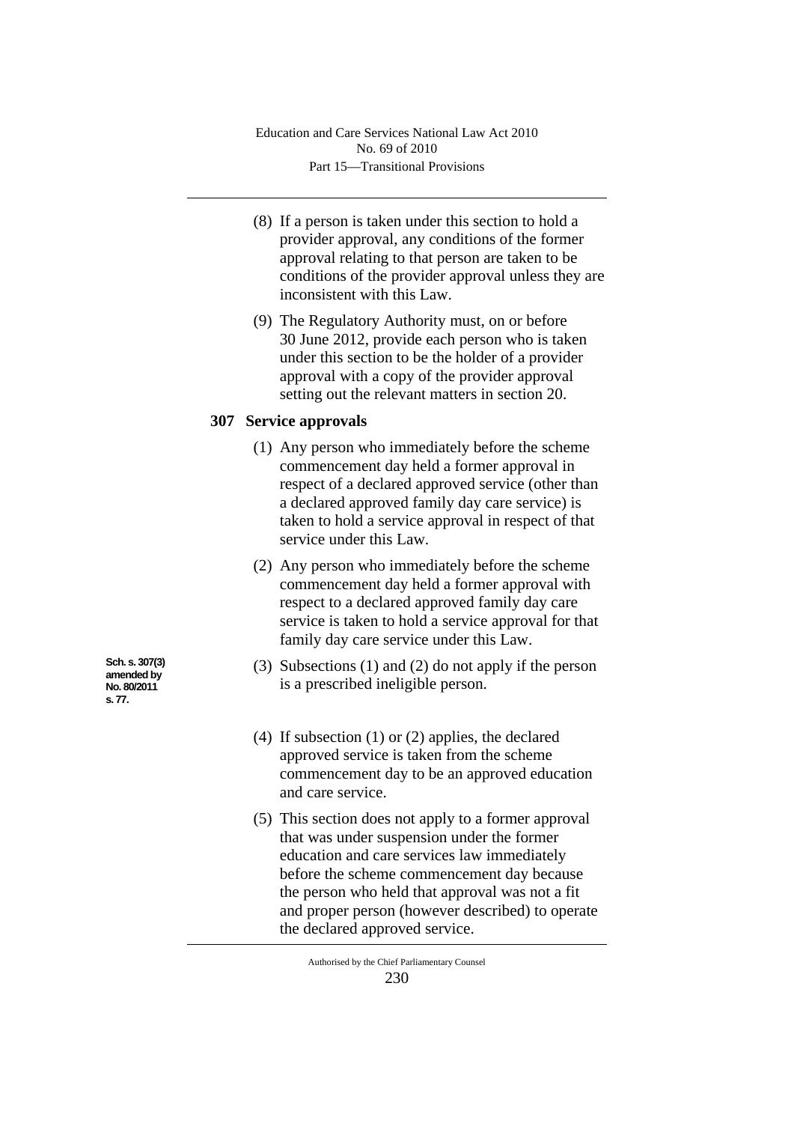- (8) If a person is taken under this section to hold a provider approval, any conditions of the former approval relating to that person are taken to be conditions of the provider approval unless they are inconsistent with this Law.
- (9) The Regulatory Authority must, on or before 30 June 2012, provide each person who is taken under this section to be the holder of a provider approval with a copy of the provider approval setting out the relevant matters in section 20.

# **307 Service approvals**

- (1) Any person who immediately before the scheme commencement day held a former approval in respect of a declared approved service (other than a declared approved family day care service) is taken to hold a service approval in respect of that service under this Law.
- (2) Any person who immediately before the scheme commencement day held a former approval with respect to a declared approved family day care service is taken to hold a service approval for that family day care service under this Law.
- (3) Subsections (1) and (2) do not apply if the person is a prescribed ineligible person.
- (4) If subsection (1) or (2) applies, the declared approved service is taken from the scheme commencement day to be an approved education and care service.
- (5) This section does not apply to a former approval that was under suspension under the former education and care services law immediately before the scheme commencement day because the person who held that approval was not a fit and proper person (however described) to operate the declared approved service.

**Sch. s. 307(3) amended by No. 80/2011 s. 77.**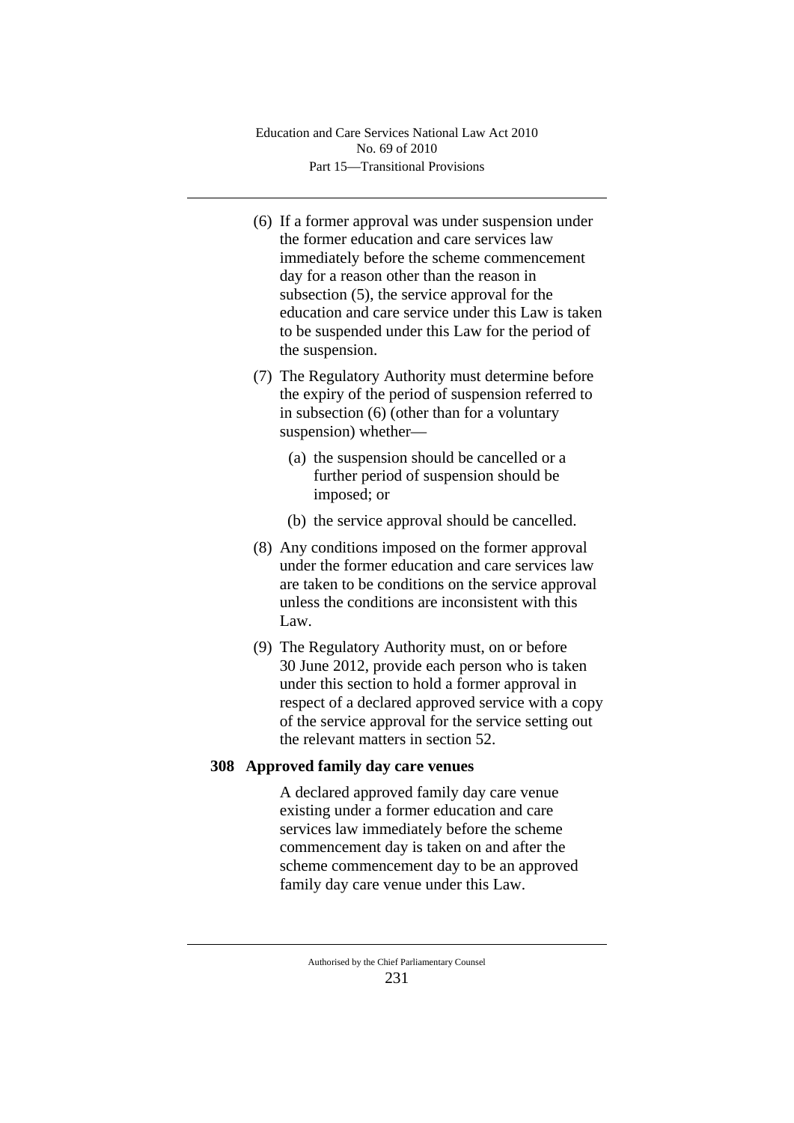Part 15—Transitional Provisions Education and Care Services National Law Act 2010 No. 69 of 2010

- (6) If a former approval was under suspension under the former education and care services law immediately before the scheme commencement day for a reason other than the reason in subsection (5), the service approval for the education and care service under this Law is taken to be suspended under this Law for the period of the suspension.
- (7) The Regulatory Authority must determine before the expiry of the period of suspension referred to in subsection (6) (other than for a voluntary suspension) whether—
	- (a) the suspension should be cancelled or a further period of suspension should be imposed; or
	- (b) the service approval should be cancelled.
- (8) Any conditions imposed on the former approval under the former education and care services law are taken to be conditions on the service approval unless the conditions are inconsistent with this Law.
- (9) The Regulatory Authority must, on or before 30 June 2012, provide each person who is taken under this section to hold a former approval in respect of a declared approved service with a copy of the service approval for the service setting out the relevant matters in section 52.

## **308 Approved family day care venues**

A declared approved family day care venue existing under a former education and care services law immediately before the scheme commencement day is taken on and after the scheme commencement day to be an approved family day care venue under this Law.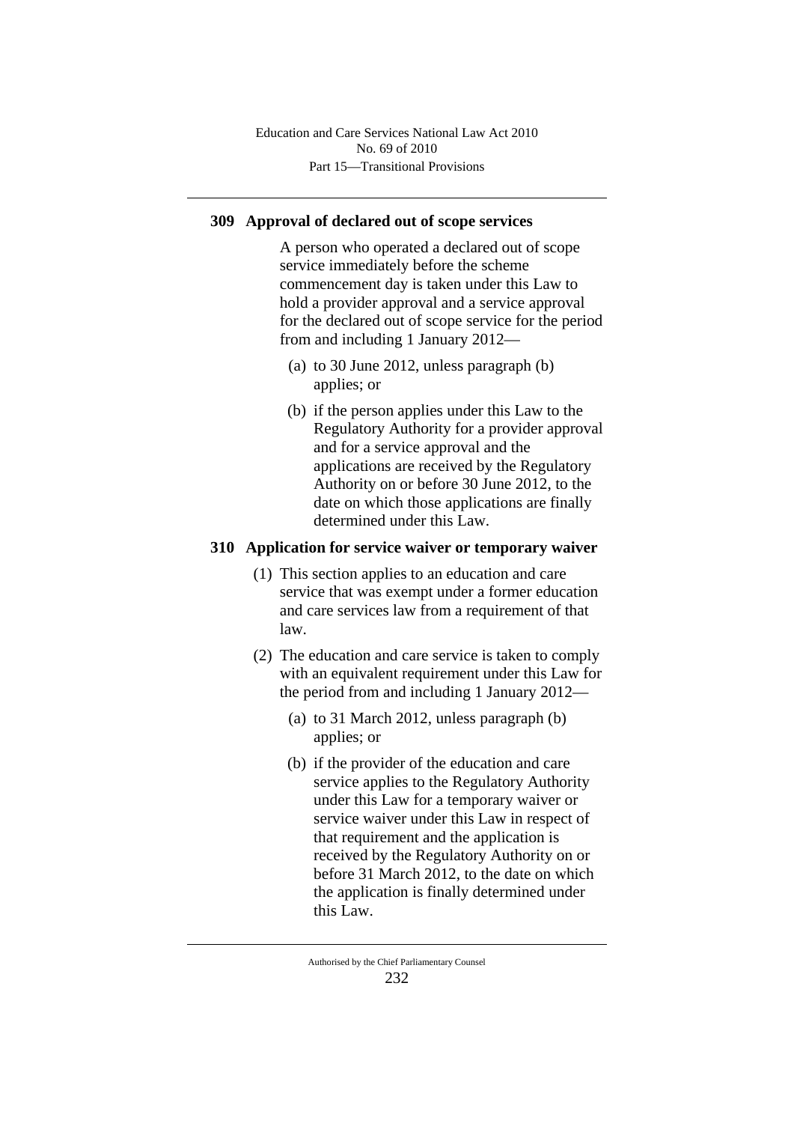# **309 Approval of declared out of scope services**

A person who operated a declared out of scope service immediately before the scheme commencement day is taken under this Law to hold a provider approval and a service approval for the declared out of scope service for the period from and including 1 January 2012—

- (a) to 30 June 2012, unless paragraph (b) applies; or
- (b) if the person applies under this Law to the Regulatory Authority for a provider approval and for a service approval and the applications are received by the Regulatory Authority on or before 30 June 2012, to the date on which those applications are finally determined under this Law.

## **310 Application for service waiver or temporary waiver**

- (1) This section applies to an education and care service that was exempt under a former education and care services law from a requirement of that law.
- (2) The education and care service is taken to comply with an equivalent requirement under this Law for the period from and including 1 January 2012—
	- (a) to 31 March 2012, unless paragraph (b) applies; or
	- (b) if the provider of the education and care service applies to the Regulatory Authority under this Law for a temporary waiver or service waiver under this Law in respect of that requirement and the application is received by the Regulatory Authority on or before 31 March 2012, to the date on which the application is finally determined under this Law.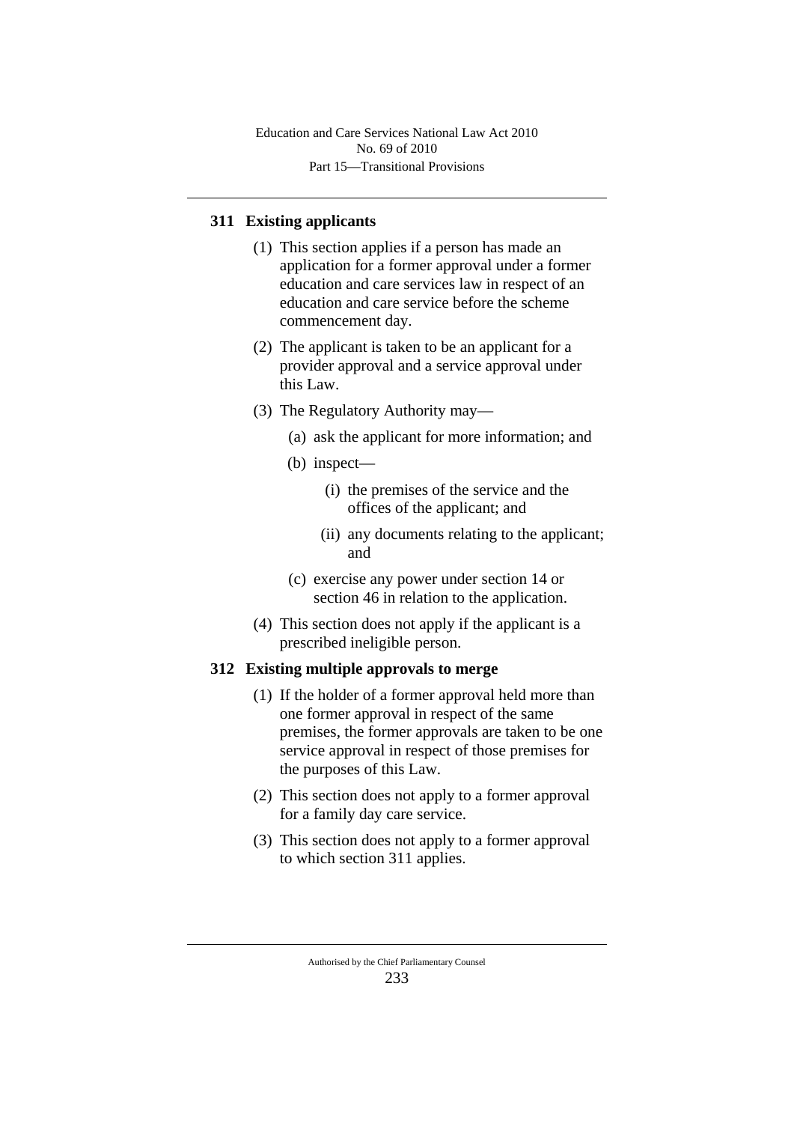Part 15—Transitional Provisions Education and Care Services National Law Act 2010 No. 69 of 2010

# **311 Existing applicants**

- (1) This section applies if a person has made an application for a former approval under a former education and care services law in respect of an education and care service before the scheme commencement day.
- (2) The applicant is taken to be an applicant for a provider approval and a service approval under this Law.
- (3) The Regulatory Authority may—
	- (a) ask the applicant for more information; and
	- (b) inspect—
		- (i) the premises of the service and the offices of the applicant; and
		- (ii) any documents relating to the applicant; and
	- (c) exercise any power under section 14 or section 46 in relation to the application.
- (4) This section does not apply if the applicant is a prescribed ineligible person.

## **312 Existing multiple approvals to merge**

- (1) If the holder of a former approval held more than one former approval in respect of the same premises, the former approvals are taken to be one service approval in respect of those premises for the purposes of this Law.
- (2) This section does not apply to a former approval for a family day care service.
- (3) This section does not apply to a former approval to which section 311 applies.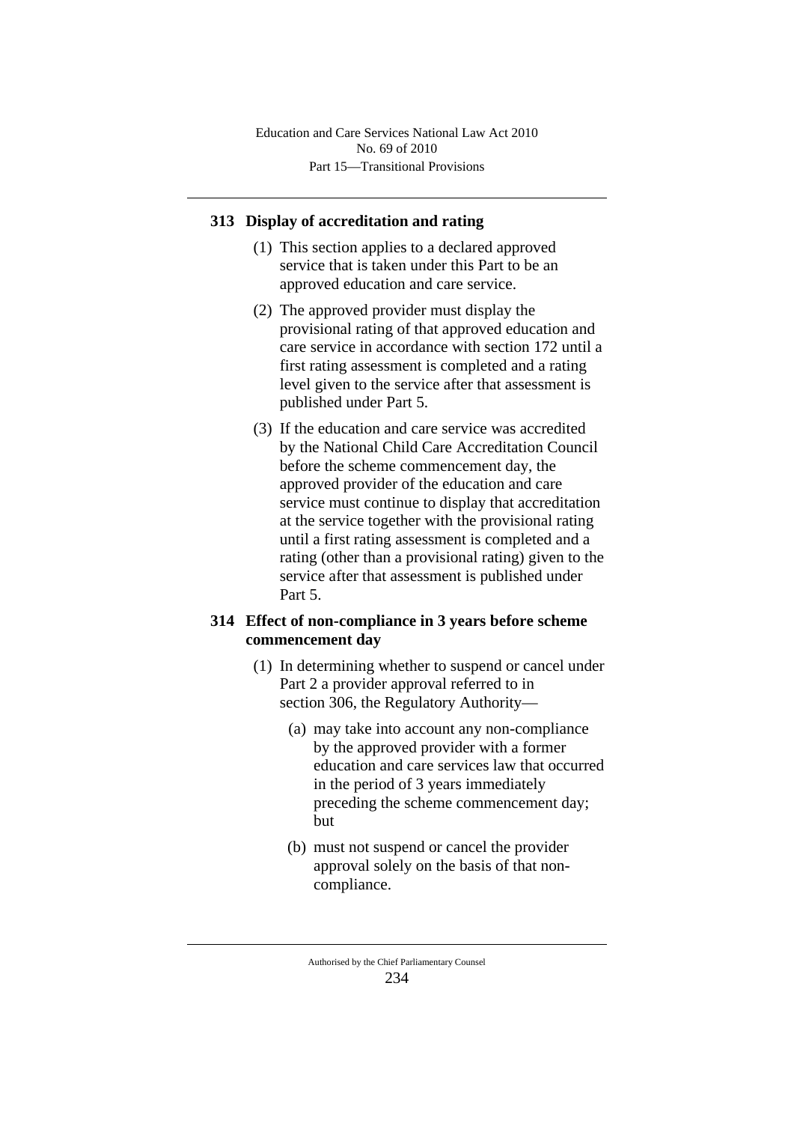Part 15—Transitional Provisions Education and Care Services National Law Act 2010 No. 69 of 2010

### **313 Display of accreditation and rating**

- (1) This section applies to a declared approved service that is taken under this Part to be an approved education and care service.
- (2) The approved provider must display the provisional rating of that approved education and care service in accordance with section 172 until a first rating assessment is completed and a rating level given to the service after that assessment is published under Part 5.
- (3) If the education and care service was accredited by the National Child Care Accreditation Council before the scheme commencement day, the approved provider of the education and care service must continue to display that accreditation at the service together with the provisional rating until a first rating assessment is completed and a rating (other than a provisional rating) given to the service after that assessment is published under Part 5.

## **314 Effect of non-compliance in 3 years before scheme commencement day**

- (1) In determining whether to suspend or cancel under Part 2 a provider approval referred to in section 306, the Regulatory Authority—
	- (a) may take into account any non-compliance by the approved provider with a former education and care services law that occurred in the period of 3 years immediately preceding the scheme commencement day; but
	- (b) must not suspend or cancel the provider approval solely on the basis of that noncompliance.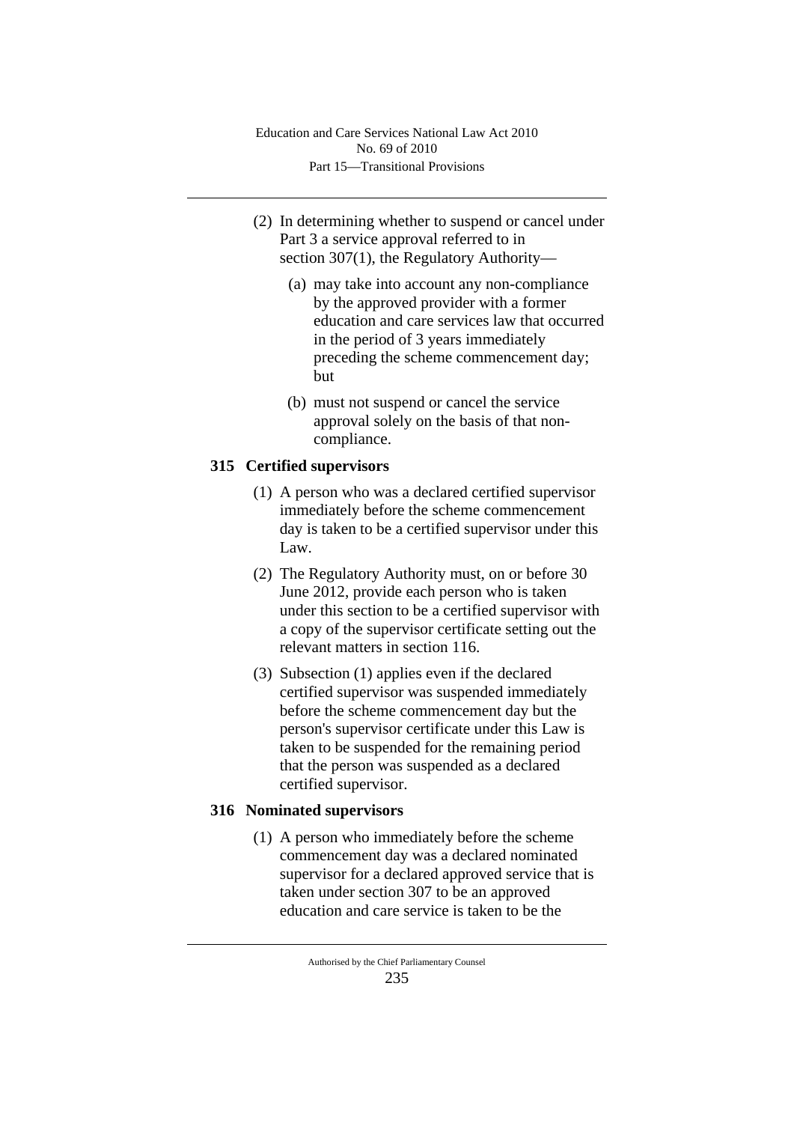- (2) In determining whether to suspend or cancel under Part 3 a service approval referred to in section 307(1), the Regulatory Authority—
	- (a) may take into account any non-compliance by the approved provider with a former education and care services law that occurred in the period of 3 years immediately preceding the scheme commencement day; but
	- (b) must not suspend or cancel the service approval solely on the basis of that noncompliance.

# **315 Certified supervisors**

- (1) A person who was a declared certified supervisor immediately before the scheme commencement day is taken to be a certified supervisor under this Law.
- (2) The Regulatory Authority must, on or before 30 June 2012, provide each person who is taken under this section to be a certified supervisor with a copy of the supervisor certificate setting out the relevant matters in section 116.
- (3) Subsection (1) applies even if the declared certified supervisor was suspended immediately before the scheme commencement day but the person's supervisor certificate under this Law is taken to be suspended for the remaining period that the person was suspended as a declared certified supervisor.

## **316 Nominated supervisors**

(1) A person who immediately before the scheme commencement day was a declared nominated supervisor for a declared approved service that is taken under section 307 to be an approved education and care service is taken to be the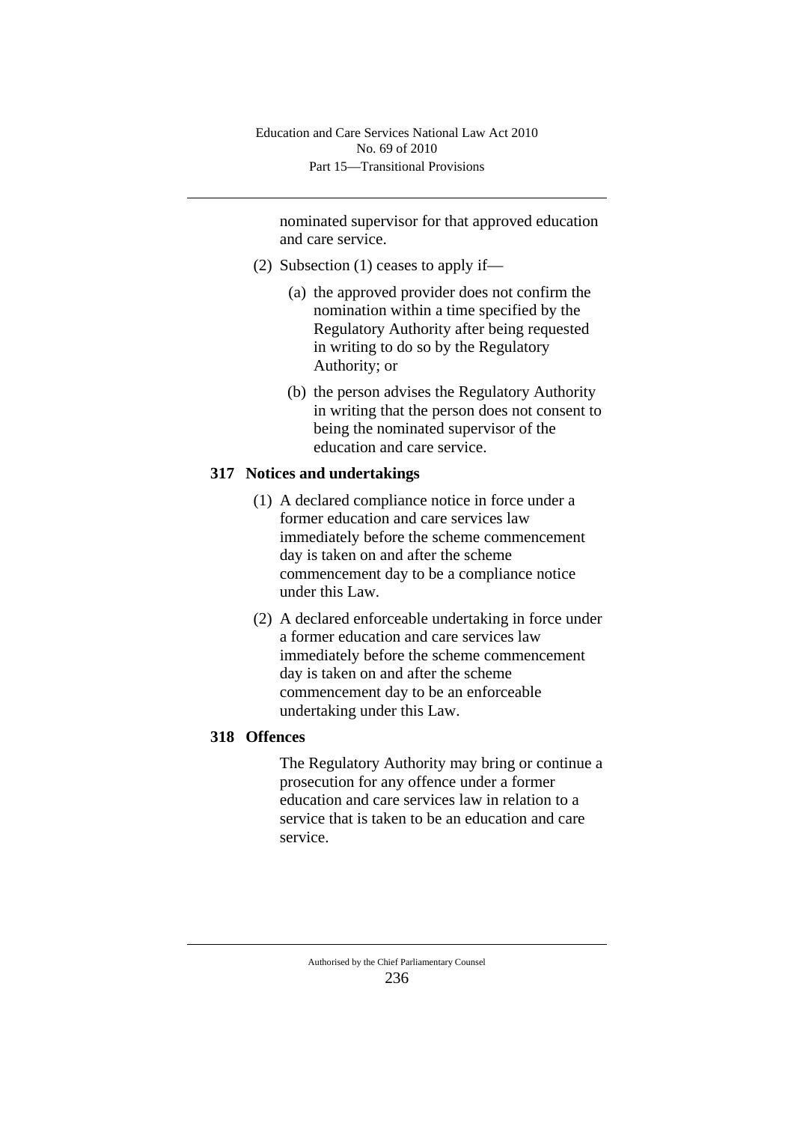nominated supervisor for that approved education and care service.

- (2) Subsection (1) ceases to apply if—
	- (a) the approved provider does not confirm the nomination within a time specified by the Regulatory Authority after being requested in writing to do so by the Regulatory Authority; or
	- (b) the person advises the Regulatory Authority in writing that the person does not consent to being the nominated supervisor of the education and care service.

# **317 Notices and undertakings**

- (1) A declared compliance notice in force under a former education and care services law immediately before the scheme commencement day is taken on and after the scheme commencement day to be a compliance notice under this Law.
- (2) A declared enforceable undertaking in force under a former education and care services law immediately before the scheme commencement day is taken on and after the scheme commencement day to be an enforceable undertaking under this Law.

## **318 Offences**

The Regulatory Authority may bring or continue a prosecution for any offence under a former education and care services law in relation to a service that is taken to be an education and care service.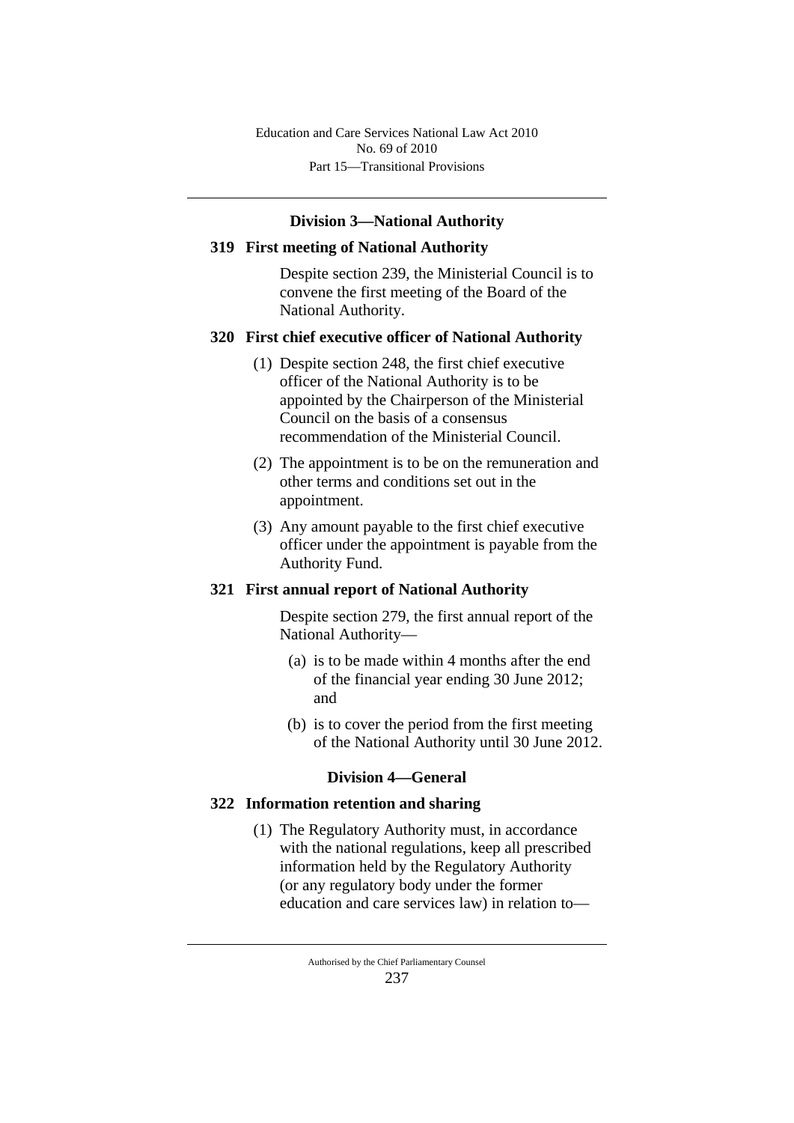Part 15—Transitional Provisions Education and Care Services National Law Act 2010 No. 69 of 2010

### **Division 3—National Authority**

#### **319 First meeting of National Authority**

Despite section 239, the Ministerial Council is to convene the first meeting of the Board of the National Authority.

### **320 First chief executive officer of National Authority**

- (1) Despite section 248, the first chief executive officer of the National Authority is to be appointed by the Chairperson of the Ministerial Council on the basis of a consensus recommendation of the Ministerial Council.
- (2) The appointment is to be on the remuneration and other terms and conditions set out in the appointment.
- (3) Any amount payable to the first chief executive officer under the appointment is payable from the Authority Fund.

#### **321 First annual report of National Authority**

Despite section 279, the first annual report of the National Authority—

- (a) is to be made within 4 months after the end of the financial year ending 30 June 2012; and
- (b) is to cover the period from the first meeting of the National Authority until 30 June 2012.

#### **Division 4—General**

#### **322 Information retention and sharing**

(1) The Regulatory Authority must, in accordance with the national regulations, keep all prescribed information held by the Regulatory Authority (or any regulatory body under the former education and care services law) in relation to—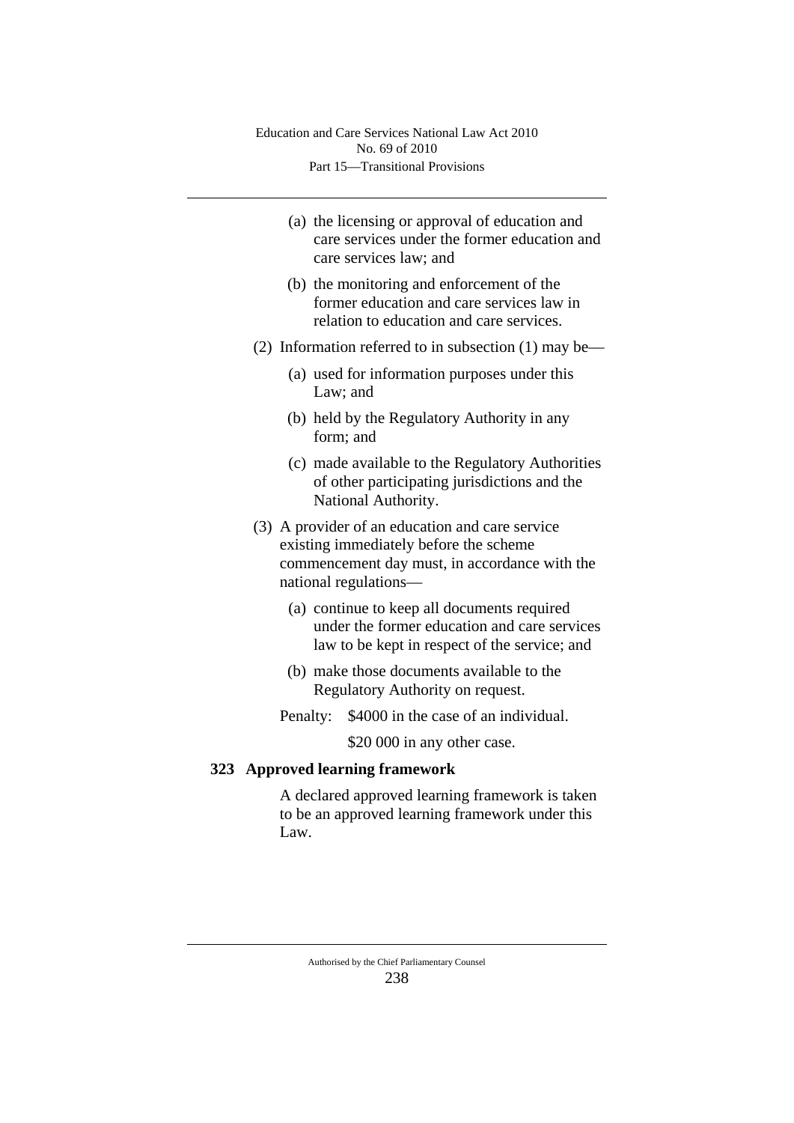- (a) the licensing or approval of education and care services under the former education and care services law; and
- (b) the monitoring and enforcement of the former education and care services law in relation to education and care services.
- (2) Information referred to in subsection (1) may be—
	- (a) used for information purposes under this Law; and
	- (b) held by the Regulatory Authority in any form; and
	- (c) made available to the Regulatory Authorities of other participating jurisdictions and the National Authority.
- (3) A provider of an education and care service existing immediately before the scheme commencement day must, in accordance with the national regulations—
	- (a) continue to keep all documents required under the former education and care services law to be kept in respect of the service; and
	- (b) make those documents available to the Regulatory Authority on request.
	- Penalty: \$4000 in the case of an individual.

\$20 000 in any other case.

## **323 Approved learning framework**

A declared approved learning framework is taken to be an approved learning framework under this Law.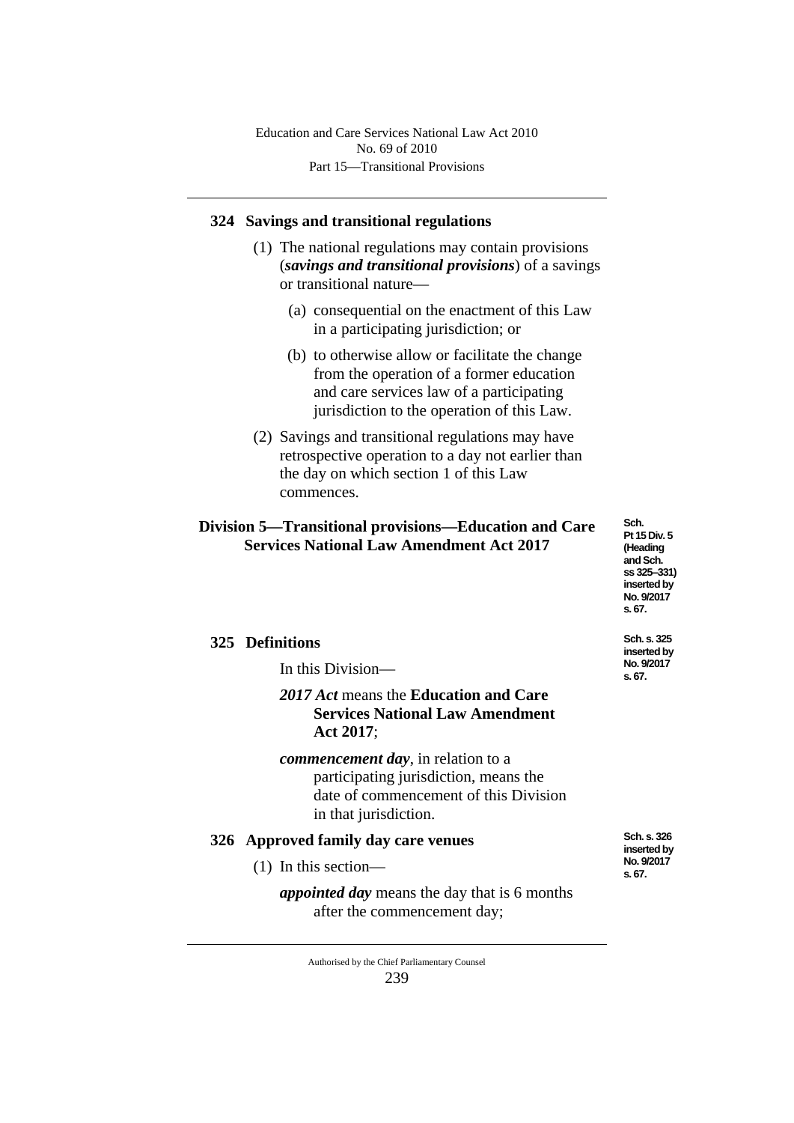Part 15—Transitional Provisions Education and Care Services National Law Act 2010 No. 69 of 2010

## **324 Savings and transitional regulations**

- (1) The national regulations may contain provisions (*savings and transitional provisions*) of a savings or transitional nature—
	- (a) consequential on the enactment of this Law in a participating jurisdiction; or
	- (b) to otherwise allow or facilitate the change from the operation of a former education and care services law of a participating jurisdiction to the operation of this Law.
- (2) Savings and transitional regulations may have retrospective operation to a day not earlier than the day on which section 1 of this Law commences.

## **Division 5—Transitional provisions—Education and Care Services National Law Amendment Act 2017**

**Sch. Pt 15 Div. 5 (Heading and Sch. ss 325‒331) inserted by No. 9/2017 s. 67.**

**Sch. s. 325 inserted by No. 9/2017 s. 67.**

## **325 Definitions**

In this Division—

## *2017 Act* means the **Education and Care Services National Law Amendment Act 2017**;

*commencement day*, in relation to a participating jurisdiction, means the date of commencement of this Division in that jurisdiction.

## **326 Approved family day care venues**

- (1) In this section
	- *appointed day* means the day that is 6 months after the commencement day;

**Sch. s. 326 inserted by No. 9/2017 s. 67.**

Authorised by the Chief Parliamentary Counsel 239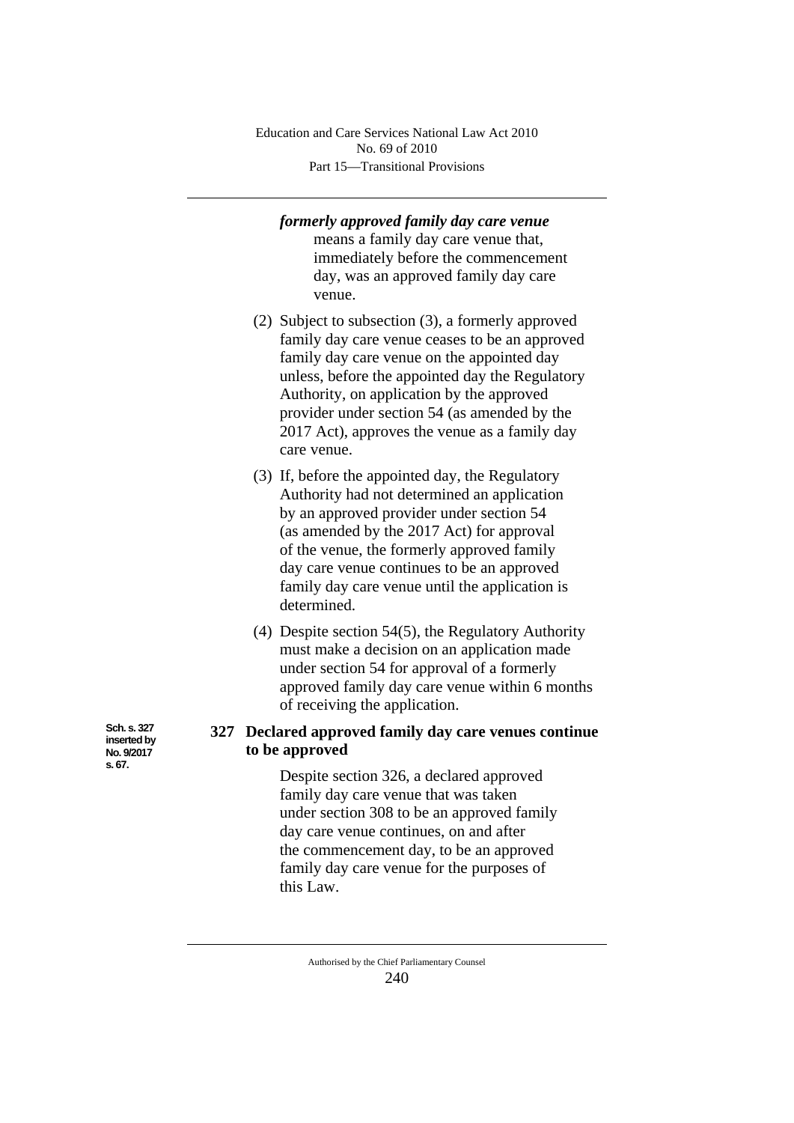Part 15—Transitional Provisions Education and Care Services National Law Act 2010 No. 69 of 2010

## *formerly approved family day care venue* means a family day care venue that, immediately before the commencement day, was an approved family day care

- venue. (2) Subject to subsection (3), a formerly approved family day care venue ceases to be an approved family day care venue on the appointed day unless, before the appointed day the Regulatory Authority, on application by the approved provider under section 54 (as amended by the 2017 Act), approves the venue as a family day care venue.
- (3) If, before the appointed day, the Regulatory Authority had not determined an application by an approved provider under section 54 (as amended by the 2017 Act) for approval of the venue, the formerly approved family day care venue continues to be an approved family day care venue until the application is determined.
- (4) Despite section 54(5), the Regulatory Authority must make a decision on an application made under section 54 for approval of a formerly approved family day care venue within 6 months of receiving the application.

## **327 Declared approved family day care venues continue to be approved**

Despite section 326, a declared approved family day care venue that was taken under section 308 to be an approved family day care venue continues, on and after the commencement day, to be an approved family day care venue for the purposes of this Law.

**Sch. s. 327 inserted by No. 9/2017 s. 67.**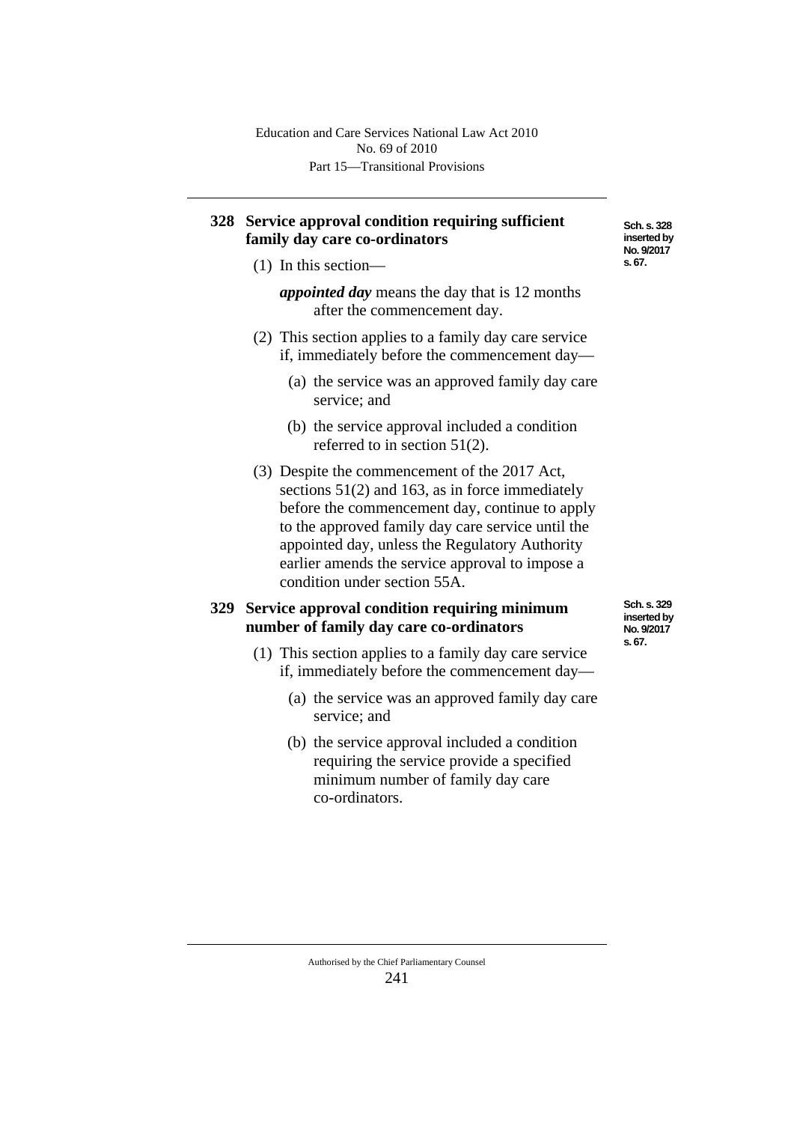## **328 Service approval condition requiring sufficient family day care co-ordinators**

(1) In this section—

*appointed day* means the day that is 12 months after the commencement day.

- (2) This section applies to a family day care service if, immediately before the commencement day—
	- (a) the service was an approved family day care service; and
	- (b) the service approval included a condition referred to in section 51(2).
- (3) Despite the commencement of the 2017 Act, sections 51(2) and 163, as in force immediately before the commencement day, continue to apply to the approved family day care service until the appointed day, unless the Regulatory Authority earlier amends the service approval to impose a condition under section 55A.

## **329 Service approval condition requiring minimum number of family day care co-ordinators**

**Sch. s. 329 inserted by No. 9/2017 s. 67.**

- (1) This section applies to a family day care service if, immediately before the commencement day—
	- (a) the service was an approved family day care service; and
	- (b) the service approval included a condition requiring the service provide a specified minimum number of family day care co-ordinators.

**Sch. s. 328 inserted by No. 9/2017 s. 67.**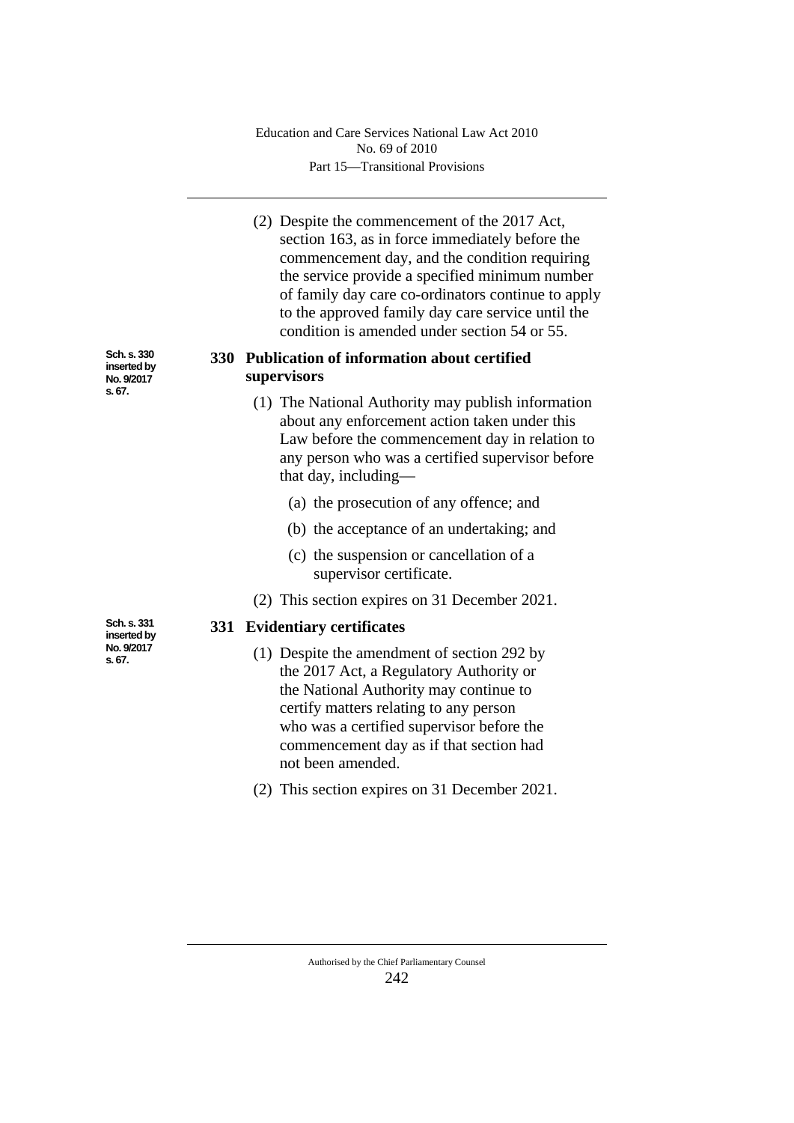Part 15—Transitional Provisions Education and Care Services National Law Act 2010 No. 69 of 2010

(2) Despite the commencement of the 2017 Act, section 163, as in force immediately before the commencement day, and the condition requiring the service provide a specified minimum number of family day care co-ordinators continue to apply to the approved family day care service until the condition is amended under section 54 or 55.

## **330 Publication of information about certified supervisors**

- (1) The National Authority may publish information about any enforcement action taken under this Law before the commencement day in relation to any person who was a certified supervisor before that day, including—
	- (a) the prosecution of any offence; and
	- (b) the acceptance of an undertaking; and
	- (c) the suspension or cancellation of a supervisor certificate.
- (2) This section expires on 31 December 2021.

## **331 Evidentiary certificates**

- (1) Despite the amendment of section 292 by the 2017 Act, a Regulatory Authority or the National Authority may continue to certify matters relating to any person who was a certified supervisor before the commencement day as if that section had not been amended.
- (2) This section expires on 31 December 2021.

**Sch. s. 331 inserted by No. 9/2017 s. 67.**

**Sch. s. 330 inserted by No. 9/2017 s. 67.**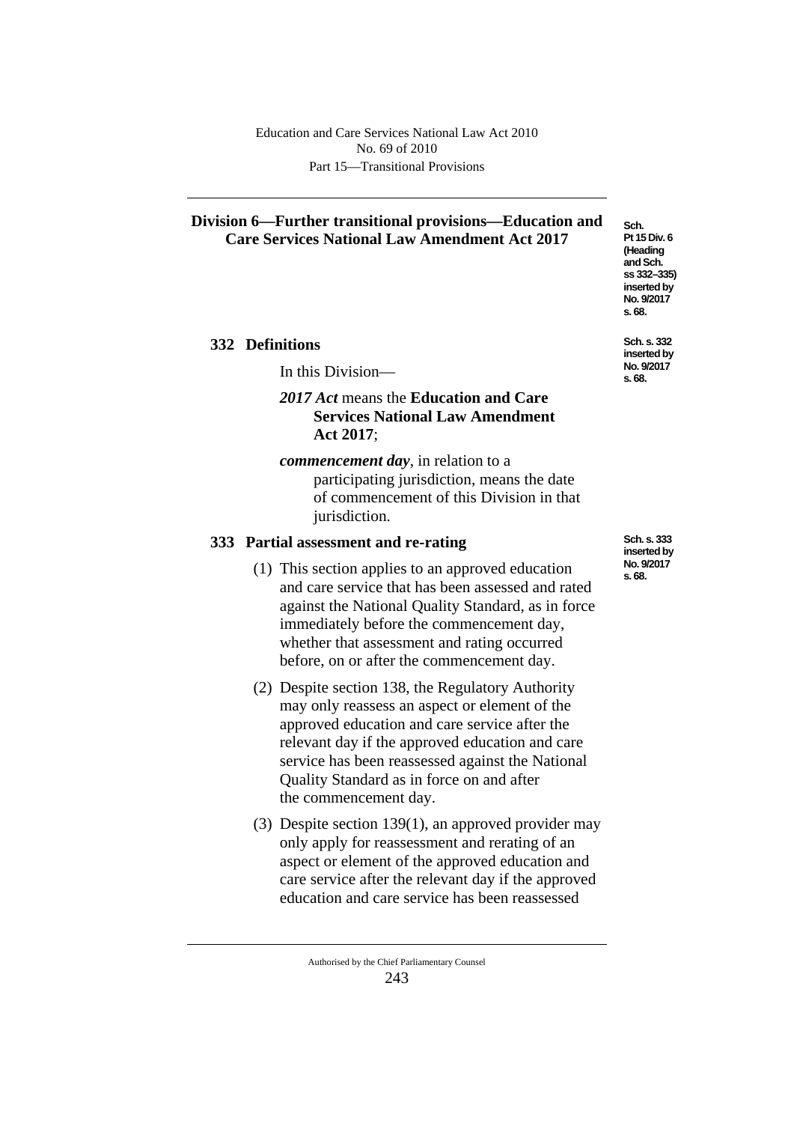## **Division 6—Further transitional provisions—Education and Care Services National Law Amendment Act 2017**

## **332 Definitions**

In this Division—

## *2017 Act* means the **Education and Care Services National Law Amendment Act 2017**;

*commencement day*, in relation to a participating jurisdiction, means the date of commencement of this Division in that jurisdiction.

## **333 Partial assessment and re-rating**

- (1) This section applies to an approved education and care service that has been assessed and rated against the National Quality Standard, as in force immediately before the commencement day, whether that assessment and rating occurred before, on or after the commencement day.
- (2) Despite section 138, the Regulatory Authority may only reassess an aspect or element of the approved education and care service after the relevant day if the approved education and care service has been reassessed against the National Quality Standard as in force on and after the commencement day.
- (3) Despite section 139(1), an approved provider may only apply for reassessment and rerating of an aspect or element of the approved education and care service after the relevant day if the approved education and care service has been reassessed

**No. 9/2017 s. 68. Sch. s. 332** 

**Sch. Pt 15 Div. 6 (Heading and Sch. ss 332–335) inserted by** 

**inserted by No. 9/2017 s. 68.**

**Sch. s. 333 inserted by No. 9/2017 s. 68.**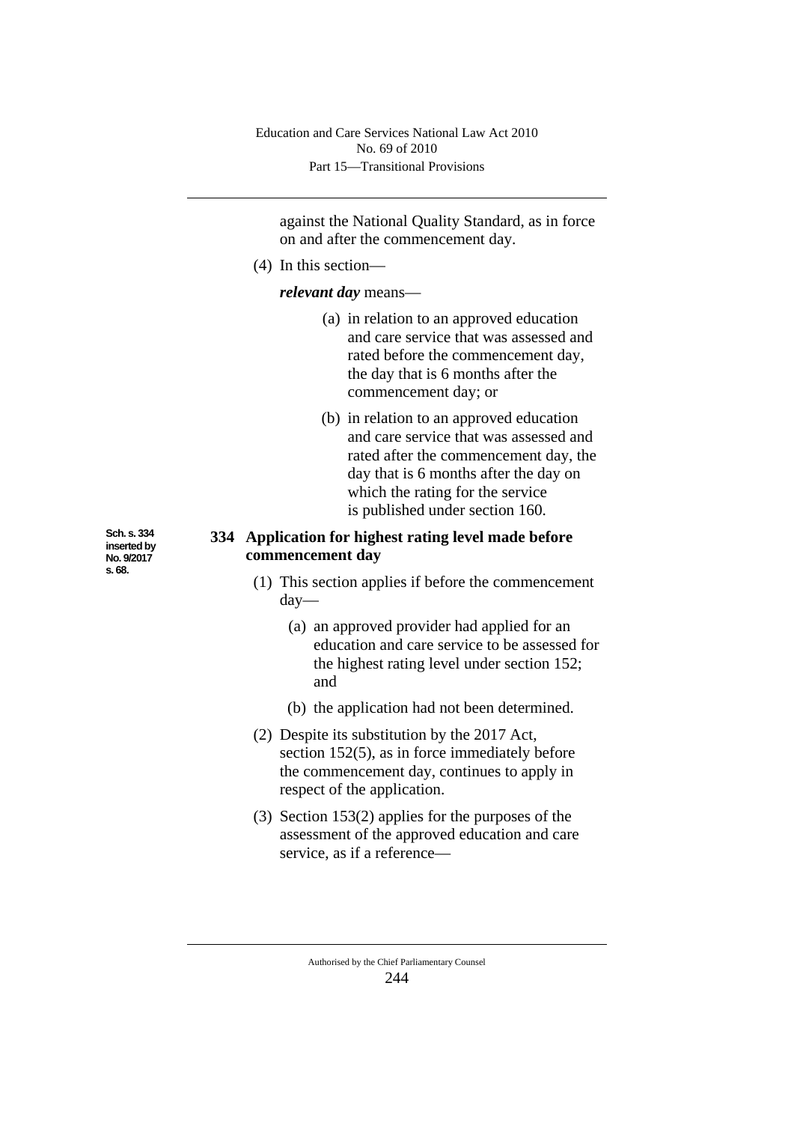Part 15—Transitional Provisions Education and Care Services National Law Act 2010 No. 69 of 2010

against the National Quality Standard, as in force on and after the commencement day.

(4) In this section—

## *relevant day* means—

- (a) in relation to an approved education and care service that was assessed and rated before the commencement day, the day that is 6 months after the commencement day; or
- (b) in relation to an approved education and care service that was assessed and rated after the commencement day, the day that is 6 months after the day on which the rating for the service is published under section 160.

## **334 Application for highest rating level made before commencement day**

- (1) This section applies if before the commencement day—
	- (a) an approved provider had applied for an education and care service to be assessed for the highest rating level under section 152; and
	- (b) the application had not been determined.
- (2) Despite its substitution by the 2017 Act, section 152(5), as in force immediately before the commencement day, continues to apply in respect of the application.
- (3) Section 153(2) applies for the purposes of the assessment of the approved education and care service, as if a reference—

**Sch. s. 334 inserted by No. 9/2017 s. 68.**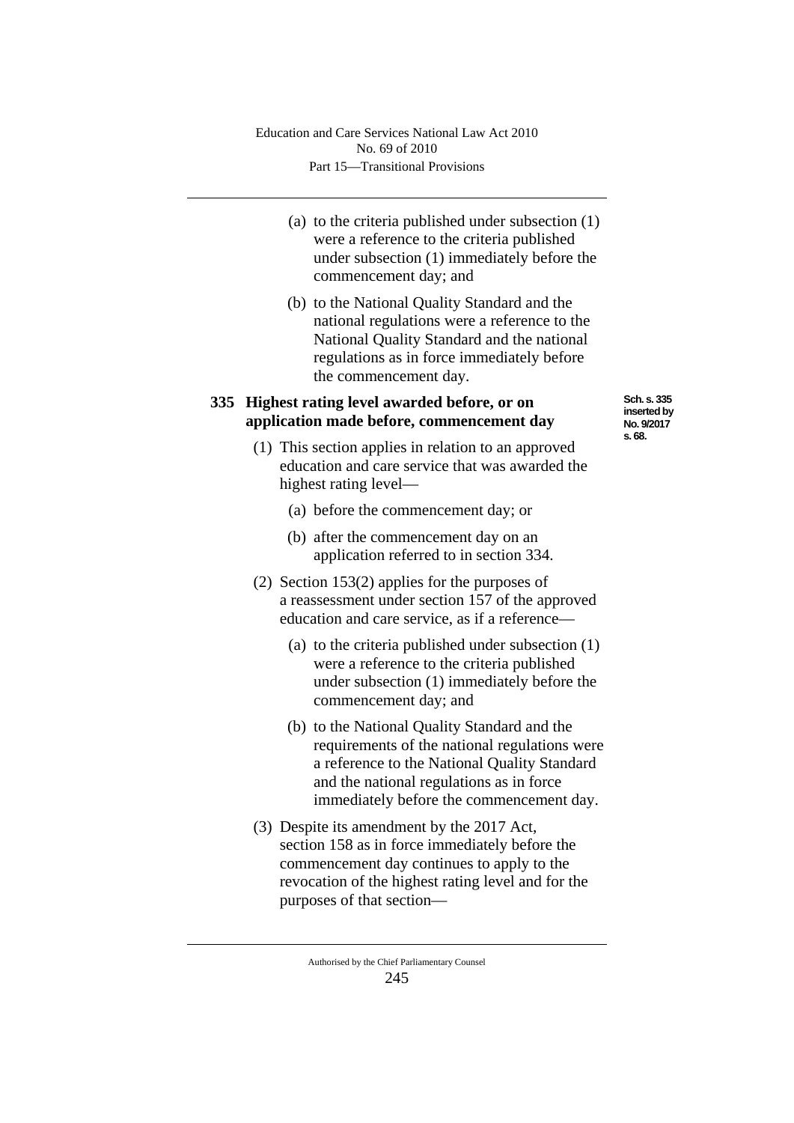- (a) to the criteria published under subsection (1) were a reference to the criteria published under subsection (1) immediately before the commencement day; and
- (b) to the National Quality Standard and the national regulations were a reference to the National Quality Standard and the national regulations as in force immediately before the commencement day.

## **335 Highest rating level awarded before, or on application made before, commencement day**

**Sch. s. 335 inserted by No. 9/2017 s. 68.**

- (1) This section applies in relation to an approved education and care service that was awarded the highest rating level—
	- (a) before the commencement day; or
	- (b) after the commencement day on an application referred to in section 334.
- (2) Section 153(2) applies for the purposes of a reassessment under section 157 of the approved education and care service, as if a reference—
	- (a) to the criteria published under subsection (1) were a reference to the criteria published under subsection (1) immediately before the commencement day; and
	- (b) to the National Quality Standard and the requirements of the national regulations were a reference to the National Quality Standard and the national regulations as in force immediately before the commencement day.
- (3) Despite its amendment by the 2017 Act, section 158 as in force immediately before the commencement day continues to apply to the revocation of the highest rating level and for the purposes of that section—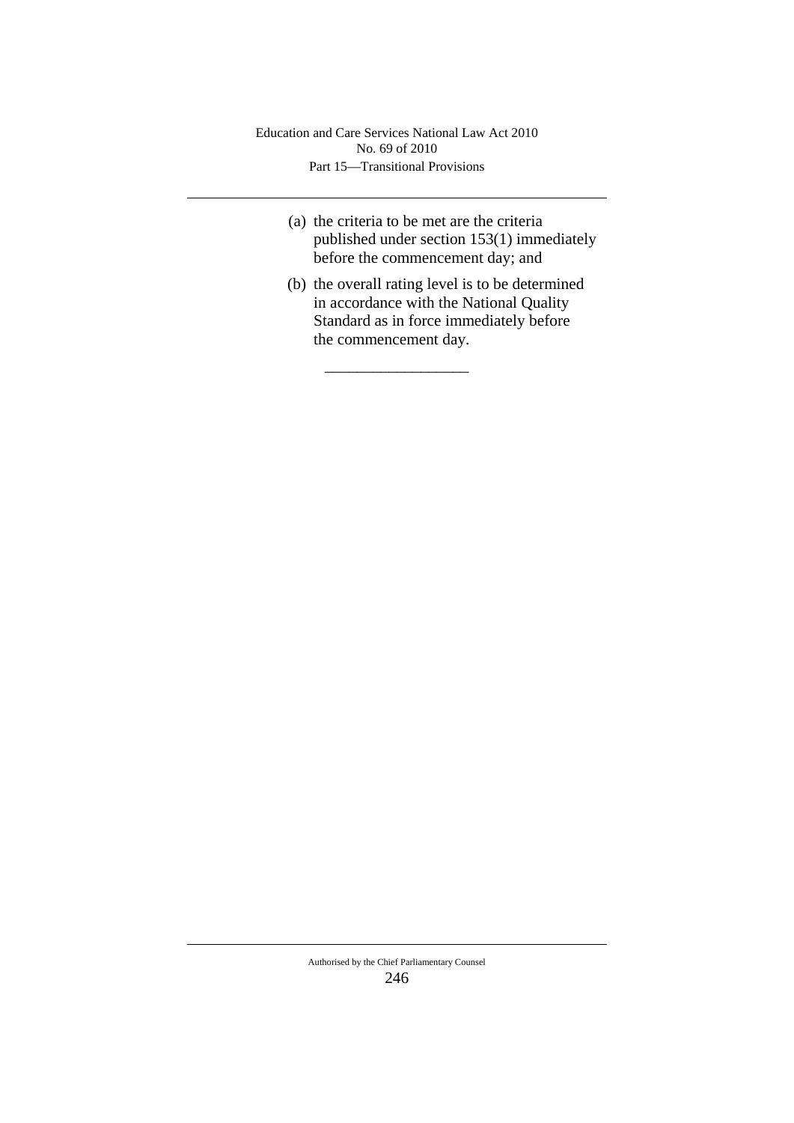Part 15—Transitional Provisions Education and Care Services National Law Act 2010 No. 69 of 2010

\_\_\_\_\_\_\_\_\_\_\_\_\_\_\_\_\_\_

- (a) the criteria to be met are the criteria published under section 153(1) immediately before the commencement day; and
- (b) the overall rating level is to be determined in accordance with the National Quality Standard as in force immediately before the commencement day.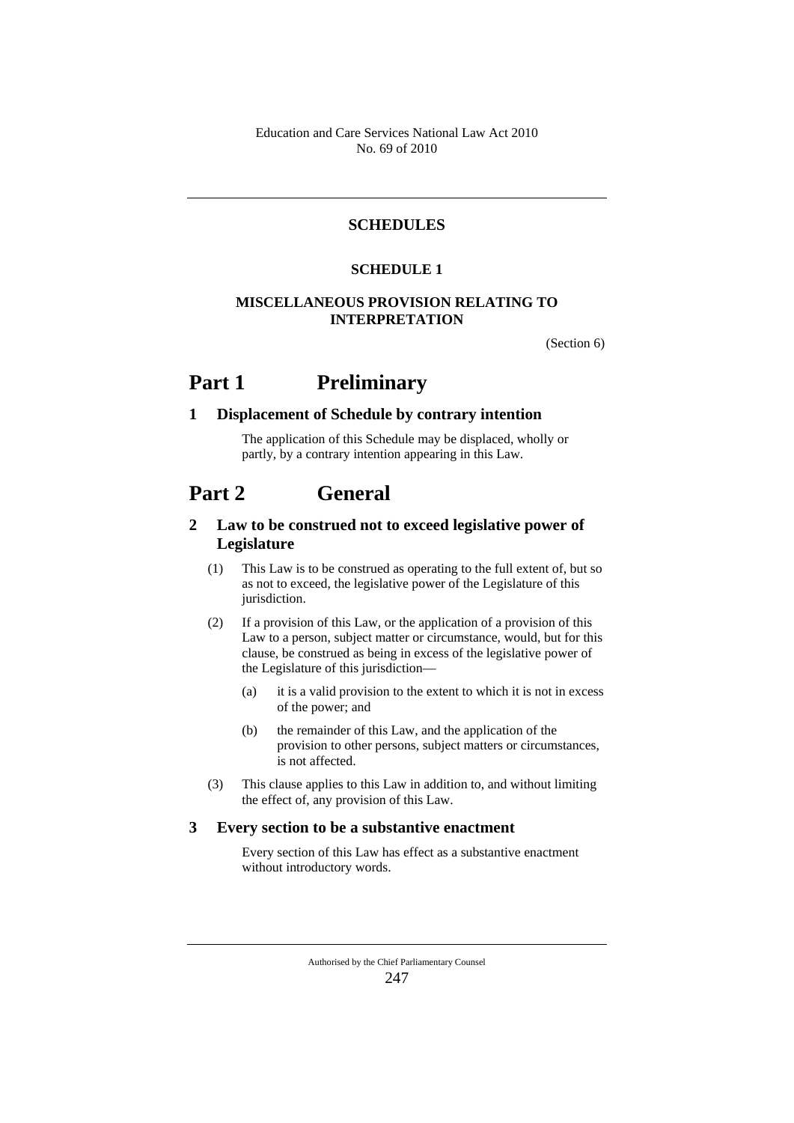## **SCHEDULES**

#### **SCHEDULE 1**

#### **MISCELLANEOUS PROVISION RELATING TO INTERPRETATION**

(Section 6)

## **Part 1 Preliminary**

#### **1 Displacement of Schedule by contrary intention**

The application of this Schedule may be displaced, wholly or partly, by a contrary intention appearing in this Law.

## **Part 2 General**

## **2 Law to be construed not to exceed legislative power of Legislature**

- (1) This Law is to be construed as operating to the full extent of, but so as not to exceed, the legislative power of the Legislature of this jurisdiction.
- (2) If a provision of this Law, or the application of a provision of this Law to a person, subject matter or circumstance, would, but for this clause, be construed as being in excess of the legislative power of the Legislature of this jurisdiction—
	- (a) it is a valid provision to the extent to which it is not in excess of the power; and
	- (b) the remainder of this Law, and the application of the provision to other persons, subject matters or circumstances, is not affected.
- (3) This clause applies to this Law in addition to, and without limiting the effect of, any provision of this Law.

#### **3 Every section to be a substantive enactment**

Every section of this Law has effect as a substantive enactment without introductory words.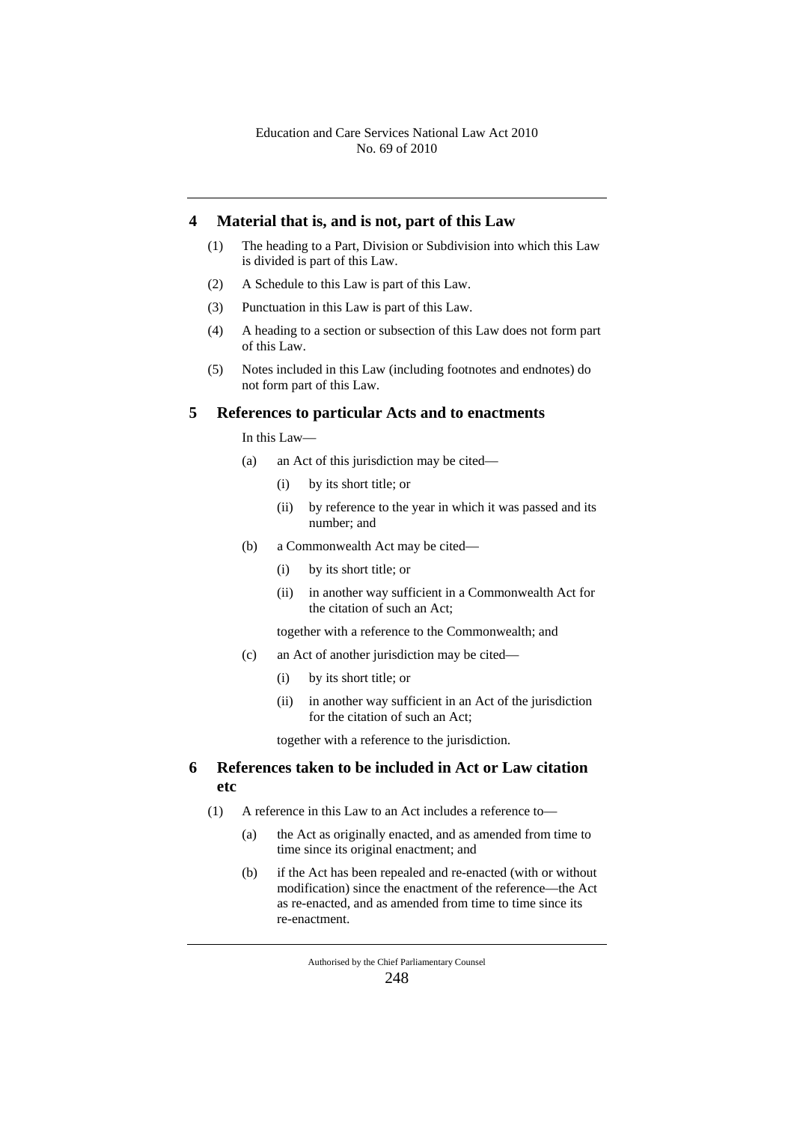#### **4 Material that is, and is not, part of this Law**

- (1) The heading to a Part, Division or Subdivision into which this Law is divided is part of this Law.
- (2) A Schedule to this Law is part of this Law.
- (3) Punctuation in this Law is part of this Law.
- (4) A heading to a section or subsection of this Law does not form part of this Law.
- (5) Notes included in this Law (including footnotes and endnotes) do not form part of this Law.

#### **5 References to particular Acts and to enactments**

In this Law—

- (a) an Act of this jurisdiction may be cited—
	- (i) by its short title; or
	- (ii) by reference to the year in which it was passed and its number; and
- (b) a Commonwealth Act may be cited—
	- (i) by its short title; or
	- (ii) in another way sufficient in a Commonwealth Act for the citation of such an Act;

together with a reference to the Commonwealth; and

- (c) an Act of another jurisdiction may be cited—
	- (i) by its short title; or
	- (ii) in another way sufficient in an Act of the jurisdiction for the citation of such an Act;

together with a reference to the jurisdiction.

## **6 References taken to be included in Act or Law citation etc**

- (1) A reference in this Law to an Act includes a reference to—
	- (a) the Act as originally enacted, and as amended from time to time since its original enactment; and
	- (b) if the Act has been repealed and re-enacted (with or without modification) since the enactment of the reference—the Act as re-enacted, and as amended from time to time since its re-enactment.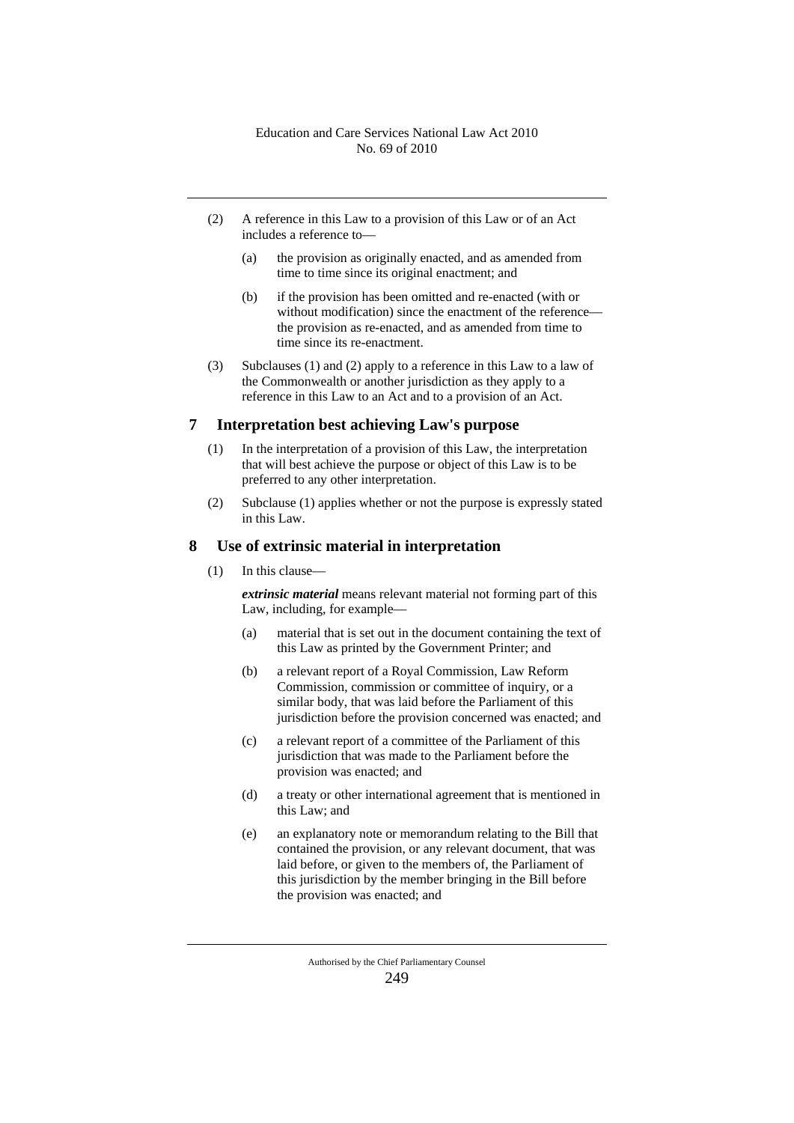- (2) A reference in this Law to a provision of this Law or of an Act includes a reference to—
	- (a) the provision as originally enacted, and as amended from time to time since its original enactment; and
	- (b) if the provision has been omitted and re-enacted (with or without modification) since the enactment of the reference the provision as re-enacted, and as amended from time to time since its re-enactment.
- (3) Subclauses (1) and (2) apply to a reference in this Law to a law of the Commonwealth or another jurisdiction as they apply to a reference in this Law to an Act and to a provision of an Act.

#### **7 Interpretation best achieving Law's purpose**

- (1) In the interpretation of a provision of this Law, the interpretation that will best achieve the purpose or object of this Law is to be preferred to any other interpretation.
- (2) Subclause (1) applies whether or not the purpose is expressly stated in this Law.

#### **8 Use of extrinsic material in interpretation**

(1) In this clause—

*extrinsic material* means relevant material not forming part of this Law, including, for example—

- (a) material that is set out in the document containing the text of this Law as printed by the Government Printer; and
- (b) a relevant report of a Royal Commission, Law Reform Commission, commission or committee of inquiry, or a similar body, that was laid before the Parliament of this jurisdiction before the provision concerned was enacted; and
- (c) a relevant report of a committee of the Parliament of this jurisdiction that was made to the Parliament before the provision was enacted; and
- (d) a treaty or other international agreement that is mentioned in this Law; and
- (e) an explanatory note or memorandum relating to the Bill that contained the provision, or any relevant document, that was laid before, or given to the members of, the Parliament of this jurisdiction by the member bringing in the Bill before the provision was enacted; and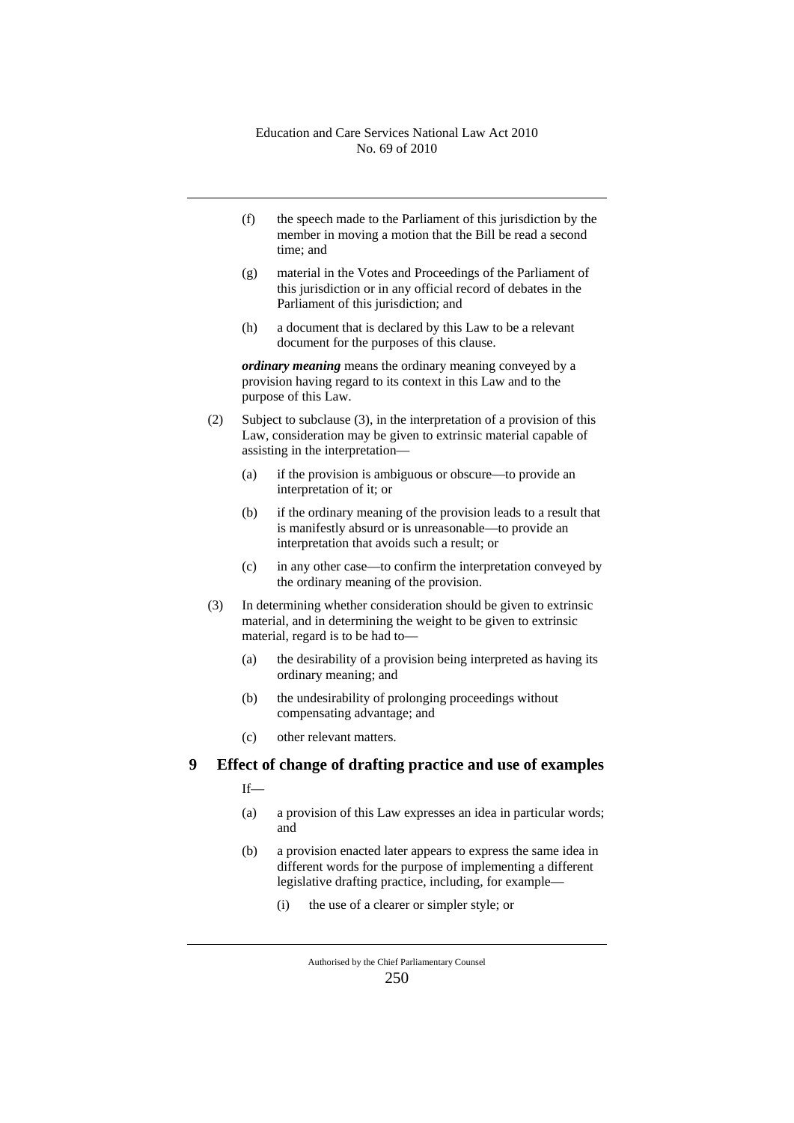- (f) the speech made to the Parliament of this jurisdiction by the member in moving a motion that the Bill be read a second time; and
- (g) material in the Votes and Proceedings of the Parliament of this jurisdiction or in any official record of debates in the Parliament of this jurisdiction; and
- (h) a document that is declared by this Law to be a relevant document for the purposes of this clause.

*ordinary meaning* means the ordinary meaning conveyed by a provision having regard to its context in this Law and to the purpose of this Law.

- (2) Subject to subclause (3), in the interpretation of a provision of this Law, consideration may be given to extrinsic material capable of assisting in the interpretation—
	- (a) if the provision is ambiguous or obscure—to provide an interpretation of it; or
	- (b) if the ordinary meaning of the provision leads to a result that is manifestly absurd or is unreasonable—to provide an interpretation that avoids such a result; or
	- (c) in any other case—to confirm the interpretation conveyed by the ordinary meaning of the provision.
- (3) In determining whether consideration should be given to extrinsic material, and in determining the weight to be given to extrinsic material, regard is to be had to—
	- (a) the desirability of a provision being interpreted as having its ordinary meaning; and
	- (b) the undesirability of prolonging proceedings without compensating advantage; and
	- (c) other relevant matters.

## **9 Effect of change of drafting practice and use of examples**

- If—
- (a) a provision of this Law expresses an idea in particular words; and
- (b) a provision enacted later appears to express the same idea in different words for the purpose of implementing a different legislative drafting practice, including, for example—
	- (i) the use of a clearer or simpler style; or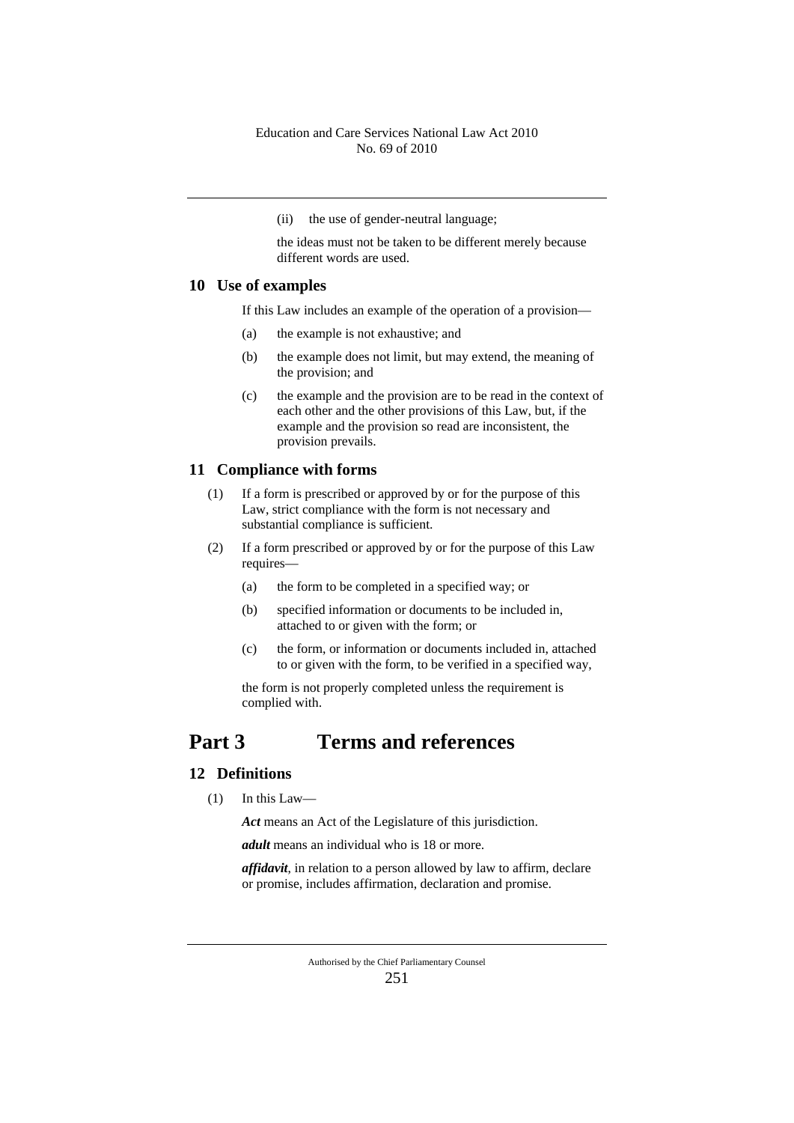(ii) the use of gender-neutral language;

the ideas must not be taken to be different merely because different words are used.

## **10 Use of examples**

If this Law includes an example of the operation of a provision—

- (a) the example is not exhaustive; and
- (b) the example does not limit, but may extend, the meaning of the provision; and
- (c) the example and the provision are to be read in the context of each other and the other provisions of this Law, but, if the example and the provision so read are inconsistent, the provision prevails.

#### **11 Compliance with forms**

- (1) If a form is prescribed or approved by or for the purpose of this Law, strict compliance with the form is not necessary and substantial compliance is sufficient.
- (2) If a form prescribed or approved by or for the purpose of this Law requires—
	- (a) the form to be completed in a specified way; or
	- (b) specified information or documents to be included in, attached to or given with the form; or
	- (c) the form, or information or documents included in, attached to or given with the form, to be verified in a specified way,

the form is not properly completed unless the requirement is complied with.

## **Part 3 Terms and references**

## **12 Definitions**

(1) In this Law—

*Act* means an Act of the Legislature of this jurisdiction.

*adult* means an individual who is 18 or more.

*affidavit*, in relation to a person allowed by law to affirm, declare or promise, includes affirmation, declaration and promise.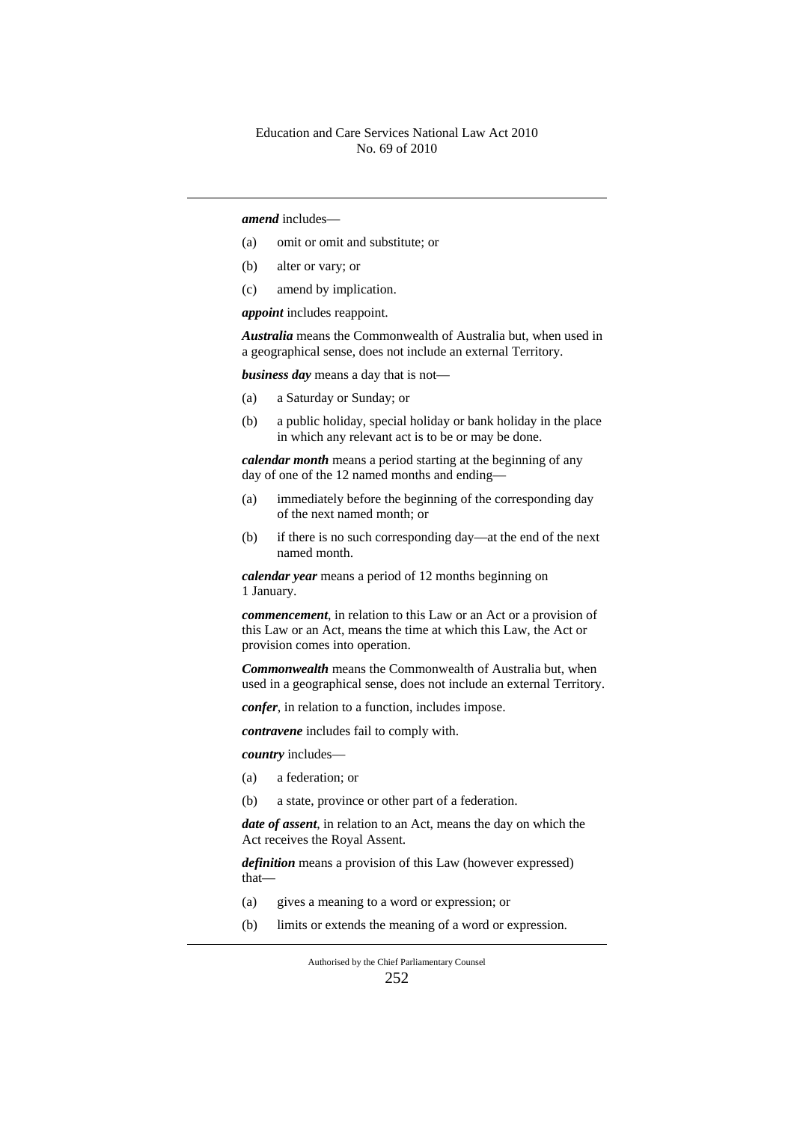#### *amend* includes—

- (a) omit or omit and substitute; or
- (b) alter or vary; or
- (c) amend by implication.

*appoint* includes reappoint.

*Australia* means the Commonwealth of Australia but, when used in a geographical sense, does not include an external Territory.

*business day* means a day that is not—

- (a) a Saturday or Sunday; or
- (b) a public holiday, special holiday or bank holiday in the place in which any relevant act is to be or may be done.

*calendar month* means a period starting at the beginning of any day of one of the 12 named months and ending—

- (a) immediately before the beginning of the corresponding day of the next named month; or
- (b) if there is no such corresponding day—at the end of the next named month.

*calendar year* means a period of 12 months beginning on 1 January.

*commencement*, in relation to this Law or an Act or a provision of this Law or an Act, means the time at which this Law, the Act or provision comes into operation.

*Commonwealth* means the Commonwealth of Australia but, when used in a geographical sense, does not include an external Territory.

*confer*, in relation to a function, includes impose.

*contravene* includes fail to comply with.

*country* includes—

- (a) a federation; or
- (b) a state, province or other part of a federation.

*date of assent*, in relation to an Act, means the day on which the Act receives the Royal Assent.

*definition* means a provision of this Law (however expressed) that—

- (a) gives a meaning to a word or expression; or
- (b) limits or extends the meaning of a word or expression.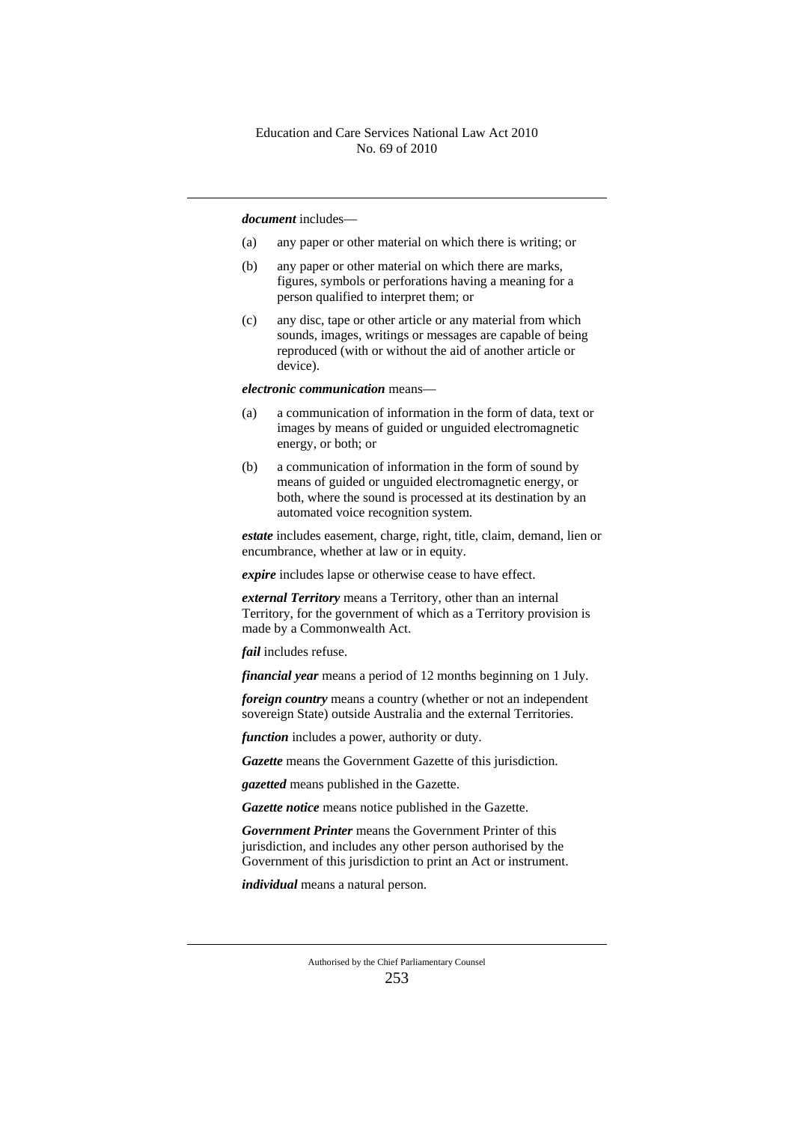#### *document* includes—

- (a) any paper or other material on which there is writing; or
- (b) any paper or other material on which there are marks, figures, symbols or perforations having a meaning for a person qualified to interpret them; or
- (c) any disc, tape or other article or any material from which sounds, images, writings or messages are capable of being reproduced (with or without the aid of another article or device).

*electronic communication* means—

- (a) a communication of information in the form of data, text or images by means of guided or unguided electromagnetic energy, or both; or
- (b) a communication of information in the form of sound by means of guided or unguided electromagnetic energy, or both, where the sound is processed at its destination by an automated voice recognition system.

*estate* includes easement, charge, right, title, claim, demand, lien or encumbrance, whether at law or in equity.

*expire* includes lapse or otherwise cease to have effect.

*external Territory* means a Territory, other than an internal Territory, for the government of which as a Territory provision is made by a Commonwealth Act.

*fail* includes refuse.

*financial year* means a period of 12 months beginning on 1 July.

*foreign country* means a country (whether or not an independent sovereign State) outside Australia and the external Territories.

*function* includes a power, authority or duty.

*Gazette* means the Government Gazette of this jurisdiction.

*gazetted* means published in the Gazette.

*Gazette notice* means notice published in the Gazette.

*Government Printer* means the Government Printer of this jurisdiction, and includes any other person authorised by the Government of this jurisdiction to print an Act or instrument.

*individual* means a natural person.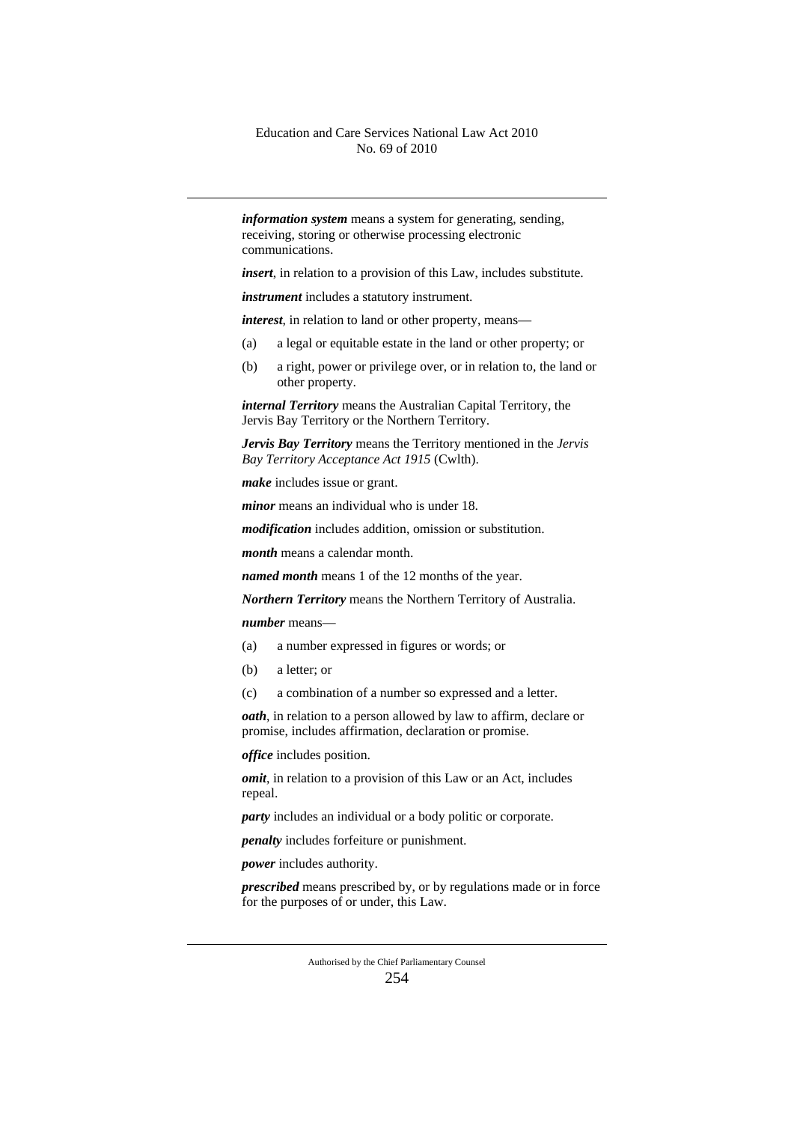*information system* means a system for generating, sending, receiving, storing or otherwise processing electronic communications.

*insert*, in relation to a provision of this Law, includes substitute.

*instrument* includes a statutory instrument.

*interest*, in relation to land or other property, means—

- (a) a legal or equitable estate in the land or other property; or
- (b) a right, power or privilege over, or in relation to, the land or other property.

*internal Territory* means the Australian Capital Territory, the Jervis Bay Territory or the Northern Territory.

*Jervis Bay Territory* means the Territory mentioned in the *Jervis Bay Territory Acceptance Act 1915* (Cwlth).

*make* includes issue or grant.

*minor* means an individual who is under 18.

*modification* includes addition, omission or substitution.

*month* means a calendar month.

*named month* means 1 of the 12 months of the year.

*Northern Territory* means the Northern Territory of Australia.

*number* means—

- (a) a number expressed in figures or words; or
- (b) a letter; or
- (c) a combination of a number so expressed and a letter.

*oath*, in relation to a person allowed by law to affirm, declare or promise, includes affirmation, declaration or promise.

*office* includes position.

*omit*, in relation to a provision of this Law or an Act, includes repeal.

*party* includes an individual or a body politic or corporate.

*penalty* includes forfeiture or punishment.

*power* includes authority.

*prescribed* means prescribed by, or by regulations made or in force for the purposes of or under, this Law.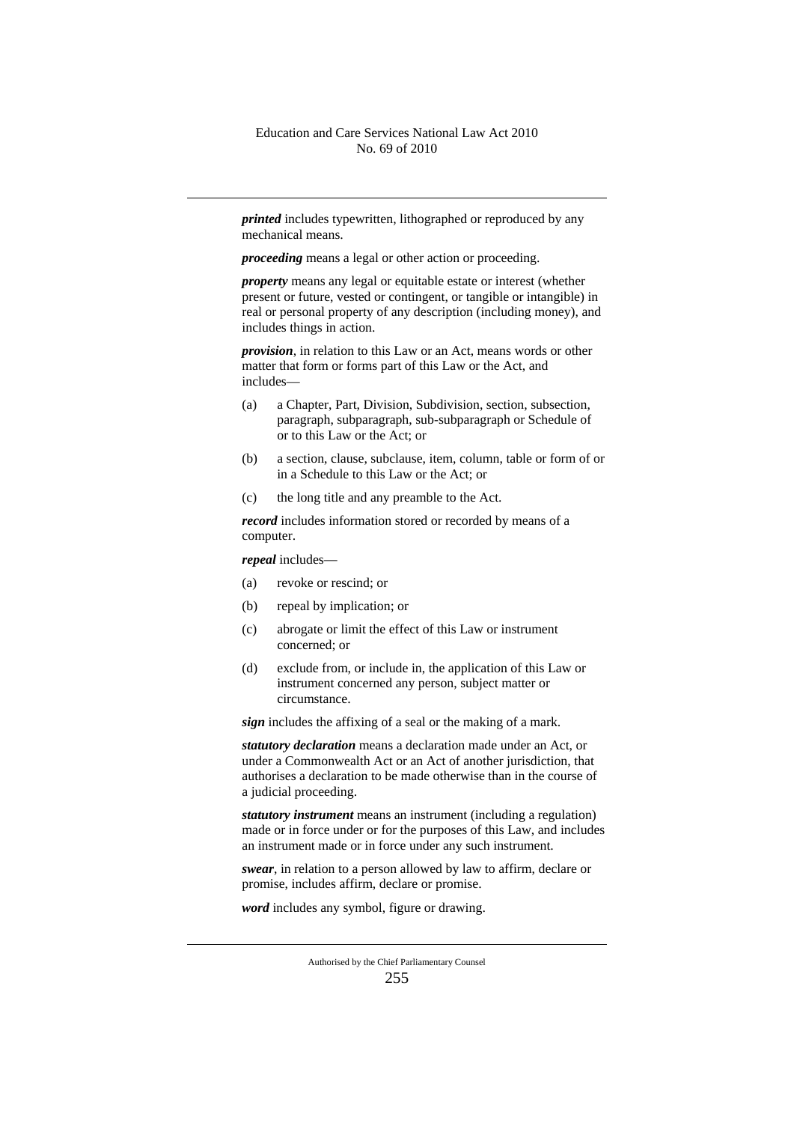*printed* includes typewritten, lithographed or reproduced by any mechanical means.

*proceeding* means a legal or other action or proceeding.

*property* means any legal or equitable estate or interest (whether present or future, vested or contingent, or tangible or intangible) in real or personal property of any description (including money), and includes things in action.

*provision*, in relation to this Law or an Act, means words or other matter that form or forms part of this Law or the Act, and includes—

- (a) a Chapter, Part, Division, Subdivision, section, subsection, paragraph, subparagraph, sub-subparagraph or Schedule of or to this Law or the Act; or
- (b) a section, clause, subclause, item, column, table or form of or in a Schedule to this Law or the Act; or
- (c) the long title and any preamble to the Act.

*record* includes information stored or recorded by means of a computer.

*repeal* includes—

- (a) revoke or rescind; or
- (b) repeal by implication; or
- (c) abrogate or limit the effect of this Law or instrument concerned; or
- (d) exclude from, or include in, the application of this Law or instrument concerned any person, subject matter or circumstance.

*sign* includes the affixing of a seal or the making of a mark.

*statutory declaration* means a declaration made under an Act, or under a Commonwealth Act or an Act of another jurisdiction, that authorises a declaration to be made otherwise than in the course of a judicial proceeding.

*statutory instrument* means an instrument (including a regulation) made or in force under or for the purposes of this Law, and includes an instrument made or in force under any such instrument.

*swear*, in relation to a person allowed by law to affirm, declare or promise, includes affirm, declare or promise.

*word* includes any symbol, figure or drawing.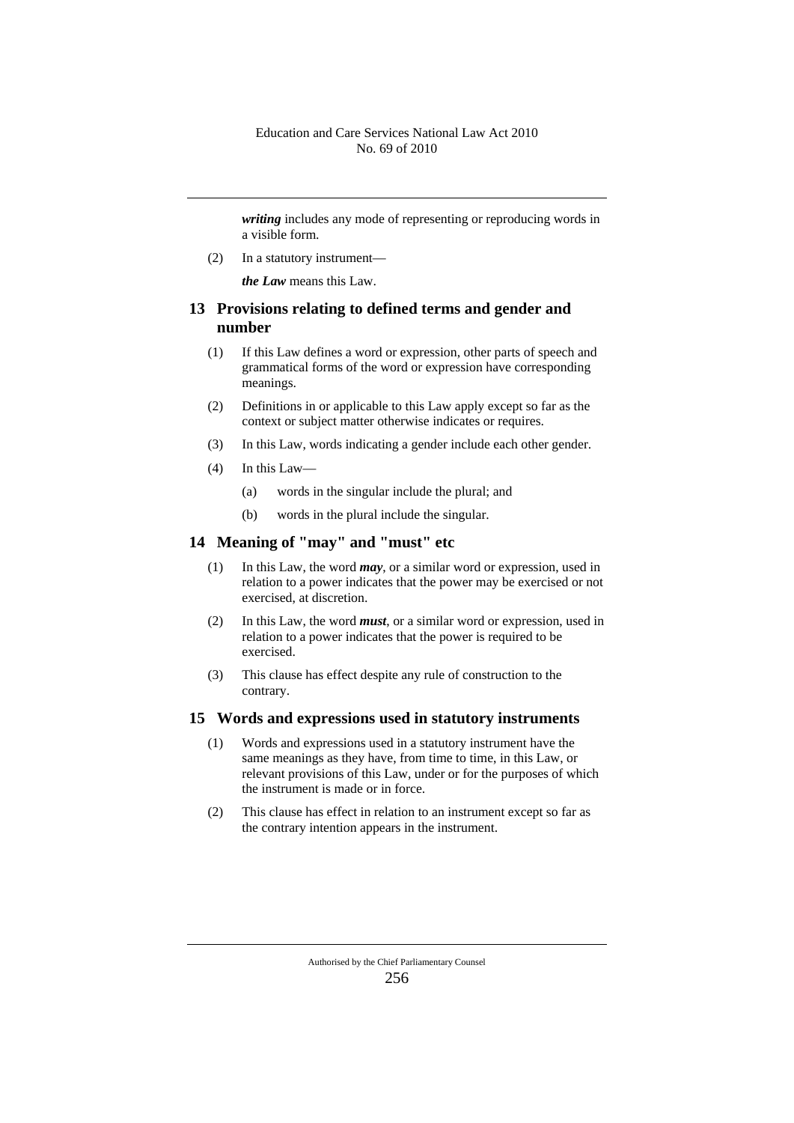*writing* includes any mode of representing or reproducing words in a visible form.

(2) In a statutory instrument—

*the Law* means this Law.

## **13 Provisions relating to defined terms and gender and number**

- (1) If this Law defines a word or expression, other parts of speech and grammatical forms of the word or expression have corresponding meanings.
- (2) Definitions in or applicable to this Law apply except so far as the context or subject matter otherwise indicates or requires.
- (3) In this Law, words indicating a gender include each other gender.
- (4) In this Law—
	- (a) words in the singular include the plural; and
	- (b) words in the plural include the singular.

#### **14 Meaning of "may" and "must" etc**

- (1) In this Law, the word *may*, or a similar word or expression, used in relation to a power indicates that the power may be exercised or not exercised, at discretion.
- (2) In this Law, the word *must*, or a similar word or expression, used in relation to a power indicates that the power is required to be exercised.
- (3) This clause has effect despite any rule of construction to the contrary.

#### **15 Words and expressions used in statutory instruments**

- (1) Words and expressions used in a statutory instrument have the same meanings as they have, from time to time, in this Law, or relevant provisions of this Law, under or for the purposes of which the instrument is made or in force.
- (2) This clause has effect in relation to an instrument except so far as the contrary intention appears in the instrument.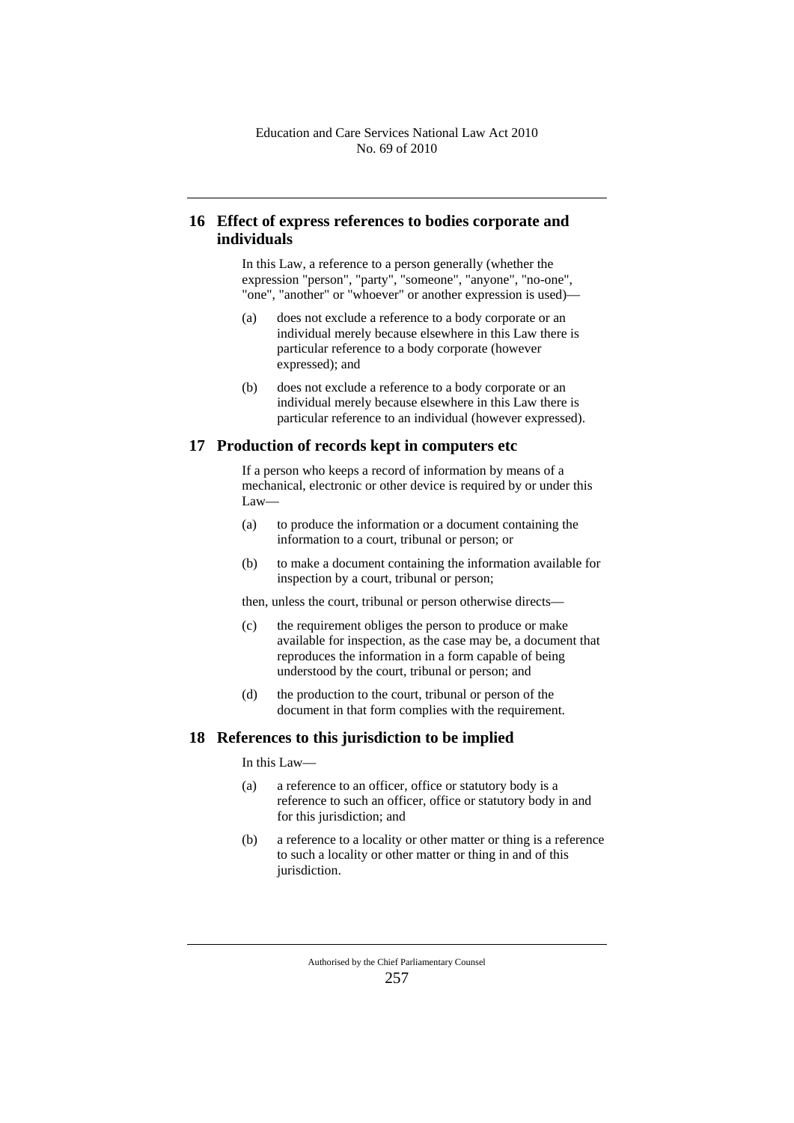## **16 Effect of express references to bodies corporate and individuals**

In this Law, a reference to a person generally (whether the expression "person", "party", "someone", "anyone", "no-one", "one", "another" or "whoever" or another expression is used)—

- (a) does not exclude a reference to a body corporate or an individual merely because elsewhere in this Law there is particular reference to a body corporate (however expressed); and
- (b) does not exclude a reference to a body corporate or an individual merely because elsewhere in this Law there is particular reference to an individual (however expressed).

#### **17 Production of records kept in computers etc**

If a person who keeps a record of information by means of a mechanical, electronic or other device is required by or under this Law—

- (a) to produce the information or a document containing the information to a court, tribunal or person; or
- (b) to make a document containing the information available for inspection by a court, tribunal or person;

then, unless the court, tribunal or person otherwise directs—

- (c) the requirement obliges the person to produce or make available for inspection, as the case may be, a document that reproduces the information in a form capable of being understood by the court, tribunal or person; and
- (d) the production to the court, tribunal or person of the document in that form complies with the requirement.

#### **18 References to this jurisdiction to be implied**

In this Law—

- (a) a reference to an officer, office or statutory body is a reference to such an officer, office or statutory body in and for this jurisdiction; and
- (b) a reference to a locality or other matter or thing is a reference to such a locality or other matter or thing in and of this jurisdiction.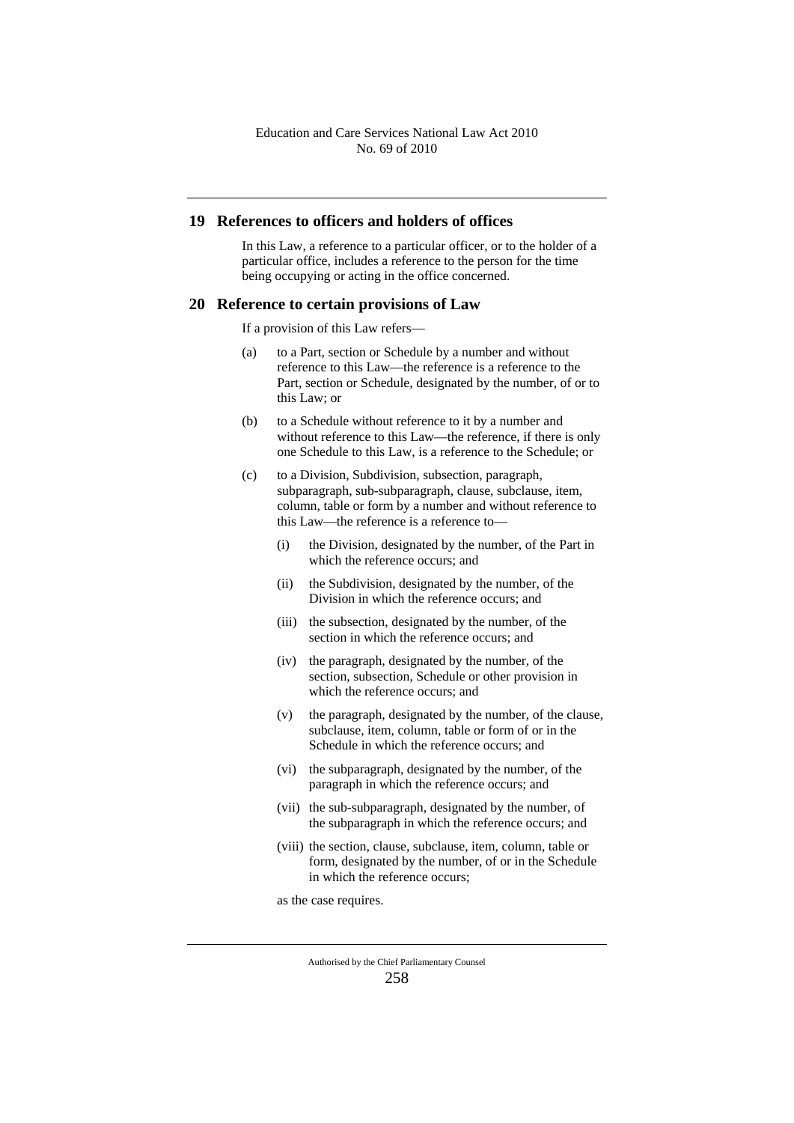#### **19 References to officers and holders of offices**

In this Law, a reference to a particular officer, or to the holder of a particular office, includes a reference to the person for the time being occupying or acting in the office concerned.

#### **20 Reference to certain provisions of Law**

If a provision of this Law refers—

- (a) to a Part, section or Schedule by a number and without reference to this Law—the reference is a reference to the Part, section or Schedule, designated by the number, of or to this Law; or
- (b) to a Schedule without reference to it by a number and without reference to this Law—the reference, if there is only one Schedule to this Law, is a reference to the Schedule; or
- (c) to a Division, Subdivision, subsection, paragraph, subparagraph, sub-subparagraph, clause, subclause, item, column, table or form by a number and without reference to this Law—the reference is a reference to—
	- (i) the Division, designated by the number, of the Part in which the reference occurs; and
	- (ii) the Subdivision, designated by the number, of the Division in which the reference occurs; and
	- (iii) the subsection, designated by the number, of the section in which the reference occurs; and
	- (iv) the paragraph, designated by the number, of the section, subsection, Schedule or other provision in which the reference occurs; and
	- (v) the paragraph, designated by the number, of the clause, subclause, item, column, table or form of or in the Schedule in which the reference occurs; and
	- (vi) the subparagraph, designated by the number, of the paragraph in which the reference occurs; and
	- (vii) the sub-subparagraph, designated by the number, of the subparagraph in which the reference occurs; and
	- (viii) the section, clause, subclause, item, column, table or form, designated by the number, of or in the Schedule in which the reference occurs;

as the case requires.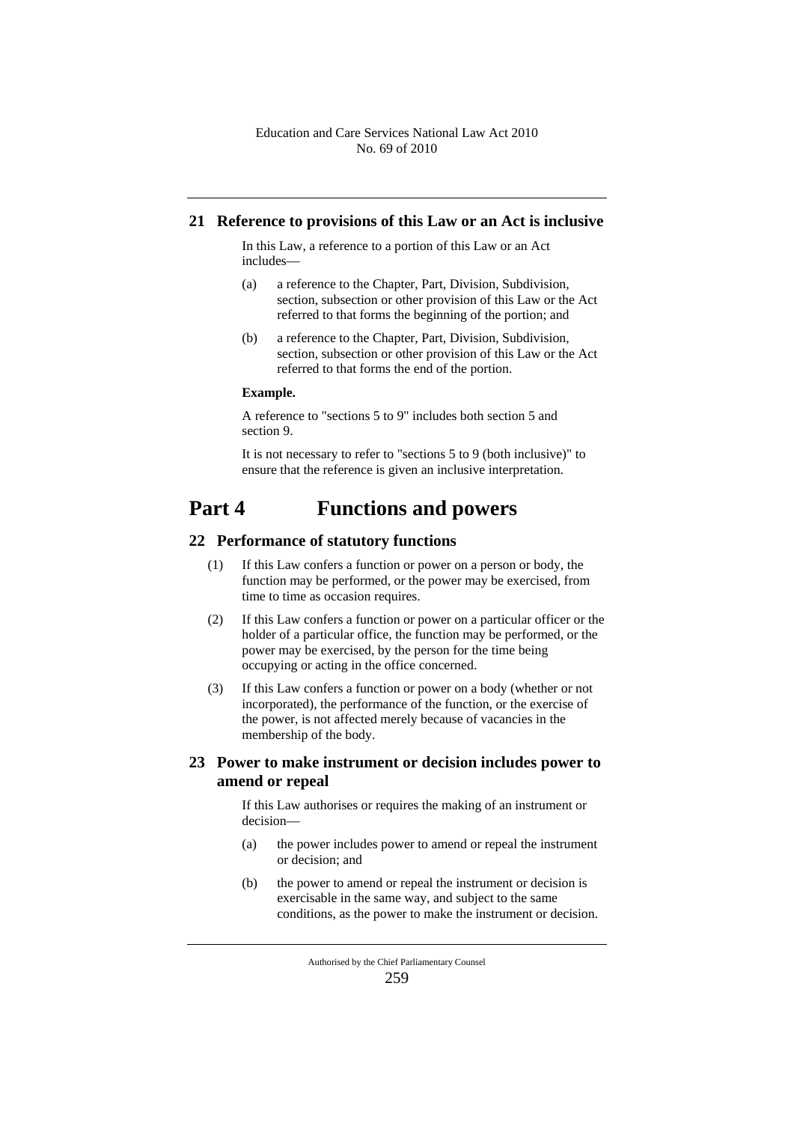#### **21 Reference to provisions of this Law or an Act is inclusive**

In this Law, a reference to a portion of this Law or an Act includes—

- (a) a reference to the Chapter, Part, Division, Subdivision, section, subsection or other provision of this Law or the Act referred to that forms the beginning of the portion; and
- (b) a reference to the Chapter, Part, Division, Subdivision, section, subsection or other provision of this Law or the Act referred to that forms the end of the portion.

#### **Example.**

A reference to "sections 5 to 9" includes both section 5 and section 9.

It is not necessary to refer to "sections 5 to 9 (both inclusive)" to ensure that the reference is given an inclusive interpretation.

# **Part 4 Functions and powers**

#### **22 Performance of statutory functions**

- (1) If this Law confers a function or power on a person or body, the function may be performed, or the power may be exercised, from time to time as occasion requires.
- (2) If this Law confers a function or power on a particular officer or the holder of a particular office, the function may be performed, or the power may be exercised, by the person for the time being occupying or acting in the office concerned.
- (3) If this Law confers a function or power on a body (whether or not incorporated), the performance of the function, or the exercise of the power, is not affected merely because of vacancies in the membership of the body.

## **23 Power to make instrument or decision includes power to amend or repeal**

If this Law authorises or requires the making of an instrument or decision—

- (a) the power includes power to amend or repeal the instrument or decision; and
- (b) the power to amend or repeal the instrument or decision is exercisable in the same way, and subject to the same conditions, as the power to make the instrument or decision.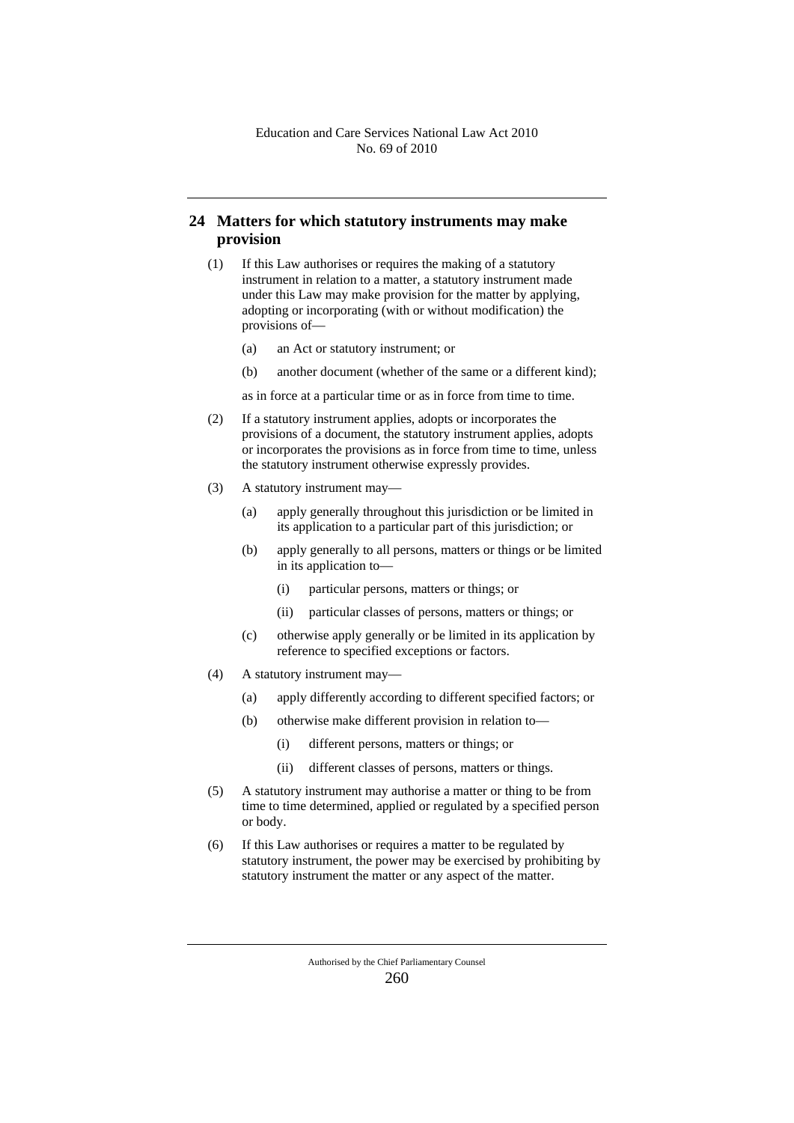## **24 Matters for which statutory instruments may make provision**

- (1) If this Law authorises or requires the making of a statutory instrument in relation to a matter, a statutory instrument made under this Law may make provision for the matter by applying, adopting or incorporating (with or without modification) the provisions of—
	- (a) an Act or statutory instrument; or
	- (b) another document (whether of the same or a different kind);
	- as in force at a particular time or as in force from time to time.
- (2) If a statutory instrument applies, adopts or incorporates the provisions of a document, the statutory instrument applies, adopts or incorporates the provisions as in force from time to time, unless the statutory instrument otherwise expressly provides.
- (3) A statutory instrument may—
	- (a) apply generally throughout this jurisdiction or be limited in its application to a particular part of this jurisdiction; or
	- (b) apply generally to all persons, matters or things or be limited in its application to—
		- (i) particular persons, matters or things; or
		- (ii) particular classes of persons, matters or things; or
	- (c) otherwise apply generally or be limited in its application by reference to specified exceptions or factors.
- (4) A statutory instrument may—
	- (a) apply differently according to different specified factors; or
	- (b) otherwise make different provision in relation to—
		- (i) different persons, matters or things; or
		- (ii) different classes of persons, matters or things.
- (5) A statutory instrument may authorise a matter or thing to be from time to time determined, applied or regulated by a specified person or body.
- (6) If this Law authorises or requires a matter to be regulated by statutory instrument, the power may be exercised by prohibiting by statutory instrument the matter or any aspect of the matter.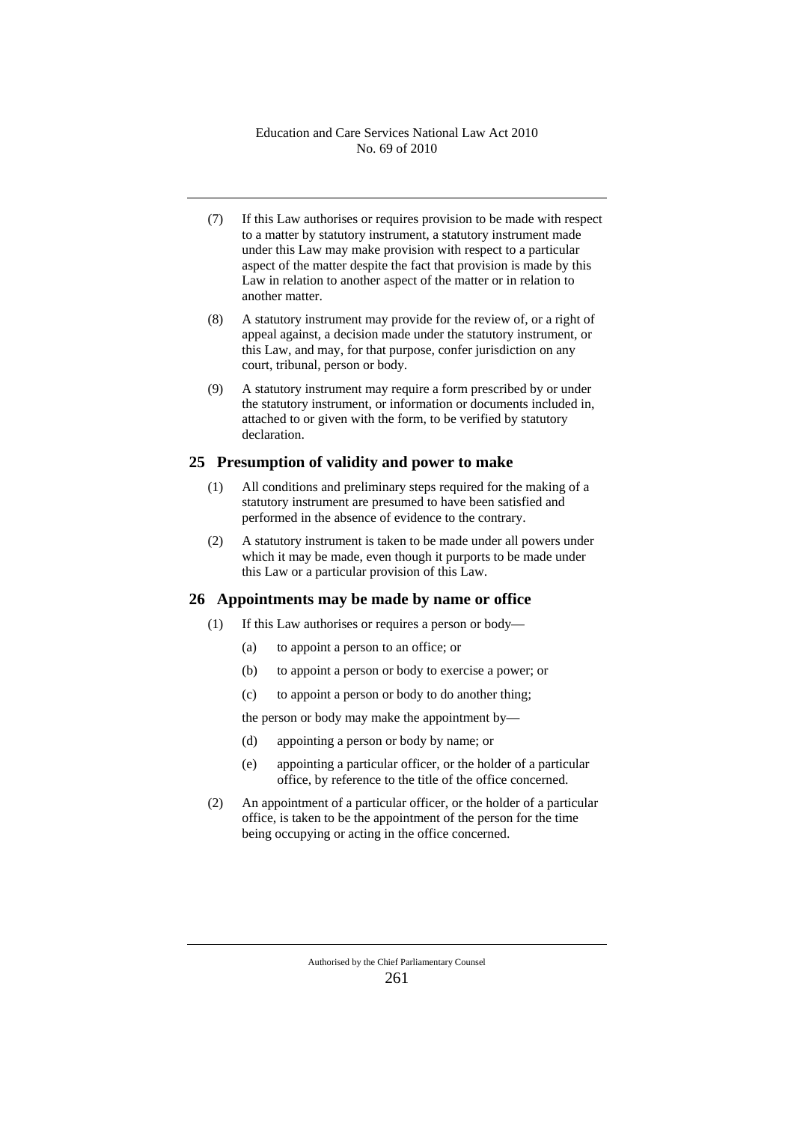- (7) If this Law authorises or requires provision to be made with respect to a matter by statutory instrument, a statutory instrument made under this Law may make provision with respect to a particular aspect of the matter despite the fact that provision is made by this Law in relation to another aspect of the matter or in relation to another matter.
- (8) A statutory instrument may provide for the review of, or a right of appeal against, a decision made under the statutory instrument, or this Law, and may, for that purpose, confer jurisdiction on any court, tribunal, person or body.
- (9) A statutory instrument may require a form prescribed by or under the statutory instrument, or information or documents included in, attached to or given with the form, to be verified by statutory declaration.

#### **25 Presumption of validity and power to make**

- (1) All conditions and preliminary steps required for the making of a statutory instrument are presumed to have been satisfied and performed in the absence of evidence to the contrary.
- (2) A statutory instrument is taken to be made under all powers under which it may be made, even though it purports to be made under this Law or a particular provision of this Law.

#### **26 Appointments may be made by name or office**

- (1) If this Law authorises or requires a person or body—
	- (a) to appoint a person to an office; or
	- (b) to appoint a person or body to exercise a power; or
	- (c) to appoint a person or body to do another thing;

the person or body may make the appointment by—

- (d) appointing a person or body by name; or
- (e) appointing a particular officer, or the holder of a particular office, by reference to the title of the office concerned.
- (2) An appointment of a particular officer, or the holder of a particular office, is taken to be the appointment of the person for the time being occupying or acting in the office concerned.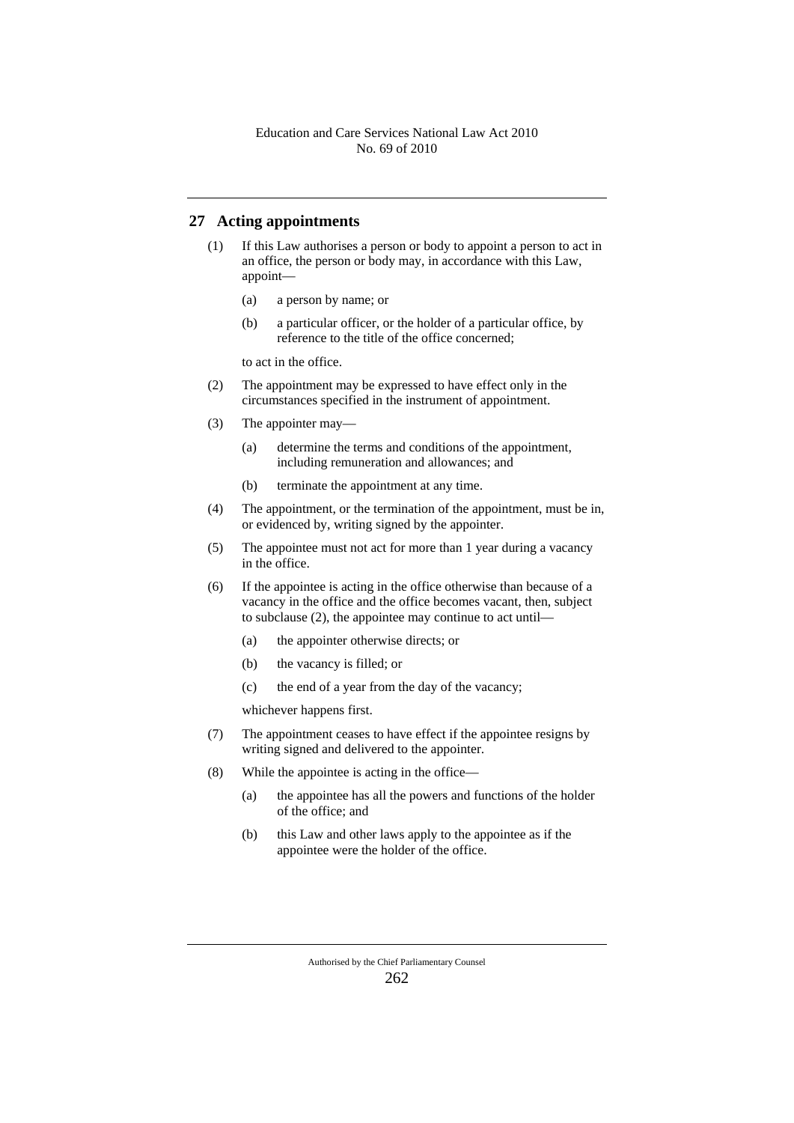## **27 Acting appointments**

- (1) If this Law authorises a person or body to appoint a person to act in an office, the person or body may, in accordance with this Law, appoint—
	- (a) a person by name; or
	- (b) a particular officer, or the holder of a particular office, by reference to the title of the office concerned;

to act in the office.

- (2) The appointment may be expressed to have effect only in the circumstances specified in the instrument of appointment.
- (3) The appointer may—
	- (a) determine the terms and conditions of the appointment, including remuneration and allowances; and
	- (b) terminate the appointment at any time.
- (4) The appointment, or the termination of the appointment, must be in, or evidenced by, writing signed by the appointer.
- (5) The appointee must not act for more than 1 year during a vacancy in the office.
- (6) If the appointee is acting in the office otherwise than because of a vacancy in the office and the office becomes vacant, then, subject to subclause (2), the appointee may continue to act until—
	- (a) the appointer otherwise directs; or
	- (b) the vacancy is filled; or
	- (c) the end of a year from the day of the vacancy;

whichever happens first.

- (7) The appointment ceases to have effect if the appointee resigns by writing signed and delivered to the appointer.
- (8) While the appointee is acting in the office—
	- (a) the appointee has all the powers and functions of the holder of the office; and
	- (b) this Law and other laws apply to the appointee as if the appointee were the holder of the office.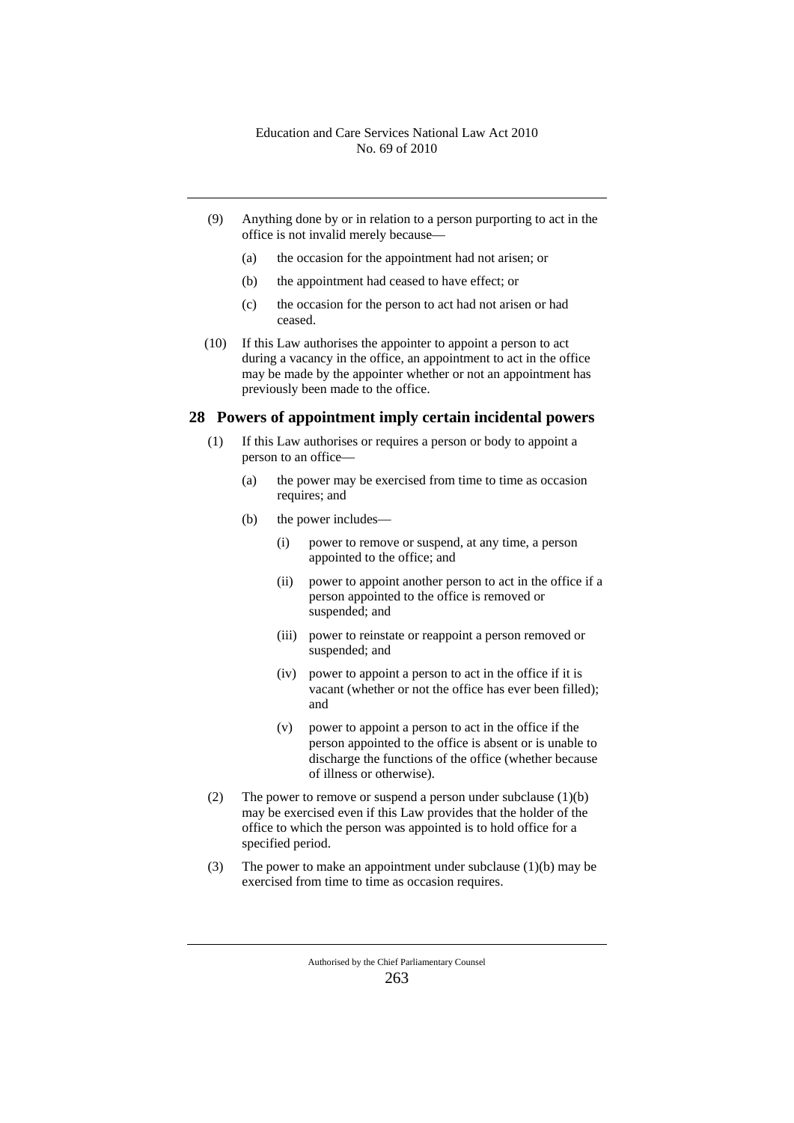- (9) Anything done by or in relation to a person purporting to act in the office is not invalid merely because—
	- (a) the occasion for the appointment had not arisen; or
	- (b) the appointment had ceased to have effect; or
	- (c) the occasion for the person to act had not arisen or had ceased.
- (10) If this Law authorises the appointer to appoint a person to act during a vacancy in the office, an appointment to act in the office may be made by the appointer whether or not an appointment has previously been made to the office.

#### **28 Powers of appointment imply certain incidental powers**

- (1) If this Law authorises or requires a person or body to appoint a person to an office—
	- (a) the power may be exercised from time to time as occasion requires; and
	- (b) the power includes—
		- (i) power to remove or suspend, at any time, a person appointed to the office; and
		- (ii) power to appoint another person to act in the office if a person appointed to the office is removed or suspended; and
		- (iii) power to reinstate or reappoint a person removed or suspended; and
		- (iv) power to appoint a person to act in the office if it is vacant (whether or not the office has ever been filled); and
		- (v) power to appoint a person to act in the office if the person appointed to the office is absent or is unable to discharge the functions of the office (whether because of illness or otherwise).
- (2) The power to remove or suspend a person under subclause  $(1)(b)$ may be exercised even if this Law provides that the holder of the office to which the person was appointed is to hold office for a specified period.
- (3) The power to make an appointment under subclause (1)(b) may be exercised from time to time as occasion requires.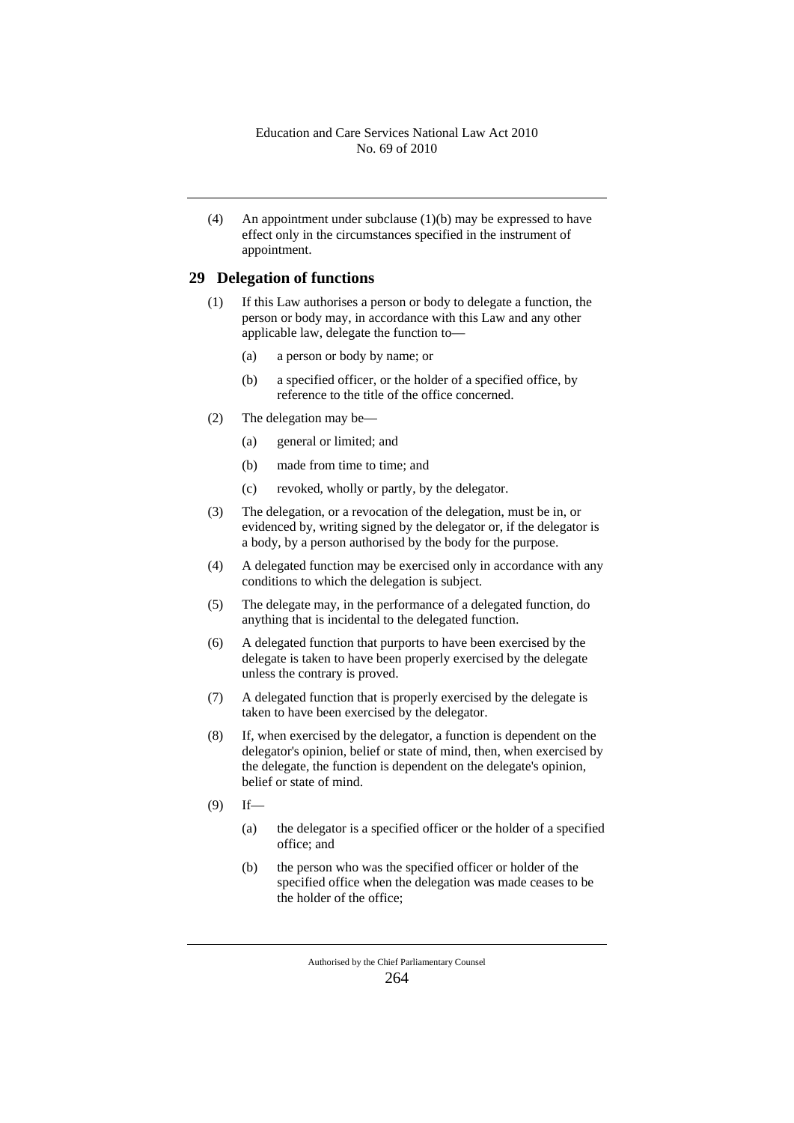(4) An appointment under subclause (1)(b) may be expressed to have effect only in the circumstances specified in the instrument of appointment.

#### **29 Delegation of functions**

- (1) If this Law authorises a person or body to delegate a function, the person or body may, in accordance with this Law and any other applicable law, delegate the function to—
	- (a) a person or body by name; or
	- (b) a specified officer, or the holder of a specified office, by reference to the title of the office concerned.
- (2) The delegation may be—
	- (a) general or limited; and
	- (b) made from time to time; and
	- (c) revoked, wholly or partly, by the delegator.
- (3) The delegation, or a revocation of the delegation, must be in, or evidenced by, writing signed by the delegator or, if the delegator is a body, by a person authorised by the body for the purpose.
- (4) A delegated function may be exercised only in accordance with any conditions to which the delegation is subject.
- (5) The delegate may, in the performance of a delegated function, do anything that is incidental to the delegated function.
- (6) A delegated function that purports to have been exercised by the delegate is taken to have been properly exercised by the delegate unless the contrary is proved.
- (7) A delegated function that is properly exercised by the delegate is taken to have been exercised by the delegator.
- (8) If, when exercised by the delegator, a function is dependent on the delegator's opinion, belief or state of mind, then, when exercised by the delegate, the function is dependent on the delegate's opinion, belief or state of mind.
- $(9)$  If—
	- (a) the delegator is a specified officer or the holder of a specified office; and
	- (b) the person who was the specified officer or holder of the specified office when the delegation was made ceases to be the holder of the office;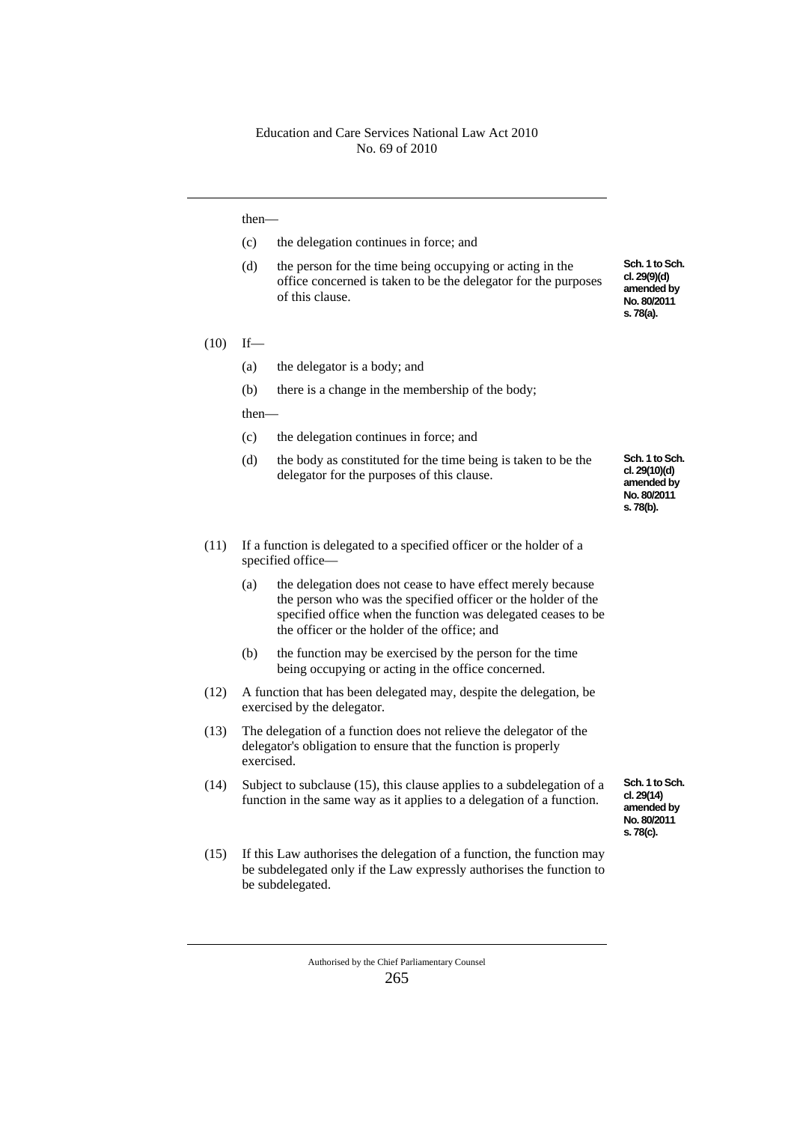#### then—

(c) the delegation continues in force; and

(d) the person for the time being occupying or acting in the office concerned is taken to be the delegator for the purposes of this clause.

#### $(10)$  If—

- (a) the delegator is a body; and
- (b) there is a change in the membership of the body;

then—

- (c) the delegation continues in force; and
- (d) the body as constituted for the time being is taken to be the delegator for the purposes of this clause.

**Sch. 1 to Sch. cl. 29(9)(d) amended by No. 80/2011 s. 78(a).**

**Sch. 1 to Sch. cl. 29(10)(d) amended by No. 80/2011 s. 78(b).**

- (11) If a function is delegated to a specified officer or the holder of a specified office—
	- (a) the delegation does not cease to have effect merely because the person who was the specified officer or the holder of the specified office when the function was delegated ceases to be the officer or the holder of the office; and
	- (b) the function may be exercised by the person for the time being occupying or acting in the office concerned.
- (12) A function that has been delegated may, despite the delegation, be exercised by the delegator.
- (13) The delegation of a function does not relieve the delegator of the delegator's obligation to ensure that the function is properly exercised.
- (14) Subject to subclause (15), this clause applies to a subdelegation of a function in the same way as it applies to a delegation of a function.
- (15) If this Law authorises the delegation of a function, the function may be subdelegated only if the Law expressly authorises the function to be subdelegated.

**Sch. 1 to Sch. cl. 29(14) amended by No. 80/2011 s. 78(c).**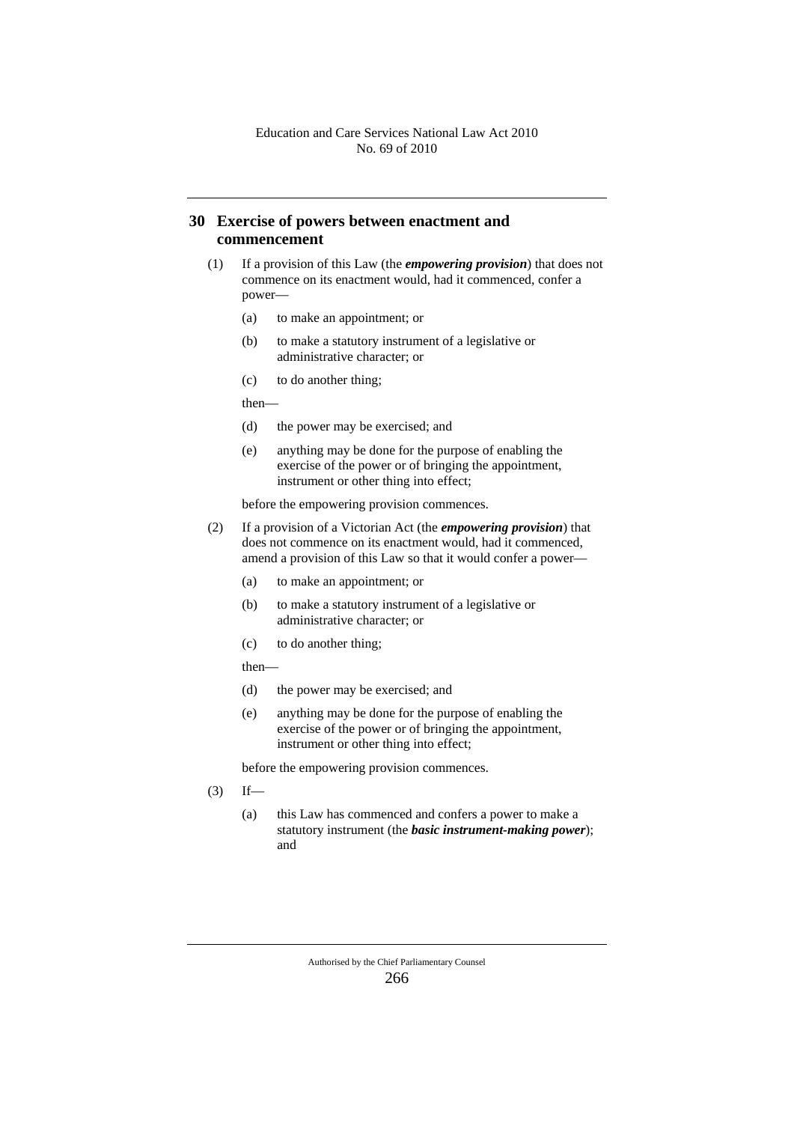## **30 Exercise of powers between enactment and commencement**

- (1) If a provision of this Law (the *empowering provision*) that does not commence on its enactment would, had it commenced, confer a power—
	- (a) to make an appointment; or
	- (b) to make a statutory instrument of a legislative or administrative character; or
	- (c) to do another thing;

then—

- (d) the power may be exercised; and
- (e) anything may be done for the purpose of enabling the exercise of the power or of bringing the appointment, instrument or other thing into effect;

before the empowering provision commences.

- (2) If a provision of a Victorian Act (the *empowering provision*) that does not commence on its enactment would, had it commenced, amend a provision of this Law so that it would confer a power—
	- (a) to make an appointment; or
	- (b) to make a statutory instrument of a legislative or administrative character; or
	- (c) to do another thing;

#### then—

- (d) the power may be exercised; and
- (e) anything may be done for the purpose of enabling the exercise of the power or of bringing the appointment, instrument or other thing into effect;

before the empowering provision commences.

- $(3)$  If—
	- (a) this Law has commenced and confers a power to make a statutory instrument (the *basic instrument-making power*); and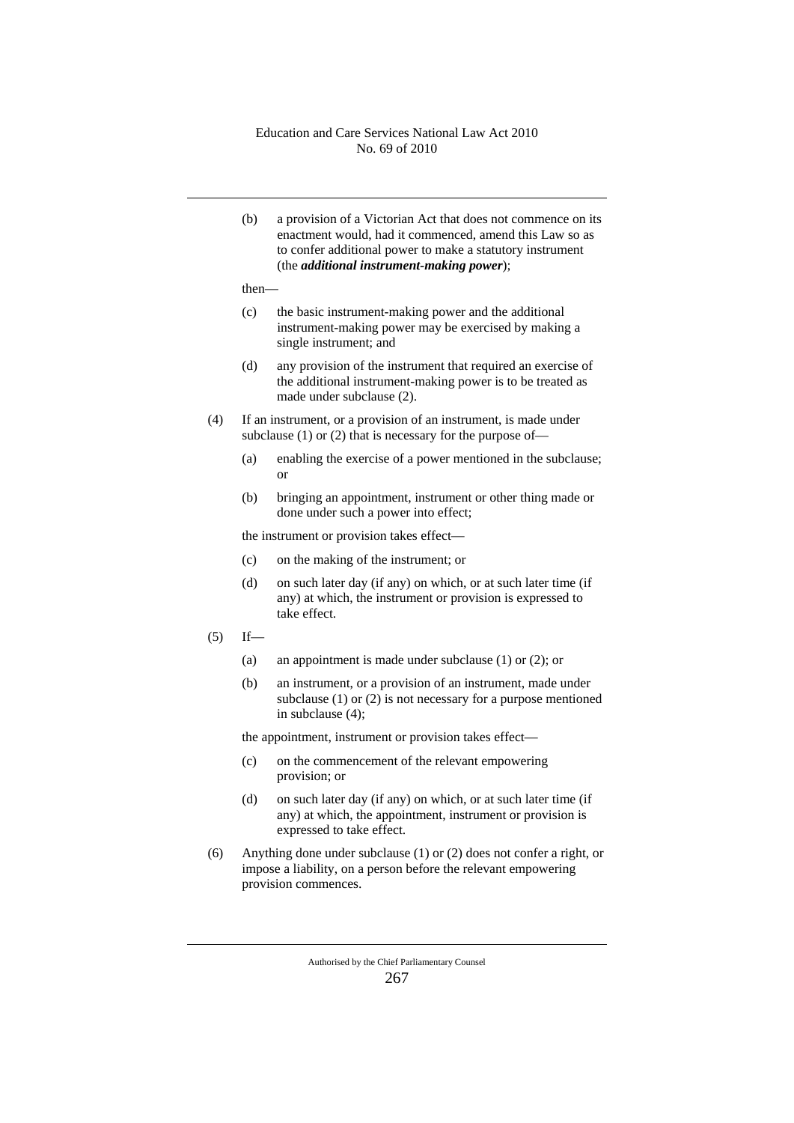(b) a provision of a Victorian Act that does not commence on its enactment would, had it commenced, amend this Law so as to confer additional power to make a statutory instrument (the *additional instrument-making power*);

then—

- (c) the basic instrument-making power and the additional instrument-making power may be exercised by making a single instrument; and
- (d) any provision of the instrument that required an exercise of the additional instrument-making power is to be treated as made under subclause (2).
- (4) If an instrument, or a provision of an instrument, is made under subclause (1) or (2) that is necessary for the purpose of—
	- (a) enabling the exercise of a power mentioned in the subclause; or
	- (b) bringing an appointment, instrument or other thing made or done under such a power into effect;

the instrument or provision takes effect—

- (c) on the making of the instrument; or
- (d) on such later day (if any) on which, or at such later time (if any) at which, the instrument or provision is expressed to take effect.
- $(5)$  If—
	- (a) an appointment is made under subclause (1) or (2); or
	- (b) an instrument, or a provision of an instrument, made under subclause (1) or (2) is not necessary for a purpose mentioned in subclause (4);

the appointment, instrument or provision takes effect—

- (c) on the commencement of the relevant empowering provision; or
- (d) on such later day (if any) on which, or at such later time (if any) at which, the appointment, instrument or provision is expressed to take effect.
- (6) Anything done under subclause (1) or (2) does not confer a right, or impose a liability, on a person before the relevant empowering provision commences.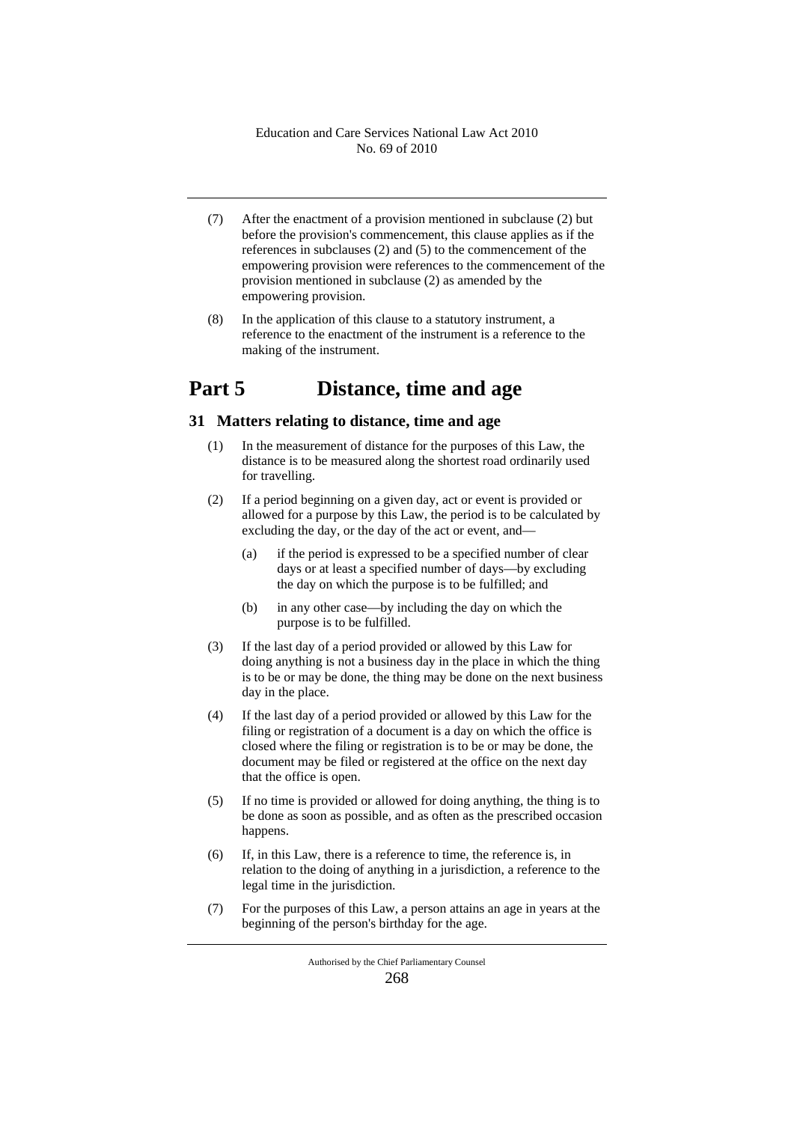- (7) After the enactment of a provision mentioned in subclause (2) but before the provision's commencement, this clause applies as if the references in subclauses (2) and (5) to the commencement of the empowering provision were references to the commencement of the provision mentioned in subclause (2) as amended by the empowering provision.
- (8) In the application of this clause to a statutory instrument, a reference to the enactment of the instrument is a reference to the making of the instrument.

# **Part 5 Distance, time and age**

## **31 Matters relating to distance, time and age**

- (1) In the measurement of distance for the purposes of this Law, the distance is to be measured along the shortest road ordinarily used for travelling.
- (2) If a period beginning on a given day, act or event is provided or allowed for a purpose by this Law, the period is to be calculated by excluding the day, or the day of the act or event, and—
	- (a) if the period is expressed to be a specified number of clear days or at least a specified number of days—by excluding the day on which the purpose is to be fulfilled; and
	- (b) in any other case—by including the day on which the purpose is to be fulfilled.
- (3) If the last day of a period provided or allowed by this Law for doing anything is not a business day in the place in which the thing is to be or may be done, the thing may be done on the next business day in the place.
- (4) If the last day of a period provided or allowed by this Law for the filing or registration of a document is a day on which the office is closed where the filing or registration is to be or may be done, the document may be filed or registered at the office on the next day that the office is open.
- (5) If no time is provided or allowed for doing anything, the thing is to be done as soon as possible, and as often as the prescribed occasion happens.
- (6) If, in this Law, there is a reference to time, the reference is, in relation to the doing of anything in a jurisdiction, a reference to the legal time in the jurisdiction.
- (7) For the purposes of this Law, a person attains an age in years at the beginning of the person's birthday for the age.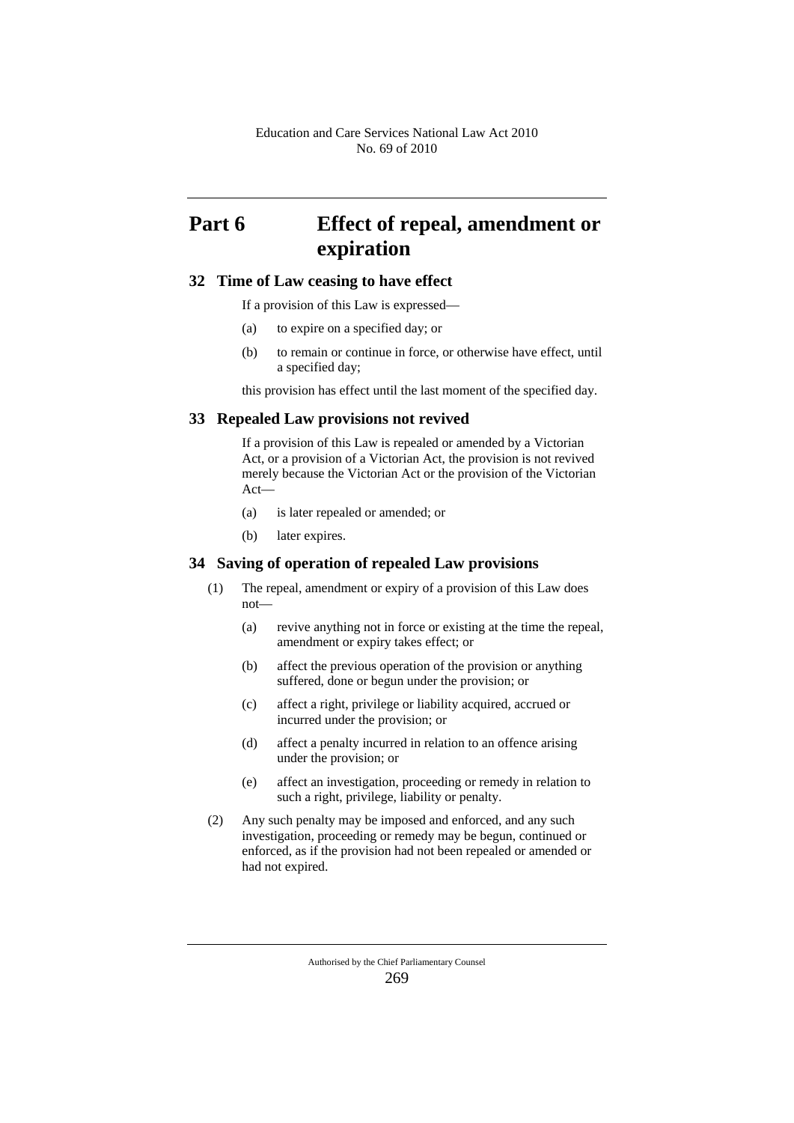# **Part 6 Effect of repeal, amendment or expiration**

#### **32 Time of Law ceasing to have effect**

If a provision of this Law is expressed—

- (a) to expire on a specified day; or
- (b) to remain or continue in force, or otherwise have effect, until a specified day;

this provision has effect until the last moment of the specified day.

#### **33 Repealed Law provisions not revived**

If a provision of this Law is repealed or amended by a Victorian Act, or a provision of a Victorian Act, the provision is not revived merely because the Victorian Act or the provision of the Victorian Act—

- (a) is later repealed or amended; or
- (b) later expires.

#### **34 Saving of operation of repealed Law provisions**

- (1) The repeal, amendment or expiry of a provision of this Law does not—
	- (a) revive anything not in force or existing at the time the repeal, amendment or expiry takes effect; or
	- (b) affect the previous operation of the provision or anything suffered, done or begun under the provision; or
	- (c) affect a right, privilege or liability acquired, accrued or incurred under the provision; or
	- (d) affect a penalty incurred in relation to an offence arising under the provision; or
	- (e) affect an investigation, proceeding or remedy in relation to such a right, privilege, liability or penalty.
- (2) Any such penalty may be imposed and enforced, and any such investigation, proceeding or remedy may be begun, continued or enforced, as if the provision had not been repealed or amended or had not expired.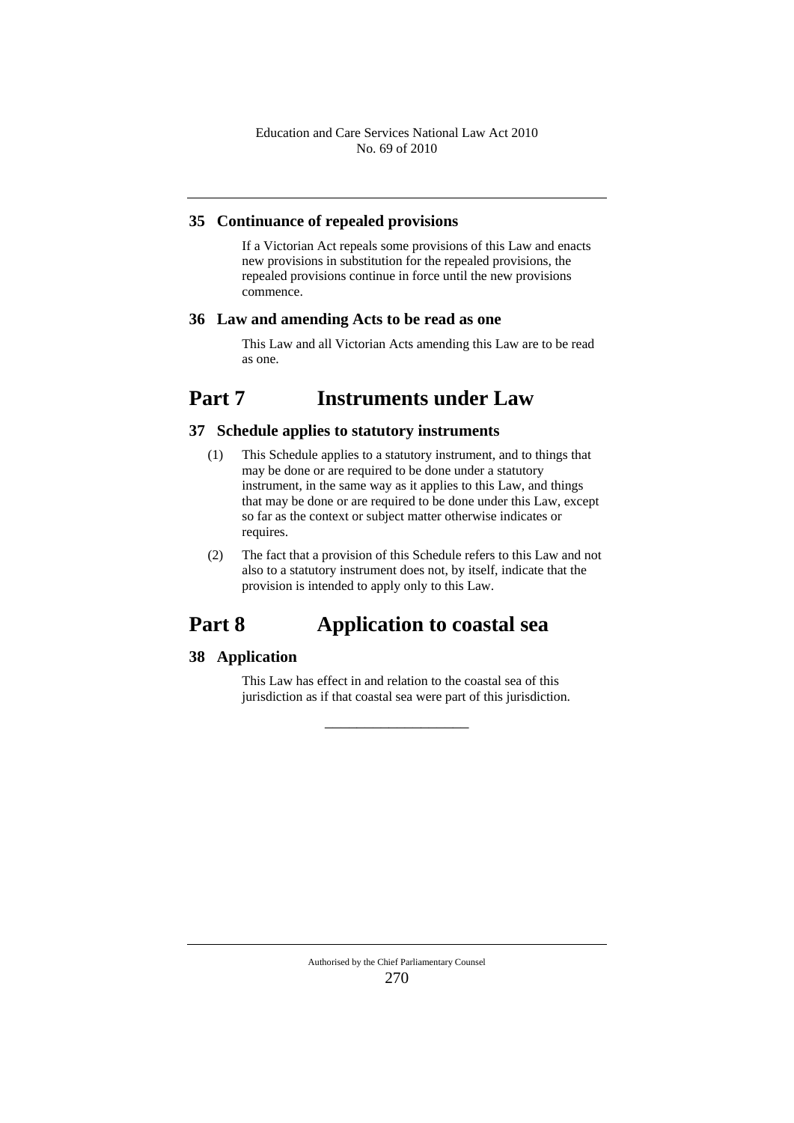#### **35 Continuance of repealed provisions**

If a Victorian Act repeals some provisions of this Law and enacts new provisions in substitution for the repealed provisions, the repealed provisions continue in force until the new provisions commence.

#### **36 Law and amending Acts to be read as one**

This Law and all Victorian Acts amending this Law are to be read as one.

## **Part 7 Instruments under Law**

## **37 Schedule applies to statutory instruments**

- (1) This Schedule applies to a statutory instrument, and to things that may be done or are required to be done under a statutory instrument, in the same way as it applies to this Law, and things that may be done or are required to be done under this Law, except so far as the context or subject matter otherwise indicates or requires.
- (2) The fact that a provision of this Schedule refers to this Law and not also to a statutory instrument does not, by itself, indicate that the provision is intended to apply only to this Law.

# **Part 8 Application to coastal sea**

## **38 Application**

This Law has effect in and relation to the coastal sea of this jurisdiction as if that coastal sea were part of this jurisdiction.

\_\_\_\_\_\_\_\_\_\_\_\_\_\_\_\_\_\_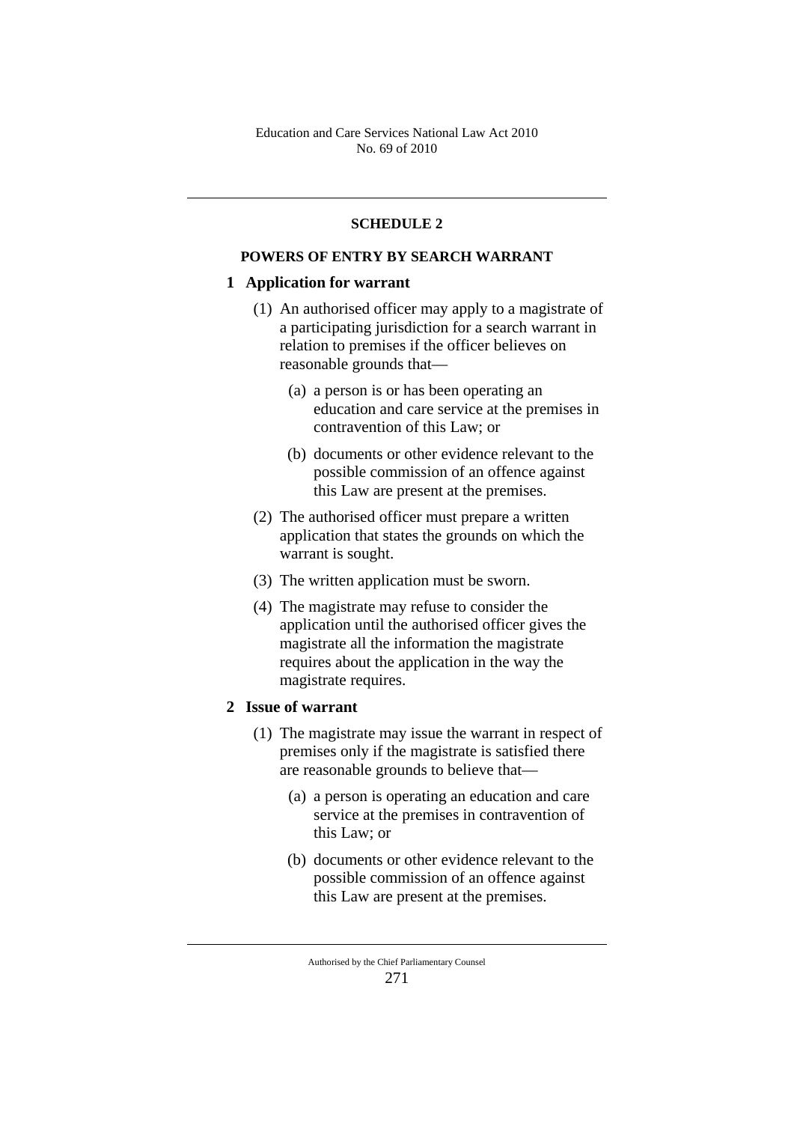## **SCHEDULE 2**

## **POWERS OF ENTRY BY SEARCH WARRANT**

#### **1 Application for warrant**

- (1) An authorised officer may apply to a magistrate of a participating jurisdiction for a search warrant in relation to premises if the officer believes on reasonable grounds that—
	- (a) a person is or has been operating an education and care service at the premises in contravention of this Law; or
	- (b) documents or other evidence relevant to the possible commission of an offence against this Law are present at the premises.
- (2) The authorised officer must prepare a written application that states the grounds on which the warrant is sought.
- (3) The written application must be sworn.
- (4) The magistrate may refuse to consider the application until the authorised officer gives the magistrate all the information the magistrate requires about the application in the way the magistrate requires.

## **2 Issue of warrant**

- (1) The magistrate may issue the warrant in respect of premises only if the magistrate is satisfied there are reasonable grounds to believe that—
	- (a) a person is operating an education and care service at the premises in contravention of this Law; or
	- (b) documents or other evidence relevant to the possible commission of an offence against this Law are present at the premises.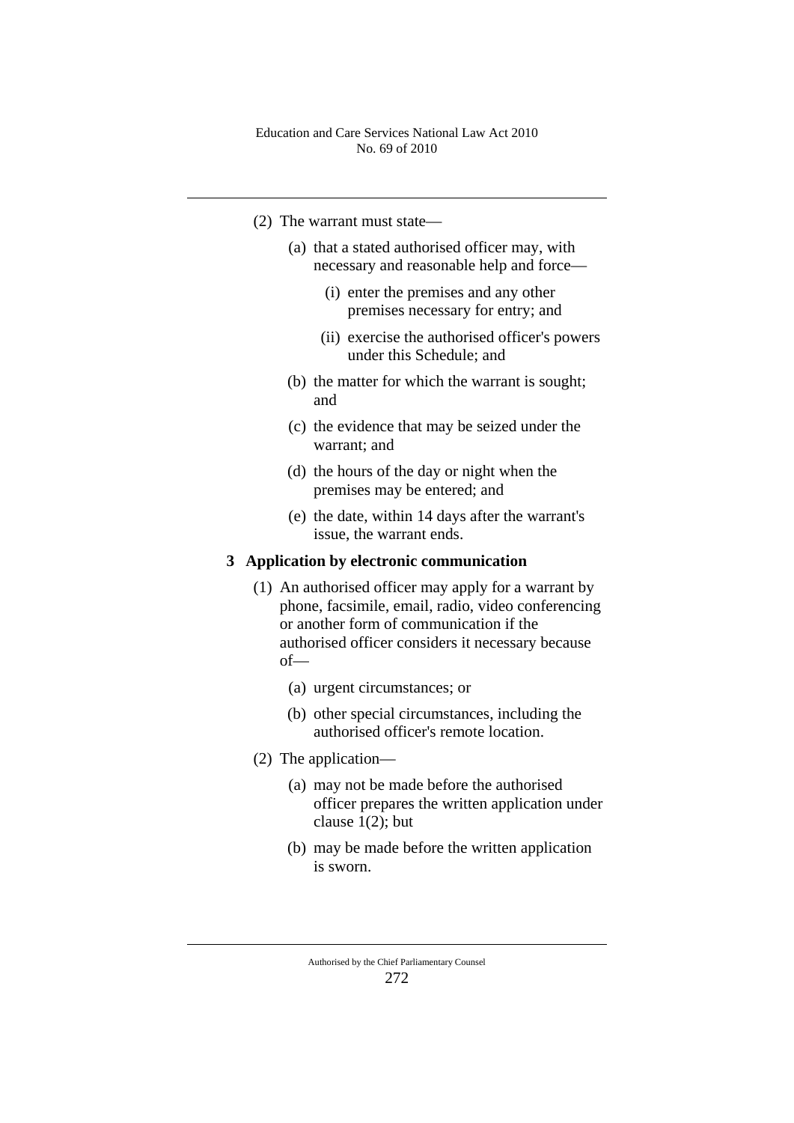- (2) The warrant must state—
	- (a) that a stated authorised officer may, with necessary and reasonable help and force—
		- (i) enter the premises and any other premises necessary for entry; and
		- (ii) exercise the authorised officer's powers under this Schedule; and
	- (b) the matter for which the warrant is sought; and
	- (c) the evidence that may be seized under the warrant; and
	- (d) the hours of the day or night when the premises may be entered; and
	- (e) the date, within 14 days after the warrant's issue, the warrant ends.

## **3 Application by electronic communication**

- (1) An authorised officer may apply for a warrant by phone, facsimile, email, radio, video conferencing or another form of communication if the authorised officer considers it necessary because of—
	- (a) urgent circumstances; or
	- (b) other special circumstances, including the authorised officer's remote location.
- (2) The application—
	- (a) may not be made before the authorised officer prepares the written application under clause 1(2); but
	- (b) may be made before the written application is sworn.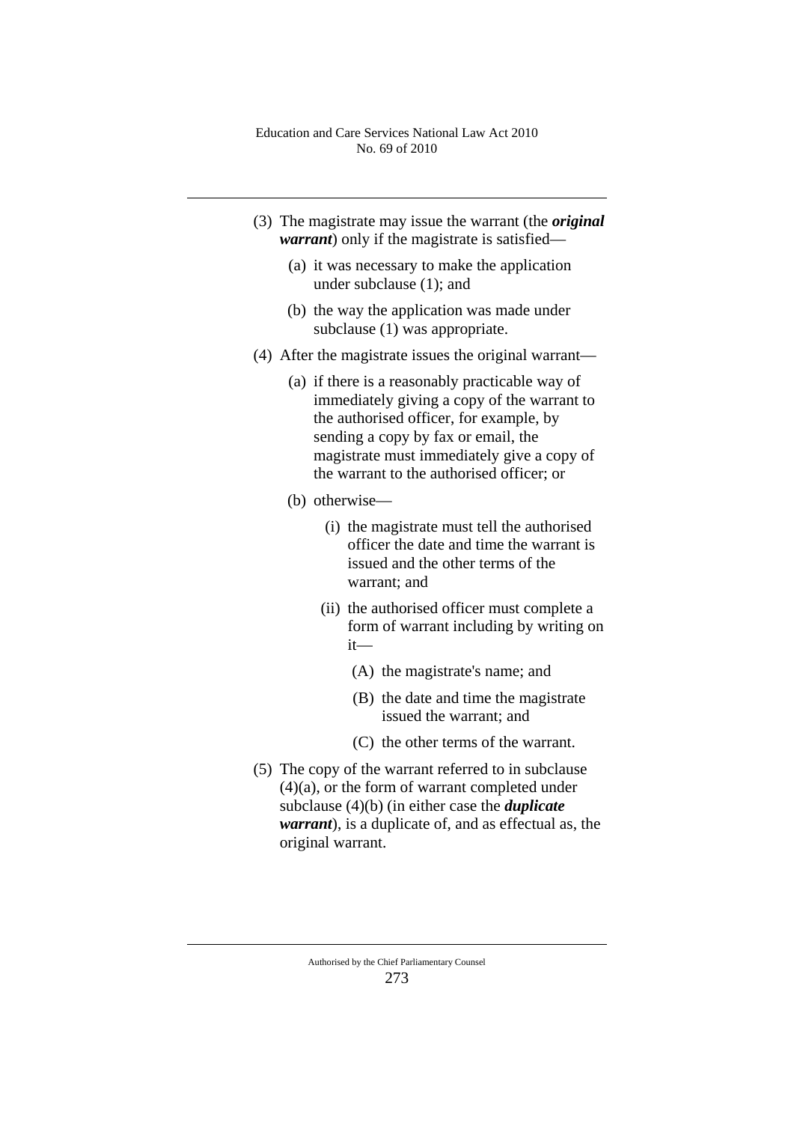- (3) The magistrate may issue the warrant (the *original warrant*) only if the magistrate is satisfied—
	- (a) it was necessary to make the application under subclause (1); and
	- (b) the way the application was made under subclause (1) was appropriate.
- (4) After the magistrate issues the original warrant—
	- (a) if there is a reasonably practicable way of immediately giving a copy of the warrant to the authorised officer, for example, by sending a copy by fax or email, the magistrate must immediately give a copy of the warrant to the authorised officer; or
	- (b) otherwise—
		- (i) the magistrate must tell the authorised officer the date and time the warrant is issued and the other terms of the warrant; and
		- (ii) the authorised officer must complete a form of warrant including by writing on it—
			- (A) the magistrate's name; and
			- (B) the date and time the magistrate issued the warrant; and
			- (C) the other terms of the warrant.
- (5) The copy of the warrant referred to in subclause (4)(a), or the form of warrant completed under subclause (4)(b) (in either case the *duplicate warrant*), is a duplicate of, and as effectual as, the original warrant.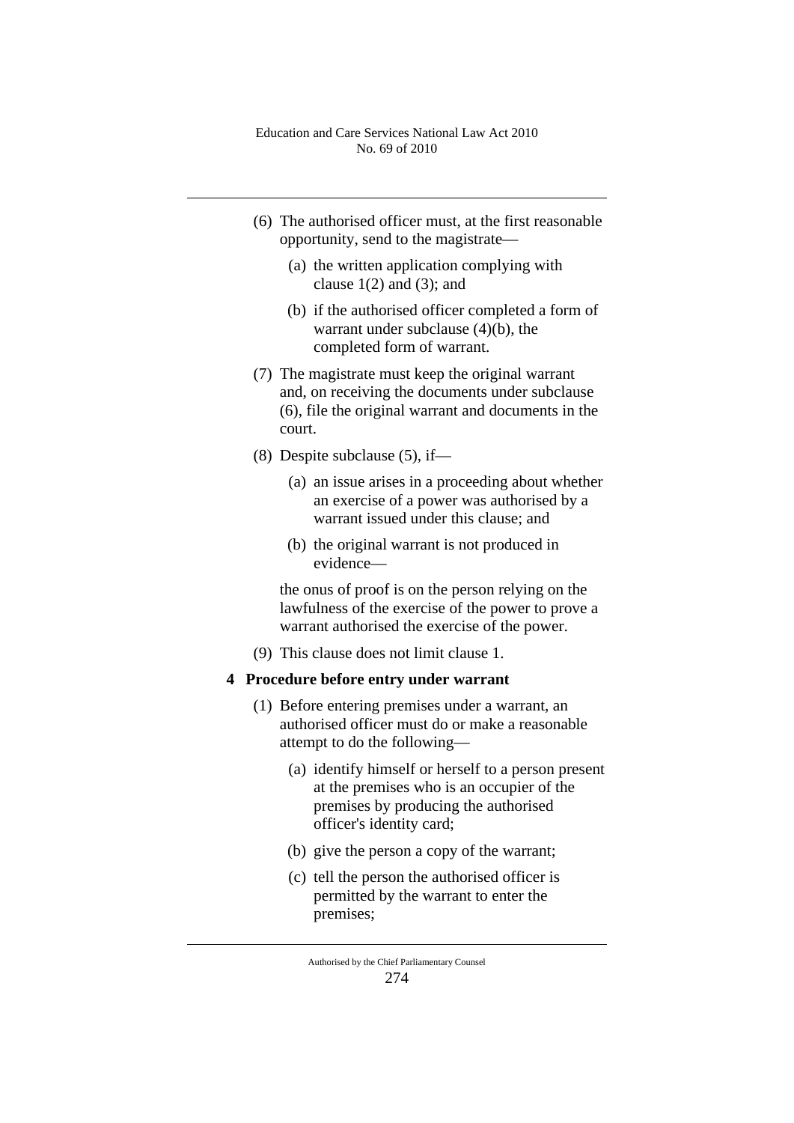- (6) The authorised officer must, at the first reasonable opportunity, send to the magistrate—
	- (a) the written application complying with clause  $1(2)$  and  $(3)$ ; and
	- (b) if the authorised officer completed a form of warrant under subclause (4)(b), the completed form of warrant.
- (7) The magistrate must keep the original warrant and, on receiving the documents under subclause (6), file the original warrant and documents in the court.
- (8) Despite subclause (5), if—
	- (a) an issue arises in a proceeding about whether an exercise of a power was authorised by a warrant issued under this clause; and
	- (b) the original warrant is not produced in evidence—

the onus of proof is on the person relying on the lawfulness of the exercise of the power to prove a warrant authorised the exercise of the power.

(9) This clause does not limit clause 1.

## **4 Procedure before entry under warrant**

- (1) Before entering premises under a warrant, an authorised officer must do or make a reasonable attempt to do the following—
	- (a) identify himself or herself to a person present at the premises who is an occupier of the premises by producing the authorised officer's identity card;
	- (b) give the person a copy of the warrant;
	- (c) tell the person the authorised officer is permitted by the warrant to enter the premises;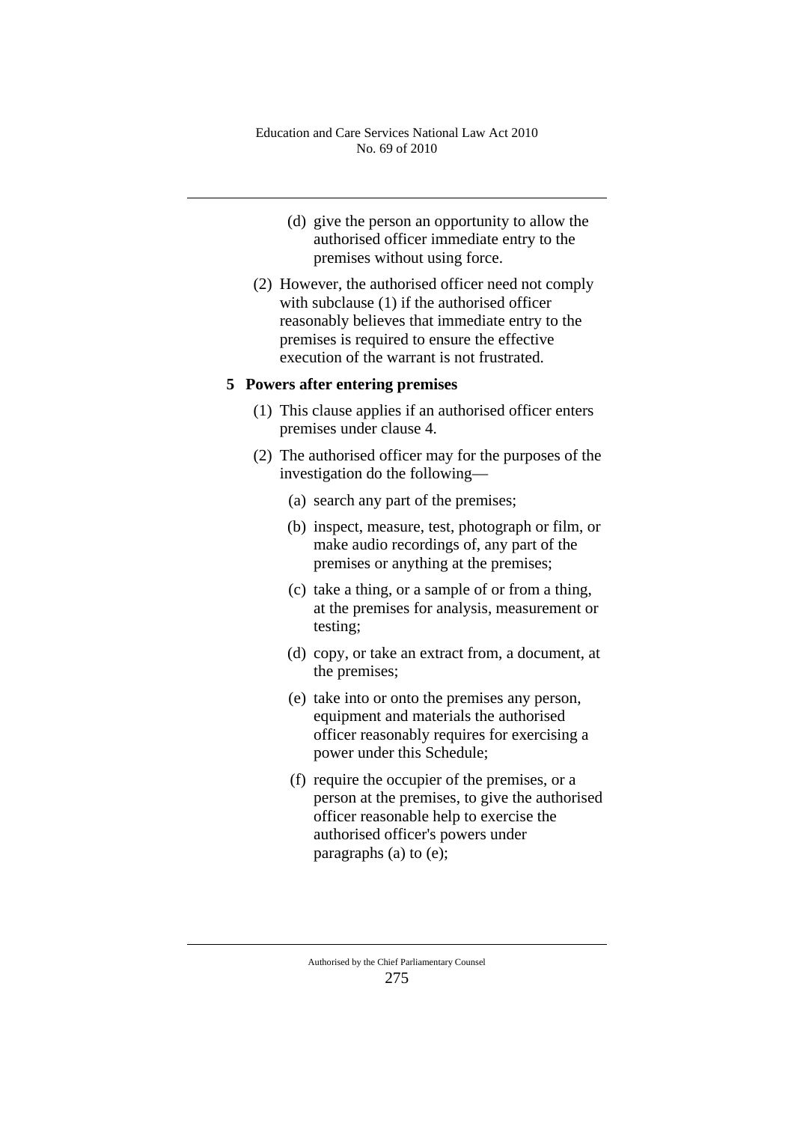- (d) give the person an opportunity to allow the authorised officer immediate entry to the premises without using force.
- (2) However, the authorised officer need not comply with subclause (1) if the authorised officer reasonably believes that immediate entry to the premises is required to ensure the effective execution of the warrant is not frustrated.

### **5 Powers after entering premises**

- (1) This clause applies if an authorised officer enters premises under clause 4.
- (2) The authorised officer may for the purposes of the investigation do the following—
	- (a) search any part of the premises;
	- (b) inspect, measure, test, photograph or film, or make audio recordings of, any part of the premises or anything at the premises;
	- (c) take a thing, or a sample of or from a thing, at the premises for analysis, measurement or testing;
	- (d) copy, or take an extract from, a document, at the premises;
	- (e) take into or onto the premises any person, equipment and materials the authorised officer reasonably requires for exercising a power under this Schedule;
	- (f) require the occupier of the premises, or a person at the premises, to give the authorised officer reasonable help to exercise the authorised officer's powers under paragraphs (a) to (e);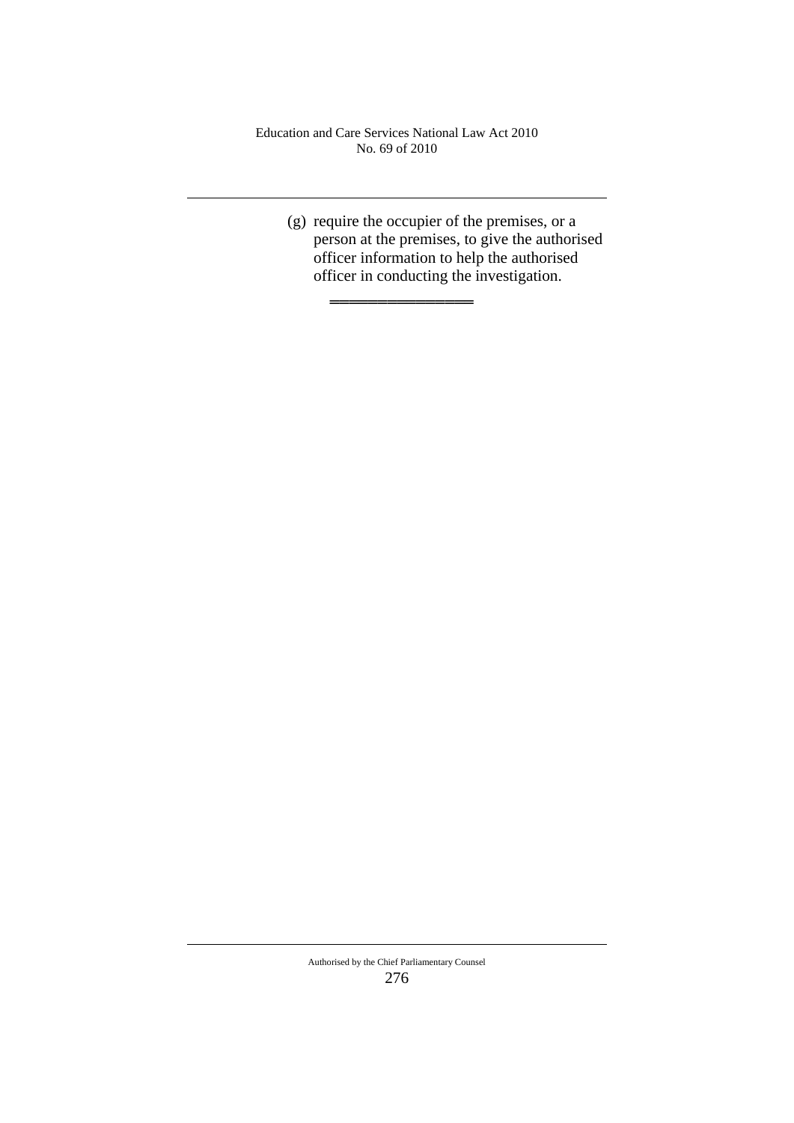═══════════════

(g) require the occupier of the premises, or a person at the premises, to give the authorised officer information to help the authorised officer in conducting the investigation.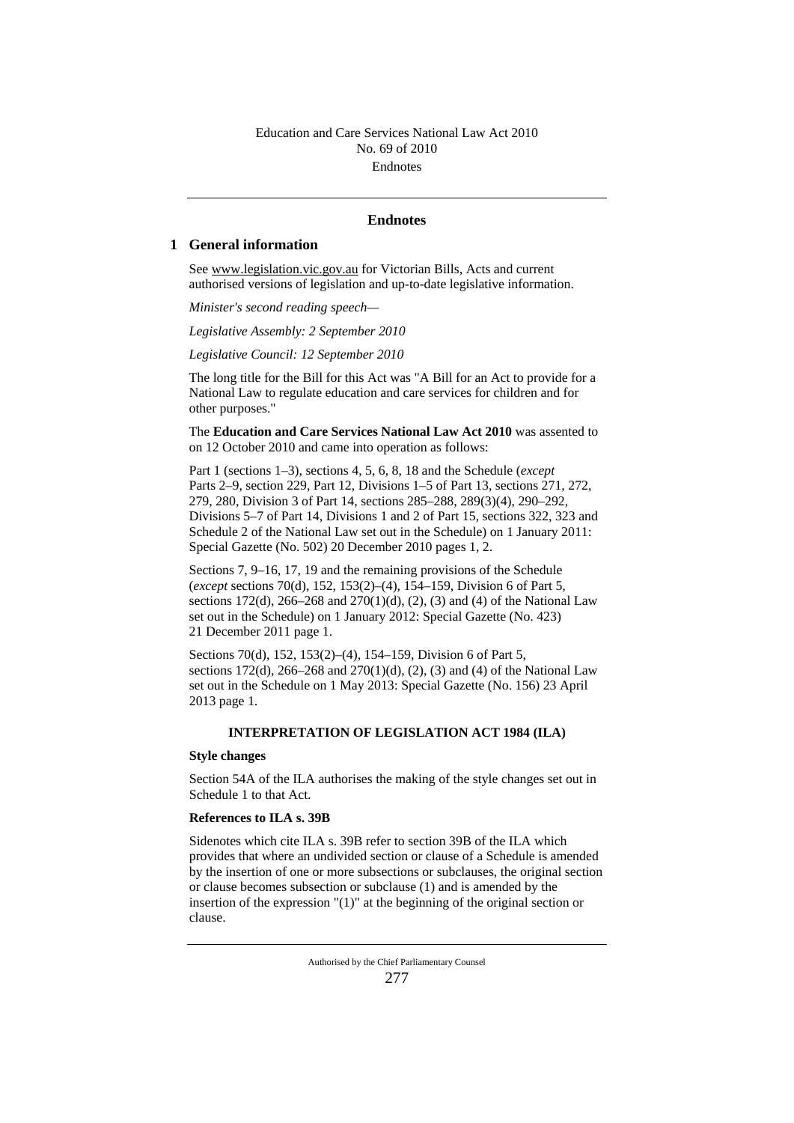### **Endnotes**

### **1 General information**

See www.legislation.vic.gov.au for Victorian Bills, Acts and current authorised versions of legislation and up-to-date legislative information.

*Minister's second reading speech—*

*Legislative Assembly: 2 September 2010*

*Legislative Council: 12 September 2010*

The long title for the Bill for this Act was "A Bill for an Act to provide for a National Law to regulate education and care services for children and for other purposes."

The **Education and Care Services National Law Act 2010** was assented to on 12 October 2010 and came into operation as follows:

Part 1 (sections 1–3), sections 4, 5, 6, 8, 18 and the Schedule (*except* Parts 2–9, section 229, Part 12, Divisions 1–5 of Part 13, sections 271, 272, 279, 280, Division 3 of Part 14, sections 285–288, 289(3)(4), 290–292, Divisions 5–7 of Part 14, Divisions 1 and 2 of Part 15, sections 322, 323 and Schedule 2 of the National Law set out in the Schedule) on 1 January 2011: Special Gazette (No. 502) 20 December 2010 pages 1, 2.

Sections 7, 9–16, 17, 19 and the remaining provisions of the Schedule (*except* sections 70(d), 152, 153(2)–(4), 154–159, Division 6 of Part 5, sections 172(d), 266–268 and 270(1)(d), (2), (3) and (4) of the National Law set out in the Schedule) on 1 January 2012: Special Gazette (No. 423) 21 December 2011 page 1.

Sections 70(d), 152, 153(2)–(4), 154–159, Division 6 of Part 5, sections 172(d), 266–268 and 270(1)(d), (2), (3) and (4) of the National Law set out in the Schedule on 1 May 2013: Special Gazette (No. 156) 23 April 2013 page 1.

### **INTERPRETATION OF LEGISLATION ACT 1984 (ILA)**

#### **Style changes**

Section 54A of the ILA authorises the making of the style changes set out in Schedule 1 to that Act.

### **References to ILA s. 39B**

Sidenotes which cite ILA s. 39B refer to section 39B of the ILA which provides that where an undivided section or clause of a Schedule is amended by the insertion of one or more subsections or subclauses, the original section or clause becomes subsection or subclause (1) and is amended by the insertion of the expression "(1)" at the beginning of the original section or clause.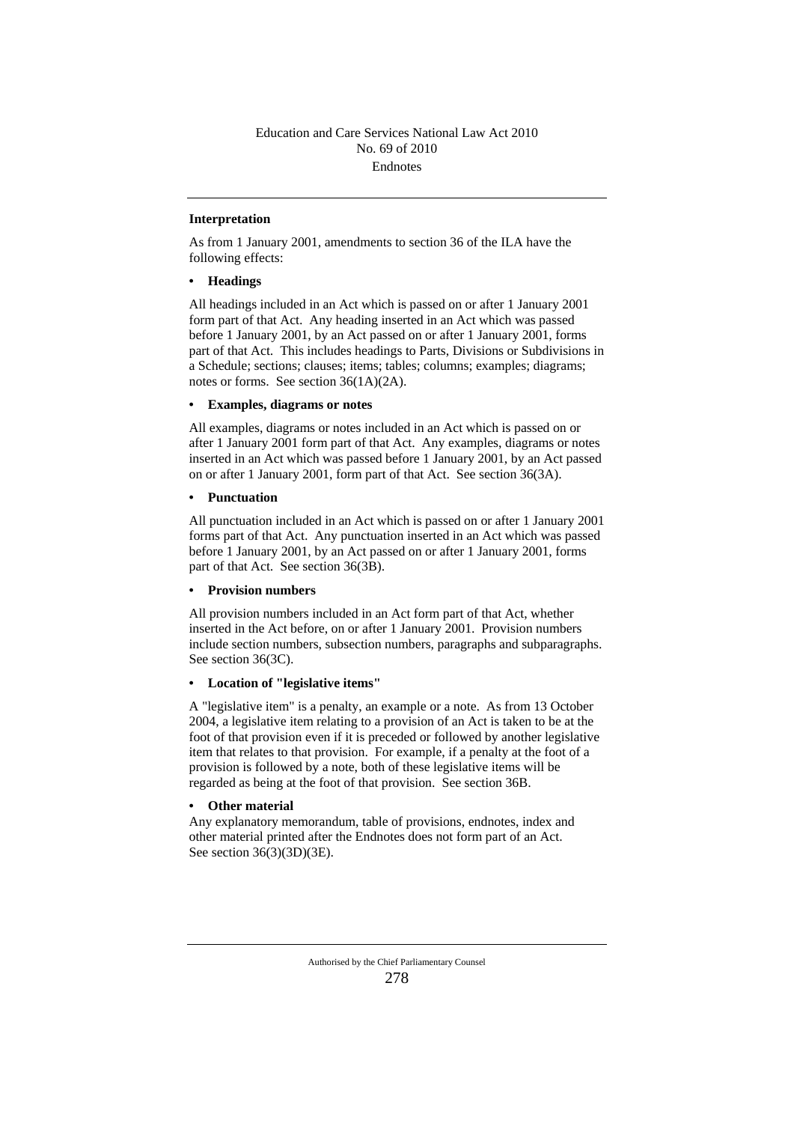### **Interpretation**

As from 1 January 2001, amendments to section 36 of the ILA have the following effects:

### **• Headings**

All headings included in an Act which is passed on or after 1 January 2001 form part of that Act. Any heading inserted in an Act which was passed before 1 January 2001, by an Act passed on or after 1 January 2001, forms part of that Act. This includes headings to Parts, Divisions or Subdivisions in a Schedule; sections; clauses; items; tables; columns; examples; diagrams; notes or forms. See section 36(1A)(2A).

### **• Examples, diagrams or notes**

All examples, diagrams or notes included in an Act which is passed on or after 1 January 2001 form part of that Act. Any examples, diagrams or notes inserted in an Act which was passed before 1 January 2001, by an Act passed on or after 1 January 2001, form part of that Act. See section 36(3A).

#### **• Punctuation**

All punctuation included in an Act which is passed on or after 1 January 2001 forms part of that Act. Any punctuation inserted in an Act which was passed before 1 January 2001, by an Act passed on or after 1 January 2001, forms part of that Act. See section 36(3B).

### **• Provision numbers**

All provision numbers included in an Act form part of that Act, whether inserted in the Act before, on or after 1 January 2001. Provision numbers include section numbers, subsection numbers, paragraphs and subparagraphs. See section 36(3C).

### **• Location of "legislative items"**

A "legislative item" is a penalty, an example or a note. As from 13 October 2004, a legislative item relating to a provision of an Act is taken to be at the foot of that provision even if it is preceded or followed by another legislative item that relates to that provision. For example, if a penalty at the foot of a provision is followed by a note, both of these legislative items will be regarded as being at the foot of that provision. See section 36B.

### **• Other material**

Any explanatory memorandum, table of provisions, endnotes, index and other material printed after the Endnotes does not form part of an Act. See section 36(3)(3D)(3E).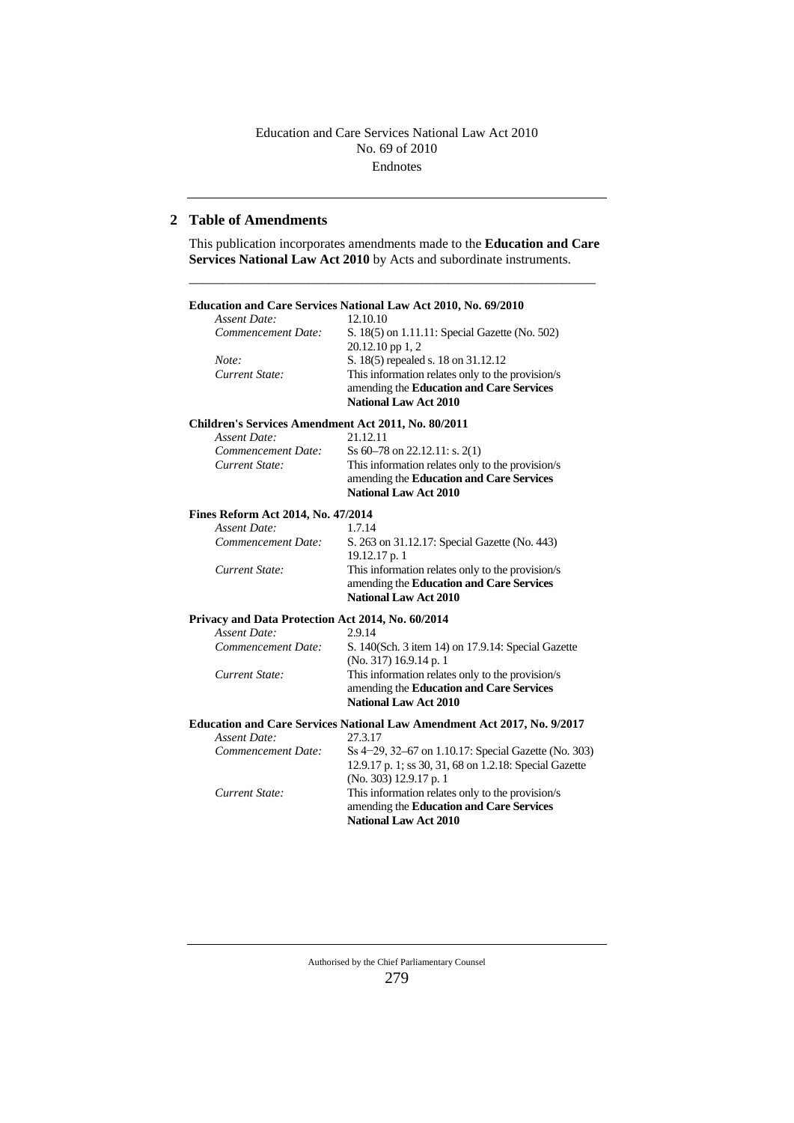### **2 Table of Amendments**

This publication incorporates amendments made to the **Education and Care Services National Law Act 2010** by Acts and subordinate instruments.

–––––––––––––––––––––––––––––––––––––––––––––––––––––––––––––

#### **Education and Care Services National Law Act 2010, No. 69/2010** *Assent Date: Commencement Date:* S. 18(5) on 1.11.11: Special Gazette (No. 502) 20.12.10 pp 1, 2 *Note:* S. 18(5) repealed s. 18 on 31.12.12<br> *Current State:* This information relates only to the This information relates only to the provision/s amending the **Education and Care Services National Law Act 2010 Children's Services Amendment Act 2011, No. 80/2011** *Assent Date:* 21.12.11

|                    | <b>National Law Act 2010</b>                     |
|--------------------|--------------------------------------------------|
|                    | amending the <b>Education and Care Services</b>  |
| Current State:     | This information relates only to the provision/s |
| Commencement Date: | Ss $60-78$ on 22.12.11: s. 2(1)                  |
| Assent Date.       |                                                  |

#### **Fines Reform Act 2014, No. 47/2014** *Assent Date:*

|                    | <b>National Law Act 2010</b>                     |
|--------------------|--------------------------------------------------|
|                    | amending the <b>Education and Care Services</b>  |
| Current State:     | This information relates only to the provision/s |
|                    | $19.12.17$ p. 1                                  |
| Commencement Date: | S. 263 on 31.12.17: Special Gazette (No. 443)    |
| Assent Date:       | 1.1.14                                           |

### **Privacy and Data Protection Act 2014, No. 60/2014**

| Assent Date:       | 2.9.14                                             |
|--------------------|----------------------------------------------------|
| Commencement Date: | S. 140(Sch. 3 item 14) on 17.9.14: Special Gazette |
|                    | (No. 317) 16.9.14 p. 1                             |
| Current State:     | This information relates only to the provision/s   |
|                    | amending the <b>Education and Care Services</b>    |
|                    | <b>National Law Act 2010</b>                       |

### **Education and Care Services National Law Amendment Act 2017, No. 9/2017**

| Current State:     | This information relates only to the provision/s<br>amending the <b>Education and Care Services</b><br><b>National Law Act 2010</b> |
|--------------------|-------------------------------------------------------------------------------------------------------------------------------------|
|                    | 12.9.17 p. 1; ss 30, 31, 68 on 1.2.18: Special Gazette<br>$(No. 303)$ 12.9.17 p. 1                                                  |
| Commencement Date: | Ss 4–29, 32–67 on 1.10.17: Special Gazette (No. 303)                                                                                |
| Assent Date:       | 27.3.17                                                                                                                             |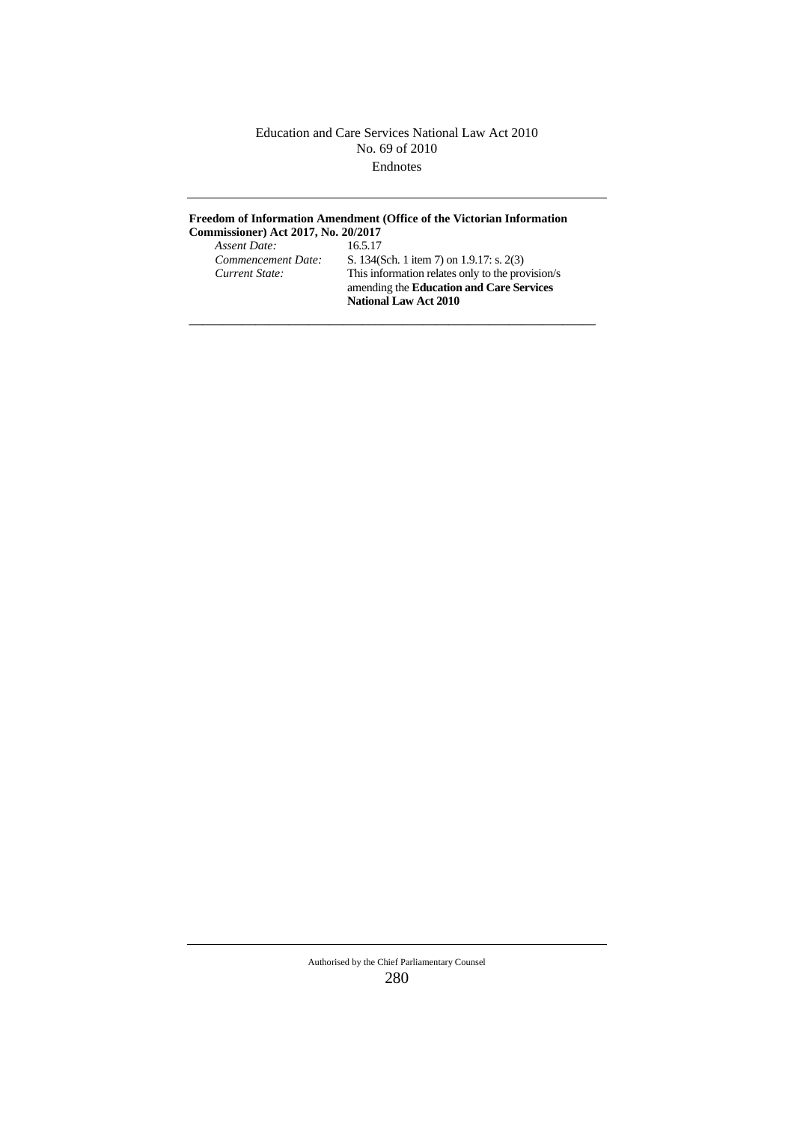## **Freedom of Information Amendment (Office of the Victorian Information**

–––––––––––––––––––––––––––––––––––––––––––––––––––––––––––––

**Commissioner) Act 2017, No. 20/2017**  *Assent Date:*<br>Commencement Date:

*Commencement Date:* S. 134(Sch. 1 item 7) on 1.9.17: s. 2(3)<br>*Current State:* This information relates only to the pro *Current State:* This information relates only to the provision/s amending the **Education and Care Services National Law Act 2010**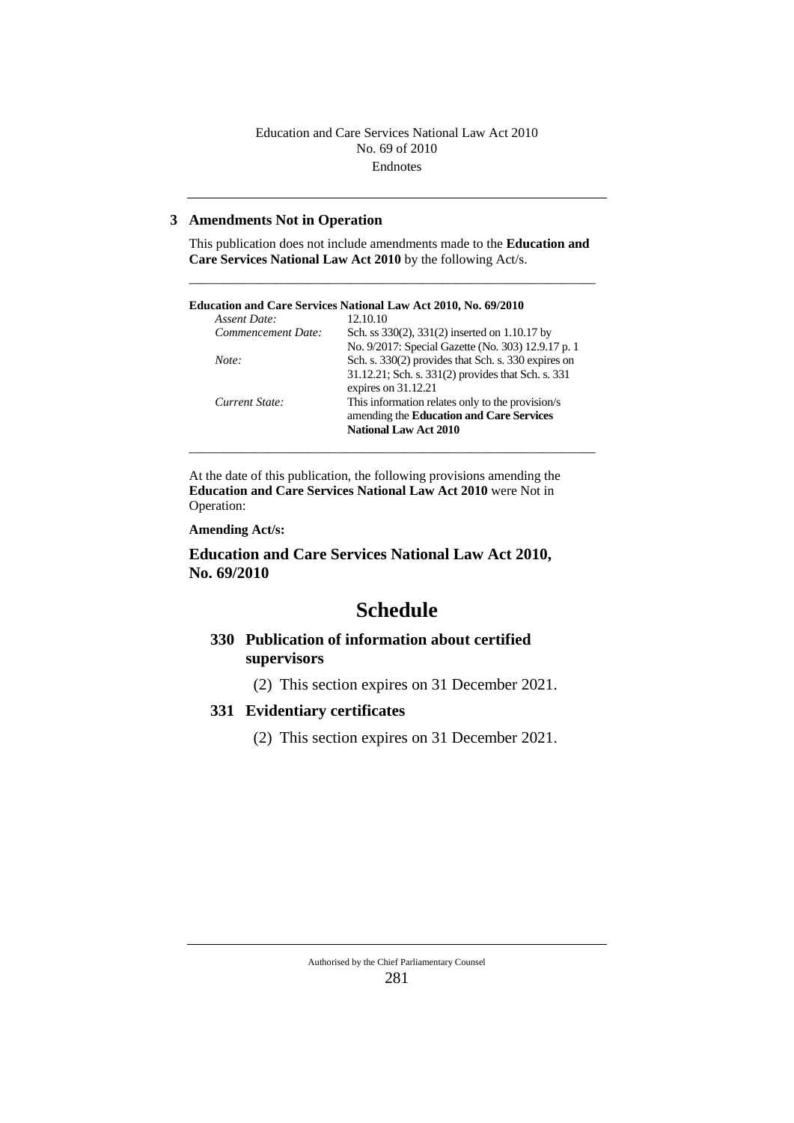### **3 Amendments Not in Operation**

This publication does not include amendments made to the **Education and Care Services National Law Act 2010** by the following Act/s.

–––––––––––––––––––––––––––––––––––––––––––––––––––––––––––––

|                    | Education and Care Services National Law Act 2010, No. 69/2010 |
|--------------------|----------------------------------------------------------------|
| Assent Date:       | 12.10.10                                                       |
| Commencement Date: | Sch. ss 330(2), 331(2) inserted on 1.10.17 by                  |
|                    | No. 9/2017: Special Gazette (No. 303) 12.9.17 p. 1             |
| Note:              | Sch. s. 330(2) provides that Sch. s. 330 expires on            |
|                    | 31.12.21; Sch. s. 331(2) provides that Sch. s. 331             |
|                    | expires on 31.12.21                                            |
| Current State:     | This information relates only to the provision/s               |
|                    | amending the <b>Education and Care Services</b>                |
|                    | <b>National Law Act 2010</b>                                   |

–––––––––––––––––––––––––––––––––––––––––––––––––––––––––––––

At the date of this publication, the following provisions amending the **Education and Care Services National Law Act 2010** were Not in Operation:

**Amending Act/s:**

**Education and Care Services National Law Act 2010, No. 69/2010**

# **Schedule**

### **330 Publication of information about certified supervisors**

(2) This section expires on 31 December 2021.

### **331 Evidentiary certificates**

(2) This section expires on 31 December 2021.